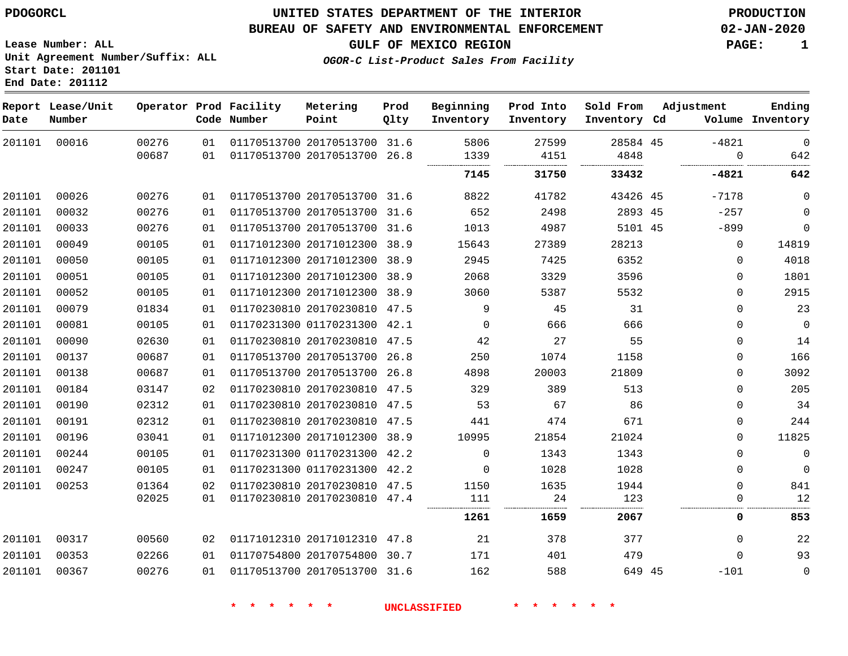**Lease Number: ALL**

**Start Date: 201101 End Date: 201112**

### **UNITED STATES DEPARTMENT OF THE INTERIOR PDOGORCL PRODUCTION**

#### **BUREAU OF SAFETY AND ENVIRONMENTAL ENFORCEMENT 02-JAN-2020**

**Unit Agreement Number/Suffix: ALL**

**OGOR-C List-Product Sales From Facility**

**GULF OF MEXICO REGION PAGE: 1**

| Date   | Report Lease/Unit<br>Number |                |          | Operator Prod Facility<br>Code Number | Metering<br>Point                                            | Prod<br>Qlty | Beginning<br>Inventory | Prod Into<br>Inventory | Sold From<br>Inventory Cd | Adjustment   | Ending<br>Volume Inventory |
|--------|-----------------------------|----------------|----------|---------------------------------------|--------------------------------------------------------------|--------------|------------------------|------------------------|---------------------------|--------------|----------------------------|
| 201101 | 00016                       | 00276<br>00687 | 01<br>01 |                                       | 01170513700 20170513700 31.6<br>01170513700 20170513700 26.8 |              | 5806<br>1339           | 27599<br>4151          | 28584 45<br>4848          | $-4821$<br>0 | $\mathbf 0$<br>642         |
|        |                             |                |          |                                       |                                                              |              | 7145                   | 31750                  | 33432                     | $-4821$      | 642                        |
| 201101 | 00026                       | 00276          | 01       |                                       | 01170513700 20170513700 31.6                                 |              | 8822                   | 41782                  | 43426 45                  | $-7178$      | $\mathbf 0$                |
| 201101 | 00032                       | 00276          | 01       |                                       | 01170513700 20170513700                                      | 31.6         | 652                    | 2498                   | 2893 45                   | $-257$       | $\mathbf 0$                |
| 201101 | 00033                       | 00276          | 01       |                                       | 01170513700 20170513700 31.6                                 |              | 1013                   | 4987                   | 5101 45                   | $-899$       | $\mathbf 0$                |
| 201101 | 00049                       | 00105          | 01       |                                       | 01171012300 20171012300 38.9                                 |              | 15643                  | 27389                  | 28213                     | $\mathbf 0$  | 14819                      |
| 201101 | 00050                       | 00105          | 01       |                                       | 01171012300 20171012300 38.9                                 |              | 2945                   | 7425                   | 6352                      | $\mathbf 0$  | 4018                       |
| 201101 | 00051                       | 00105          | 01       |                                       | 01171012300 20171012300 38.9                                 |              | 2068                   | 3329                   | 3596                      | 0            | 1801                       |
| 201101 | 00052                       | 00105          | 01       |                                       | 01171012300 20171012300 38.9                                 |              | 3060                   | 5387                   | 5532                      | 0            | 2915                       |
| 201101 | 00079                       | 01834          | 01       |                                       | 01170230810 20170230810 47.5                                 |              | 9                      | 45                     | 31                        | 0            | 23                         |
| 201101 | 00081                       | 00105          | 01       |                                       | 01170231300 01170231300 42.1                                 |              | $\mathbf{0}$           | 666                    | 666                       | 0            | $\overline{0}$             |
| 201101 | 00090                       | 02630          | 01       |                                       | 01170230810 20170230810 47.5                                 |              | 42                     | 27                     | 55                        | 0            | 14                         |
| 201101 | 00137                       | 00687          | 01       |                                       | 01170513700 20170513700 26.8                                 |              | 250                    | 1074                   | 1158                      | $\Omega$     | 166                        |
| 201101 | 00138                       | 00687          | 01       |                                       | 01170513700 20170513700                                      | 26.8         | 4898                   | 20003                  | 21809                     | $\Omega$     | 3092                       |
| 201101 | 00184                       | 03147          | 02       |                                       | 01170230810 20170230810 47.5                                 |              | 329                    | 389                    | 513                       | $\Omega$     | 205                        |
| 201101 | 00190                       | 02312          | 01       |                                       | 01170230810 20170230810 47.5                                 |              | 53                     | 67                     | 86                        | $\Omega$     | 34                         |
| 201101 | 00191                       | 02312          | 01       |                                       | 01170230810 20170230810 47.5                                 |              | 441                    | 474                    | 671                       | $\mathbf{0}$ | 244                        |
| 201101 | 00196                       | 03041          | 01       |                                       | 01171012300 20171012300 38.9                                 |              | 10995                  | 21854                  | 21024                     | 0            | 11825                      |
| 201101 | 00244                       | 00105          | 01       |                                       | 01170231300 01170231300 42.2                                 |              | $\mathbf 0$            | 1343                   | 1343                      | 0            | $\mathbf 0$                |
| 201101 | 00247                       | 00105          | 01       |                                       | 01170231300 01170231300 42.2                                 |              | $\mathbf 0$            | 1028                   | 1028                      | 0            | $\mathbf 0$                |
| 201101 | 00253                       | 01364          | 02       |                                       | 01170230810 20170230810 47.5                                 |              | 1150                   | 1635                   | 1944                      | $\mathbf{0}$ | 841                        |
|        |                             | 02025          | 01       |                                       | 01170230810 20170230810 47.4                                 |              | 111                    | 24                     | 123                       | 0            | 12                         |
|        |                             |                |          |                                       |                                                              |              | 1261                   | 1659                   | 2067                      | 0            | 853                        |
| 201101 | 00317                       | 00560          | 02       |                                       | 01171012310 20171012310 47.8                                 |              | 21                     | 378                    | 377                       | $\mathbf{0}$ | 22                         |
| 201101 | 00353                       | 02266          | 01       |                                       | 01170754800 20170754800 30.7                                 |              | 171                    | 401                    | 479                       | $\Omega$     | 93                         |
| 201101 | 00367                       | 00276          | 01       |                                       | 01170513700 20170513700 31.6                                 |              | 162                    | 588                    | 649 45                    | $-101$       | $\mathbf 0$                |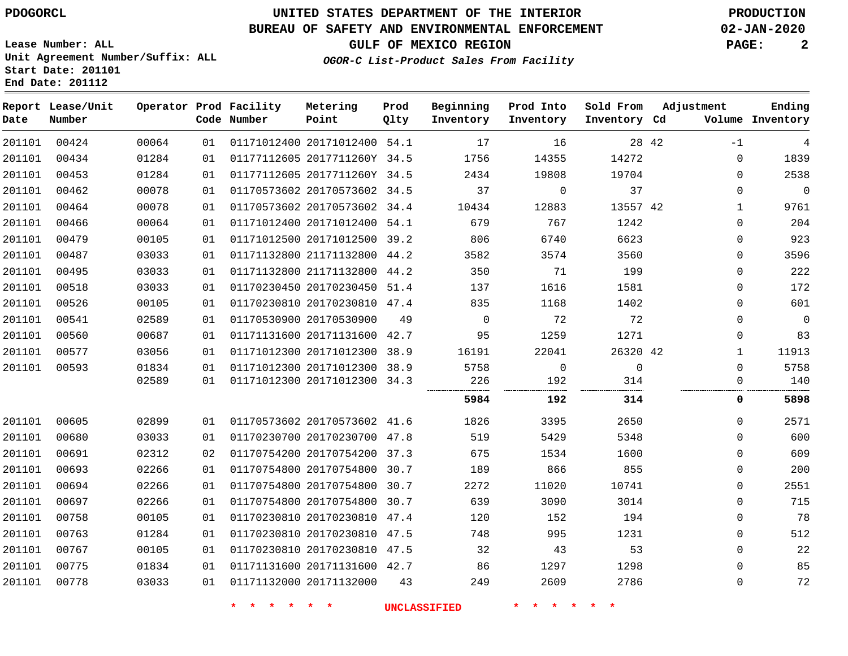### **BUREAU OF SAFETY AND ENVIRONMENTAL ENFORCEMENT 02-JAN-2020**

**Unit Agreement Number/Suffix: ALL**

**GULF OF MEXICO REGION PAGE: 2**

**OGOR-C List-Product Sales From Facility**

| Start Date: 201101 |  |  |
|--------------------|--|--|
| End Date: 201112   |  |  |

**Lease Number: ALL**

| Date   | Report Lease/Unit<br>Number |       |    | Operator Prod Facility<br>Code Number | Metering<br>Point            | Prod<br>Qlty | Beginning<br>Inventory | Prod Into<br>Inventory | Sold From<br>Inventory Cd | Adjustment   | Ending<br>Volume Inventory |
|--------|-----------------------------|-------|----|---------------------------------------|------------------------------|--------------|------------------------|------------------------|---------------------------|--------------|----------------------------|
| 201101 | 00424                       | 00064 | 01 |                                       | 01171012400 20171012400 54.1 |              | 17                     | 16                     | 28 42                     | $-1$         | 4                          |
| 201101 | 00434                       | 01284 | 01 |                                       | 01177112605 2017711260Y 34.5 |              | 1756                   | 14355                  | 14272                     | $\mathbf{0}$ | 1839                       |
| 201101 | 00453                       | 01284 | 01 |                                       | 01177112605 2017711260Y 34.5 |              | 2434                   | 19808                  | 19704                     | $\Omega$     | 2538                       |
| 201101 | 00462                       | 00078 | 01 |                                       | 01170573602 20170573602 34.5 |              | 37                     | $\mathbf 0$            | 37                        | $\Omega$     | $\mathbf 0$                |
| 201101 | 00464                       | 00078 | 01 |                                       | 01170573602 20170573602 34.4 |              | 10434                  | 12883                  | 13557 42                  | 1            | 9761                       |
| 201101 | 00466                       | 00064 | 01 |                                       | 01171012400 20171012400 54.1 |              | 679                    | 767                    | 1242                      | $\mathbf{0}$ | 204                        |
| 201101 | 00479                       | 00105 | 01 |                                       | 01171012500 20171012500 39.2 |              | 806                    | 6740                   | 6623                      | $\mathbf{0}$ | 923                        |
| 201101 | 00487                       | 03033 | 01 |                                       | 01171132800 21171132800 44.2 |              | 3582                   | 3574                   | 3560                      | $\mathbf{0}$ | 3596                       |
| 201101 | 00495                       | 03033 | 01 |                                       | 01171132800 21171132800 44.2 |              | 350                    | 71                     | 199                       | $\mathbf{0}$ | 222                        |
| 201101 | 00518                       | 03033 | 01 |                                       | 01170230450 20170230450 51.4 |              | 137                    | 1616                   | 1581                      | 0            | 172                        |
| 201101 | 00526                       | 00105 | 01 |                                       | 01170230810 20170230810 47.4 |              | 835                    | 1168                   | 1402                      | $\Omega$     | 601                        |
| 201101 | 00541                       | 02589 | 01 |                                       | 01170530900 20170530900      | 49           | $\mathbf 0$            | 72                     | 72                        | $\mathbf{0}$ | $\overline{0}$             |
| 201101 | 00560                       | 00687 | 01 |                                       | 01171131600 20171131600 42.7 |              | 95                     | 1259                   | 1271                      | $\mathbf{0}$ | 83                         |
| 201101 | 00577                       | 03056 | 01 |                                       | 01171012300 20171012300 38.9 |              | 16191                  | 22041                  | 26320 42                  | $\mathbf 1$  | 11913                      |
| 201101 | 00593                       | 01834 | 01 |                                       | 01171012300 20171012300 38.9 |              | 5758                   | $\mathbf 0$            | $\overline{0}$            | $\mathbf 0$  | 5758                       |
|        |                             | 02589 | 01 |                                       | 01171012300 20171012300 34.3 |              | 226                    | 192                    | 314                       | 0            | 140                        |
|        |                             |       |    |                                       |                              |              | 5984                   | 192                    | 314                       | 0            | 5898                       |
| 201101 | 00605                       | 02899 | 01 |                                       | 01170573602 20170573602 41.6 |              | 1826                   | 3395                   | 2650                      | $\Omega$     | 2571                       |
| 201101 | 00680                       | 03033 | 01 |                                       | 01170230700 20170230700 47.8 |              | 519                    | 5429                   | 5348                      | $\Omega$     | 600                        |
| 201101 | 00691                       | 02312 | 02 |                                       | 01170754200 20170754200 37.3 |              | 675                    | 1534                   | 1600                      | $\Omega$     | 609                        |
| 201101 | 00693                       | 02266 | 01 |                                       | 01170754800 20170754800 30.7 |              | 189                    | 866                    | 855                       | $\mathbf{0}$ | 200                        |
| 201101 | 00694                       | 02266 | 01 |                                       | 01170754800 20170754800 30.7 |              | 2272                   | 11020                  | 10741                     | $\mathbf{0}$ | 2551                       |
| 201101 | 00697                       | 02266 | 01 |                                       | 01170754800 20170754800 30.7 |              | 639                    | 3090                   | 3014                      | $\mathbf{0}$ | 715                        |
| 201101 | 00758                       | 00105 | 01 |                                       | 01170230810 20170230810 47.4 |              | 120                    | 152                    | 194                       | $\mathbf{0}$ | 78                         |
| 201101 | 00763                       | 01284 | 01 |                                       | 01170230810 20170230810 47.5 |              | 748                    | 995                    | 1231                      | $\mathbf{0}$ | 512                        |
| 201101 | 00767                       | 00105 | 01 |                                       | 01170230810 20170230810 47.5 |              | 32                     | 43                     | 53                        | 0            | 22                         |
| 201101 | 00775                       | 01834 | 01 |                                       | 01171131600 20171131600 42.7 |              | 86                     | 1297                   | 1298                      | $\Omega$     | 85                         |
| 201101 | 00778                       | 03033 | 01 |                                       | 01171132000 20171132000      | 43           | 249                    | 2609                   | 2786                      | $\mathbf{0}$ | 72                         |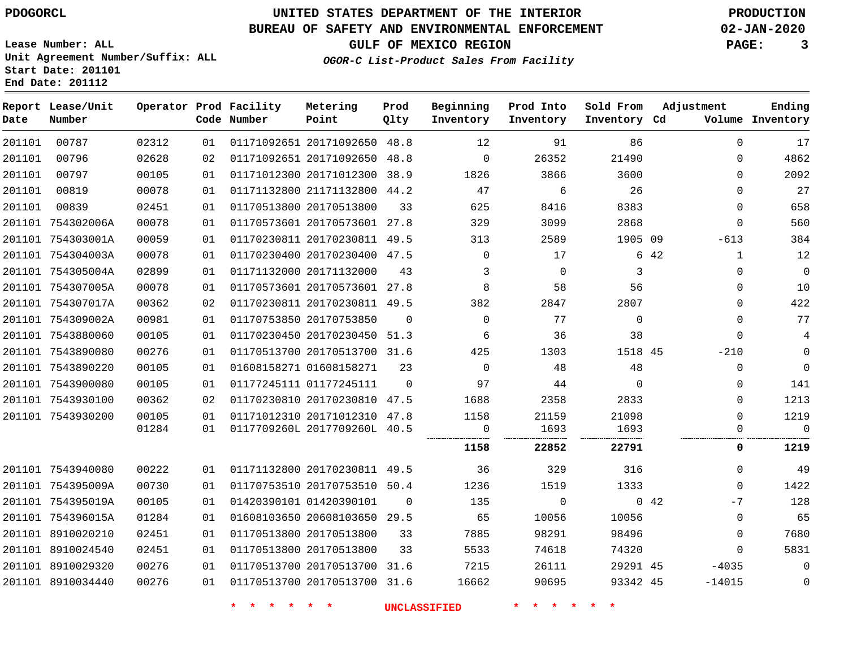**Lease Number: ALL**

**Start Date: 201101 End Date: 201112**

# **UNITED STATES DEPARTMENT OF THE INTERIOR PDOGORCL PRODUCTION**

### **BUREAU OF SAFETY AND ENVIRONMENTAL ENFORCEMENT 02-JAN-2020**

**Unit Agreement Number/Suffix: ALL**

**GULF OF MEXICO REGION PAGE: 3**

**OGOR-C List-Product Sales From Facility**

| Date   | Report Lease/Unit<br>Number |       |    | Operator Prod Facility<br>Code Number | Metering<br>Point            | Prod<br>Qlty | Beginning<br>Inventory | Prod Into<br>Inventory | Sold From<br>Inventory Cd | Adjustment   | Ending<br>Volume Inventory |
|--------|-----------------------------|-------|----|---------------------------------------|------------------------------|--------------|------------------------|------------------------|---------------------------|--------------|----------------------------|
| 201101 | 00787                       | 02312 | 01 |                                       | 01171092651 20171092650      | 48.8         | 12                     | 91                     | 86                        | $\mathbf{0}$ | 17                         |
| 201101 | 00796                       | 02628 | 02 |                                       | 01171092651 20171092650      | 48.8         | $\Omega$               | 26352                  | 21490                     | $\Omega$     | 4862                       |
| 201101 | 00797                       | 00105 | 01 |                                       | 01171012300 20171012300      | 38.9         | 1826                   | 3866                   | 3600                      | $\mathbf{0}$ | 2092                       |
| 201101 | 00819                       | 00078 | 01 |                                       | 01171132800 21171132800      | 44.2         | 47                     | 6                      | 26                        | $\Omega$     | 27                         |
| 201101 | 00839                       | 02451 | 01 |                                       | 01170513800 20170513800      | 33           | 625                    | 8416                   | 8383                      | $\Omega$     | 658                        |
|        | 201101 754302006A           | 00078 | 01 |                                       | 01170573601 20170573601 27.8 |              | 329                    | 3099                   | 2868                      | $\Omega$     | 560                        |
|        | 201101 754303001A           | 00059 | 01 |                                       | 01170230811 20170230811 49.5 |              | 313                    | 2589                   | 1905 09                   | $-613$       | 384                        |
|        | 201101 754304003A           | 00078 | 01 |                                       | 01170230400 20170230400      | 47.5         | $\mathbf 0$            | 17                     |                           | 6 42<br>1    | 12                         |
|        | 201101 754305004A           | 02899 | 01 |                                       | 01171132000 20171132000      | 43           | 3                      | $\Omega$               | 3                         | $\mathbf{0}$ | $\mathsf{O}\xspace$        |
|        | 201101 754307005A           | 00078 | 01 |                                       | 01170573601 20170573601 27.8 |              | 8                      | 58                     | 56                        | $\Omega$     | 10                         |
|        | 201101 754307017A           | 00362 | 02 |                                       | 01170230811 20170230811 49.5 |              | 382                    | 2847                   | 2807                      | 0            | 422                        |
|        | 201101 754309002A           | 00981 | 01 |                                       | 01170753850 20170753850      | $\Omega$     | $\Omega$               | 77                     | $\Omega$                  | $\Omega$     | 77                         |
|        | 201101 7543880060           | 00105 | 01 |                                       | 01170230450 20170230450      | 51.3         | 6                      | 36                     | 38                        | $\Omega$     | 4                          |
|        | 201101 7543890080           | 00276 | 01 |                                       | 01170513700 20170513700 31.6 |              | 425                    | 1303                   | 1518 45                   | $-210$       | $\mathbf 0$                |
|        | 201101 7543890220           | 00105 | 01 |                                       | 01608158271 01608158271      | 23           | $\Omega$               | 48                     | 48                        | $\Omega$     | $\mathbf 0$                |
|        | 201101 7543900080           | 00105 | 01 |                                       | 01177245111 01177245111      | $\Omega$     | 97                     | 44                     | $\Omega$                  | 0            | 141                        |
|        | 201101 7543930100           | 00362 | 02 |                                       | 01170230810 20170230810      | 47.5         | 1688                   | 2358                   | 2833                      | $\Omega$     | 1213                       |
|        | 201101 7543930200           | 00105 | 01 |                                       | 01171012310 20171012310      | 47.8         | 1158                   | 21159                  | 21098                     | $\Omega$     | 1219                       |
|        |                             | 01284 | 01 |                                       | 0117709260L 2017709260L 40.5 |              | 0<br>                  | 1693                   | 1693                      | $\Omega$     | $\Omega$                   |
|        |                             |       |    |                                       |                              |              | 1158                   | 22852                  | 22791                     | 0            | 1219                       |
|        | 201101 7543940080           | 00222 | 01 |                                       | 01171132800 20170230811 49.5 |              | 36                     | 329                    | 316                       | $\Omega$     | 49                         |
|        | 201101 754395009A           | 00730 | 01 |                                       | 01170753510 20170753510 50.4 |              | 1236                   | 1519                   | 1333                      | $\Omega$     | 1422                       |
|        | 201101 754395019A           | 00105 | 01 |                                       | 01420390101 01420390101      | $\Omega$     | 135                    | $\Omega$               |                           | 0.42<br>$-7$ | 128                        |
|        | 201101 754396015A           | 01284 | 01 |                                       | 01608103650 20608103650 29.5 |              | 65                     | 10056                  | 10056                     | $\Omega$     | 65                         |
|        | 201101 8910020210           | 02451 | 01 |                                       | 01170513800 20170513800      | 33           | 7885                   | 98291                  | 98496                     | 0            | 7680                       |
|        | 201101 8910024540           | 02451 | 01 |                                       | 01170513800 20170513800      | 33           | 5533                   | 74618                  | 74320                     | $\Omega$     | 5831                       |
|        | 201101 8910029320           | 00276 | 01 |                                       | 01170513700 20170513700 31.6 |              | 7215                   | 26111                  | 29291 45                  | $-4035$      | $\mathbf 0$                |
|        | 201101 8910034440           | 00276 | 01 |                                       | 01170513700 20170513700 31.6 |              | 16662                  | 90695                  | 93342 45                  | $-14015$     | $\Omega$                   |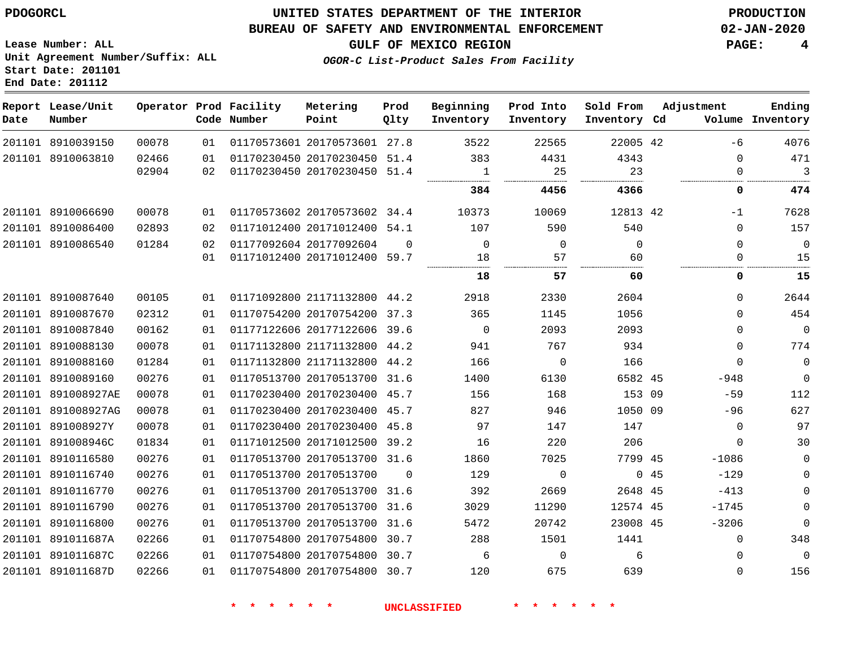### **UNITED STATES DEPARTMENT OF THE INTERIOR PDOGORCL PRODUCTION**

#### **BUREAU OF SAFETY AND ENVIRONMENTAL ENFORCEMENT 02-JAN-2020**

**Lease Number: ALL Unit Agreement Number/Suffix: ALL Start Date: 201101**

**OGOR-C List-Product Sales From Facility**

**GULF OF MEXICO REGION PAGE: 4**

| Date   | Report Lease/Unit<br>Number |       |    | Operator Prod Facility<br>Code Number | Metering<br>Point            | Prod<br>Qlty | Beginning<br>Inventory | Prod Into<br>Inventory | Sold From<br>Inventory Cd |     | Adjustment  | Ending<br>Volume Inventory |
|--------|-----------------------------|-------|----|---------------------------------------|------------------------------|--------------|------------------------|------------------------|---------------------------|-----|-------------|----------------------------|
|        | 201101 8910039150           | 00078 | 01 |                                       | 01170573601 20170573601 27.8 |              | 3522                   | 22565                  | 22005 42                  |     | $-6$        | 4076                       |
|        | 201101 8910063810           | 02466 | 01 |                                       | 01170230450 20170230450      | 51.4         | 383                    | 4431                   | 4343                      |     | $\Omega$    | 471                        |
|        |                             | 02904 | 02 |                                       | 01170230450 20170230450      | 51.4         | $\mathbf{1}$<br>       | 25                     | 23                        |     | $\Omega$    | 3                          |
|        |                             |       |    |                                       |                              |              | 384                    | 4456                   | 4366                      |     | 0           | 474                        |
|        | 201101 8910066690           | 00078 | 01 |                                       | 01170573602 20170573602      | 34.4         | 10373                  | 10069                  | 12813 42                  |     | $-1$        | 7628                       |
|        | 201101 8910086400           | 02893 | 02 |                                       | 01171012400 20171012400      | 54.1         | 107                    | 590                    | 540                       |     | $\Omega$    | 157                        |
|        | 201101 8910086540           | 01284 | 02 |                                       | 01177092604 20177092604      | $\Omega$     | $\mathbf 0$            | $\Omega$               | $\Omega$                  |     | $\Omega$    | $\mathbf 0$                |
|        |                             |       | 01 |                                       | 01171012400 20171012400 59.7 |              | 18<br>                 | 57                     | 60                        |     | 0           | 15                         |
|        |                             |       |    |                                       |                              |              | 18                     | 57                     | 60                        |     | 0           | 15                         |
|        | 201101 8910087640           | 00105 | 01 |                                       | 01171092800 21171132800      | 44.2         | 2918                   | 2330                   | 2604                      |     | $\Omega$    | 2644                       |
|        | 201101 8910087670           | 02312 | 01 |                                       | 01170754200 20170754200      | 37.3         | 365                    | 1145                   | 1056                      |     | $\Omega$    | 454                        |
|        | 201101 8910087840           | 00162 | 01 |                                       | 01177122606 20177122606      | 39.6         | $\Omega$               | 2093                   | 2093                      |     | $\Omega$    | $\Omega$                   |
|        | 201101 8910088130           | 00078 | 01 |                                       | 01171132800 21171132800      | 44.2         | 941                    | 767                    | 934                       |     | $\Omega$    | 774                        |
|        | 201101 8910088160           | 01284 | 01 |                                       | 01171132800 21171132800      | 44.2         | 166                    | $\Omega$               | 166                       |     | $\Omega$    | $\mathbf 0$                |
|        | 201101 8910089160           | 00276 | 01 |                                       | 01170513700 20170513700      | 31.6         | 1400                   | 6130                   | 6582 45                   |     | $-948$      | $\Omega$                   |
| 201101 | 891008927AE                 | 00078 | 01 |                                       | 01170230400 20170230400      | 45.7         | 156                    | 168                    | 153 09                    |     | $-59$       | 112                        |
|        | 201101 891008927AG          | 00078 | 01 |                                       | 01170230400 20170230400      | 45.7         | 827                    | 946                    | 1050 09                   |     | $-96$       | 627                        |
|        | 201101 891008927Y           | 00078 | 01 |                                       | 01170230400 20170230400      | 45.8         | 97                     | 147                    | 147                       |     | $\Omega$    | 97                         |
|        | 201101 891008946C           | 01834 | 01 |                                       | 01171012500 20171012500      | 39.2         | 16                     | 220                    | 206                       |     | $\mathbf 0$ | 30                         |
|        | 201101 8910116580           | 00276 | 01 |                                       | 01170513700 20170513700 31.6 |              | 1860                   | 7025                   | 7799 45                   |     | $-1086$     | $\mathbf 0$                |
|        | 201101 8910116740           | 00276 | 01 |                                       | 01170513700 20170513700      | $\Omega$     | 129                    | $\Omega$               |                           | 045 | $-129$      | $\mathbf 0$                |
|        | 201101 8910116770           | 00276 | 01 |                                       | 01170513700 20170513700      | 31.6         | 392                    | 2669                   | 2648 45                   |     | $-413$      | $\mathbf 0$                |
| 201101 | 8910116790                  | 00276 | 01 |                                       | 01170513700 20170513700      | 31.6         | 3029                   | 11290                  | 12574 45                  |     | $-1745$     | $\mathbf 0$                |
|        | 201101 8910116800           | 00276 | 01 |                                       | 01170513700 20170513700      | 31.6         | 5472                   | 20742                  | 23008 45                  |     | $-3206$     | $\Omega$                   |
|        | 201101 891011687A           | 02266 | 01 |                                       | 01170754800 20170754800      | 30.7         | 288                    | 1501                   | 1441                      |     | 0           | 348                        |
|        | 201101 891011687C           | 02266 | 01 |                                       | 01170754800 20170754800      | 30.7         | 6                      | $\Omega$               | 6                         |     | $\Omega$    | $\Omega$                   |
|        | 201101 891011687D           | 02266 | 01 |                                       | 01170754800 20170754800      | 30.7         | 120                    | 675                    | 639                       |     | $\Omega$    | 156                        |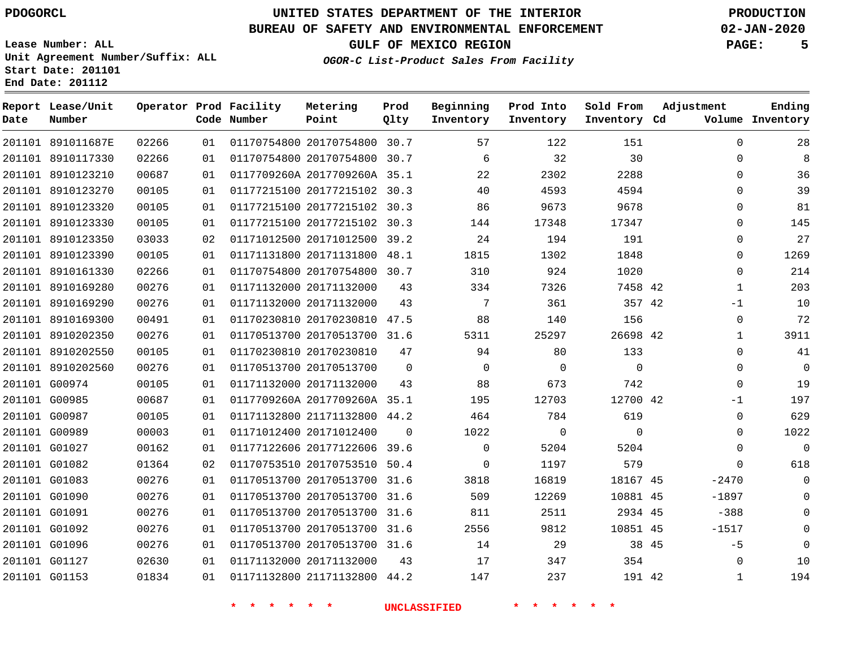**Report Lease/Unit**

G01153

# **UNITED STATES DEPARTMENT OF THE INTERIOR PDOGORCL PRODUCTION**

**Prod**

#### **BUREAU OF SAFETY AND ENVIRONMENTAL ENFORCEMENT 02-JAN-2020**

**Lease Number: ALL Unit Agreement Number/Suffix: ALL Start Date: 201101**

**Operator Prod Facility Metering**

**OGOR-C List-Product Sales From Facility**

**Beginning Prod Into Sold From**

**GULF OF MEXICO REGION PAGE: 5**

**Adjustment**

**Ending**

| Date | Number            |       |    | Code Number | Point                        | Qlty        | Inventory       | Inventory   | Inventory Cd |       |             | Volume Inventory |
|------|-------------------|-------|----|-------------|------------------------------|-------------|-----------------|-------------|--------------|-------|-------------|------------------|
|      | 201101 891011687E | 02266 | 01 |             | 01170754800 20170754800 30.7 |             | 57              | 122         | 151          |       | $\mathbf 0$ | 28               |
|      | 201101 8910117330 | 02266 | 01 |             | 01170754800 20170754800      | 30.7        | 6               | 32          | 30           |       | $\Omega$    | 8                |
|      | 201101 8910123210 | 00687 | 01 |             | 0117709260A 2017709260A 35.1 |             | 22              | 2302        | 2288         |       | $\Omega$    | 36               |
|      | 201101 8910123270 | 00105 | 01 |             | 01177215100 20177215102 30.3 |             | 40              | 4593        | 4594         |       | $\Omega$    | 39               |
|      | 201101 8910123320 | 00105 | 01 |             | 01177215100 20177215102 30.3 |             | 86              | 9673        | 9678         |       | $\Omega$    | 81               |
|      | 201101 8910123330 | 00105 | 01 |             | 01177215100 20177215102 30.3 |             | 144             | 17348       | 17347        |       | $\Omega$    | 145              |
|      | 201101 8910123350 | 03033 | 02 |             | 01171012500 20171012500      | 39.2        | 24              | 194         | 191          |       | $\Omega$    | 27               |
|      | 201101 8910123390 | 00105 | 01 |             | 01171131800 20171131800 48.1 |             | 1815            | 1302        | 1848         |       | $\Omega$    | 1269             |
|      | 201101 8910161330 | 02266 | 01 |             | 01170754800 20170754800      | 30.7        | 310             | 924         | 1020         |       | $\mathbf 0$ | 214              |
|      | 201101 8910169280 | 00276 | 01 |             | 01171132000 20171132000      | 43          | 334             | 7326        | 7458 42      |       | 1           | 203              |
|      | 201101 8910169290 | 00276 | 01 |             | 01171132000 20171132000      | 43          | $7\phantom{.0}$ | 361         | 357 42       |       | -1          | 10               |
|      | 201101 8910169300 | 00491 | 01 |             | 01170230810 20170230810      | 47.5        | 88              | 140         | 156          |       | $\mathbf 0$ | 72               |
|      | 201101 8910202350 | 00276 | 01 |             | 01170513700 20170513700 31.6 |             | 5311            | 25297       | 26698 42     |       | 1           | 3911             |
|      | 201101 8910202550 | 00105 | 01 |             | 01170230810 20170230810      | 47          | 94              | 80          | 133          |       | $\Omega$    | 41               |
|      | 201101 8910202560 | 00276 | 01 |             | 01170513700 20170513700      | $\mathbf 0$ | $\mathbf 0$     | $\mathbf 0$ | $\mathbf 0$  |       | $\mathbf 0$ | $\mathbf 0$      |
|      | 201101 G00974     | 00105 | 01 |             | 01171132000 20171132000      | 43          | 88              | 673         | 742          |       | $\Omega$    | 19               |
|      | 201101 G00985     | 00687 | 01 |             | 0117709260A 2017709260A 35.1 |             | 195             | 12703       | 12700 42     |       | -1          | 197              |
|      | 201101 G00987     | 00105 | 01 |             | 01171132800 21171132800 44.2 |             | 464             | 784         | 619          |       | $\mathbf 0$ | 629              |
|      | 201101 G00989     | 00003 | 01 |             | 01171012400 20171012400      | $\Omega$    | 1022            | $\mathbf 0$ | $\Omega$     |       | $\Omega$    | 1022             |
|      | 201101 G01027     | 00162 | 01 |             | 01177122606 20177122606      | 39.6        | $\Omega$        | 5204        | 5204         |       | $\Omega$    | $\mathbf 0$      |
|      | 201101 G01082     | 01364 | 02 |             | 01170753510 20170753510      | 50.4        | $\mathbf 0$     | 1197        | 579          |       | $\mathbf 0$ | 618              |
|      | 201101 G01083     | 00276 | 01 |             | 01170513700 20170513700 31.6 |             | 3818            | 16819       | 18167 45     |       | $-2470$     | $\mathbf 0$      |
|      | 201101 G01090     | 00276 | 01 |             | 01170513700 20170513700      | 31.6        | 509             | 12269       | 10881 45     |       | $-1897$     | $\mathbf 0$      |
|      | 201101 G01091     | 00276 | 01 |             | 01170513700 20170513700      | 31.6        | 811             | 2511        | 2934 45      |       | $-388$      | $\Omega$         |
|      | 201101 G01092     | 00276 | 01 |             | 01170513700 20170513700 31.6 |             | 2556            | 9812        | 10851 45     |       | $-1517$     | $\mathbf 0$      |
|      | 201101 G01096     | 00276 | 01 |             | 01170513700 20170513700 31.6 |             | 14              | 29          |              | 38 45 | $-5$        | $\mathbf 0$      |
|      | 201101 G01127     | 02630 | 01 |             | 01171132000 20171132000      | 43          | 17              | 347         | 354          |       | $\Omega$    | 10               |

**\* \* \* \* \* \* UNCLASSIFIED \* \* \* \* \* \***

01171132800 21171132800 44.2

42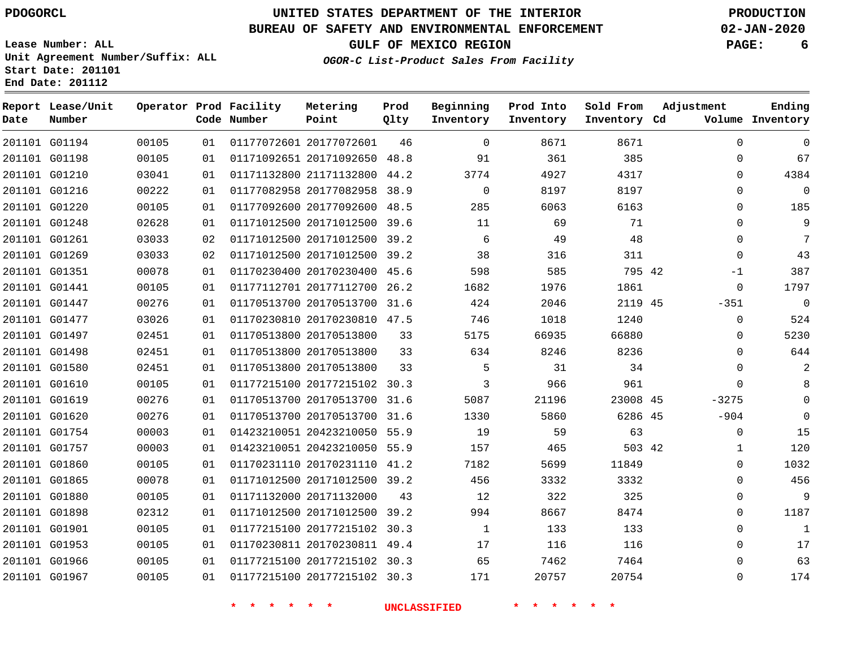**Report Lease/Unit**

**Number**

 G01194 G01198

**Date**

# **UNITED STATES DEPARTMENT OF THE INTERIOR PDOGORCL PRODUCTION**

**Prod Qlty**

#### **BUREAU OF SAFETY AND ENVIRONMENTAL ENFORCEMENT 02-JAN-2020**

**Lease Number: ALL Unit Agreement Number/Suffix: ALL Start Date: 201101**

> 

**Operator Prod Facility**

**Code Number**

20177072601

20171092650 48.8

**Metering Point**

  **OGOR-C List-Product Sales From Facility**

 

 

 

**Sold From Inventory**

**Prod Into Inventory**

**Beginning Inventory**

**GULF OF MEXICO REGION PAGE: 6**

**Inventory Cd Volume**

**Adjustment**

  $\Omega$   $\Omega$  $\Omega$  $\Omega$   $-1$  -351  $\Omega$  $\overline{0}$   $\Omega$  $\overline{0}$ -3275 -904  $\Omega$   $\Omega$   $\Omega$ 

**Ending**

|                                |                |          |  | * * * * * * |                                                              |    | UNCLASSIFIED * * * * |            | $\star$       |  |
|--------------------------------|----------------|----------|--|-------------|--------------------------------------------------------------|----|----------------------|------------|---------------|--|
|                                |                |          |  |             |                                                              |    |                      |            |               |  |
| 201101 G01967                  | 00105          | 01       |  |             | 01177215100 20177215102 30.3                                 |    | 171                  | 20757      | 20754         |  |
| 201101 G01966                  | 00105          | 01       |  |             | 01177215100 20177215102 30.3                                 |    | 65                   | 7462       | 7464          |  |
| 201101 G01953                  | 00105          | 01       |  |             | 01170230811 20170230811 49.4                                 |    | 17                   | 116        | 116           |  |
| 201101 G01901                  | 00105          | 01       |  |             | 01177215100 20177215102 30.3                                 |    | $\overline{1}$       | 133        | 133           |  |
| 201101 G01898                  | 02312          | 01       |  |             | 01171012500 20171012500 39.2                                 |    | 994                  | 8667       | 8474          |  |
| 201101 G01880                  | 00105          | 01       |  |             | 01171132000 20171132000                                      | 43 | 12                   | 322        | 325           |  |
| 201101 G01865                  | 00078          | 01       |  |             | 01171012500 20171012500 39.2                                 |    | 456                  | 3332       | 3332          |  |
| 201101 G01860                  | 00105          | 01       |  |             | 01170231110 20170231110 41.2                                 |    | 7182                 | 5699       | 11849         |  |
| 201101 G01757                  | 00003          | 01       |  |             | 01423210051 20423210050 55.9                                 |    | 157                  | 465        | 503 42        |  |
| 201101 G01620<br>201101 G01754 | 00276<br>00003 | 01<br>01 |  |             | 01170513700 20170513700 31.6<br>01423210051 20423210050 55.9 |    | 1330<br>19           | 5860<br>59 | 6286 45<br>63 |  |
| 201101 G01619                  | 00276          | 01       |  |             | 01170513700 20170513700 31.6                                 |    | 5087                 | 21196      | 23008 45      |  |
| 201101 G01610                  | 00105          | 01       |  |             | 01177215100 20177215102 30.3                                 |    | $\overline{3}$       | 966        | 961           |  |
| 201101 G01580                  | 02451          | 01       |  |             | 01170513800 20170513800                                      | 33 | $5^{\circ}$          | 31         | 34            |  |
| 201101 G01498                  | 02451          | 01       |  |             | 01170513800 20170513800 33                                   |    | 634                  | 8246       | 8236          |  |
| 201101 G01497                  | 02451          | 01       |  |             | 01170513800 20170513800                                      | 33 | 5175                 | 66935      | 66880         |  |
| 201101 G01477                  | 03026          | 01       |  |             | 01170230810 20170230810 47.5                                 |    | 746                  | 1018       | 1240          |  |
| 201101 G01447                  | 00276          | 01       |  |             | 01170513700 20170513700 31.6                                 |    | 424                  | 2046       | 2119 45       |  |
| 201101 G01441                  | 00105          | 01       |  |             | 01177112701 20177112700 26.2                                 |    | 1682                 | 1976       | 1861          |  |
| 201101 G01351                  | 00078          | 01       |  |             | 01170230400 20170230400 45.6                                 |    | 598                  | 585        | 795 42        |  |
| 201101 G01269                  | 03033          | 02       |  |             | 01171012500 20171012500 39.2                                 |    | 38                   | 316        | 311           |  |
| 201101 G01261                  | 03033          | 02       |  |             | 01171012500 20171012500 39.2                                 |    | 6                    | 49         | 48            |  |
| 201101 G01248                  | 02628          | 01       |  |             | 01171012500 20171012500 39.6                                 |    | 11                   | 69         | 71            |  |
| 201101 G01220                  | 00105          | 01       |  |             | 01177092600 20177092600 48.5                                 |    | 285                  | 6063       | 6163          |  |
| 201101 G01216                  | 00222          | 01       |  |             | 01177082958 20177082958 38.9                                 |    | $\overline{0}$       | 8197       | 8197          |  |
| 201101 G01210                  | 03041          | 01       |  |             | 01171132800 21171132800 44.2                                 |    | 3774                 | 4927       | 4317          |  |
|                                |                |          |  |             |                                                              |    |                      |            |               |  |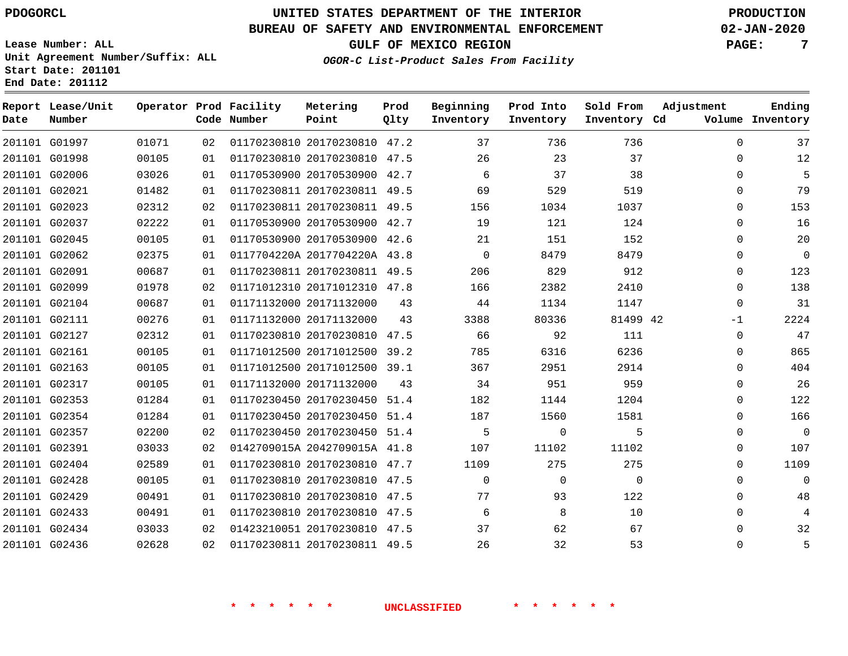G01997 G01998 G02006 G02021 G02023 G02037 G02045 G02062 G02091 G02099 G02104 G02111 G02127 G02161 G02163 G02317 G02353 G02354 G02357 G02391 G02404 G02428 G02429 G02433 G02434 G02436

**Date**

**Report Lease/Unit**

**Number**

# **UNITED STATES DEPARTMENT OF THE INTERIOR PDOGORCL PRODUCTION**

**Prod Qlty**

#### **BUREAU OF SAFETY AND ENVIRONMENTAL ENFORCEMENT 02-JAN-2020**

**Lease Number: ALL Unit Agreement Number/Suffix: ALL Start Date: 201101 End Date: 201112**

**Operator Prod Facility**

**Code Number**

 20170230810 47.2 20170230810 47.5 20170530900 42.7 20170230811 49.5 20170230811 49.5 20170530900 42.7 20170530900 42.6 0117704220A 2017704220A 43.8 20170230811 49.5

**Metering Point**

**OGOR-C List-Product Sales From Facility**

**Sold From Inventory**

**Prod Into Inventory**

**Beginning Inventory**

**GULF OF MEXICO REGION PAGE: 7**

**Inventory Cd Volume**

**Adjustment**

  $\Omega$  $\Omega$  $\Omega$  $\Omega$  $\Omega$  $\Omega$  $\Omega$  $\Omega$  $\Omega$  -1  $\overline{0}$   $\Omega$  $\overline{0}$  $\Omega$  $\Omega$  $\Omega$  $\Omega$   $\Omega$  $\Omega$  

**Ending**

| 01978 | 02 | 01171012310 20171012310      | 47.8                | 166      | 2382        | 2410     |  |
|-------|----|------------------------------|---------------------|----------|-------------|----------|--|
| 00687 | 01 | 01171132000 20171132000      | 43                  | 44       | 1134        | 1147     |  |
| 00276 | 01 | 01171132000 20171132000      | 43                  | 3388     | 80336       | 81499 42 |  |
| 02312 | 01 | 01170230810 20170230810      | 47.5                | 66       | 92          | 111      |  |
| 00105 | 01 | 01171012500 20171012500      | 39.2                | 785      | 6316        | 6236     |  |
| 00105 | 01 | 01171012500 20171012500      | 39.1                | 367      | 2951        | 2914     |  |
| 00105 | 01 | 01171132000 20171132000      | 43                  | 34       | 951         | 959      |  |
| 01284 | 01 | 01170230450 20170230450      | 51.4                | 182      | 1144        | 1204     |  |
| 01284 | 01 | 01170230450 20170230450      | 51.4                | 187      | 1560        | 1581     |  |
| 02200 | 02 | 01170230450 20170230450      | 51.4                | 5        | $\mathbf 0$ | 5        |  |
| 03033 | 02 | 0142709015A 2042709015A 41.8 |                     | 107      | 11102       | 11102    |  |
| 02589 | 01 | 01170230810 20170230810      | 47.7                | 1109     | 275         | 275      |  |
| 00105 | 01 | 01170230810 20170230810      | 47.5                | $\Omega$ | 0           | $\Omega$ |  |
| 00491 | 01 | 01170230810 20170230810      | 47.5                | 77       | 93          | 122      |  |
| 00491 | 01 | 01170230810 20170230810      | 47.5                | 6        | 8           | 10       |  |
| 03033 | 02 | 01423210051 20170230810      | 47.5                | 37       | 62          | 67       |  |
| 02628 | 02 | 01170230811 20170230811      | 49.5                | 26       | 32          | 53       |  |
|       |    |                              |                     |          |             |          |  |
|       |    |                              |                     |          |             |          |  |
|       |    |                              | <b>UNCLASSIFIED</b> |          |             |          |  |
|       |    |                              |                     |          |             |          |  |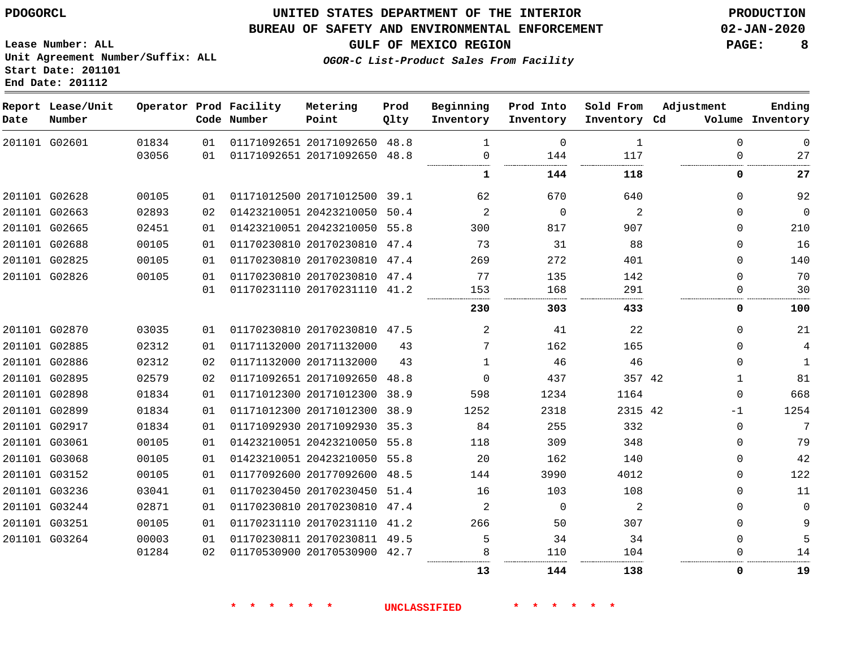#### **BUREAU OF SAFETY AND ENVIRONMENTAL ENFORCEMENT 02-JAN-2020**

**GULF OF MEXICO REGION PAGE: 8**

**Lease Number: ALL Unit Agreement Number/Suffix: ALL Start Date: 201101 End Date: 201112**

**OGOR-C List-Product Sales From Facility**

| Date | Report Lease/Unit<br>Number |       |    | Operator Prod Facility<br>Code Number | Metering<br>Point            | Prod<br>Qlty | Beginning<br>Inventory | Prod Into<br>Inventory | Sold From<br>Inventory Cd | Adjustment   | Ending<br>Volume Inventory |
|------|-----------------------------|-------|----|---------------------------------------|------------------------------|--------------|------------------------|------------------------|---------------------------|--------------|----------------------------|
|      | 201101 G02601               | 01834 | 01 |                                       | 01171092651 20171092650 48.8 |              |                        | $\Omega$               | 1                         | $\Omega$     | $\mathbf{0}$               |
|      |                             | 03056 | 01 |                                       | 01171092651 20171092650 48.8 |              | 0                      | 144                    | 117                       | $\mathbf 0$  | 27                         |
|      |                             |       |    |                                       |                              |              | 1                      | 144                    | 118                       | $\mathbf 0$  | 27                         |
|      | 201101 G02628               | 00105 | 01 |                                       | 01171012500 20171012500 39.1 |              | 62                     | 670                    | 640                       | $\mathbf 0$  | 92                         |
|      | 201101 G02663               | 02893 | 02 |                                       | 01423210051 20423210050 50.4 |              | $\overline{2}$         | $\Omega$               | 2                         | $\Omega$     | $\mathbf 0$                |
|      | 201101 G02665               | 02451 | 01 |                                       | 01423210051 20423210050 55.8 |              | 300                    | 817                    | 907                       | $\mathbf 0$  | 210                        |
|      | 201101 G02688               | 00105 | 01 |                                       | 01170230810 20170230810 47.4 |              | 73                     | 31                     | 88                        | $\Omega$     | 16                         |
|      | 201101 G02825               | 00105 | 01 |                                       | 01170230810 20170230810 47.4 |              | 269                    | 272                    | 401                       | $\mathbf 0$  | 140                        |
|      | 201101 G02826               | 00105 | 01 |                                       | 01170230810 20170230810 47.4 |              | 77                     | 135                    | 142                       | $\Omega$     | 70                         |
|      |                             |       | 01 |                                       | 01170231110 20170231110 41.2 |              | 153                    | 168                    | 291                       | $\mathbf 0$  | 30                         |
|      |                             |       |    |                                       |                              |              | 230                    | 303                    | 433                       | 0            | 100                        |
|      | 201101 G02870               | 03035 | 01 |                                       | 01170230810 20170230810 47.5 |              | 2                      | 41                     | 22                        | $\mathbf 0$  | 21                         |
|      | 201101 G02885               | 02312 | 01 |                                       | 01171132000 20171132000      | 43           | 7                      | 162                    | 165                       | $\Omega$     | 4                          |
|      | 201101 G02886               | 02312 | 02 |                                       | 01171132000 20171132000      | 43           | $\mathbf{1}$           | 46                     | 46                        | $\mathbf 0$  | $\mathbf{1}$               |
|      | 201101 G02895               | 02579 | 02 |                                       | 01171092651 20171092650      | 48.8         | $\Omega$               | 437                    | 357 42                    | $\mathbf{1}$ | 81                         |
|      | 201101 G02898               | 01834 | 01 |                                       | 01171012300 20171012300 38.9 |              | 598                    | 1234                   | 1164                      | $\Omega$     | 668                        |
|      | 201101 G02899               | 01834 | 01 |                                       | 01171012300 20171012300 38.9 |              | 1252                   | 2318                   | 2315 42                   | $-1$         | 1254                       |
|      | 201101 G02917               | 01834 | 01 |                                       | 01171092930 20171092930 35.3 |              | 84                     | 255                    | 332                       | $\mathbf 0$  | 7                          |
|      | 201101 G03061               | 00105 | 01 |                                       | 01423210051 20423210050 55.8 |              | 118                    | 309                    | 348                       | $\Omega$     | 79                         |
|      | 201101 G03068               | 00105 | 01 |                                       | 01423210051 20423210050 55.8 |              | 20                     | 162                    | 140                       | $\Omega$     | 42                         |
|      | 201101 G03152               | 00105 | 01 |                                       | 01177092600 20177092600 48.5 |              | 144                    | 3990                   | 4012                      | $\Omega$     | 122                        |
|      | 201101 G03236               | 03041 | 01 |                                       | 01170230450 20170230450 51.4 |              | 16                     | 103                    | 108                       | $\mathbf 0$  | 11                         |
|      | 201101 G03244               | 02871 | 01 |                                       | 01170230810 20170230810 47.4 |              | 2                      | $\Omega$               | 2                         | $\mathbf 0$  | $\Omega$                   |
|      | 201101 G03251               | 00105 | 01 |                                       | 01170231110 20170231110 41.2 |              | 266                    | 50                     | 307                       | $\Omega$     | 9                          |
|      | 201101 G03264               | 00003 | 01 |                                       | 01170230811 20170230811 49.5 |              | 5                      | 34                     | 34                        | $\mathbf 0$  | 5                          |
|      |                             | 01284 | 02 |                                       | 01170530900 20170530900 42.7 |              |                        | 110                    | 104                       | $\Omega$     | 14                         |
|      |                             |       |    |                                       |                              |              | 13                     | 144                    | 138                       | 0            | 19                         |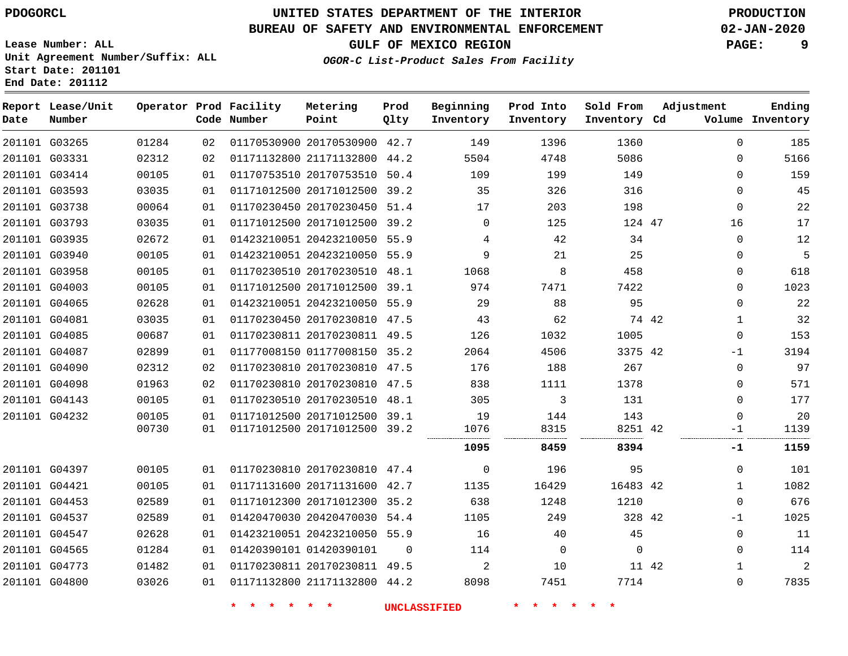# **UNITED STATES DEPARTMENT OF THE INTERIOR PDOGORCL PRODUCTION**

### **BUREAU OF SAFETY AND ENVIRONMENTAL ENFORCEMENT 02-JAN-2020**

**Lease Number: ALL Unit Agreement Number/Suffix: ALL Start Date: 201101**

**GULF OF MEXICO REGION PAGE: 9**

**OGOR-C List-Product Sales From Facility**

| Date          | Report Lease/Unit<br>Number |       |    | Operator Prod Facility<br>Code Number | Metering<br>Point            | Prod<br>Qlty | Beginning<br>Inventory | Prod Into<br>Inventory | Sold From<br>Inventory Cd | Adjustment   | Ending<br>Volume Inventory |
|---------------|-----------------------------|-------|----|---------------------------------------|------------------------------|--------------|------------------------|------------------------|---------------------------|--------------|----------------------------|
|               | 201101 G03265               | 01284 | 02 |                                       | 01170530900 20170530900 42.7 |              | 149                    | 1396                   | 1360                      | $\Omega$     | 185                        |
|               | 201101 G03331               | 02312 | 02 |                                       | 01171132800 21171132800 44.2 |              | 5504                   | 4748                   | 5086                      | $\mathbf 0$  | 5166                       |
|               | 201101 G03414               | 00105 | 01 |                                       | 01170753510 20170753510 50.4 |              | 109                    | 199                    | 149                       | $\Omega$     | 159                        |
|               | 201101 G03593               | 03035 | 01 |                                       | 01171012500 20171012500 39.2 |              | 35                     | 326                    | 316                       | $\mathbf 0$  | 45                         |
|               | 201101 G03738               | 00064 | 01 |                                       | 01170230450 20170230450 51.4 |              | 17                     | 203                    | 198                       | $\mathbf 0$  | 22                         |
|               | 201101 G03793               | 03035 | 01 |                                       | 01171012500 20171012500 39.2 |              | $\mathbf 0$            | 125                    | 124 47                    | 16           | 17                         |
|               | 201101 G03935               | 02672 | 01 |                                       | 01423210051 20423210050 55.9 |              | 4                      | 42                     | 34                        | $\Omega$     | 12                         |
|               | 201101 G03940               | 00105 | 01 |                                       | 01423210051 20423210050 55.9 |              | 9                      | 21                     | 25                        | $\mathbf 0$  | 5                          |
|               | 201101 G03958               | 00105 | 01 |                                       | 01170230510 20170230510 48.1 |              | 1068                   | 8                      | 458                       | $\mathbf 0$  | 618                        |
|               | 201101 G04003               | 00105 | 01 |                                       | 01171012500 20171012500 39.1 |              | 974                    | 7471                   | 7422                      | $\Omega$     | 1023                       |
|               | 201101 G04065               | 02628 | 01 |                                       | 01423210051 20423210050 55.9 |              | 29                     | 88                     | 95                        | $\Omega$     | 22                         |
|               | 201101 G04081               | 03035 | 01 |                                       | 01170230450 20170230810 47.5 |              | 43                     | 62                     |                           | 74 42<br>1   | 32                         |
|               | 201101 G04085               | 00687 | 01 |                                       | 01170230811 20170230811 49.5 |              | 126                    | 1032                   | 1005                      | $\mathbf 0$  | 153                        |
|               | 201101 G04087               | 02899 | 01 |                                       | 01177008150 01177008150 35.2 |              | 2064                   | 4506                   | 3375 42                   | -1           | 3194                       |
|               | 201101 G04090               | 02312 | 02 |                                       | 01170230810 20170230810 47.5 |              | 176                    | 188                    | 267                       | $\Omega$     | 97                         |
|               | 201101 G04098               | 01963 | 02 |                                       | 01170230810 20170230810 47.5 |              | 838                    | 1111                   | 1378                      | $\Omega$     | 571                        |
|               | 201101 G04143               | 00105 | 01 |                                       | 01170230510 20170230510 48.1 |              | 305                    | 3                      | 131                       | $\Omega$     | 177                        |
|               | 201101 G04232               | 00105 | 01 |                                       | 01171012500 20171012500 39.1 |              | 19                     | 144                    | 143                       | $\Omega$     | 20                         |
|               |                             | 00730 | 01 |                                       | 01171012500 20171012500 39.2 |              | 1076                   | 8315<br>               | 8251 42                   | -1           | 1139                       |
|               |                             |       |    |                                       |                              |              | 1095                   | 8459                   | 8394                      | -1           | 1159                       |
|               | 201101 G04397               | 00105 | 01 |                                       | 01170230810 20170230810 47.4 |              | $\mathbf 0$            | 196                    | 95                        | $\Omega$     | 101                        |
| 201101 G04421 |                             | 00105 | 01 |                                       | 01171131600 20171131600 42.7 |              | 1135                   | 16429                  | 16483 42                  | $\mathbf{1}$ | 1082                       |
|               | 201101 G04453               | 02589 | 01 |                                       | 01171012300 20171012300 35.2 |              | 638                    | 1248                   | 1210                      | $\mathbf 0$  | 676                        |
|               | 201101 G04537               | 02589 | 01 |                                       | 01420470030 20420470030 54.4 |              | 1105                   | 249                    | 328 42                    | $-1$         | 1025                       |
|               | 201101 G04547               | 02628 | 01 |                                       | 01423210051 20423210050 55.9 |              | 16                     | 40                     | 45                        | $\mathbf 0$  | 11                         |
|               | 201101 G04565               | 01284 | 01 |                                       | 01420390101 01420390101      | 0            | 114                    | $\mathbf 0$            | $\mathbf 0$               | $\Omega$     | 114                        |
|               | 201101 G04773               | 01482 | 01 |                                       | 01170230811 20170230811 49.5 |              | 2                      | 10                     | 11 42                     | $\mathbf{1}$ | 2                          |
|               | 201101 G04800               | 03026 | 01 |                                       | 01171132800 21171132800 44.2 |              | 8098                   | 7451                   | 7714                      | $\Omega$     | 7835                       |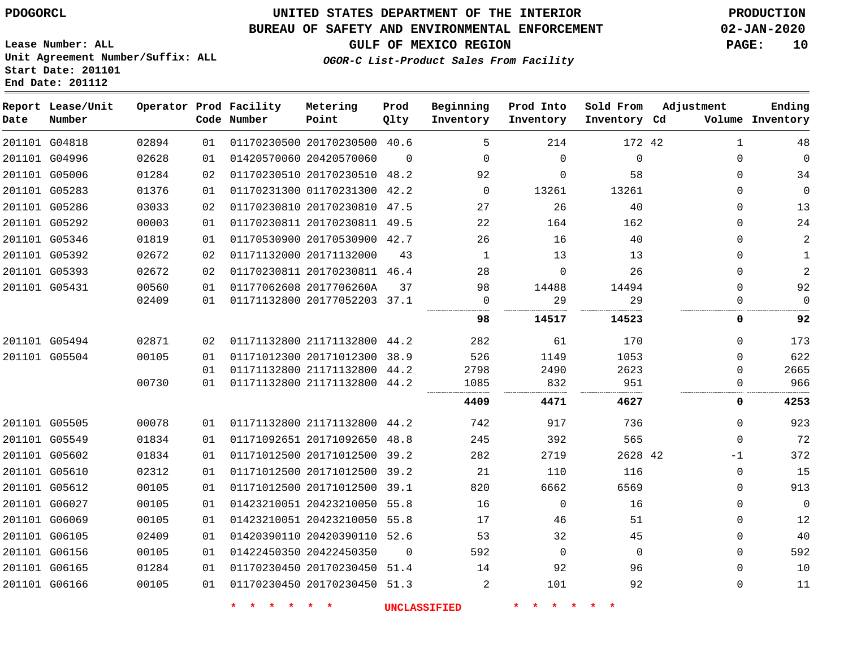### **BUREAU OF SAFETY AND ENVIRONMENTAL ENFORCEMENT 02-JAN-2020**

**GULF OF MEXICO REGION PAGE: 10**

**OGOR-C List-Product Sales From Facility**

**Lease Number: ALL Unit Agreement Number/Suffix: ALL Start Date: 201101 End Date: 201112**

| Date | Report Lease/Unit<br>Number |       |    | Operator Prod Facility<br>Code Number | Metering<br>Point            | Prod<br>Qlty   | Beginning<br>Inventory | Prod Into<br>Inventory | Sold From<br>Inventory Cd | Adjustment   | Ending<br>Volume Inventory |
|------|-----------------------------|-------|----|---------------------------------------|------------------------------|----------------|------------------------|------------------------|---------------------------|--------------|----------------------------|
|      | 201101 G04818               | 02894 | 01 |                                       | 01170230500 20170230500 40.6 |                | 5                      | 214                    | 172 42                    | $\mathbf{1}$ | 48                         |
|      | 201101 G04996               | 02628 | 01 |                                       | 01420570060 20420570060      | $\Omega$       | $\Omega$               | $\Omega$               | $\mathbf 0$               | 0            | $\mathbf 0$                |
|      | 201101 G05006               | 01284 | 02 |                                       | 01170230510 20170230510 48.2 |                | 92                     | $\Omega$               | 58                        | 0            | 34                         |
|      | 201101 G05283               | 01376 | 01 |                                       | 01170231300 01170231300 42.2 |                | $\Omega$               | 13261                  | 13261                     | 0            | $\mathbf 0$                |
|      | 201101 G05286               | 03033 | 02 |                                       | 01170230810 20170230810 47.5 |                | 27                     | 26                     | 40                        | 0            | 13                         |
|      | 201101 G05292               | 00003 | 01 |                                       | 01170230811 20170230811 49.5 |                | 22                     | 164                    | 162                       | 0            | 24                         |
|      | 201101 G05346               | 01819 | 01 |                                       | 01170530900 20170530900 42.7 |                | 26                     | 16                     | 40                        | $\Omega$     | 2                          |
|      | 201101 G05392               | 02672 | 02 |                                       | 01171132000 20171132000      | 43             | 1                      | 13                     | 13                        | 0            | $\mathbf{1}$               |
|      | 201101 G05393               | 02672 | 02 |                                       | 01170230811 20170230811 46.4 |                | 28                     | $\Omega$               | 26                        | 0            | $\overline{2}$             |
|      | 201101 G05431               | 00560 | 01 |                                       | 01177062608 2017706260A      | 37             | 98                     | 14488                  | 14494                     | 0            | 92                         |
|      |                             | 02409 | 01 |                                       | 01171132800 20177052203 37.1 |                | $\mathbf 0$            | 29                     | 29                        | $\Omega$     | $\Omega$                   |
|      |                             |       |    |                                       |                              |                | 98                     | 14517                  | 14523                     | 0            | 92                         |
|      | 201101 G05494               | 02871 | 02 |                                       | 01171132800 21171132800 44.2 |                | 282                    | 61                     | 170                       | 0            | 173                        |
|      | 201101 G05504               | 00105 | 01 |                                       | 01171012300 20171012300 38.9 |                | 526                    | 1149                   | 1053                      | $\Omega$     | 622                        |
|      |                             |       | 01 |                                       | 01171132800 21171132800 44.2 |                | 2798                   | 2490                   | 2623                      | $\Omega$     | 2665                       |
|      |                             | 00730 | 01 |                                       | 01171132800 21171132800 44.2 |                | 1085                   | 832                    | 951                       | $\Omega$     | 966                        |
|      |                             |       |    |                                       |                              |                | 4409                   | 4471                   | 4627                      | 0            | 4253                       |
|      | 201101 G05505               | 00078 | 01 |                                       | 01171132800 21171132800 44.2 |                | 742                    | 917                    | 736                       | 0            | 923                        |
|      | 201101 G05549               | 01834 | 01 |                                       | 01171092651 20171092650 48.8 |                | 245                    | 392                    | 565                       | $\Omega$     | 72                         |
|      | 201101 G05602               | 01834 | 01 |                                       | 01171012500 20171012500 39.2 |                | 282                    | 2719                   | 2628 42                   | $-1$         | 372                        |
|      | 201101 G05610               | 02312 | 01 |                                       | 01171012500 20171012500 39.2 |                | 21                     | 110                    | 116                       | $\mathbf 0$  | 15                         |
|      | 201101 G05612               | 00105 | 01 |                                       | 01171012500 20171012500 39.1 |                | 820                    | 6662                   | 6569                      | 0            | 913                        |
|      | 201101 G06027               | 00105 | 01 |                                       | 01423210051 20423210050 55.8 |                | 16                     | $\Omega$               | 16                        | 0            | $\mathbf 0$                |
|      | 201101 G06069               | 00105 | 01 |                                       | 01423210051 20423210050 55.8 |                | 17                     | 46                     | 51                        | 0            | 12                         |
|      | 201101 G06105               | 02409 | 01 |                                       | 01420390110 20420390110 52.6 |                | 53                     | 32                     | 45                        | 0            | 40                         |
|      | 201101 G06156               | 00105 | 01 |                                       | 01422450350 20422450350      | $\overline{0}$ | 592                    | $\mathbf 0$            | $\mathbf 0$               | 0            | 592                        |
|      | 201101 G06165               | 01284 | 01 |                                       | 01170230450 20170230450 51.4 |                | 14                     | 92                     | 96                        | 0            | 10                         |
|      | 201101 G06166               | 00105 | 01 |                                       | 01170230450 20170230450 51.3 |                | 2                      | 101                    | 92                        | $\Omega$     | 11                         |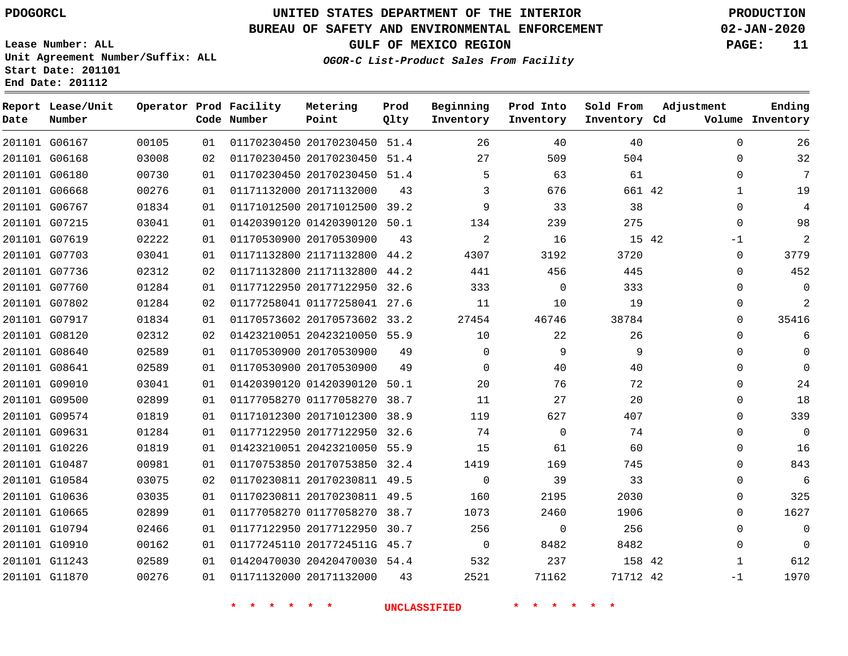### **BUREAU OF SAFETY AND ENVIRONMENTAL ENFORCEMENT 02-JAN-2020**

**Lease Number: ALL Unit Agreement Number/Suffix: ALL Start Date: 201101 End Date: 201112**

**GULF OF MEXICO REGION PAGE: 11**

**OGOR-C List-Product Sales From Facility**

| Date | Report Lease/Unit<br>Number |       |    | Operator Prod Facility<br>Code Number | Metering<br>Point            | Prod<br>Qlty | Beginning<br>Inventory | Prod Into<br>Inventory | Sold From<br>Inventory Cd | Adjustment |              | Ending<br>Volume Inventory |
|------|-----------------------------|-------|----|---------------------------------------|------------------------------|--------------|------------------------|------------------------|---------------------------|------------|--------------|----------------------------|
|      | 201101 G06167               | 00105 | 01 |                                       | 01170230450 20170230450 51.4 |              | 26                     | 40                     | 40                        |            | $\Omega$     | 26                         |
|      | 201101 G06168               | 03008 | 02 |                                       | 01170230450 20170230450 51.4 |              | 27                     | 509                    | 504                       |            | $\mathbf 0$  | 32                         |
|      | 201101 G06180               | 00730 | 01 |                                       | 01170230450 20170230450 51.4 |              | 5                      | 63                     | 61                        |            | $\Omega$     | 7                          |
|      | 201101 G06668               | 00276 | 01 |                                       | 01171132000 20171132000      | 43           | 3                      | 676                    | 661 42                    |            | $\mathbf 1$  | 19                         |
|      | 201101 G06767               | 01834 | 01 |                                       | 01171012500 20171012500 39.2 |              | 9                      | 33                     | 38                        |            | $\Omega$     | $\overline{4}$             |
|      | 201101 G07215               | 03041 | 01 |                                       | 01420390120 01420390120 50.1 |              | 134                    | 239                    | 275                       |            | $\mathbf 0$  | 98                         |
|      | 201101 G07619               | 02222 | 01 |                                       | 01170530900 20170530900      | 43           | 2                      | 16                     | 15 42                     |            | $-1$         | $\overline{2}$             |
|      | 201101 G07703               | 03041 | 01 |                                       | 01171132800 21171132800 44.2 |              | 4307                   | 3192                   | 3720                      |            | $\mathbf{0}$ | 3779                       |
|      | 201101 G07736               | 02312 | 02 |                                       | 01171132800 21171132800 44.2 |              | 441                    | 456                    | 445                       |            | $\Omega$     | 452                        |
|      | 201101 G07760               | 01284 | 01 |                                       | 01177122950 20177122950 32.6 |              | 333                    | $\overline{0}$         | 333                       |            | 0            | $\mathbf 0$                |
|      | 201101 G07802               | 01284 | 02 |                                       | 01177258041 01177258041 27.6 |              | 11                     | 10                     | 19                        |            | $\Omega$     | 2                          |
|      | 201101 G07917               | 01834 | 01 |                                       | 01170573602 20170573602 33.2 |              | 27454                  | 46746                  | 38784                     |            | $\Omega$     | 35416                      |
|      | 201101 G08120               | 02312 | 02 |                                       | 01423210051 20423210050 55.9 |              | 10                     | 22                     | 26                        |            | $\Omega$     | 6                          |
|      | 201101 G08640               | 02589 | 01 |                                       | 01170530900 20170530900      | 49           | $\Omega$               | 9                      | 9                         |            | $\Omega$     | $\Omega$                   |
|      | 201101 G08641               | 02589 | 01 |                                       | 01170530900 20170530900      | 49           | $\Omega$               | 40                     | 40                        |            | $\Omega$     | $\Omega$                   |
|      | 201101 G09010               | 03041 | 01 |                                       | 01420390120 01420390120 50.1 |              | 20                     | 76                     | 72                        |            | $\Omega$     | 24                         |
|      | 201101 G09500               | 02899 | 01 |                                       | 01177058270 01177058270 38.7 |              | 11                     | 27                     | 20                        |            | $\mathbf 0$  | 18                         |
|      | 201101 G09574               | 01819 | 01 |                                       | 01171012300 20171012300 38.9 |              | 119                    | 627                    | 407                       |            | $\Omega$     | 339                        |
|      | 201101 G09631               | 01284 | 01 |                                       | 01177122950 20177122950 32.6 |              | 74                     | $\overline{0}$         | 74                        |            | $\mathbf 0$  | $\mathbf 0$                |
|      | 201101 G10226               | 01819 | 01 |                                       | 01423210051 20423210050 55.9 |              | 15                     | 61                     | 60                        |            | $\Omega$     | 16                         |
|      | 201101 G10487               | 00981 | 01 |                                       | 01170753850 20170753850 32.4 |              | 1419                   | 169                    | 745                       |            | $\Omega$     | 843                        |
|      | 201101 G10584               | 03075 | 02 |                                       | 01170230811 20170230811 49.5 |              | $\Omega$               | 39                     | 33                        |            | $\Omega$     | 6                          |
|      | 201101 G10636               | 03035 | 01 |                                       | 01170230811 20170230811 49.5 |              | 160                    | 2195                   | 2030                      |            | $\mathbf 0$  | 325                        |
|      | 201101 G10665               | 02899 | 01 |                                       | 01177058270 01177058270 38.7 |              | 1073                   | 2460                   | 1906                      |            | $\Omega$     | 1627                       |
|      | 201101 G10794               | 02466 | 01 |                                       | 01177122950 20177122950      | 30.7         | 256                    | $\mathbf 0$            | 256                       |            | $\Omega$     | $\mathbf 0$                |
|      | 201101 G10910               | 00162 | 01 |                                       | 01177245110 2017724511G 45.7 |              | $\Omega$               | 8482                   | 8482                      |            | $\Omega$     | $\Omega$                   |
|      | 201101 G11243               | 02589 | 01 |                                       | 01420470030 20420470030 54.4 |              | 532                    | 237                    | 158 42                    |            | $\mathbf 1$  | 612                        |
|      | 201101 G11870               | 00276 | 01 |                                       | 01171132000 20171132000      | 43           | 2521                   | 71162                  | 71712 42                  |            | $-1$         | 1970                       |
|      |                             |       |    |                                       |                              |              |                        |                        |                           |            |              |                            |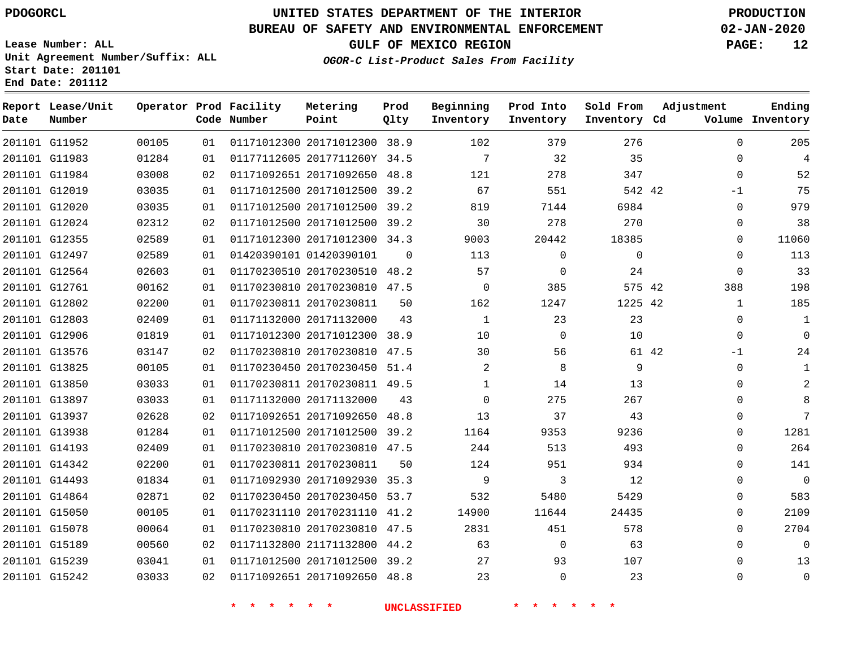G11952

**Date**

**Report Lease/Unit**

**Number**

# **UNITED STATES DEPARTMENT OF THE INTERIOR PDOGORCL PRODUCTION**

**Prod Qlty**

#### **BUREAU OF SAFETY AND ENVIRONMENTAL ENFORCEMENT 02-JAN-2020**

**Lease Number: ALL Unit Agreement Number/Suffix: ALL Start Date: 201101 End Date: 201112**

**Operator Prod Facility**

**Code Number**

**OGOR-C List-Product Sales From Facility**

**Sold From Inventory**

**Prod Into Inventory**

**Beginning Inventory**

**GULF OF MEXICO REGION PAGE: 12**

**Inventory Cd Volume**

**Adjustment**

  $\Omega$  $\Omega$ -1  $\Omega$  $\Omega$   $\Omega$  $\overline{0}$ -1  $\Omega$  $\overline{0}$  $\Omega$  $\Omega$  $\Omega$  $\Omega$  $\overline{0}$  $\Omega$  $\Omega$   $\Omega$   $\Omega$ 

**Ending**

|       | 35          | 32          | 7           |          | 01177112605 2017711260Y 34.5 | 01 | 01284 | 201101 G11983 |  |
|-------|-------------|-------------|-------------|----------|------------------------------|----|-------|---------------|--|
|       | 347         | 278         | 121         |          | 01171092651 20171092650 48.8 | 02 | 03008 | 201101 G11984 |  |
|       | 542 42      | 551         | 67          |          | 01171012500 20171012500 39.2 | 01 | 03035 | 201101 G12019 |  |
|       | 6984        | 7144        | 819         |          | 01171012500 20171012500 39.2 | 01 | 03035 | 201101 G12020 |  |
|       | 270         | 278         | 30          |          | 01171012500 20171012500 39.2 | 02 | 02312 | 201101 G12024 |  |
|       | 18385       | 20442       | 9003        |          | 01171012300 20171012300 34.3 | 01 | 02589 | 201101 G12355 |  |
|       | $\mathbf 0$ | $\mathbf 0$ | 113         | $\Omega$ | 01420390101 01420390101      | 01 | 02589 | 201101 G12497 |  |
|       | 24          | $\Omega$    | 57          |          | 01170230510 20170230510 48.2 | 01 | 02603 | 201101 G12564 |  |
|       | 575 42      | 385         | $\mathbf 0$ |          | 01170230810 20170230810 47.5 | 01 | 00162 | 201101 G12761 |  |
|       | 1225 42     | 1247        | 162         | 50       | 01170230811 20170230811      | 01 | 02200 | 201101 G12802 |  |
|       | 23          | 23          | 1           | 43       | 01171132000 20171132000      | 01 | 02409 | 201101 G12803 |  |
|       | 10          | $\mathbf 0$ | 10          |          | 01171012300 20171012300 38.9 | 01 | 01819 | 201101 G12906 |  |
| 61 42 |             | 56          | 30          |          | 01170230810 20170230810 47.5 | 02 | 03147 | 201101 G13576 |  |
|       | 9           | 8           | 2           |          | 01170230450 20170230450 51.4 | 01 | 00105 | 201101 G13825 |  |
|       | 13          | 14          | 1           |          | 01170230811 20170230811 49.5 | 01 | 03033 | 201101 G13850 |  |
|       | 267         | 275         | $\Omega$    | 43       | 01171132000 20171132000      | 01 | 03033 | 201101 G13897 |  |
|       | 43          | 37          | 13          |          | 01171092651 20171092650 48.8 | 02 | 02628 | 201101 G13937 |  |
|       | 9236        | 9353        | 1164        |          | 01171012500 20171012500 39.2 | 01 | 01284 | 201101 G13938 |  |
|       | 493         | 513         | 244         |          | 01170230810 20170230810 47.5 | 01 | 02409 | 201101 G14193 |  |
|       | 934         | 951         | 124         | 50       | 01170230811 20170230811      | 01 | 02200 | 201101 G14342 |  |
|       | 12          | 3           | 9           |          | 01171092930 20171092930 35.3 | 01 | 01834 | 201101 G14493 |  |
|       | 5429        | 5480        | 532         |          | 01170230450 20170230450 53.7 | 02 | 02871 | 201101 G14864 |  |
|       | 24435       | 11644       | 14900       |          | 01170231110 20170231110 41.2 | 01 | 00105 | 201101 G15050 |  |
|       | 578         | 451         | 2831        |          | 01170230810 20170230810 47.5 | 01 | 00064 | 201101 G15078 |  |
|       | 63          | $\mathbf 0$ | 63          |          | 01171132800 21171132800 44.2 | 02 | 00560 | 201101 G15189 |  |
|       | 107         | 93          | 27          |          | 01171012500 20171012500 39.2 | 01 | 03041 | 201101 G15239 |  |
|       | 23          | $\Omega$    | 23          |          | 01171092651 20171092650 48.8 | 02 | 03033 | 201101 G15242 |  |

20171012300 38.9

**Metering Point**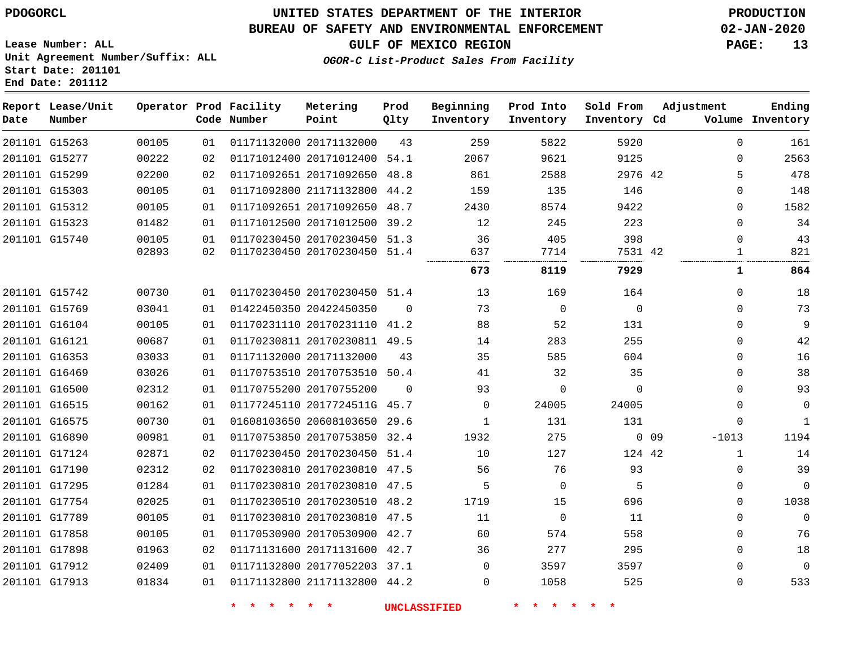**Date**

**Report Lease/Unit**

**Number**

### **UNITED STATES DEPARTMENT OF THE INTERIOR PDOGORCL PRODUCTION**

#### **BUREAU OF SAFETY AND ENVIRONMENTAL ENFORCEMENT 02-JAN-2020**

**Lease Number: ALL Unit Agreement Number/Suffix: ALL Start Date: 201101 End Date: 201112**

**Operator Prod Facility**

**Code Number**

# **GULF OF MEXICO REGION PAGE: 13**

**Prod Qlty**

**Metering Point**

**Inventory Cd Volume**

**Adjustment**

**Ending**

**OGOR-C List-Product Sales From Facility**

**Beginning Inventory** **Prod Into Inventory** **Sold From Inventory**

| 201101 G15263 | 00105 | 01 | 01171132000 20171132000      | 43       | 259      | 5822     | 5920     |                 | 0           | 161          |
|---------------|-------|----|------------------------------|----------|----------|----------|----------|-----------------|-------------|--------------|
| 201101 G15277 | 00222 | 02 | 01171012400 20171012400 54.1 |          | 2067     | 9621     | 9125     |                 | $\Omega$    | 2563         |
| 201101 G15299 | 02200 | 02 | 01171092651 20171092650 48.8 |          | 861      | 2588     | 2976 42  |                 | 5           | 478          |
| 201101 G15303 | 00105 | 01 | 01171092800 21171132800 44.2 |          | 159      | 135      | 146      |                 | $\Omega$    | 148          |
| 201101 G15312 | 00105 | 01 | 01171092651 20171092650 48.7 |          | 2430     | 8574     | 9422     |                 | $\Omega$    | 1582         |
| 201101 G15323 | 01482 | 01 | 01171012500 20171012500 39.2 |          | 12       | 245      | 223      |                 | $\Omega$    | 34           |
| 201101 G15740 | 00105 | 01 | 01170230450 20170230450 51.3 |          | 36       | 405      | 398      |                 | $\Omega$    | 43           |
|               | 02893 | 02 | 01170230450 20170230450 51.4 |          | 637      | 7714     | 7531 42  |                 | 1           | 821          |
|               |       |    |                              |          | 673      | 8119     | 7929     |                 | 1           | 864          |
| 201101 G15742 | 00730 | 01 | 01170230450 20170230450 51.4 |          | 13       | 169      | 164      |                 | $\mathbf 0$ | 18           |
| 201101 G15769 | 03041 | 01 | 01422450350 20422450350      | $\Omega$ | 73       | $\Omega$ | $\Omega$ |                 | $\Omega$    | 73           |
| 201101 G16104 | 00105 | 01 | 01170231110 20170231110 41.2 |          | 88       | 52       | 131      |                 | $\Omega$    | 9            |
| 201101 G16121 | 00687 | 01 | 01170230811 20170230811 49.5 |          | 14       | 283      | 255      |                 | $\mathbf 0$ | 42           |
| 201101 G16353 | 03033 | 01 | 01171132000 20171132000      | 43       | 35       | 585      | 604      |                 | $\Omega$    | 16           |
| 201101 G16469 | 03026 | 01 | 01170753510 20170753510 50.4 |          | 41       | 32       | 35       |                 | $\Omega$    | 38           |
| 201101 G16500 | 02312 | 01 | 01170755200 20170755200      | $\Omega$ | 93       | 0        | $\Omega$ |                 | $\Omega$    | 93           |
| 201101 G16515 | 00162 | 01 | 01177245110 2017724511G 45.7 |          | $\Omega$ | 24005    | 24005    |                 | $\Omega$    | $\mathbf 0$  |
| 201101 G16575 | 00730 | 01 | 01608103650 20608103650 29.6 |          | 1        | 131      | 131      |                 | 0           | $\mathbf{1}$ |
| 201101 G16890 | 00981 | 01 | 01170753850 20170753850 32.4 |          | 1932     | 275      |          | 0 <sub>09</sub> | $-1013$     | 1194         |
| 201101 G17124 | 02871 | 02 | 01170230450 20170230450 51.4 |          | 10       | 127      | 124 42   |                 | 1           | 14           |
| 201101 G17190 | 02312 | 02 | 01170230810 20170230810 47.5 |          | 56       | 76       | 93       |                 | $\Omega$    | 39           |
| 201101 G17295 | 01284 | 01 | 01170230810 20170230810 47.5 |          | 5        | 0        | 5        |                 | 0           | $\mathbf 0$  |
| 201101 G17754 | 02025 | 01 | 01170230510 20170230510 48.2 |          | 1719     | 15       | 696      |                 | $\Omega$    | 1038         |
| 201101 G17789 | 00105 | 01 | 01170230810 20170230810 47.5 |          | 11       | $\Omega$ | 11       |                 | $\Omega$    | $\Omega$     |
| 201101 G17858 | 00105 | 01 | 01170530900 20170530900 42.7 |          | 60       | 574      | 558      |                 | 0           | 76           |
| 201101 G17898 | 01963 | 02 | 01171131600 20171131600 42.7 |          | 36       | 277      | 295      |                 | $\Omega$    | 18           |
| 201101 G17912 | 02409 | 01 | 01171132800 20177052203 37.1 |          | $\Omega$ | 3597     | 3597     |                 | 0           | $\mathbf 0$  |
| 201101 G17913 | 01834 | 01 | 01171132800 21171132800 44.2 |          | $\Omega$ | 1058     | 525      |                 | $\Omega$    | 533          |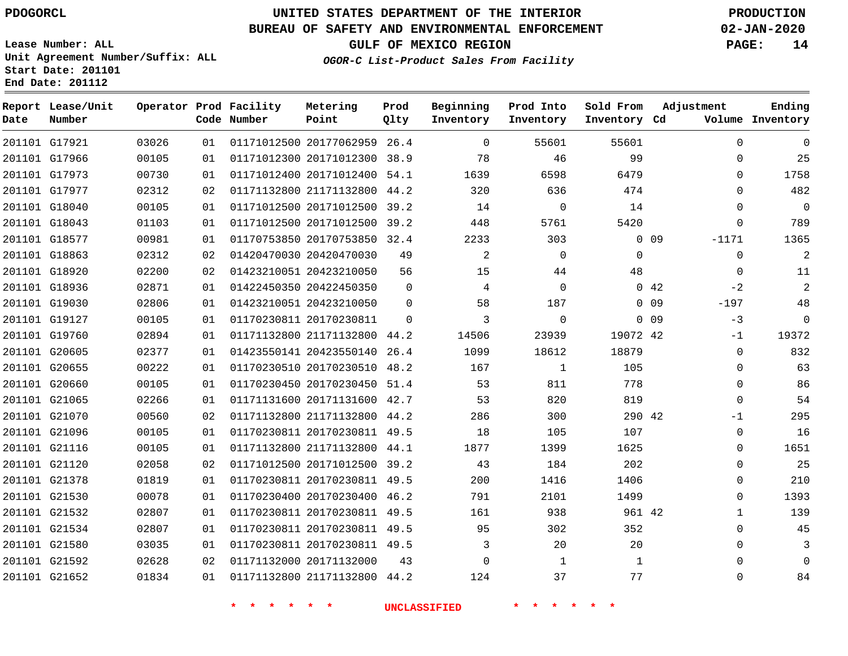G17921 G17966 G17973 G17977 G18040 G18043 G18577 G18863 G18920 G18936 G19030 G19127 G19760 G20605 G20655 G20660 G21065 G21070 G21096 G21116 G21120 G21378 G21530 G21532 G21534 G21580 G21592 G21652

**Date**

**Report Lease/Unit**

**Number**

### **UNITED STATES DEPARTMENT OF THE INTERIOR PDOGORCL PRODUCTION**

**Prod Qlty**

#### **BUREAU OF SAFETY AND ENVIRONMENTAL ENFORCEMENT 02-JAN-2020**

**Lease Number: ALL Unit Agreement Number/Suffix: ALL Start Date: 201101 End Date: 201112**

**Operator Prod Facility**

**Code Number**

 20177062959 26.4 20171012300 38.9 20171012400 54.1 21171132800 44.2 20171012500 39.2 20171012500 39.2

**Metering Point**

    **OGOR-C List-Product Sales From Facility**

**Prod Into Inventory**

**Beginning Inventory**

**GULF OF MEXICO REGION PAGE: 14**

**Inventory Cd Volume**

**Adjustment**

  $\Omega$  $\Omega$  $\Omega$  $\Omega$  $\Omega$ -1171  $\Omega$   $-2$ -197 -3 -1  $\Omega$  $\Omega$  $\Omega$  $-1$  $\Omega$  $\Omega$   $\Omega$  $\Omega$   $\Omega$   $\Omega$ 

**Ending**

| 00981 | 01 | 01170753850 20170753850 | 32.4     | 2233  | 303         | $\Omega$ | 09  |
|-------|----|-------------------------|----------|-------|-------------|----------|-----|
| 02312 | 02 | 01420470030 20420470030 | 49       | 2     | $\mathbf 0$ | $\Omega$ |     |
| 02200 | 02 | 01423210051 20423210050 | 56       | 15    | 44          | 48       |     |
| 02871 | 01 | 01422450350 20422450350 | $\Omega$ | 4     | $\Omega$    | $\Omega$ | 42  |
| 02806 | 01 | 01423210051 20423210050 | $\Omega$ | 58    | 187         | 0        | 09  |
| 00105 | 01 | 01170230811 20170230811 | $\Omega$ | 3     | $\mathbf 0$ | $\Omega$ | 09  |
| 02894 | 01 | 01171132800 21171132800 | 44.2     | 14506 | 23939       | 19072    | -42 |
| 02377 | 01 | 01423550141 20423550140 | 26.4     | 1099  | 18612       | 18879    |     |
| 00222 | 01 | 01170230510 20170230510 | 48.2     | 167   | 1           | 105      |     |
| 00105 | 01 | 01170230450 20170230450 | 51.4     | 53    | 811         | 778      |     |
| 02266 | 01 | 01171131600 20171131600 | 42.7     | 53    | 820         | 819      |     |
| 00560 | 02 | 01171132800 21171132800 | 44.2     | 286   | 300         | 290 42   |     |
| 00105 | 01 | 01170230811 20170230811 | 49.5     | 18    | 105         | 107      |     |
| 00105 | 01 | 01171132800 21171132800 | 44.1     | 1877  | 1399        | 1625     |     |
| 02058 | 02 | 01171012500 20171012500 | 39.2     | 43    | 184         | 202      |     |
| 01819 | 01 | 01170230811 20170230811 | 49.5     | 200   | 1416        | 1406     |     |
| 00078 | 01 | 01170230400 20170230400 | 46.2     | 791   | 2101        | 1499     |     |
| 02807 | 01 | 01170230811 20170230811 | 49.5     | 161   | 938         | 961 42   |     |
| 02807 | 01 | 01170230811 20170230811 | 49.5     | 95    | 302         | 352      |     |
| 03035 | 01 | 01170230811 20170230811 | 49.5     | 3     | 20          | 20       |     |

20171132000

21171132800 44.2

**\* \* \* \* \* \* UNCLASSIFIED \* \* \* \* \* \***

 

 

**Sold From Inventory**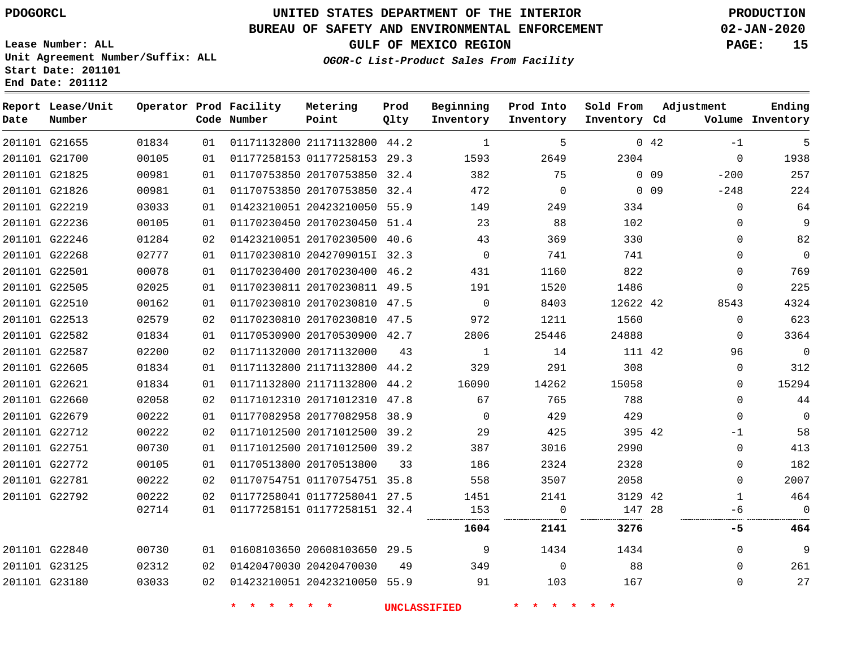### **BUREAU OF SAFETY AND ENVIRONMENTAL ENFORCEMENT 02-JAN-2020**

**Lease Number: ALL Unit Agreement Number/Suffix: ALL Start Date: 201101 End Date: 201112**

**OGOR-C List-Product Sales From Facility**

**GULF OF MEXICO REGION PAGE: 15**

**Inventory Cd Volume**

**Adjustment**

-1 -200

 

**Ending**

42

**Sold From Inventory**

 

**Prod Into Inventory**

0 0 9

| Date   | Report Lease/Unit<br>Number |       |    | Operator Prod Facility<br>Code Number | Metering<br>Point       | Prod<br>Qlty | Beginning<br>Inventory |
|--------|-----------------------------|-------|----|---------------------------------------|-------------------------|--------------|------------------------|
| 201101 | G21655                      | 01834 | 01 |                                       | 01171132800 21171132800 | 44.2         | 1                      |
| 201101 | G21700                      | 00105 | 01 |                                       | 01177258153 01177258153 | 29.3         | 1593                   |
| 201101 | G21825                      | 00981 | 01 |                                       | 01170753850 20170753850 | 32.4         | 382                    |
| 201101 | G21826                      | 00981 | 01 |                                       | 01170753850 20170753850 | 32.4         | 472                    |
| 201101 | G22219                      | 03033 | 01 |                                       | 01423210051 20423210050 | 55.9         | 149                    |
| 201101 | G22236                      | 00105 | 01 |                                       | 01170230450 20170230450 | 51.4         | 23                     |
| 201101 | G22246                      | 01284 | 02 |                                       | 01423210051 20170230500 | 40.6         | 43                     |
| 201101 | G22268                      | 02777 | 01 |                                       | 01170230810 2042709015I | 32.3         | $\Omega$               |
|        |                             |       |    |                                       |                         |              |                        |

| 201101 G21826 | 00981 | 01 | 01170753850 20170753850 32.4 |      | 472         | $\Omega$    |          | 0 <sub>09</sub> | $-248$   | 224      |
|---------------|-------|----|------------------------------|------|-------------|-------------|----------|-----------------|----------|----------|
| 201101 G22219 | 03033 | 01 | 01423210051 20423210050 55.9 |      | 149         | 249         | 334      |                 | $\Omega$ | 64       |
| 201101 G22236 | 00105 | 01 | 01170230450 20170230450 51.4 |      | 23          | 88          | 102      |                 | $\Omega$ | 9        |
| 201101 G22246 | 01284 | 02 | 01423210051 20170230500 40.6 |      | 43          | 369         | 330      |                 | $\Omega$ | 82       |
| 201101 G22268 | 02777 | 01 | 01170230810 2042709015I 32.3 |      | 0           | 741         | 741      |                 | $\Omega$ | $\Omega$ |
| 201101 G22501 | 00078 | 01 | 01170230400 20170230400 46.2 |      | 431         | 1160        | 822      |                 | $\Omega$ | 769      |
| 201101 G22505 | 02025 | 01 | 01170230811 20170230811 49.5 |      | 191         | 1520        | 1486     |                 | $\Omega$ | 225      |
| 201101 G22510 | 00162 | 01 | 01170230810 20170230810      | 47.5 | $\mathbf 0$ | 8403        | 12622 42 |                 | 8543     | 4324     |
| 201101 G22513 | 02579 | 02 | 01170230810 20170230810      | 47.5 | 972         | 1211        | 1560     |                 | $\Omega$ | 623      |
| 201101 G22582 | 01834 | 01 | 01170530900 20170530900      | 42.7 | 2806        | 25446       | 24888    |                 | $\Omega$ | 3364     |
| 201101 G22587 | 02200 | 02 | 01171132000 20171132000      | 43   | 1           | 14          | 111 42   |                 | 96       | $\Omega$ |
| 201101 G22605 | 01834 | 01 | 01171132800 21171132800 44.2 |      | 329         | 291         | 308      |                 | $\Omega$ | 312      |
| 201101 G22621 | 01834 | 01 | 01171132800 21171132800      | 44.2 | 16090       | 14262       | 15058    |                 | $\Omega$ | 15294    |
| 201101 G22660 | 02058 | 02 | 01171012310 20171012310      | 47.8 | 67          | 765         | 788      |                 | $\Omega$ | 44       |
| 201101 G22679 | 00222 | 01 | 01177082958 20177082958      | 38.9 | 0           | 429         | 429      |                 | $\Omega$ | $\Omega$ |
| 201101 G22712 | 00222 | 02 | 01171012500 20171012500 39.2 |      | 29          | 425         | 395 42   |                 | $-1$     | 58       |
| 201101 G22751 | 00730 | 01 | 01171012500 20171012500      | 39.2 | 387         | 3016        | 2990     |                 | $\Omega$ | 413      |
| 201101 G22772 | 00105 | 01 | 01170513800 20170513800      | 33   | 186         | 2324        | 2328     |                 | $\Omega$ | 182      |
| 201101 G22781 | 00222 | 02 | 01170754751 01170754751 35.8 |      | 558         | 3507        | 2058     |                 | $\Omega$ | 2007     |
| 201101 G22792 | 00222 | 02 | 01177258041 01177258041 27.5 |      | 1451        | 2141        | 3129 42  |                 |          | 464      |
|               | 02714 | 01 | 01177258151 01177258151 32.4 |      | 153         | $\Omega$    | 147 28   |                 | -6       | $\Omega$ |
|               |       |    |                              |      | 1604        | 2141        | 3276     |                 | -5       | 464      |
| 201101 G22840 | 00730 | 01 | 01608103650 20608103650      | 29.5 | 9           | 1434        | 1434     |                 | $\Omega$ | 9        |
| 201101 G23125 | 02312 | 02 | 01420470030 20420470030      | 49   | 349         | $\mathbf 0$ | 88       |                 | $\Omega$ | 261      |
| 201101 G23180 | 03033 | 02 | 01423210051 20423210050 55.9 |      | 91          | 103         | 167      |                 | 0        | 27       |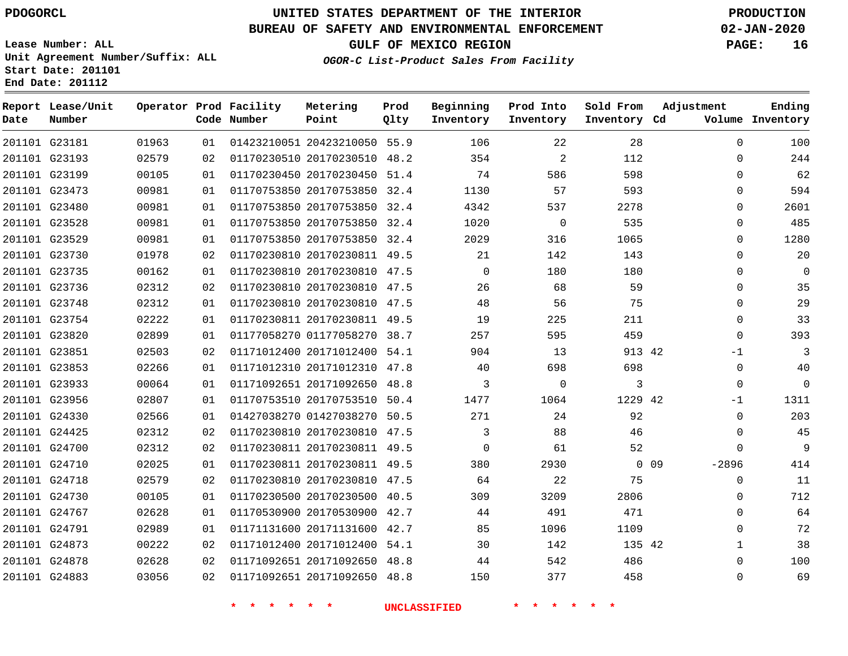**Prod Qlty**

#### **BUREAU OF SAFETY AND ENVIRONMENTAL ENFORCEMENT 02-JAN-2020**

**Lease Number: ALL Unit Agreement Number/Suffix: ALL Start Date: 201101**

**Operator Prod Facility**

**Code Number**

20423210050 55.9

**Metering Point**

   

**End Date: 201112**

**Report Lease/Unit**

**Number**

G23181

**Date**

> G24878 G24883

**GULF OF MEXICO REGION PAGE: 16**

**Inventory Cd Volume**

**Adjustment**

  $\Omega$ 

**Ending**

**OGOR-C List-Product Sales From Facility**

**Beginning Inventory**

**Sold From Inventory**

**Prod Into Inventory**

|               | 201101 G23193 | 02579 | 02 | 01170230510 20170230510      | 48.2 | 354      | 2              | 112     |       | 0        |  |
|---------------|---------------|-------|----|------------------------------|------|----------|----------------|---------|-------|----------|--|
|               | 201101 G23199 | 00105 | 01 | 01170230450 20170230450 51.4 |      | 74       | 586            | 598     |       | 0        |  |
|               | 201101 G23473 | 00981 | 01 | 01170753850 20170753850 32.4 |      | 1130     | 57             | 593     |       | 0        |  |
|               | 201101 G23480 | 00981 | 01 | 01170753850 20170753850 32.4 |      | 4342     | 537            | 2278    |       | 0        |  |
|               | 201101 G23528 | 00981 | 01 | 01170753850 20170753850 32.4 |      | 1020     | $\overline{0}$ | 535     |       | 0        |  |
|               | 201101 G23529 | 00981 | 01 | 01170753850 20170753850 32.4 |      | 2029     | 316            | 1065    |       | 0        |  |
|               | 201101 G23730 | 01978 | 02 | 01170230810 20170230811 49.5 |      | 21       | 142            | 143     |       | 0        |  |
|               | 201101 G23735 | 00162 | 01 | 01170230810 20170230810 47.5 |      | $\Omega$ | 180            | 180     |       | 0        |  |
|               | 201101 G23736 | 02312 | 02 | 01170230810 20170230810 47.5 |      | 26       | 68             | 59      |       | 0        |  |
|               | 201101 G23748 | 02312 | 01 | 01170230810 20170230810 47.5 |      | 48       | 56             | 75      |       | 0        |  |
|               | 201101 G23754 | 02222 | 01 | 01170230811 20170230811 49.5 |      | 19       | 225            | 211     |       | 0        |  |
|               | 201101 G23820 | 02899 | 01 | 01177058270 01177058270 38.7 |      | 257      | 595            | 459     |       | 0        |  |
|               | 201101 G23851 | 02503 | 02 | 01171012400 20171012400 54.1 |      | 904      | 13             | 913 42  |       | $-1$     |  |
|               | 201101 G23853 | 02266 | 01 | 01171012310 20171012310 47.8 |      | 40       | 698            | 698     |       | 0        |  |
|               | 201101 G23933 | 00064 | 01 | 01171092651 20171092650 48.8 |      | 3        | $\Omega$       | 3       |       | $\Omega$ |  |
|               | 201101 G23956 | 02807 | 01 | 01170753510 20170753510 50.4 |      | 1477     | 1064           | 1229 42 |       | $-1$     |  |
|               | 201101 G24330 | 02566 | 01 | 01427038270 01427038270 50.5 |      | 271      | 24             | 92      |       | 0        |  |
|               | 201101 G24425 | 02312 | 02 | 01170230810 20170230810 47.5 |      | 3        | 88             | 46      |       | 0        |  |
|               | 201101 G24700 | 02312 | 02 | 01170230811 20170230811 49.5 |      | 0        | 61             | 52      |       | 0        |  |
|               | 201101 G24710 | 02025 | 01 | 01170230811 20170230811 49.5 |      | 380      | 2930           |         | 0 0 9 | $-2896$  |  |
|               | 201101 G24718 | 02579 | 02 | 01170230810 20170230810 47.5 |      | 64       | 22             | 75      |       | 0        |  |
|               | 201101 G24730 | 00105 | 01 | 01170230500 20170230500 40.5 |      | 309      | 3209           | 2806    |       | 0        |  |
|               | 201101 G24767 | 02628 | 01 | 01170530900 20170530900 42.7 |      | 44       | 491            | 471     |       | 0        |  |
|               | 201101 G24791 | 02989 | 01 | 01171131600 20171131600 42.7 |      | 85       | 1096           | 1109    |       | 0        |  |
| 201101 G24873 |               | 00222 | 02 | 01171012400 20171012400 54.1 |      | 30       | 142            | 135 42  |       |          |  |

**\* \* \* \* \* \* UNCLASSIFIED \* \* \* \* \* \***

 20171092650 48.8 20171092650 48.8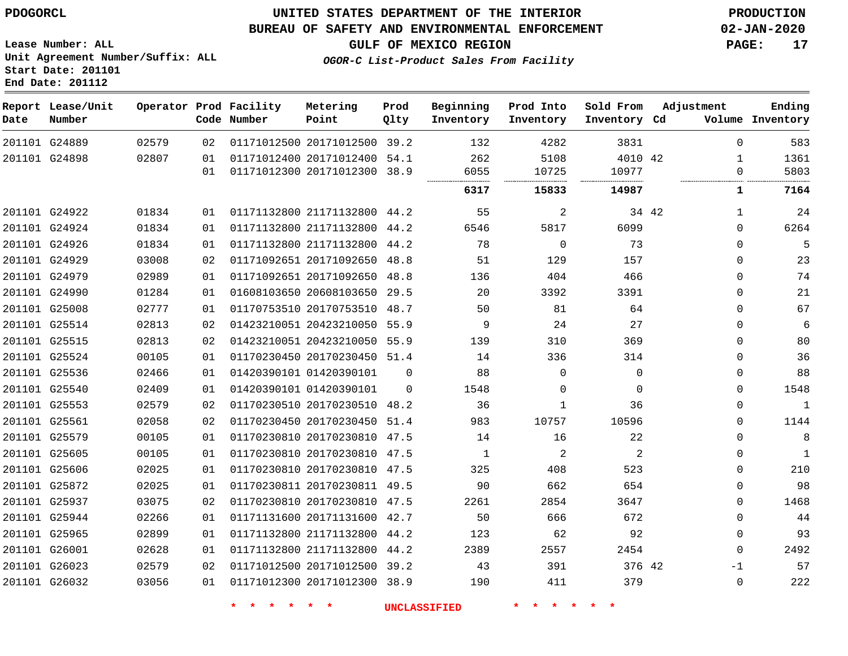### **UNITED STATES DEPARTMENT OF THE INTERIOR PDOGORCL PRODUCTION**

#### **BUREAU OF SAFETY AND ENVIRONMENTAL ENFORCEMENT 02-JAN-2020**

**Lease Number: ALL Unit Agreement Number/Suffix: ALL Start Date: 201101**

**GULF OF MEXICO REGION PAGE: 17**

**OGOR-C List-Product Sales From Facility**

| Date | Report Lease/Unit<br>Number |       |     | Operator Prod Facility<br>Code Number | Metering<br>Point            | Prod<br>Qlty | Beginning<br>Inventory | Prod Into<br>Inventory | Sold From<br>Inventory Cd | Adjustment |              | Ending<br>Volume Inventory |
|------|-----------------------------|-------|-----|---------------------------------------|------------------------------|--------------|------------------------|------------------------|---------------------------|------------|--------------|----------------------------|
|      | 201101 G24889               | 02579 | 02  |                                       | 01171012500 20171012500 39.2 |              | 132                    | 4282                   | 3831                      |            | $\Omega$     | 583                        |
|      | 201101 G24898               | 02807 | 01  |                                       | 01171012400 20171012400 54.1 |              | 262                    | 5108                   | 4010 42                   |            | 1            | 1361                       |
|      |                             |       | 01  |                                       | 01171012300 20171012300 38.9 |              | 6055                   | 10725                  | 10977                     |            | 0            | 5803                       |
|      |                             |       |     |                                       |                              |              | 6317                   | 15833                  | 14987                     |            | $\mathbf{1}$ | 7164                       |
|      | 201101 G24922               | 01834 | 01  |                                       | 01171132800 21171132800 44.2 |              | 55                     | 2                      |                           | 34 42      | 1            | 24                         |
|      | 201101 G24924               | 01834 | 01  |                                       | 01171132800 21171132800 44.2 |              | 6546                   | 5817                   | 6099                      |            | $\Omega$     | 6264                       |
|      | 201101 G24926               | 01834 | 01  |                                       | 01171132800 21171132800 44.2 |              | 78                     | $\mathbf 0$            | 73                        |            | $\Omega$     | 5                          |
|      | 201101 G24929               | 03008 | 02  |                                       | 01171092651 20171092650 48.8 |              | 51                     | 129                    | 157                       |            | $\Omega$     | 23                         |
|      | 201101 G24979               | 02989 | 01  |                                       | 01171092651 20171092650 48.8 |              | 136                    | 404                    | 466                       |            | $\Omega$     | 74                         |
|      | 201101 G24990               | 01284 | 01  |                                       | 01608103650 20608103650 29.5 |              | 20                     | 3392                   | 3391                      |            | $\Omega$     | 21                         |
|      | 201101 G25008               | 02777 | 01  |                                       | 01170753510 20170753510 48.7 |              | 50                     | 81                     | 64                        |            | $\Omega$     | 67                         |
|      | 201101 G25514               | 02813 | 02  |                                       | 01423210051 20423210050 55.9 |              | 9                      | 24                     | 27                        |            | $\Omega$     | 6                          |
|      | 201101 G25515               | 02813 | 02  |                                       | 01423210051 20423210050 55.9 |              | 139                    | 310                    | 369                       |            | $\Omega$     | 80                         |
|      | 201101 G25524               | 00105 | 01  |                                       | 01170230450 20170230450 51.4 |              | 14                     | 336                    | 314                       |            | $\mathbf{0}$ | 36                         |
|      | 201101 G25536               | 02466 | 01  |                                       | 01420390101 01420390101      | $\Omega$     | 88                     | $\Omega$               | $\Omega$                  |            | 0            | 88                         |
|      | 201101 G25540               | 02409 | 01  |                                       | 01420390101 01420390101      | $\Omega$     | 1548                   | $\Omega$               | $\Omega$                  |            | $\Omega$     | 1548                       |
|      | 201101 G25553               | 02579 | 02  |                                       | 01170230510 20170230510 48.2 |              | 36                     | $\mathbf{1}$           | 36                        |            | $\Omega$     | $\mathbf{1}$               |
|      | 201101 G25561               | 02058 | 02  |                                       | 01170230450 20170230450 51.4 |              | 983                    | 10757                  | 10596                     |            | $\Omega$     | 1144                       |
|      | 201101 G25579               | 00105 | 01  |                                       | 01170230810 20170230810 47.5 |              | 14                     | 16                     | 22                        |            | $\Omega$     | 8                          |
|      | 201101 G25605               | 00105 | 01  |                                       | 01170230810 20170230810 47.5 |              | 1                      | 2                      | 2                         |            | $\Omega$     | $\mathbf{1}$               |
|      | 201101 G25606               | 02025 | 01  |                                       | 01170230810 20170230810 47.5 |              | 325                    | 408                    | 523                       |            | $\Omega$     | 210                        |
|      | 201101 G25872               | 02025 | 01  |                                       | 01170230811 20170230811 49.5 |              | 90                     | 662                    | 654                       |            | $\Omega$     | 98                         |
|      | 201101 G25937               | 03075 | 02  |                                       | 01170230810 20170230810 47.5 |              | 2261                   | 2854                   | 3647                      |            | $\Omega$     | 1468                       |
|      | 201101 G25944               | 02266 | 01  |                                       | 01171131600 20171131600 42.7 |              | 50                     | 666                    | 672                       |            | $\Omega$     | 44                         |
|      | 201101 G25965               | 02899 | 01  |                                       | 01171132800 21171132800 44.2 |              | 123                    | 62                     | 92                        |            | $\Omega$     | 93                         |
|      | 201101 G26001               | 02628 | 01  |                                       | 01171132800 21171132800 44.2 |              | 2389                   | 2557                   | 2454                      |            | $\Omega$     | 2492                       |
|      | 201101 G26023               | 02579 | 02  |                                       | 01171012500 20171012500 39.2 |              | 43                     | 391                    | 376 42                    |            | $-1$         | 57                         |
|      | 201101 G26032               | 03056 | 0 1 |                                       | 01171012300 20171012300 38.9 |              | 190                    | 411                    | 379                       |            | $\Omega$     | 222                        |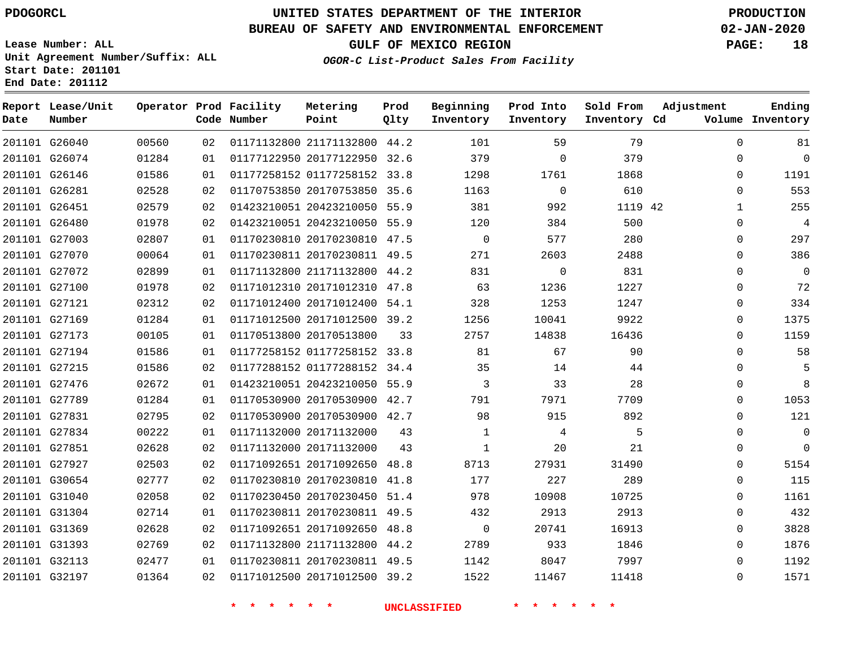G26040

**Date**

**Report Lease/Unit**

**Number**

# **UNITED STATES DEPARTMENT OF THE INTERIOR PDOGORCL PRODUCTION**

**Prod Qlty**

#### **BUREAU OF SAFETY AND ENVIRONMENTAL ENFORCEMENT 02-JAN-2020**

**Lease Number: ALL Unit Agreement Number/Suffix: ALL Start Date: 201101 End Date: 201112**

**Operator Prod Facility**

**Code Number**

21171132800 44.2

**Metering Point**

**OGOR-C List-Product Sales From Facility**

**Sold From Inventory**

**Prod Into Inventory**

**Beginning Inventory**

**GULF OF MEXICO REGION PAGE: 18**

**Inventory Cd Volume**

**Adjustment**

  $\Omega$  $\Omega$   $\Omega$  $\Omega$  $\Omega$  $\Omega$  $\Omega$   $\Omega$  $\overline{0}$   $\Omega$  $\overline{0}$  $\Omega$  $\Omega$  $\Omega$  $\Omega$   $\Omega$  $\Omega$   $\Omega$   $\Omega$ 

**Ending**

| 201101 G26074 | 01284 | 01 |                         | 01177122950 20177122950 32.6 |    | 379            | $\mathbf{0}$   | 379     |  |
|---------------|-------|----|-------------------------|------------------------------|----|----------------|----------------|---------|--|
| 201101 G26146 | 01586 | 01 |                         | 01177258152 01177258152 33.8 |    | 1298           | 1761           | 1868    |  |
| 201101 G26281 | 02528 | 02 |                         | 01170753850 20170753850 35.6 |    | 1163           | $\overline{0}$ | 610     |  |
| 201101 G26451 | 02579 | 02 |                         | 01423210051 20423210050 55.9 |    | 381            | 992            | 1119 42 |  |
| 201101 G26480 | 01978 | 02 |                         | 01423210051 20423210050 55.9 |    | 120            | 384            | 500     |  |
| 201101 G27003 | 02807 | 01 |                         | 01170230810 20170230810 47.5 |    | $\Omega$       | 577            | 280     |  |
| 201101 G27070 | 00064 | 01 |                         | 01170230811 20170230811 49.5 |    | 271            | 2603           | 2488    |  |
| 201101 G27072 | 02899 | 01 |                         | 01171132800 21171132800 44.2 |    | 831            | $\overline{0}$ | 831     |  |
| 201101 G27100 | 01978 | 02 |                         | 01171012310 20171012310 47.8 |    | 63             | 1236           | 1227    |  |
| 201101 G27121 | 02312 | 02 |                         | 01171012400 20171012400 54.1 |    | 328            | 1253           | 1247    |  |
| 201101 G27169 | 01284 | 01 |                         | 01171012500 20171012500 39.2 |    | 1256           | 10041          | 9922    |  |
| 201101 G27173 | 00105 | 01 | 01170513800 20170513800 |                              | 33 | 2757           | 14838          | 16436   |  |
| 201101 G27194 | 01586 | 01 |                         | 01177258152 01177258152 33.8 |    | 81             | 67             | 90      |  |
| 201101 G27215 | 01586 | 02 |                         | 01177288152 01177288152 34.4 |    | 35             | 14             | 44      |  |
| 201101 G27476 | 02672 | 01 |                         | 01423210051 20423210050 55.9 |    | $\overline{3}$ | 33             | 28      |  |
| 201101 G27789 | 01284 | 01 |                         | 01170530900 20170530900 42.7 |    | 791            | 7971           | 7709    |  |
| 201101 G27831 | 02795 | 02 |                         | 01170530900 20170530900 42.7 |    | 98             | 915            | 892     |  |
| 201101 G27834 | 00222 | 01 |                         | 01171132000 20171132000      | 43 | $\mathbf{1}$   | $\overline{4}$ | 5       |  |
| 201101 G27851 | 02628 | 02 |                         | 01171132000 20171132000      | 43 | $\mathbf{1}$   | 20             | 21      |  |
| 201101 G27927 | 02503 | 02 |                         | 01171092651 20171092650 48.8 |    | 8713           | 27931          | 31490   |  |
| 201101 G30654 | 02777 | 02 |                         | 01170230810 20170230810 41.8 |    | 177            | 227            | 289     |  |
| 201101 G31040 | 02058 | 02 |                         | 01170230450 20170230450 51.4 |    | 978            | 10908          | 10725   |  |
| 201101 G31304 | 02714 | 01 |                         | 01170230811 20170230811 49.5 |    | 432            | 2913           | 2913    |  |
| 201101 G31369 | 02628 | 02 |                         | 01171092651 20171092650 48.8 |    | $\overline{0}$ | 20741          | 16913   |  |
| 201101 G31393 | 02769 | 02 |                         | 01171132800 21171132800 44.2 |    | 2789           | 933            | 1846    |  |
| 201101 G32113 | 02477 | 01 |                         | 01170230811 20170230811 49.5 |    | 1142           | 8047           | 7997    |  |
| 201101 G32197 | 01364 | 02 |                         | 01171012500 20171012500 39.2 |    | 1522           | 11467          | 11418   |  |
|               |       |    |                         |                              |    |                |                |         |  |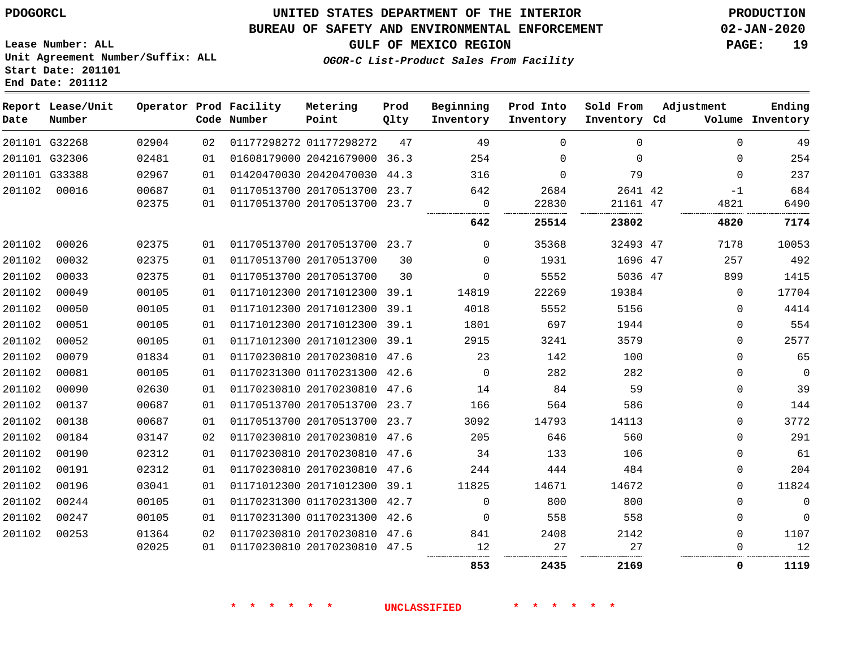#### **BUREAU OF SAFETY AND ENVIRONMENTAL ENFORCEMENT 02-JAN-2020**

**OGOR-C List-Product Sales From Facility**

**GULF OF MEXICO REGION PAGE: 19**

**Lease Number: ALL Unit Agreement Number/Suffix: ALL Start Date: 201101 End Date: 201112**

| Date   | Report Lease/Unit<br>Number |       |    | Operator Prod Facility<br>Code Number | Metering<br>Point            | Prod<br>Qlty | Beginning<br>Inventory | Prod Into<br>Inventory | Sold From<br>Inventory Cd | Adjustment |             | Ending<br>Volume Inventory |
|--------|-----------------------------|-------|----|---------------------------------------|------------------------------|--------------|------------------------|------------------------|---------------------------|------------|-------------|----------------------------|
|        | 201101 G32268               | 02904 | 02 |                                       | 01177298272 01177298272      | 47           | 49                     | $\Omega$               | $\Omega$                  |            | $\Omega$    | 49                         |
|        | 201101 G32306               | 02481 | 01 |                                       | 01608179000 20421679000 36.3 |              | 254                    | $\Omega$               | $\Omega$                  |            | $\Omega$    | 254                        |
|        | 201101 G33388               | 02967 | 01 |                                       | 01420470030 20420470030 44.3 |              | 316                    | $\Omega$               | 79                        |            | $\Omega$    | 237                        |
| 201102 | 00016                       | 00687 | 01 |                                       | 01170513700 20170513700 23.7 |              | 642                    | 2684                   | 2641 42                   |            | $-1$        | 684                        |
|        |                             | 02375 | 01 |                                       | 01170513700 20170513700 23.7 |              | $\Omega$<br>           | 22830                  | 21161 47                  |            | 4821        | 6490                       |
|        |                             |       |    |                                       |                              |              | 642                    | 25514                  | 23802                     |            | 4820        | 7174                       |
| 201102 | 00026                       | 02375 | 01 |                                       | 01170513700 20170513700 23.7 |              | $\Omega$               | 35368                  | 32493 47                  |            | 7178        | 10053                      |
| 201102 | 00032                       | 02375 | 01 |                                       | 01170513700 20170513700      | 30           | $\Omega$               | 1931                   | 1696 47                   |            | 257         | 492                        |
| 201102 | 00033                       | 02375 | 01 |                                       | 01170513700 20170513700      | 30           | $\mathbf 0$            | 5552                   | 5036 47                   |            | 899         | 1415                       |
| 201102 | 00049                       | 00105 | 01 |                                       | 01171012300 20171012300 39.1 |              | 14819                  | 22269                  | 19384                     |            | $\Omega$    | 17704                      |
| 201102 | 00050                       | 00105 | 01 |                                       | 01171012300 20171012300 39.1 |              | 4018                   | 5552                   | 5156                      |            | $\Omega$    | 4414                       |
| 201102 | 00051                       | 00105 | 01 |                                       | 01171012300 20171012300 39.1 |              | 1801                   | 697                    | 1944                      |            | $\mathbf 0$ | 554                        |
| 201102 | 00052                       | 00105 | 01 |                                       | 01171012300 20171012300 39.1 |              | 2915                   | 3241                   | 3579                      |            | $\mathbf 0$ | 2577                       |
| 201102 | 00079                       | 01834 | 01 |                                       | 01170230810 20170230810 47.6 |              | 23                     | 142                    | 100                       |            | $\Omega$    | 65                         |
| 201102 | 00081                       | 00105 | 01 |                                       | 01170231300 01170231300 42.6 |              | $\Omega$               | 282                    | 282                       |            | $\Omega$    | $\mathbf 0$                |
| 201102 | 00090                       | 02630 | 01 |                                       | 01170230810 20170230810 47.6 |              | 14                     | 84                     | 59                        |            | $\mathbf 0$ | 39                         |
| 201102 | 00137                       | 00687 | 01 |                                       | 01170513700 20170513700 23.7 |              | 166                    | 564                    | 586                       |            | $\mathbf 0$ | 144                        |
| 201102 | 00138                       | 00687 | 01 |                                       | 01170513700 20170513700 23.7 |              | 3092                   | 14793                  | 14113                     |            | $\mathbf 0$ | 3772                       |
| 201102 | 00184                       | 03147 | 02 |                                       | 01170230810 20170230810 47.6 |              | 205                    | 646                    | 560                       |            | $\mathbf 0$ | 291                        |
| 201102 | 00190                       | 02312 | 01 |                                       | 01170230810 20170230810 47.6 |              | 34                     | 133                    | 106                       |            | $\mathbf 0$ | 61                         |
| 201102 | 00191                       | 02312 | 01 |                                       | 01170230810 20170230810 47.6 |              | 244                    | 444                    | 484                       |            | $\mathbf 0$ | 204                        |
| 201102 | 00196                       | 03041 | 01 |                                       | 01171012300 20171012300 39.1 |              | 11825                  | 14671                  | 14672                     |            | $\Omega$    | 11824                      |
| 201102 | 00244                       | 00105 | 01 |                                       | 01170231300 01170231300 42.7 |              | $\mathbf 0$            | 800                    | 800                       |            | $\Omega$    | $\mathbf 0$                |
| 201102 | 00247                       | 00105 | 01 |                                       | 01170231300 01170231300 42.6 |              | $\Omega$               | 558                    | 558                       |            | $\Omega$    | $\mathbf{0}$               |
| 201102 | 00253                       | 01364 | 02 |                                       | 01170230810 20170230810 47.6 |              | 841                    | 2408                   | 2142                      |            | $\mathbf 0$ | 1107                       |
|        |                             | 02025 | 01 |                                       | 01170230810 20170230810 47.5 |              | 12                     | 27                     | 27                        |            | $\Omega$    | 12                         |
|        |                             |       |    |                                       |                              |              | 853                    | 2435                   | 2169                      |            | 0           | 1119                       |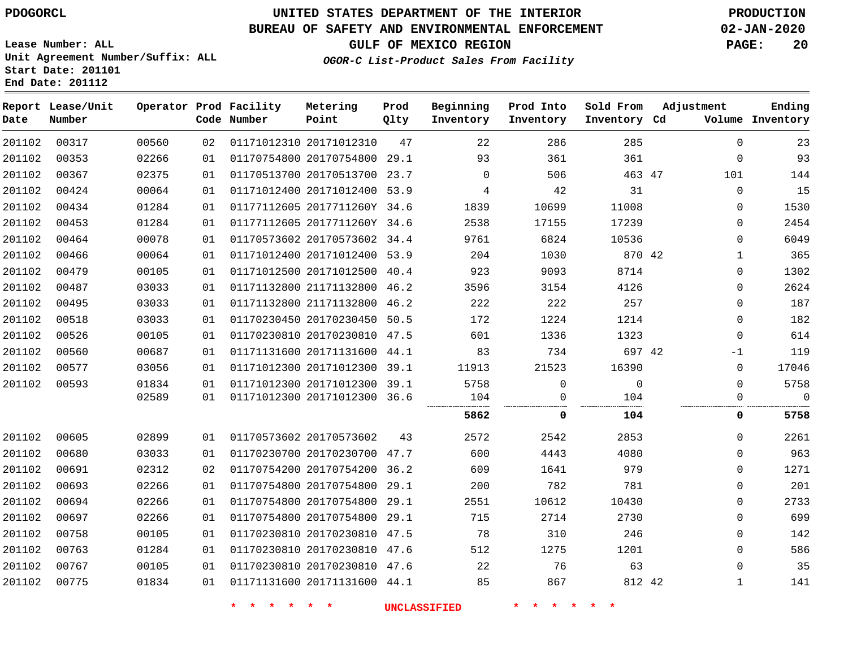#### **BUREAU OF SAFETY AND ENVIRONMENTAL ENFORCEMENT 02-JAN-2020**

**Lease Number: ALL Unit Agreement Number/Suffix: ALL Start Date: 201101 End Date: 201112**

**OGOR-C List-Product Sales From Facility**

**GULF OF MEXICO REGION PAGE: 20**

| Date   | Report Lease/Unit<br>Number |       |    | Operator Prod Facility<br>Code Number | Metering<br>Point            | Prod<br>Qlty | Beginning<br>Inventory | Prod Into<br>Inventory | Sold From<br>Inventory Cd | Adjustment   | Ending<br>Volume Inventory |
|--------|-----------------------------|-------|----|---------------------------------------|------------------------------|--------------|------------------------|------------------------|---------------------------|--------------|----------------------------|
| 201102 | 00317                       | 00560 | 02 |                                       | 01171012310 20171012310      | 47           | 22                     | 286                    | 285                       | $\Omega$     | 23                         |
| 201102 | 00353                       | 02266 | 01 |                                       | 01170754800 20170754800 29.1 |              | 93                     | 361                    | 361                       | $\mathbf 0$  | 93                         |
| 201102 | 00367                       | 02375 | 01 |                                       | 01170513700 20170513700 23.7 |              | $\mathbf 0$            | 506                    | 463 47                    | 101          | 144                        |
| 201102 | 00424                       | 00064 | 01 |                                       | 01171012400 20171012400 53.9 |              | 4                      | 42                     | 31                        | $\mathbf 0$  | 15                         |
| 201102 | 00434                       | 01284 | 01 |                                       | 01177112605 2017711260Y 34.6 |              | 1839                   | 10699                  | 11008                     | 0            | 1530                       |
| 201102 | 00453                       | 01284 | 01 |                                       | 01177112605 2017711260Y 34.6 |              | 2538                   | 17155                  | 17239                     | $\Omega$     | 2454                       |
| 201102 | 00464                       | 00078 | 01 |                                       | 01170573602 20170573602 34.4 |              | 9761                   | 6824                   | 10536                     | $\Omega$     | 6049                       |
| 201102 | 00466                       | 00064 | 01 |                                       | 01171012400 20171012400 53.9 |              | 204                    | 1030                   | 870 42                    | $\mathbf 1$  | 365                        |
| 201102 | 00479                       | 00105 | 01 |                                       | 01171012500 20171012500 40.4 |              | 923                    | 9093                   | 8714                      | $\mathbf{0}$ | 1302                       |
| 201102 | 00487                       | 03033 | 01 |                                       | 01171132800 21171132800 46.2 |              | 3596                   | 3154                   | 4126                      | 0            | 2624                       |
| 201102 | 00495                       | 03033 | 01 |                                       | 01171132800 21171132800 46.2 |              | 222                    | 222                    | 257                       | 0            | 187                        |
| 201102 | 00518                       | 03033 | 01 |                                       | 01170230450 20170230450 50.5 |              | 172                    | 1224                   | 1214                      | $\Omega$     | 182                        |
| 201102 | 00526                       | 00105 | 01 |                                       | 01170230810 20170230810 47.5 |              | 601                    | 1336                   | 1323                      | 0            | 614                        |
| 201102 | 00560                       | 00687 | 01 |                                       | 01171131600 20171131600 44.1 |              | 83                     | 734                    | 697 42                    | -1           | 119                        |
| 201102 | 00577                       | 03056 | 01 |                                       | 01171012300 20171012300 39.1 |              | 11913                  | 21523                  | 16390                     | $\mathbf 0$  | 17046                      |
| 201102 | 00593                       | 01834 | 01 |                                       | 01171012300 20171012300 39.1 |              | 5758                   | $\mathbf 0$            | $\mathbf 0$               | $\Omega$     | 5758                       |
|        |                             | 02589 | 01 |                                       | 01171012300 20171012300 36.6 |              | 104                    | 0                      | 104                       | 0            | $\mathbf 0$                |
|        |                             |       |    |                                       |                              |              | 5862                   | 0                      | 104                       | 0            | 5758                       |
| 201102 | 00605                       | 02899 | 01 |                                       | 01170573602 20170573602      | 43           | 2572                   | 2542                   | 2853                      | $\mathbf 0$  | 2261                       |
| 201102 | 00680                       | 03033 | 01 |                                       | 01170230700 20170230700 47.7 |              | 600                    | 4443                   | 4080                      | 0            | 963                        |
| 201102 | 00691                       | 02312 | 02 |                                       | 01170754200 20170754200 36.2 |              | 609                    | 1641                   | 979                       | $\Omega$     | 1271                       |
| 201102 | 00693                       | 02266 | 01 |                                       | 01170754800 20170754800 29.1 |              | 200                    | 782                    | 781                       | $\mathbf 0$  | 201                        |
| 201102 | 00694                       | 02266 | 01 |                                       | 01170754800 20170754800 29.1 |              | 2551                   | 10612                  | 10430                     | $\Omega$     | 2733                       |
| 201102 | 00697                       | 02266 | 01 |                                       | 01170754800 20170754800      | 29.1         | 715                    | 2714                   | 2730                      | 0            | 699                        |
| 201102 | 00758                       | 00105 | 01 |                                       | 01170230810 20170230810 47.5 |              | 78                     | 310                    | 246                       | $\Omega$     | 142                        |
| 201102 | 00763                       | 01284 | 01 |                                       | 01170230810 20170230810 47.6 |              | 512                    | 1275                   | 1201                      | $\mathbf{0}$ | 586                        |
| 201102 | 00767                       | 00105 | 01 |                                       | 01170230810 20170230810 47.6 |              | 22                     | 76                     | 63                        | $\Omega$     | 35                         |
| 201102 | 00775                       | 01834 | 01 |                                       | 01171131600 20171131600 44.1 |              | 85                     | 867                    | 812 42                    | $\mathbf{1}$ | 141                        |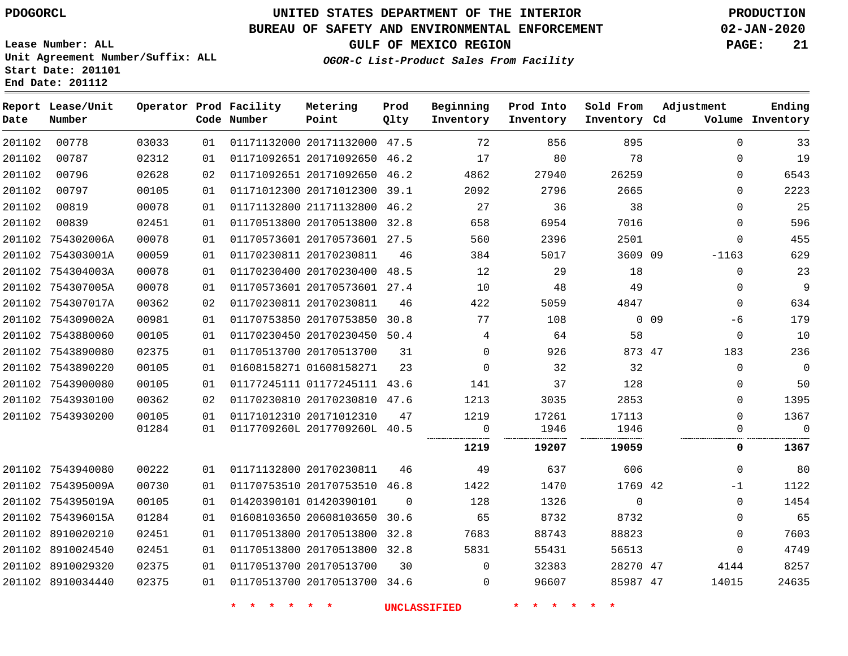**Report Lease/Unit**

**Number**

**Date**

8910034440

# **UNITED STATES DEPARTMENT OF THE INTERIOR PDOGORCL PRODUCTION**

**Prod Qlty**

#### **BUREAU OF SAFETY AND ENVIRONMENTAL ENFORCEMENT 02-JAN-2020**

**Lease Number: ALL Unit Agreement Number/Suffix: ALL Start Date: 201101 End Date: 201112**

**Operator Prod Facility**

**Code Number**

20171132000 47.5

**Metering Point**

**OGOR-C List-Product Sales From Facility**

**Sold From Inventory**

**Prod Into Inventory**

**Beginning Inventory**

**GULF OF MEXICO REGION PAGE: 21**

**Inventory Cd Volume**

**Adjustment**

 $\Omega$  $-1$   $\Omega$   $\Omega$  

  $\Omega$  $\Omega$  $\Omega$  $\Omega$  $\Omega$  $\Omega$ -1163  $\Omega$  $\Omega$  -6  $\overline{0}$   $\Omega$  $\overline{0}$  $\Omega$  $\Omega$ 

**Ending**

| 201102 | 00787             | 02312 | 01 | 01171092651 20171092650 46.2 |          | 17       | 80    | 78       |                 | 0            | 19          |
|--------|-------------------|-------|----|------------------------------|----------|----------|-------|----------|-----------------|--------------|-------------|
| 201102 | 00796             | 02628 | 02 | 01171092651 20171092650 46.2 |          | 4862     | 27940 | 26259    |                 | 0            | 6543        |
| 201102 | 00797             | 00105 | 01 | 01171012300 20171012300 39.1 |          | 2092     | 2796  | 2665     |                 | $\Omega$     | 2223        |
| 201102 | 00819             | 00078 | 01 | 01171132800 21171132800 46.2 |          | 27       | 36    | 38       |                 | 0            | 25          |
| 201102 | 00839             | 02451 | 01 | 01170513800 20170513800 32.8 |          | 658      | 6954  | 7016     |                 | $\Omega$     | 596         |
|        | 201102 754302006A | 00078 | 01 | 01170573601 20170573601 27.5 |          | 560      | 2396  | 2501     |                 | $\Omega$     | 455         |
|        | 201102 754303001A | 00059 | 01 | 01170230811 20170230811      | 46       | 384      | 5017  | 3609 09  |                 | $-1163$      | 629         |
|        | 201102 754304003A | 00078 | 01 | 01170230400 20170230400 48.5 |          | 12       | 29    | 18       |                 | $\mathbf 0$  | 23          |
|        | 201102 754307005A | 00078 | 01 | 01170573601 20170573601 27.4 |          | 10       | 48    | 49       |                 | 0            | 9           |
|        | 201102 754307017A | 00362 | 02 | 01170230811 20170230811      | 46       | 422      | 5059  | 4847     |                 | $\Omega$     | 634         |
|        | 201102 754309002A | 00981 | 01 | 01170753850 20170753850 30.8 |          | 77       | 108   |          | 0 <sub>09</sub> | -6           | 179         |
|        | 201102 7543880060 | 00105 | 01 | 01170230450 20170230450 50.4 |          | 4        | 64    | 58       |                 | $\mathbf 0$  | 10          |
|        | 201102 7543890080 | 02375 | 01 | 01170513700 20170513700      | 31       | $\Omega$ | 926   | 873 47   |                 | 183          | 236         |
|        | 201102 7543890220 | 00105 | 01 | 01608158271 01608158271      | 23       | $\Omega$ | 32    | 32       |                 | 0            | 0           |
|        | 201102 7543900080 | 00105 | 01 | 01177245111 01177245111 43.6 |          | 141      | 37    | 128      |                 | $\mathbf{0}$ | 50          |
|        | 201102 7543930100 | 00362 | 02 | 01170230810 20170230810 47.6 |          | 1213     | 3035  | 2853     |                 | $\Omega$     | 1395        |
|        | 201102 7543930200 | 00105 | 01 | 01171012310 20171012310      | 47       | 1219     | 17261 | 17113    |                 | $\Omega$     | 1367        |
|        |                   | 01284 | 01 | 0117709260L 2017709260L 40.5 |          | 0        | 1946  | 1946     |                 | 0            | $\mathbf 0$ |
|        |                   |       |    |                              |          | 1219     | 19207 | 19059    |                 | 0            | 1367        |
|        | 201102 7543940080 | 00222 | 01 | 01171132800 20170230811      | 46       | 49       | 637   | 606      |                 | 0            | 80          |
|        | 201102 754395009A | 00730 | 01 | 01170753510 20170753510 46.8 |          | 1422     | 1470  | 1769 42  |                 | $-1$         | 1122        |
|        | 201102 754395019A | 00105 | 01 | 01420390101 01420390101      | $\Omega$ | 128      | 1326  | 0        |                 | 0            | 1454        |
|        | 201102 754396015A | 01284 | 01 | 01608103650 20608103650 30.6 |          | 65       | 8732  | 8732     |                 | 0            | 65          |
|        | 201102 8910020210 | 02451 | 01 | 01170513800 20170513800 32.8 |          | 7683     | 88743 | 88823    |                 | $\Omega$     | 7603        |
|        | 201102 8910024540 | 02451 | 01 | 01170513800 20170513800 32.8 |          | 5831     | 55431 | 56513    |                 | 0            | 4749        |
|        | 201102 8910029320 | 02375 | 01 | 01170513700 20170513700      | 30       | $\Omega$ | 32383 | 28270 47 |                 | 4144         | 8257        |
|        |                   |       |    |                              |          |          |       |          |                 |              |             |

20170513700 34.6

 $\Omega$ 

**\* \* \* \* \* \* UNCLASSIFIED \* \* \* \* \* \***

47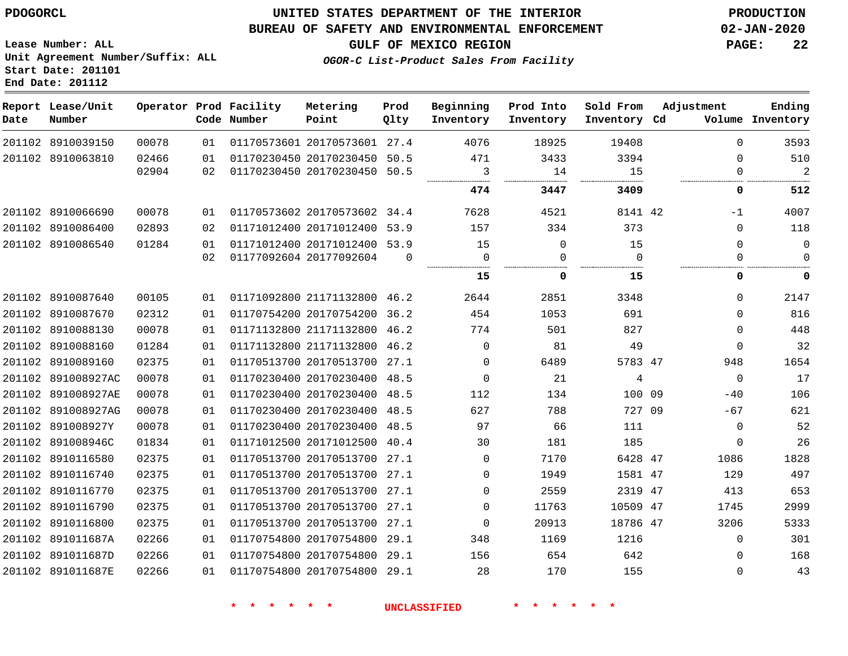**Date**

 8910039150 8910063810

**Report Lease/Unit**

**Number**

### **UNITED STATES DEPARTMENT OF THE INTERIOR PDOGORCL PRODUCTION**

**Prod Qlty**

#### **BUREAU OF SAFETY AND ENVIRONMENTAL ENFORCEMENT 02-JAN-2020**

**Lease Number: ALL Unit Agreement Number/Suffix: ALL Start Date: 201101 End Date: 201112**

> 

**Operator Prod Facility**

**Code Number**

 20170573601 27.4 20170230450 50.5 20170230450 50.5

**Metering Point**

  **OGOR-C List-Product Sales From Facility**

   

**Prod Into Inventory**

**Beginning Inventory**

**GULF OF MEXICO REGION PAGE: 22**

**Inventory Cd Volume**

**Adjustment**

  $\Omega$  $\Omega$ 

 $\Omega$  $\Omega$  $\Omega$  $\Omega$   $\Omega$  $-40$  $-67$  $\Omega$  $\Omega$   $\Omega$  

 

**Ending**

 

**Sold From Inventory**

 

|        |                    |       |    |                         |      | 474  | 3447  | 3409  |
|--------|--------------------|-------|----|-------------------------|------|------|-------|-------|
|        | 201102 8910066690  | 00078 | 01 | 01170573602 20170573602 | 34.4 | 7628 | 4521  | 8141  |
| 201102 | 8910086400         | 02893 | 02 | 01171012400 20171012400 | 53.9 | 157  | 334   | 373   |
|        | 201102 8910086540  | 01284 | 01 | 01171012400 20171012400 | 53.9 | 15   | 0     | 15    |
|        |                    |       | 02 | 01177092604 20177092604 | 0    | 0    | 0     | 0     |
|        |                    |       |    |                         |      | 15   | 0     | 15    |
|        | 201102 8910087640  | 00105 | 01 | 01171092800 21171132800 | 46.2 | 2644 | 2851  | 3348  |
| 201102 | 8910087670         | 02312 | 01 | 01170754200 20170754200 | 36.2 | 454  | 1053  | 691   |
| 201102 | 8910088130         | 00078 | 01 | 01171132800 21171132800 | 46.2 | 774  | 501   | 827   |
| 201102 | 8910088160         | 01284 | 01 | 01171132800 21171132800 | 46.2 | 0    | 81    | 49    |
| 201102 | 8910089160         | 02375 | 01 | 01170513700 20170513700 | 27.1 | 0    | 6489  | 5783  |
| 201102 | 891008927AC        | 00078 | 01 | 01170230400 20170230400 | 48.5 | 0    | 21    | 4     |
| 201102 | 891008927AE        | 00078 | 01 | 01170230400 20170230400 | 48.5 | 112  | 134   | 100   |
|        | 201102 891008927AG | 00078 | 01 | 01170230400 20170230400 | 48.5 | 627  | 788   | 727   |
| 201102 | 891008927Y         | 00078 | 01 | 01170230400 20170230400 | 48.5 | 97   | 66    | 111   |
| 201102 | 891008946C         | 01834 | 01 | 01171012500 20171012500 | 40.4 | 30   | 181   | 185   |
| 201102 | 8910116580         | 02375 | 01 | 01170513700 20170513700 | 27.1 | 0    | 7170  | 6428  |
|        | 201102 8910116740  | 02375 | 01 | 01170513700 20170513700 | 27.1 | 0    | 1949  | 1581  |
| 201102 | 8910116770         | 02375 | 01 | 01170513700 20170513700 | 27.1 | 0    | 2559  | 2319  |
|        | 201102 8910116790  | 02375 | 01 | 01170513700 20170513700 | 27.1 | 0    | 11763 | 10509 |
| 201102 | 8910116800         | 02375 | 01 | 01170513700 20170513700 | 27.1 | 0    | 20913 | 18786 |
| 201102 | 891011687A         | 02266 | 01 | 01170754800 20170754800 | 29.1 | 348  | 1169  | 1216  |
| 201102 | 891011687D         | 02266 | 01 | 01170754800 20170754800 | 29.1 | 156  | 654   | 642   |
| 201102 | 891011687E         | 02266 | 01 | 01170754800 20170754800 | 29.1 | 28   | 170   | 155   |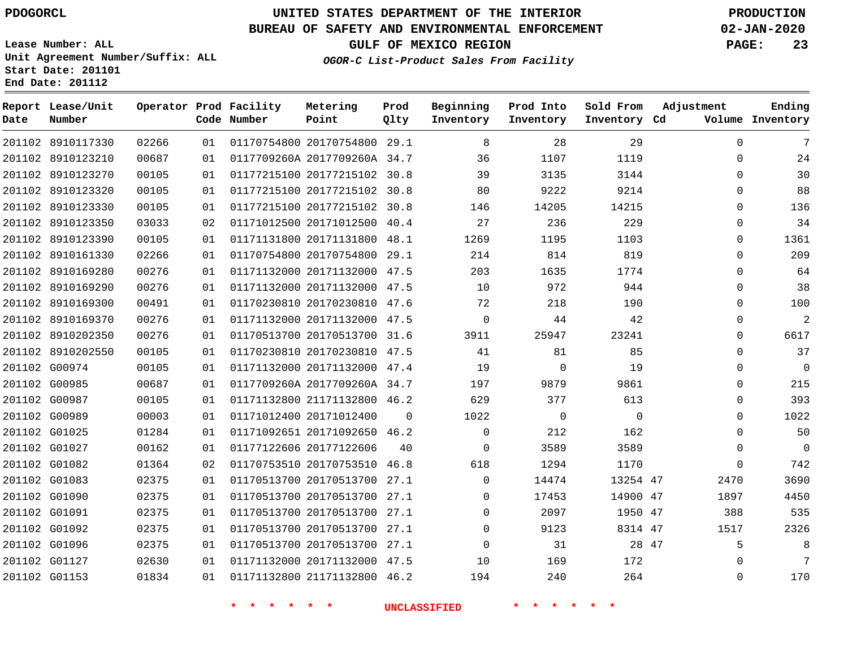**Date**

# **UNITED STATES DEPARTMENT OF THE INTERIOR PDOGORCL PRODUCTION**

**Prod Qlty**

### **BUREAU OF SAFETY AND ENVIRONMENTAL ENFORCEMENT 02-JAN-2020**

**Lease Number: ALL Unit Agreement Number/Suffix: ALL Start Date: 201101**

**Operator Prod Facility**

**Code Number**

**Metering Point**

**End Date: 201112**

**Report Lease/Unit**

**Number**

**GULF OF MEXICO REGION PAGE: 23**

**Inventory Cd Volume**

**Adjustment**

**OGOR-C List-Product Sales From Facility**

**Beginning Inventory** **Prod Into Inventory** **Sold From Inventory**

| 7              | $\Omega$ | 29       | 28       | 8              |          | 01170754800 20170754800 29.1 | 01 | 02266 | 201102 8910117330 |  |
|----------------|----------|----------|----------|----------------|----------|------------------------------|----|-------|-------------------|--|
| 24             | 0        | 1119     | 1107     | 36             |          | 0117709260A 2017709260A 34.7 | 01 | 00687 | 201102 8910123210 |  |
| 30             | $\Omega$ | 3144     | 3135     | 39             |          | 01177215100 20177215102 30.8 | 01 | 00105 | 201102 8910123270 |  |
| 88             | $\Omega$ | 9214     | 9222     | 80             |          | 01177215100 20177215102 30.8 | 01 | 00105 | 201102 8910123320 |  |
| 136            | 0        | 14215    | 14205    | 146            |          | 01177215100 20177215102 30.8 | 01 | 00105 | 201102 8910123330 |  |
| 34             | 0        | 229      | 236      | 27             |          | 01171012500 20171012500 40.4 | 02 | 03033 | 201102 8910123350 |  |
| 1361           | $\Omega$ | 1103     | 1195     | 1269           |          | 01171131800 20171131800 48.1 | 01 | 00105 | 201102 8910123390 |  |
| 209            | $\Omega$ | 819      | 814      | 214            |          | 01170754800 20170754800 29.1 | 01 | 02266 | 201102 8910161330 |  |
| 64             | 0        | 1774     | 1635     | 203            | 47.5     | 01171132000 20171132000      | 01 | 00276 | 201102 8910169280 |  |
| 38             | $\Omega$ | 944      | 972      | 10             |          | 01171132000 20171132000 47.5 | 01 | 00276 | 201102 8910169290 |  |
| 100            | 0        | 190      | 218      | 72             |          | 01170230810 20170230810 47.6 | 01 | 00491 | 201102 8910169300 |  |
| $\overline{c}$ | 0        | 42       | 44       | $\overline{0}$ |          | 01171132000 20171132000 47.5 | 01 | 00276 | 201102 8910169370 |  |
| 6617           | $\Omega$ | 23241    | 25947    | 3911           |          | 01170513700 20170513700 31.6 | 01 | 00276 | 201102 8910202350 |  |
| 37             | $\Omega$ | 85       | 81       | 41             |          | 01170230810 20170230810 47.5 | 01 | 00105 | 201102 8910202550 |  |
| $\mathbf 0$    | 0        | 19       | 0        | 19             |          | 01171132000 20171132000 47.4 | 01 | 00105 | 201102 G00974     |  |
| 215            | $\Omega$ | 9861     | 9879     | 197            |          | 0117709260A 2017709260A 34.7 | 01 | 00687 | 201102 G00985     |  |
| 393            | 0        | 613      | 377      | 629            |          | 01171132800 21171132800 46.2 | 01 | 00105 | 201102 G00987     |  |
| 1022           | $\Omega$ | $\Omega$ | $\Omega$ | 1022           | $\Omega$ | 01171012400 20171012400      | 01 | 00003 | 201102 G00989     |  |
| 50             | $\Omega$ | 162      | 212      | $\mathbf 0$    |          | 01171092651 20171092650 46.2 | 01 | 01284 | 201102 G01025     |  |
| $\overline{0}$ | $\Omega$ | 3589     | 3589     | $\overline{0}$ | 40       | 01177122606 20177122606      | 01 | 00162 | 201102 G01027     |  |
| 742            | 0        | 1170     | 1294     | 618            |          | 01170753510 20170753510 46.8 | 02 | 01364 | 201102 G01082     |  |
| 3690           | 2470     | 13254 47 | 14474    | $\Omega$       |          | 01170513700 20170513700 27.1 | 01 | 02375 | 201102 G01083     |  |
| 4450           | 1897     | 14900 47 | 17453    | $\Omega$       | 27.1     | 01170513700 20170513700      | 01 | 02375 | 201102 G01090     |  |
| 535            | 388      | 1950 47  | 2097     | $\Omega$       |          | 01170513700 20170513700 27.1 | 01 | 02375 | 201102 G01091     |  |
| 2326           | 1517     | 8314 47  | 9123     | 0              |          | 01170513700 20170513700 27.1 | 01 | 02375 | 201102 G01092     |  |
| 8              | 5        | 28 47    | 31       | $\Omega$       |          | 01170513700 20170513700 27.1 | 01 | 02375 | 201102 G01096     |  |
| 7              | $\Omega$ | 172      | 169      | 10             |          | 01171132000 20171132000 47.5 | 01 | 02630 | 201102 G01127     |  |
| 170            | $\Omega$ | 264      | 240      | 194            |          | 01171132800 21171132800 46.2 | 01 | 01834 | 201102 G01153     |  |

**\* \* \* \* \* \* UNCLASSIFIED \* \* \* \* \* \***

**Ending**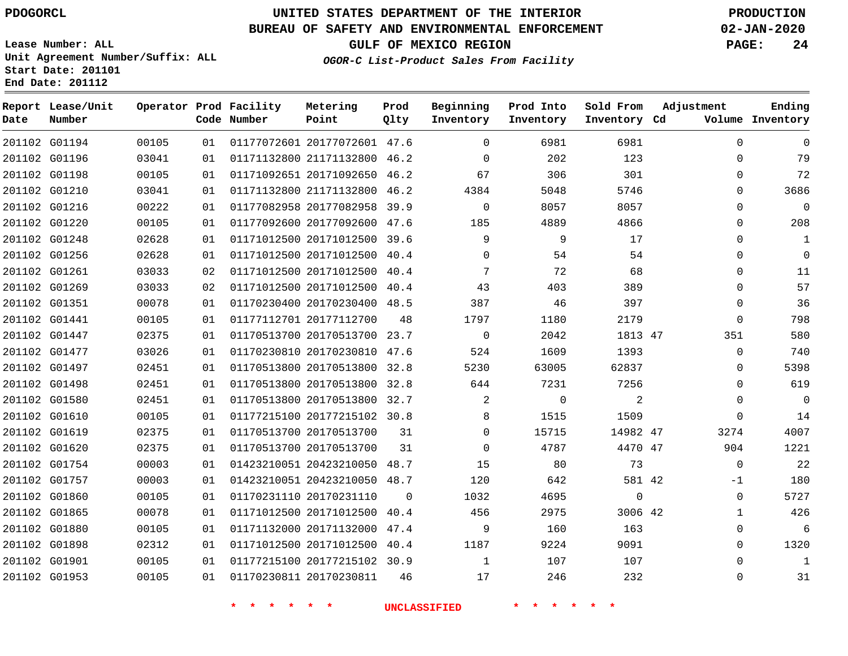**Report Lease/Unit**

**Number**

### **UNITED STATES DEPARTMENT OF THE INTERIOR PDOGORCL PRODUCTION**

**Prod**  $Q1 + V$ 

#### **BUREAU OF SAFETY AND ENVIRONMENTAL ENFORCEMENT 02-JAN-2020**

**Lease Number: ALL Unit Agreement Number/Suffix: ALL Start Date: 201101 End Date: 201112**

**Operator Prod Facility**

**OGOR-C List-Product Sales From Facility**

**Beginning**

**Prod Into Inventory** **Sold From Inventory**

**GULF OF MEXICO REGION PAGE: 24**

**Adjustment**

**Ending**

| Date | Number        |       |    | Code Number | Point                        | Qlty     | Inventory           | Inventory   | Inventory Cd |              | Volume Inventory |
|------|---------------|-------|----|-------------|------------------------------|----------|---------------------|-------------|--------------|--------------|------------------|
|      | 201102 G01194 | 00105 | 01 |             | 01177072601 20177072601 47.6 |          | $\mathbf 0$         | 6981        | 6981         | $\mathbf 0$  | 0                |
|      | 201102 G01196 | 03041 | 01 |             | 01171132800 21171132800 46.2 |          | $\Omega$            | 202         | 123          | $\Omega$     | 79               |
|      | 201102 G01198 | 00105 | 01 |             | 01171092651 20171092650 46.2 |          | 67                  | 306         | 301          | 0            | 72               |
|      | 201102 G01210 | 03041 | 01 |             | 01171132800 21171132800 46.2 |          | 4384                | 5048        | 5746         | $\Omega$     | 3686             |
|      | 201102 G01216 | 00222 | 01 |             | 01177082958 20177082958 39.9 |          | $\overline{0}$      | 8057        | 8057         | $\Omega$     | $\Omega$         |
|      | 201102 G01220 | 00105 | 01 |             | 01177092600 20177092600 47.6 |          | 185                 | 4889        | 4866         | 0            | 208              |
|      | 201102 G01248 | 02628 | 01 |             | 01171012500 20171012500 39.6 |          | 9                   | 9           | 17           | $\Omega$     | $\mathbf 1$      |
|      | 201102 G01256 | 02628 | 01 |             | 01171012500 20171012500 40.4 |          | $\Omega$            | 54          | 54           | $\Omega$     | $\mathbf 0$      |
|      | 201102 G01261 | 03033 | 02 |             | 01171012500 20171012500 40.4 |          | 7                   | 72          | 68           | $\Omega$     | 11               |
|      | 201102 G01269 | 03033 | 02 |             | 01171012500 20171012500 40.4 |          | 43                  | 403         | 389          | $\Omega$     | 57               |
|      | 201102 G01351 | 00078 | 01 |             | 01170230400 20170230400 48.5 |          | 387                 | 46          | 397          | $\Omega$     | 36               |
|      | 201102 G01441 | 00105 | 01 |             | 01177112701 20177112700      | 48       | 1797                | 1180        | 2179         | $\Omega$     | 798              |
|      | 201102 G01447 | 02375 | 01 |             | 01170513700 20170513700 23.7 |          | $\Omega$            | 2042        | 1813 47      | 351          | 580              |
|      | 201102 G01477 | 03026 | 01 |             | 01170230810 20170230810 47.6 |          | 524                 | 1609        | 1393         | $\Omega$     | 740              |
|      | 201102 G01497 | 02451 | 01 |             | 01170513800 20170513800 32.8 |          | 5230                | 63005       | 62837        | $\Omega$     | 5398             |
|      | 201102 G01498 | 02451 | 01 |             | 01170513800 20170513800 32.8 |          | 644                 | 7231        | 7256         | $\Omega$     | 619              |
|      | 201102 G01580 | 02451 | 01 |             | 01170513800 20170513800 32.7 |          | 2                   | $\mathbf 0$ | 2            | $\Omega$     | $\mathbf 0$      |
|      | 201102 G01610 | 00105 | 01 |             | 01177215100 20177215102 30.8 |          | 8                   | 1515        | 1509         | $\mathbf 0$  | 14               |
|      | 201102 G01619 | 02375 | 01 |             | 01170513700 20170513700      | 31       | $\Omega$            | 15715       | 14982 47     | 3274         | 4007             |
|      | 201102 G01620 | 02375 | 01 |             | 01170513700 20170513700      | 31       | $\Omega$            | 4787        | 4470 47      | 904          | 1221             |
|      | 201102 G01754 | 00003 | 01 |             | 01423210051 20423210050 48.7 |          | 15                  | 80          | 73           | $\Omega$     | 22               |
|      | 201102 G01757 | 00003 | 01 |             | 01423210051 20423210050 48.7 |          | 120                 | 642         | 581 42       | $-1$         | 180              |
|      | 201102 G01860 | 00105 | 01 |             | 01170231110 20170231110      | $\Omega$ | 1032                | 4695        | $\mathbf 0$  | $\mathbf 0$  | 5727             |
|      | 201102 G01865 | 00078 | 01 |             | 01171012500 20171012500 40.4 |          | 456                 | 2975        | 3006 42      | $\mathbf{1}$ | 426              |
|      | 201102 G01880 | 00105 | 01 |             | 01171132000 20171132000 47.4 |          | 9                   | 160         | 163          | 0            | 6                |
|      | 201102 G01898 | 02312 | 01 |             | 01171012500 20171012500 40.4 |          | 1187                | 9224        | 9091         | 0            | 1320             |
|      | 201102 G01901 | 00105 | 01 |             | 01177215100 20177215102 30.9 |          | $\mathbf{1}$        | 107         | 107          | $\Omega$     | 1                |
|      | 201102 G01953 | 00105 | 01 |             | 01170230811 20170230811      | 46       | 17                  | 246         | 232          | 0            | 31               |
|      |               |       |    | * * * * * * |                              |          | <b>UNCLASSIFIED</b> | * * * *     |              |              |                  |

**Metering Point**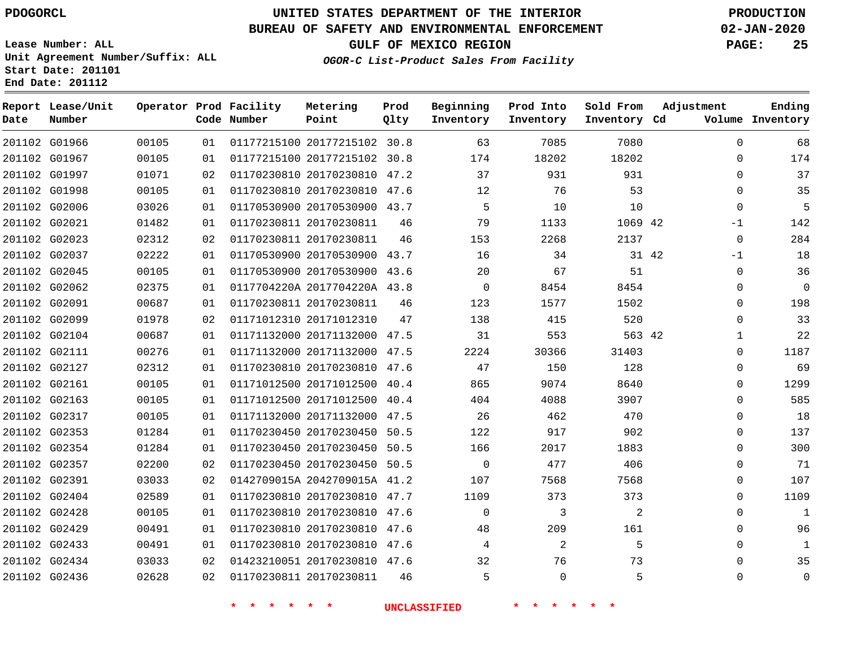**Prod Qlty**

#### **BUREAU OF SAFETY AND ENVIRONMENTAL ENFORCEMENT 02-JAN-2020**

**Lease Number: ALL Unit Agreement Number/Suffix: ALL Start Date: 201101**

**Operator Prod Facility**

**Code Number**

01177215100 20177215102 30.8

**Metering Point**

**End Date: 201112**

**Report Lease/Unit**

**Number**

G01966

**Date**

G02436

**GULF OF MEXICO REGION PAGE: 25**

**Inventory Cd Volume**

**Adjustment**

**Ending**

 $\Omega$ 

**OGOR-C List-Product Sales From Facility**

**Beginning Inventory**

**Sold From Inventory**

**Prod Into Inventory**

| 174         | $\Omega$ |       | 18202   | 18202 | 174         |    | 01177215100 20177215102 30.8 | 01 | 00105 | 201102 G01967 |  |
|-------------|----------|-------|---------|-------|-------------|----|------------------------------|----|-------|---------------|--|
| 37          | $\Omega$ |       | 931     | 931   | 37          |    | 01170230810 20170230810 47.2 | 02 | 01071 | 201102 G01997 |  |
| 35          | $\Omega$ |       | 53      | 76    | 12          |    | 01170230810 20170230810 47.6 | 01 | 00105 | 201102 G01998 |  |
| 5           | $\Omega$ |       | 10      | 10    | 5           |    | 01170530900 20170530900 43.7 | 01 | 03026 | 201102 G02006 |  |
| 142         | $-1$     |       | 1069 42 | 1133  | 79          | 46 | 01170230811 20170230811      | 01 | 01482 | 201102 G02021 |  |
| 284         | $\Omega$ |       | 2137    | 2268  | 153         | 46 | 01170230811 20170230811      | 02 | 02312 | 201102 G02023 |  |
| 18          | $-1$     | 31 42 |         | 34    | 16          |    | 01170530900 20170530900 43.7 | 01 | 02222 | 201102 G02037 |  |
| 36          | $\Omega$ |       | 51      | 67    | 20          |    | 01170530900 20170530900 43.6 | 01 | 00105 | 201102 G02045 |  |
| $\mathbf 0$ | $\Omega$ |       | 8454    | 8454  | $\Omega$    |    | 0117704220A 2017704220A 43.8 | 01 | 02375 | 201102 G02062 |  |
| 198         | $\Omega$ |       | 1502    | 1577  | 123         | 46 | 01170230811 20170230811      | 01 | 00687 | 201102 G02091 |  |
| 33          | $\Omega$ |       | 520     | 415   | 138         | 47 | 01171012310 20171012310      | 02 | 01978 | 201102 G02099 |  |
| 22          | 1        |       | 563 42  | 553   | 31          |    | 01171132000 20171132000 47.5 | 01 | 00687 | 201102 G02104 |  |
| 1187        | 0        |       | 31403   | 30366 | 2224        |    | 01171132000 20171132000 47.5 | 01 | 00276 | 201102 G02111 |  |
| 69          | $\Omega$ |       | 128     | 150   | 47          |    | 01170230810 20170230810 47.6 | 01 | 02312 | 201102 G02127 |  |
| 1299        | 0        |       | 8640    | 9074  | 865         |    | 01171012500 20171012500 40.4 | 01 | 00105 | 201102 G02161 |  |
| 585         | $\Omega$ |       | 3907    | 4088  | 404         |    | 01171012500 20171012500 40.4 | 01 | 00105 | 201102 G02163 |  |
| 18          | $\Omega$ |       | 470     | 462   | 26          |    | 01171132000 20171132000 47.5 | 01 | 00105 | 201102 G02317 |  |
| 137         | $\Omega$ |       | 902     | 917   | 122         |    | 01170230450 20170230450 50.5 | 01 | 01284 | 201102 G02353 |  |
| 300         | $\Omega$ |       | 1883    | 2017  | 166         |    | 01170230450 20170230450 50.5 | 01 | 01284 | 201102 G02354 |  |
| 71          | $\Omega$ |       | 406     | 477   | $\mathbf 0$ |    | 01170230450 20170230450 50.5 | 02 | 02200 | 201102 G02357 |  |
| 107         | $\Omega$ |       | 7568    | 7568  | 107         |    | 0142709015A 2042709015A 41.2 | 02 | 03033 | 201102 G02391 |  |
| 1109        | $\Omega$ |       | 373     | 373   | 1109        |    | 01170230810 20170230810 47.7 | 01 | 02589 | 201102 G02404 |  |
| 1           | $\Omega$ |       | 2       | 3     | $\Omega$    |    | 01170230810 20170230810 47.6 | 01 | 00105 | 201102 G02428 |  |
| 96          | $\Omega$ |       | 161     | 209   | 48          |    | 01170230810 20170230810 47.6 | 01 | 00491 | 201102 G02429 |  |
| 1           | 0        |       | 5       | 2     | 4           |    | 01170230810 20170230810 47.6 | 01 | 00491 | 201102 G02433 |  |
| 35          | $\Omega$ |       | 73      | 76    | 32          |    | 01423210051 20170230810 47.6 | 02 | 03033 | 201102 G02434 |  |
|             |          |       |         |       |             |    |                              |    |       |               |  |

**\* \* \* \* \* \* UNCLASSIFIED \* \* \* \* \* \***

20170230811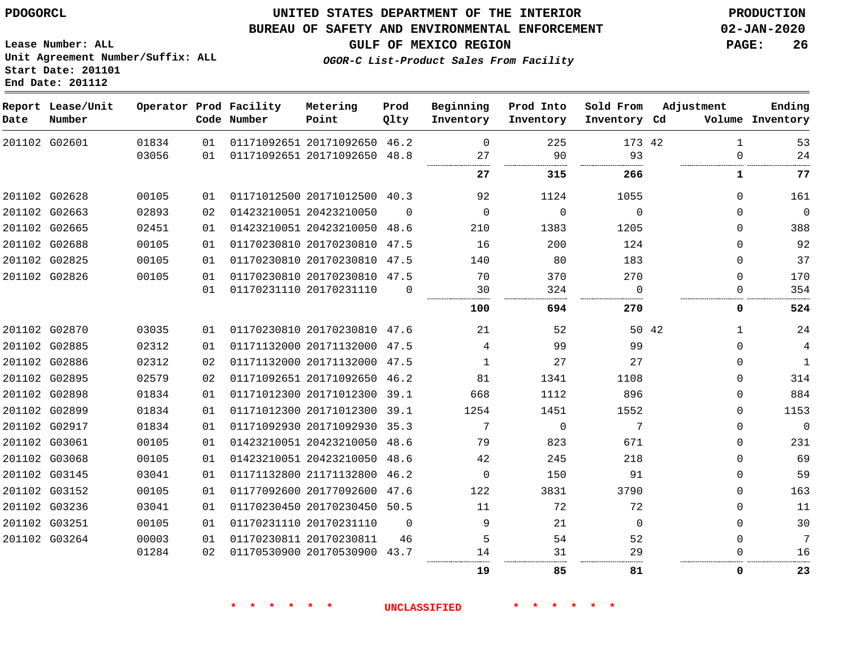#### **BUREAU OF SAFETY AND ENVIRONMENTAL ENFORCEMENT 02-JAN-2020**

**GULF OF MEXICO REGION PAGE: 26**

**Lease Number: ALL Unit Agreement Number/Suffix: ALL Start Date: 201101 End Date: 201112**

**OGOR-C List-Product Sales From Facility**

| Date | Report Lease/Unit<br>Number |                |          | Operator Prod Facility<br>Code Number | Metering<br>Point                                            | Prod<br>Qlty | Beginning<br>Inventory | Prod Into<br>Inventory | Sold From<br>Inventory Cd | Adjustment                  | Ending<br>Volume Inventory |
|------|-----------------------------|----------------|----------|---------------------------------------|--------------------------------------------------------------|--------------|------------------------|------------------------|---------------------------|-----------------------------|----------------------------|
|      | 201102 G02601               | 01834<br>03056 | 01<br>01 |                                       | 01171092651 20171092650 46.2<br>01171092651 20171092650 48.8 |              | $\mathbf 0$<br>27      | 225<br>90              | 173 42<br>93              | $\mathbf{1}$<br>$\mathbf 0$ | 53<br>24                   |
|      |                             |                |          |                                       |                                                              |              | 27                     | 315                    | 266                       | $\mathbf{1}$                | 77                         |
|      | 201102 G02628               | 00105          | 01       |                                       | 01171012500 20171012500 40.3                                 |              | 92                     | 1124                   | 1055                      | $\Omega$                    | 161                        |
|      | 201102 G02663               | 02893          | 02       |                                       | 01423210051 20423210050                                      | $\Omega$     | $\mathbf 0$            | $\mathbf 0$            | $\mathbf 0$               | $\Omega$                    | $\mathbf 0$                |
|      | 201102 G02665               | 02451          | 01       |                                       | 01423210051 20423210050 48.6                                 |              | 210                    | 1383                   | 1205                      | $\Omega$                    | 388                        |
|      | 201102 G02688               | 00105          | 01       |                                       | 01170230810 20170230810 47.5                                 |              | 16                     | 200                    | 124                       | $\Omega$                    | 92                         |
|      | 201102 G02825               | 00105          | 01       |                                       | 01170230810 20170230810 47.5                                 |              | 140                    | 80                     | 183                       | $\Omega$                    | 37                         |
|      | 201102 G02826               | 00105          | 01       |                                       | 01170230810 20170230810 47.5                                 |              | 70                     | 370                    | 270                       | $\Omega$                    | 170                        |
|      |                             |                | 01       |                                       | 01170231110 20170231110                                      | $\Omega$     | 30                     | 324                    | $\mathbf 0$               | 0                           | 354                        |
|      |                             |                |          |                                       |                                                              |              | 100                    | 694                    | 270                       | 0                           | 524                        |
|      | 201102 G02870               | 03035          | 01       |                                       | 01170230810 20170230810 47.6                                 |              | 21                     | 52                     |                           | 50 42<br>$\mathbf{1}$       | 24                         |
|      | 201102 G02885               | 02312          | 01       |                                       | 01171132000 20171132000 47.5                                 |              | 4                      | 99                     | 99                        | $\Omega$                    | 4                          |
|      | 201102 G02886               | 02312          | 02       |                                       | 01171132000 20171132000 47.5                                 |              | $\mathbf{1}$           | 27                     | 27                        | $\Omega$                    | $\mathbf{1}$               |
|      | 201102 G02895               | 02579          | 02       |                                       | 01171092651 20171092650 46.2                                 |              | 81                     | 1341                   | 1108                      | $\Omega$                    | 314                        |
|      | 201102 G02898               | 01834          | 01       |                                       | 01171012300 20171012300 39.1                                 |              | 668                    | 1112                   | 896                       | $\Omega$                    | 884                        |
|      | 201102 G02899               | 01834          | 01       |                                       | 01171012300 20171012300 39.1                                 |              | 1254                   | 1451                   | 1552                      | $\mathbf 0$                 | 1153                       |
|      | 201102 G02917               | 01834          | 01       |                                       | 01171092930 20171092930 35.3                                 |              | 7                      | $\mathbf 0$            | 7                         | $\Omega$                    | $\mathbf 0$                |
|      | 201102 G03061               | 00105          | 01       |                                       | 01423210051 20423210050 48.6                                 |              | 79                     | 823                    | 671                       | $\Omega$                    | 231                        |
|      | 201102 G03068               | 00105          | 01       |                                       | 01423210051 20423210050 48.6                                 |              | 42                     | 245                    | 218                       | $\Omega$                    | 69                         |
|      | 201102 G03145               | 03041          | 01       |                                       | 01171132800 21171132800 46.2                                 |              | $\mathbf 0$            | 150                    | 91                        | $\Omega$                    | 59                         |
|      | 201102 G03152               | 00105          | 01       |                                       | 01177092600 20177092600 47.6                                 |              | 122                    | 3831                   | 3790                      | $\Omega$                    | 163                        |
|      | 201102 G03236               | 03041          | 01       |                                       | 01170230450 20170230450 50.5                                 |              | 11                     | 72                     | 72                        | $\Omega$                    | 11                         |
|      | 201102 G03251               | 00105          | 01       |                                       | 01170231110 20170231110                                      | $\Omega$     | 9                      | 21                     | $\Omega$                  | $\Omega$                    | 30                         |
|      | 201102 G03264               | 00003          | 01       |                                       | 01170230811 20170230811                                      | 46           | 5                      | 54                     | 52                        | $\mathbf 0$                 | 7                          |
|      |                             | 01284          | 02       |                                       | 01170530900 20170530900 43.7                                 |              | 14                     | 31                     | 29                        | 0                           | 16                         |
|      |                             |                |          |                                       |                                                              |              | 19                     | 85                     | 81                        | 0                           | 23                         |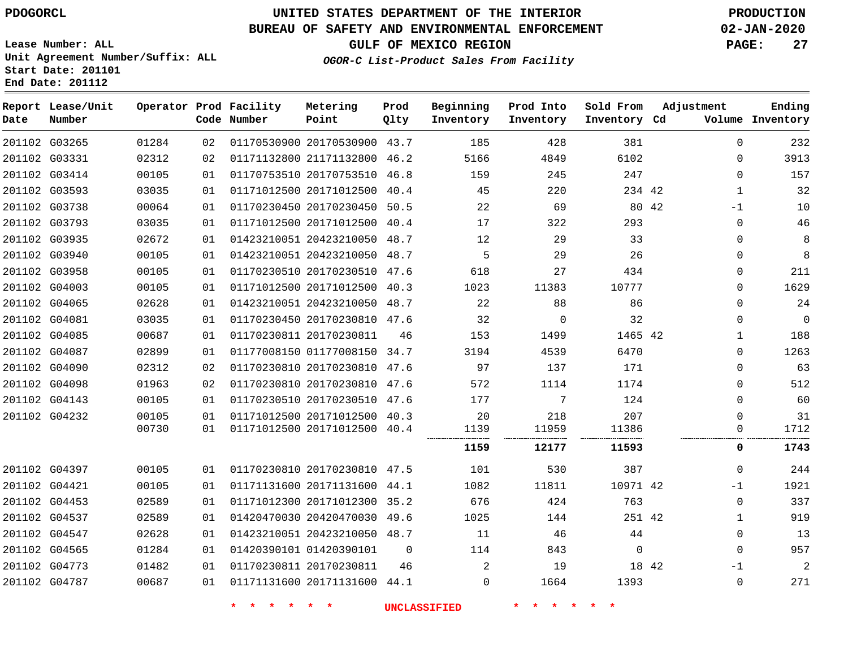### **BUREAU OF SAFETY AND ENVIRONMENTAL ENFORCEMENT 02-JAN-2020**

**Lease Number: ALL Unit Agreement Number/Suffix: ALL Start Date: 201101**

**End Date: 201112**

**GULF OF MEXICO REGION PAGE: 27**

**OGOR-C List-Product Sales From Facility**

| Date | Report Lease/Unit<br>Number |       |    | Operator Prod Facility<br>Code Number | Metering<br>Point            | Prod<br>Qlty | Beginning<br>Inventory | Prod Into<br>Inventory | Sold From<br>Inventory Cd | Adjustment   | Ending<br>Volume Inventory |
|------|-----------------------------|-------|----|---------------------------------------|------------------------------|--------------|------------------------|------------------------|---------------------------|--------------|----------------------------|
|      | 201102 G03265               | 01284 | 02 |                                       | 01170530900 20170530900 43.7 |              | 185                    | 428                    | 381                       | $\mathbf 0$  | 232                        |
|      | 201102 G03331               | 02312 | 02 |                                       | 01171132800 21171132800 46.2 |              | 5166                   | 4849                   | 6102                      | $\mathbf 0$  | 3913                       |
|      | 201102 G03414               | 00105 | 01 |                                       | 01170753510 20170753510 46.8 |              | 159                    | 245                    | 247                       | $\mathbf 0$  | 157                        |
|      | 201102 G03593               | 03035 | 01 |                                       | 01171012500 20171012500 40.4 |              | 45                     | 220                    | 234 42                    | $\mathbf{1}$ | 32                         |
|      | 201102 G03738               | 00064 | 01 |                                       | 01170230450 20170230450 50.5 |              | 22                     | 69                     | 80 42                     | $-1$         | 10                         |
|      | 201102 G03793               | 03035 | 01 |                                       | 01171012500 20171012500 40.4 |              | 17                     | 322                    | 293                       | $\mathbf 0$  | 46                         |
|      | 201102 G03935               | 02672 | 01 |                                       | 01423210051 20423210050 48.7 |              | 12                     | 29                     | 33                        | 0            | 8                          |
|      | 201102 G03940               | 00105 | 01 |                                       | 01423210051 20423210050 48.7 |              | 5                      | 29                     | 26                        | $\Omega$     | 8                          |
|      | 201102 G03958               | 00105 | 01 |                                       | 01170230510 20170230510 47.6 |              | 618                    | 27                     | 434                       | $\mathbf 0$  | 211                        |
|      | 201102 G04003               | 00105 | 01 |                                       | 01171012500 20171012500 40.3 |              | 1023                   | 11383                  | 10777                     | $\mathbf 0$  | 1629                       |
|      | 201102 G04065               | 02628 | 01 |                                       | 01423210051 20423210050 48.7 |              | 22                     | 88                     | 86                        | $\Omega$     | 24                         |
|      | 201102 G04081               | 03035 | 01 |                                       | 01170230450 20170230810 47.6 |              | 32                     | $\mathbf 0$            | 32                        | $\mathbf 0$  | 0                          |
|      | 201102 G04085               | 00687 | 01 |                                       | 01170230811 20170230811      | 46           | 153                    | 1499                   | 1465 42                   | $\mathbf{1}$ | 188                        |
|      | 201102 G04087               | 02899 | 01 |                                       | 01177008150 01177008150 34.7 |              | 3194                   | 4539                   | 6470                      | $\Omega$     | 1263                       |
|      | 201102 G04090               | 02312 | 02 |                                       | 01170230810 20170230810 47.6 |              | 97                     | 137                    | 171                       | $\Omega$     | 63                         |
|      | 201102 G04098               | 01963 | 02 |                                       | 01170230810 20170230810 47.6 |              | 572                    | 1114                   | 1174                      | $\mathbf 0$  | 512                        |
|      | 201102 G04143               | 00105 | 01 |                                       | 01170230510 20170230510 47.6 |              | 177                    | 7                      | 124                       | $\Omega$     | 60                         |
|      | 201102 G04232               | 00105 | 01 |                                       | 01171012500 20171012500 40.3 |              | 20                     | 218                    | 207                       | 0            | 31                         |
|      |                             | 00730 | 01 |                                       | 01171012500 20171012500 40.4 |              | 1139                   | 11959                  | 11386                     | 0            | 1712                       |
|      |                             |       |    |                                       |                              |              | 1159                   | 12177                  | 11593                     | 0            | 1743                       |
|      | 201102 G04397               | 00105 | 01 |                                       | 01170230810 20170230810 47.5 |              | 101                    | 530                    | 387                       | $\Omega$     | 244                        |
|      | 201102 G04421               | 00105 | 01 |                                       | 01171131600 20171131600 44.1 |              | 1082                   | 11811                  | 10971 42                  | $-1$         | 1921                       |
|      | 201102 G04453               | 02589 | 01 |                                       | 01171012300 20171012300 35.2 |              | 676                    | 424                    | 763                       | 0            | 337                        |
|      | 201102 G04537               | 02589 | 01 |                                       | 01420470030 20420470030 49.6 |              | 1025                   | 144                    | 251 42                    | $\mathbf{1}$ | 919                        |
|      | 201102 G04547               | 02628 | 01 |                                       | 01423210051 20423210050 48.7 |              | 11                     | 46                     | 44                        | $\mathbf 0$  | 13                         |
|      | 201102 G04565               | 01284 | 01 |                                       | 01420390101 01420390101      | 0            | 114                    | 843                    | 0                         | $\mathbf{0}$ | 957                        |
|      | 201102 G04773               | 01482 | 01 |                                       | 01170230811 20170230811      | 46           | $\overline{a}$         | 19                     | 18 42                     | $-1$         | 2                          |
|      | 201102 G04787               | 00687 | 01 |                                       | 01171131600 20171131600 44.1 |              | $\Omega$               | 1664                   | 1393                      | $\mathbf 0$  | 271                        |
|      |                             |       |    |                                       |                              |              |                        |                        |                           |              |                            |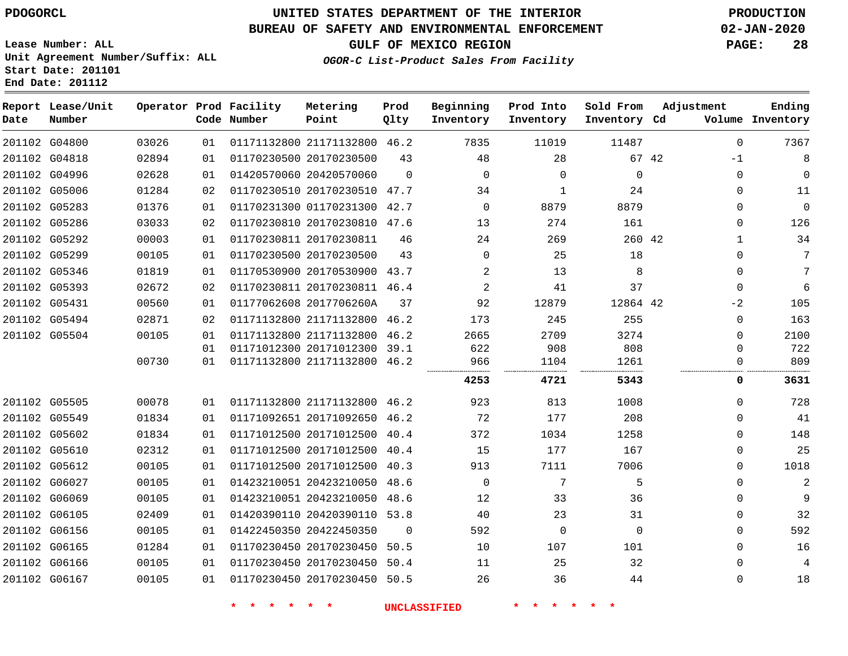### **BUREAU OF SAFETY AND ENVIRONMENTAL ENFORCEMENT 02-JAN-2020**

**OGOR-C List-Product Sales From Facility**

**GULF OF MEXICO REGION PAGE: 28**

**Lease Number: ALL Unit Agreement Number/Suffix: ALL Start Date: 201101 End Date: 201112**

| Date          | Report Lease/Unit<br>Number |       |    | Operator Prod Facility<br>Code Number | Metering<br>Point            | Prod<br>Qlty | Beginning<br>Inventory | Prod Into<br>Inventory | Sold From<br>Inventory Cd | Adjustment    | Ending<br>Volume Inventory |
|---------------|-----------------------------|-------|----|---------------------------------------|------------------------------|--------------|------------------------|------------------------|---------------------------|---------------|----------------------------|
|               | 201102 G04800               | 03026 | 01 |                                       | 01171132800 21171132800 46.2 |              | 7835                   | 11019                  | 11487                     | $\Omega$      | 7367                       |
|               | 201102 G04818               | 02894 | 01 |                                       | 01170230500 20170230500      | 43           | 48                     | 28                     |                           | 67 42<br>$-1$ | 8                          |
|               | 201102 G04996               | 02628 | 01 |                                       | 01420570060 20420570060      | $\Omega$     | $\Omega$               | $\Omega$               | $\Omega$                  | 0             | $\mathbf 0$                |
|               | 201102 G05006               | 01284 | 02 |                                       | 01170230510 20170230510 47.7 |              | 34                     | 1                      | 24                        | 0             | 11                         |
|               | 201102 G05283               | 01376 | 01 |                                       | 01170231300 01170231300 42.7 |              | $\Omega$               | 8879                   | 8879                      | $\Omega$      | $\mathbf 0$                |
|               | 201102 G05286               | 03033 | 02 |                                       | 01170230810 20170230810 47.6 |              | 13                     | 274                    | 161                       | 0             | 126                        |
|               | 201102 G05292               | 00003 | 01 |                                       | 01170230811 20170230811      | 46           | 24                     | 269                    | 260 42                    | 1             | 34                         |
|               | 201102 G05299               | 00105 | 01 |                                       | 01170230500 20170230500      | 43           | $\Omega$               | 25                     | 18                        | 0             | 7                          |
|               | 201102 G05346               | 01819 | 01 |                                       | 01170530900 20170530900 43.7 |              | $\overline{2}$         | 13                     | 8                         | 0             | 7                          |
|               | 201102 G05393               | 02672 | 02 |                                       | 01170230811 20170230811 46.4 |              | 2                      | 41                     | 37                        | $\Omega$      | 6                          |
| 201102 G05431 |                             | 00560 | 01 |                                       | 01177062608 2017706260A      | 37           | 92                     | 12879                  | 12864 42                  | $-2$          | 105                        |
|               | 201102 G05494               | 02871 | 02 |                                       | 01171132800 21171132800 46.2 |              | 173                    | 245                    | 255                       | 0             | 163                        |
|               | 201102 G05504               | 00105 | 01 |                                       | 01171132800 21171132800 46.2 |              | 2665                   | 2709                   | 3274                      | 0             | 2100                       |
|               |                             |       | 01 |                                       | 01171012300 20171012300 39.1 |              | 622                    | 908                    | 808                       | 0             | 722                        |
|               |                             | 00730 | 01 |                                       | 01171132800 21171132800 46.2 |              | 966                    | 1104                   | 1261                      | 0             | 809                        |
|               |                             |       |    |                                       |                              |              | 4253                   | 4721                   | 5343                      | 0             | 3631                       |
|               | 201102 G05505               | 00078 | 01 |                                       | 01171132800 21171132800 46.2 |              | 923                    | 813                    | 1008                      | $\Omega$      | 728                        |
|               | 201102 G05549               | 01834 | 01 |                                       | 01171092651 20171092650 46.2 |              | 72                     | 177                    | 208                       | $\Omega$      | 41                         |
|               | 201102 G05602               | 01834 | 01 |                                       | 01171012500 20171012500 40.4 |              | 372                    | 1034                   | 1258                      | 0             | 148                        |
|               | 201102 G05610               | 02312 | 01 |                                       | 01171012500 20171012500 40.4 |              | 15                     | 177                    | 167                       | 0             | 25                         |
|               | 201102 G05612               | 00105 | 01 |                                       | 01171012500 20171012500      | 40.3         | 913                    | 7111                   | 7006                      | 0             | 1018                       |
|               | 201102 G06027               | 00105 | 01 |                                       | 01423210051 20423210050 48.6 |              | $\Omega$               | 7                      | 5                         | $\Omega$      | $\overline{2}$             |
|               | 201102 G06069               | 00105 | 01 |                                       | 01423210051 20423210050 48.6 |              | 12                     | 33                     | 36                        | 0             | 9                          |
|               | 201102 G06105               | 02409 | 01 |                                       | 01420390110 20420390110 53.8 |              | 40                     | 23                     | 31                        | 0             | 32                         |
|               | 201102 G06156               | 00105 | 01 |                                       | 01422450350 20422450350      | $\Omega$     | 592                    | $\mathbf 0$            | $\Omega$                  | 0             | 592                        |
|               | 201102 G06165               | 01284 | 01 |                                       | 01170230450 20170230450      | 50.5         | 10                     | 107                    | 101                       | 0             | 16                         |
|               | 201102 G06166               | 00105 | 01 |                                       | 01170230450 20170230450 50.4 |              | 11                     | 25                     | 32                        | 0             | 4                          |
| 201102 G06167 |                             | 00105 | 01 |                                       | 01170230450 20170230450 50.5 |              | 26                     | 36                     | 44                        | 0             | 18                         |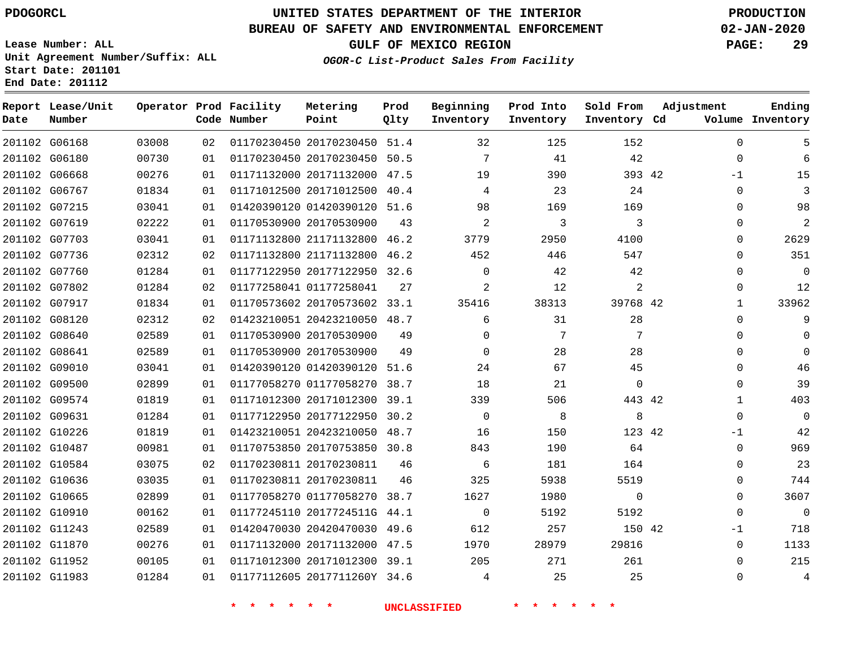**Date**

**End Date: 201112**

**Report Lease/Unit**

**Number**

# **UNITED STATES DEPARTMENT OF THE INTERIOR PDOGORCL PRODUCTION**

#### **BUREAU OF SAFETY AND ENVIRONMENTAL ENFORCEMENT 02-JAN-2020**

**Lease Number: ALL Unit Agreement Number/Suffix: ALL Start Date: 201101**

**Operator Prod Facility**

**Code Number**

**Prod Qlty**

**GULF OF MEXICO REGION PAGE: 29**

**Inventory Cd Volume**

**Adjustment**

**Ending**

**OGOR-C List-Product Sales From Facility**

**Beginning Inventory** **Prod Into Inventory** **Sold From Inventory**

| 201102 G06168 | 03008 | 02 |                         | 01170230450 20170230450 51.4 |      | 32             | 125   | 152      |  |
|---------------|-------|----|-------------------------|------------------------------|------|----------------|-------|----------|--|
| 201102 G06180 | 00730 | 01 |                         | 01170230450 20170230450      | 50.5 | 7              | 41    | 42       |  |
| 201102 G06668 | 00276 | 01 |                         | 01171132000 20171132000 47.5 |      | 19             | 390   | 393 42   |  |
| 201102 G06767 | 01834 | 01 |                         | 01171012500 20171012500 40.4 |      | 4              | 23    | 24       |  |
| 201102 G07215 | 03041 | 01 |                         | 01420390120 01420390120 51.6 |      | 98             | 169   | 169      |  |
| 201102 G07619 | 02222 | 01 |                         | 01170530900 20170530900      | 43   | 2              |       | 3        |  |
| 201102 G07703 | 03041 | 01 |                         | 01171132800 21171132800 46.2 |      | 3779           | 2950  | 4100     |  |
| 201102 G07736 | 02312 | 02 |                         | 01171132800 21171132800 46.2 |      | 452            | 446   | 547      |  |
| 201102 G07760 | 01284 | 01 |                         | 01177122950 20177122950 32.6 |      | 0              | 42    | 42       |  |
| 201102 G07802 | 01284 | 02 | 01177258041 01177258041 |                              | 2.7  | $\overline{2}$ | 12    | 2        |  |
| 201102 G07917 | 01834 | 01 |                         | 01170573602 20170573602 33.1 |      | 35416          | 38313 | 39768 42 |  |
| 201102 G08120 | 02312 | 02 |                         | 01423210051 20423210050 48.7 |      | 6              | 31    | 28       |  |

**Metering Point**

|               | 201102 G07802 | 01284 | 02 | 01177258041 01177258041      | 2.7  |          | 12    |          |          | 12           |
|---------------|---------------|-------|----|------------------------------|------|----------|-------|----------|----------|--------------|
| 201102 G07917 |               | 01834 | 01 | 01170573602 20170573602 33.1 |      | 35416    | 38313 | 39768 42 |          | 33962        |
| 201102 G08120 |               | 02312 | 02 | 01423210051 20423210050 48.7 |      | 6        | 31    | 28       | $\Omega$ | 9            |
| 201102 G08640 |               | 02589 | 01 | 01170530900 20170530900      | 49   | $\Omega$ | 7     |          | $\Omega$ | $\Omega$     |
| 201102 G08641 |               | 02589 | 01 | 01170530900 20170530900      | 49   | $\Omega$ | 28    | 28       | $\Omega$ | $\mathbf{0}$ |
| 201102 G09010 |               | 03041 | 01 | 01420390120 01420390120 51.6 |      | 24       | 67    | 45       | $\Omega$ | 46           |
| 201102 G09500 |               | 02899 | 01 | 01177058270 01177058270 38.7 |      | 18       | 21    | $\Omega$ |          | 39           |
| 201102 G09574 |               | 01819 | 01 | 01171012300 20171012300 39.1 |      | 339      | 506   | 443 42   |          | 403          |
| 201102 G09631 |               | 01284 | 01 | 01177122950 20177122950 30.2 |      | $\Omega$ | 8     | 8        |          | $\Omega$     |
| 201102 G10226 |               | 01819 | 01 | 01423210051 20423210050 48.7 |      | 16       | 150   | 123 42   | $-1$     | 42           |
| 201102 G10487 |               | 00981 | 01 | 01170753850 20170753850 30.8 |      | 843      | 190   | 64       | 0        | 969          |
| 201102 G10584 |               | 03075 | 02 | 01170230811 20170230811      | 46   | 6        | 181   | 164      |          | 23           |
| 201102 G10636 |               | 03035 | 01 | 01170230811 20170230811      | 46   | 325      | 5938  | 5519     |          | 744          |
| 201102 G10665 |               | 02899 | 01 | 01177058270 01177058270 38.7 |      | 1627     | 1980  | $\Omega$ | $\Omega$ | 3607         |
| 201102 G10910 |               | 00162 | 01 | 01177245110 2017724511G 44.1 |      | $\Omega$ | 5192  | 5192     |          | $\mathbf 0$  |
| 201102 G11243 |               | 02589 | 01 | 01420470030 20420470030 49.6 |      | 612      | 257   | 150 42   | $-1$     | 718          |
| 201102 G11870 |               | 00276 | 01 | 01171132000 20171132000      | 47.5 | 1970     | 28979 | 29816    | $\Omega$ | 1133         |
| 201102 G11952 |               | 00105 | 01 | 01171012300 20171012300 39.1 |      | 205      | 271   | 261      | $\Omega$ | 215          |
| 201102 G11983 |               | 01284 | 01 | 01177112605 2017711260Y 34.6 |      |          | 25    | 25       | $\Omega$ | 4            |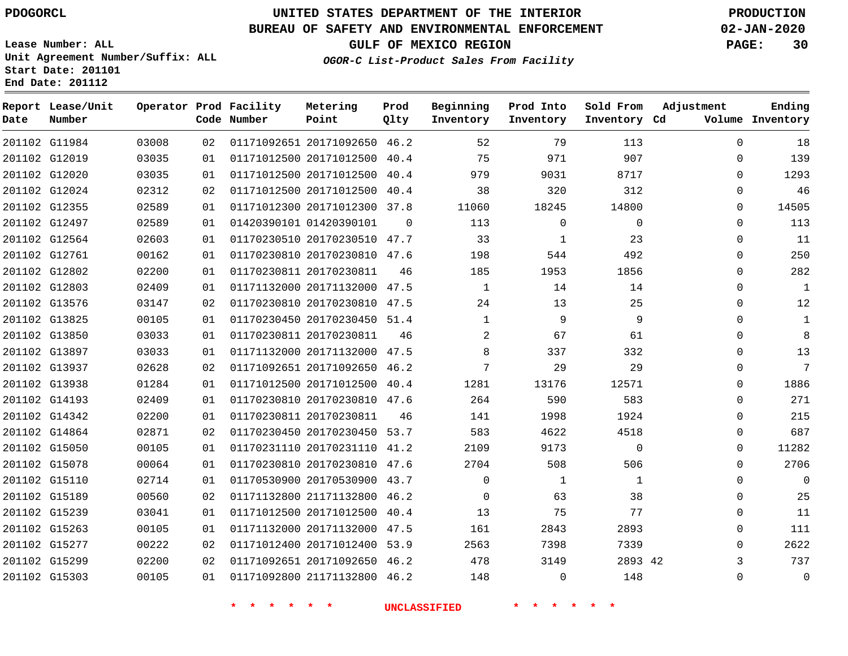**Date**

**Report Lease/Unit**

 G15189 G15239 G15263 G15277 G15299 G15303

### **UNITED STATES DEPARTMENT OF THE INTERIOR PDOGORCL PRODUCTION**

**Prod**

#### **BUREAU OF SAFETY AND ENVIRONMENTAL ENFORCEMENT 02-JAN-2020**

**Lease Number: ALL Unit Agreement Number/Suffix: ALL Start Date: 201101 End Date: 201112**

**Operator Prod Facility**

**OGOR-C List-Product Sales From Facility**

**Beginning**

**Prod Into Inventory**

**Sold From Inventory**

**GULF OF MEXICO REGION PAGE: 30**

  $\Omega$  $\Omega$  $\Omega$  $\Omega$  $\Omega$  $\Omega$  $\Omega$  $\Omega$  $\Omega$  $\Omega$  $\Omega$  $\Omega$   $\Omega$  $\Omega$  $\Omega$  $\cap$  $\Omega$  $\Omega$   $\Omega$  $\Omega$   $\Omega$  $\Omega$   $\Omega$ 

**Adjustment**

**Ending**

| Date | Number        |       |    | Code Number             | Point                        | Qlty     | Inventory    | Inventory | Inventory Cd |             | Volume Inventory |
|------|---------------|-------|----|-------------------------|------------------------------|----------|--------------|-----------|--------------|-------------|------------------|
|      | 201102 G11984 | 03008 | 02 |                         | 01171092651 20171092650 46.2 |          | 52           | 79        | 113          | $\Omega$    | 18               |
|      | 201102 G12019 | 03035 | 01 |                         | 01171012500 20171012500 40.4 |          | 75           | 971       | 907          | $\Omega$    | 139              |
|      | 201102 G12020 | 03035 | 01 |                         | 01171012500 20171012500 40.4 |          | 979          | 9031      | 8717         | $\Omega$    | 1293             |
|      | 201102 G12024 | 02312 | 02 |                         | 01171012500 20171012500 40.4 |          | 38           | 320       | 312          | $\Omega$    | 46               |
|      | 201102 G12355 | 02589 | 01 |                         | 01171012300 20171012300 37.8 |          | 11060        | 18245     | 14800        | $\Omega$    | 14505            |
|      | 201102 G12497 | 02589 | 01 |                         | 01420390101 01420390101      | $\Omega$ | 113          | 0         | $\Omega$     | $\Omega$    | 113              |
|      | 201102 G12564 | 02603 | 01 |                         | 01170230510 20170230510 47.7 |          | 33           |           | 23           | $\Omega$    | 11               |
|      | 201102 G12761 | 00162 | 01 |                         | 01170230810 20170230810 47.6 |          | 198          | 544       | 492          | 0           | 250              |
|      | 201102 G12802 | 02200 | 01 |                         | 01170230811 20170230811      | 46       | 185          | 1953      | 1856         | $\Omega$    | 282              |
|      | 201102 G12803 | 02409 | 01 |                         | 01171132000 20171132000 47.5 |          | 1            | 14        | 14           | $\Omega$    | 1                |
|      | 201102 G13576 | 03147 | 02 |                         | 01170230810 20170230810      | 47.5     | 24           | 13        | 25           | $\Omega$    | 12               |
|      | 201102 G13825 | 00105 | 01 |                         | 01170230450 20170230450 51.4 |          | $\mathbf{1}$ | 9         | 9            | $\Omega$    | 1                |
|      | 201102 G13850 | 03033 | 01 | 01170230811 20170230811 |                              | 46       | 2            | 67        | 61           | $\Omega$    | 8                |
|      | 201102 G13897 | 03033 | 01 |                         | 01171132000 20171132000 47.5 |          | 8            | 337       | 332          | 0           | 13               |
|      | 201102 G13937 | 02628 | 02 |                         | 01171092651 20171092650 46.2 |          | 7            | 29        | 29           | $\Omega$    | 7                |
|      | 201102 G13938 | 01284 | 01 |                         | 01171012500 20171012500      | 40.4     | 1281         | 13176     | 12571        | $\Omega$    | 1886             |
|      | 201102 G14193 | 02409 | 01 |                         | 01170230810 20170230810 47.6 |          | 264          | 590       | 583          | $\Omega$    | 271              |
|      | 201102 G14342 | 02200 | 01 | 01170230811 20170230811 |                              | 46       | 141          | 1998      | 1924         | $\Omega$    | 215              |
|      | 201102 G14864 | 02871 | 02 |                         | 01170230450 20170230450 53.7 |          | 583          | 4622      | 4518         | $\Omega$    | 687              |
|      | 201102 G15050 | 00105 | 01 |                         | 01170231110 20170231110 41.2 |          | 2109         | 9173      | 0            | $\Omega$    | 11282            |
|      | 201102 G15078 | 00064 | 01 |                         | 01170230810 20170230810      | 47.6     | 2704         | 508       | 506          | $\Omega$    | 2706             |
|      | 201102 G15110 | 02714 | 01 |                         | 01170530900 20170530900 43.7 |          | $\Omega$     |           |              | $\mathbf 0$ | 0                |
|      |               |       |    |                         |                              |          |              |           |              |             |                  |

 21171132800 46.2 20171012500 40.4 20171132000 47.5 20171012400 53.9 20171092650 46.2 21171132800 46.2

**Metering Point**

**\* \* \* \* \* \* UNCLASSIFIED \* \* \* \* \* \***

42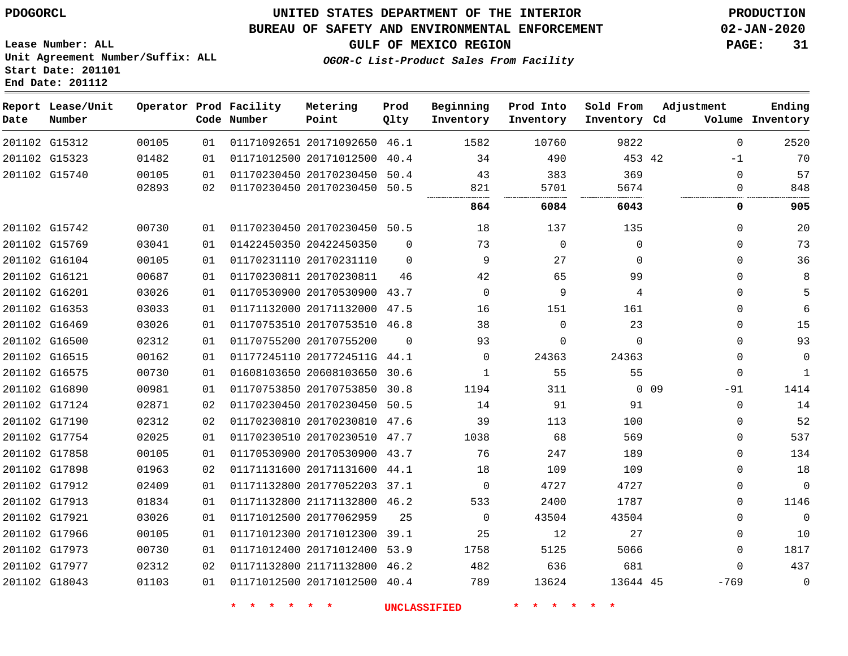#### **BUREAU OF SAFETY AND ENVIRONMENTAL ENFORCEMENT 02-JAN-2020**

**Lease Number: ALL Unit Agreement Number/Suffix: ALL Start Date: 201101 End Date: 201112**

**GULF OF MEXICO REGION PAGE: 31**

**OGOR-C List-Product Sales From Facility**

| Date          | Report Lease/Unit<br>Number |       |    | Operator Prod Facility<br>Code Number | Metering<br>Point            | Prod<br>Qlty | Beginning<br>Inventory | Prod Into<br>Inventory | Sold From<br>Inventory Cd | Adjustment   | Ending<br>Volume Inventory |
|---------------|-----------------------------|-------|----|---------------------------------------|------------------------------|--------------|------------------------|------------------------|---------------------------|--------------|----------------------------|
|               | 201102 G15312               | 00105 | 01 |                                       | 01171092651 20171092650      | 46.1         | 1582                   | 10760                  | 9822                      | $\Omega$     | 2520                       |
|               | 201102 G15323               | 01482 | 01 |                                       | 01171012500 20171012500      | 40.4         | 34                     | 490                    | 453 42                    | $-1$         | 70                         |
|               | 201102 G15740               | 00105 | 01 |                                       | 01170230450 20170230450      | 50.4         | 43                     | 383                    | 369                       | $\mathbf 0$  | 57                         |
|               |                             | 02893 | 02 |                                       | 01170230450 20170230450 50.5 |              | 821                    | 5701                   | 5674                      | 0            | 848                        |
|               |                             |       |    |                                       |                              |              | 864                    | 6084                   | 6043                      | 0            | 905                        |
|               | 201102 G15742               | 00730 | 01 |                                       | 01170230450 20170230450 50.5 |              | 18                     | 137                    | 135                       | $\mathbf 0$  | 20                         |
|               | 201102 G15769               | 03041 | 01 |                                       | 01422450350 20422450350      | $\Omega$     | 73                     | $\mathbf 0$            | 0                         | $\mathbf 0$  | 73                         |
|               | 201102 G16104               | 00105 | 01 |                                       | 01170231110 20170231110      | $\Omega$     | 9                      | 27                     | $\Omega$                  | $\mathbf 0$  | 36                         |
| 201102 G16121 |                             | 00687 | 01 |                                       | 01170230811 20170230811      | 46           | 42                     | 65                     | 99                        | $\mathbf 0$  | 8                          |
| 201102 G16201 |                             | 03026 | 01 |                                       | 01170530900 20170530900 43.7 |              | $\mathbf{0}$           | 9                      | 4                         | $\mathbf 0$  | 5                          |
|               | 201102 G16353               | 03033 | 01 |                                       | 01171132000 20171132000      | 47.5         | 16                     | 151                    | 161                       | $\mathbf 0$  | 6                          |
|               | 201102 G16469               | 03026 | 01 |                                       | 01170753510 20170753510 46.8 |              | 38                     | $\Omega$               | 23                        | $\mathbf 0$  | 15                         |
|               | 201102 G16500               | 02312 | 01 |                                       | 01170755200 20170755200      | 0            | 93                     | 0                      | $\Omega$                  | $\mathbf 0$  | 93                         |
|               | 201102 G16515               | 00162 | 01 |                                       | 01177245110 2017724511G 44.1 |              | 0                      | 24363                  | 24363                     | $\mathbf 0$  | $\mathbf 0$                |
|               | 201102 G16575               | 00730 | 01 |                                       | 01608103650 20608103650      | 30.6         | 1                      | 55                     | 55                        | $\mathbf 0$  | 1                          |
|               | 201102 G16890               | 00981 | 01 |                                       | 01170753850 20170753850      | 30.8         | 1194                   | 311                    |                           | 0 0 9<br>-91 | 1414                       |
|               | 201102 G17124               | 02871 | 02 |                                       | 01170230450 20170230450 50.5 |              | 14                     | 91                     | 91                        | $\mathbf 0$  | 14                         |
|               | 201102 G17190               | 02312 | 02 |                                       | 01170230810 20170230810      | 47.6         | 39                     | 113                    | 100                       | 0            | 52                         |
|               | 201102 G17754               | 02025 | 01 |                                       | 01170230510 20170230510 47.7 |              | 1038                   | 68                     | 569                       | $\mathbf 0$  | 537                        |
|               | 201102 G17858               | 00105 | 01 |                                       | 01170530900 20170530900 43.7 |              | 76                     | 247                    | 189                       | $\Omega$     | 134                        |
|               | 201102 G17898               | 01963 | 02 |                                       | 01171131600 20171131600 44.1 |              | 18                     | 109                    | 109                       | $\Omega$     | 18                         |
|               | 201102 G17912               | 02409 | 01 |                                       | 01171132800 20177052203      | 37.1         | 0                      | 4727                   | 4727                      | 0            | $\mathbf 0$                |
|               | 201102 G17913               | 01834 | 01 |                                       | 01171132800 21171132800      | 46.2         | 533                    | 2400                   | 1787                      | $\mathbf 0$  | 1146                       |
| 201102 G17921 |                             | 03026 | 01 |                                       | 01171012500 20177062959      | 25           | $\Omega$               | 43504                  | 43504                     | 0            | $\overline{0}$             |
|               | 201102 G17966               | 00105 | 01 |                                       | 01171012300 20171012300      | 39.1         | 25                     | 12                     | 27                        | 0            | 10                         |
|               | 201102 G17973               | 00730 | 01 |                                       | 01171012400 20171012400      | 53.9         | 1758                   | 5125                   | 5066                      | 0            | 1817                       |
|               | 201102 G17977               | 02312 | 02 |                                       | 01171132800 21171132800      | 46.2         | 482                    | 636                    | 681                       | $\Omega$     | 437                        |
|               | 201102 G18043               | 01103 | 01 |                                       | 01171012500 20171012500 40.4 |              | 789                    | 13624                  | 13644 45                  | $-769$       | $\mathbf 0$                |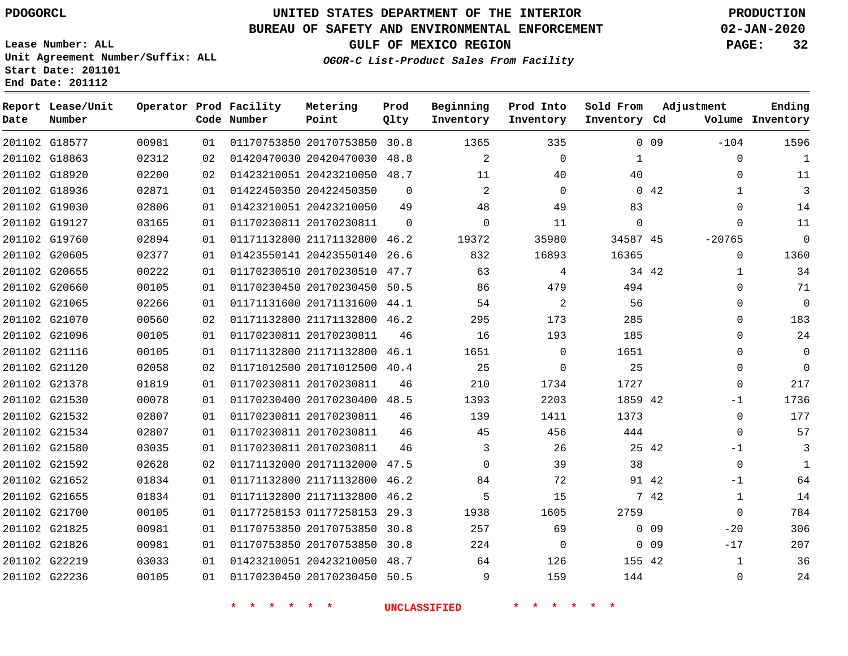**Start Date: 201101 End Date: 201112**

# **UNITED STATES DEPARTMENT OF THE INTERIOR PDOGORCL PRODUCTION**

### **BUREAU OF SAFETY AND ENVIRONMENTAL ENFORCEMENT 02-JAN-2020**

**Lease Number: ALL Unit Agreement Number/Suffix: ALL**

**GULF OF MEXICO REGION PAGE: 32**

**OGOR-C List-Product Sales From Facility**

| Date          | Report Lease/Unit<br>Number |       |    | Operator Prod Facility<br>Code Number | Metering<br>Point            | Prod<br>Qlty | Beginning<br>Inventory | Prod Into<br>Inventory | Sold From<br>Inventory Cd | Adjustment      |              | Ending<br>Volume Inventory |
|---------------|-----------------------------|-------|----|---------------------------------------|------------------------------|--------------|------------------------|------------------------|---------------------------|-----------------|--------------|----------------------------|
|               | 201102 G18577               | 00981 | 01 |                                       | 01170753850 20170753850 30.8 |              | 1365                   | 335                    |                           | 0.09            | $-104$       | 1596                       |
| 201102 G18863 |                             | 02312 | 02 |                                       | 01420470030 20420470030 48.8 |              | $\overline{2}$         | $\mathbf 0$            | $\mathbf{1}$              |                 | $\mathbf 0$  | $\mathbf{1}$               |
|               | 201102 G18920               | 02200 | 02 |                                       | 01423210051 20423210050 48.7 |              | 11                     | 40                     | 40                        |                 | $\Omega$     | 11                         |
| 201102 G18936 |                             | 02871 | 01 |                                       | 01422450350 20422450350      | $\Omega$     | 2                      | $\Omega$               |                           | 042             | $\mathbf{1}$ | $\mathbf{3}$               |
|               | 201102 G19030               | 02806 | 01 |                                       | 01423210051 20423210050      | 49           | 48                     | 49                     | 83                        |                 | $\Omega$     | 14                         |
| 201102 G19127 |                             | 03165 | 01 |                                       | 01170230811 20170230811      | $\Omega$     | $\Omega$               | 11                     | $\mathbf 0$               |                 | $\Omega$     | 11                         |
|               | 201102 G19760               | 02894 | 01 |                                       | 01171132800 21171132800      | 46.2         | 19372                  | 35980                  | 34587 45                  |                 | $-20765$     | $\mathbf 0$                |
| 201102 G20605 |                             | 02377 | 01 |                                       | 01423550141 20423550140      | 26.6         | 832                    | 16893                  | 16365                     |                 | $\mathbf 0$  | 1360                       |
| 201102 G20655 |                             | 00222 | 01 |                                       | 01170230510 20170230510      | 47.7         | 63                     | 4                      |                           | 34 42           | $\mathbf{1}$ | 34                         |
| 201102 G20660 |                             | 00105 | 01 |                                       | 01170230450 20170230450      | 50.5         | 86                     | 479                    | 494                       |                 | $\mathbf 0$  | 71                         |
| 201102 G21065 |                             | 02266 | 01 |                                       | 01171131600 20171131600      | 44.1         | 54                     | 2                      | 56                        |                 | $\Omega$     | $\Omega$                   |
| 201102 G21070 |                             | 00560 | 02 |                                       | 01171132800 21171132800      | 46.2         | 295                    | 173                    | 285                       |                 | $\mathbf 0$  | 183                        |
| 201102 G21096 |                             | 00105 | 01 |                                       | 01170230811 20170230811      | 46           | 16                     | 193                    | 185                       |                 | $\Omega$     | 24                         |
| 201102 G21116 |                             | 00105 | 01 |                                       | 01171132800 21171132800 46.1 |              | 1651                   | $\Omega$               | 1651                      |                 | $\mathbf 0$  | $\mathbf 0$                |
| 201102 G21120 |                             | 02058 | 02 |                                       | 01171012500 20171012500 40.4 |              | 25                     | $\Omega$               | 25                        |                 | $\Omega$     | $\Omega$                   |
| 201102 G21378 |                             | 01819 | 01 |                                       | 01170230811 20170230811      | 46           | 210                    | 1734                   | 1727                      |                 | $\mathbf 0$  | 217                        |
| 201102 G21530 |                             | 00078 | 01 |                                       | 01170230400 20170230400 48.5 |              | 1393                   | 2203                   | 1859 42                   |                 | -1           | 1736                       |
|               | 201102 G21532               | 02807 | 01 |                                       | 01170230811 20170230811      | 46           | 139                    | 1411                   | 1373                      |                 | $\mathbf 0$  | 177                        |
| 201102 G21534 |                             | 02807 | 01 |                                       | 01170230811 20170230811      | 46           | 45                     | 456                    | 444                       |                 | $\mathbf 0$  | 57                         |
|               | 201102 G21580               | 03035 | 01 |                                       | 01170230811 20170230811      | 46           | 3                      | 26                     | 25 42                     |                 | $-1$         | 3                          |
|               | 201102 G21592               | 02628 | 02 |                                       | 01171132000 20171132000 47.5 |              | $\Omega$               | 39                     | 38                        |                 | $\mathbf 0$  | $\mathbf{1}$               |
|               | 201102 G21652               | 01834 | 01 |                                       | 01171132800 21171132800      | 46.2         | 84                     | 72                     | 91 42                     |                 | $-1$         | 64                         |
| 201102 G21655 |                             | 01834 | 01 |                                       | 01171132800 21171132800      | 46.2         | 5                      | 15                     |                           | 7 42            | $\mathbf{1}$ | 14                         |
| 201102 G21700 |                             | 00105 | 01 |                                       | 01177258153 01177258153      | 29.3         | 1938                   | 1605                   | 2759                      |                 | $\Omega$     | 784                        |
| 201102 G21825 |                             | 00981 | 01 |                                       | 01170753850 20170753850      | 30.8         | 257                    | 69                     |                           | $0$ 09          | $-20$        | 306                        |
| 201102 G21826 |                             | 00981 | 01 |                                       | 01170753850 20170753850      | 30.8         | 224                    | $\Omega$               |                           | 0 <sub>09</sub> | $-17$        | 207                        |
| 201102 G22219 |                             | 03033 | 01 |                                       | 01423210051 20423210050      | 48.7         | 64                     | 126                    | 155 42                    |                 | 1            | 36                         |
| 201102 G22236 |                             | 00105 | 01 |                                       | 01170230450 20170230450      | 50.5         | 9                      | 159                    | 144                       |                 | $\mathbf 0$  | 24                         |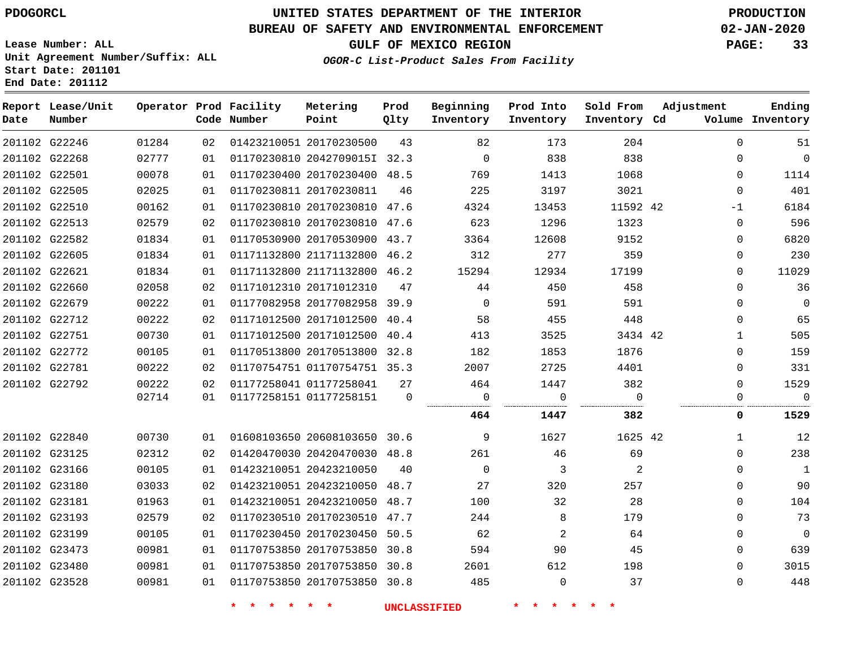**Date**

**Report Lease/Unit**

**Number**

# **UNITED STATES DEPARTMENT OF THE INTERIOR PDOGORCL PRODUCTION**

#### **BUREAU OF SAFETY AND ENVIRONMENTAL ENFORCEMENT 02-JAN-2020**

**Lease Number: ALL Unit Agreement Number/Suffix: ALL Start Date: 201101 End Date: 201112**

**OGOR-C List-Product Sales From Facility**

**GULF OF MEXICO REGION PAGE: 33**

**Inventory Cd Volume**

**Adjustment**

**Sold From Inventory** **Ending**

| Operator Prod Facility |      | Code Number             | Metering<br>Point            | Prod<br>Qlty | Beginning<br>Inventory | Prod Into<br>Inventory |
|------------------------|------|-------------------------|------------------------------|--------------|------------------------|------------------------|
| 01284                  | O 2. |                         | 01423210051 20170230500      | 43           | 82                     | 173                    |
| 02777                  | O 1  |                         | 01170230810 20427090151 32.3 |              | 0                      | 838                    |
| 00078                  | 01   |                         | 01170230400 20170230400      | 48.5         | 769                    | 1413                   |
| 02025                  | O 1  | 01170230811 20170230811 |                              | 46           | 225                    | 3197                   |

|               | 201102 G22246 | 01284 | 02 | 01423210051 20170230500      | 43   | 82          | 173   | 204      | $\Omega$    | 51             |
|---------------|---------------|-------|----|------------------------------|------|-------------|-------|----------|-------------|----------------|
|               | 201102 G22268 | 02777 | 01 | 01170230810 2042709015I 32.3 |      | 0           | 838   | 838      | $\Omega$    | $\overline{0}$ |
|               | 201102 G22501 | 00078 | 01 | 01170230400 20170230400 48.5 |      | 769         | 1413  | 1068     | $\Omega$    | 1114           |
|               | 201102 G22505 | 02025 | 01 | 01170230811 20170230811      | 46   | 225         | 3197  | 3021     | $\Omega$    | 401            |
|               | 201102 G22510 | 00162 | 01 | 01170230810 20170230810 47.6 |      | 4324        | 13453 | 11592 42 | $-1$        | 6184           |
|               | 201102 G22513 | 02579 | 02 | 01170230810 20170230810 47.6 |      | 623         | 1296  | 1323     | $\Omega$    | 596            |
|               | 201102 G22582 | 01834 | 01 | 01170530900 20170530900 43.7 |      | 3364        | 12608 | 9152     | $\Omega$    | 6820           |
|               | 201102 G22605 | 01834 | 01 | 01171132800 21171132800 46.2 |      | 312         | 277   | 359      | $\Omega$    | 230            |
|               | 201102 G22621 | 01834 | 01 | 01171132800 21171132800 46.2 |      | 15294       | 12934 | 17199    | $\Omega$    | 11029          |
|               | 201102 G22660 | 02058 | 02 | 01171012310 20171012310      | 47   | 44          | 450   | 458      | $\Omega$    | 36             |
|               | 201102 G22679 | 00222 | 01 | 01177082958 20177082958 39.9 |      | $\Omega$    | 591   | 591      | $\Omega$    | $\Omega$       |
|               | 201102 G22712 | 00222 | 02 | 01171012500 20171012500 40.4 |      | 58          | 455   | 448      | $\Omega$    | 65             |
|               | 201102 G22751 | 00730 | 01 | 01171012500 20171012500      | 40.4 | 413         | 3525  | 3434 42  | -1          | 505            |
|               | 201102 G22772 | 00105 | 01 | 01170513800 20170513800 32.8 |      | 182         | 1853  | 1876     | $\Omega$    | 159            |
|               | 201102 G22781 | 00222 | 02 | 01170754751 01170754751 35.3 |      | 2007        | 2725  | 4401     | $\Omega$    | 331            |
|               | 201102 G22792 | 00222 | 02 | 01177258041 01177258041      | 27   | 464         | 1447  | 382      | $\Omega$    | 1529           |
|               |               | 02714 | 01 | 01177258151 01177258151      | 0    | 0           | 0     | $\Omega$ | $\Omega$    | $\Omega$       |
|               |               |       |    |                              |      | 464         | 1447  | 382      | 0           | 1529           |
|               | 201102 G22840 | 00730 | 01 | 01608103650 20608103650 30.6 |      | 9           | 1627  | 1625 42  | 1           | 12             |
|               | 201102 G23125 | 02312 | 02 | 01420470030 20420470030 48.8 |      | 261         | 46    | 69       | $\Omega$    | 238            |
|               | 201102 G23166 | 00105 | 01 | 01423210051 20423210050      | 40   | $\mathbf 0$ | 3     | 2        | $\Omega$    | 1              |
|               | 201102 G23180 | 03033 | 02 | 01423210051 20423210050 48.7 |      | 27          | 320   | 257      | $\Omega$    | 90             |
|               | 201102 G23181 | 01963 | 01 | 01423210051 20423210050      | 48.7 | 100         | 32    | 28       | $\Omega$    | 104            |
|               | 201102 G23193 | 02579 | 02 | 01170230510 20170230510 47.7 |      | 244         | 8     | 179      | $\Omega$    | 73             |
|               | 201102 G23199 | 00105 | 01 | 01170230450 20170230450 50.5 |      | 62          | 2     | 64       | $\Omega$    | $\overline{0}$ |
|               | 201102 G23473 | 00981 | 01 | 01170753850 20170753850 30.8 |      | 594         | 90    | 45       | $\Omega$    | 639            |
|               | 201102 G23480 | 00981 | 01 | 01170753850 20170753850 30.8 |      | 2601        | 612   | 198      | $\Omega$    | 3015           |
| 201102 G23528 |               | 00981 | 01 | 01170753850 20170753850 30.8 |      | 485         | 0     | 37       | $\mathbf 0$ | 448            |
|               |               |       |    |                              |      |             |       |          |             |                |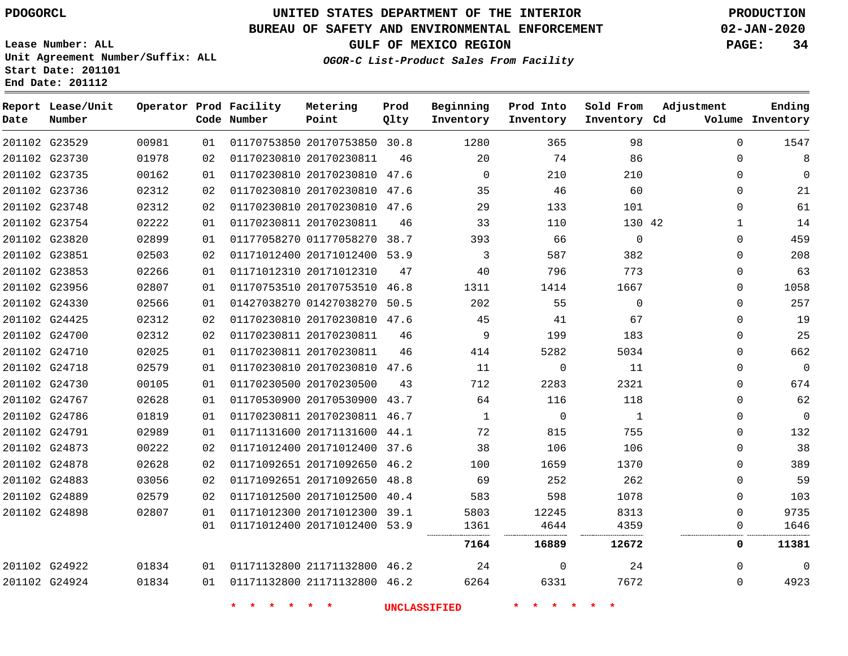**Report Lease/Unit**

# **UNITED STATES DEPARTMENT OF THE INTERIOR PDOGORCL PRODUCTION**

**Prod**

#### **BUREAU OF SAFETY AND ENVIRONMENTAL ENFORCEMENT 02-JAN-2020**

**Lease Number: ALL Unit Agreement Number/Suffix: ALL Start Date: 201101 End Date: 201112**

**Operator Prod Facility Metering**

**OGOR-C List-Product Sales From Facility**

**Beginning Prod Into Sold From Adjustment**

**GULF OF MEXICO REGION PAGE: 34**

**Ending**

| Date | Number        |       |    | Code Number | Point                        | Qlty | Inventory           | Inventory   | Inventory Cd |              | Volume Inventory |
|------|---------------|-------|----|-------------|------------------------------|------|---------------------|-------------|--------------|--------------|------------------|
|      | 201102 G23529 | 00981 | 01 |             | 01170753850 20170753850 30.8 |      | 1280                | 365         | 98           | $\Omega$     | 1547             |
|      | 201102 G23730 | 01978 | 02 |             | 01170230810 20170230811      | 46   | 20                  | 74          | 86           | $\Omega$     | 8                |
|      | 201102 G23735 | 00162 | 01 |             | 01170230810 20170230810 47.6 |      | $\mathbf 0$         | 210         | 210          | 0            | $\mathbf 0$      |
|      | 201102 G23736 | 02312 | 02 |             | 01170230810 20170230810 47.6 |      | 35                  | 46          | 60           | $\Omega$     | 21               |
|      | 201102 G23748 | 02312 | 02 |             | 01170230810 20170230810 47.6 |      | 29                  | 133         | 101          | $\mathbf 0$  | 61               |
|      | 201102 G23754 | 02222 | 01 |             | 01170230811 20170230811      | 46   | 33                  | 110         | 130 42       | $\mathbf{1}$ | 14               |
|      | 201102 G23820 | 02899 | 01 |             | 01177058270 01177058270 38.7 |      | 393                 | 66          | $\mathbf 0$  | $\mathbf 0$  | 459              |
|      | 201102 G23851 | 02503 | 02 |             | 01171012400 20171012400 53.9 |      | $\mathbf{3}$        | 587         | 382          | 0            | 208              |
|      | 201102 G23853 | 02266 | 01 |             | 01171012310 20171012310      | 47   | 40                  | 796         | 773          | $\Omega$     | 63               |
|      | 201102 G23956 | 02807 | 01 |             | 01170753510 20170753510 46.8 |      | 1311                | 1414        | 1667         | $\mathbf 0$  | 1058             |
|      | 201102 G24330 | 02566 | 01 |             | 01427038270 01427038270 50.5 |      | 202                 | 55          | $\mathsf{O}$ | $\mathbf{0}$ | 257              |
|      | 201102 G24425 | 02312 | 02 |             | 01170230810 20170230810 47.6 |      | 45                  | 41          | 67           | $\Omega$     | 19               |
|      | 201102 G24700 | 02312 | 02 |             | 01170230811 20170230811      | 46   | 9                   | 199         | 183          | $\Omega$     | 25               |
|      | 201102 G24710 | 02025 | 01 |             | 01170230811 20170230811      | 46   | 414                 | 5282        | 5034         | $\mathbf 0$  | 662              |
|      | 201102 G24718 | 02579 | 01 |             | 01170230810 20170230810 47.6 |      | 11                  | $\mathbf 0$ | 11           | 0            | $\overline{0}$   |
|      | 201102 G24730 | 00105 | 01 |             | 01170230500 20170230500      | 43   | 712                 | 2283        | 2321         | $\Omega$     | 674              |
|      | 201102 G24767 | 02628 | 01 |             | 01170530900 20170530900 43.7 |      | 64                  | 116         | 118          | $\mathbf 0$  | 62               |
|      | 201102 G24786 | 01819 | 01 |             | 01170230811 20170230811 46.7 |      | $\mathbf{1}$        | $\mathbf 0$ | $\mathbf{1}$ | $\mathbf 0$  | $\mathbf 0$      |
|      | 201102 G24791 | 02989 | 01 |             | 01171131600 20171131600 44.1 |      | 72                  | 815         | 755          | $\Omega$     | 132              |
|      | 201102 G24873 | 00222 | 02 |             | 01171012400 20171012400 37.6 |      | 38                  | 106         | 106          | $\Omega$     | 38               |
|      | 201102 G24878 | 02628 | 02 |             | 01171092651 20171092650 46.2 |      | 100                 | 1659        | 1370         | $\mathbf 0$  | 389              |
|      | 201102 G24883 | 03056 | 02 |             | 01171092651 20171092650 48.8 |      | 69                  | 252         | 262          | 0            | 59               |
|      | 201102 G24889 | 02579 | 02 |             | 01171012500 20171012500 40.4 |      | 583                 | 598         | 1078         | $\Omega$     | 103              |
|      | 201102 G24898 | 02807 | 01 |             | 01171012300 20171012300 39.1 |      | 5803                | 12245       | 8313         | $\Omega$     | 9735             |
|      |               |       | 01 |             | 01171012400 20171012400 53.9 |      | 1361                | 4644        | 4359         | 0            | 1646             |
|      |               |       |    |             |                              |      | 7164                | 16889       | 12672        | 0            | 11381            |
|      | 201102 G24922 | 01834 | 01 |             | 01171132800 21171132800 46.2 |      | 24                  | $\mathbf 0$ | 24           | $\Omega$     | $\mathbf 0$      |
|      | 201102 G24924 | 01834 | 01 |             | 01171132800 21171132800 46.2 |      | 6264                | 6331        | 7672         | $\mathbf 0$  | 4923             |
|      |               |       |    |             |                              |      | <b>UNCLASSIFIED</b> |             |              |              |                  |
|      |               |       |    |             |                              |      |                     |             |              |              |                  |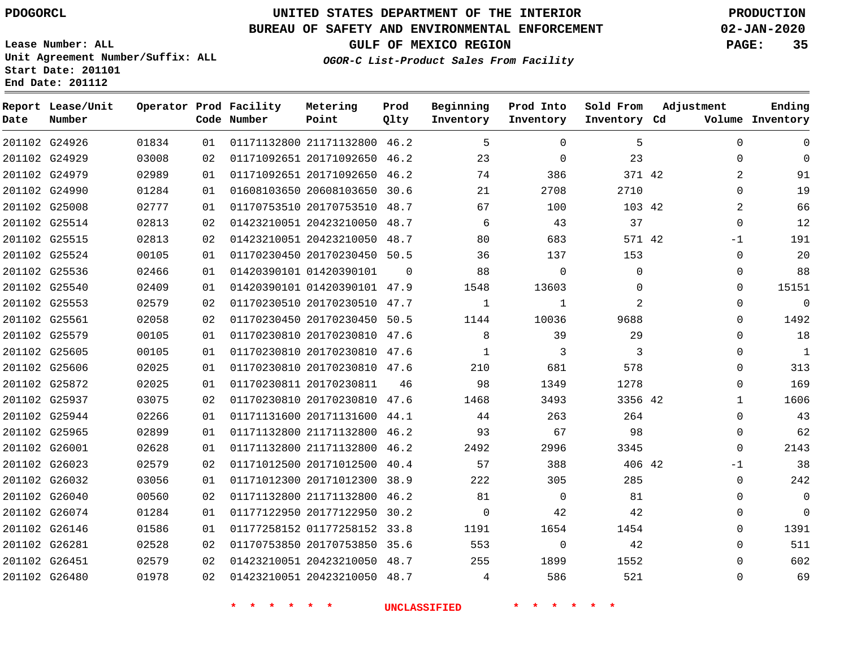G24926 G24929 G24979 G24990 G25008 G25514 G25515 G25524 G25536 G25540 G25553 G25561 G25579 G25605 G25606 G25872 G25937 G25944 G25965 G26001 G26023 G26032 G26040 G26074 G26146 G26281 G26451 G26480

**Date**

**Report Lease/Unit**

**Number**

# **UNITED STATES DEPARTMENT OF THE INTERIOR PDOGORCL PRODUCTION**

**Prod Qlty**

#### **BUREAU OF SAFETY AND ENVIRONMENTAL ENFORCEMENT 02-JAN-2020**

**Lease Number: ALL Unit Agreement Number/Suffix: ALL Start Date: 201101 End Date: 201112**

**Operator Prod Facility**

**Code Number**

 21171132800 46.2 20171092650 46.2 20171092650 46.2 20608103650 30.6

**Metering Point**

**GULF OF MEXICO REGION PAGE: 35**

**Inventory Cd Volume**

**Adjustment**

  $\Omega$   $\Omega$   $\Omega$ -1  $\Omega$  $\Omega$  $\Omega$  $\Omega$  $\Omega$  $\Omega$   $\Omega$  $\overline{0}$   $\Omega$  $\Omega$  $\Omega$ -1  $\Omega$  $\Omega$   $\Omega$   $\Omega$ 

**Ending**

42

**Sold From Inventory**

> 

|       |    |                              | <b>UNCLASSIFIED</b> |              |              |             |  |
|-------|----|------------------------------|---------------------|--------------|--------------|-------------|--|
| 01978 | 02 | 01423210051 20423210050 48.7 |                     | 4            | 586          | 521         |  |
| 02579 | 02 | 01423210051 20423210050 48.7 |                     | 255          | 1899         | 1552        |  |
| 02528 | 02 | 01170753850 20170753850 35.6 |                     | 553          | $\mathbf 0$  | 42          |  |
| 01586 | 01 | 01177258152 01177258152 33.8 |                     | 1191         | 1654         | 1454        |  |
| 01284 | 01 | 01177122950 20177122950      | 30.2                | 0            | 42           | 42          |  |
| 00560 | 02 | 01171132800 21171132800 46.2 |                     | 81           | $\Omega$     | 81          |  |
| 03056 | 01 | 01171012300 20171012300 38.9 |                     | 222          | 305          | 285         |  |
| 02579 | 02 | 01171012500 20171012500 40.4 |                     | 57           | 388          | 406 42      |  |
| 02628 | 01 | 01171132800 21171132800 46.2 |                     | 2492         | 2996         | 3345        |  |
| 02899 | 01 | 01171132800 21171132800 46.2 |                     | 93           | 67           | 98          |  |
| 02266 | 01 | 01171131600 20171131600 44.1 |                     | 44           | 263          | 264         |  |
| 03075 | 02 | 01170230810 20170230810 47.6 |                     | 1468         | 3493         | 3356 42     |  |
| 02025 | 01 | 01170230811 20170230811      | 46                  | 98           | 1349         | 1278        |  |
| 02025 | 01 | 01170230810 20170230810 47.6 |                     | 210          | 681          | 578         |  |
| 00105 | 01 | 01170230810 20170230810 47.6 |                     | 1            | 3            | 3           |  |
| 00105 | 01 | 01170230810 20170230810 47.6 |                     | 8            | 39           | 29          |  |
| 02058 | 02 | 01170230450 20170230450 50.5 |                     | 1144         | 10036        | 9688        |  |
| 02579 | 02 | 01170230510 20170230510 47.7 |                     | $\mathbf{1}$ | $\mathbf{1}$ | 2           |  |
| 02409 | 01 | 01420390101 01420390101 47.9 |                     | 1548         | 13603        | $\mathbf 0$ |  |
| 02466 | 01 | 01420390101 01420390101      | $\Omega$            | 88           | $\mathbf 0$  | $\Omega$    |  |
| 00105 | 01 | 01170230450 20170230450 50.5 |                     | 36           | 137          | 153         |  |
| 02813 | 02 | 01423210051 20423210050 48.7 |                     | 80           | 683          | 571 42      |  |
| 02813 | 02 | 01423210051 20423210050 48.7 |                     | 6            | 43           | 37          |  |
| 02777 | 01 | 01170753510 20170753510 48.7 |                     | 67           | 100          | 103 42      |  |

**OGOR-C List-Product Sales From Facility**

**Beginning Inventory**

**Prod Into Inventory**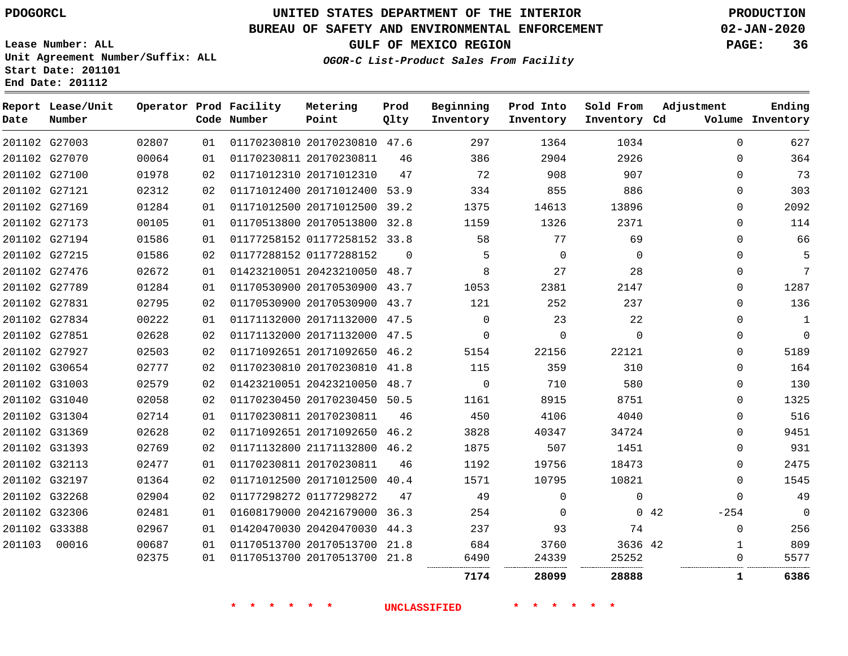**Date**

**End Date: 201112**

# **UNITED STATES DEPARTMENT OF THE INTERIOR PDOGORCL PRODUCTION**

#### **BUREAU OF SAFETY AND ENVIRONMENTAL ENFORCEMENT 02-JAN-2020**

**Lease Number: ALL Unit Agreement Number/Suffix: ALL Start Date: 201101**

**OGOR-C List-Product Sales From Facility**

**GULF OF MEXICO REGION PAGE: 36**

| Date | Report Lease/Unit<br>Number |       |    | Operator Prod Facility<br>Code Number | Metering<br>Point            | Prod<br>Qlty | Beginning<br>Inventory | Prod Into<br>Inventory | Sold From<br>Inventory Cd | Adjustment<br>Volume | Ending<br>Inventory |
|------|-----------------------------|-------|----|---------------------------------------|------------------------------|--------------|------------------------|------------------------|---------------------------|----------------------|---------------------|
|      | 201102 G27003               | 02807 | 01 |                                       | 01170230810 20170230810      | 47.6         | 297                    | 1364                   | 1034                      | $\Omega$             | 627                 |
|      | 201102 G27070               | 00064 | 01 |                                       | 01170230811 20170230811      | 46           | 386                    | 2904                   | 2926                      | 0                    | 364                 |
|      | 201102 G27100               | 01978 | 02 |                                       | 01171012310 20171012310      | 47           | 72                     | 908                    | 907                       | $\Omega$             | 73                  |
|      | 201102 G27121               | 02312 | 02 |                                       | 01171012400 20171012400 53.9 |              | 334                    | 855                    | 886                       | $\Omega$             | 303                 |
|      | 201102 G27169               | 01284 | 01 |                                       | 01171012500 20171012500      | 39.2         | 1375                   | 14613                  | 13896                     | $\Omega$             | 2092                |
|      | 201102 G27173               | 00105 | 01 |                                       | 01170513800 20170513800 32.8 |              | 1159                   | 1326                   | 2371                      | $\Omega$             | 114                 |
|      | 201102 G27194               | 01586 | 01 |                                       | 01177258152 01177258152 33.8 |              | 58                     | 77                     | 69                        | $\Omega$             | 66                  |
|      | 201102 G27215               | 01586 | 02 |                                       | 01177288152 01177288152      | $\Omega$     | 5                      | $\Omega$               | $\Omega$                  | $\Omega$             |                     |
|      | 201102 G27476               | 02672 | 01 |                                       | 01423210051 20423210050 48.7 |              | 8                      | 27                     | 28                        | $\Omega$             | 7                   |
|      | 201102 G27789               | 01284 | 01 |                                       | 01170530900 20170530900 43.7 |              | 1053                   | 2381                   | 2147                      | $\Omega$             | 1287                |
|      | 201102 G27831               | 02795 | 02 |                                       | 01170530900 20170530900 43.7 |              | 121                    | 252                    | 237                       | $\mathbf 0$          | 136                 |
|      | 201102 G27834               | 00222 | 01 |                                       | 01171132000 20171132000      | 47.5         | $\Omega$               | 23                     | 22                        | $\Omega$             | 1                   |
|      | 201102 G27851               | 02628 | 02 |                                       | 01171132000 20171132000      | 47.5         | $\Omega$               | $\Omega$               | U                         | $\Omega$             | 0                   |
|      | 201102 G27927               | 02503 | 02 |                                       | 01171092651 20171092650 46.2 |              | 5154                   | 22156                  | 22121                     | $\Omega$             | 5189                |
|      | 201102 G30654               | 02777 | 02 |                                       | 01170230810 20170230810 41.8 |              | 115                    | 359                    | 310                       | $\Omega$             | 164                 |

 G30654 41.8  $\Omega$  G31003 20423210050 48.7  $\Omega$   $\Omega$  G31040 20170230450 50.5  $\Omega$  G31304 20170230811  $\Omega$  G31369 20171092650 46.2  $\Omega$  G31393 21171132800 46.2  $\Omega$  G32113 20170230811 G32197 20171012500 40.4  $\Omega$  G32268 01177298272  $\Omega$  $\Omega$  $\Omega$  G32306 20421679000 36.3 42  $-254$  G33388 20420470030 44.3  $\Omega$  20170513700 21.8 42 20170513700 21.8 . . . . . . **28099 28888 1 6386\* \* \* \* \* \* UNCLASSIFIED \* \* \* \* \* \***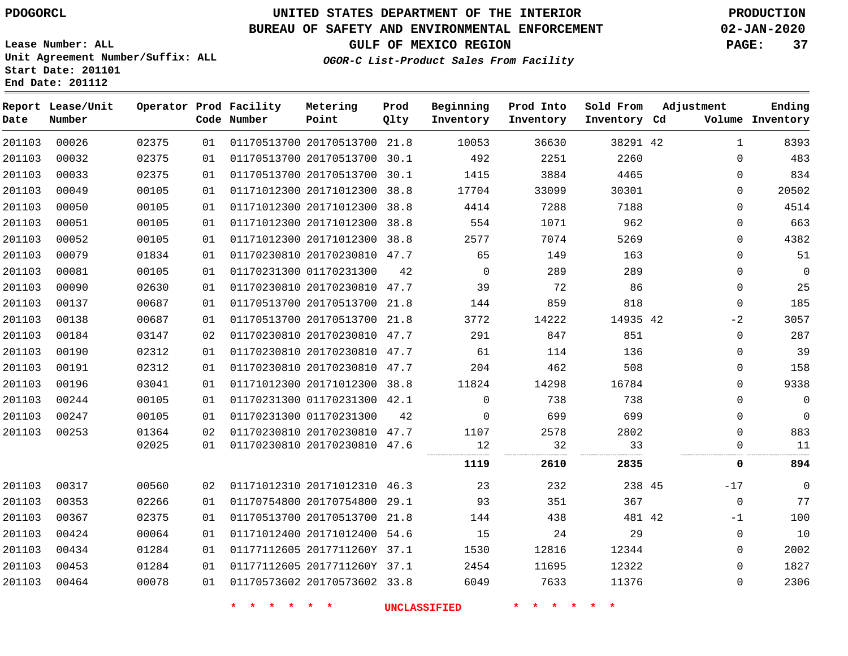# **UNITED STATES DEPARTMENT OF THE INTERIOR PDOGORCL PRODUCTION**

## **BUREAU OF SAFETY AND ENVIRONMENTAL ENFORCEMENT 02-JAN-2020**

**Lease Number: ALL Unit Agreement Number/Suffix: ALL Start Date: 201101**

# **GULF OF MEXICO REGION PAGE: 37**

**OGOR-C List-Product Sales From Facility**

| Date   | Report Lease/Unit<br>Number |       |    | Operator Prod Facility<br>Code Number | Metering<br>Point            | Prod<br>Qlty | Beginning<br>Inventory | Prod Into<br>Inventory | Sold From<br>Inventory Cd | Adjustment   | Ending<br>Volume Inventory |
|--------|-----------------------------|-------|----|---------------------------------------|------------------------------|--------------|------------------------|------------------------|---------------------------|--------------|----------------------------|
| 201103 | 00026                       | 02375 | 01 |                                       | 01170513700 20170513700 21.8 |              | 10053                  | 36630                  | 38291 42                  | $\mathbf{1}$ | 8393                       |
| 201103 | 00032                       | 02375 | 01 |                                       | 01170513700 20170513700 30.1 |              | 492                    | 2251                   | 2260                      | $\mathbf 0$  | 483                        |
| 201103 | 00033                       | 02375 | 01 |                                       | 01170513700 20170513700 30.1 |              | 1415                   | 3884                   | 4465                      | $\mathbf 0$  | 834                        |
| 201103 | 00049                       | 00105 | 01 |                                       | 01171012300 20171012300 38.8 |              | 17704                  | 33099                  | 30301                     | 0            | 20502                      |
| 201103 | 00050                       | 00105 | 01 |                                       | 01171012300 20171012300 38.8 |              | 4414                   | 7288                   | 7188                      | $\Omega$     | 4514                       |
| 201103 | 00051                       | 00105 | 01 |                                       | 01171012300 20171012300 38.8 |              | 554                    | 1071                   | 962                       | $\Omega$     | 663                        |
| 201103 | 00052                       | 00105 | 01 |                                       | 01171012300 20171012300 38.8 |              | 2577                   | 7074                   | 5269                      | 0            | 4382                       |
| 201103 | 00079                       | 01834 | 01 |                                       | 01170230810 20170230810 47.7 |              | 65                     | 149                    | 163                       | $\Omega$     | 51                         |
| 201103 | 00081                       | 00105 | 01 |                                       | 01170231300 01170231300      | 42           | $\mathbf 0$            | 289                    | 289                       | $\mathbf 0$  | 0                          |
| 201103 | 00090                       | 02630 | 01 |                                       | 01170230810 20170230810 47.7 |              | 39                     | 72                     | 86                        | $\mathbf 0$  | 25                         |
| 201103 | 00137                       | 00687 | 01 |                                       | 01170513700 20170513700 21.8 |              | 144                    | 859                    | 818                       | $\mathbf 0$  | 185                        |
| 201103 | 00138                       | 00687 | 01 |                                       | 01170513700 20170513700 21.8 |              | 3772                   | 14222                  | 14935 42                  | $-2$         | 3057                       |
| 201103 | 00184                       | 03147 | 02 |                                       | 01170230810 20170230810 47.7 |              | 291                    | 847                    | 851                       | $\mathbf 0$  | 287                        |
| 201103 | 00190                       | 02312 | 01 |                                       | 01170230810 20170230810 47.7 |              | 61                     | 114                    | 136                       | 0            | 39                         |
| 201103 | 00191                       | 02312 | 01 |                                       | 01170230810 20170230810 47.7 |              | 204                    | 462                    | 508                       | 0            | 158                        |
| 201103 | 00196                       | 03041 | 01 |                                       | 01171012300 20171012300 38.8 |              | 11824                  | 14298                  | 16784                     | 0            | 9338                       |
| 201103 | 00244                       | 00105 | 01 |                                       | 01170231300 01170231300 42.1 |              | $\Omega$               | 738                    | 738                       | $\Omega$     | 0                          |
| 201103 | 00247                       | 00105 | 01 |                                       | 01170231300 01170231300      | 42           | 0                      | 699                    | 699                       | 0            | 0                          |
| 201103 | 00253                       | 01364 | 02 |                                       | 01170230810 20170230810 47.7 |              | 1107                   | 2578                   | 2802                      | $\mathbf 0$  | 883                        |
|        |                             | 02025 | 01 |                                       | 01170230810 20170230810 47.6 |              | 12                     | 32<br>.                | 33<br>.                   | $\Omega$<br> | 11                         |
|        |                             |       |    |                                       |                              |              | 1119                   | 2610                   | 2835                      | 0            | 894                        |
| 201103 | 00317                       | 00560 | 02 |                                       | 01171012310 20171012310 46.3 |              | 23                     | 232                    | 238 45                    | $-17$        | 0                          |
| 201103 | 00353                       | 02266 | 01 |                                       | 01170754800 20170754800 29.1 |              | 93                     | 351                    | 367                       | $\mathbf 0$  | 77                         |
| 201103 | 00367                       | 02375 | 01 |                                       | 01170513700 20170513700 21.8 |              | 144                    | 438                    | 481 42                    | $-1$         | 100                        |
| 201103 | 00424                       | 00064 | 01 |                                       | 01171012400 20171012400 54.6 |              | 15                     | 24                     | 29                        | 0            | 10                         |
| 201103 | 00434                       | 01284 | 01 |                                       | 01177112605 2017711260Y 37.1 |              | 1530                   | 12816                  | 12344                     | $\mathbf 0$  | 2002                       |
| 201103 | 00453                       | 01284 | 01 |                                       | 01177112605 2017711260Y 37.1 |              | 2454                   | 11695                  | 12322                     | 0            | 1827                       |
| 201103 | 00464                       | 00078 | 01 |                                       | 01170573602 20170573602 33.8 |              | 6049                   | 7633                   | 11376                     | $\mathbf 0$  | 2306                       |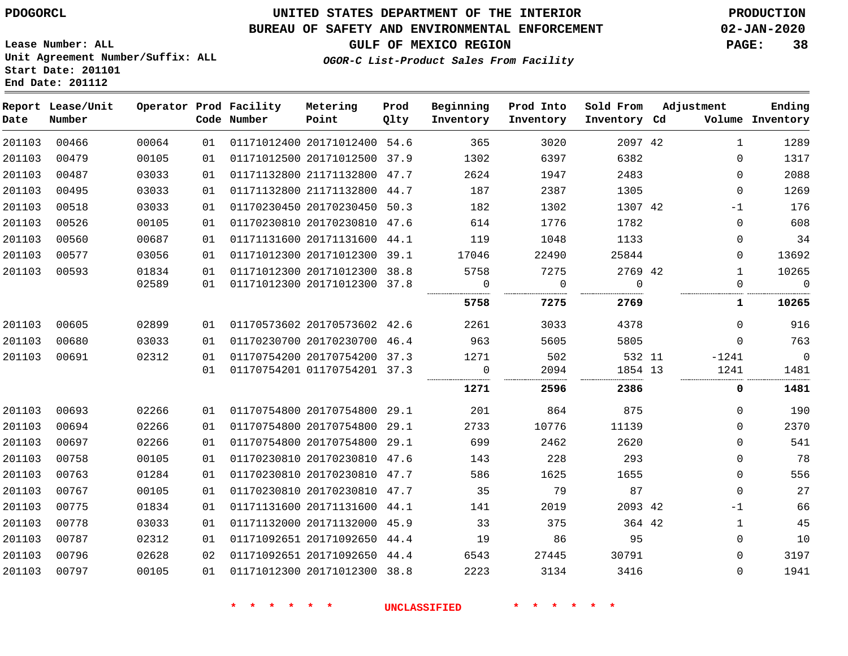#### **BUREAU OF SAFETY AND ENVIRONMENTAL ENFORCEMENT 02-JAN-2020**

**GULF OF MEXICO REGION PAGE: 38**

**Lease Number: ALL Unit Agreement Number/Suffix: ALL Start Date: 201101 End Date: 201112**

**OGOR-C List-Product Sales From Facility**

| Date   | Report Lease/Unit<br>Number |                |          | Operator Prod Facility<br>Code Number | Metering<br>Point                                            | Prod<br>Qlty | Beginning<br>Inventory | Prod Into<br>Inventory | Sold From<br>Inventory Cd | Adjustment               | Ending<br>Volume Inventory |
|--------|-----------------------------|----------------|----------|---------------------------------------|--------------------------------------------------------------|--------------|------------------------|------------------------|---------------------------|--------------------------|----------------------------|
| 201103 | 00466                       | 00064          | 01       |                                       | 01171012400 20171012400 54.6                                 |              | 365                    | 3020                   | 2097 42                   | $\mathbf{1}$             | 1289                       |
| 201103 | 00479                       | 00105          | 01       |                                       | 01171012500 20171012500 37.9                                 |              | 1302                   | 6397                   | 6382                      | $\Omega$                 | 1317                       |
| 201103 | 00487                       | 03033          | 01       |                                       | 01171132800 21171132800 47.7                                 |              | 2624                   | 1947                   | 2483                      | $\Omega$                 | 2088                       |
| 201103 | 00495                       | 03033          | 01       |                                       | 01171132800 21171132800 44.7                                 |              | 187                    | 2387                   | 1305                      | $\mathbf{0}$             | 1269                       |
| 201103 | 00518                       | 03033          | 01       |                                       | 01170230450 20170230450 50.3                                 |              | 182                    | 1302                   | 1307 42                   | $-1$                     | 176                        |
| 201103 | 00526                       | 00105          | 01       |                                       | 01170230810 20170230810 47.6                                 |              | 614                    | 1776                   | 1782                      | $\mathbf 0$              | 608                        |
| 201103 | 00560                       | 00687          | 01       |                                       | 01171131600 20171131600 44.1                                 |              | 119                    | 1048                   | 1133                      | 0                        | 34                         |
| 201103 | 00577                       | 03056          | 01       |                                       | 01171012300 20171012300 39.1                                 |              | 17046                  | 22490                  | 25844                     | 0                        | 13692                      |
| 201103 | 00593                       | 01834<br>02589 | 01<br>01 |                                       | 01171012300 20171012300 38.8<br>01171012300 20171012300 37.8 |              | 5758<br>$\Omega$       | 7275<br>$\mathbf 0$    | 2769 42<br>$\Omega$       | $\mathbf{1}$<br>$\Omega$ | 10265<br>$\mathbf 0$       |
|        |                             |                |          |                                       |                                                              |              | 5758                   | 7275                   | 2769                      | 1                        | 10265                      |
| 201103 | 00605                       | 02899          | 01       |                                       | 01170573602 20170573602 42.6                                 |              | 2261                   | 3033                   | 4378                      | $\Omega$                 | 916                        |
| 201103 | 00680                       | 03033          | 01       |                                       | 01170230700 20170230700 46.4                                 |              | 963                    | 5605                   | 5805                      | $\Omega$                 | 763                        |
| 201103 | 00691                       | 02312          | 01       |                                       | 01170754200 20170754200 37.3                                 |              | 1271                   | 502                    | 532 11                    | $-1241$                  | 0                          |
|        |                             |                | 01       |                                       | 01170754201 01170754201 37.3                                 |              | 0                      | 2094                   | 1854 13                   | 1241                     | 1481                       |
|        |                             |                |          |                                       |                                                              |              | 1271                   | 2596                   | 2386                      | 0                        | 1481                       |
| 201103 | 00693                       | 02266          | 01       |                                       | 01170754800 20170754800 29.1                                 |              | 201                    | 864                    | 875                       | 0                        | 190                        |
| 201103 | 00694                       | 02266          | 01       |                                       | 01170754800 20170754800 29.1                                 |              | 2733                   | 10776                  | 11139                     | $\Omega$                 | 2370                       |
| 201103 | 00697                       | 02266          | 01       |                                       | 01170754800 20170754800 29.1                                 |              | 699                    | 2462                   | 2620                      | $\Omega$                 | 541                        |
| 201103 | 00758                       | 00105          | 01       |                                       | 01170230810 20170230810 47.6                                 |              | 143                    | 228                    | 293                       | $\mathbf 0$              | 78                         |
| 201103 | 00763                       | 01284          | 01       |                                       | 01170230810 20170230810 47.7                                 |              | 586                    | 1625                   | 1655                      | $\mathbf 0$              | 556                        |
| 201103 | 00767                       | 00105          | 01       |                                       | 01170230810 20170230810 47.7                                 |              | 35                     | 79                     | 87                        | $\mathbf 0$              | 27                         |
| 201103 | 00775                       | 01834          | 01       |                                       | 01171131600 20171131600 44.1                                 |              | 141                    | 2019                   | 2093 42                   | $-1$                     | 66                         |
| 201103 | 00778                       | 03033          | 01       |                                       | 01171132000 20171132000 45.9                                 |              | 33                     | 375                    | 364 42                    | 1                        | 45                         |
| 201103 | 00787                       | 02312          | 01       |                                       | 01171092651 20171092650 44.4                                 |              | 19                     | 86                     | 95                        | 0                        | 10                         |
| 201103 | 00796                       | 02628          | 02       |                                       | 01171092651 20171092650 44.4                                 |              | 6543                   | 27445                  | 30791                     | 0                        | 3197                       |
| 201103 | 00797                       | 00105          | 01       |                                       | 01171012300 20171012300 38.8                                 |              | 2223                   | 3134                   | 3416                      | 0                        | 1941                       |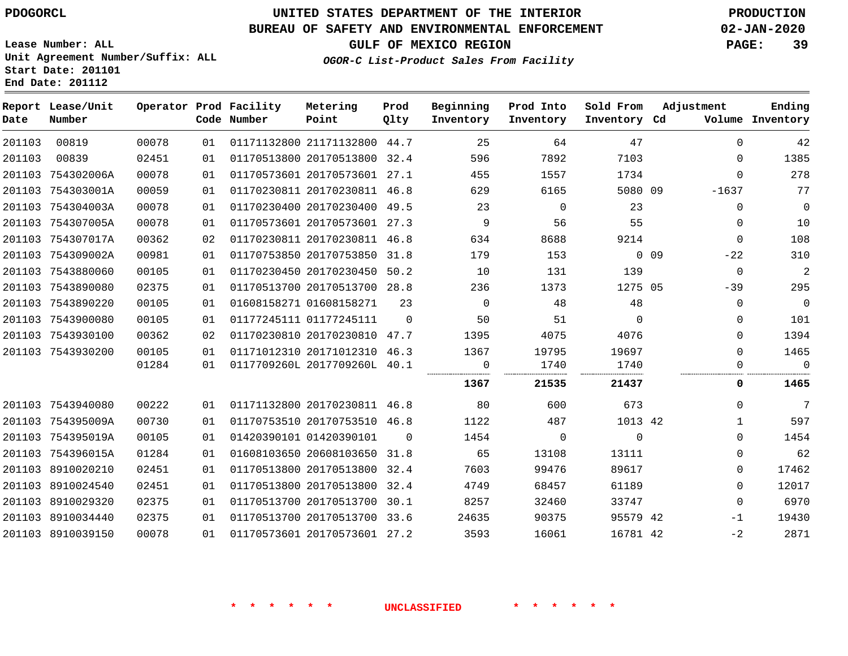#### **BUREAU OF SAFETY AND ENVIRONMENTAL ENFORCEMENT 02-JAN-2020**

**Lease Number: ALL Unit Agreement Number/Suffix: ALL Start Date: 201101 End Date: 201112**

## **OGOR-C List-Product Sales From Facility**

**GULF OF MEXICO REGION PAGE: 39**

|  | CGOR-C Alsc-Flounce Bales Flom Facility |  |  |
|--|-----------------------------------------|--|--|
|  |                                         |  |  |
|  |                                         |  |  |

| Date   | Report Lease/Unit<br>Number |       |    | Operator Prod Facility<br>Code Number | Metering<br>Point            | Prod<br>Qlty | Beginning<br>Inventory | Prod Into<br>Inventory | Sold From<br>Inventory Cd | Adjustment               | Ending<br>Volume Inventory |
|--------|-----------------------------|-------|----|---------------------------------------|------------------------------|--------------|------------------------|------------------------|---------------------------|--------------------------|----------------------------|
| 201103 | 00819                       | 00078 | 01 |                                       | 01171132800 21171132800 44.7 |              | 25                     | 64                     | 47                        | $\Omega$                 | 42                         |
| 201103 | 00839                       | 02451 | 01 |                                       | 01170513800 20170513800      | 32.4         | 596                    | 7892                   | 7103                      | $\Omega$                 | 1385                       |
| 201103 | 754302006A                  | 00078 | 01 |                                       | 01170573601 20170573601 27.1 |              | 455                    | 1557                   | 1734                      | $\Omega$                 | 278                        |
| 201103 | 754303001A                  | 00059 | 01 |                                       | 01170230811 20170230811 46.8 |              | 629                    | 6165                   | 5080 09                   | $-1637$                  | 77                         |
| 201103 | 754304003A                  | 00078 | 01 |                                       | 01170230400 20170230400 49.5 |              | 23                     | $\Omega$               | 23                        | $\Omega$                 | $\mathbf 0$                |
|        | 201103 754307005A           | 00078 | 01 |                                       | 01170573601 20170573601 27.3 |              | 9                      | 56                     | 55                        | 0                        | 10                         |
| 201103 | 754307017A                  | 00362 | 02 |                                       | 01170230811 20170230811 46.8 |              | 634                    | 8688                   | 9214                      | $\Omega$                 | 108                        |
| 201103 | 754309002A                  | 00981 | 01 |                                       | 01170753850 20170753850 31.8 |              | 179                    | 153                    |                           | 0 <sub>09</sub><br>$-22$ | 310                        |
|        | 201103 7543880060           | 00105 | 01 |                                       | 01170230450 20170230450 50.2 |              | 10                     | 131                    | 139                       | $\mathbf 0$              | $\overline{a}$             |
| 201103 | 7543890080                  | 02375 | 01 |                                       | 01170513700 20170513700 28.8 |              | 236                    | 1373                   | 1275 05                   | $-39$                    | 295                        |
|        | 201103 7543890220           | 00105 | 01 |                                       | 01608158271 01608158271      | 23           | $\Omega$               | 48                     | 48                        | 0                        | $\overline{0}$             |
|        | 201103 7543900080           | 00105 | 01 |                                       | 01177245111 01177245111      | $\Omega$     | 50                     | 51                     | $\Omega$                  | 0                        | 101                        |
|        | 201103 7543930100           | 00362 | 02 |                                       | 01170230810 20170230810 47.7 |              | 1395                   | 4075                   | 4076                      | $\Omega$                 | 1394                       |
|        | 201103 7543930200           | 00105 | 01 |                                       | 01171012310 20171012310 46.3 |              | 1367                   | 19795                  | 19697                     | 0                        | 1465                       |
|        |                             | 01284 | 01 |                                       | 0117709260L 2017709260L 40.1 |              | 0                      | 1740                   | 1740                      | 0                        | $\overline{0}$             |
|        |                             |       |    |                                       |                              |              | 1367                   | 21535                  | 21437                     | 0                        | 1465                       |
|        | 201103 7543940080           | 00222 | 01 |                                       | 01171132800 20170230811 46.8 |              | 80                     | 600                    | 673                       | $\Omega$                 | $7\phantom{.0}$            |
|        | 201103 754395009A           | 00730 | 01 |                                       | 01170753510 20170753510 46.8 |              | 1122                   | 487                    | 1013 42                   | $\mathbf{1}$             | 597                        |
|        | 201103 754395019A           | 00105 | 01 |                                       | 01420390101 01420390101      | $\Omega$     | 1454                   | $\Omega$               | $\Omega$                  | $\Omega$                 | 1454                       |
| 201103 | 754396015A                  | 01284 | 01 |                                       | 01608103650 20608103650 31.8 |              | 65                     | 13108                  | 13111                     | $\Omega$                 | 62                         |
|        | 201103 8910020210           | 02451 | 01 |                                       | 01170513800 20170513800 32.4 |              | 7603                   | 99476                  | 89617                     | 0                        | 17462                      |
|        | 201103 8910024540           | 02451 | 01 |                                       | 01170513800 20170513800      | 32.4         | 4749                   | 68457                  | 61189                     | 0                        | 12017                      |
|        | 201103 8910029320           | 02375 | 01 |                                       | 01170513700 20170513700 30.1 |              | 8257                   | 32460                  | 33747                     | $\Omega$                 | 6970                       |
|        | 201103 8910034440           | 02375 | 01 |                                       | 01170513700 20170513700 33.6 |              | 24635                  | 90375                  | 95579 42                  | -1                       | 19430                      |
|        | 201103 8910039150           | 00078 | 01 |                                       | 01170573601 20170573601 27.2 |              | 3593                   | 16061                  | 16781 42                  | $-2$                     | 2871                       |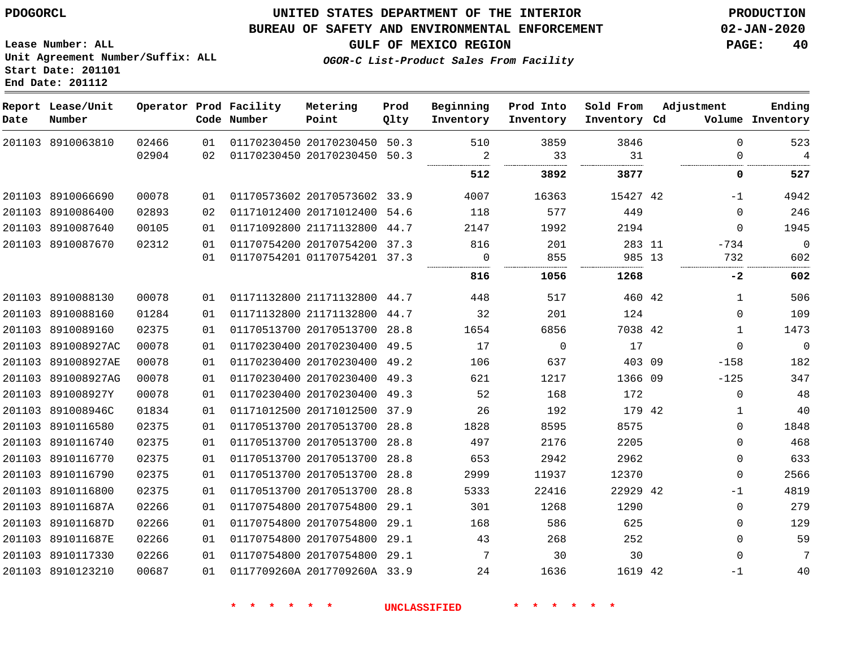## **UNITED STATES DEPARTMENT OF THE INTERIOR PDOGORCL PRODUCTION**

#### **BUREAU OF SAFETY AND ENVIRONMENTAL ENFORCEMENT 02-JAN-2020**

**Lease Number: ALL Unit Agreement Number/Suffix: ALL Start Date: 201101**

**GULF OF MEXICO REGION PAGE: 40**

**OGOR-C List-Product Sales From Facility**

| Date | Report Lease/Unit<br>Number |       |    | Operator Prod Facility<br>Code Number | Metering<br>Point            | Prod<br>Qlty | Beginning<br>Inventory | Prod Into<br>Inventory | Sold From<br>Inventory Cd | Adjustment   | Ending<br>Volume Inventory |
|------|-----------------------------|-------|----|---------------------------------------|------------------------------|--------------|------------------------|------------------------|---------------------------|--------------|----------------------------|
|      | 201103 8910063810           | 02466 | 01 |                                       | 01170230450 20170230450      | 50.3         | 510                    | 3859                   | 3846                      | $\Omega$     | 523                        |
|      |                             | 02904 | 02 |                                       | 01170230450 20170230450 50.3 |              | 2                      | 33                     | 31                        | 0            | $\overline{4}$             |
|      |                             |       |    |                                       |                              |              | 512                    | 3892                   | 3877                      | 0            | 527                        |
|      | 201103 8910066690           | 00078 | 01 |                                       | 01170573602 20170573602 33.9 |              | 4007                   | 16363                  | 15427 42                  | $-1$         | 4942                       |
|      | 201103 8910086400           | 02893 | 02 |                                       | 01171012400 20171012400 54.6 |              | 118                    | 577                    | 449                       | $\Omega$     | 246                        |
|      | 201103 8910087640           | 00105 | 01 |                                       | 01171092800 21171132800 44.7 |              | 2147                   | 1992                   | 2194                      | $\Omega$     | 1945                       |
|      | 201103 8910087670           | 02312 | 01 |                                       | 01170754200 20170754200 37.3 |              | 816                    | 201                    | 283 11                    | -734         | $\overline{0}$             |
|      |                             |       | 01 |                                       | 01170754201 01170754201 37.3 |              | $\Omega$               | 855                    | 985 13                    | 732          | 602                        |
|      |                             |       |    |                                       |                              |              | 816                    | 1056                   | 1268                      | $-2$         | 602                        |
|      | 201103 8910088130           | 00078 | 01 |                                       | 01171132800 21171132800 44.7 |              | 448                    | 517                    | 460 42                    | $\mathbf{1}$ | 506                        |
|      | 201103 8910088160           | 01284 | 01 |                                       | 01171132800 21171132800 44.7 |              | 32                     | 201                    | 124                       | $\Omega$     | 109                        |
|      | 201103 8910089160           | 02375 | 01 |                                       | 01170513700 20170513700      | 28.8         | 1654                   | 6856                   | 7038 42                   | $\mathbf{1}$ | 1473                       |
|      | 201103 891008927AC          | 00078 | 01 |                                       | 01170230400 20170230400 49.5 |              | 17                     | $\Omega$               | 17                        | $\Omega$     | $\mathbf 0$                |
|      | 201103 891008927AE          | 00078 | 01 |                                       | 01170230400 20170230400 49.2 |              | 106                    | 637                    | 403 09                    | $-158$       | 182                        |
|      | 201103 891008927AG          | 00078 | 01 |                                       | 01170230400 20170230400 49.3 |              | 621                    | 1217                   | 1366 09                   | $-125$       | 347                        |
|      | 201103 891008927Y           | 00078 | 01 |                                       | 01170230400 20170230400 49.3 |              | 52                     | 168                    | 172                       | 0            | 48                         |
|      | 201103 891008946C           | 01834 | 01 |                                       | 01171012500 20171012500 37.9 |              | 26                     | 192                    | 179 42                    | 1            | 40                         |
|      | 201103 8910116580           | 02375 | 01 |                                       | 01170513700 20170513700 28.8 |              | 1828                   | 8595                   | 8575                      | 0            | 1848                       |
|      | 201103 8910116740           | 02375 | 01 |                                       | 01170513700 20170513700 28.8 |              | 497                    | 2176                   | 2205                      | $\Omega$     | 468                        |
|      | 201103 8910116770           | 02375 | 01 |                                       | 01170513700 20170513700      | 28.8         | 653                    | 2942                   | 2962                      | $\Omega$     | 633                        |
|      | 201103 8910116790           | 02375 | 01 |                                       | 01170513700 20170513700 28.8 |              | 2999                   | 11937                  | 12370                     | $\Omega$     | 2566                       |
|      | 201103 8910116800           | 02375 | 01 |                                       | 01170513700 20170513700 28.8 |              | 5333                   | 22416                  | 22929 42                  | -1           | 4819                       |
|      | 201103 891011687A           | 02266 | 01 |                                       | 01170754800 20170754800 29.1 |              | 301                    | 1268                   | 1290                      | 0            | 279                        |
|      | 201103 891011687D           | 02266 | 01 |                                       | 01170754800 20170754800      | 29.1         | 168                    | 586                    | 625                       | $\mathbf 0$  | 129                        |
|      | 201103 891011687E           | 02266 | 01 |                                       | 01170754800 20170754800 29.1 |              | 43                     | 268                    | 252                       | $\Omega$     | 59                         |
|      | 201103 8910117330           | 02266 | 01 |                                       | 01170754800 20170754800      | 29.1         | 7                      | 30                     | 30                        | $\mathbf 0$  | 7                          |
|      | 201103 8910123210           | 00687 | 01 |                                       | 0117709260A 2017709260A 33.9 |              | 24                     | 1636                   | 1619 42                   | $-1$         | 40                         |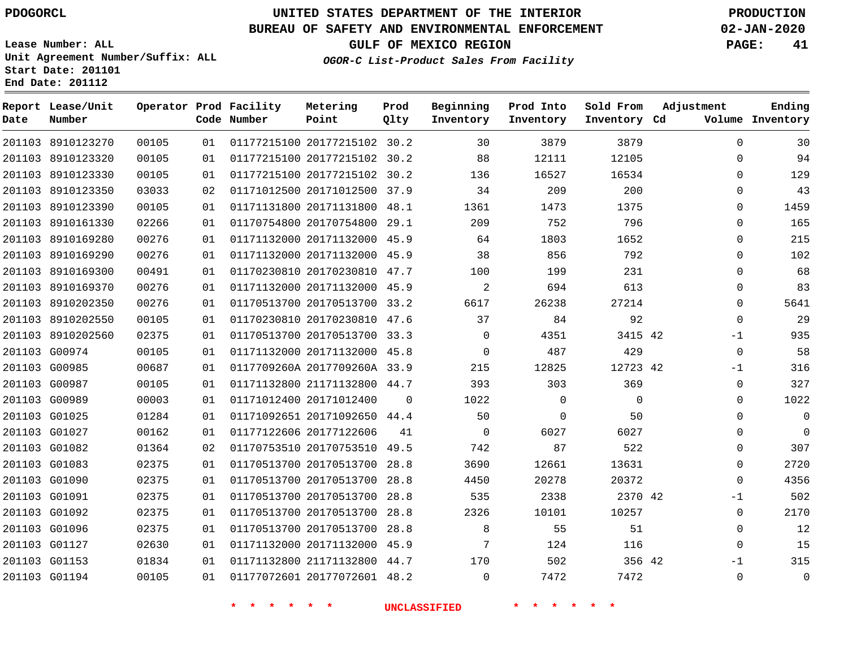**Date**

# **UNITED STATES DEPARTMENT OF THE INTERIOR PDOGORCL PRODUCTION**

**Prod Qlty**

#### **BUREAU OF SAFETY AND ENVIRONMENTAL ENFORCEMENT 02-JAN-2020**

**Lease Number: ALL Unit Agreement Number/Suffix: ALL Start Date: 201101**

**Operator Prod Facility**

**Code Number**

20177215102 30.2

**Metering Point**

   

**End Date: 201112**

8910123270

**Report Lease/Unit**

**Number**

 G01153 G01194 **GULF OF MEXICO REGION PAGE: 41**

**Inventory Cd Volume**

**Adjustment**

-1  $\Omega$ 

**Ending**

**OGOR-C List-Product Sales From Facility**

**Beginning Inventory**

**Sold From Inventory**

**Prod Into Inventory**

|               | 201103 8910123320 | 00105 | 01 | 01177215100 20177215102 30.2 |          | 88       | 12111       | 12105    | $\Omega$    |  |
|---------------|-------------------|-------|----|------------------------------|----------|----------|-------------|----------|-------------|--|
|               | 201103 8910123330 | 00105 | 01 | 01177215100 20177215102 30.2 |          | 136      | 16527       | 16534    | $\Omega$    |  |
|               | 201103 8910123350 | 03033 | 02 | 01171012500 20171012500 37.9 |          | 34       | 209         | 200      | $\Omega$    |  |
|               | 201103 8910123390 | 00105 | 01 | 01171131800 20171131800 48.1 |          | 1361     | 1473        | 1375     | $\Omega$    |  |
|               | 201103 8910161330 | 02266 | 01 | 01170754800 20170754800 29.1 |          | 209      | 752         | 796      | $\Omega$    |  |
|               | 201103 8910169280 | 00276 | 01 | 01171132000 20171132000 45.9 |          | 64       | 1803        | 1652     | $\Omega$    |  |
|               | 201103 8910169290 | 00276 | 01 | 01171132000 20171132000 45.9 |          | 38       | 856         | 792      | $\mathbf 0$ |  |
|               | 201103 8910169300 | 00491 | 01 | 01170230810 20170230810 47.7 |          | 100      | 199         | 231      | $\Omega$    |  |
|               | 201103 8910169370 | 00276 | 01 | 01171132000 20171132000 45.9 |          | 2        | 694         | 613      | $\Omega$    |  |
|               | 201103 8910202350 | 00276 | 01 | 01170513700 20170513700 33.2 |          | 6617     | 26238       | 27214    | $\Omega$    |  |
|               | 201103 8910202550 | 00105 | 01 | 01170230810 20170230810 47.6 |          | 37       | 84          | 92       | $\Omega$    |  |
|               | 201103 8910202560 | 02375 | 01 | 01170513700 20170513700 33.3 |          | $\Omega$ | 4351        | 3415 42  | $-1$        |  |
|               | 201103 G00974     | 00105 | 01 | 01171132000 20171132000 45.8 |          | $\Omega$ | 487         | 429      | $\Omega$    |  |
| 201103 G00985 |                   | 00687 | 01 | 0117709260A 2017709260A 33.9 |          | 215      | 12825       | 12723 42 | $-1$        |  |
|               | 201103 G00987     | 00105 | 01 | 01171132800 21171132800 44.7 |          | 393      | 303         | 369      | $\mathbf 0$ |  |
|               | 201103 G00989     | 00003 | 01 | 01171012400 20171012400      | $\Omega$ | 1022     | 0           | $\Omega$ | $\Omega$    |  |
|               | 201103 G01025     | 01284 | 01 | 01171092651 20171092650 44.4 |          | 50       | $\mathbf 0$ | 50       | $\Omega$    |  |
| 201103 G01027 |                   | 00162 | 01 | 01177122606 20177122606      | 41       | $\Omega$ | 6027        | 6027     | $\Omega$    |  |
|               | 201103 G01082     | 01364 | 02 | 01170753510 20170753510 49.5 |          | 742      | 87          | 522      | $\Omega$    |  |
|               | 201103 G01083     | 02375 | 01 | 01170513700 20170513700 28.8 |          | 3690     | 12661       | 13631    | $\Omega$    |  |
|               | 201103 G01090     | 02375 | 01 | 01170513700 20170513700 28.8 |          | 4450     | 20278       | 20372    | $\Omega$    |  |
| 201103 G01091 |                   | 02375 | 01 | 01170513700 20170513700 28.8 |          | 535      | 2338        | 2370 42  | $-1$        |  |
|               | 201103 G01092     | 02375 | 01 | 01170513700 20170513700 28.8 |          | 2326     | 10101       | 10257    | $\Omega$    |  |
|               | 201103 G01096     | 02375 | 01 | 01170513700 20170513700 28.8 |          | 8        | 55          | 51       | $\Omega$    |  |
|               | 201103 G01127     | 02630 | 01 | 01171132000 20171132000 45.9 |          | 7        | 124         | 116      | $\Omega$    |  |
|               |                   |       |    |                              |          |          |             |          |             |  |

 21171132800 44.7 20177072601 48.2

  $\Omega$ 

**\* \* \* \* \* \* UNCLASSIFIED \* \* \* \* \* \***

  42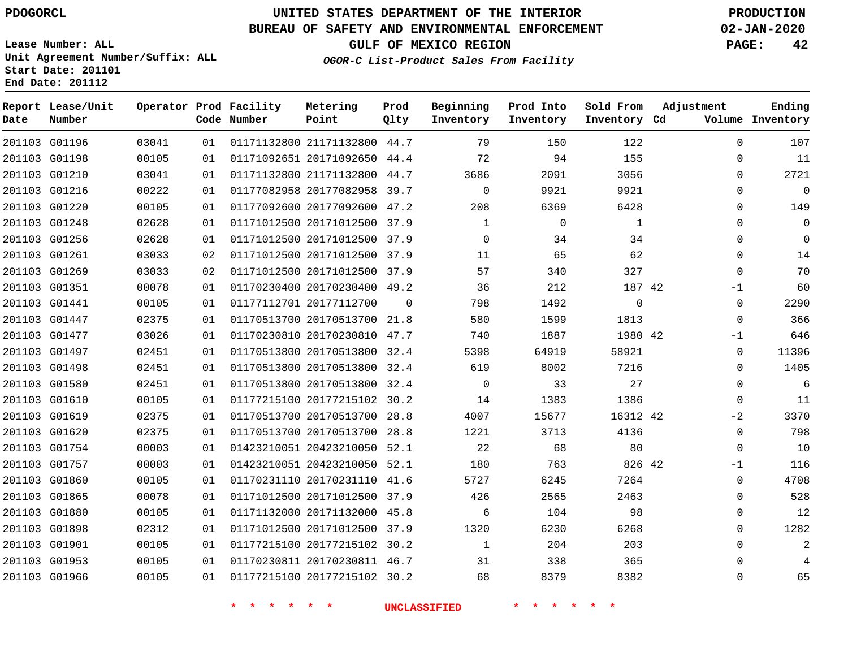# **UNITED STATES DEPARTMENT OF THE INTERIOR PDOGORCL PRODUCTION**

## **BUREAU OF SAFETY AND ENVIRONMENTAL ENFORCEMENT 02-JAN-2020**

**Lease Number: ALL Unit Agreement Number/Suffix: ALL Start Date: 201101**

**GULF OF MEXICO REGION** 

**OGOR-C List-Product Sales From Facility**

| PAGE: | 42 |
|-------|----|
|       |    |
|       |    |

| Date          | Report Lease/Unit<br>Number |       |    | Operator Prod Facility<br>Code Number | Metering<br>Point            | Prod<br>Qlty | Beginning<br>Inventory | Prod Into<br>Inventory | Sold From<br>Inventory Cd | Adjustment   | Ending<br>Volume Inventory |
|---------------|-----------------------------|-------|----|---------------------------------------|------------------------------|--------------|------------------------|------------------------|---------------------------|--------------|----------------------------|
| 201103 G01196 |                             | 03041 | 01 |                                       | 01171132800 21171132800 44.7 |              | 79                     | 150                    | 122                       | $\Omega$     | 107                        |
| 201103 G01198 |                             | 00105 | 01 |                                       | 01171092651 20171092650      | 44.4         | 72                     | 94                     | 155                       | $\Omega$     | 11                         |
| 201103 G01210 |                             | 03041 | 01 |                                       | 01171132800 21171132800 44.7 |              | 3686                   | 2091                   | 3056                      | $\mathbf 0$  | 2721                       |
| 201103 G01216 |                             | 00222 | 01 |                                       | 01177082958 20177082958      | 39.7         | $\mathbf 0$            | 9921                   | 9921                      | $\Omega$     | $\overline{0}$             |
| 201103 G01220 |                             | 00105 | 01 |                                       | 01177092600 20177092600 47.2 |              | 208                    | 6369                   | 6428                      | $\Omega$     | 149                        |
| 201103 G01248 |                             | 02628 | 01 |                                       | 01171012500 20171012500 37.9 |              | 1                      | 0                      | $\mathbf{1}$              | $\mathbf{0}$ | $\mathbf 0$                |
| 201103 G01256 |                             | 02628 | 01 |                                       | 01171012500 20171012500 37.9 |              | 0                      | 34                     | 34                        | $\mathbf{0}$ | $\mathbf 0$                |
| 201103 G01261 |                             | 03033 | 02 |                                       | 01171012500 20171012500 37.9 |              | 11                     | 65                     | 62                        | $\mathbf{0}$ | 14                         |
| 201103 G01269 |                             | 03033 | 02 |                                       | 01171012500 20171012500 37.9 |              | 57                     | 340                    | 327                       | $\Omega$     | 70                         |
| 201103 G01351 |                             | 00078 | 01 |                                       | 01170230400 20170230400 49.2 |              | 36                     | 212                    | 187 42                    | -1           | 60                         |
| 201103 G01441 |                             | 00105 | 01 |                                       | 01177112701 20177112700      | $\Omega$     | 798                    | 1492                   | $\mathbf 0$               | 0            | 2290                       |
| 201103 G01447 |                             | 02375 | 01 |                                       | 01170513700 20170513700 21.8 |              | 580                    | 1599                   | 1813                      | $\Omega$     | 366                        |
| 201103 G01477 |                             | 03026 | 01 |                                       | 01170230810 20170230810 47.7 |              | 740                    | 1887                   | 1980 42                   | $-1$         | 646                        |
| 201103 G01497 |                             | 02451 | 01 |                                       | 01170513800 20170513800 32.4 |              | 5398                   | 64919                  | 58921                     | 0            | 11396                      |
| 201103 G01498 |                             | 02451 | 01 |                                       | 01170513800 20170513800 32.4 |              | 619                    | 8002                   | 7216                      | 0            | 1405                       |
| 201103 G01580 |                             | 02451 | 01 |                                       | 01170513800 20170513800 32.4 |              | $\Omega$               | 33                     | 27                        | $\Omega$     | 6                          |
| 201103 G01610 |                             | 00105 | 01 |                                       | 01177215100 20177215102 30.2 |              | 14                     | 1383                   | 1386                      | $\Omega$     | 11                         |
| 201103 G01619 |                             | 02375 | 01 |                                       | 01170513700 20170513700 28.8 |              | 4007                   | 15677                  | 16312 42                  | $-2$         | 3370                       |
| 201103 G01620 |                             | 02375 | 01 |                                       | 01170513700 20170513700 28.8 |              | 1221                   | 3713                   | 4136                      | $\mathbf 0$  | 798                        |
| 201103 G01754 |                             | 00003 | 01 |                                       | 01423210051 20423210050 52.1 |              | 22                     | 68                     | 80                        | $\Omega$     | 10                         |
| 201103 G01757 |                             | 00003 | 01 |                                       | 01423210051 20423210050 52.1 |              | 180                    | 763                    | 826 42                    | $-1$         | 116                        |
| 201103 G01860 |                             | 00105 | 01 |                                       | 01170231110 20170231110 41.6 |              | 5727                   | 6245                   | 7264                      | 0            | 4708                       |
| 201103 G01865 |                             | 00078 | 01 |                                       | 01171012500 20171012500 37.9 |              | 426                    | 2565                   | 2463                      | $\mathbf{0}$ | 528                        |
| 201103 G01880 |                             | 00105 | 01 |                                       | 01171132000 20171132000 45.8 |              | 6                      | 104                    | 98                        | $\Omega$     | 12                         |
| 201103 G01898 |                             | 02312 | 01 |                                       | 01171012500 20171012500 37.9 |              | 1320                   | 6230                   | 6268                      | $\mathbf 0$  | 1282                       |
| 201103 G01901 |                             | 00105 | 01 |                                       | 01177215100 20177215102 30.2 |              | $\mathbf{1}$           | 204                    | 203                       | $\Omega$     | 2                          |
| 201103 G01953 |                             | 00105 | 01 |                                       | 01170230811 20170230811 46.7 |              | 31                     | 338                    | 365                       | $\mathbf{0}$ | 4                          |
| 201103 G01966 |                             | 00105 | 01 |                                       | 01177215100 20177215102 30.2 |              | 68                     | 8379                   | 8382                      | $\Omega$     | 65                         |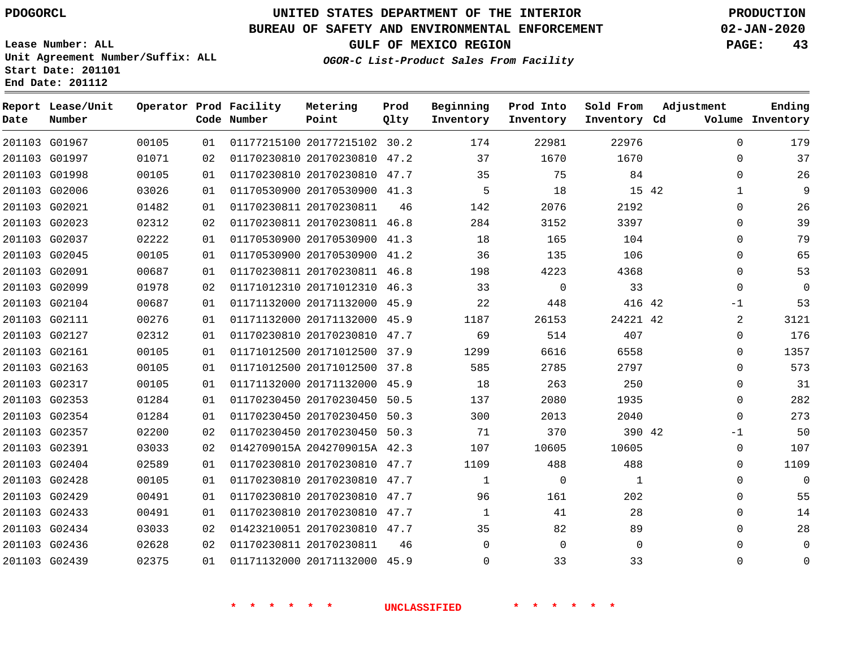#### **BUREAU OF SAFETY AND ENVIRONMENTAL ENFORCEMENT 02-JAN-2020**

**Lease Number: ALL Unit Agreement Number/Suffix: ALL**

**OGOR-C List-Product Sales From Facility**

**GULF OF MEXICO REGION PAGE: 43**

**Start Date: 201101 End Date: 201112**

| Ending<br>Volume Inventory | Adjustment   | Sold From<br>Inventory Cd | Prod Into<br>Inventory | Beginning<br>Inventory | Prod<br>Qlty | Metering<br>Point            | Operator Prod Facility<br>Code Number |    |       | Report Lease/Unit<br>Number | Date |
|----------------------------|--------------|---------------------------|------------------------|------------------------|--------------|------------------------------|---------------------------------------|----|-------|-----------------------------|------|
| 179                        | $\Omega$     | 22976                     | 22981                  | 174                    |              | 01177215100 20177215102 30.2 |                                       | 01 | 00105 | 201103 G01967               |      |
| 37                         | $\mathbf{0}$ | 1670                      | 1670                   | 37                     | 47.2         | 01170230810 20170230810      |                                       | 02 | 01071 | 201103 G01997               |      |
| 26                         | $\Omega$     | 84                        | 75                     | 35                     |              | 01170230810 20170230810 47.7 |                                       | 01 | 00105 | 201103 G01998               |      |
| 9                          | $\mathbf 1$  | 15 42                     | 18                     | 5                      |              | 01170530900 20170530900 41.3 |                                       | 01 | 03026 | 201103 G02006               |      |
| 26                         | $\Omega$     | 2192                      | 2076                   | 142                    | 46           |                              | 01170230811 20170230811               | 01 | 01482 | 201103 G02021               |      |
| 39                         | $\mathbf{0}$ | 3397                      | 3152                   | 284                    |              | 01170230811 20170230811 46.8 |                                       | 02 | 02312 | 201103 G02023               |      |
| 79                         | 0            | 104                       | 165                    | 18                     |              | 01170530900 20170530900 41.3 |                                       | 01 | 02222 | 201103 G02037               |      |
| 65                         | $\mathbf{0}$ | 106                       | 135                    | 36                     |              | 01170530900 20170530900 41.2 |                                       | 01 | 00105 | 201103 G02045               |      |
| 53                         | $\mathbf{0}$ | 4368                      | 4223                   | 198                    |              | 01170230811 20170230811 46.8 |                                       | 01 | 00687 | 201103 G02091               |      |
| $\mathbf 0$                | $\Omega$     | 33                        | $\mathbf 0$            | 33                     |              | 01171012310 20171012310 46.3 |                                       | 02 | 01978 | 201103 G02099               |      |
| 53                         | -1           | 416 42                    | 448                    | 22                     |              | 01171132000 20171132000 45.9 |                                       | 01 | 00687 | 201103 G02104               |      |
| 3121                       | 2            | 24221 42                  | 26153                  | 1187                   |              | 01171132000 20171132000 45.9 |                                       | 01 | 00276 | 201103 G02111               |      |
| 176                        | 0            | 407                       | 514                    | 69                     | 47.7         | 01170230810 20170230810      |                                       | 01 | 02312 | 201103 G02127               |      |
| 1357                       | $\Omega$     | 6558                      | 6616                   | 1299                   |              | 01171012500 20171012500 37.9 |                                       | 01 | 00105 | 201103 G02161               |      |
| 573                        | $\Omega$     | 2797                      | 2785                   | 585                    | 37.8         | 01171012500 20171012500      |                                       | 01 | 00105 | 201103 G02163               |      |
| 31                         | $\mathbf{0}$ | 250                       | 263                    | 18                     | 45.9         | 01171132000 20171132000      |                                       | 01 | 00105 | 201103 G02317               |      |
| 282                        | $\Omega$     | 1935                      | 2080                   | 137                    | 50.5         | 01170230450 20170230450      |                                       | 01 | 01284 | 201103 G02353               |      |
| 273                        | $\Omega$     | 2040                      | 2013                   | 300                    |              | 01170230450 20170230450 50.3 |                                       | 01 | 01284 | 201103 G02354               |      |
| 50                         | $-1$         | 390 42                    | 370                    | 71                     |              | 01170230450 20170230450 50.3 |                                       | 02 | 02200 | 201103 G02357               |      |
| 107                        | $\mathbf{0}$ | 10605                     | 10605                  | 107                    |              | 0142709015A 2042709015A 42.3 |                                       | 02 | 03033 | 201103 G02391               |      |
| 1109                       | $\Omega$     | 488                       | 488                    | 1109                   | 47.7         | 01170230810 20170230810      |                                       | 01 | 02589 | 201103 G02404               |      |
| $\mathbf 0$                | $\mathbf{0}$ | 1                         | $\mathbf 0$            | 1                      |              | 01170230810 20170230810 47.7 |                                       | 01 | 00105 | 201103 G02428               |      |
| 55                         | 0            | 202                       | 161                    | 96                     |              | 01170230810 20170230810 47.7 |                                       | 01 | 00491 | 201103 G02429               |      |
| 14                         | $\mathbf{0}$ | 28                        | 41                     | 1                      |              | 01170230810 20170230810 47.7 |                                       | 01 | 00491 | 201103 G02433               |      |
| 28                         | $\mathbf 0$  | 89                        | 82                     | 35                     |              | 01423210051 20170230810 47.7 |                                       | 02 | 03033 | 201103 G02434               |      |
| $\mathbf 0$                | $\Omega$     | $\Omega$                  | $\Omega$               | $\Omega$               | 46           |                              | 01170230811 20170230811               | 02 | 02628 | 201103 G02436               |      |
| $\mathbf 0$                | 0            | 33                        | 33                     | 0                      |              | 01171132000 20171132000 45.9 |                                       | 01 | 02375 | 201103 G02439               |      |
|                            |              |                           |                        |                        |              |                              |                                       |    |       |                             |      |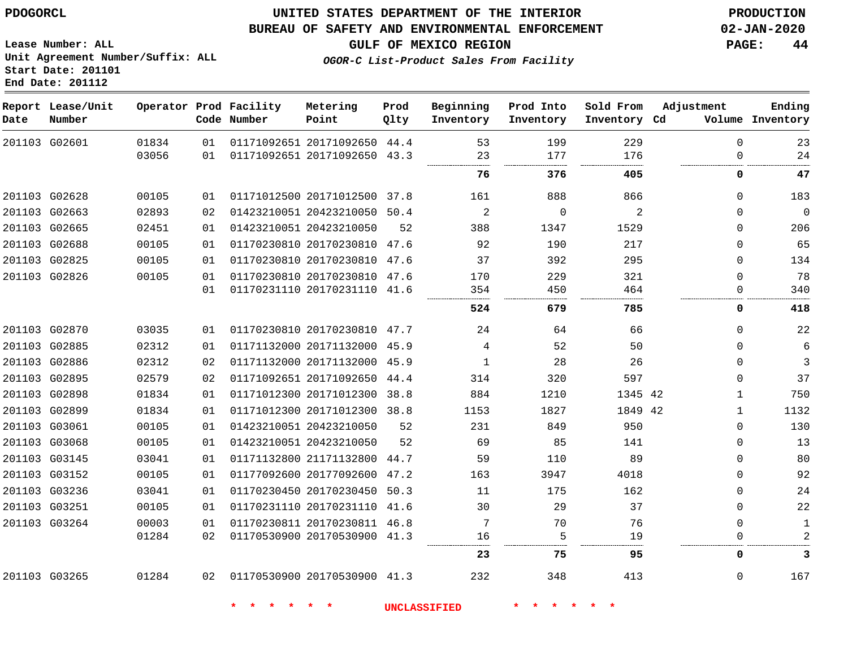#### **BUREAU OF SAFETY AND ENVIRONMENTAL ENFORCEMENT 02-JAN-2020**

**GULF OF MEXICO REGION PAGE: 44**

**Lease Number: ALL Unit Agreement Number/Suffix: ALL Start Date: 201101 End Date: 201112**

**OGOR-C List-Product Sales From Facility**

| Date          | Report Lease/Unit<br>Number |                |          | Operator Prod Facility<br>Code Number | Metering<br>Point                                            | Prod<br>Qlty | Beginning<br>Inventory | Prod Into<br>Inventory | Sold From<br>Inventory Cd | Adjustment              | Ending<br>Volume Inventory |
|---------------|-----------------------------|----------------|----------|---------------------------------------|--------------------------------------------------------------|--------------|------------------------|------------------------|---------------------------|-------------------------|----------------------------|
|               | 201103 G02601               | 01834<br>03056 | 01<br>01 |                                       | 01171092651 20171092650 44.4<br>01171092651 20171092650 43.3 |              | 53<br>23               | 199<br>177             | 229<br>176                | $\Omega$<br>$\mathbf 0$ | 23<br>24                   |
|               |                             |                |          |                                       |                                                              |              | 76                     | 376                    | 405                       | 0                       | 47                         |
|               | 201103 G02628               | 00105          | 01       |                                       | 01171012500 20171012500 37.8                                 |              | 161                    | 888                    | 866                       | $\Omega$                | 183                        |
|               | 201103 G02663               | 02893          | 02       |                                       | 01423210051 20423210050 50.4                                 |              | 2                      | $\mathbf 0$            | 2                         | $\Omega$                | $\mathbf 0$                |
|               | 201103 G02665               | 02451          | 01       |                                       | 01423210051 20423210050                                      | 52           | 388                    | 1347                   | 1529                      | $\Omega$                | 206                        |
|               | 201103 G02688               | 00105          | 01       |                                       | 01170230810 20170230810 47.6                                 |              | 92                     | 190                    | 217                       | $\Omega$                | 65                         |
|               | 201103 G02825               | 00105          | 01       |                                       | 01170230810 20170230810 47.6                                 |              | 37                     | 392                    | 295                       | 0                       | 134                        |
|               | 201103 G02826               | 00105          | 01       |                                       | 01170230810 20170230810 47.6                                 |              | 170                    | 229                    | 321                       | $\Omega$                | 78                         |
|               |                             |                | 01       |                                       | 01170231110 20170231110 41.6                                 |              | 354                    | 450                    | 464                       | $\Omega$                | 340                        |
|               |                             |                |          |                                       |                                                              |              | 524                    | 679                    | 785                       | 0                       | 418                        |
|               | 201103 G02870               | 03035          | 01       |                                       | 01170230810 20170230810 47.7                                 |              | 24                     | 64                     | 66                        | $\mathbf 0$             | 22                         |
|               | 201103 G02885               | 02312          | 01       |                                       | 01171132000 20171132000 45.9                                 |              | $\overline{4}$         | 52                     | 50                        | $\Omega$                | 6                          |
|               | 201103 G02886               | 02312          | 02       |                                       | 01171132000 20171132000 45.9                                 |              | $\mathbf{1}$           | 28                     | 26                        | $\Omega$                | 3                          |
|               | 201103 G02895               | 02579          | 02       |                                       | 01171092651 20171092650 44.4                                 |              | 314                    | 320                    | 597                       | 0                       | 37                         |
|               | 201103 G02898               | 01834          | 01       |                                       | 01171012300 20171012300 38.8                                 |              | 884                    | 1210                   | 1345 42                   | $\mathbf{1}$            | 750                        |
|               | 201103 G02899               | 01834          | 01       |                                       | 01171012300 20171012300 38.8                                 |              | 1153                   | 1827                   | 1849 42                   | $\mathbf{1}$            | 1132                       |
|               | 201103 G03061               | 00105          | 01       |                                       | 01423210051 20423210050                                      | 52           | 231                    | 849                    | 950                       | $\Omega$                | 130                        |
|               | 201103 G03068               | 00105          | 01       |                                       | 01423210051 20423210050                                      | 52           | 69                     | 85                     | 141                       | $\Omega$                | 13                         |
|               | 201103 G03145               | 03041          | 01       |                                       | 01171132800 21171132800                                      | 44.7         | 59                     | 110                    | 89                        | $\Omega$                | 80                         |
|               | 201103 G03152               | 00105          | 01       |                                       | 01177092600 20177092600                                      | 47.2         | 163                    | 3947                   | 4018                      | $\Omega$                | 92                         |
|               | 201103 G03236               | 03041          | 01       |                                       | 01170230450 20170230450 50.3                                 |              | 11                     | 175                    | 162                       | 0                       | 24                         |
| 201103 G03251 |                             | 00105          | 01       |                                       | 01170231110 20170231110 41.6                                 |              | 30                     | 29                     | 37                        | 0                       | 22                         |
|               | 201103 G03264               | 00003          | 01       |                                       | 01170230811 20170230811 46.8                                 |              | 7                      | 70                     | 76                        | $\mathbf 0$             | $\mathbf{1}$               |
|               |                             | 01284          | 02       |                                       | 01170530900 20170530900 41.3                                 |              | 16                     | 5                      | 19                        | 0                       | 2                          |
|               |                             |                |          |                                       |                                                              |              | 23                     | 75                     | 95                        | 0                       | 3                          |
|               | 201103 G03265               | 01284          | 02       | 01170530900 20170530900 41.3          |                                                              |              | 232                    | 348                    | 413                       | 0                       | 167                        |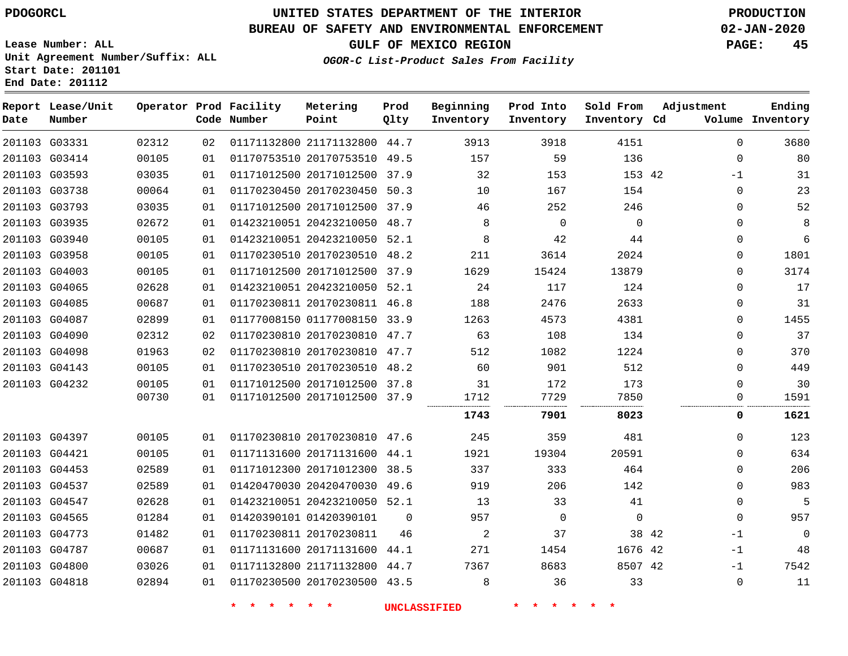# **UNITED STATES DEPARTMENT OF THE INTERIOR PDOGORCL PRODUCTION**

#### **BUREAU OF SAFETY AND ENVIRONMENTAL ENFORCEMENT 02-JAN-2020**

**Lease Number: ALL Unit Agreement Number/Suffix: ALL Start Date: 201101**

**GULF OF MEXICO REGION PAGE: 45**

**Prod**

**OGOR-C List-Product Sales From Facility**

| Date | Report Lease/Unit<br>Number |       |    | Operator Prod Facility<br>Code Number | Metering<br>Point            | Prod<br>Qlty | Beginning<br>Inventory | Prod Into<br>Inventory | Sold From<br>Inventory Cd | Adjustment   | Ending<br>Volume Inventory |
|------|-----------------------------|-------|----|---------------------------------------|------------------------------|--------------|------------------------|------------------------|---------------------------|--------------|----------------------------|
|      | 201103 G03331               | 02312 | 02 |                                       | 01171132800 21171132800 44.7 |              | 3913                   | 3918                   | 4151                      | $\mathbf 0$  | 3680                       |
|      | 201103 G03414               | 00105 | 01 |                                       | 01170753510 20170753510 49.5 |              | 157                    | 59                     | 136                       | $\mathbf 0$  | 80                         |
|      | 201103 G03593               | 03035 | 01 |                                       | 01171012500 20171012500 37.9 |              | 32                     | 153                    | 153 42                    | $-1$         | 31                         |
|      | 201103 G03738               | 00064 | 01 |                                       | 01170230450 20170230450 50.3 |              | 10                     | 167                    | 154                       | $\Omega$     | 23                         |
|      | 201103 G03793               | 03035 | 01 |                                       | 01171012500 20171012500 37.9 |              | 46                     | 252                    | 246                       | $\mathbf 0$  | 52                         |
|      | 201103 G03935               | 02672 | 01 |                                       | 01423210051 20423210050 48.7 |              | 8                      | $\Omega$               | $\Omega$                  | $\Omega$     | 8                          |
|      | 201103 G03940               | 00105 | 01 |                                       | 01423210051 20423210050 52.1 |              | 8                      | 42                     | 44                        | $\mathbf 0$  | 6                          |
|      | 201103 G03958               | 00105 | 01 |                                       | 01170230510 20170230510 48.2 |              | 211                    | 3614                   | 2024                      | $\mathbf 0$  | 1801                       |
|      | 201103 G04003               | 00105 | 01 |                                       | 01171012500 20171012500 37.9 |              | 1629                   | 15424                  | 13879                     | $\mathbf 0$  | 3174                       |
|      | 201103 G04065               | 02628 | 01 |                                       | 01423210051 20423210050 52.1 |              | 24                     | 117                    | 124                       | $\mathbf 0$  | 17                         |
|      | 201103 G04085               | 00687 | 01 |                                       | 01170230811 20170230811 46.8 |              | 188                    | 2476                   | 2633                      | $\Omega$     | 31                         |
|      | 201103 G04087               | 02899 | 01 |                                       | 01177008150 01177008150 33.9 |              | 1263                   | 4573                   | 4381                      | $\mathbf 0$  | 1455                       |
|      | 201103 G04090               | 02312 | 02 |                                       | 01170230810 20170230810 47.7 |              | 63                     | 108                    | 134                       | $\mathbf 0$  | 37                         |
|      | 201103 G04098               | 01963 | 02 |                                       | 01170230810 20170230810 47.7 |              | 512                    | 1082                   | 1224                      | $\mathbf 0$  | 370                        |
|      | 201103 G04143               | 00105 | 01 |                                       | 01170230510 20170230510 48.2 |              | 60                     | 901                    | 512                       | $\mathbf 0$  | 449                        |
|      | 201103 G04232               | 00105 | 01 |                                       | 01171012500 20171012500 37.8 |              | 31                     | 172                    | 173                       | $\mathbf 0$  | 30                         |
|      |                             | 00730 | 01 |                                       | 01171012500 20171012500 37.9 |              | 1712                   | 7729                   | 7850                      | 0            | 1591                       |
|      |                             |       |    |                                       |                              |              | 1743                   | 7901                   | 8023                      | 0            | 1621                       |
|      | 201103 G04397               | 00105 | 01 |                                       | 01170230810 20170230810 47.6 |              | 245                    | 359                    | 481                       | $\Omega$     | 123                        |
|      | 201103 G04421               | 00105 | 01 |                                       | 01171131600 20171131600 44.1 |              | 1921                   | 19304                  | 20591                     | $\Omega$     | 634                        |
|      | 201103 G04453               | 02589 | 01 |                                       | 01171012300 20171012300 38.5 |              | 337                    | 333                    | 464                       | $\Omega$     | 206                        |
|      | 201103 G04537               | 02589 | 01 |                                       | 01420470030 20420470030 49.6 |              | 919                    | 206                    | 142                       | $\mathbf 0$  | 983                        |
|      | 201103 G04547               | 02628 | 01 |                                       | 01423210051 20423210050 52.1 |              | 13                     | 33                     | 41                        | 0            | 5                          |
|      | 201103 G04565               | 01284 | 01 |                                       | 01420390101 01420390101      | $\Omega$     | 957                    | $\mathbf 0$            | $\mathbf 0$               | $\mathbf{0}$ | 957                        |
|      | 201103 G04773               | 01482 | 01 |                                       | 01170230811 20170230811      | 46           | $\overline{a}$         | 37                     | 38 42                     | $-1$         | $\mathbf 0$                |
|      | 201103 G04787               | 00687 | 01 |                                       | 01171131600 20171131600 44.1 |              | 271                    | 1454                   | 1676 42                   | $-1$         | 48                         |
|      | 201103 G04800               | 03026 | 01 |                                       | 01171132800 21171132800 44.7 |              | 7367                   | 8683                   | 8507 42                   | $-1$         | 7542                       |
|      | 201103 G04818               | 02894 | 01 |                                       | 01170230500 20170230500 43.5 |              | 8                      | 36                     | 33                        | $\mathbf 0$  | 11                         |
|      |                             |       |    |                                       |                              |              |                        |                        |                           |              |                            |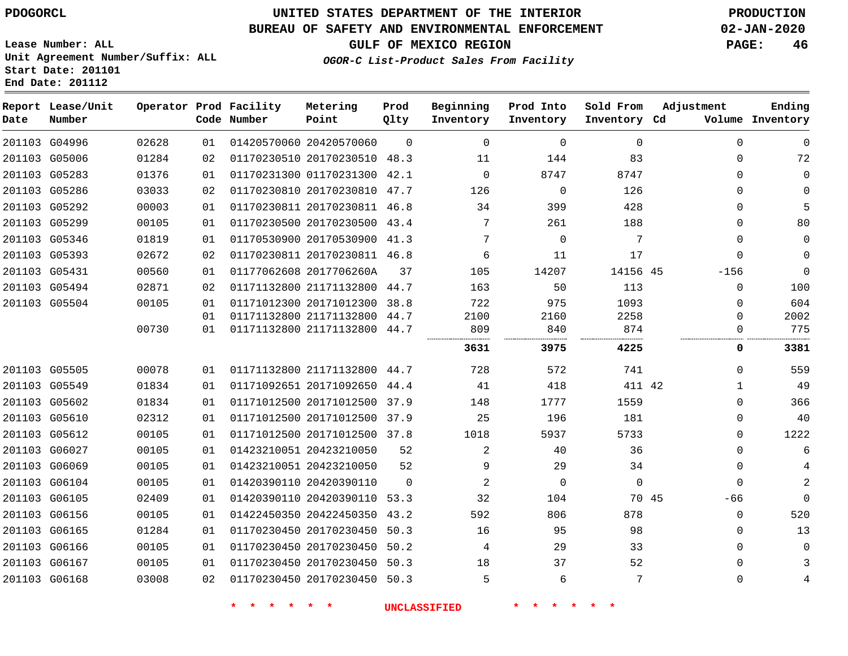**Lease Number: ALL**

**Start Date: 201101 End Date: 201112**

# **UNITED STATES DEPARTMENT OF THE INTERIOR PDOGORCL PRODUCTION**

## **BUREAU OF SAFETY AND ENVIRONMENTAL ENFORCEMENT 02-JAN-2020**

**Unit Agreement Number/Suffix: ALL**

**GULF OF MEXICO REGION PAGE: 46**

**OGOR-C List-Product Sales From Facility**

| Date | Report Lease/Unit<br>Number |       |    | Operator Prod Facility<br>Code Number | Metering<br>Point            | Prod<br>Qlty | Beginning<br>Inventory | Prod Into<br>Inventory | Sold From<br>Inventory Cd | Adjustment   | Ending<br>Volume Inventory |
|------|-----------------------------|-------|----|---------------------------------------|------------------------------|--------------|------------------------|------------------------|---------------------------|--------------|----------------------------|
|      | 201103 G04996               | 02628 | 01 |                                       | 01420570060 20420570060      | $\Omega$     | $\Omega$               | $\Omega$               | $\Omega$                  | $\Omega$     | $\Omega$                   |
|      | 201103 G05006               | 01284 | 02 |                                       | 01170230510 20170230510 48.3 |              | 11                     | 144                    | 83                        | $\mathbf 0$  | 72                         |
|      | 201103 G05283               | 01376 | 01 |                                       | 01170231300 01170231300 42.1 |              | $\mathbf 0$            | 8747                   | 8747                      | $\mathbf 0$  | $\mathbf 0$                |
|      | 201103 G05286               | 03033 | 02 |                                       | 01170230810 20170230810 47.7 |              | 126                    | $\Omega$               | 126                       | $\Omega$     | $\mathbf 0$                |
|      | 201103 G05292               | 00003 | 01 |                                       | 01170230811 20170230811 46.8 |              | 34                     | 399                    | 428                       | $\mathbf{0}$ | 5                          |
|      | 201103 G05299               | 00105 | 01 |                                       | 01170230500 20170230500 43.4 |              | 7                      | 261                    | 188                       | $\Omega$     | 80                         |
|      | 201103 G05346               | 01819 | 01 |                                       | 01170530900 20170530900 41.3 |              | 7                      | $\mathbf 0$            | $\overline{7}$            | $\Omega$     | $\mathbf 0$                |
|      | 201103 G05393               | 02672 | 02 |                                       | 01170230811 20170230811 46.8 |              | 6                      | 11                     | 17                        | $\mathbf 0$  | $\mathbf 0$                |
|      | 201103 G05431               | 00560 | 01 |                                       | 01177062608 2017706260A      | 37           | 105                    | 14207                  | 14156 45                  | $-156$       | $\Omega$                   |
|      | 201103 G05494               | 02871 | 02 |                                       | 01171132800 21171132800 44.7 |              | 163                    | 50                     | 113                       | 0            | 100                        |
|      | 201103 G05504               | 00105 | 01 |                                       | 01171012300 20171012300 38.8 |              | 722                    | 975                    | 1093                      | $\Omega$     | 604                        |
|      |                             |       | 01 |                                       | 01171132800 21171132800 44.7 |              | 2100                   | 2160                   | 2258                      | $\Omega$     | 2002                       |
|      |                             | 00730 | 01 |                                       | 01171132800 21171132800 44.7 |              | 809                    | 840                    | 874                       | $\Omega$     | 775                        |
|      |                             |       |    |                                       |                              |              | 3631                   | 3975                   | 4225                      | 0            | 3381                       |
|      | 201103 G05505               | 00078 | 01 |                                       | 01171132800 21171132800 44.7 |              | 728                    | 572                    | 741                       | $\Omega$     | 559                        |
|      | 201103 G05549               | 01834 | 01 |                                       | 01171092651 20171092650      | 44.4         | 41                     | 418                    | 411 42                    | $\mathbf{1}$ | 49                         |
|      | 201103 G05602               | 01834 | 01 |                                       | 01171012500 20171012500 37.9 |              | 148                    | 1777                   | 1559                      | $\Omega$     | 366                        |
|      | 201103 G05610               | 02312 | 01 |                                       | 01171012500 20171012500 37.9 |              | 25                     | 196                    | 181                       | $\mathbf 0$  | 40                         |
|      | 201103 G05612               | 00105 | 01 |                                       | 01171012500 20171012500 37.8 |              | 1018                   | 5937                   | 5733                      | $\Omega$     | 1222                       |
|      | 201103 G06027               | 00105 | 01 |                                       | 01423210051 20423210050      | 52           | 2                      | 40                     | 36                        | $\Omega$     | 6                          |
|      | 201103 G06069               | 00105 | 01 |                                       | 01423210051 20423210050      | 52           | 9                      | 29                     | 34                        | $\Omega$     | 4                          |
|      | 201103 G06104               | 00105 | 01 |                                       | 01420390110 20420390110      | $\Omega$     | $\overline{2}$         | $\mathbf 0$            | $\mathbf 0$               | $\Omega$     | 2                          |
|      | 201103 G06105               | 02409 | 01 |                                       | 01420390110 20420390110      | 53.3         | 32                     | 104                    | 70 45                     | -66          | $\mathbf 0$                |
|      | 201103 G06156               | 00105 | 01 |                                       | 01422450350 20422450350 43.2 |              | 592                    | 806                    | 878                       | $\Omega$     | 520                        |
|      | 201103 G06165               | 01284 | 01 |                                       | 01170230450 20170230450      | 50.3         | 16                     | 95                     | 98                        | $\Omega$     | 13                         |
|      | 201103 G06166               | 00105 | 01 |                                       | 01170230450 20170230450 50.2 |              | 4                      | 29                     | 33                        | $\mathbf 0$  | $\mathbf 0$                |
|      | 201103 G06167               | 00105 | 01 |                                       | 01170230450 20170230450      | 50.3         | 18                     | 37                     | 52                        | $\mathbf 0$  | 3                          |
|      | 201103 G06168               | 03008 | 02 |                                       | 01170230450 20170230450 50.3 |              | 5                      | 6                      | 7                         | $\mathbf 0$  | 4                          |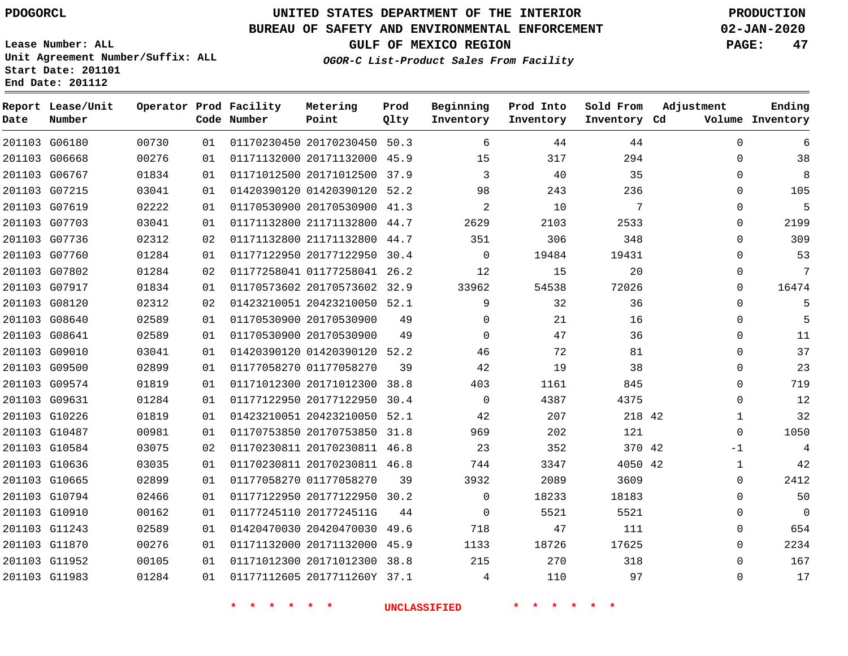**Date**

# **UNITED STATES DEPARTMENT OF THE INTERIOR PDOGORCL PRODUCTION**

**Prod Qlty**

#### **BUREAU OF SAFETY AND ENVIRONMENTAL ENFORCEMENT 02-JAN-2020**

**Lease Number: ALL Unit Agreement Number/Suffix: ALL Start Date: 201101**

**Operator Prod Facility**

**Code Number**

**Metering Point**

**End Date: 201112**

**Report Lease/Unit**

**Number**

**GULF OF MEXICO REGION PAGE: 47**

**Inventory Cd Volume**

**Adjustment**

**Ending**

**OGOR-C List-Product Sales From Facility**

**Beginning Inventory** **Prod Into Inventory**

**Sold From Inventory**

| 6        | 0            | 44      | 44    | 6        |      | 01170230450 20170230450 50.3 |                         | 01 | 00730 | 201103 G06180 |        |
|----------|--------------|---------|-------|----------|------|------------------------------|-------------------------|----|-------|---------------|--------|
| 38       | $\Omega$     | 294     | 317   | 15       | 45.9 | 01171132000 20171132000      |                         | 01 | 00276 | 201103 G06668 |        |
| 8        | 0            | 35      | 40    | 3        |      | 01171012500 20171012500 37.9 |                         | 01 | 01834 | 201103 G06767 |        |
| 105      | 0            | 236     | 243   | 98       | 52.2 | 01420390120 01420390120      |                         | 01 | 03041 | G07215        | 201103 |
| 5        | 0            | 7       | 10    | 2        | 41.3 | 01170530900 20170530900      |                         | 01 | 02222 | 201103 G07619 |        |
| 2199     | 0            | 2533    | 2103  | 2629     | 44.7 | 01171132800 21171132800      |                         | 01 | 03041 | 201103 G07703 |        |
| 309      | $\Omega$     | 348     | 306   | 351      | 44.7 | 01171132800 21171132800      |                         | 02 | 02312 | 201103 G07736 |        |
| 53       | 0            | 19431   | 19484 | 0        | 30.4 | 01177122950 20177122950      |                         | 01 | 01284 | 201103 G07760 |        |
| 7        | 0            | 20      | 15    | 12       |      | 01177258041 01177258041 26.2 |                         | 02 | 01284 | 201103 G07802 |        |
| 16474    | 0            | 72026   | 54538 | 33962    | 32.9 | 01170573602 20170573602      |                         | 01 | 01834 | 201103 G07917 |        |
| 5        | $\Omega$     | 36      | 32    | 9        | 52.1 | 01423210051 20423210050      |                         | 02 | 02312 | 201103 G08120 |        |
| 5        | 0            | 16      | 21    | $\Omega$ | 49   |                              | 01170530900 20170530900 | 01 | 02589 | 201103 G08640 |        |
| 11       | 0            | 36      | 47    | 0        | 49   |                              | 01170530900 20170530900 | 01 | 02589 | 201103 G08641 |        |
| 37       | 0            | 81      | 72    | 46       | 52.2 | 01420390120 01420390120      |                         | 01 | 03041 | 201103 G09010 |        |
| 23       | 0            | 38      | 19    | 42       | 39   |                              | 01177058270 01177058270 | 01 | 02899 | 201103 G09500 |        |
| 719      | 0            | 845     | 1161  | 403      | 38.8 | 01171012300 20171012300      |                         | 01 | 01819 | 201103 G09574 |        |
| 12       | 0            | 4375    | 4387  | 0        | 30.4 | 01177122950 20177122950      |                         | 01 | 01284 | 201103 G09631 |        |
| 32       | $\mathbf 1$  | 218 42  | 207   | 42       | 52.1 | 01423210051 20423210050      |                         | 01 | 01819 | 201103 G10226 |        |
| 1050     | 0            | 121     | 202   | 969      | 31.8 | 01170753850 20170753850      |                         | 01 | 00981 | 201103 G10487 |        |
| 4        | -1           | 370 42  | 352   | 23       | 46.8 | 01170230811 20170230811      |                         | 02 | 03075 | 201103 G10584 |        |
| 42       | $\mathbf{1}$ | 4050 42 | 3347  | 744      |      | 01170230811 20170230811 46.8 |                         | 01 | 03035 | 201103 G10636 |        |
| 2412     | 0            | 3609    | 2089  | 3932     | 39   |                              | 01177058270 01177058270 | 01 | 02899 | 201103 G10665 |        |
| 50       | 0            | 18183   | 18233 | 0        | 30.2 | 01177122950 20177122950      |                         | 01 | 02466 | 201103 G10794 |        |
| $\Omega$ | 0            | 5521    | 5521  | 0        | 44   |                              | 01177245110 2017724511G | 01 | 00162 | 201103 G10910 |        |
| 654      | 0            | 111     | 47    | 718      | 49.6 |                              | 01420470030 20420470030 | 01 | 02589 | 201103 G11243 |        |
| 2234     | 0            | 17625   | 18726 | 1133     | 45.9 | 01171132000 20171132000      |                         | 01 | 00276 | 201103 G11870 |        |
| 167      | $\Omega$     | 318     | 270   | 215      | 38.8 | 01171012300 20171012300      |                         | 01 | 00105 | 201103 G11952 |        |
| 17       | $\Omega$     | 97      | 110   | 4        |      | 01177112605 2017711260Y 37.1 |                         | 01 | 01284 | 201103 G11983 |        |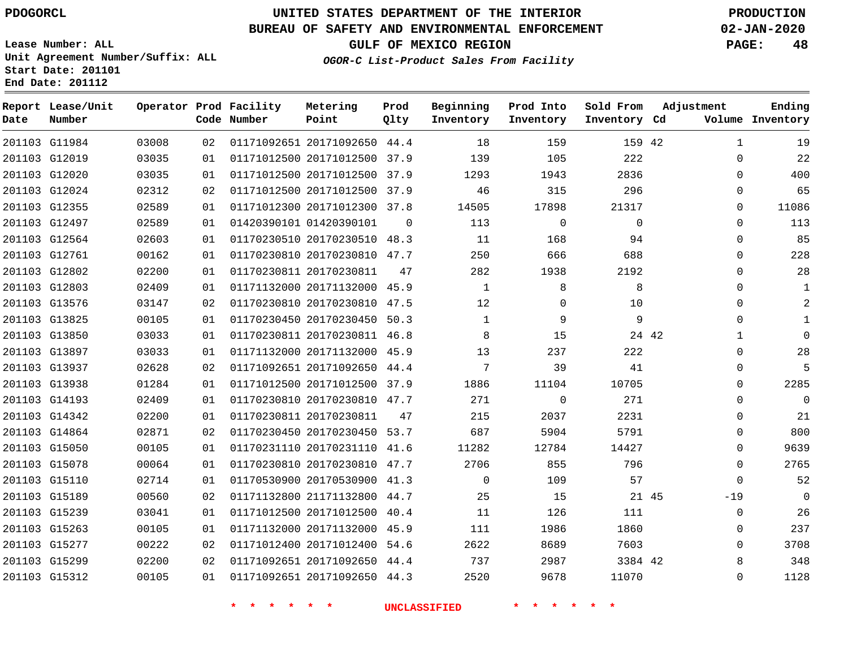**Date**

**Report Lease/Unit**

**Number**

# **UNITED STATES DEPARTMENT OF THE INTERIOR PDOGORCL PRODUCTION**

**Prod Qlty**

#### **BUREAU OF SAFETY AND ENVIRONMENTAL ENFORCEMENT 02-JAN-2020**

**Lease Number: ALL Unit Agreement Number/Suffix: ALL Start Date: 201101 End Date: 201112**

**Operator Prod Facility**

**Code Number**

**OGOR-C List-Product Sales From Facility**

**Beginning Inventory** **Prod Into Inventory** **Sold From Inventory**

**GULF OF MEXICO REGION PAGE: 48**

**Inventory Cd Volume**

**Adjustment**

  $\Omega$   $\Omega$   $\Omega$   $\Omega$  $\Omega$  $\Omega$  $\Omega$  $\overline{0}$  $\Omega$  $\Omega$  

**Ending**

| 201103 G11984 | 03008 | 02 |                                | 01171092651 20171092650 44.4 18 159 159 159 42 |                |                | 1           |
|---------------|-------|----|--------------------------------|------------------------------------------------|----------------|----------------|-------------|
| 201103 G12019 | 03035 | 01 | 01171012500 20171012500 37.9   | 139                                            | 105            | 222            | $\Omega$    |
| 201103 G12020 | 03035 | 01 |                                | 01171012500 20171012500 37.9 1293              | 1943           | 2836           | $\Omega$    |
| 201103 G12024 | 02312 | 02 | 01171012500 20171012500 37.9   | 46                                             | 315            | 296            | $\Omega$    |
| 201103 G12355 | 02589 | 01 | 01171012300 20171012300 37.8   | 14505                                          | 17898          | 21317          | 0           |
| 201103 G12497 | 02589 | 01 | 01420390101 01420390101 0 113  |                                                | $\overline{0}$ | $\overline{0}$ | $\Omega$    |
| 201103 G12564 | 02603 | 01 |                                | 01170230510 20170230510 48.3 11                | 168            | 94             | 0           |
| 201103 G12761 | 00162 | 01 | 01170230810 20170230810 47.7   | 250                                            | 666            | 688            | $\Omega$    |
| 201103 G12802 | 02200 | 01 | 01170230811 20170230811 47     | 282                                            | 1938           | 2192           | 0           |
| 201103 G12803 | 02409 | 01 | 01171132000 20171132000 45.9   | $\overline{1}$                                 |                | 8 <sup>8</sup> | $\Omega$    |
| 201103 G13576 | 03147 | 02 | 01170230810 20170230810 47.5   | 12                                             | $\overline{0}$ | 10             | $\Omega$    |
| 201103 G13825 | 00105 | 01 | 01170230450 20170230450 50.3   |                                                | $\overline{9}$ | $\overline{9}$ | $\Omega$    |
| 201103 G13850 | 03033 | 01 | 01170230811 20170230811 46.8   | 8 15                                           |                | 24 42          |             |
| 201103 G13897 | 03033 | 01 | 01171132000 20171132000 45.9   | 13                                             | 237            | 222            | $\Omega$    |
| 201103 G13937 | 02628 | 02 | 01171092651 20171092650 44.4   | $7\overline{)}$                                | 39             | 41             | $\Omega$    |
| 201103 G13938 | 01284 | 01 |                                | 01171012500 20171012500 37.9 1886              | 11104          | 10705          | $\Omega$    |
| 201103 G14193 | 02409 | 01 |                                | 01170230810 20170230810 47.7 271               | $\overline{0}$ | 271            | $\Omega$    |
| 201103 G14342 | 02200 | 01 | 01170230811 20170230811 47 215 |                                                | 2037           | 2231           | $\Omega$    |
| 201103 G14864 | 02871 | 02 |                                | 01170230450 20170230450 53.7 687               | 5904           | 5791           | $\Omega$    |
| 201103 G15050 | 00105 | 01 |                                | 01170231110 20170231110 41.6 11282             | 12784          | 14427          | 0           |
| 201103 G15078 | 00064 | 01 |                                | 01170230810 20170230810 47.7 2706              | 855            | 796            | $\mathbf 0$ |
| 201103 G15110 | 02714 | 01 | 01170530900 20170530900 41.3   | $\overline{0}$                                 | 109            | 57             | $\mathbf 0$ |
| 201103 G15189 | 00560 | 02 | 01171132800 21171132800 44.7   | 25                                             | 15             | 21 45          | $-19$       |
| 201103 G15239 | 03041 | 01 | 01171012500 20171012500 40.4   | 11 126                                         |                | 111            | 0           |
| 201103 G15263 | 00105 | 01 | 01171132000 20171132000 45.9   | 111 7                                          | 1986           | 1860           | $\mathbf 0$ |
| 201103 G15277 | 00222 | 02 | 01171012400 20171012400 54.6   | 2622                                           | 8689           | 7603           | 0           |
| 201103 G15299 | 02200 | 02 |                                | 01171092651 20171092650 44.4 737               | 2987           | 3384 42        | 8           |
| 201103 G15312 | 00105 |    |                                | 01  01171092651  20171092650  44.3  2520       | 9678           | 11070          | $\mathbf 0$ |
|               |       |    |                                | * * * * * * * UNCLASSIFIED                     | * * * *        |                |             |
|               |       |    |                                |                                                |                |                |             |

**Metering Point**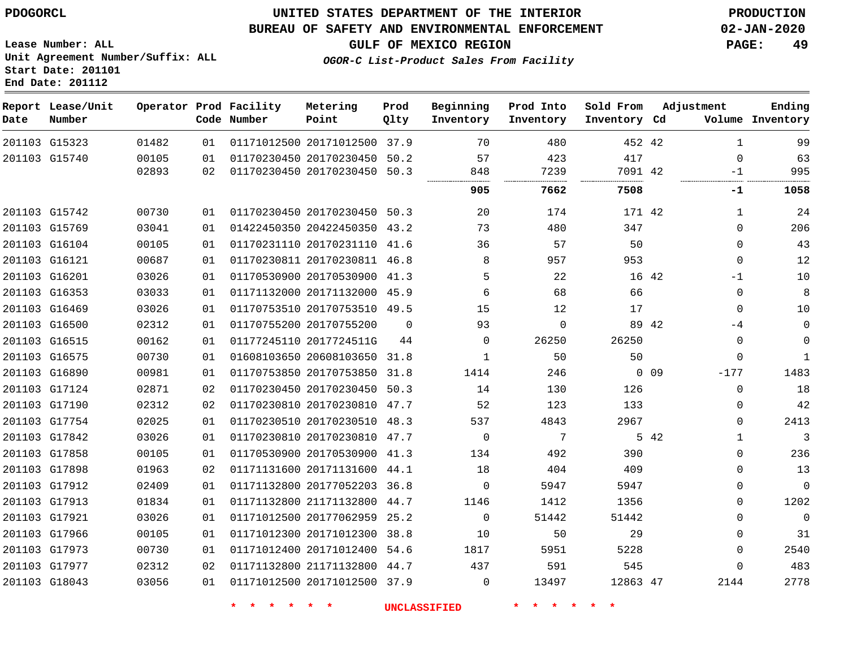**Report Lease/Unit**

**Number**

 

**Date**

## **UNITED STATES DEPARTMENT OF THE INTERIOR PDOGORCL PRODUCTION**

**Prod Qlty**

#### **BUREAU OF SAFETY AND ENVIRONMENTAL ENFORCEMENT 02-JAN-2020**

**Lease Number: ALL Unit Agreement Number/Suffix: ALL Start Date: 201101 End Date: 201112**

**Operator Prod Facility**

**Code Number**

**OGOR-C List-Product Sales From Facility**

**Beginning Inventory** **Prod Into Inventory** **Sold From Inventory**

**Inventory Cd Volume**

**Adjustment**

**GULF OF MEXICO REGION PAGE: 49**

**Ending**

| G15323 | 01482 | 01 | 01171012500 20171012500 37.9 |          | 70                  | 480      | 452 42   |            | $\mathbf{1}$ | 99           |
|--------|-------|----|------------------------------|----------|---------------------|----------|----------|------------|--------------|--------------|
| G15740 | 00105 | 01 | 01170230450 20170230450      | 50.2     | 57                  | 423      | 417      |            | $\mathbf 0$  | 63           |
|        | 02893 | 02 | 01170230450 20170230450 50.3 |          | 848                 | 7239     | 7091 42  |            | $-1$         | 995          |
|        |       |    |                              |          | 905                 | 7662     | 7508     |            | -1           | 1058         |
| G15742 | 00730 | 01 | 01170230450 20170230450 50.3 |          | 20                  | 174      | 171 42   |            | 1            | 24           |
| G15769 | 03041 | 01 | 01422450350 20422450350 43.2 |          | 73                  | 480      | 347      |            | $\mathbf 0$  | 206          |
| G16104 | 00105 | 01 | 01170231110 20170231110 41.6 |          | 36                  | 57       | 50       |            | $\mathbf 0$  | 43           |
| G16121 | 00687 | 01 | 01170230811 20170230811 46.8 |          | 8                   | 957      | 953      |            | $\mathbf 0$  | 12           |
| G16201 | 03026 | 01 | 01170530900 20170530900 41.3 |          | 5                   | 22       |          | 16 42      | -1           | 10           |
| G16353 | 03033 | 01 | 01171132000 20171132000 45.9 |          | 6                   | 68       | 66       |            | 0            | 8            |
| G16469 | 03026 | 01 | 01170753510 20170753510 49.5 |          | 15                  | 12       | 17       |            | $\mathbf 0$  | 10           |
| G16500 | 02312 | 01 | 01170755200 20170755200      | $\Omega$ | 93                  | $\Omega$ |          | 89 42      | -4           | 0            |
| G16515 | 00162 | 01 | 01177245110 2017724511G      | 44       | $\mathbf 0$         | 26250    | 26250    |            | 0            | $\mathbf 0$  |
| G16575 | 00730 | 01 | 01608103650 20608103650 31.8 |          | $\mathbf{1}$        | 50       | 50       |            | $\Omega$     | $\mathbf{1}$ |
| G16890 | 00981 | 01 | 01170753850 20170753850 31.8 |          | 1414                | 246      |          | $0\quad09$ | $-177$       | 1483         |
| G17124 | 02871 | 02 | 01170230450 20170230450 50.3 |          | 14                  | 130      | 126      |            | $\mathbf 0$  | 18           |
| G17190 | 02312 | 02 | 01170230810 20170230810 47.7 |          | 52                  | 123      | 133      |            | $\mathbf 0$  | 42           |
| G17754 | 02025 | 01 | 01170230510 20170230510 48.3 |          | 537                 | 4843     | 2967     |            | $\mathbf 0$  | 2413         |
| G17842 | 03026 | 01 | 01170230810 20170230810 47.7 |          | $\overline{0}$      | 7        |          | 5 42       | $\mathbf{1}$ | 3            |
| G17858 | 00105 | 01 | 01170530900 20170530900 41.3 |          | 134                 | 492      | 390      |            | $\mathbf 0$  | 236          |
| G17898 | 01963 | 02 | 01171131600 20171131600 44.1 |          | 18                  | 404      | 409      |            | $\mathbf 0$  | 13           |
| G17912 | 02409 | 01 | 01171132800 20177052203 36.8 |          | 0                   | 5947     | 5947     |            | 0            | 0            |
| G17913 | 01834 | 01 | 01171132800 21171132800 44.7 |          | 1146                | 1412     | 1356     |            | $\Omega$     | 1202         |
| G17921 | 03026 | 01 | 01171012500 20177062959 25.2 |          | $\Omega$            | 51442    | 51442    |            | 0            | $\Omega$     |
| G17966 | 00105 | 01 | 01171012300 20171012300 38.8 |          | 10                  | 50       | 29       |            | $\mathbf 0$  | 31           |
| G17973 | 00730 | 01 | 01171012400 20171012400 54.6 |          | 1817                | 5951     | 5228     |            | $\mathbf 0$  | 2540         |
| G17977 | 02312 | 02 | 01171132800 21171132800 44.7 |          | 437                 | 591      | 545      |            | 0            | 483          |
| G18043 | 03056 | 01 | 01171012500 20171012500 37.9 |          | 0                   | 13497    | 12863 47 |            | 2144         | 2778         |
|        |       |    |                              |          | <b>UNCLASSIFIED</b> |          |          |            |              |              |
|        |       |    |                              |          |                     |          |          |            |              |              |

**Metering Point**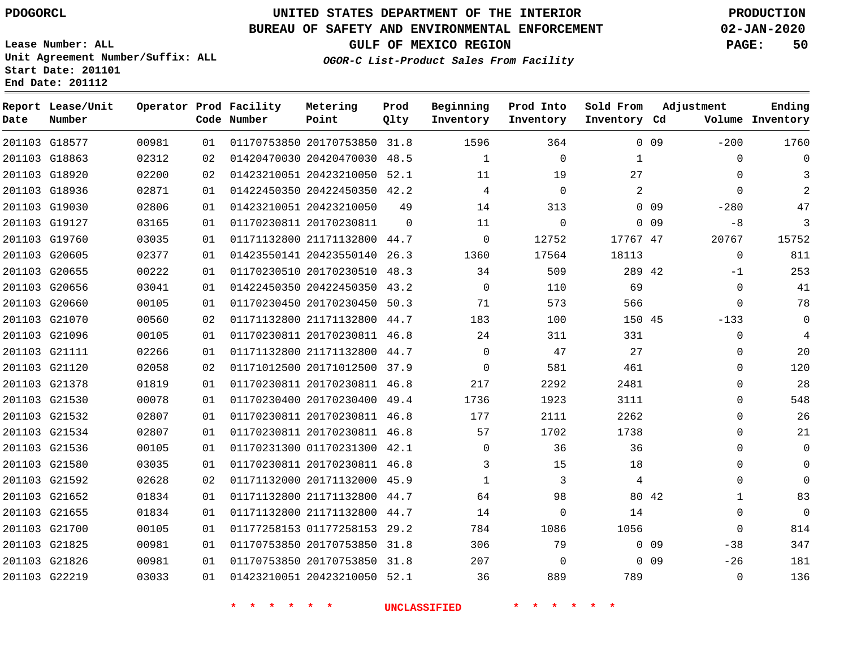**Date**

**End Date: 201112**

**Report Lease/Unit**

**Number**

 G21700 G21825 G21826 G22219

# **UNITED STATES DEPARTMENT OF THE INTERIOR PDOGORCL PRODUCTION**

**Prod Qlty**

#### **BUREAU OF SAFETY AND ENVIRONMENTAL ENFORCEMENT 02-JAN-2020**

**Lease Number: ALL Unit Agreement Number/Suffix: ALL Start Date: 201101**

**Operator Prod Facility**

**Code Number**

**OGOR-C List-Product Sales From Facility**

**Beginning Inventory** **Prod Into Inventory**

**GULF OF MEXICO REGION PAGE: 50**

**Inventory Cd Volume**

**Adjustment**

 $-200$  $\Omega$  $\Omega$   $-280$  $-8$   $\Omega$ -1  $\Omega$  $\Omega$ -133  $\Omega$   $\Omega$  $\Omega$  $\Omega$  $\Omega$  $\Omega$  $\Omega$   $\Omega$   $\Omega$ -38  $-26$  $\Omega$ 

**Ending**

| $0$ 09          |                | 364      | 1596     | 31.8     | 01170753850 20170753850 | 01 | 00981 | 201103 G18577 |  |
|-----------------|----------------|----------|----------|----------|-------------------------|----|-------|---------------|--|
|                 | 1              | $\Omega$ | 1        | 48.5     | 01420470030 20420470030 | 02 | 02312 | 201103 G18863 |  |
|                 | 27             | 19       | 11       | 52.1     | 01423210051 20423210050 | 02 | 02200 | 201103 G18920 |  |
|                 | $\overline{2}$ | 0        | 4        | 42.2     | 01422450350 20422450350 | 01 | 02871 | 201103 G18936 |  |
| 0 <sub>09</sub> |                | 313      | 14       | 49       | 01423210051 20423210050 | 01 | 02806 | 201103 G19030 |  |
| 0 <sub>09</sub> |                | $\Omega$ | 11       | $\Omega$ | 01170230811 20170230811 | 01 | 03165 | 201103 G19127 |  |
|                 | 17767 47       | 12752    | 0        | 44.7     | 01171132800 21171132800 | 01 | 03035 | 201103 G19760 |  |
|                 | 18113          | 17564    | 1360     | 26.3     | 01423550141 20423550140 | 01 | 02377 | 201103 G20605 |  |
|                 | 289 42         | 509      | 34       | 48.3     | 01170230510 20170230510 | 01 | 00222 | 201103 G20655 |  |
|                 | 69             | 110      | $\Omega$ | 43.2     | 01422450350 20422450350 | 01 | 03041 | 201103 G20656 |  |
|                 | 566            | 573      | 71       | 50.3     | 01170230450 20170230450 | 01 | 00105 | 201103 G20660 |  |
|                 | 150 45         | 100      | 183      | 44.7     | 01171132800 21171132800 | 02 | 00560 | 201103 G21070 |  |
|                 | 331            | 311      | 24       | 46.8     | 01170230811 20170230811 | 01 | 00105 | 201103 G21096 |  |
|                 | 27             | 47       | $\Omega$ | 44.7     | 01171132800 21171132800 | 01 | 02266 | 201103 G21111 |  |
|                 | 461            | 581      | $\Omega$ | 37.9     | 01171012500 20171012500 | 02 | 02058 | 201103 G21120 |  |
|                 | 2481           | 2292     | 217      | 46.8     | 01170230811 20170230811 | 01 | 01819 | 201103 G21378 |  |
|                 | 3111           | 1923     | 1736     | 49.4     | 01170230400 20170230400 | 01 | 00078 | 201103 G21530 |  |
|                 | 2262           | 2111     | 177      | 46.8     | 01170230811 20170230811 | 01 | 02807 | 201103 G21532 |  |
|                 | 1738           | 1702     | 57       | 46.8     | 01170230811 20170230811 | 01 | 02807 | 201103 G21534 |  |
|                 | 36             | 36       | $\Omega$ | 42.1     | 01170231300 01170231300 | 01 | 00105 | 201103 G21536 |  |
|                 | 18             | 15       | 3        | 46.8     | 01170230811 20170230811 | 01 | 03035 | 201103 G21580 |  |
|                 | 4              | 3        | 1        | 45.9     | 01171132000 20171132000 | 02 | 02628 | 201103 G21592 |  |
| 80 42           |                | 98       | 64       | 44.7     | 01171132800 21171132800 | 01 | 01834 | 201103 G21652 |  |
|                 | 14             | $\Omega$ | 14       | 44.7     | 01171132800 21171132800 | 01 | 01834 | 201103 G21655 |  |

**Metering Point**

**\* \* \* \* \* \* UNCLASSIFIED \* \* \* \* \* \***

 01177258153 29.2 20170753850 31.8 20170753850 31.8 20423210050 52.1

0 0 9 0 0 9

**Sold From Inventory**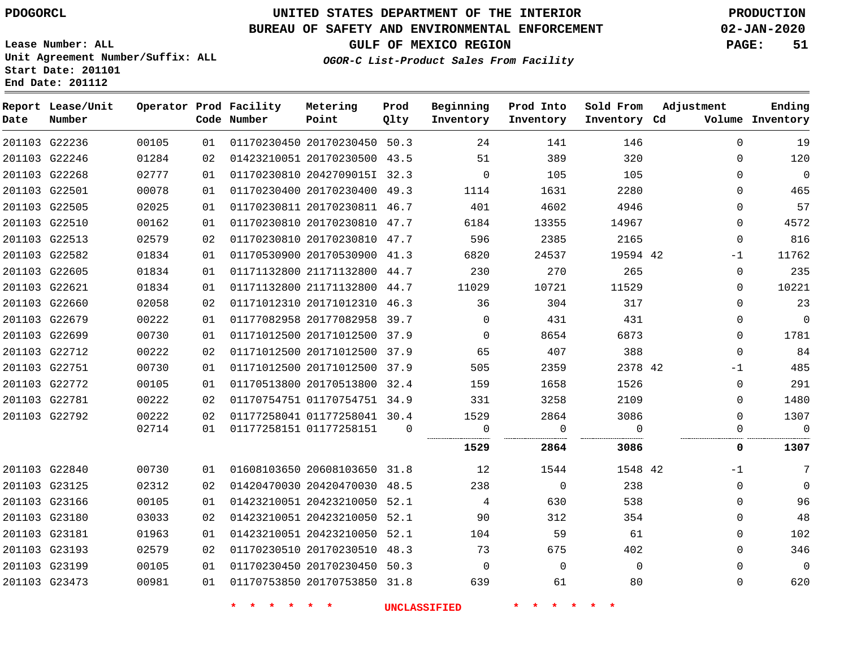**Report Lease/Unit**

**Number**

G22236

**Date**

# **UNITED STATES DEPARTMENT OF THE INTERIOR PDOGORCL PRODUCTION**

**Prod Qlty**

#### **BUREAU OF SAFETY AND ENVIRONMENTAL ENFORCEMENT 02-JAN-2020**

**Lease Number: ALL Unit Agreement Number/Suffix: ALL Start Date: 201101**

**Operator Prod Facility**

**Code Number**

**OGOR-C List-Product Sales From Facility**

**Sold From Inventory**

**Prod Into Inventory**

**Beginning Inventory**

**GULF OF MEXICO REGION PAGE: 51**

**Inventory Cd Volume**

**Adjustment**

  $-1$   $\Omega$  $\overline{0}$  $\overline{0}$  $-1$  $\overline{0}$  $\Omega$  $\Omega$ 

**Ending**

|                  |                |          |                                                              |                | <b>UNCLASSIFIED</b> |                |                |                          |                          |
|------------------|----------------|----------|--------------------------------------------------------------|----------------|---------------------|----------------|----------------|--------------------------|--------------------------|
| G23473           | 00981          | 01       | 01170753850 20170753850 31.8                                 |                | 639                 | 61             | 80             | $\Omega$                 | 620                      |
| G23199           | 00105          | 01       | 01170230450 20170230450 50.3                                 |                | $\overline{0}$      | $\Omega$       | $\overline{0}$ | $\mathbf{0}$             | $\overline{\phantom{0}}$ |
| G23193           | 02579          | 02       | 01170230510 20170230510 48.3                                 |                | 73                  | 675            | 402            | $\mathbf{0}$             | 346                      |
| G23181           | 01963          | 01       | 01423210051 20423210050 52.1                                 |                | 104                 | 59             | 61             | $\Omega$                 | 102                      |
| G23180           | 03033          | 02       | 01423210051 20423210050 52.1                                 |                | 90                  | 312            | 354            | $\Omega$                 | 48                       |
| G23166           | 00105          | 01       | 01423210051 20423210050 52.1                                 |                | 4                   | 630            | 538            | $\Omega$                 | 96                       |
| G23125           | 02312          | 02       | 01420470030 20420470030 48.5                                 |                | 238                 | $\overline{0}$ | 238            | $\Omega$                 | $\overline{0}$           |
| G22840           | 00730          | 01       | 01608103650 20608103650 31.8 12                              |                |                     | 1544           | 1548 42        | $-1$                     | $\overline{7}$           |
|                  |                |          |                                                              |                | 1529                | 2864           | 3086           | $\mathbf 0$              | 1307                     |
|                  | 02714          | 01       | 01177258151 01177258151                                      | $\overline{0}$ | $\mathbf 0$         | $\Omega$       | $\Omega$       | $\Omega$                 | $\overline{0}$           |
| G22792           | 00222          | 02       | 01177258041 01177258041 30.4                                 |                | 1529                | 2864           | 3086           | $\Omega$                 | 1307                     |
| G22781           | 00222          | 02       | 01170754751 01170754751 34.9                                 |                | 331                 | 3258           | 2109           | $\Omega$                 | 1480                     |
| G22772           | 00105          | 01       | 01170513800 20170513800 32.4                                 |                | 159                 | 1658           | 1526           | $\overline{0}$           | 291                      |
| G22751           | 00730          | 01       | 01171012500 20171012500 37.9                                 |                | 505                 | 2359           | 2378 42        | $-1$                     | 485                      |
| G22712           | 00222          | 02       | 01171012500 20171012500 37.9                                 |                | 65                  | 407            | 388            | $\Omega$                 | 84                       |
| G22699           | 00730          | 01       | 01171012500 20171012500 37.9                                 |                | $\overline{0}$      | 8654           | 6873           | $\overline{0}$           | 1781                     |
| G22679           | 00222          | 01       | 01177082958 20177082958 39.7                                 |                | $\Omega$            | 431            | 431            | $\Omega$                 | $\overline{0}$           |
| G22660           | 02058          | 02       | 01171012310 20171012310 46.3                                 |                | 36                  | 304            | 317            | $\Omega$                 | 23                       |
| G22621           | 01834          | 01       | 01171132800 21171132800 44.7                                 |                | 11029               | 10721          | 11529          | $\Omega$                 | 10221                    |
| G22605           | 01834          | 01       | 01171132800 21171132800 44.7                                 |                | 230                 | 270            | 265            | $\mathbf{0}$             | 235                      |
| G22582           | 01834          | 01       | 01170530900 20170530900 41.3                                 |                | 6820                | 24537          | 19594 42       | $-1$                     | 11762                    |
| G22510<br>G22513 | 00162<br>02579 | 01<br>02 | 01170230810 20170230810 47.7<br>01170230810 20170230810 47.7 |                | 6184<br>596         | 13355<br>2385  | 14967<br>2165  | $\mathbf{0}$<br>$\Omega$ | 4572<br>816              |
| G22505           | 02025          | 01       | 01170230811 20170230811 46.7                                 |                | 401                 | 4602           | 4946           | $\Omega$                 | 57                       |
| G22501           | 00078          | 01       | 01170230400 20170230400 49.3                                 |                | 1114                | 1631           | 2280           | $\overline{0}$           | 465                      |
| G22268           | 02777          | 01       | 01170230810 2042709015I 32.3                                 |                | $\Omega$            | 105            | 105            | $\Omega$                 | $\overline{0}$           |
| G22246           | 01284          | 02       | 01423210051 20170230500 43.5                                 |                | 51                  | 389            | 320            | $\Omega$                 | 120                      |
|                  |                |          |                                                              |                |                     |                |                |                          |                          |

20170230450 50.3

**Metering Point**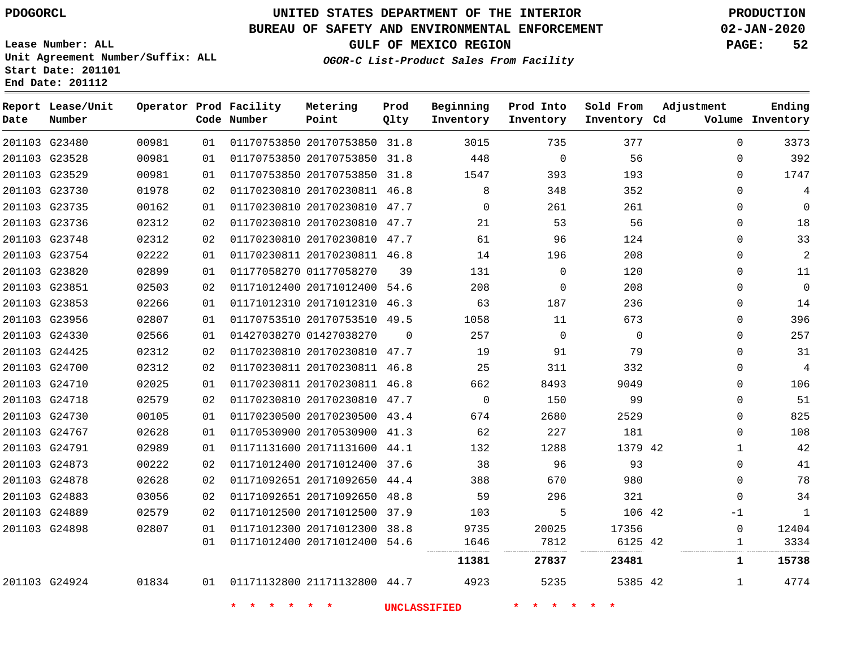## **BUREAU OF SAFETY AND ENVIRONMENTAL ENFORCEMENT 02-JAN-2020**

**Lease Number: ALL Unit Agreement Number/Suffix: ALL Start Date: 201101**

**End Date: 201112**

**GULF OF MEXICO REGION PAGE: 52**

**OGOR-C List-Product Sales From Facility**

| Date | Report Lease/Unit<br>Number |       |    | Operator Prod Facility<br>Code Number | Metering<br>Point            | Prod<br>Qlty | Beginning<br>Inventory | Prod Into<br>Inventory | Sold From<br>Inventory Cd | Adjustment   | Ending<br>Volume Inventory |
|------|-----------------------------|-------|----|---------------------------------------|------------------------------|--------------|------------------------|------------------------|---------------------------|--------------|----------------------------|
|      | 201103 G23480               | 00981 | 01 |                                       | 01170753850 20170753850 31.8 |              | 3015                   | 735                    | 377                       | $\Omega$     | 3373                       |
|      | 201103 G23528               | 00981 | 01 |                                       | 01170753850 20170753850 31.8 |              | 448                    | $\mathbf 0$            | 56                        | $\Omega$     | 392                        |
|      | 201103 G23529               | 00981 | 01 |                                       | 01170753850 20170753850 31.8 |              | 1547                   | 393                    | 193                       | $\Omega$     | 1747                       |
|      | 201103 G23730               | 01978 | 02 |                                       | 01170230810 20170230811 46.8 |              | 8                      | 348                    | 352                       | $\Omega$     | 4                          |
|      | 201103 G23735               | 00162 | 01 |                                       | 01170230810 20170230810 47.7 |              | $\mathbf 0$            | 261                    | 261                       | $\mathbf{0}$ | $\mathbf 0$                |
|      | 201103 G23736               | 02312 | 02 |                                       | 01170230810 20170230810 47.7 |              | 21                     | 53                     | 56                        | $\Omega$     | 18                         |
|      | 201103 G23748               | 02312 | 02 |                                       | 01170230810 20170230810 47.7 |              | 61                     | 96                     | 124                       | $\mathbf{0}$ | 33                         |
|      | 201103 G23754               | 02222 | 01 |                                       | 01170230811 20170230811 46.8 |              | 14                     | 196                    | 208                       | $\mathbf 0$  | $\mathbf{2}$               |
|      | 201103 G23820               | 02899 | 01 |                                       | 01177058270 01177058270      | 39           | 131                    | $\Omega$               | 120                       | $\Omega$     | 11                         |
|      | 201103 G23851               | 02503 | 02 |                                       | 01171012400 20171012400 54.6 |              | 208                    | $\mathbf 0$            | 208                       | $\mathbf{0}$ | $\mathbf 0$                |
|      | 201103 G23853               | 02266 | 01 |                                       | 01171012310 20171012310 46.3 |              | 63                     | 187                    | 236                       | $\mathbf{0}$ | 14                         |
|      | 201103 G23956               | 02807 | 01 |                                       | 01170753510 20170753510 49.5 |              | 1058                   | 11                     | 673                       | $\mathbf{0}$ | 396                        |
|      | 201103 G24330               | 02566 | 01 |                                       | 01427038270 01427038270      | $\Omega$     | 257                    | $\Omega$               | $\mathbf 0$               | $\Omega$     | 257                        |
|      | 201103 G24425               | 02312 | 02 |                                       | 01170230810 20170230810 47.7 |              | 19                     | 91                     | 79                        | $\mathbf{0}$ | 31                         |
|      | 201103 G24700               | 02312 | 02 |                                       | 01170230811 20170230811 46.8 |              | 25                     | 311                    | 332                       | $\mathbf 0$  | 4                          |
|      | 201103 G24710               | 02025 | 01 |                                       | 01170230811 20170230811 46.8 |              | 662                    | 8493                   | 9049                      | $\Omega$     | 106                        |
|      | 201103 G24718               | 02579 | 02 |                                       | 01170230810 20170230810 47.7 |              | $\mathbf 0$            | 150                    | 99                        | $\Omega$     | 51                         |
|      | 201103 G24730               | 00105 | 01 |                                       | 01170230500 20170230500 43.4 |              | 674                    | 2680                   | 2529                      | $\mathbf 0$  | 825                        |
|      | 201103 G24767               | 02628 | 01 |                                       | 01170530900 20170530900 41.3 |              | 62                     | 227                    | 181                       | $\Omega$     | 108                        |
|      | 201103 G24791               | 02989 | 01 |                                       | 01171131600 20171131600 44.1 |              | 132                    | 1288                   | 1379 42                   | $\mathbf{1}$ | 42                         |
|      | 201103 G24873               | 00222 | 02 |                                       | 01171012400 20171012400 37.6 |              | 38                     | 96                     | 93                        | $\Omega$     | 41                         |
|      | 201103 G24878               | 02628 | 02 |                                       | 01171092651 20171092650 44.4 |              | 388                    | 670                    | 980                       | $\Omega$     | 78                         |
|      | 201103 G24883               | 03056 | 02 |                                       | 01171092651 20171092650 48.8 |              | 59                     | 296                    | 321                       | $\mathbf 0$  | 34                         |
|      | 201103 G24889               | 02579 | 02 |                                       | 01171012500 20171012500 37.9 |              | 103                    | 5                      | 106 42                    | $-1$         | 1                          |
|      | 201103 G24898               | 02807 | 01 |                                       | 01171012300 20171012300 38.8 |              | 9735                   | 20025                  | 17356                     | $\mathbf{0}$ | 12404                      |
|      |                             |       | 01 |                                       | 01171012400 20171012400 54.6 |              | 1646                   | 7812                   | 6125 42                   | $\mathbf{1}$ | 3334                       |
|      |                             |       |    |                                       |                              |              | 11381                  | 27837                  | 23481                     | 1            | 15738                      |
|      | 201103 G24924               | 01834 | 01 |                                       | 01171132800 21171132800 44.7 |              | 4923                   | 5235                   | 5385 42                   | 1            | 4774                       |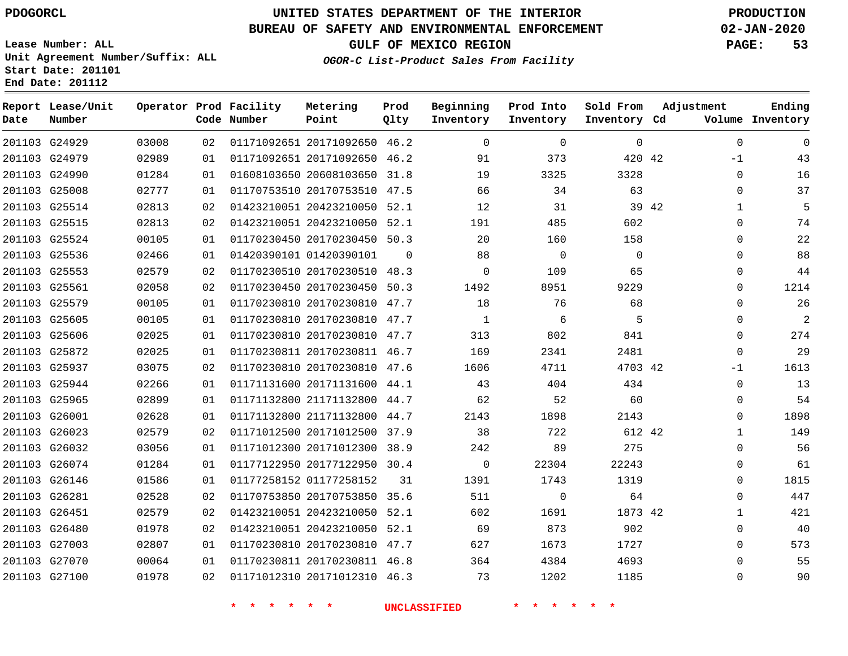G24929

**Date**

**Report Lease/Unit**

**Number**

# **UNITED STATES DEPARTMENT OF THE INTERIOR PDOGORCL PRODUCTION**

## **BUREAU OF SAFETY AND ENVIRONMENTAL ENFORCEMENT 02-JAN-2020**

**Lease Number: ALL Unit Agreement Number/Suffix: ALL Start Date: 201101 End Date: 201112**

**Operator Prod Facility**

**Code Number**

**OGOR-C List-Product Sales From Facility**

**Beginning Inventory** **Prod Into Inventory**

**GULF OF MEXICO REGION PAGE: 53**

**Inventory Cd Volume**

**Adjustment**

**Sold From Inventory**

**Ending**

| 01171092651 20171092650 46.2 |     |      |
|------------------------------|-----|------|
| 01171092651 20171092650 46.2 | 91  | 373  |
| 01608103650 20608103650 31.8 | 19  | 3325 |
| 01170753510 20170753510 47.5 | 66  | 34   |
| 01423210051 20423210050 52.1 | 12  | 31   |
| 01423210051 20423210050 52.1 | 191 | 485  |

**Prod Qlty**

**Metering Point**

| 201103 G24979 | 02989 | 01 | 01171092651 20171092650 46.2 |          | 91             | 373            | 420 42   | $-1$                  | 43   |
|---------------|-------|----|------------------------------|----------|----------------|----------------|----------|-----------------------|------|
| 201103 G24990 | 01284 | 01 | 01608103650 20608103650 31.8 |          | 19             | 3325           | 3328     | $\Omega$              | 16   |
| 201103 G25008 | 02777 | 01 | 01170753510 20170753510 47.5 |          | 66             | 34             | 63       | $\Omega$              | 37   |
| 201103 G25514 | 02813 | 02 | 01423210051 20423210050 52.1 |          | 12             | 31             |          | 39 42<br>$\mathbf{1}$ | 5    |
| 201103 G25515 | 02813 | 02 | 01423210051 20423210050 52.1 |          | 191            | 485            | 602      | $\Omega$              | 74   |
| 201103 G25524 | 00105 | 01 | 01170230450 20170230450 50.3 |          | 20             | 160            | 158      | $\Omega$              | 22   |
| 201103 G25536 | 02466 | 01 | 01420390101 01420390101      | $\Omega$ | 88             | $\overline{0}$ | $\Omega$ | $\Omega$              | 88   |
| 201103 G25553 | 02579 | 02 | 01170230510 20170230510 48.3 |          | 0              | 109            | 65       | $\Omega$              | 44   |
| 201103 G25561 | 02058 | 02 | 01170230450 20170230450 50.3 |          | 1492           | 8951           | 9229     | $\Omega$              | 1214 |
| 201103 G25579 | 00105 | 01 | 01170230810 20170230810 47.7 |          | 18             | 76             | 68       | $\Omega$              | 26   |
| 201103 G25605 | 00105 | 01 | 01170230810 20170230810 47.7 |          | 1              | 6              | 5        | 0                     | 2    |
| 201103 G25606 | 02025 | 01 | 01170230810 20170230810 47.7 |          | 313            | 802            | 841      | $\Omega$              | 274  |
| 201103 G25872 | 02025 | 01 | 01170230811 20170230811 46.7 |          | 169            | 2341           | 2481     | $\Omega$              | 29   |
| 201103 G25937 | 03075 | 02 | 01170230810 20170230810 47.6 |          | 1606           | 4711           | 4703 42  | -1                    | 1613 |
| 201103 G25944 | 02266 | 01 | 01171131600 20171131600 44.1 |          | 43             | 404            | 434      | $\Omega$              | 13   |
| 201103 G25965 | 02899 | 01 | 01171132800 21171132800 44.7 |          | 62             | 52             | 60       | $\mathbf 0$           | 54   |
| 201103 G26001 | 02628 | 01 | 01171132800 21171132800 44.7 |          | 2143           | 1898           | 2143     | $\Omega$              | 1898 |
| 201103 G26023 | 02579 | 02 | 01171012500 20171012500 37.9 |          | 38             | 722            | 612 42   | $\mathbf{1}$          | 149  |
| 201103 G26032 | 03056 | 01 | 01171012300 20171012300 38.9 |          | 242            | 89             | 275      | $\mathbf 0$           | 56   |
| 201103 G26074 | 01284 | 01 | 01177122950 20177122950 30.4 |          | $\overline{0}$ | 22304          | 22243    | $\mathbf 0$           | 61   |
| 201103 G26146 | 01586 | 01 | 01177258152 01177258152      | 31       | 1391           | 1743           | 1319     | $\Omega$              | 1815 |
| 201103 G26281 | 02528 | 02 | 01170753850 20170753850 35.6 |          | 511            | $\mathbf{0}$   | 64       | $\Omega$              | 447  |
| 201103 G26451 | 02579 | 02 | 01423210051 20423210050 52.1 |          | 602            | 1691           | 1873 42  | $\mathbf{1}$          | 421  |
| 201103 G26480 | 01978 | 02 | 01423210051 20423210050 52.1 |          | 69             | 873            | 902      | $\Omega$              | 40   |
| 201103 G27003 | 02807 | 01 | 01170230810 20170230810 47.7 |          | 627            | 1673           | 1727     | $\Omega$              | 573  |
| 201103 G27070 | 00064 | 01 | 01170230811 20170230811 46.8 |          | 364            | 4384           | 4693     | $\Omega$              | 55   |
| 201103 G27100 | 01978 | 02 | 01171012310 20171012310 46.3 |          | 73             | 1202           | 1185     | $\Omega$              | 90   |
|               |       |    |                              |          |                |                |          |                       |      |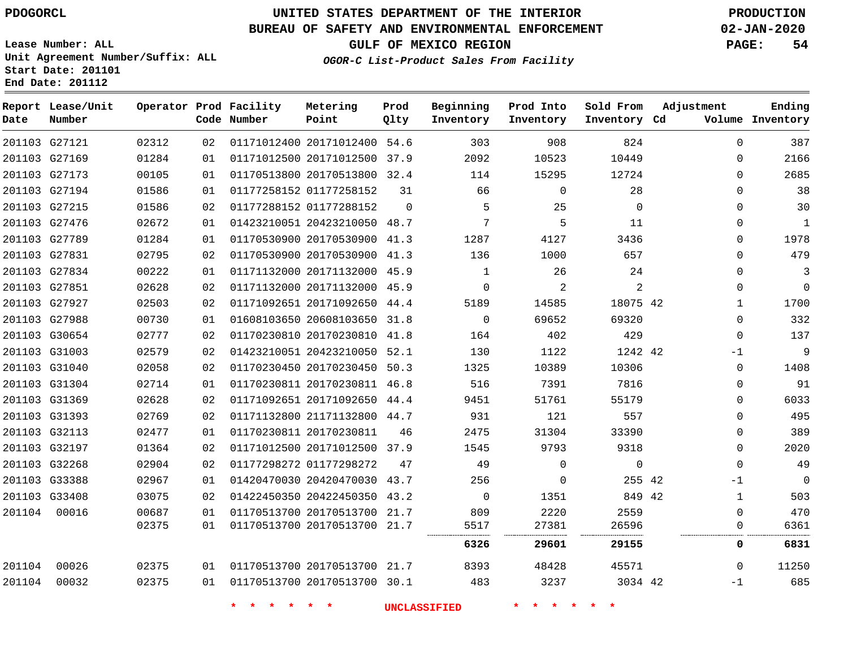**Date**

**Report Lease/Unit**

**Number**

# **UNITED STATES DEPARTMENT OF THE INTERIOR PDOGORCL PRODUCTION**

**Prod Qlty**

#### **BUREAU OF SAFETY AND ENVIRONMENTAL ENFORCEMENT 02-JAN-2020**

**Lease Number: ALL Unit Agreement Number/Suffix: ALL Start Date: 201101 End Date: 201112**

**Operator Prod Facility**

**Code Number**

**Metering Point**

**OGOR-C List-Product Sales From Facility**

**Beginning Inventory** **Prod Into Inventory** **Sold From Inventory**

**GULF OF MEXICO REGION PAGE: 54**

**Inventory Cd Volume**

**Adjustment**

**Ending**

|        | 201103 G27121 | 02312 | 02 | 01171012400 20171012400 54.6 |          | 303            | 908         | 824         | $\Omega$     | 387         |
|--------|---------------|-------|----|------------------------------|----------|----------------|-------------|-------------|--------------|-------------|
|        | 201103 G27169 | 01284 | 01 | 01171012500 20171012500 37.9 |          | 2092           | 10523       | 10449       | $\Omega$     | 2166        |
|        | 201103 G27173 | 00105 | 01 | 01170513800 20170513800 32.4 |          | 114            | 15295       | 12724       | $\Omega$     | 2685        |
|        | 201103 G27194 | 01586 | 01 | 01177258152 01177258152      | 31       | 66             | $\mathbf 0$ | 28          | 0            | 38          |
|        | 201103 G27215 | 01586 | 02 | 01177288152 01177288152      | $\Omega$ | 5              | 25          | 0           | 0            | 30          |
|        | 201103 G27476 | 02672 | 01 | 01423210051 20423210050 48.7 |          | 7              | 5           | 11          | 0            | 1           |
|        | 201103 G27789 | 01284 | 01 | 01170530900 20170530900 41.3 |          | 1287           | 4127        | 3436        | $\Omega$     | 1978        |
|        | 201103 G27831 | 02795 | 02 | 01170530900 20170530900 41.3 |          | 136            | 1000        | 657         | 0            | 479         |
|        | 201103 G27834 | 00222 | 01 | 01171132000 20171132000 45.9 |          | $\mathbf{1}$   | 26          | 24          | $\Omega$     | 3           |
|        | 201103 G27851 | 02628 | 02 | 01171132000 20171132000 45.9 |          | $\mathbf 0$    | 2           | 2           | $\mathbf 0$  | $\mathbf 0$ |
|        | 201103 G27927 | 02503 | 02 | 01171092651 20171092650 44.4 |          | 5189           | 14585       | 18075 42    | $\mathbf{1}$ | 1700        |
|        | 201103 G27988 | 00730 | 01 | 01608103650 20608103650 31.8 |          | $\Omega$       | 69652       | 69320       | $\Omega$     | 332         |
|        | 201103 G30654 | 02777 | 02 | 01170230810 20170230810 41.8 |          | 164            | 402         | 429         | 0            | 137         |
|        | 201103 G31003 | 02579 | 02 | 01423210051 20423210050 52.1 |          | 130            | 1122        | 1242 42     | -1           | 9           |
|        | 201103 G31040 | 02058 | 02 | 01170230450 20170230450 50.3 |          | 1325           | 10389       | 10306       | $\mathbf 0$  | 1408        |
|        | 201103 G31304 | 02714 | 01 | 01170230811 20170230811 46.8 |          | 516            | 7391        | 7816        | $\mathbf 0$  | 91          |
|        | 201103 G31369 | 02628 | 02 | 01171092651 20171092650 44.4 |          | 9451           | 51761       | 55179       | 0            | 6033        |
|        | 201103 G31393 | 02769 | 02 | 01171132800 21171132800 44.7 |          | 931            | 121         | 557         | $\Omega$     | 495         |
|        | 201103 G32113 | 02477 | 01 | 01170230811 20170230811      | 46       | 2475           | 31304       | 33390       | $\Omega$     | 389         |
|        | 201103 G32197 | 01364 | 02 | 01171012500 20171012500 37.9 |          | 1545           | 9793        | 9318        | $\mathbf 0$  | 2020        |
|        | 201103 G32268 | 02904 | 02 | 01177298272 01177298272      | 47       | 49             | $\mathbf 0$ | $\mathbf 0$ | $\Omega$     | 49          |
|        | 201103 G33388 | 02967 | 01 | 01420470030 20420470030 43.7 |          | 256            | $\Omega$    | 255 42      | -1           | $\mathbf 0$ |
|        | 201103 G33408 | 03075 | 02 | 01422450350 20422450350 43.2 |          | $\overline{0}$ | 1351        | 849 42      | 1            | 503         |
| 201104 | 00016         | 00687 | 01 | 01170513700 20170513700 21.7 |          | 809            | 2220        | 2559        | 0            | 470         |
|        |               | 02375 | 01 | 01170513700 20170513700 21.7 |          | 5517           | 27381       | 26596       | 0            | 6361        |
|        |               |       |    |                              |          | 6326           | 29601       | 29155       | 0            | 6831        |
| 201104 | 00026         | 02375 | 01 | 01170513700 20170513700 21.7 |          | 8393           | 48428       | 45571       | $\Omega$     | 11250       |
| 201104 | 00032         | 02375 | 01 | 01170513700 20170513700 30.1 |          | 483            | 3237        | 3034 42     | $-1$         | 685         |
|        |               |       |    |                              |          |                |             |             |              |             |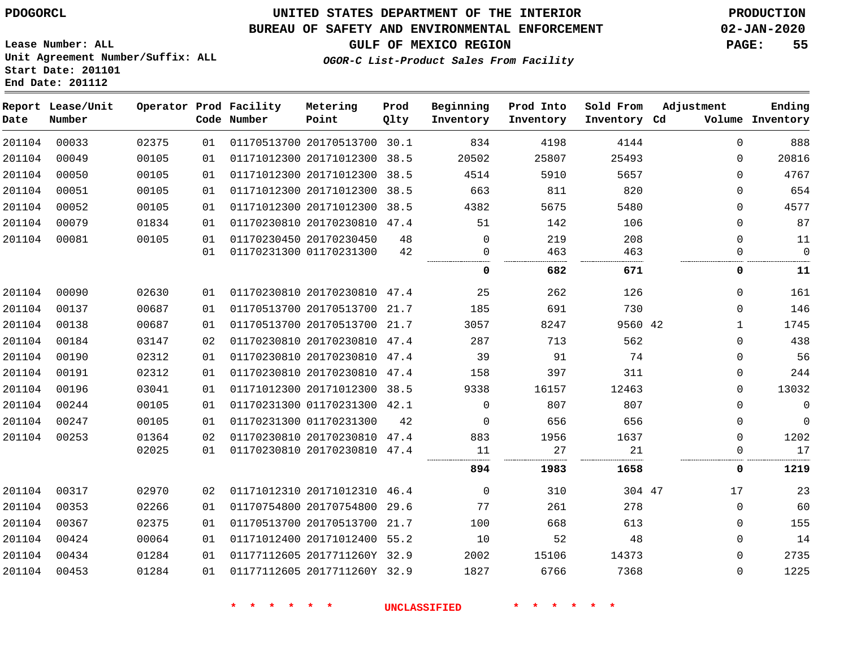#### **BUREAU OF SAFETY AND ENVIRONMENTAL ENFORCEMENT 02-JAN-2020**

**OGOR-C List-Product Sales From Facility**

**GULF OF MEXICO REGION PAGE: 55**

**Lease Number: ALL Unit Agreement Number/Suffix: ALL Start Date: 201101 End Date: 201112**

| Date   | Report Lease/Unit<br>Number |       |    | Operator Prod Facility<br>Code Number | Metering<br>Point            | Prod<br>Qlty | Beginning<br>Inventory | Prod Into<br>Inventory | Sold From<br>Inventory Cd | Adjustment   | Ending<br>Volume Inventory |
|--------|-----------------------------|-------|----|---------------------------------------|------------------------------|--------------|------------------------|------------------------|---------------------------|--------------|----------------------------|
| 201104 | 00033                       | 02375 | 01 |                                       | 01170513700 20170513700 30.1 |              | 834                    | 4198                   | 4144                      | $\Omega$     | 888                        |
| 201104 | 00049                       | 00105 | 01 |                                       | 01171012300 20171012300 38.5 |              | 20502                  | 25807                  | 25493                     | $\mathbf 0$  | 20816                      |
| 201104 | 00050                       | 00105 | 01 |                                       | 01171012300 20171012300 38.5 |              | 4514                   | 5910                   | 5657                      | $\mathbf 0$  | 4767                       |
| 201104 | 00051                       | 00105 | 01 |                                       | 01171012300 20171012300 38.5 |              | 663                    | 811                    | 820                       | $\mathbf 0$  | 654                        |
| 201104 | 00052                       | 00105 | 01 |                                       | 01171012300 20171012300 38.5 |              | 4382                   | 5675                   | 5480                      | $\Omega$     | 4577                       |
| 201104 | 00079                       | 01834 | 01 |                                       | 01170230810 20170230810 47.4 |              | 51                     | 142                    | 106                       | $\Omega$     | 87                         |
| 201104 | 00081                       | 00105 | 01 |                                       | 01170230450 20170230450      | 48           | $\Omega$               | 219                    | 208                       | $\Omega$     | 11                         |
|        |                             |       | 01 |                                       | 01170231300 01170231300      | 42           | 0<br>                  | 463                    | 463                       | $\mathbf 0$  | $\Omega$<br>.              |
|        |                             |       |    |                                       |                              |              | 0                      | 682                    | 671                       | 0            | 11                         |
| 201104 | 00090                       | 02630 | 01 |                                       | 01170230810 20170230810 47.4 |              | 25                     | 262                    | 126                       | $\Omega$     | 161                        |
| 201104 | 00137                       | 00687 | 01 |                                       | 01170513700 20170513700 21.7 |              | 185                    | 691                    | 730                       | $\Omega$     | 146                        |
| 201104 | 00138                       | 00687 | 01 |                                       | 01170513700 20170513700 21.7 |              | 3057                   | 8247                   | 9560 42                   | $\mathbf{1}$ | 1745                       |
| 201104 | 00184                       | 03147 | 02 |                                       | 01170230810 20170230810 47.4 |              | 287                    | 713                    | 562                       | $\mathbf 0$  | 438                        |
| 201104 | 00190                       | 02312 | 01 |                                       | 01170230810 20170230810 47.4 |              | 39                     | 91                     | 74                        | 0            | 56                         |
| 201104 | 00191                       | 02312 | 01 |                                       | 01170230810 20170230810 47.4 |              | 158                    | 397                    | 311                       | $\mathbf 0$  | 244                        |
| 201104 | 00196                       | 03041 | 01 |                                       | 01171012300 20171012300 38.5 |              | 9338                   | 16157                  | 12463                     | $\Omega$     | 13032                      |
| 201104 | 00244                       | 00105 | 01 |                                       | 01170231300 01170231300 42.1 |              | $\Omega$               | 807                    | 807                       | $\mathbf 0$  | $\mathbf 0$                |
| 201104 | 00247                       | 00105 | 01 |                                       | 01170231300 01170231300      | 42           | $\mathbf 0$            | 656                    | 656                       | 0            | $\mathbf 0$                |
| 201104 | 00253                       | 01364 | 02 |                                       | 01170230810 20170230810 47.4 |              | 883                    | 1956                   | 1637                      | $\mathbf 0$  | 1202                       |
|        |                             | 02025 | 01 |                                       | 01170230810 20170230810 47.4 |              | 11                     | 27                     | 21                        | $\mathbf 0$  | 17                         |
|        |                             |       |    |                                       |                              |              | 894                    | 1983                   | 1658                      | 0            | 1219                       |
| 201104 | 00317                       | 02970 | 02 |                                       | 01171012310 20171012310 46.4 |              | $\Omega$               | 310                    | 304 47                    | 17           | 23                         |
| 201104 | 00353                       | 02266 | 01 |                                       | 01170754800 20170754800 29.6 |              | 77                     | 261                    | 278                       | $\mathbf 0$  | 60                         |
| 201104 | 00367                       | 02375 | 01 |                                       | 01170513700 20170513700 21.7 |              | 100                    | 668                    | 613                       | $\mathbf 0$  | 155                        |
| 201104 | 00424                       | 00064 | 01 |                                       | 01171012400 20171012400 55.2 |              | 10                     | 52                     | 48                        | $\mathbf 0$  | 14                         |
| 201104 | 00434                       | 01284 | 01 |                                       | 01177112605 2017711260Y 32.9 |              | 2002                   | 15106                  | 14373                     | $\mathbf 0$  | 2735                       |
| 201104 | 00453                       | 01284 | 01 |                                       | 01177112605 2017711260Y 32.9 |              | 1827                   | 6766                   | 7368                      | $\mathbf 0$  | 1225                       |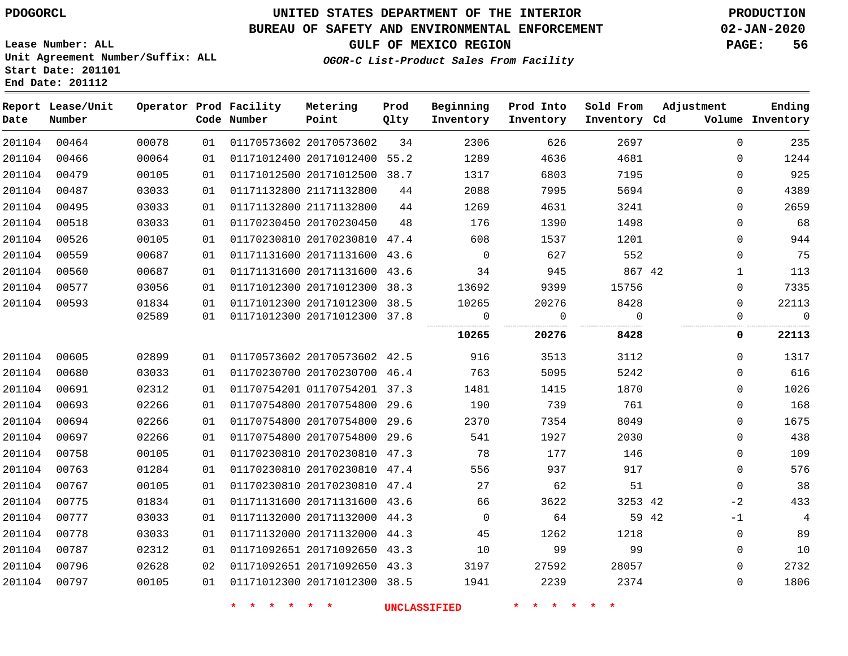# **UNITED STATES DEPARTMENT OF THE INTERIOR PDOGORCL PRODUCTION**

#### **BUREAU OF SAFETY AND ENVIRONMENTAL ENFORCEMENT 02-JAN-2020**

**Lease Number: ALL Unit Agreement Number/Suffix: ALL Start Date: 201101**

## **GULF OF MEXICO REGION PAGE: 56**

**OGOR-C List-Product Sales From Facility**

| Date   | Report Lease/Unit<br>Number |       |    | Operator Prod Facility<br>Code Number | Metering<br>Point            | Prod<br>Qlty | Beginning<br>Inventory | Prod Into<br>Inventory | Sold From<br>Inventory Cd | Adjustment  | Ending<br>Volume Inventory |
|--------|-----------------------------|-------|----|---------------------------------------|------------------------------|--------------|------------------------|------------------------|---------------------------|-------------|----------------------------|
| 201104 | 00464                       | 00078 | 01 |                                       | 01170573602 20170573602      | 34           | 2306                   | 626                    | 2697                      | $\Omega$    | 235                        |
| 201104 | 00466                       | 00064 | 01 |                                       | 01171012400 20171012400 55.2 |              | 1289                   | 4636                   | 4681                      | 0           | 1244                       |
| 201104 | 00479                       | 00105 | 01 |                                       | 01171012500 20171012500 38.7 |              | 1317                   | 6803                   | 7195                      | 0           | 925                        |
| 201104 | 00487                       | 03033 | 01 |                                       | 01171132800 21171132800      | 44           | 2088                   | 7995                   | 5694                      | 0           | 4389                       |
| 201104 | 00495                       | 03033 | 01 |                                       | 01171132800 21171132800      | 44           | 1269                   | 4631                   | 3241                      | $\Omega$    | 2659                       |
| 201104 | 00518                       | 03033 | 01 |                                       | 01170230450 20170230450      | 48           | 176                    | 1390                   | 1498                      | 0           | 68                         |
| 201104 | 00526                       | 00105 | 01 |                                       | 01170230810 20170230810 47.4 |              | 608                    | 1537                   | 1201                      | 0           | 944                        |
| 201104 | 00559                       | 00687 | 01 |                                       | 01171131600 20171131600 43.6 |              | $\overline{0}$         | 627                    | 552                       | 0           | 75                         |
| 201104 | 00560                       | 00687 | 01 |                                       | 01171131600 20171131600 43.6 |              | 34                     | 945                    | 867 42                    | 1           | 113                        |
| 201104 | 00577                       | 03056 | 01 |                                       | 01171012300 20171012300 38.3 |              | 13692                  | 9399                   | 15756                     | $\Omega$    | 7335                       |
| 201104 | 00593                       | 01834 | 01 |                                       | 01171012300 20171012300 38.5 |              | 10265                  | 20276                  | 8428                      | 0           | 22113                      |
|        |                             | 02589 | 01 |                                       | 01171012300 20171012300 37.8 |              | $\overline{0}$         | $\overline{0}$<br>.    | $\Omega$<br>              | 0           | $\overline{0}$             |
|        |                             |       |    |                                       |                              |              | 10265                  | 20276                  | 8428                      | 0           | 22113                      |
| 201104 | 00605                       | 02899 | 01 |                                       | 01170573602 20170573602 42.5 |              | 916                    | 3513                   | 3112                      | 0           | 1317                       |
| 201104 | 00680                       | 03033 | 01 |                                       | 01170230700 20170230700 46.4 |              | 763                    | 5095                   | 5242                      | 0           | 616                        |
| 201104 | 00691                       | 02312 | 01 |                                       | 01170754201 01170754201 37.3 |              | 1481                   | 1415                   | 1870                      | $\Omega$    | 1026                       |
| 201104 | 00693                       | 02266 | 01 |                                       | 01170754800 20170754800 29.6 |              | 190                    | 739                    | 761                       | 0           | 168                        |
| 201104 | 00694                       | 02266 | 01 |                                       | 01170754800 20170754800      | 29.6         | 2370                   | 7354                   | 8049                      | 0           | 1675                       |
| 201104 | 00697                       | 02266 | 01 |                                       | 01170754800 20170754800      | 29.6         | 541                    | 1927                   | 2030                      | 0           | 438                        |
| 201104 | 00758                       | 00105 | 01 |                                       | 01170230810 20170230810 47.3 |              | 78                     | 177                    | 146                       | 0           | 109                        |
| 201104 | 00763                       | 01284 | 01 |                                       | 01170230810 20170230810 47.4 |              | 556                    | 937                    | 917                       | $\Omega$    | 576                        |
| 201104 | 00767                       | 00105 | 01 |                                       | 01170230810 20170230810 47.4 |              | 27                     | 62                     | 51                        | $\mathbf 0$ | 38                         |
| 201104 | 00775                       | 01834 | 01 |                                       | 01171131600 20171131600 43.6 |              | 66                     | 3622                   | 3253 42                   | $-2$        | 433                        |
| 201104 | 00777                       | 03033 | 01 |                                       | 01171132000 20171132000 44.3 |              | $\overline{0}$         | 64                     | 59 42                     | $-1$        | 4                          |
| 201104 | 00778                       | 03033 | 01 |                                       | 01171132000 20171132000 44.3 |              | 45                     | 1262                   | 1218                      | $\mathbf 0$ | 89                         |
| 201104 | 00787                       | 02312 | 01 |                                       | 01171092651 20171092650 43.3 |              | 10                     | 99                     | 99                        | 0           | 10                         |
| 201104 | 00796                       | 02628 | 02 |                                       | 01171092651 20171092650 43.3 |              | 3197                   | 27592                  | 28057                     | 0           | 2732                       |
| 201104 | 00797                       | 00105 | 01 |                                       | 01171012300 20171012300 38.5 |              | 1941                   | 2239                   | 2374                      | 0           | 1806                       |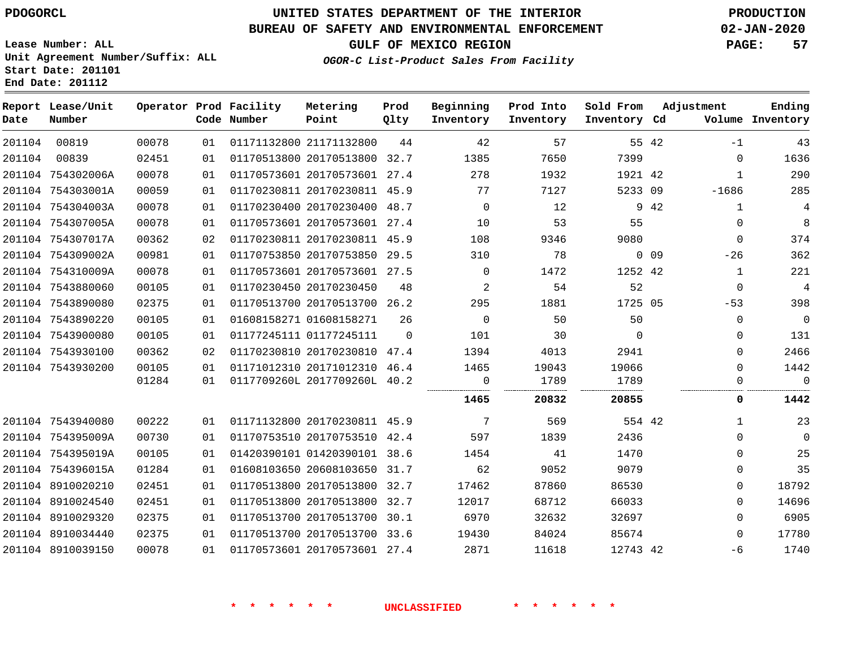# **UNITED STATES DEPARTMENT OF THE INTERIOR PDOGORCL PRODUCTION**

#### **BUREAU OF SAFETY AND ENVIRONMENTAL ENFORCEMENT 02-JAN-2020**

**Lease Number: ALL Unit Agreement Number/Suffix: ALL Start Date: 201101**

**GULF OF MEXICO REGION PAGE: 57**

**OGOR-C List-Product Sales From Facility**

| Ending<br>Volume Inventory | Adjustment   |                 | Sold From<br>Inventory Cd | Prod Into<br>Inventory | Beginning<br>Inventory | Prod<br>Qlty | Metering<br>Point            | Operator Prod Facility<br>Code Number |    |       | Report Lease/Unit<br>Number | Date   |
|----------------------------|--------------|-----------------|---------------------------|------------------------|------------------------|--------------|------------------------------|---------------------------------------|----|-------|-----------------------------|--------|
| 43                         | $-1$         |                 | 55 42                     | 57                     | 42                     | 44           | 01171132800 21171132800      |                                       | 01 | 00078 | 00819                       | 201104 |
| 1636                       | $\Omega$     |                 | 7399                      | 7650                   | 1385                   |              | 01170513800 20170513800 32.7 |                                       | 01 | 02451 | 00839                       | 201104 |
| 290                        | 1            |                 | 1921 42                   | 1932                   | 278                    |              | 01170573601 20170573601 27.4 |                                       | 01 | 00078 | 201104 754302006A           |        |
| 285                        | $-1686$      |                 | 5233 09                   | 7127                   | 77                     |              | 01170230811 20170230811 45.9 |                                       | 01 | 00059 | 201104 754303001A           |        |
| 4                          | $\mathbf 1$  | 9 42            |                           | 12                     | $\mathbf{0}$           |              | 01170230400 20170230400 48.7 |                                       | 01 | 00078 | 201104 754304003A           |        |
| $\,8\,$                    | $\Omega$     |                 | 55                        | 53                     | 10                     |              | 01170573601 20170573601 27.4 |                                       | 01 | 00078 | 201104 754307005A           |        |
| 374                        | $\Omega$     |                 | 9080                      | 9346                   | 108                    |              | 01170230811 20170230811 45.9 |                                       | 02 | 00362 | 201104 754307017A           |        |
| 362                        | $-26$        | 0 <sub>09</sub> |                           | 78                     | 310                    |              | 01170753850 20170753850 29.5 |                                       | 01 | 00981 | 201104 754309002A           |        |
| 221                        | $\mathbf 1$  |                 | 1252 42                   | 1472                   | $\Omega$               |              | 01170573601 20170573601 27.5 |                                       | 01 | 00078 | 201104 754310009A           |        |
| $\overline{4}$             | $\Omega$     |                 | 52                        | 54                     | 2                      | 48           |                              | 01170230450 20170230450               | 01 | 00105 | 201104 7543880060           |        |
| 398                        | $-53$        |                 | 1725 05                   | 1881                   | 295                    |              | 01170513700 20170513700 26.2 |                                       | 01 | 02375 | 201104 7543890080           |        |
| $\overline{0}$             | 0            |                 | 50                        | 50                     | $\mathbf 0$            | 26           |                              | 01608158271 01608158271               | 01 | 00105 | 201104 7543890220           |        |
| 131                        | $\Omega$     |                 | $\Omega$                  | 30                     | 101                    | $\Omega$     |                              | 01177245111 01177245111               | 01 | 00105 | 201104 7543900080           |        |
| 2466                       | $\Omega$     |                 | 2941                      | 4013                   | 1394                   |              | 01170230810 20170230810 47.4 |                                       | 02 | 00362 | 201104 7543930100           |        |
| 1442                       | $\Omega$     |                 | 19066                     | 19043                  | 1465                   |              | 01171012310 20171012310 46.4 |                                       | 01 | 00105 | 201104 7543930200           |        |
| $\Omega$                   | $\Omega$     |                 | 1789                      | 1789                   | $\Omega$<br>           |              | 0117709260L 2017709260L 40.2 |                                       | 01 | 01284 |                             |        |
| 1442                       | 0            |                 | 20855                     | 20832                  | 1465                   |              |                              |                                       |    |       |                             |        |
| 23                         | $\mathbf{1}$ |                 | 554 42                    | 569                    | 7                      |              | 01171132800 20170230811 45.9 |                                       | 01 | 00222 | 201104 7543940080           |        |
| $\mathbf 0$                | $\Omega$     |                 | 2436                      | 1839                   | 597                    |              | 01170753510 20170753510 42.4 |                                       | 01 | 00730 | 201104 754395009A           |        |
| 25                         | $\Omega$     |                 | 1470                      | 41                     | 1454                   |              | 01420390101 01420390101 38.6 |                                       | 01 | 00105 | 201104 754395019A           |        |
| 35                         | $\Omega$     |                 | 9079                      | 9052                   | 62                     |              | 01608103650 20608103650 31.7 |                                       | 01 | 01284 | 201104 754396015A           |        |
| 18792                      | $\Omega$     |                 | 86530                     | 87860                  | 17462                  |              | 01170513800 20170513800 32.7 |                                       | 01 | 02451 | 201104 8910020210           |        |
| 14696                      | $\Omega$     |                 | 66033                     | 68712                  | 12017                  | 32.7         | 01170513800 20170513800      |                                       | 01 | 02451 | 201104 8910024540           |        |
| 6905                       | $\Omega$     |                 | 32697                     | 32632                  | 6970                   |              | 01170513700 20170513700 30.1 |                                       | 01 | 02375 | 201104 8910029320           |        |
| 17780                      | $\Omega$     |                 | 85674                     | 84024                  | 19430                  |              | 01170513700 20170513700 33.6 |                                       | 01 | 02375 | 201104 8910034440           |        |
| 1740                       | -6           |                 | 12743 42                  | 11618                  | 2871                   |              | 01170573601 20170573601 27.4 |                                       | 01 | 00078 | 201104 8910039150           |        |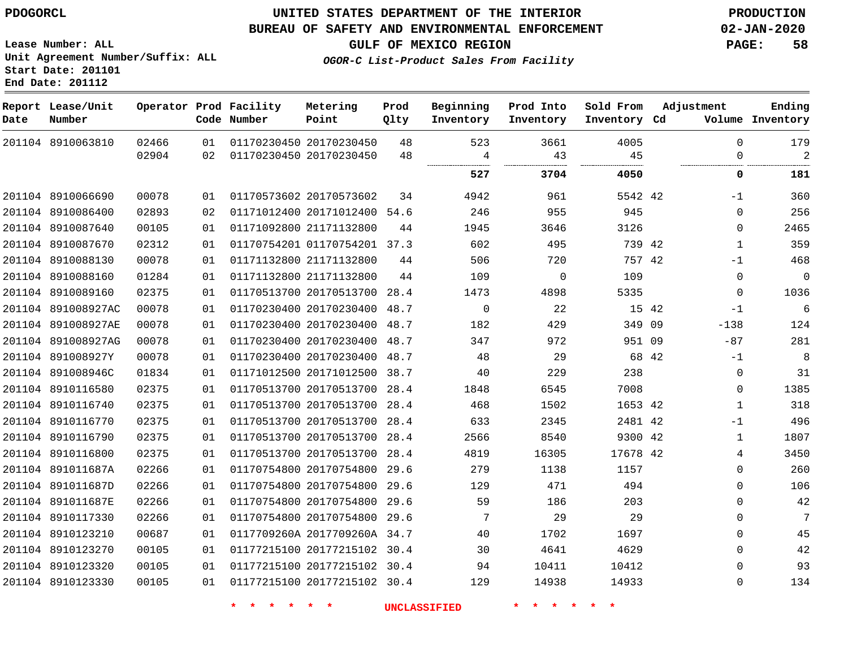#### **BUREAU OF SAFETY AND ENVIRONMENTAL ENFORCEMENT 02-JAN-2020**

**Lease Number: ALL Unit Agreement Number/Suffix: ALL Start Date: 201101 End Date: 201112**

## **OGOR-C List-Product Sales From Facility**

**GULF OF MEXICO REGION PAGE: 58**

| Date | Report Lease/Unit<br>Number |       |    | Operator Prod Facility<br>Code Number | Metering<br>Point            | Prod<br>Qlty | Beginning<br>Inventory | Prod Into<br>Inventory | Sold From<br>Inventory Cd | Adjustment |              | Ending<br>Volume Inventory |
|------|-----------------------------|-------|----|---------------------------------------|------------------------------|--------------|------------------------|------------------------|---------------------------|------------|--------------|----------------------------|
|      | 201104 8910063810           | 02466 | 01 |                                       | 01170230450 20170230450      | 48           | 523                    | 3661                   | 4005                      |            | $\Omega$     | 179                        |
|      |                             | 02904 | 02 | 01170230450 20170230450               |                              | 48           | 4                      | 43                     | 45                        |            | 0            | $\overline{2}$             |
|      |                             |       |    |                                       |                              |              | 527                    | 3704                   | 4050                      |            | 0            | 181                        |
|      | 201104 8910066690           | 00078 | 01 |                                       | 01170573602 20170573602      | 34           | 4942                   | 961                    | 5542 42                   |            | -1           | 360                        |
|      | 201104 8910086400           | 02893 | 02 |                                       | 01171012400 20171012400 54.6 |              | 246                    | 955                    | 945                       |            | 0            | 256                        |
|      | 201104 8910087640           | 00105 | 01 |                                       | 01171092800 21171132800      | 44           | 1945                   | 3646                   | 3126                      |            | 0            | 2465                       |
|      | 201104 8910087670           | 02312 | 01 |                                       | 01170754201 01170754201 37.3 |              | 602                    | 495                    | 739 42                    |            | $\mathbf{1}$ | 359                        |
|      | 201104 8910088130           | 00078 | 01 |                                       | 01171132800 21171132800      | 44           | 506                    | 720                    | 757 42                    |            | -1           | 468                        |
|      | 201104 8910088160           | 01284 | 01 |                                       | 01171132800 21171132800      | 44           | 109                    | 0                      | 109                       |            | 0            | $\mathbf 0$                |
|      | 201104 8910089160           | 02375 | 01 |                                       | 01170513700 20170513700 28.4 |              | 1473                   | 4898                   | 5335                      |            | 0            | 1036                       |
|      | 201104 891008927AC          | 00078 | 01 |                                       | 01170230400 20170230400      | 48.7         | $\mathbf 0$            | 22                     | 15 42                     |            | $-1$         | $\sqrt{6}$                 |
|      | 201104 891008927AE          | 00078 | 01 |                                       | 01170230400 20170230400      | 48.7         | 182                    | 429                    | 349 09                    |            | $-138$       | 124                        |
|      | 201104 891008927AG          | 00078 | 01 |                                       | 01170230400 20170230400 48.7 |              | 347                    | 972                    | 951 09                    |            | $-87$        | 281                        |
|      | 201104 891008927Y           | 00078 | 01 |                                       | 01170230400 20170230400      | 48.7         | 48                     | 29                     | 68 42                     |            | $-1$         | 8                          |
|      | 201104 891008946C           | 01834 | 01 |                                       | 01171012500 20171012500      | 38.7         | 40                     | 229                    | 238                       |            | 0            | 31                         |
|      | 201104 8910116580           | 02375 | 01 |                                       | 01170513700 20170513700      | 28.4         | 1848                   | 6545                   | 7008                      |            | 0            | 1385                       |
|      | 201104 8910116740           | 02375 | 01 |                                       | 01170513700 20170513700      | 28.4         | 468                    | 1502                   | 1653 42                   |            | 1            | 318                        |
|      | 201104 8910116770           | 02375 | 01 |                                       | 01170513700 20170513700 28.4 |              | 633                    | 2345                   | 2481 42                   |            | $-1$         | 496                        |
|      | 201104 8910116790           | 02375 | 01 |                                       | 01170513700 20170513700 28.4 |              | 2566                   | 8540                   | 9300 42                   |            | $\mathbf{1}$ | 1807                       |
|      | 201104 8910116800           | 02375 | 01 |                                       | 01170513700 20170513700 28.4 |              | 4819                   | 16305                  | 17678 42                  |            | 4            | 3450                       |
|      | 201104 891011687A           | 02266 | 01 |                                       | 01170754800 20170754800 29.6 |              | 279                    | 1138                   | 1157                      |            | 0            | 260                        |
|      | 201104 891011687D           | 02266 | 01 |                                       | 01170754800 20170754800 29.6 |              | 129                    | 471                    | 494                       |            | 0            | 106                        |
|      | 201104 891011687E           | 02266 | 01 |                                       | 01170754800 20170754800 29.6 |              | 59                     | 186                    | 203                       |            | $\Omega$     | 42                         |
|      | 201104 8910117330           | 02266 | 01 |                                       | 01170754800 20170754800      | 29.6         | 7                      | 29                     | 29                        |            | 0            | $7\phantom{.0}$            |
|      | 201104 8910123210           | 00687 | 01 |                                       | 0117709260A 2017709260A 34.7 |              | 40                     | 1702                   | 1697                      |            | 0            | 45                         |
|      | 201104 8910123270           | 00105 | 01 |                                       | 01177215100 20177215102 30.4 |              | 30                     | 4641                   | 4629                      |            | 0            | $4\,2$                     |
|      | 201104 8910123320           | 00105 | 01 |                                       | 01177215100 20177215102 30.4 |              | 94                     | 10411                  | 10412                     |            | 0            | 93                         |
|      | 201104 8910123330           | 00105 | 01 |                                       | 01177215100 20177215102 30.4 |              | 129                    | 14938                  | 14933                     |            | $\Omega$     | 134                        |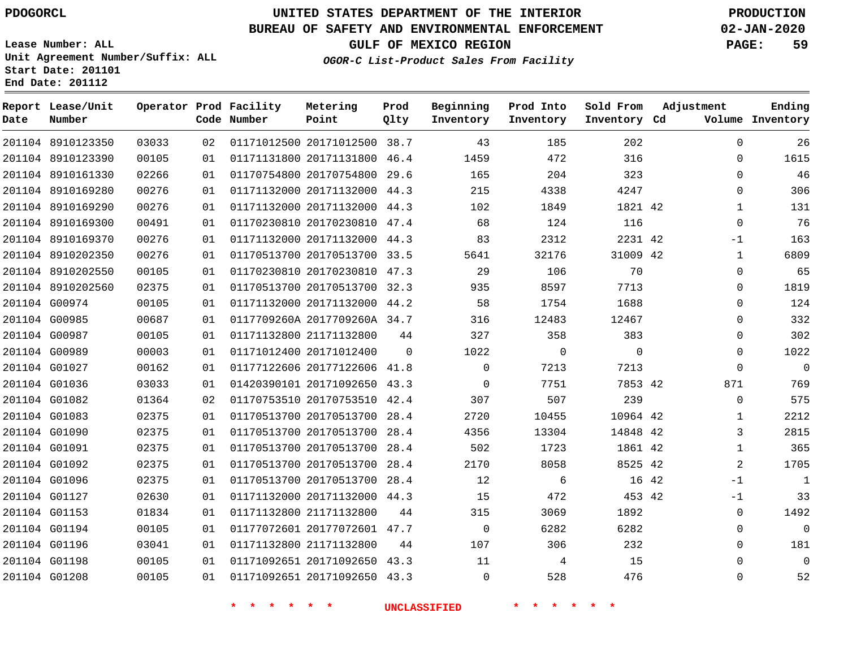**Prod Qlty**

#### **BUREAU OF SAFETY AND ENVIRONMENTAL ENFORCEMENT 02-JAN-2020**

**Lease Number: ALL Unit Agreement Number/Suffix: ALL Start Date: 201101**

**Operator Prod Facility**

**Code Number**

20171012500 38.7

**Metering Point**

   

**End Date: 201112**

**Date**

8910123350

**Report Lease/Unit**

**Number**

 G01198 G01208

**GULF OF MEXICO REGION PAGE: 59**

**Inventory Cd Volume**

**Adjustment**

**Ending**

 

  $\Omega$ 

**OGOR-C List-Product Sales From Facility**

**Beginning Inventory**

**Sold From Inventory**

**Prod Into Inventory**

| 201104 8910123390 | 00105 | 01 | 01171131800 20171131800 46.4 |          | 1459        | 472      | 316      |       | 0            | 1615           |
|-------------------|-------|----|------------------------------|----------|-------------|----------|----------|-------|--------------|----------------|
| 201104 8910161330 | 02266 | 01 | 01170754800 20170754800 29.6 |          | 165         | 204      | 323      |       | 0            | 46             |
| 201104 8910169280 | 00276 | 01 | 01171132000 20171132000 44.3 |          | 215         | 4338     | 4247     |       | $\Omega$     | 306            |
| 201104 8910169290 | 00276 | 01 | 01171132000 20171132000 44.3 |          | 102         | 1849     | 1821 42  |       | 1            | 131            |
| 201104 8910169300 | 00491 | 01 | 01170230810 20170230810 47.4 |          | 68          | 124      | 116      |       | $\Omega$     | 76             |
| 201104 8910169370 | 00276 | 01 | 01171132000 20171132000 44.3 |          | 83          | 2312     | 2231 42  |       | $-1$         | 163            |
| 201104 8910202350 | 00276 | 01 | 01170513700 20170513700 33.5 |          | 5641        | 32176    | 31009 42 |       | 1            | 6809           |
| 201104 8910202550 | 00105 | 01 | 01170230810 20170230810 47.3 |          | 29          | 106      | 70       |       | $\Omega$     | 65             |
| 201104 8910202560 | 02375 | 01 | 01170513700 20170513700 32.3 |          | 935         | 8597     | 7713     |       | $\Omega$     | 1819           |
| 201104 G00974     | 00105 | 01 | 01171132000 20171132000 44.2 |          | 58          | 1754     | 1688     |       | $\Omega$     | 124            |
| 201104 G00985     | 00687 | 01 | 0117709260A 2017709260A 34.7 |          | 316         | 12483    | 12467    |       | $\Omega$     | 332            |
| 201104 G00987     | 00105 | 01 | 01171132800 21171132800      | 44       | 327         | 358      | 383      |       | 0            | 302            |
| 201104 G00989     | 00003 | 01 | 01171012400 20171012400      | $\Omega$ | 1022        | $\Omega$ | $\Omega$ |       | $\Omega$     | 1022           |
| 201104 G01027     | 00162 | 01 | 01177122606 20177122606 41.8 |          | $\Omega$    | 7213     | 7213     |       | $\Omega$     | $\overline{0}$ |
| 201104 G01036     | 03033 | 01 | 01420390101 20171092650 43.3 |          | $\Omega$    | 7751     | 7853 42  |       | 871          | 769            |
| 201104 G01082     | 01364 | 02 | 01170753510 20170753510 42.4 |          | 307         | 507      | 239      |       | $\Omega$     | 575            |
| 201104 G01083     | 02375 | 01 | 01170513700 20170513700 28.4 |          | 2720        | 10455    | 10964 42 |       | $\mathbf{1}$ | 2212           |
| 201104 G01090     | 02375 | 01 | 01170513700 20170513700 28.4 |          | 4356        | 13304    | 14848 42 |       | 3            | 2815           |
| 201104 G01091     | 02375 | 01 | 01170513700 20170513700 28.4 |          | 502         | 1723     | 1861 42  |       | $\mathbf{1}$ | 365            |
| 201104 G01092     | 02375 | 01 | 01170513700 20170513700 28.4 |          | 2170        | 8058     | 8525 42  |       | 2            | 1705           |
| 201104 G01096     | 02375 | 01 | 01170513700 20170513700 28.4 |          | 12          | 6        |          | 16 42 | $-1$         | 1              |
| 201104 G01127     | 02630 | 01 | 01171132000 20171132000 44.3 |          | 15          | 472      | 453 42   |       | $-1$         | 33             |
| 201104 G01153     | 01834 | 01 | 01171132800 21171132800      | 44       | 315         | 3069     | 1892     |       | $\Omega$     | 1492           |
| 201104 G01194     | 00105 | 01 | 01177072601 20177072601 47.7 |          | $\mathbf 0$ | 6282     | 6282     |       | $\Omega$     | $\mathbf 0$    |
| 201104 G01196     | 03041 | 01 | 01171132800 21171132800      | 44       | 107         | 306      | 232      |       | $\Omega$     | 181            |

 20171092650 43.3 20171092650 43.3

  $\Omega$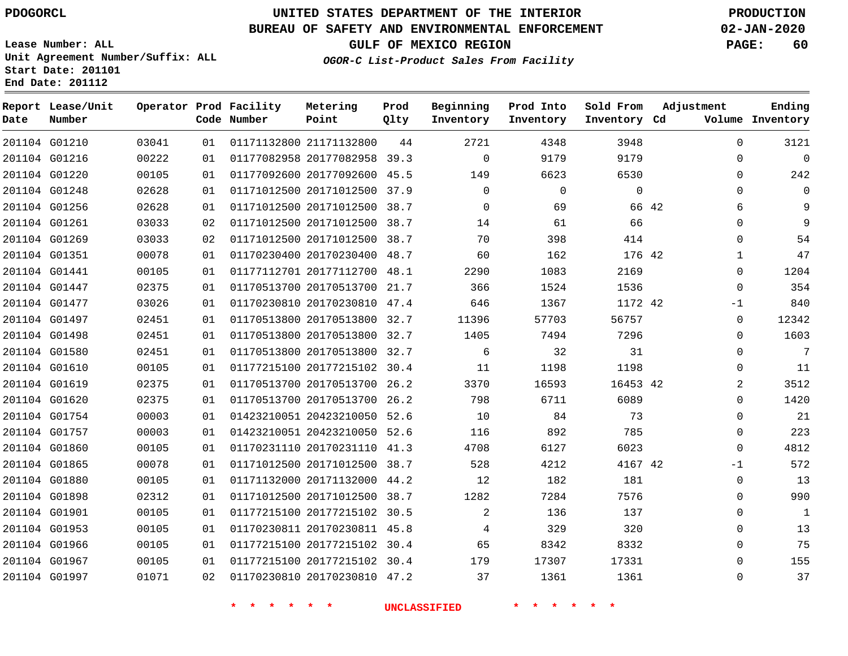# **UNITED STATES DEPARTMENT OF THE INTERIOR PDOGORCL PRODUCTION**

## **BUREAU OF SAFETY AND ENVIRONMENTAL ENFORCEMENT 02-JAN-2020**

**Lease Number: ALL Unit Agreement Number/Suffix: ALL Start Date: 201101**

**GULF OF MEXICO REGION PAGE: 60**

**OGOR-C List-Product Sales From Facility**

| Date | Report Lease/Unit<br>Number |       |    | Operator Prod Facility<br>Code Number | Metering<br>Point            | Prod<br>Qlty | Beginning<br>Inventory | Prod Into<br>Inventory | Sold From<br>Inventory Cd | Adjustment     | Ending<br>Volume Inventory |
|------|-----------------------------|-------|----|---------------------------------------|------------------------------|--------------|------------------------|------------------------|---------------------------|----------------|----------------------------|
|      | 201104 G01210               | 03041 | 01 |                                       | 01171132800 21171132800      | 44           | 2721                   | 4348                   | 3948                      | 0              | 3121                       |
|      | 201104 G01216               | 00222 | 01 |                                       | 01177082958 20177082958 39.3 |              | $\Omega$               | 9179                   | 9179                      | $\Omega$       | $\mathbf 0$                |
|      | 201104 G01220               | 00105 | 01 |                                       | 01177092600 20177092600 45.5 |              | 149                    | 6623                   | 6530                      | $\Omega$       | 242                        |
|      | 201104 G01248               | 02628 | 01 |                                       | 01171012500 20171012500 37.9 |              | $\mathbf 0$            | $\mathbf{0}$           | $\mathbf 0$               | $\Omega$       | $\mathbf 0$                |
|      | 201104 G01256               | 02628 | 01 |                                       | 01171012500 20171012500 38.7 |              | $\Omega$               | 69                     |                           | 66 42<br>6     | 9                          |
|      | 201104 G01261               | 03033 | 02 |                                       | 01171012500 20171012500 38.7 |              | 14                     | 61                     | 66                        | $\Omega$       | 9                          |
|      | 201104 G01269               | 03033 | 02 |                                       | 01171012500 20171012500 38.7 |              | 70                     | 398                    | 414                       | $\Omega$       | 54                         |
|      | 201104 G01351               | 00078 | 01 |                                       | 01170230400 20170230400 48.7 |              | 60                     | 162                    | 176 42                    | $\mathbf{1}$   | 47                         |
|      | 201104 G01441               | 00105 | 01 |                                       | 01177112701 20177112700 48.1 |              | 2290                   | 1083                   | 2169                      | $\Omega$       | 1204                       |
|      | 201104 G01447               | 02375 | 01 |                                       | 01170513700 20170513700 21.7 |              | 366                    | 1524                   | 1536                      | $\Omega$       | 354                        |
|      | 201104 G01477               | 03026 | 01 |                                       | 01170230810 20170230810 47.4 |              | 646                    | 1367                   | 1172 42                   | $-1$           | 840                        |
|      | 201104 G01497               | 02451 | 01 |                                       | 01170513800 20170513800 32.7 |              | 11396                  | 57703                  | 56757                     | 0              | 12342                      |
|      | 201104 G01498               | 02451 | 01 |                                       | 01170513800 20170513800 32.7 |              | 1405                   | 7494                   | 7296                      | $\Omega$       | 1603                       |
|      | 201104 G01580               | 02451 | 01 |                                       | 01170513800 20170513800 32.7 |              | 6                      | 32                     | 31                        | 0              | 7                          |
|      | 201104 G01610               | 00105 | 01 |                                       | 01177215100 20177215102 30.4 |              | 11                     | 1198                   | 1198                      | $\Omega$       | 11                         |
|      | 201104 G01619               | 02375 | 01 |                                       | 01170513700 20170513700      | 26.2         | 3370                   | 16593                  | 16453 42                  | $\overline{2}$ | 3512                       |
|      | 201104 G01620               | 02375 | 01 |                                       | 01170513700 20170513700 26.2 |              | 798                    | 6711                   | 6089                      | $\Omega$       | 1420                       |
|      | 201104 G01754               | 00003 | 01 |                                       | 01423210051 20423210050 52.6 |              | 10                     | 84                     | 73                        | $\Omega$       | 21                         |
|      | 201104 G01757               | 00003 | 01 |                                       | 01423210051 20423210050 52.6 |              | 116                    | 892                    | 785                       | $\Omega$       | 223                        |
|      | 201104 G01860               | 00105 | 01 |                                       | 01170231110 20170231110 41.3 |              | 4708                   | 6127                   | 6023                      | $\Omega$       | 4812                       |
|      | 201104 G01865               | 00078 | 01 |                                       | 01171012500 20171012500 38.7 |              | 528                    | 4212                   | 4167 42                   | $-1$           | 572                        |
|      | 201104 G01880               | 00105 | 01 |                                       | 01171132000 20171132000 44.2 |              | 12                     | 182                    | 181                       | $\Omega$       | 13                         |
|      | 201104 G01898               | 02312 | 01 |                                       | 01171012500 20171012500 38.7 |              | 1282                   | 7284                   | 7576                      | $\Omega$       | 990                        |
|      | 201104 G01901               | 00105 | 01 |                                       | 01177215100 20177215102 30.5 |              | $\overline{2}$         | 136                    | 137                       | 0              | $\mathbf{1}$               |
|      | 201104 G01953               | 00105 | 01 |                                       | 01170230811 20170230811 45.8 |              | 4                      | 329                    | 320                       | $\Omega$       | 13                         |
|      | 201104 G01966               | 00105 | 01 |                                       | 01177215100 20177215102 30.4 |              | 65                     | 8342                   | 8332                      | $\Omega$       | 75                         |
|      | 201104 G01967               | 00105 | 01 |                                       | 01177215100 20177215102 30.4 |              | 179                    | 17307                  | 17331                     | $\Omega$       | 155                        |
|      | 201104 G01997               | 01071 | 02 |                                       | 01170230810 20170230810 47.2 |              | 37                     | 1361                   | 1361                      | $\Omega$       | 37                         |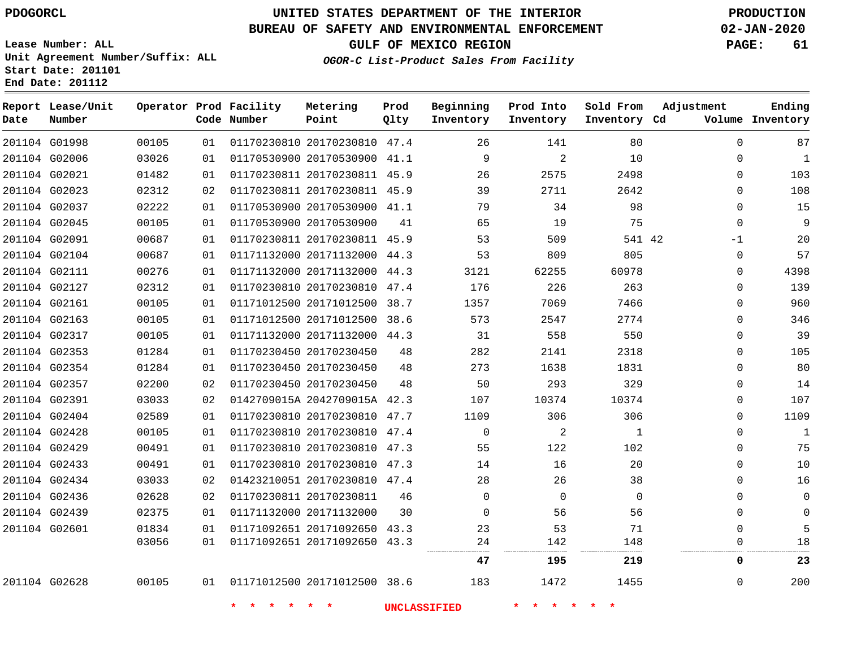G01998

**Date**

**Report Lease/Unit**

**Number**

# **UNITED STATES DEPARTMENT OF THE INTERIOR PDOGORCL PRODUCTION**

**Prod Qlty**

#### **BUREAU OF SAFETY AND ENVIRONMENTAL ENFORCEMENT 02-JAN-2020**

**Lease Number: ALL Unit Agreement Number/Suffix: ALL Start Date: 201101 End Date: 201112**

**Operator Prod Facility**

**Code Number**

20170230810 47.4

**Metering Point**

**OGOR-C List-Product Sales From Facility**

**Sold From Inventory**

**Prod Into Inventory**

**Beginning Inventory**

**Inventory Cd Volume**

**Adjustment**

**GULF OF MEXICO REGION PAGE: 61**

**Ending**

|                                |                |          |                         |                                                         |          | <b>UNCLASSIFIED</b> | * * * *     |             |               |              |
|--------------------------------|----------------|----------|-------------------------|---------------------------------------------------------|----------|---------------------|-------------|-------------|---------------|--------------|
| 201104 G02628                  | 00105          | 01       |                         | 01171012500 20171012500 38.6                            |          | 183                 | 1472        | 1455        | $\Omega$      | 200          |
|                                |                |          |                         |                                                         |          | 47                  | 195         | 219         | 0             | 23           |
|                                | 03056          | 01       |                         | 01171092651 20171092650 43.3                            |          | 24                  | 142         | 148         | 0             | 18           |
| 201104 G02601                  | 01834          | 01       |                         | 01171092651 20171092650 43.3                            |          | 23                  | 53          | 71          | 0             | 5            |
| 201104 G02439                  | 02375          | 01       | 01171132000 20171132000 |                                                         | 30       | 0                   | 56          | 56          | 0             | 0            |
| 201104 G02436                  | 02628          | 02       | 01170230811 20170230811 |                                                         | 46       | $\Omega$            | $\Omega$    | $\Omega$    | 0             | 0            |
| 201104 G02434                  | 03033          | 02       |                         | 01423210051 20170230810 47.4                            |          | 28                  | 26          | 38          | 0             | 16           |
| 201104 G02433                  | 00491          | 01       |                         | 01170230810 20170230810 47.3                            |          | 14                  | 16          | 20          | $\Omega$      | 10           |
| 201104 G02429                  | 00491          | 01       |                         | 01170230810 20170230810 47.3                            |          | 55                  | 122         | 102         | 0             | 75           |
| 201104 G02428                  | 00105          | 01       |                         | 01170230810 20170230810 47.4                            |          | $\mathbf 0$         | 2           | 1           | 0             | 1            |
| 201104 G02404                  | 02589          | 01       |                         | 01170230810 20170230810 47.7                            |          | 1109                | 306         | 306         | 0             | 1109         |
| 201104 G02391                  | 03033          | 02       |                         | 0142709015A 2042709015A 42.3                            |          | 107                 | 10374       | 10374       | 0             | 107          |
| 201104 G02357                  | 02200          | 02       |                         | 01170230450 20170230450                                 | 48       | 50                  | 293         | 329         | 0             | 14           |
| 201104 G02354                  | 01284          | 01       |                         | 01170230450 20170230450                                 | 48<br>48 | 273                 | 1638        | 1831        | $\Omega$      | 80           |
| 201104 G02317<br>201104 G02353 | 00105<br>01284 | 01<br>01 |                         | 01171132000 20171132000 44.3<br>01170230450 20170230450 |          | 31<br>282           | 558<br>2141 | 550<br>2318 | $\Omega$<br>0 | 39<br>105    |
| 201104 G02163                  | 00105          | 01       |                         | 01171012500 20171012500 38.6                            |          | 573                 | 2547        | 2774        | 0             | 346          |
| 201104 G02161                  | 00105          | 01       |                         | 01171012500 20171012500 38.7                            |          | 1357                | 7069        | 7466        | $\Omega$      | 960          |
| 201104 G02127                  | 02312          | 01       |                         | 01170230810 20170230810 47.4                            |          | 176                 | 226         | 263         | $\Omega$      | 139          |
| 201104 G02111                  | 00276          | 01       |                         | 01171132000 20171132000 44.3                            |          | 3121                | 62255       | 60978       | 0             | 4398         |
| 201104 G02104                  | 00687          | 01       |                         | 01171132000 20171132000 44.3                            |          | 53                  | 809         | 805         | $\Omega$      | 57           |
| 201104 G02091                  | 00687          | 01       |                         | 01170230811 20170230811 45.9                            |          | 53                  | 509         | 541 42      | $-1$          | 20           |
| 201104 G02045                  | 00105          | 01       |                         | 01170530900 20170530900                                 | 41       | 65                  | 19          | 75          | $\Omega$      | 9            |
| 201104 G02037                  | 02222          | 01       |                         | 01170530900 20170530900 41.1                            |          | 79                  | 34          | 98          | 0             | 15           |
| 201104 G02023                  | 02312          | 02       |                         | 01170230811 20170230811 45.9                            |          | 39                  | 2711        | 2642        | 0             | 108          |
| 201104 G02021                  | 01482          | 01       |                         | 01170230811 20170230811 45.9                            |          | 26                  | 2575        | 2498        | $\Omega$      | 103          |
| 201104 G02006                  | 03026          | 01       |                         | 01170530900 20170530900 41.1                            |          | 9                   | 2           | 10          | $\mathbf 0$   | $\mathbf{1}$ |
|                                |                |          |                         |                                                         |          |                     |             |             |               |              |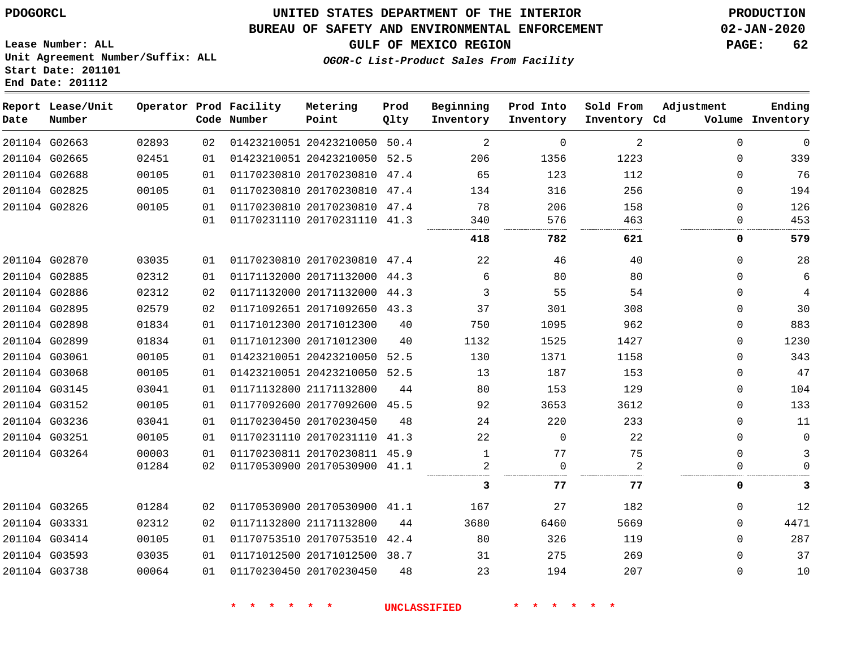**Start Date: 201101 End Date: 201112**

## **UNITED STATES DEPARTMENT OF THE INTERIOR PDOGORCL PRODUCTION**

#### **BUREAU OF SAFETY AND ENVIRONMENTAL ENFORCEMENT 02-JAN-2020**

**Lease Number: ALL Unit Agreement Number/Suffix: ALL**

**GULF OF MEXICO REGION PAGE: 62**

**OGOR-C List-Product Sales From Facility**

| Date          | Report Lease/Unit<br>Number |       |    | Operator Prod Facility<br>Code Number | Metering<br>Point            | Prod<br>Qlty | Beginning<br>Inventory | Prod Into<br>Inventory | Sold From<br>Inventory Cd | Adjustment  | Ending<br>Volume Inventory |
|---------------|-----------------------------|-------|----|---------------------------------------|------------------------------|--------------|------------------------|------------------------|---------------------------|-------------|----------------------------|
|               | 201104 G02663               | 02893 | 02 |                                       | 01423210051 20423210050 50.4 |              | 2                      | $\mathbf 0$            | 2                         | $\Omega$    | $\mathbf 0$                |
|               | 201104 G02665               | 02451 | 01 |                                       | 01423210051 20423210050 52.5 |              | 206                    | 1356                   | 1223                      | $\Omega$    | 339                        |
|               | 201104 G02688               | 00105 | 01 |                                       | 01170230810 20170230810      | 47.4         | 65                     | 123                    | 112                       | $\Omega$    | 76                         |
|               | 201104 G02825               | 00105 | 01 |                                       | 01170230810 20170230810 47.4 |              | 134                    | 316                    | 256                       | $\Omega$    | 194                        |
|               | 201104 G02826               | 00105 | 01 |                                       | 01170230810 20170230810 47.4 |              | 78                     | 206                    | 158                       | 0           | 126                        |
|               |                             |       | 01 |                                       | 01170231110 20170231110      | 41.3         | 340                    | 576                    | 463                       | $\Omega$    | 453                        |
|               |                             |       |    |                                       |                              |              | 418                    | 782                    | 621                       | 0           | 579                        |
|               | 201104 G02870               | 03035 | 01 |                                       | 01170230810 20170230810 47.4 |              | 22                     | 46                     | 40                        | $\Omega$    | 28                         |
|               | 201104 G02885               | 02312 | 01 |                                       | 01171132000 20171132000 44.3 |              | 6                      | 80                     | 80                        | $\Omega$    | 6                          |
|               | 201104 G02886               | 02312 | 02 |                                       | 01171132000 20171132000 44.3 |              | 3                      | 55                     | 54                        | $\mathbf 0$ | $\sqrt{4}$                 |
|               | 201104 G02895               | 02579 | 02 |                                       | 01171092651 20171092650 43.3 |              | 37                     | 301                    | 308                       | 0           | 30                         |
|               | 201104 G02898               | 01834 | 01 |                                       | 01171012300 20171012300      | 40           | 750                    | 1095                   | 962                       | 0           | 883                        |
|               | 201104 G02899               | 01834 | 01 |                                       | 01171012300 20171012300      | 40           | 1132                   | 1525                   | 1427                      | 0           | 1230                       |
| 201104 G03061 |                             | 00105 | 01 |                                       | 01423210051 20423210050      | 52.5         | 130                    | 1371                   | 1158                      | $\Omega$    | 343                        |
|               | 201104 G03068               | 00105 | 01 |                                       | 01423210051 20423210050 52.5 |              | 13                     | 187                    | 153                       | $\Omega$    | 47                         |
|               | 201104 G03145               | 03041 | 01 |                                       | 01171132800 21171132800      | 44           | 80                     | 153                    | 129                       | $\mathbf 0$ | 104                        |
|               | 201104 G03152               | 00105 | 01 |                                       | 01177092600 20177092600 45.5 |              | 92                     | 3653                   | 3612                      | 0           | 133                        |
|               | 201104 G03236               | 03041 | 01 |                                       | 01170230450 20170230450      | 48           | 24                     | 220                    | 233                       | 0           | 11                         |
|               | 201104 G03251               | 00105 | 01 |                                       | 01170231110 20170231110 41.3 |              | 22                     | $\Omega$               | 22                        | $\Omega$    | $\mathbf 0$                |
|               | 201104 G03264               | 00003 | 01 |                                       | 01170230811 20170230811 45.9 |              | 1                      | 77                     | 75                        | $\mathbf 0$ | 3                          |
|               |                             | 01284 | 02 |                                       | 01170530900 20170530900 41.1 |              | 2                      | $\Omega$               | 2                         | $\Omega$    | $\Omega$                   |
|               |                             |       |    |                                       |                              |              | 3                      | 77                     | 77                        | 0           | 3                          |
|               | 201104 G03265               | 01284 | 02 |                                       | 01170530900 20170530900 41.1 |              | 167                    | 27                     | 182                       | $\Omega$    | 12                         |
|               | 201104 G03331               | 02312 | 02 |                                       | 01171132800 21171132800      | 44           | 3680                   | 6460                   | 5669                      | $\Omega$    | 4471                       |
|               | 201104 G03414               | 00105 | 01 |                                       | 01170753510 20170753510      | 42.4         | 80                     | 326                    | 119                       | $\Omega$    | 287                        |
|               | 201104 G03593               | 03035 | 01 |                                       | 01171012500 20171012500 38.7 |              | 31                     | 275                    | 269                       | $\Omega$    | 37                         |
|               | 201104 G03738               | 00064 | 01 |                                       | 01170230450 20170230450      | 48           | 23                     | 194                    | 207                       | $\Omega$    | 10                         |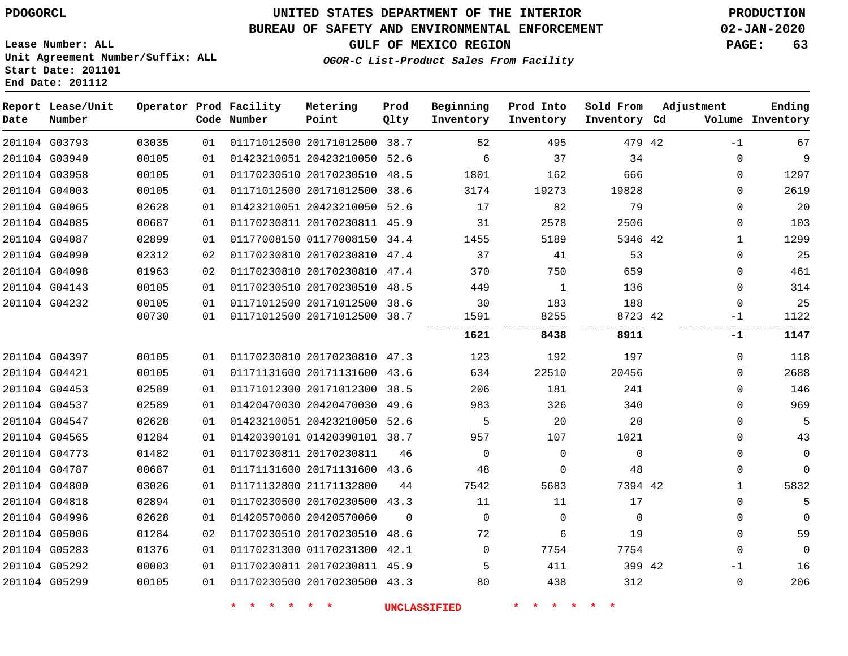# **UNITED STATES DEPARTMENT OF THE INTERIOR PDOGORCL PRODUCTION**

### **BUREAU OF SAFETY AND ENVIRONMENTAL ENFORCEMENT 02-JAN-2020**

**Lease Number: ALL Unit Agreement Number/Suffix: ALL Start Date: 201101**

**GULF OF MEXICO REGION PAGE: 63**

**OGOR-C List-Product Sales From Facility**

| Date | Report Lease/Unit<br>Number |       |    | Operator Prod Facility<br>Code Number | Metering<br>Point            | Prod<br>Qlty | Beginning<br>Inventory | Prod Into<br>Inventory | Sold From<br>Inventory Cd | Adjustment | Ending<br>Volume Inventory |
|------|-----------------------------|-------|----|---------------------------------------|------------------------------|--------------|------------------------|------------------------|---------------------------|------------|----------------------------|
|      | 201104 G03793               | 03035 | 01 |                                       | 01171012500 20171012500 38.7 |              | 52                     | 495                    | 479 42                    | $-1$       | 67                         |
|      | 201104 G03940               | 00105 | 01 |                                       | 01423210051 20423210050 52.6 |              | 6                      | 37                     | 34                        |            | 9<br>$\Omega$              |
|      | 201104 G03958               | 00105 | 01 |                                       | 01170230510 20170230510      | 48.5         | 1801                   | 162                    | 666                       |            | 1297<br>0                  |
|      | 201104 G04003               | 00105 | 01 |                                       | 01171012500 20171012500      | 38.6         | 3174                   | 19273                  | 19828                     |            | 2619<br>0                  |
|      | 201104 G04065               | 02628 | 01 |                                       | 01423210051 20423210050 52.6 |              | 17                     | 82                     | 79                        |            | $\Omega$<br>20             |
|      | 201104 G04085               | 00687 | 01 |                                       | 01170230811 20170230811 45.9 |              | 31                     | 2578                   | 2506                      |            | 103<br>0                   |
|      | 201104 G04087               | 02899 | 01 |                                       | 01177008150 01177008150 34.4 |              | 1455                   | 5189                   | 5346 42                   |            | 1299<br>1                  |
|      | 201104 G04090               | 02312 | 02 |                                       | 01170230810 20170230810 47.4 |              | 37                     | 41                     | 53                        |            | 25<br>0                    |
|      | 201104 G04098               | 01963 | 02 |                                       | 01170230810 20170230810 47.4 |              | 370                    | 750                    | 659                       |            | 461<br>$\Omega$            |
|      | 201104 G04143               | 00105 | 01 |                                       | 01170230510 20170230510 48.5 |              | 449                    | 1                      | 136                       |            | 314<br>$\Omega$            |
|      | 201104 G04232               | 00105 | 01 |                                       | 01171012500 20171012500      | 38.6         | 30                     | 183                    | 188                       |            | 25<br>$\Omega$             |
|      |                             | 00730 | 01 |                                       | 01171012500 20171012500 38.7 |              | 1591                   | 8255                   | 8723 42                   |            | 1122<br>-1                 |
|      |                             |       |    |                                       |                              |              | 1621                   | 8438                   | 8911                      |            | 1147<br>-1                 |
|      | 201104 G04397               | 00105 | 01 |                                       | 01170230810 20170230810 47.3 |              | 123                    | 192                    | 197                       |            | $\Omega$<br>118            |
|      | 201104 G04421               | 00105 | 01 |                                       | 01171131600 20171131600 43.6 |              | 634                    | 22510                  | 20456                     |            | 2688<br>$\Omega$           |
|      | 201104 G04453               | 02589 | 01 |                                       | 01171012300 20171012300      | 38.5         | 206                    | 181                    | 241                       |            | 146<br>$\Omega$            |
|      | 201104 G04537               | 02589 | 01 |                                       | 01420470030 20420470030      | 49.6         | 983                    | 326                    | 340                       |            | 969<br>$\Omega$            |
|      | 201104 G04547               | 02628 | 01 |                                       | 01423210051 20423210050 52.6 |              | 5                      | 20                     | 20                        |            | 5<br>$\Omega$              |
|      | 201104 G04565               | 01284 | 01 |                                       | 01420390101 01420390101 38.7 |              | 957                    | 107                    | 1021                      |            | $\Omega$<br>43             |
|      | 201104 G04773               | 01482 | 01 |                                       | 01170230811 20170230811      | 46           | $\mathbf 0$            | $\mathbf 0$            | 0                         |            | $\mathbf 0$<br>0           |
|      | 201104 G04787               | 00687 | 01 |                                       | 01171131600 20171131600 43.6 |              | 48                     | 0                      | 48                        |            | 0<br>$\mathbf 0$           |
|      | 201104 G04800               | 03026 | 01 |                                       | 01171132800 21171132800      | 44           | 7542                   | 5683                   | 7394 42                   |            | 5832<br>1                  |
|      | 201104 G04818               | 02894 | 01 |                                       | 01170230500 20170230500 43.3 |              | 11                     | 11                     | 17                        |            | 5<br>0                     |
|      | 201104 G04996               | 02628 | 01 |                                       | 01420570060 20420570060      | $\Omega$     | $\mathbf 0$            | $\Omega$               | $\Omega$                  |            | 0<br>$\mathbf 0$           |
|      | 201104 G05006               | 01284 | 02 |                                       | 01170230510 20170230510      | 48.6         | 72                     | 6                      | 19                        |            | 59<br>0                    |
|      | 201104 G05283               | 01376 | 01 |                                       | 01170231300 01170231300 42.1 |              | $\Omega$               | 7754                   | 7754                      |            | $\mathbf 0$<br>0           |
|      | 201104 G05292               | 00003 | 01 |                                       | 01170230811 20170230811 45.9 |              | 5                      | 411                    | 399 42                    |            | 16<br>-1                   |
|      | 201104 G05299               | 00105 | 01 |                                       | 01170230500 20170230500 43.3 |              | 80                     | 438                    | 312                       |            | 206<br>0                   |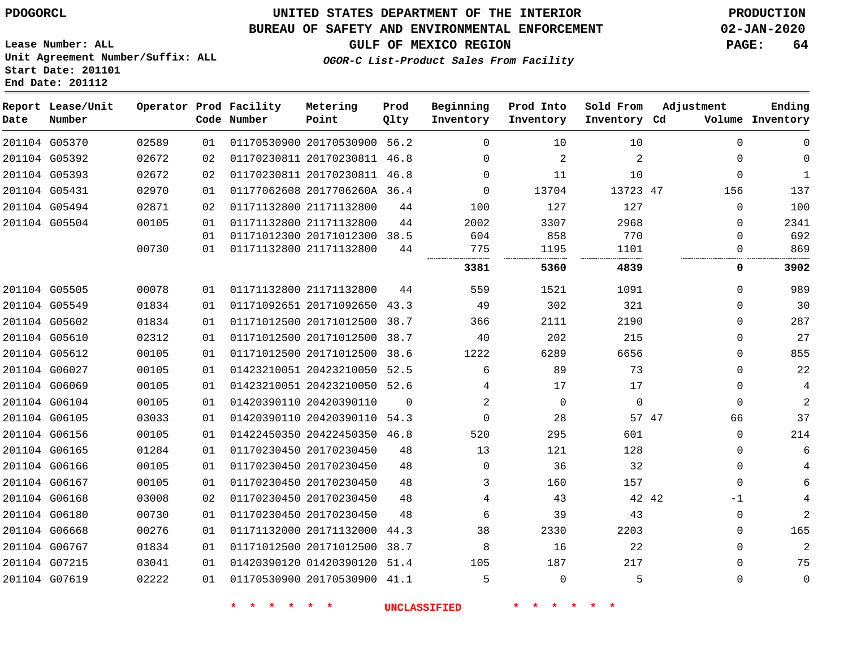## **UNITED STATES DEPARTMENT OF THE INTERIOR PDOGORCL PRODUCTION**

#### **BUREAU OF SAFETY AND ENVIRONMENTAL ENFORCEMENT 02-JAN-2020**

**Lease Number: ALL Unit Agreement Number/Suffix: ALL Start Date: 201101**

**GULF OF MEXICO REGION PAGE: 64**

**OGOR-C List-Product Sales From Facility**

| Date          | Report Lease/Unit<br>Number |       |    | Operator Prod Facility<br>Code Number | Metering<br>Point            | Prod<br>Qlty | Beginning<br>Inventory | Prod Into<br>Inventory | Sold From<br>Inventory Cd | Adjustment  | Ending<br>Volume Inventory |
|---------------|-----------------------------|-------|----|---------------------------------------|------------------------------|--------------|------------------------|------------------------|---------------------------|-------------|----------------------------|
| 201104 G05370 |                             | 02589 | 01 |                                       | 01170530900 20170530900 56.2 |              | $\Omega$               | 10                     | 10                        | 0           | $\mathbf 0$                |
| 201104 G05392 |                             | 02672 | 02 |                                       | 01170230811 20170230811 46.8 |              | $\Omega$               | $\overline{2}$         | 2                         | 0           | $\mathbf 0$                |
| 201104 G05393 |                             | 02672 | 02 |                                       | 01170230811 20170230811 46.8 |              | 0                      | 11                     | 10                        | 0           | $\mathbf{1}$               |
| 201104 G05431 |                             | 02970 | 01 |                                       | 01177062608 2017706260A 36.4 |              | $\Omega$               | 13704                  | 13723 47                  | 156         | 137                        |
|               | 201104 G05494               | 02871 | 02 |                                       | 01171132800 21171132800      | 44           | 100                    | 127                    | 127                       | $\Omega$    | 100                        |
| 201104 G05504 |                             | 00105 | 01 |                                       | 01171132800 21171132800      | 44           | 2002                   | 3307                   | 2968                      | 0           | 2341                       |
|               |                             |       | 01 |                                       | 01171012300 20171012300 38.5 |              | 604                    | 858                    | 770                       | 0           | 692                        |
|               |                             | 00730 | 01 |                                       | 01171132800 21171132800      | 44           | 775                    | 1195                   | 1101                      | 0           | 869                        |
|               |                             |       |    |                                       |                              |              | 3381                   | 5360                   | 4839                      | 0           | 3902                       |
| 201104 G05505 |                             | 00078 | 01 |                                       | 01171132800 21171132800      | 44           | 559                    | 1521                   | 1091                      | $\Omega$    | 989                        |
|               | 201104 G05549               | 01834 | 01 |                                       | 01171092651 20171092650      | 43.3         | 49                     | 302                    | 321                       | $\Omega$    | 30                         |
| 201104 G05602 |                             | 01834 | 01 |                                       | 01171012500 20171012500      | 38.7         | 366                    | 2111                   | 2190                      | $\Omega$    | 287                        |
| 201104 G05610 |                             | 02312 | 01 |                                       | 01171012500 20171012500      | 38.7         | 40                     | 202                    | 215                       | $\Omega$    | 27                         |
| 201104 G05612 |                             | 00105 | 01 |                                       | 01171012500 20171012500      | 38.6         | 1222                   | 6289                   | 6656                      | 0           | 855                        |
| 201104 G06027 |                             | 00105 | 01 |                                       | 01423210051 20423210050      | 52.5         | 6                      | 89                     | 73                        | 0           | 22                         |
|               | 201104 G06069               | 00105 | 01 |                                       | 01423210051 20423210050 52.6 |              | 4                      | 17                     | 17                        | 0           | 4                          |
| 201104 G06104 |                             | 00105 | 01 |                                       | 01420390110 20420390110      | $\Omega$     | 2                      | $\Omega$               | $\Omega$                  | $\Omega$    | 2                          |
| 201104 G06105 |                             | 03033 | 01 |                                       | 01420390110 20420390110 54.3 |              | $\Omega$               | 28                     |                           | 57 47<br>66 | 37                         |
| 201104 G06156 |                             | 00105 | 01 |                                       | 01422450350 20422450350 46.8 |              | 520                    | 295                    | 601                       | 0           | 214                        |
| 201104 G06165 |                             | 01284 | 01 |                                       | 01170230450 20170230450      | 48           | 13                     | 121                    | 128                       | 0           | 6                          |
| 201104 G06166 |                             | 00105 | 01 |                                       | 01170230450 20170230450      | 48           | $\Omega$               | 36                     | 32                        | $\Omega$    | 4                          |
|               | 201104 G06167               | 00105 | 01 |                                       | 01170230450 20170230450      | 48           | 3                      | 160                    | 157                       | $\Omega$    | 6                          |
|               | 201104 G06168               | 03008 | 02 |                                       | 01170230450 20170230450      | 48           | 4                      | 43                     |                           | 42 42<br>-1 |                            |
| 201104 G06180 |                             | 00730 | 01 |                                       | 01170230450 20170230450      | 48           | 6                      | 39                     | 43                        | 0           | 2                          |
| 201104 G06668 |                             | 00276 | 01 |                                       | 01171132000 20171132000      | 44.3         | 38                     | 2330                   | 2203                      | 0           | 165                        |
| 201104 G06767 |                             | 01834 | 01 |                                       | 01171012500 20171012500      | 38.7         | 8                      | 16                     | 22                        | 0           | $\overline{2}$             |
|               | 201104 G07215               | 03041 | 01 |                                       | 01420390120 01420390120      | 51.4         | 105                    | 187                    | 217                       | 0           | 75                         |
| 201104 G07619 |                             | 02222 | 01 |                                       | 01170530900 20170530900 41.1 |              | 5                      | $\Omega$               | 5                         | $\Omega$    | $\mathbf 0$                |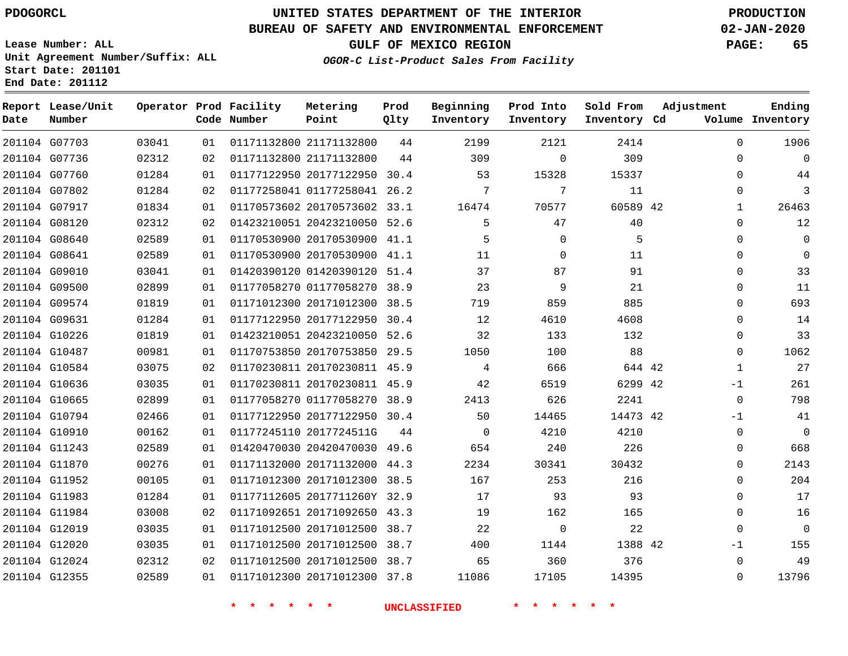#### **BUREAU OF SAFETY AND ENVIRONMENTAL ENFORCEMENT 02-JAN-2020**

**Lease Number: ALL Unit Agreement Number/Suffix: ALL Start Date: 201101 End Date: 201112**

**OGOR-C List-Product Sales From Facility**

**GULF OF MEXICO REGION PAGE: 65**

| Beginning |                                | Prod Into Sold From |  |  | А |
|-----------|--------------------------------|---------------------|--|--|---|
|           | <i>uct Baies flom facility</i> |                     |  |  |   |

| Date | Report Lease/Unit<br>Number |       |    | Operator Prod Facility<br>Code Number | Metering<br>Point            | Prod<br>Qlty | Beginning<br>Inventory | Prod Into<br>Inventory | Sold From<br>Inventory Cd | Adjustment   | Ending<br>Volume Inventory |
|------|-----------------------------|-------|----|---------------------------------------|------------------------------|--------------|------------------------|------------------------|---------------------------|--------------|----------------------------|
|      | 201104 G07703               | 03041 | 01 |                                       | 01171132800 21171132800      | 44           | 2199                   | 2121                   | 2414                      | $\Omega$     | 1906                       |
|      | 201104 G07736               | 02312 | 02 |                                       | 01171132800 21171132800      | 44           | 309                    | $\mathbf 0$            | 309                       | $\mathbf 0$  | $\mathbf{0}$               |
|      | 201104 G07760               | 01284 | 01 |                                       | 01177122950 20177122950 30.4 |              | 53                     | 15328                  | 15337                     | $\Omega$     | 44                         |
|      | 201104 G07802               | 01284 | 02 |                                       | 01177258041 01177258041 26.2 |              | 7                      | 7                      | 11                        | $\mathbf 0$  | 3                          |
|      | 201104 G07917               | 01834 | 01 |                                       | 01170573602 20170573602 33.1 |              | 16474                  | 70577                  | 60589 42                  | $\mathbf{1}$ | 26463                      |
|      | 201104 G08120               | 02312 | 02 |                                       | 01423210051 20423210050 52.6 |              | 5                      | 47                     | 40                        | $\mathbf 0$  | 12                         |
|      | 201104 G08640               | 02589 | 01 |                                       | 01170530900 20170530900 41.1 |              | 5                      | $\Omega$               | 5                         | $\mathbf 0$  | $\Omega$                   |
|      | 201104 G08641               | 02589 | 01 |                                       | 01170530900 20170530900 41.1 |              | 11                     | $\Omega$               | 11                        | $\Omega$     | $\Omega$                   |
|      | 201104 G09010               | 03041 | 01 |                                       | 01420390120 01420390120 51.4 |              | 37                     | 87                     | 91                        | $\mathbf 0$  | 33                         |
|      | 201104 G09500               | 02899 | 01 |                                       | 01177058270 01177058270 38.9 |              | 23                     | 9                      | 21                        | $\mathbf 0$  | 11                         |
|      | 201104 G09574               | 01819 | 01 |                                       | 01171012300 20171012300 38.5 |              | 719                    | 859                    | 885                       | $\mathbf 0$  | 693                        |
|      | 201104 G09631               | 01284 | 01 |                                       | 01177122950 20177122950      | 30.4         | 12                     | 4610                   | 4608                      | 0            | 14                         |
|      | 201104 G10226               | 01819 | 01 |                                       | 01423210051 20423210050 52.6 |              | 32                     | 133                    | 132                       | $\mathbf 0$  | 33                         |
|      | 201104 G10487               | 00981 | 01 |                                       | 01170753850 20170753850      | 29.5         | 1050                   | 100                    | 88                        | $\mathbf 0$  | 1062                       |
|      | 201104 G10584               | 03075 | 02 |                                       | 01170230811 20170230811 45.9 |              | 4                      | 666                    | 644 42                    | $\mathbf{1}$ | 27                         |
|      | 201104 G10636               | 03035 | 01 |                                       | 01170230811 20170230811 45.9 |              | 42                     | 6519                   | 6299 42                   | $-1$         | 261                        |
|      | 201104 G10665               | 02899 | 01 |                                       | 01177058270 01177058270 38.9 |              | 2413                   | 626                    | 2241                      | $\mathbf 0$  | 798                        |
|      | 201104 G10794               | 02466 | 01 |                                       | 01177122950 20177122950 30.4 |              | 50                     | 14465                  | 14473 42                  | $-1$         | 41                         |
|      | 201104 G10910               | 00162 | 01 |                                       | 01177245110 2017724511G      | 44           | $\mathbf 0$            | 4210                   | 4210                      | 0            | $\overline{0}$             |
|      | 201104 G11243               | 02589 | 01 |                                       | 01420470030 20420470030 49.6 |              | 654                    | 240                    | 226                       | $\mathbf 0$  | 668                        |
|      | 201104 G11870               | 00276 | 01 |                                       | 01171132000 20171132000 44.3 |              | 2234                   | 30341                  | 30432                     | $\Omega$     | 2143                       |
|      | 201104 G11952               | 00105 | 01 |                                       | 01171012300 20171012300 38.5 |              | 167                    | 253                    | 216                       | $\mathbf 0$  | 204                        |
|      | 201104 G11983               | 01284 | 01 |                                       | 01177112605 2017711260Y 32.9 |              | 17                     | 93                     | 93                        | $\mathbf 0$  | 17                         |
|      | 201104 G11984               | 03008 | 02 |                                       | 01171092651 20171092650 43.3 |              | 19                     | 162                    | 165                       | $\mathbf 0$  | 16                         |
|      | 201104 G12019               | 03035 | 01 |                                       | 01171012500 20171012500 38.7 |              | 22                     | $\mathbf 0$            | 22                        | $\mathbf 0$  | $\overline{0}$             |
|      | 201104 G12020               | 03035 | 01 |                                       | 01171012500 20171012500 38.7 |              | 400                    | 1144                   | 1388 42                   | -1           | 155                        |
|      | 201104 G12024               | 02312 | 02 |                                       | 01171012500 20171012500 38.7 |              | 65                     | 360                    | 376                       | $\mathbf 0$  | 49                         |
|      | 201104 G12355               | 02589 | 01 |                                       | 01171012300 20171012300 37.8 |              | 11086                  | 17105                  | 14395                     | $\Omega$     | 13796                      |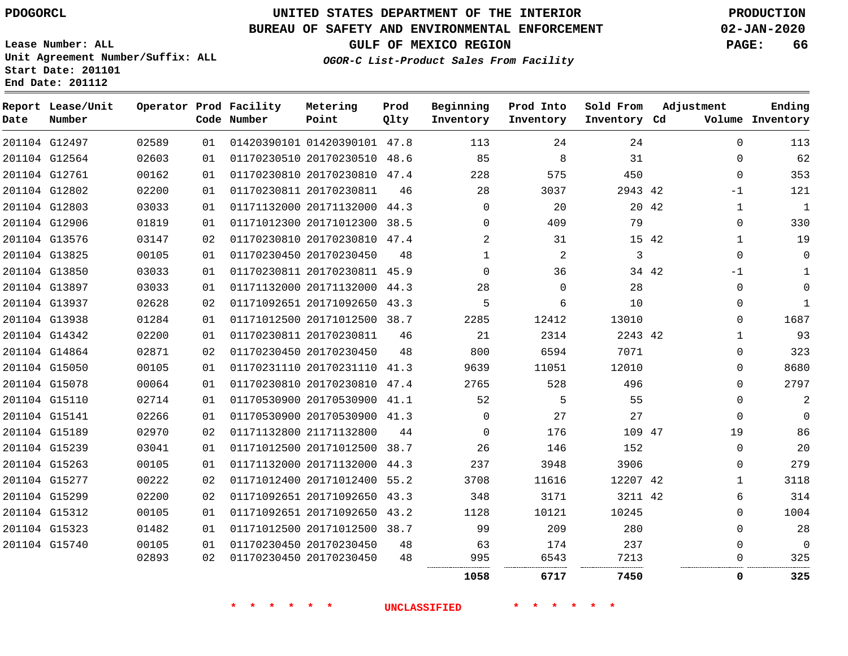# **UNITED STATES DEPARTMENT OF THE INTERIOR PDOGORCL PRODUCTION**

## **BUREAU OF SAFETY AND ENVIRONMENTAL ENFORCEMENT 02-JAN-2020**

**Lease Number: ALL Unit Agreement Number/Suffix: ALL Start Date: 201101**

**GULF OF MEXICO REGION PAGE: 66**

**OGOR-C List-Product Sales From Facility**

| Date | Report Lease/Unit<br>Number |       |    | Operator Prod Facility<br>Code Number | Metering<br>Point            | Prod<br>Qlty | Beginning<br>Inventory | Prod Into<br>Inventory | Sold From<br>Inventory Cd | Adjustment |              | Ending<br>Volume Inventory |
|------|-----------------------------|-------|----|---------------------------------------|------------------------------|--------------|------------------------|------------------------|---------------------------|------------|--------------|----------------------------|
|      | 201104 G12497               | 02589 | 01 |                                       | 01420390101 01420390101 47.8 |              | 113                    | 24                     | 24                        |            | $\Omega$     | 113                        |
|      | 201104 G12564               | 02603 | 01 |                                       | 01170230510 20170230510 48.6 |              | 85                     | 8                      | 31                        |            | $\Omega$     | 62                         |
|      | 201104 G12761               | 00162 | 01 |                                       | 01170230810 20170230810 47.4 |              | 228                    | 575                    | 450                       |            | $\mathbf 0$  | 353                        |
|      | 201104 G12802               | 02200 | 01 |                                       | 01170230811 20170230811      | 46           | 28                     | 3037                   | 2943 42                   |            | $-1$         | 121                        |
|      | 201104 G12803               | 03033 | 01 |                                       | 01171132000 20171132000 44.3 |              | $\Omega$               | 20                     | 20 42                     |            | $\mathbf{1}$ | $\mathbf{1}$               |
|      | 201104 G12906               | 01819 | 01 |                                       | 01171012300 20171012300 38.5 |              | $\Omega$               | 409                    | 79                        |            | $\Omega$     | 330                        |
|      | 201104 G13576               | 03147 | 02 |                                       | 01170230810 20170230810 47.4 |              | $\overline{2}$         | 31                     | 15 42                     |            | 1            | 19                         |
|      | 201104 G13825               | 00105 | 01 |                                       | 01170230450 20170230450      | 48           | $\mathbf{1}$           | 2                      | 3                         |            | $\mathbf 0$  | $\Omega$                   |
|      | 201104 G13850               | 03033 | 01 |                                       | 01170230811 20170230811 45.9 |              | $\Omega$               | 36                     | 34 42                     |            | $-1$         | $\mathbf{1}$               |
|      | 201104 G13897               | 03033 | 01 |                                       | 01171132000 20171132000 44.3 |              | 28                     | $\Omega$               | 28                        |            | $\mathbf 0$  | $\Omega$                   |
|      | 201104 G13937               | 02628 | 02 |                                       | 01171092651 20171092650 43.3 |              | 5                      | 6                      | 10                        |            | 0            | $\mathbf{1}$               |
|      | 201104 G13938               | 01284 | 01 |                                       | 01171012500 20171012500 38.7 |              | 2285                   | 12412                  | 13010                     |            | 0            | 1687                       |
|      | 201104 G14342               | 02200 | 01 |                                       | 01170230811 20170230811      | 46           | 21                     | 2314                   | 2243 42                   |            | 1            | 93                         |
|      | 201104 G14864               | 02871 | 02 |                                       | 01170230450 20170230450      | 48           | 800                    | 6594                   | 7071                      |            | $\Omega$     | 323                        |
|      | 201104 G15050               | 00105 | 01 |                                       | 01170231110 20170231110 41.3 |              | 9639                   | 11051                  | 12010                     |            | $\Omega$     | 8680                       |
|      | 201104 G15078               | 00064 | 01 |                                       | 01170230810 20170230810 47.4 |              | 2765                   | 528                    | 496                       |            | $\Omega$     | 2797                       |
|      | 201104 G15110               | 02714 | 01 |                                       | 01170530900 20170530900 41.1 |              | 52                     | 5                      | 55                        |            | $\Omega$     | $\overline{2}$             |
|      | 201104 G15141               | 02266 | 01 |                                       | 01170530900 20170530900 41.3 |              | $\Omega$               | 27                     | 27                        |            | $\mathbf 0$  | $\Omega$                   |
|      | 201104 G15189               | 02970 | 02 |                                       | 01171132800 21171132800      | 44           | $\Omega$               | 176                    | 109 47                    |            | 19           | 86                         |
|      | 201104 G15239               | 03041 | 01 |                                       | 01171012500 20171012500 38.7 |              | 26                     | 146                    | 152                       |            | 0            | 20                         |
|      | 201104 G15263               | 00105 | 01 |                                       | 01171132000 20171132000 44.3 |              | 237                    | 3948                   | 3906                      |            | $\Omega$     | 279                        |
|      | 201104 G15277               | 00222 | 02 |                                       | 01171012400 20171012400 55.2 |              | 3708                   | 11616                  | 12207 42                  |            | $\mathbf{1}$ | 3118                       |
|      | 201104 G15299               | 02200 | 02 |                                       | 01171092651 20171092650 43.3 |              | 348                    | 3171                   | 3211 42                   |            | 6            | 314                        |
|      | 201104 G15312               | 00105 | 01 |                                       | 01171092651 20171092650 43.2 |              | 1128                   | 10121                  | 10245                     |            | $\Omega$     | 1004                       |
|      | 201104 G15323               | 01482 | 01 |                                       | 01171012500 20171012500 38.7 |              | 99                     | 209                    | 280                       |            | $\Omega$     | 28                         |
|      | 201104 G15740               | 00105 | 01 |                                       | 01170230450 20170230450      | 48           | 63                     | 174                    | 237                       |            | $\Omega$     | $\Omega$                   |
|      |                             | 02893 | 02 |                                       | 01170230450 20170230450      | 48           | 995                    | 6543                   | 7213                      |            | 0            | 325                        |
|      |                             |       |    |                                       |                              |              | 1058                   | 6717                   | 7450                      |            | 0            | 325                        |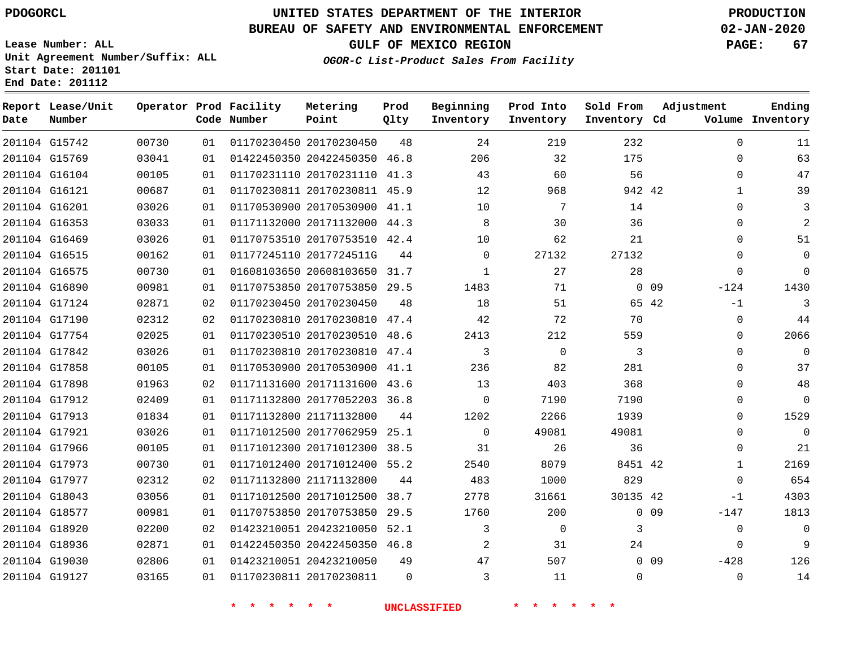**Date**

**End Date: 201112**

**Report Lease/Unit**

**Number**

# **UNITED STATES DEPARTMENT OF THE INTERIOR PDOGORCL PRODUCTION**

**Prod Qlty**

#### **BUREAU OF SAFETY AND ENVIRONMENTAL ENFORCEMENT 02-JAN-2020**

**Lease Number: ALL Unit Agreement Number/Suffix: ALL Start Date: 201101**

**Operator Prod Facility**

**Code Number**

**OGOR-C List-Product Sales From Facility**

**Beginning Inventory** **Prod Into Inventory** **Sold From Inventory**

**GULF OF MEXICO REGION PAGE: 67**

**Inventory Cd Volume**

**Adjustment**

  $\Omega$  -124  $-1$  $\Omega$  $\Omega$  $\Omega$  $\Omega$  $\overline{0}$  $\Omega$  $\Omega$  $\Omega$  $\overline{0}$   $\overline{0}$  $-1$ -147 -428 

**Ending**

| 201104 G15742 | 00730 | 01 |                            | 01170230450 20170230450      | 48       | 24                  | 219                    | 232            |            |
|---------------|-------|----|----------------------------|------------------------------|----------|---------------------|------------------------|----------------|------------|
| 201104 G15769 | 03041 | 01 |                            | 01422450350 20422450350 46.8 |          | 206                 | 32                     | 175            |            |
| 201104 G16104 | 00105 | 01 |                            | 01170231110 20170231110 41.3 |          | 43                  | 60                     | 56             |            |
| 201104 G16121 | 00687 | 01 |                            | 01170230811 20170230811 45.9 |          | 12                  | 968                    | 942 42         |            |
| 201104 G16201 | 03026 | 01 |                            | 01170530900 20170530900 41.1 |          | 10                  | $7\overline{ }$        | 14             |            |
| 201104 G16353 | 03033 | 01 |                            | 01171132000 20171132000 44.3 |          | 8                   | 30                     | 36             |            |
| 201104 G16469 | 03026 | 01 |                            | 01170753510 20170753510 42.4 |          | 10 <sup>°</sup>     | 62                     | 21             |            |
| 201104 G16515 | 00162 | 01 |                            | 01177245110 2017724511G      | 44       | $\overline{0}$      | 27132                  | 27132          |            |
| 201104 G16575 | 00730 | 01 |                            | 01608103650 20608103650 31.7 |          | $\mathbf{1}$        | 27                     | 28             |            |
| 201104 G16890 | 00981 | 01 |                            | 01170753850 20170753850 29.5 |          | 1483                | 71                     |                | $0\quad09$ |
| 201104 G17124 | 02871 | 02 |                            | 01170230450 20170230450      | 48       | 18                  | 51                     | 65 42          |            |
| 201104 G17190 | 02312 | 02 |                            | 01170230810 20170230810 47.4 |          | 42                  | 72                     | 70             |            |
| 201104 G17754 | 02025 | 01 |                            | 01170230510 20170230510 48.6 |          | 2413                | 212                    | 559            |            |
| 201104 G17842 | 03026 | 01 |                            | 01170230810 20170230810 47.4 |          | $\overline{3}$      | $\mathsf{O}$           | $\overline{3}$ |            |
| 201104 G17858 | 00105 | 01 |                            | 01170530900 20170530900 41.1 |          | 236                 | 82                     | 281            |            |
| 201104 G17898 | 01963 | 02 |                            | 01171131600 20171131600 43.6 |          | 13                  | 403                    | 368            |            |
| 201104 G17912 | 02409 | 01 |                            | 01171132800 20177052203 36.8 |          | $\overline{0}$      | 7190                   | 7190           |            |
| 201104 G17913 | 01834 | 01 |                            | 01171132800 21171132800 44   |          | 1202                | 2266                   | 1939           |            |
| 201104 G17921 | 03026 | 01 |                            | 01171012500 20177062959 25.1 |          | $\overline{0}$      | 49081                  | 49081          |            |
| 201104 G17966 | 00105 | 01 |                            | 01171012300 20171012300 38.5 |          | 31                  | 26                     | 36             |            |
| 201104 G17973 | 00730 | 01 |                            | 01171012400 20171012400 55.2 |          | 2540                | 8079                   | 8451 42        |            |
| 201104 G17977 | 02312 | 02 |                            | 01171132800 21171132800      | 44       | 483                 | 1000                   | 829            |            |
| 201104 G18043 | 03056 | 01 |                            | 01171012500 20171012500 38.7 |          | 2778                | 31661                  | 30135 42       |            |
| 201104 G18577 | 00981 | 01 |                            | 01170753850 20170753850 29.5 |          | 1760                | 200                    |                | $0$ 09     |
| 201104 G18920 | 02200 | 02 |                            | 01423210051 20423210050 52.1 |          | $\mathbf{3}$        | $\overline{0}$         | $\mathfrak{Z}$ |            |
| 201104 G18936 | 02871 | 01 |                            | 01422450350 20422450350 46.8 |          | $\overline{2}$      | 31                     | 24             |            |
| 201104 G19030 | 02806 | 01 |                            | 01423210051 20423210050      | 49       | 47                  | 507                    |                | $0$ 09     |
| 201104 G19127 | 03165 | 01 |                            | 01170230811 20170230811      | $\Omega$ | 3                   | 11                     | $\mathbf 0$    |            |
|               |       |    | $\star$ $\star$<br>* * * * |                              |          | <b>UNCLASSIFIED</b> | $\star$ .<br>* * * * * |                |            |

**Metering Point**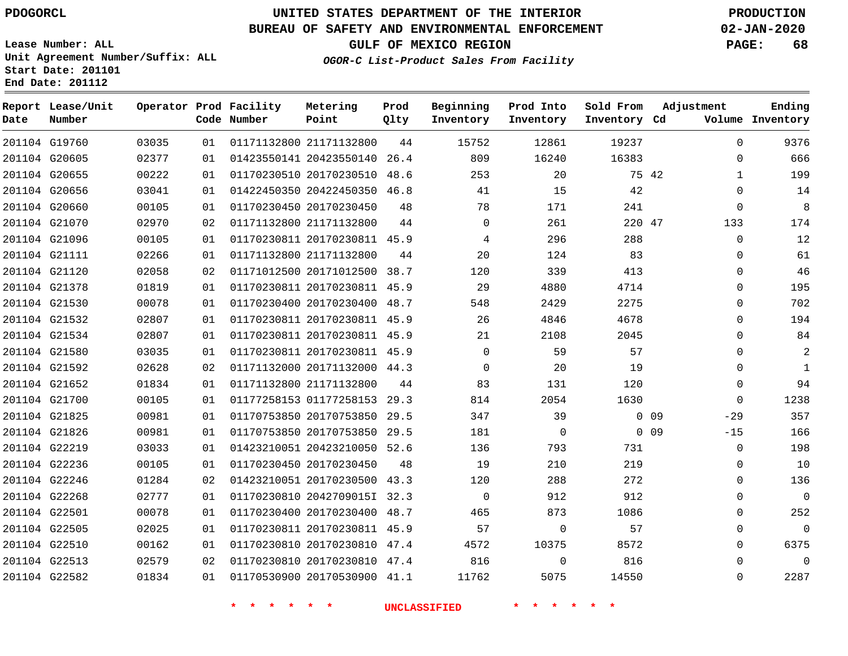# **UNITED STATES DEPARTMENT OF THE INTERIOR PDOGORCL PRODUCTION**

## **BUREAU OF SAFETY AND ENVIRONMENTAL ENFORCEMENT 02-JAN-2020**

**Lease Number: ALL Unit Agreement Number/Suffix: ALL Start Date: 201101**

**OGOR-C List-Product Sales From Facility**

**GULF OF MEXICO REGION PAGE: 68**

**Inventory Cd Volume**

**Adjustment**

**Ending**

| Report<br>Date | Lease/Unit<br>Number |       |    | Operator Prod Facility<br>Code Number | Metering<br>Point            | Prod<br>Qlty | Beginning<br>Inventory | Prod Into<br>Inventory | Sold From<br>Inventory | Α<br>Cd. |
|----------------|----------------------|-------|----|---------------------------------------|------------------------------|--------------|------------------------|------------------------|------------------------|----------|
|                | 201104 G19760        | 03035 | 01 |                                       | 01171132800 21171132800      | 44           | 15752                  | 12861                  | 19237                  |          |
| 201104 G20605  |                      | 02377 | 01 |                                       | 01423550141 20423550140      | 26.4         | 809                    | 16240                  | 16383                  |          |
|                | 201104 G20655        | 00222 | 01 |                                       | 01170230510 20170230510      | 48.6         | 253                    | 20                     | 75 42                  |          |
|                | 201104 G20656        | 03041 | 01 |                                       | 01422450350 20422450350      | 46.8         | 41                     | 15                     | 42                     |          |
|                | 201104 G20660        | 00105 | 01 |                                       | 01170230450 20170230450      | 48           | 78                     | 171                    | 241                    |          |
|                | 201104 G21070        | 02970 | 02 |                                       | 01171132800 21171132800      | 44           | $\Omega$               | 261                    | 220 47                 |          |
| 201104 G21096  |                      | 00105 | 01 |                                       | 01170230811 20170230811 45.9 |              | 4                      | 296                    | 288                    |          |
| 201104 G21111  |                      | 02266 | 01 |                                       | 01171132800 21171132800      | 44           | 20                     | 124                    | 83                     |          |
| 201104         | G21120               | 02058 | 02 |                                       | 01171012500 20171012500      | 38.7         | 120                    | 339                    | 413                    |          |
| 201104 G21378  |                      | 01819 | 01 |                                       | 01170230811 20170230811 45.9 |              | 29                     | 4880                   | 4714                   |          |
|                | 201104 G21530        | 00078 | 01 |                                       | 01170230400 20170230400 48.7 |              | 548                    | 2429                   | 2275                   |          |
|                | 201104 G21532        | 02807 | 01 |                                       | 01170230811 20170230811      | 45.9         | 26                     | 4846                   | 4678                   |          |
| 201104 G21534  |                      | 02807 | 01 |                                       | 01170230811 20170230811 45.9 |              | 21                     | 2108                   | 2045                   |          |
|                |                      |       |    |                                       |                              |              |                        |                        |                        |          |

|               | 201104 G21378 | 01819 | 01 | 01170230811 20170230811      | 45.9 | 29       | 4880     | 4714  | 0                        | 195      |
|---------------|---------------|-------|----|------------------------------|------|----------|----------|-------|--------------------------|----------|
| 201104 G21530 |               | 00078 | 01 | 01170230400 20170230400      | 48.7 | 548      | 2429     | 2275  | $\Omega$                 | 702      |
|               | 201104 G21532 | 02807 | 01 | 01170230811 20170230811      | 45.9 | 26       | 4846     | 4678  | $\Omega$                 | 194      |
|               | 201104 G21534 | 02807 | 01 | 01170230811 20170230811      | 45.9 | 21       | 2108     | 2045  | $\Omega$                 | 84       |
| 201104 G21580 |               | 03035 | 01 | 01170230811 20170230811      | 45.9 | 0        | 59       | 57    | $\Omega$                 | 2        |
|               | 201104 G21592 | 02628 | 02 | 01171132000 20171132000      | 44.3 | $\Omega$ | 20       | 19    | $\Omega$                 |          |
|               | 201104 G21652 | 01834 | 01 | 01171132800 21171132800      | 44   | 83       | 131      | 120   | $\Omega$                 | 94       |
| 201104 G21700 |               | 00105 | 01 | 01177258153 01177258153      | 29.3 | 814      | 2054     | 1630  | $\Omega$                 | 1238     |
| 201104 G21825 |               | 00981 | 01 | 01170753850 20170753850      | 29.5 | 347      | 39       |       | 0 <sub>09</sub><br>$-29$ | 357      |
|               | 201104 G21826 | 00981 | 01 | 01170753850 20170753850      | 29.5 | 181      | $\Omega$ |       | $0$ 09<br>$-15$          | 166      |
| 201104 G22219 |               | 03033 | 01 | 01423210051 20423210050      | 52.6 | 136      | 793      | 731   | 0                        | 198      |
|               | 201104 G22236 | 00105 | 01 | 01170230450 20170230450      | 48   | 19       | 210      | 219   | $\Omega$                 | 10       |
|               | 201104 G22246 | 01284 | 02 | 01423210051 20170230500      | 43.3 | 120      | 288      | 272   | $\Omega$                 | 136      |
| 201104 G22268 |               | 02777 | 01 | 01170230810 20427090151      | 32.3 | $\Omega$ | 912      | 912   | $\Omega$                 | $\Omega$ |
| 201104 G22501 |               | 00078 | 01 | 01170230400 20170230400      | 48.7 | 465      | 873      | 1086  | $\Omega$                 | 252      |
| 201104 G22505 |               | 02025 | 01 | 01170230811 20170230811      | 45.9 | 57       | $\Omega$ | 57    | $\Omega$                 | $\Omega$ |
|               | 201104 G22510 | 00162 | 01 | 01170230810 20170230810      | 47.4 | 4572     | 10375    | 8572  | $\Omega$                 | 6375     |
| 201104 G22513 |               | 02579 | 02 | 01170230810 20170230810      | 47.4 | 816      | $\Omega$ | 816   | $\Omega$                 | $\Omega$ |
| 201104 G22582 |               | 01834 | 01 | 01170530900 20170530900 41.1 |      | 11762    | 5075     | 14550 | 0                        | 2287     |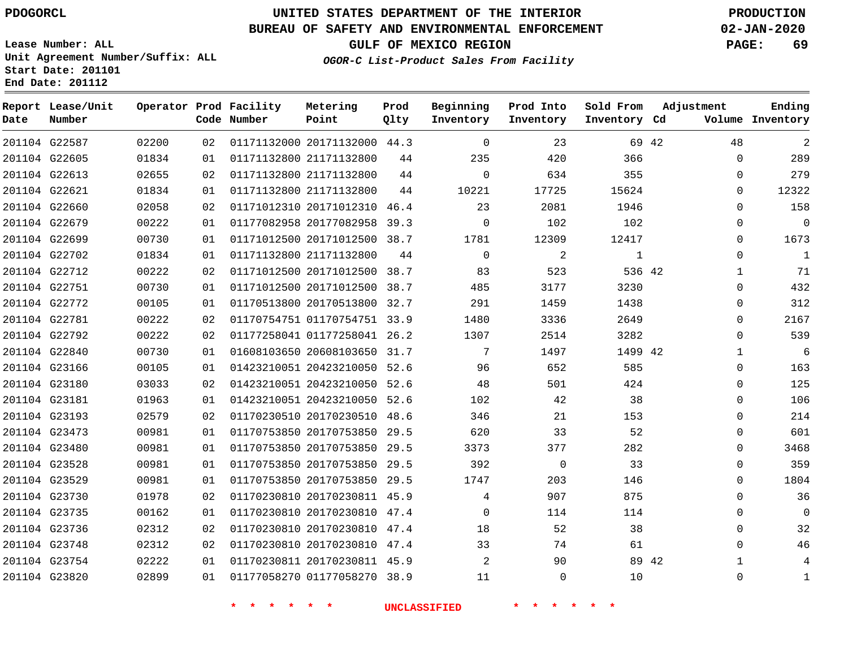**Start Date: 201101 End Date: 201112**

# **UNITED STATES DEPARTMENT OF THE INTERIOR PDOGORCL PRODUCTION**

## **BUREAU OF SAFETY AND ENVIRONMENTAL ENFORCEMENT 02-JAN-2020**

**Lease Number: ALL Unit Agreement Number/Suffix: ALL**

**GULF OF MEXICO REGION PAGE: 69**

**OGOR-C List-Product Sales From Facility**

| Date          | Report Lease/Unit<br>Number |       |    | Operator Prod Facility<br>Code Number | Metering<br>Point            | Prod<br>Qlty | Beginning<br>Inventory | Prod Into<br>Inventory | Sold From<br>Inventory Cd | Adjustment |              | Ending<br>Volume Inventory |
|---------------|-----------------------------|-------|----|---------------------------------------|------------------------------|--------------|------------------------|------------------------|---------------------------|------------|--------------|----------------------------|
|               | 201104 G22587               | 02200 | 02 |                                       | 01171132000 20171132000 44.3 |              | $\mathbf 0$            | 23                     |                           | 69 42      | 48           | 2                          |
|               | 201104 G22605               | 01834 | 01 |                                       | 01171132800 21171132800      | 44           | 235                    | 420                    | 366                       |            | $\Omega$     | 289                        |
|               | 201104 G22613               | 02655 | 02 |                                       | 01171132800 21171132800      | 44           | $\mathbf 0$            | 634                    | 355                       |            | $\Omega$     | 279                        |
|               | 201104 G22621               | 01834 | 01 |                                       | 01171132800 21171132800      | 44           | 10221                  | 17725                  | 15624                     |            | $\Omega$     | 12322                      |
|               | 201104 G22660               | 02058 | 02 |                                       | 01171012310 20171012310      | 46.4         | 23                     | 2081                   | 1946                      |            | $\Omega$     | 158                        |
|               | 201104 G22679               | 00222 | 01 |                                       | 01177082958 20177082958 39.3 |              | $\Omega$               | 102                    | 102                       |            | $\Omega$     | $\Omega$                   |
|               | 201104 G22699               | 00730 | 01 |                                       | 01171012500 20171012500 38.7 |              | 1781                   | 12309                  | 12417                     |            | 0            | 1673                       |
|               | 201104 G22702               | 01834 | 01 |                                       | 01171132800 21171132800      | 44           | $\Omega$               | 2                      | 1                         |            | $\Omega$     | $\mathbf{1}$               |
|               | 201104 G22712               | 00222 | 02 |                                       | 01171012500 20171012500 38.7 |              | 83                     | 523                    | 536 42                    |            | $\mathbf{1}$ | 71                         |
| 201104 G22751 |                             | 00730 | 01 |                                       | 01171012500 20171012500 38.7 |              | 485                    | 3177                   | 3230                      |            | 0            | 432                        |
|               | 201104 G22772               | 00105 | 01 |                                       | 01170513800 20170513800 32.7 |              | 291                    | 1459                   | 1438                      |            | 0            | 312                        |
|               | 201104 G22781               | 00222 | 02 |                                       | 01170754751 01170754751 33.9 |              | 1480                   | 3336                   | 2649                      |            | $\Omega$     | 2167                       |
|               | 201104 G22792               | 00222 | 02 |                                       | 01177258041 01177258041 26.2 |              | 1307                   | 2514                   | 3282                      |            | $\Omega$     | 539                        |
|               | 201104 G22840               | 00730 | 01 |                                       | 01608103650 20608103650 31.7 |              | 7                      | 1497                   | 1499 42                   |            | 1            | 6                          |
|               | 201104 G23166               | 00105 | 01 |                                       | 01423210051 20423210050 52.6 |              | 96                     | 652                    | 585                       |            | 0            | 163                        |
|               | 201104 G23180               | 03033 | 02 |                                       | 01423210051 20423210050 52.6 |              | 48                     | 501                    | 424                       |            | 0            | 125                        |
|               | 201104 G23181               | 01963 | 01 |                                       | 01423210051 20423210050 52.6 |              | 102                    | 42                     | 38                        |            | $\Omega$     | 106                        |
|               | 201104 G23193               | 02579 | 02 |                                       | 01170230510 20170230510 48.6 |              | 346                    | 21                     | 153                       |            | 0            | 214                        |
|               | 201104 G23473               | 00981 | 01 |                                       | 01170753850 20170753850 29.5 |              | 620                    | 33                     | 52                        |            | 0            | 601                        |
|               | 201104 G23480               | 00981 | 01 |                                       | 01170753850 20170753850      | 29.5         | 3373                   | 377                    | 282                       |            | $\mathbf 0$  | 3468                       |
|               | 201104 G23528               | 00981 | 01 |                                       | 01170753850 20170753850 29.5 |              | 392                    | $\overline{0}$         | 33                        |            | $\Omega$     | 359                        |
|               | 201104 G23529               | 00981 | 01 |                                       | 01170753850 20170753850 29.5 |              | 1747                   | 203                    | 146                       |            | $\mathbf 0$  | 1804                       |
|               | 201104 G23730               | 01978 | 02 |                                       | 01170230810 20170230811 45.9 |              | 4                      | 907                    | 875                       |            | $\mathbf 0$  | 36                         |
|               | 201104 G23735               | 00162 | 01 |                                       | 01170230810 20170230810 47.4 |              | $\mathbf 0$            | 114                    | 114                       |            | $\mathbf 0$  | $\mathbf 0$                |
|               | 201104 G23736               | 02312 | 02 |                                       | 01170230810 20170230810 47.4 |              | 18                     | 52                     | 38                        |            | $\Omega$     | 32                         |
|               | 201104 G23748               | 02312 | 02 |                                       | 01170230810 20170230810 47.4 |              | 33                     | 74                     | 61                        |            | $\Omega$     | 46                         |
|               | 201104 G23754               | 02222 | 01 |                                       | 01170230811 20170230811 45.9 |              | 2                      | 90                     |                           | 89 42      | 1            | 4                          |
|               | 201104 G23820               | 02899 | 01 |                                       | 01177058270 01177058270 38.9 |              | 11                     | $\Omega$               | 10                        |            | $\Omega$     | $\mathbf{1}$               |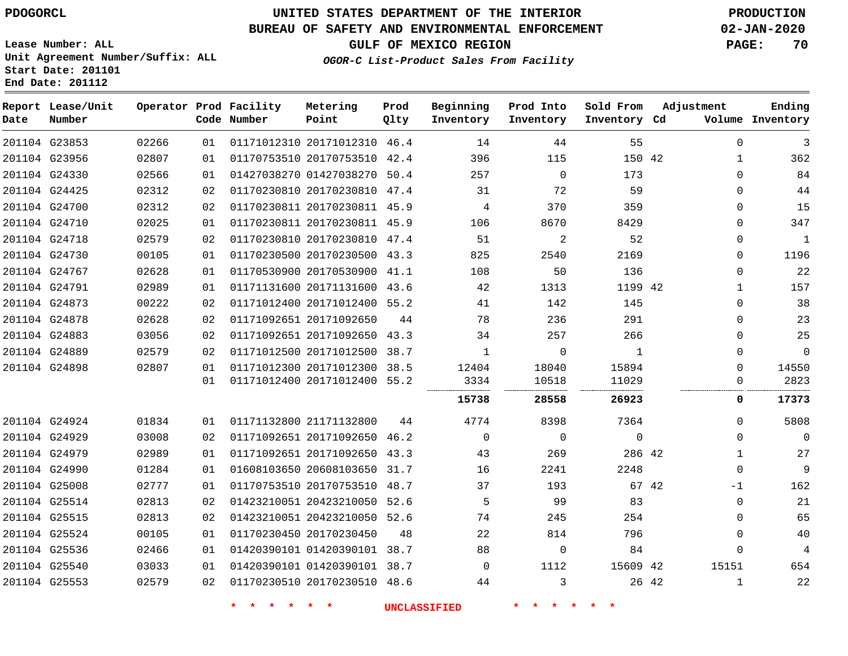## **BUREAU OF SAFETY AND ENVIRONMENTAL ENFORCEMENT 02-JAN-2020**

**Lease Number: ALL Unit Agreement Number/Suffix: ALL Start Date: 201101 End Date: 201112**

**OGOR-C List-Product Sales From Facility**

**GULF OF MEXICO REGION PAGE: 70**

| Date | Report Lease/Unit<br>Number |       |    | Operator Prod Facility<br>Code Number | Metering<br>Point            | Prod<br>Qlty | Beginning<br>Inventory | Prod Into<br>Inventory | Sold From<br>Inventory Cd | Adjustment |              | Ending<br>Volume Inventory |
|------|-----------------------------|-------|----|---------------------------------------|------------------------------|--------------|------------------------|------------------------|---------------------------|------------|--------------|----------------------------|
|      | 201104 G23853               | 02266 | 01 |                                       | 01171012310 20171012310 46.4 |              | 14                     | 44                     | 55                        |            | $\Omega$     | 3                          |
|      | 201104 G23956               | 02807 | 01 |                                       | 01170753510 20170753510 42.4 |              | 396                    | 115                    | 150 42                    |            | $\mathbf{1}$ | 362                        |
|      | 201104 G24330               | 02566 | 01 |                                       | 01427038270 01427038270 50.4 |              | 257                    | $\mathbf 0$            | 173                       |            | $\mathbf 0$  | 84                         |
|      | 201104 G24425               | 02312 | 02 |                                       | 01170230810 20170230810 47.4 |              | 31                     | 72                     | 59                        |            | $\mathbf 0$  | 44                         |
|      | 201104 G24700               | 02312 | 02 |                                       | 01170230811 20170230811 45.9 |              | 4                      | 370                    | 359                       |            | $\mathbf 0$  | 15                         |
|      | 201104 G24710               | 02025 | 01 |                                       | 01170230811 20170230811 45.9 |              | 106                    | 8670                   | 8429                      |            | $\Omega$     | 347                        |
|      | 201104 G24718               | 02579 | 02 |                                       | 01170230810 20170230810 47.4 |              | 51                     | 2                      | 52                        |            | $\mathbf 0$  | $\mathbf{1}$               |
|      | 201104 G24730               | 00105 | 01 |                                       | 01170230500 20170230500 43.3 |              | 825                    | 2540                   | 2169                      |            | 0            | 1196                       |
|      | 201104 G24767               | 02628 | 01 |                                       | 01170530900 20170530900 41.1 |              | 108                    | 50                     | 136                       |            | $\mathbf 0$  | 22                         |
|      | 201104 G24791               | 02989 | 01 |                                       | 01171131600 20171131600 43.6 |              | 42                     | 1313                   | 1199 42                   |            | $\mathbf{1}$ | 157                        |
|      | 201104 G24873               | 00222 | 02 |                                       | 01171012400 20171012400 55.2 |              | 41                     | 142                    | 145                       |            | $\mathbf 0$  | 38                         |
|      | 201104 G24878               | 02628 | 02 |                                       | 01171092651 20171092650      | 44           | 78                     | 236                    | 291                       |            | $\mathbf 0$  | 23                         |
|      | 201104 G24883               | 03056 | 02 |                                       | 01171092651 20171092650 43.3 |              | 34                     | 257                    | 266                       |            | 0            | 25                         |
|      | 201104 G24889               | 02579 | 02 |                                       | 01171012500 20171012500      | 38.7         | 1                      | $\mathbf 0$            | 1                         |            | $\Omega$     | $\mathbf 0$                |
|      | 201104 G24898               | 02807 | 01 |                                       | 01171012300 20171012300 38.5 |              | 12404                  | 18040                  | 15894                     |            | $\Omega$     | 14550                      |
|      |                             |       | 01 |                                       | 01171012400 20171012400 55.2 |              | 3334                   | 10518                  | 11029                     |            | 0            | 2823                       |
|      |                             |       |    |                                       |                              |              | 15738                  | 28558                  | 26923                     |            | 0            | 17373                      |
|      | 201104 G24924               | 01834 | 01 |                                       | 01171132800 21171132800      | 44           | 4774                   | 8398                   | 7364                      |            | $\Omega$     | 5808                       |
|      | 201104 G24929               | 03008 | 02 |                                       | 01171092651 20171092650 46.2 |              | $\Omega$               | $\mathbf 0$            | $\mathbf 0$               |            | 0            | $\mathbf 0$                |
|      | 201104 G24979               | 02989 | 01 |                                       | 01171092651 20171092650 43.3 |              | 43                     | 269                    | 286 42                    |            | $\mathbf{1}$ | 27                         |
|      | 201104 G24990               | 01284 | 01 |                                       | 01608103650 20608103650 31.7 |              | 16                     | 2241                   | 2248                      |            | 0            | $\overline{9}$             |
|      | 201104 G25008               | 02777 | 01 |                                       | 01170753510 20170753510 48.7 |              | 37                     | 193                    |                           | 67 42      | $-1$         | 162                        |
|      | 201104 G25514               | 02813 | 02 |                                       | 01423210051 20423210050 52.6 |              | 5                      | 99                     | 83                        |            | 0            | 21                         |
|      | 201104 G25515               | 02813 | 02 |                                       | 01423210051 20423210050 52.6 |              | 74                     | 245                    | 254                       |            | $\mathbf 0$  | 65                         |
|      | 201104 G25524               | 00105 | 01 |                                       | 01170230450 20170230450      | 48           | 22                     | 814                    | 796                       |            | $\mathbf 0$  | 40                         |
|      | 201104 G25536               | 02466 | 01 |                                       | 01420390101 01420390101 38.7 |              | 88                     | $\mathbf 0$            | 84                        |            | $\Omega$     | 4                          |
|      | 201104 G25540               | 03033 | 01 |                                       | 01420390101 01420390101 38.7 |              | $\Omega$               | 1112                   | 15609 42                  |            | 15151        | 654                        |
|      | 201104 G25553               | 02579 | 02 |                                       | 01170230510 20170230510 48.6 |              | 44                     | 3                      |                           | 26 42      | 1            | 22                         |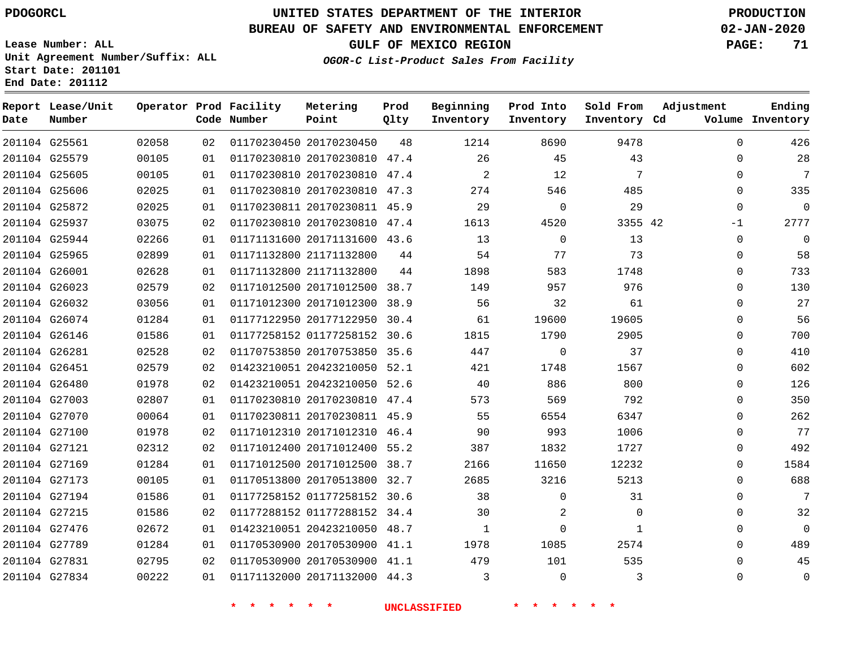**Report Lease/Unit**

# **UNITED STATES DEPARTMENT OF THE INTERIOR PDOGORCL PRODUCTION**

## **BUREAU OF SAFETY AND ENVIRONMENTAL ENFORCEMENT 02-JAN-2020**

**Lease Number: ALL Unit Agreement Number/Suffix: ALL Start Date: 201101**

**Operator Prod Facility**

**GULF OF MEXICO REGION PAGE: 71**

**Prod**

**Metering**

**Ending**

**OGOR-C List-Product Sales From Facility**

**Beginning Prod Into**

**Sold From**

**Adjustment**

| Date | Number        |       |    | Code Number | Point                        | Qlty | Inventory    | Inventory   | Inventory Cd |              | Volume Inventory |
|------|---------------|-------|----|-------------|------------------------------|------|--------------|-------------|--------------|--------------|------------------|
|      | 201104 G25561 | 02058 | 02 |             | 01170230450 20170230450      | 48   | 1214         | 8690        | 9478         | $\Omega$     | 426              |
|      | 201104 G25579 | 00105 | 01 |             | 01170230810 20170230810 47.4 |      | 26           | 45          | 43           | $\mathbf 0$  | 28               |
|      | 201104 G25605 | 00105 | 01 |             | 01170230810 20170230810 47.4 |      | 2            | 12          | 7            | $\mathbf 0$  | 7                |
|      | 201104 G25606 | 02025 | 01 |             | 01170230810 20170230810 47.3 |      | 274          | 546         | 485          | $\Omega$     | 335              |
|      | 201104 G25872 | 02025 | 01 |             | 01170230811 20170230811 45.9 |      | 29           | $\mathbf 0$ | 29           | $\Omega$     | $\mathbf 0$      |
|      | 201104 G25937 | 03075 | 02 |             | 01170230810 20170230810 47.4 |      | 1613         | 4520        | 3355 42      | $-1$         | 2777             |
|      | 201104 G25944 | 02266 | 01 |             | 01171131600 20171131600 43.6 |      | 13           | $\Omega$    | 13           | $\mathbf 0$  | $\Omega$         |
|      | 201104 G25965 | 02899 | 01 |             | 01171132800 21171132800      | 44   | 54           | 77          | 73           | $\mathbf 0$  | 58               |
|      | 201104 G26001 | 02628 | 01 |             | 01171132800 21171132800      | 44   | 1898         | 583         | 1748         | $\Omega$     | 733              |
|      | 201104 G26023 | 02579 | 02 |             | 01171012500 20171012500 38.7 |      | 149          | 957         | 976          | $\mathbf 0$  | 130              |
|      | 201104 G26032 | 03056 | 01 |             | 01171012300 20171012300 38.9 |      | 56           | 32          | 61           | $\mathbf 0$  | 27               |
|      | 201104 G26074 | 01284 | 01 |             | 01177122950 20177122950 30.4 |      | 61           | 19600       | 19605        | $\Omega$     | 56               |
|      | 201104 G26146 | 01586 | 01 |             | 01177258152 01177258152 30.6 |      | 1815         | 1790        | 2905         | $\Omega$     | 700              |
|      | 201104 G26281 | 02528 | 02 |             | 01170753850 20170753850 35.6 |      | 447          | $\mathbf 0$ | 37           | $\mathbf 0$  | 410              |
|      | 201104 G26451 | 02579 | 02 |             | 01423210051 20423210050 52.1 |      | 421          | 1748        | 1567         | $\mathbf 0$  | 602              |
|      | 201104 G26480 | 01978 | 02 |             | 01423210051 20423210050 52.6 |      | 40           | 886         | 800          | $\mathbf 0$  | 126              |
|      | 201104 G27003 | 02807 | 01 |             | 01170230810 20170230810 47.4 |      | 573          | 569         | 792          | $\Omega$     | 350              |
|      | 201104 G27070 | 00064 | 01 |             | 01170230811 20170230811 45.9 |      | 55           | 6554        | 6347         | $\Omega$     | 262              |
|      | 201104 G27100 | 01978 | 02 |             | 01171012310 20171012310 46.4 |      | 90           | 993         | 1006         | $\mathbf 0$  | 77               |
|      | 201104 G27121 | 02312 | 02 |             | 01171012400 20171012400 55.2 |      | 387          | 1832        | 1727         | $\mathbf 0$  | 492              |
|      | 201104 G27169 | 01284 | 01 |             | 01171012500 20171012500 38.7 |      | 2166         | 11650       | 12232        | $\Omega$     | 1584             |
|      | 201104 G27173 | 00105 | 01 |             | 01170513800 20170513800 32.7 |      | 2685         | 3216        | 5213         | $\Omega$     | 688              |
|      | 201104 G27194 | 01586 | 01 |             | 01177258152 01177258152 30.6 |      | 38           | $\mathbf 0$ | 31           | $\mathbf 0$  | 7                |
|      | 201104 G27215 | 01586 | 02 |             | 01177288152 01177288152 34.4 |      | 30           | 2           | $\mathbf 0$  | $\Omega$     | 32               |
|      | 201104 G27476 | 02672 | 01 |             | 01423210051 20423210050 48.7 |      | $\mathbf{1}$ | $\Omega$    | $\mathbf{1}$ | $\Omega$     | $\Omega$         |
|      | 201104 G27789 | 01284 | 01 |             | 01170530900 20170530900 41.1 |      | 1978         | 1085        | 2574         | $\Omega$     | 489              |
|      | 201104 G27831 | 02795 | 02 |             | 01170530900 20170530900 41.1 |      | 479          | 101         | 535          | $\mathbf 0$  | 45               |
|      | 201104 G27834 | 00222 | 01 |             | 01171132000 20171132000 44.3 |      | 3            | $\Omega$    | 3            | $\mathbf{0}$ | 0                |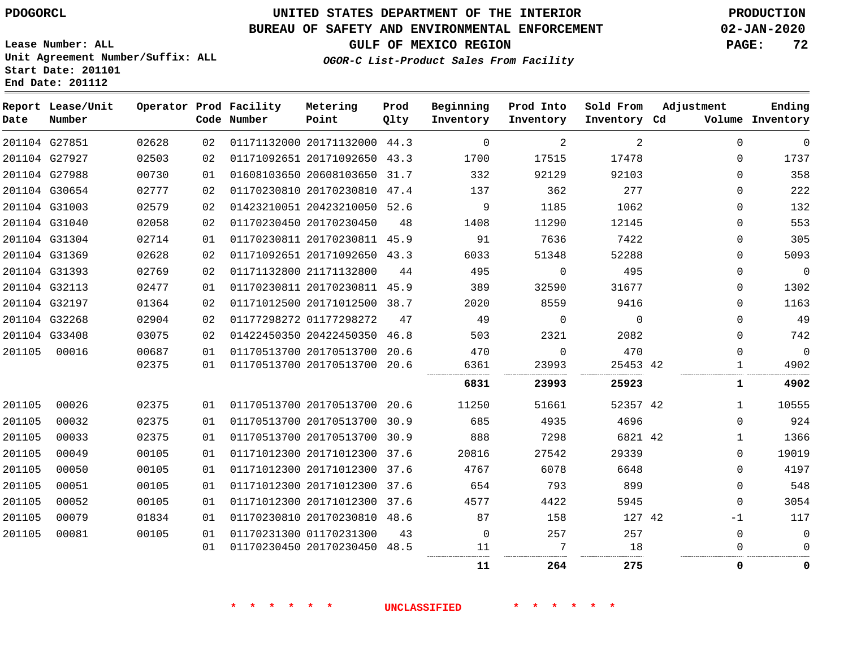# **UNITED STATES DEPARTMENT OF THE INTERIOR PDOGORCL PRODUCTION**

## **BUREAU OF SAFETY AND ENVIRONMENTAL ENFORCEMENT 02-JAN-2020**

**Lease Number: ALL Unit Agreement Number/Suffix: ALL Start Date: 201101**

**GULF OF MEXICO REGION PAGE: 72**

**OGOR-C List-Product Sales From Facility**

| Date   | Report Lease/Unit<br>Number |       |    | Operator Prod Facility<br>Code Number | Metering<br>Point            | Prod<br>Qlty | Beginning<br>Inventory | Prod Into<br>Inventory | Sold From<br>Inventory Cd | Adjustment |              | Ending<br>Volume Inventory |
|--------|-----------------------------|-------|----|---------------------------------------|------------------------------|--------------|------------------------|------------------------|---------------------------|------------|--------------|----------------------------|
|        | 201104 G27851               | 02628 | 02 |                                       | 01171132000 20171132000 44.3 |              | $\Omega$               | 2                      | $\overline{2}$            |            | $\mathbf 0$  | 0                          |
|        | 201104 G27927               | 02503 | 02 |                                       | 01171092651 20171092650 43.3 |              | 1700                   | 17515                  | 17478                     |            | $\Omega$     | 1737                       |
|        | 201104 G27988               | 00730 | 01 |                                       | 01608103650 20608103650 31.7 |              | 332                    | 92129                  | 92103                     |            | $\Omega$     | 358                        |
|        | 201104 G30654               | 02777 | 02 |                                       | 01170230810 20170230810 47.4 |              | 137                    | 362                    | 277                       |            | $\Omega$     | 222                        |
|        | 201104 G31003               | 02579 | 02 |                                       | 01423210051 20423210050 52.6 |              | 9                      | 1185                   | 1062                      |            | 0            | 132                        |
|        | 201104 G31040               | 02058 | 02 |                                       | 01170230450 20170230450      | 48           | 1408                   | 11290                  | 12145                     |            | 0            | 553                        |
|        | 201104 G31304               | 02714 | 01 |                                       | 01170230811 20170230811 45.9 |              | 91                     | 7636                   | 7422                      |            | 0            | 305                        |
|        | 201104 G31369               | 02628 | 02 |                                       | 01171092651 20171092650 43.3 |              | 6033                   | 51348                  | 52288                     |            | $\Omega$     | 5093                       |
|        | 201104 G31393               | 02769 | 02 |                                       | 01171132800 21171132800      | 44           | 495                    | $\Omega$               | 495                       |            | $\Omega$     | 0                          |
|        | 201104 G32113               | 02477 | 01 |                                       | 01170230811 20170230811      | 45.9         | 389                    | 32590                  | 31677                     |            | 0            | 1302                       |
|        | 201104 G32197               | 01364 | 02 |                                       | 01171012500 20171012500 38.7 |              | 2020                   | 8559                   | 9416                      |            | $\Omega$     | 1163                       |
|        | 201104 G32268               | 02904 | 02 |                                       | 01177298272 01177298272      | 47           | 49                     | $\mathbf 0$            | $\Omega$                  |            | $\Omega$     | 49                         |
|        | 201104 G33408               | 03075 | 02 |                                       | 01422450350 20422450350      | 46.8         | 503                    | 2321                   | 2082                      |            | $\Omega$     | 742                        |
| 201105 | 00016                       | 00687 | 01 |                                       | 01170513700 20170513700 20.6 |              | 470                    | $\mathbf 0$            | 470                       |            | $\Omega$     | $\mathbf 0$                |
|        |                             | 02375 | 01 |                                       | 01170513700 20170513700 20.6 |              | 6361                   | 23993                  | 25453 42                  |            | 1            | 4902                       |
|        |                             |       |    |                                       |                              |              | 6831                   | 23993                  | 25923                     |            | 1            | 4902                       |
| 201105 | 00026                       | 02375 | 01 |                                       | 01170513700 20170513700 20.6 |              | 11250                  | 51661                  | 52357 42                  |            | $\mathbf{1}$ | 10555                      |
| 201105 | 00032                       | 02375 | 01 |                                       | 01170513700 20170513700 30.9 |              | 685                    | 4935                   | 4696                      |            | $\Omega$     | 924                        |
| 201105 | 00033                       | 02375 | 01 |                                       | 01170513700 20170513700 30.9 |              | 888                    | 7298                   | 6821 42                   |            | $\mathbf{1}$ | 1366                       |
| 201105 | 00049                       | 00105 | 01 |                                       | 01171012300 20171012300 37.6 |              | 20816                  | 27542                  | 29339                     |            | $\Omega$     | 19019                      |
| 201105 | 00050                       | 00105 | 01 |                                       | 01171012300 20171012300 37.6 |              | 4767                   | 6078                   | 6648                      |            | 0            | 4197                       |
| 201105 | 00051                       | 00105 | 01 |                                       | 01171012300 20171012300 37.6 |              | 654                    | 793                    | 899                       |            | $\Omega$     | 548                        |
| 201105 | 00052                       | 00105 | 01 |                                       | 01171012300 20171012300 37.6 |              | 4577                   | 4422                   | 5945                      |            | 0            | 3054                       |
| 201105 | 00079                       | 01834 | 01 |                                       | 01170230810 20170230810 48.6 |              | 87                     | 158                    | 127 42                    |            | $-1$         | 117                        |
| 201105 | 00081                       | 00105 | 01 |                                       | 01170231300 01170231300      | 43           | $\mathbf 0$            | 257                    | 257                       |            | 0            | 0                          |
|        |                             |       | 01 |                                       | 01170230450 20170230450 48.5 |              | 11                     | 7                      | 18                        |            | 0            | $\Omega$                   |
|        |                             |       |    |                                       |                              |              | 11                     | 264                    | 275                       |            | 0            | 0                          |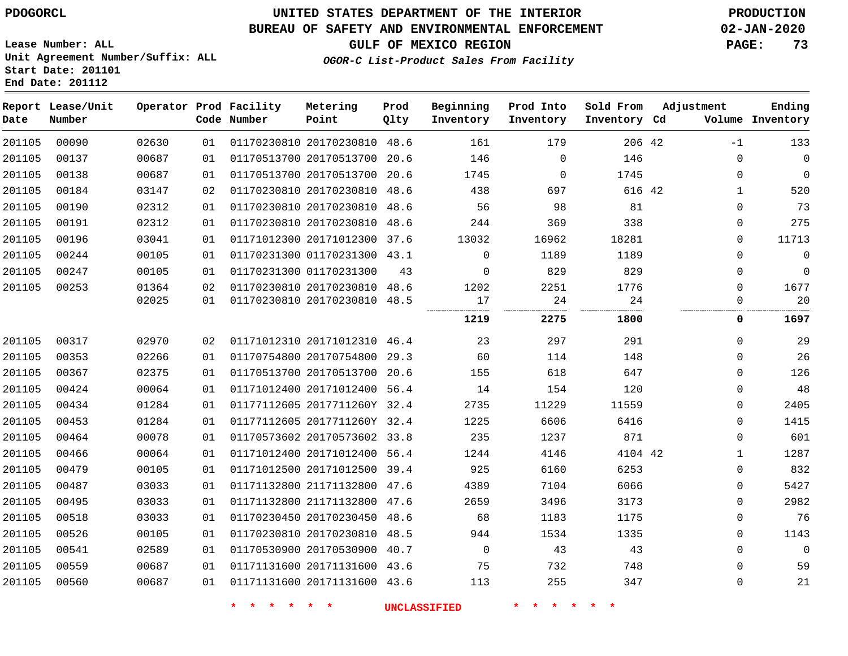**Lease Number: ALL**

# **UNITED STATES DEPARTMENT OF THE INTERIOR PDOGORCL PRODUCTION**

## **BUREAU OF SAFETY AND ENVIRONMENTAL ENFORCEMENT 02-JAN-2020**

**GULF OF MEXICO REGION PAGE: 73**

**OGOR-C List-Product Sales From Facility**

**Unit Agreement Number/Suffix: ALL Start Date: 201101 End Date: 201112**

| Date   | Report Lease/Unit<br>Number |       |    | Operator Prod Facility<br>Code Number | Metering<br>Point            | Prod<br>Qlty | Beginning<br>Inventory | Prod Into<br>Inventory | Sold From<br>Inventory Cd | Adjustment   | Ending<br>Volume Inventory |
|--------|-----------------------------|-------|----|---------------------------------------|------------------------------|--------------|------------------------|------------------------|---------------------------|--------------|----------------------------|
| 201105 | 00090                       | 02630 | 01 |                                       | 01170230810 20170230810 48.6 |              | 161                    | 179                    | 206 42                    | $-1$         | 133                        |
| 201105 | 00137                       | 00687 | 01 |                                       | 01170513700 20170513700 20.6 |              | 146                    | $\mathbf 0$            | 146                       | $\mathbf{0}$ | $\mathbf 0$                |
| 201105 | 00138                       | 00687 | 01 |                                       | 01170513700 20170513700 20.6 |              | 1745                   | $\Omega$               | 1745                      | $\mathbf 0$  | $\overline{0}$             |
| 201105 | 00184                       | 03147 | 02 |                                       | 01170230810 20170230810      | 48.6         | 438                    | 697                    | 616 42                    | $\mathbf{1}$ | 520                        |
| 201105 | 00190                       | 02312 | 01 |                                       | 01170230810 20170230810 48.6 |              | 56                     | 98                     | 81                        | $\mathbf 0$  | 73                         |
| 201105 | 00191                       | 02312 | 01 |                                       | 01170230810 20170230810 48.6 |              | 244                    | 369                    | 338                       | $\mathbf 0$  | 275                        |
| 201105 | 00196                       | 03041 | 01 |                                       | 01171012300 20171012300 37.6 |              | 13032                  | 16962                  | 18281                     | 0            | 11713                      |
| 201105 | 00244                       | 00105 | 01 |                                       | 01170231300 01170231300 43.1 |              | $\mathbf 0$            | 1189                   | 1189                      | $\mathbf 0$  | $\mathbf 0$                |
| 201105 | 00247                       | 00105 | 01 |                                       | 01170231300 01170231300      | 43           | $\mathbf 0$            | 829                    | 829                       | $\mathsf 0$  | $\mathbf 0$                |
| 201105 | 00253                       | 01364 | 02 |                                       | 01170230810 20170230810 48.6 |              | 1202                   | 2251                   | 1776                      | $\mathbf{0}$ | 1677                       |
|        |                             | 02025 | 01 |                                       | 01170230810 20170230810 48.5 |              | 17                     | 24                     | 24                        | $\mathbf{0}$ | 20                         |
|        |                             |       |    |                                       |                              |              | 1219                   | 2275                   | 1800                      | 0            | 1697                       |
| 201105 | 00317                       | 02970 | 02 |                                       | 01171012310 20171012310 46.4 |              | 23                     | 297                    | 291                       | $\mathbf 0$  | 29                         |
| 201105 | 00353                       | 02266 | 01 |                                       | 01170754800 20170754800 29.3 |              | 60                     | 114                    | 148                       | $\mathbf 0$  | 26                         |
| 201105 | 00367                       | 02375 | 01 |                                       | 01170513700 20170513700 20.6 |              | 155                    | 618                    | 647                       | $\mathbf 0$  | 126                        |
| 201105 | 00424                       | 00064 | 01 |                                       | 01171012400 20171012400 56.4 |              | 14                     | 154                    | 120                       | $\mathbf 0$  | 48                         |
| 201105 | 00434                       | 01284 | 01 |                                       | 01177112605 2017711260Y 32.4 |              | 2735                   | 11229                  | 11559                     | $\mathbf 0$  | 2405                       |
| 201105 | 00453                       | 01284 | 01 |                                       | 01177112605 2017711260Y 32.4 |              | 1225                   | 6606                   | 6416                      | $\mathbf 0$  | 1415                       |
| 201105 | 00464                       | 00078 | 01 |                                       | 01170573602 20170573602 33.8 |              | 235                    | 1237                   | 871                       | 0            | 601                        |
| 201105 | 00466                       | 00064 | 01 |                                       | 01171012400 20171012400 56.4 |              | 1244                   | 4146                   | 4104 42                   | $\mathbf{1}$ | 1287                       |
| 201105 | 00479                       | 00105 | 01 |                                       | 01171012500 20171012500      | 39.4         | 925                    | 6160                   | 6253                      | $\mathsf 0$  | 832                        |
| 201105 | 00487                       | 03033 | 01 |                                       | 01171132800 21171132800 47.6 |              | 4389                   | 7104                   | 6066                      | $\mathbf{0}$ | 5427                       |
| 201105 | 00495                       | 03033 | 01 |                                       | 01171132800 21171132800 47.6 |              | 2659                   | 3496                   | 3173                      | $\mathbf 0$  | 2982                       |
| 201105 | 00518                       | 03033 | 01 |                                       | 01170230450 20170230450      | 48.6         | 68                     | 1183                   | 1175                      | $\mathbf 0$  | 76                         |
| 201105 | 00526                       | 00105 | 01 |                                       | 01170230810 20170230810 48.5 |              | 944                    | 1534                   | 1335                      | $\mathbf 0$  | 1143                       |
| 201105 | 00541                       | 02589 | 01 |                                       | 01170530900 20170530900 40.7 |              | $\mathbf 0$            | 43                     | 43                        | 0            | $\overline{0}$             |
| 201105 | 00559                       | 00687 | 01 |                                       | 01171131600 20171131600 43.6 |              | 75                     | 732                    | 748                       | $\mathbf 0$  | 59                         |
| 201105 | 00560                       | 00687 | 01 |                                       | 01171131600 20171131600 43.6 |              | 113                    | 255                    | 347                       | $\mathbf 0$  | $2\sqrt{1}$                |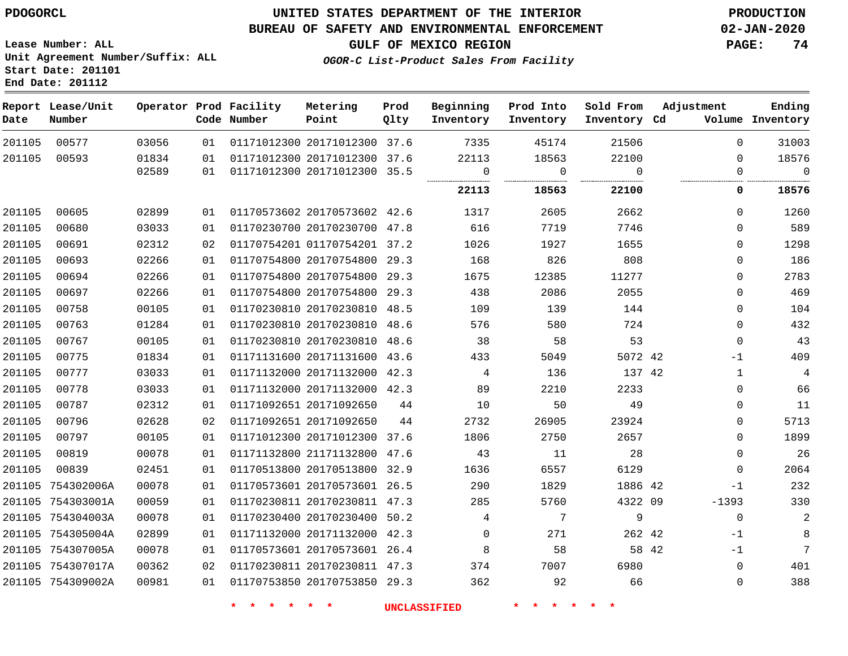**End Date: 201112**

## **UNITED STATES DEPARTMENT OF THE INTERIOR PDOGORCL PRODUCTION**

#### **BUREAU OF SAFETY AND ENVIRONMENTAL ENFORCEMENT 02-JAN-2020**

**Lease Number: ALL Unit Agreement Number/Suffix: ALL Start Date: 201101**

**GULF OF MEXICO REGION PAGE: 74**

**OGOR-C List-Product Sales From Facility**

| Date   | Report Lease/Unit<br>Number |       |    | Operator Prod Facility<br>Code Number | Metering<br>Point            | Prod<br>Qlty | Beginning<br>Inventory | Prod Into<br>Inventory | Sold From<br>Inventory Cd | Adjustment   | Ending<br>Volume Inventory |
|--------|-----------------------------|-------|----|---------------------------------------|------------------------------|--------------|------------------------|------------------------|---------------------------|--------------|----------------------------|
| 201105 | 00577                       | 03056 | 01 |                                       | 01171012300 20171012300 37.6 |              | 7335                   | 45174                  | 21506                     | $\Omega$     | 31003                      |
| 201105 | 00593                       | 01834 | 01 |                                       | 01171012300 20171012300 37.6 |              | 22113                  | 18563                  | 22100                     | $\Omega$     | 18576                      |
|        |                             | 02589 | 01 |                                       | 01171012300 20171012300 35.5 |              | $\overline{0}$         | $\overline{0}$         | $\overline{0}$            | $\mathbf 0$  | $\Omega$                   |
|        |                             |       |    |                                       |                              |              | 22113                  | 18563                  | 22100                     | $\mathbf 0$  | 18576                      |
| 201105 | 00605                       | 02899 | 01 |                                       | 01170573602 20170573602 42.6 |              | 1317                   | 2605                   | 2662                      | $\Omega$     | 1260                       |
| 201105 | 00680                       | 03033 | 01 |                                       | 01170230700 20170230700 47.8 |              | 616                    | 7719                   | 7746                      | $\Omega$     | 589                        |
| 201105 | 00691                       | 02312 | 02 |                                       | 01170754201 01170754201 37.2 |              | 1026                   | 1927                   | 1655                      | $\Omega$     | 1298                       |
| 201105 | 00693                       | 02266 | 01 |                                       | 01170754800 20170754800 29.3 |              | 168                    | 826                    | 808                       | $\Omega$     | 186                        |
| 201105 | 00694                       | 02266 | 01 |                                       | 01170754800 20170754800 29.3 |              | 1675                   | 12385                  | 11277                     | $\Omega$     | 2783                       |
| 201105 | 00697                       | 02266 | 01 |                                       | 01170754800 20170754800 29.3 |              | 438                    | 2086                   | 2055                      | $\Omega$     | 469                        |
| 201105 | 00758                       | 00105 | 01 |                                       | 01170230810 20170230810 48.5 |              | 109                    | 139                    | 144                       | $\Omega$     | 104                        |
| 201105 | 00763                       | 01284 | 01 |                                       | 01170230810 20170230810 48.6 |              | 576                    | 580                    | 724                       | $\Omega$     | 432                        |
| 201105 | 00767                       | 00105 | 01 |                                       | 01170230810 20170230810 48.6 |              | 38                     | 58                     | 53                        | $\mathbf 0$  | 43                         |
| 201105 | 00775                       | 01834 | 01 |                                       | 01171131600 20171131600 43.6 |              | 433                    | 5049                   | 5072 42                   | $-1$         | 409                        |
| 201105 | 00777                       | 03033 | 01 |                                       | 01171132000 20171132000 42.3 |              | $\overline{4}$         | 136                    | 137 42                    | $\mathbf{1}$ | 4                          |
| 201105 | 00778                       | 03033 | 01 |                                       | 01171132000 20171132000 42.3 |              | 89                     | 2210                   | 2233                      | $\Omega$     | 66                         |
| 201105 | 00787                       | 02312 | 01 |                                       | 01171092651 20171092650      | 44           | 10                     | 50                     | 49                        | $\Omega$     | 11                         |
| 201105 | 00796                       | 02628 | 02 |                                       | 01171092651 20171092650      | 44           | 2732                   | 26905                  | 23924                     | $\Omega$     | 5713                       |
| 201105 | 00797                       | 00105 | 01 |                                       | 01171012300 20171012300 37.6 |              | 1806                   | 2750                   | 2657                      | $\Omega$     | 1899                       |
| 201105 | 00819                       | 00078 | 01 |                                       | 01171132800 21171132800 47.6 |              | 43                     | 11                     | 28                        | $\Omega$     | 26                         |
| 201105 | 00839                       | 02451 | 01 |                                       | 01170513800 20170513800 32.9 |              | 1636                   | 6557                   | 6129                      | $\Omega$     | 2064                       |
|        | 201105 754302006A           | 00078 | 01 |                                       | 01170573601 20170573601 26.5 |              | 290                    | 1829                   | 1886 42                   | $-1$         | 232                        |
|        | 201105 754303001A           | 00059 | 01 |                                       | 01170230811 20170230811 47.3 |              | 285                    | 5760                   | 4322 09                   | $-1393$      | 330                        |
|        | 201105 754304003A           | 00078 | 01 |                                       | 01170230400 20170230400 50.2 |              | $\overline{4}$         | $\overline{7}$         | 9                         | $\mathbf 0$  | $\sqrt{2}$                 |
|        | 201105 754305004A           | 02899 | 01 |                                       | 01171132000 20171132000 42.3 |              | $\mathbf 0$            | 271                    | 262 42                    | $-1$         | 8                          |
|        | 201105 754307005A           | 00078 | 01 |                                       | 01170573601 20170573601 26.4 |              | 8                      | 58                     | 58 42                     | $-1$         | 7                          |
|        | 201105 754307017A           | 00362 | 02 |                                       | 01170230811 20170230811 47.3 |              | 374                    | 7007                   | 6980                      | $\Omega$     | 401                        |
|        | 201105 754309002A           | 00981 | 01 |                                       | 01170753850 20170753850 29.3 |              | 362                    | 92                     | 66                        | $\Omega$     | 388                        |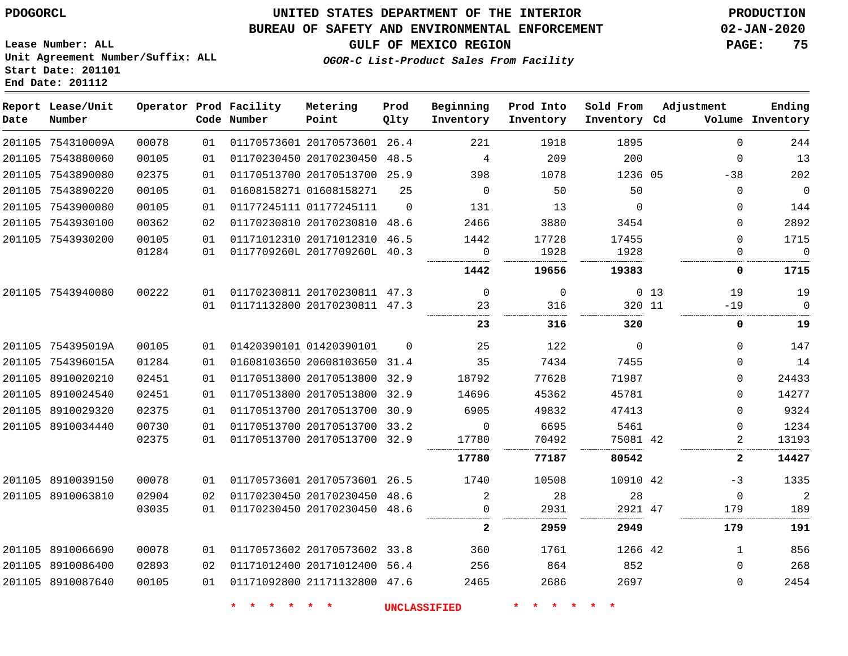**End Date: 201112**

## **UNITED STATES DEPARTMENT OF THE INTERIOR PDOGORCL PRODUCTION**

#### **BUREAU OF SAFETY AND ENVIRONMENTAL ENFORCEMENT 02-JAN-2020**

**Lease Number: ALL Unit Agreement Number/Suffix: ALL Start Date: 201101**

**GULF OF MEXICO REGION PAGE: 75**

**OGOR-C List-Product Sales From Facility**

| Date | Report Lease/Unit<br>Number |       |    | Operator Prod Facility<br>Code Number | Metering<br>Point            | Prod<br>Qlty | Beginning<br>Inventory | Prod Into<br>Inventory | Sold From<br>Inventory Cd | Adjustment      |              | Ending<br>Volume Inventory |
|------|-----------------------------|-------|----|---------------------------------------|------------------------------|--------------|------------------------|------------------------|---------------------------|-----------------|--------------|----------------------------|
|      | 201105 754310009A           | 00078 | 01 |                                       | 01170573601 20170573601 26.4 |              | 221                    | 1918                   | 1895                      |                 | $\Omega$     | 244                        |
|      | 201105 7543880060           | 00105 | 01 |                                       | 01170230450 20170230450 48.5 |              | 4                      | 209                    | 200                       |                 | $\Omega$     | 13                         |
|      | 201105 7543890080           | 02375 | 01 |                                       | 01170513700 20170513700 25.9 |              | 398                    | 1078                   | 1236 05                   |                 | $-38$        | 202                        |
|      | 201105 7543890220           | 00105 | 01 |                                       | 01608158271 01608158271      | 25           | $\Omega$               | 50                     | 50                        |                 | $\Omega$     | $\overline{0}$             |
|      | 201105 7543900080           | 00105 | 01 |                                       | 01177245111 01177245111      | $\Omega$     | 131                    | 13                     | $\Omega$                  |                 | $\Omega$     | 144                        |
|      | 201105 7543930100           | 00362 | 02 |                                       | 01170230810 20170230810 48.6 |              | 2466                   | 3880                   | 3454                      |                 | $\mathbf 0$  | 2892                       |
|      | 201105 7543930200           | 00105 | 01 |                                       | 01171012310 20171012310 46.5 |              | 1442                   | 17728                  | 17455                     |                 | $\mathbf 0$  | 1715                       |
|      |                             | 01284 | 01 |                                       | 0117709260L 2017709260L 40.3 |              | 0                      | 1928                   | 1928                      |                 | $\Omega$     | $\Omega$                   |
|      |                             |       |    |                                       |                              |              | 1442                   | 19656                  | 19383                     |                 | 0            | 1715                       |
|      | 201105 7543940080           | 00222 | 01 |                                       | 01170230811 20170230811 47.3 |              | $\overline{0}$         | $\mathbf 0$            |                           | 0 <sub>13</sub> | 19           | 19                         |
|      |                             |       | 01 |                                       | 01171132800 20170230811 47.3 |              | 23                     | 316                    | 320 11                    |                 | $-19$        | $\Omega$                   |
|      |                             |       |    |                                       |                              |              | 23                     | 316                    | 320                       |                 | 0            | 19                         |
|      | 201105 754395019A           | 00105 | 01 |                                       | 01420390101 01420390101      | $\Omega$     | 25                     | 122                    | $\Omega$                  |                 | $\Omega$     | 147                        |
|      | 201105 754396015A           | 01284 | 01 |                                       | 01608103650 20608103650 31.4 |              | 35                     | 7434                   | 7455                      |                 | 0            | 14                         |
|      | 201105 8910020210           | 02451 | 01 |                                       | 01170513800 20170513800      | 32.9         | 18792                  | 77628                  | 71987                     |                 | $\Omega$     | 24433                      |
|      | 201105 8910024540           | 02451 | 01 |                                       | 01170513800 20170513800 32.9 |              | 14696                  | 45362                  | 45781                     |                 | $\Omega$     | 14277                      |
|      | 201105 8910029320           | 02375 | 01 |                                       | 01170513700 20170513700 30.9 |              | 6905                   | 49832                  | 47413                     |                 | $\Omega$     | 9324                       |
|      | 201105 8910034440           | 00730 | 01 |                                       | 01170513700 20170513700      | 33.2         | $\mathbf 0$            | 6695                   | 5461                      |                 | $\mathbf 0$  | 1234                       |
|      |                             | 02375 | 01 |                                       | 01170513700 20170513700 32.9 |              | 17780                  | 70492                  | 75081 42                  |                 | 2            | 13193                      |
|      |                             |       |    |                                       |                              |              | 17780                  | 77187                  | 80542                     |                 | 2            | 14427                      |
|      | 201105 8910039150           | 00078 | 01 |                                       | 01170573601 20170573601 26.5 |              | 1740                   | 10508                  | 10910 42                  |                 | $-3$         | 1335                       |
|      | 201105 8910063810           | 02904 | 02 |                                       | 01170230450 20170230450 48.6 |              | 2                      | 28                     | 28                        |                 | $\Omega$     | $\overline{2}$             |
|      |                             | 03035 | 01 |                                       | 01170230450 20170230450 48.6 |              | 0                      | 2931                   | 2921 47                   |                 | 179          | 189                        |
|      |                             |       |    |                                       |                              |              | $\mathbf{2}$           | 2959                   | 2949                      |                 | 179          | 191                        |
|      | 201105 8910066690           | 00078 | 01 |                                       | 01170573602 20170573602 33.8 |              | 360                    | 1761                   | 1266 42                   |                 | $\mathbf{1}$ | 856                        |
|      | 201105 8910086400           | 02893 | 02 |                                       | 01171012400 20171012400 56.4 |              | 256                    | 864                    | 852                       |                 | $\Omega$     | 268                        |
|      | 201105 8910087640           | 00105 | 01 |                                       | 01171092800 21171132800 47.6 |              | 2465                   | 2686                   | 2697                      |                 | $\Omega$     | 2454                       |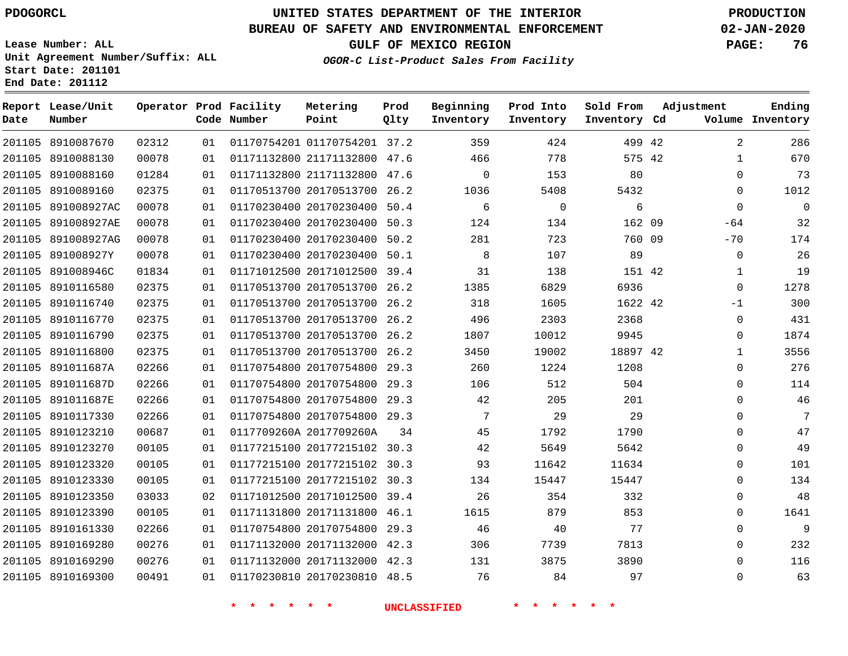## **BUREAU OF SAFETY AND ENVIRONMENTAL ENFORCEMENT 02-JAN-2020**

**Lease Number: ALL Unit Agreement Number/Suffix: ALL Start Date: 201101 End Date: 201112**

**GULF OF MEXICO REGION PAGE: 76**

**OGOR-C List-Product Sales From Facility**

| Date   | Report Lease/Unit<br>Number |       |    | Operator Prod Facility<br>Code Number | Metering<br>Point            | Prod<br>Qlty | Beginning<br>Inventory | Prod Into<br>Inventory | Sold From<br>Inventory Cd | Adjustment     | Ending<br>Volume Inventory |
|--------|-----------------------------|-------|----|---------------------------------------|------------------------------|--------------|------------------------|------------------------|---------------------------|----------------|----------------------------|
| 201105 | 8910087670                  | 02312 | 01 |                                       | 01170754201 01170754201 37.2 |              | 359                    | 424                    | 499 42                    | $\overline{2}$ | 286                        |
|        | 201105 8910088130           | 00078 | 01 |                                       | 01171132800 21171132800 47.6 |              | 466                    | 778                    | 575 42                    | $\mathbf{1}$   | 670                        |
|        | 201105 8910088160           | 01284 | 01 |                                       | 01171132800 21171132800      | 47.6         | $\mathbf 0$            | 153                    | 80                        | $\mathbf 0$    | 73                         |
|        | 201105 8910089160           | 02375 | 01 |                                       | 01170513700 20170513700      | 26.2         | 1036                   | 5408                   | 5432                      | $\Omega$       | 1012                       |
|        | 201105 891008927AC          | 00078 | 01 |                                       | 01170230400 20170230400      | 50.4         | 6                      | $\mathbf 0$            | 6                         | $\Omega$       | $\mathbf 0$                |
|        | 201105 891008927AE          | 00078 | 01 |                                       | 01170230400 20170230400      | 50.3         | 124                    | 134                    | 162 09                    | $-64$          | 32                         |
|        | 201105 891008927AG          | 00078 | 01 |                                       | 01170230400 20170230400      | 50.2         | 281                    | 723                    | 760 09                    | $-70$          | 174                        |
|        | 201105 891008927Y           | 00078 | 01 |                                       | 01170230400 20170230400      | 50.1         | 8                      | 107                    | 89                        | 0              | 26                         |
|        | 201105 891008946C           | 01834 | 01 |                                       | 01171012500 20171012500 39.4 |              | 31                     | 138                    | 151 42                    | 1              | 19                         |
|        | 201105 8910116580           | 02375 | 01 |                                       | 01170513700 20170513700      | 26.2         | 1385                   | 6829                   | 6936                      | $\mathbf 0$    | 1278                       |
|        | 201105 8910116740           | 02375 | 01 |                                       | 01170513700 20170513700 26.2 |              | 318                    | 1605                   | 1622 42                   | $-1$           | 300                        |
|        | 201105 8910116770           | 02375 | 01 |                                       | 01170513700 20170513700      | 26.2         | 496                    | 2303                   | 2368                      | $\mathbf 0$    | 431                        |
|        | 201105 8910116790           | 02375 | 01 |                                       | 01170513700 20170513700 26.2 |              | 1807                   | 10012                  | 9945                      | 0              | 1874                       |
|        | 201105 8910116800           | 02375 | 01 |                                       | 01170513700 20170513700 26.2 |              | 3450                   | 19002                  | 18897 42                  | $\mathbf{1}$   | 3556                       |
|        | 201105 891011687A           | 02266 | 01 |                                       | 01170754800 20170754800 29.3 |              | 260                    | 1224                   | 1208                      | $\mathbf 0$    | 276                        |
| 201105 | 891011687D                  | 02266 | 01 |                                       | 01170754800 20170754800      | 29.3         | 106                    | 512                    | 504                       | $\mathbf{0}$   | 114                        |
|        | 201105 891011687E           | 02266 | 01 |                                       | 01170754800 20170754800      | 29.3         | 42                     | 205                    | 201                       | $\Omega$       | 46                         |
|        | 201105 8910117330           | 02266 | 01 |                                       | 01170754800 20170754800      | 29.3         | 7                      | 29                     | 29                        | $\Omega$       | 7                          |
|        | 201105 8910123210           | 00687 | 01 |                                       | 0117709260A 2017709260A      | 34           | 45                     | 1792                   | 1790                      | 0              | 47                         |
|        | 201105 8910123270           | 00105 | 01 |                                       | 01177215100 20177215102 30.3 |              | 42                     | 5649                   | 5642                      | $\Omega$       | 49                         |
|        | 201105 8910123320           | 00105 | 01 |                                       | 01177215100 20177215102 30.3 |              | 93                     | 11642                  | 11634                     | 0              | 101                        |
|        | 201105 8910123330           | 00105 | 01 |                                       | 01177215100 20177215102 30.3 |              | 134                    | 15447                  | 15447                     | $\Omega$       | 134                        |
|        | 201105 8910123350           | 03033 | 02 |                                       | 01171012500 20171012500      | 39.4         | 26                     | 354                    | 332                       | 0              | 48                         |
|        | 201105 8910123390           | 00105 | 01 |                                       | 01171131800 20171131800 46.1 |              | 1615                   | 879                    | 853                       | $\mathbf{0}$   | 1641                       |
|        | 201105 8910161330           | 02266 | 01 |                                       | 01170754800 20170754800      | 29.3         | 46                     | 40                     | 77                        | $\mathbf{0}$   | 9                          |
|        | 201105 8910169280           | 00276 | 01 |                                       | 01171132000 20171132000 42.3 |              | 306                    | 7739                   | 7813                      | $\Omega$       | 232                        |
|        | 201105 8910169290           | 00276 | 01 |                                       | 01171132000 20171132000 42.3 |              | 131                    | 3875                   | 3890                      | $\mathbf 0$    | 116                        |
|        | 201105 8910169300           | 00491 | 01 |                                       | 01170230810 20170230810 48.5 |              | 76                     | 84                     | 97                        | $\Omega$       | 63                         |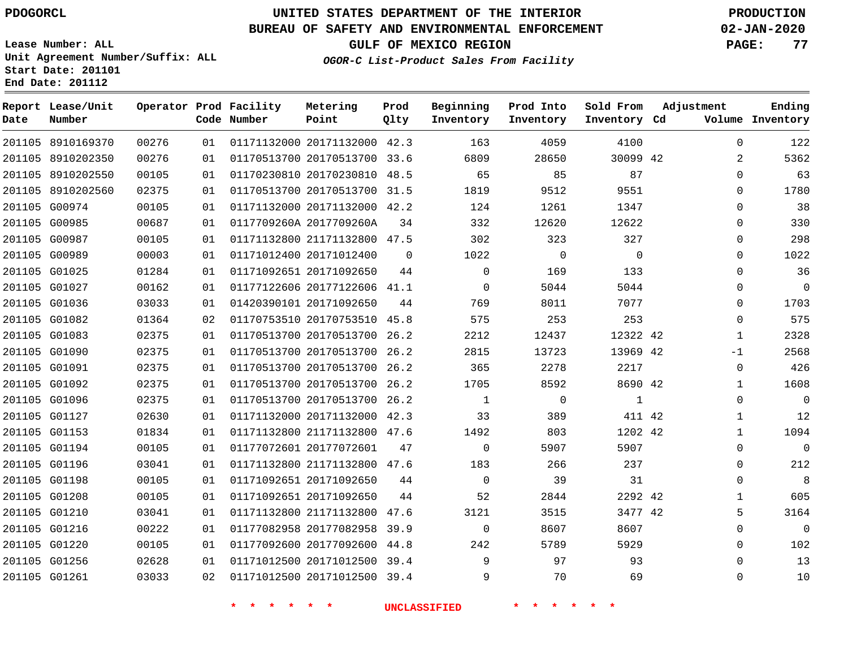**End Date: 201112**

# **UNITED STATES DEPARTMENT OF THE INTERIOR PDOGORCL PRODUCTION**

## **BUREAU OF SAFETY AND ENVIRONMENTAL ENFORCEMENT 02-JAN-2020**

**Lease Number: ALL Unit Agreement Number/Suffix: ALL Start Date: 201101**

**GULF OF MEXICO REGION PAGE: 77**

**OGOR-C List-Product Sales From Facility**

| Date | Report Lease/Unit<br>Number |       |    | Operator Prod Facility<br>Code Number | Metering<br>Point            | Prod<br>Qlty | Beginning<br>Inventory | Prod Into<br>Inventory | Sold From<br>Inventory Cd | Adjustment |                | Ending<br>Volume Inventory |
|------|-----------------------------|-------|----|---------------------------------------|------------------------------|--------------|------------------------|------------------------|---------------------------|------------|----------------|----------------------------|
|      | 201105 8910169370           | 00276 | 01 |                                       | 01171132000 20171132000 42.3 |              | 163                    | 4059                   | 4100                      |            | $\Omega$       | 122                        |
|      | 201105 8910202350           | 00276 | 01 |                                       | 01170513700 20170513700 33.6 |              | 6809                   | 28650                  | 30099 42                  |            | $\overline{2}$ | 5362                       |
|      | 201105 8910202550           | 00105 | 01 |                                       | 01170230810 20170230810 48.5 |              | 65                     | 85                     | 87                        |            | 0              | 63                         |
|      | 201105 8910202560           | 02375 | 01 |                                       | 01170513700 20170513700 31.5 |              | 1819                   | 9512                   | 9551                      |            | $\Omega$       | 1780                       |
|      | 201105 G00974               | 00105 | 01 |                                       | 01171132000 20171132000 42.2 |              | 124                    | 1261                   | 1347                      |            | $\Omega$       | 38                         |
|      | 201105 G00985               | 00687 | 01 |                                       | 0117709260A 2017709260A      | 34           | 332                    | 12620                  | 12622                     |            | 0              | 330                        |
|      | 201105 G00987               | 00105 | 01 |                                       | 01171132800 21171132800 47.5 |              | 302                    | 323                    | 327                       |            | 0              | 298                        |
|      | 201105 G00989               | 00003 | 01 |                                       | 01171012400 20171012400      | $\mathbf 0$  | 1022                   | $\overline{0}$         | $\mathbf 0$               |            | 0              | 1022                       |
|      | 201105 G01025               | 01284 | 01 |                                       | 01171092651 20171092650      | 44           | $\Omega$               | 169                    | 133                       |            | $\Omega$       | 36                         |
|      | 201105 G01027               | 00162 | 01 |                                       | 01177122606 20177122606 41.1 |              | $\mathbf 0$            | 5044                   | 5044                      |            | 0              | $\Omega$                   |
|      | 201105 G01036               | 03033 | 01 |                                       | 01420390101 20171092650      | 44           | 769                    | 8011                   | 7077                      |            | $\Omega$       | 1703                       |
|      | 201105 G01082               | 01364 | 02 |                                       | 01170753510 20170753510 45.8 |              | 575                    | 253                    | 253                       |            | 0              | 575                        |
|      | 201105 G01083               | 02375 | 01 |                                       | 01170513700 20170513700 26.2 |              | 2212                   | 12437                  | 12322 42                  |            | 1              | 2328                       |
|      | 201105 G01090               | 02375 | 01 |                                       | 01170513700 20170513700      | 26.2         | 2815                   | 13723                  | 13969 42                  |            | $-1$           | 2568                       |
|      | 201105 G01091               | 02375 | 01 |                                       | 01170513700 20170513700 26.2 |              | 365                    | 2278                   | 2217                      |            | $\mathbf 0$    | 426                        |
|      | 201105 G01092               | 02375 | 01 |                                       | 01170513700 20170513700 26.2 |              | 1705                   | 8592                   | 8690 42                   |            | 1              | 1608                       |
|      | 201105 G01096               | 02375 | 01 |                                       | 01170513700 20170513700 26.2 |              | $\mathbf{1}$           | $\mathbf 0$            | 1                         |            | 0              | $\mathbf 0$                |
|      | 201105 G01127               | 02630 | 01 |                                       | 01171132000 20171132000 42.3 |              | 33                     | 389                    | 411 42                    |            | 1              | 12                         |
|      | 201105 G01153               | 01834 | 01 |                                       | 01171132800 21171132800 47.6 |              | 1492                   | 803                    | 1202 42                   |            | $\mathbf{1}$   | 1094                       |
|      | 201105 G01194               | 00105 | 01 |                                       | 01177072601 20177072601      | 47           | $\Omega$               | 5907                   | 5907                      |            | $\Omega$       | $\Omega$                   |
|      | 201105 G01196               | 03041 | 01 |                                       | 01171132800 21171132800 47.6 |              | 183                    | 266                    | 237                       |            | 0              | 212                        |
|      | 201105 G01198               | 00105 | 01 |                                       | 01171092651 20171092650      | 44           | $\mathbf 0$            | 39                     | 31                        |            | $\Omega$       | 8                          |
|      | 201105 G01208               | 00105 | 01 |                                       | 01171092651 20171092650      | 44           | 52                     | 2844                   | 2292 42                   |            | 1              | 605                        |
|      | 201105 G01210               | 03041 | 01 |                                       | 01171132800 21171132800      | 47.6         | 3121                   | 3515                   | 3477 42                   |            | 5              | 3164                       |
|      | 201105 G01216               | 00222 | 01 |                                       | 01177082958 20177082958      | 39.9         | $\mathbf 0$            | 8607                   | 8607                      |            | 0              | $\mathbf{0}$               |
|      | 201105 G01220               | 00105 | 01 |                                       | 01177092600 20177092600 44.8 |              | 242                    | 5789                   | 5929                      |            | $\Omega$       | 102                        |
|      | 201105 G01256               | 02628 | 01 |                                       | 01171012500 20171012500 39.4 |              | 9                      | 97                     | 93                        |            | $\Omega$       | 13                         |
|      | 201105 G01261               | 03033 | 02 |                                       | 01171012500 20171012500 39.4 |              | 9                      | 70                     | 69                        |            | 0              | 10                         |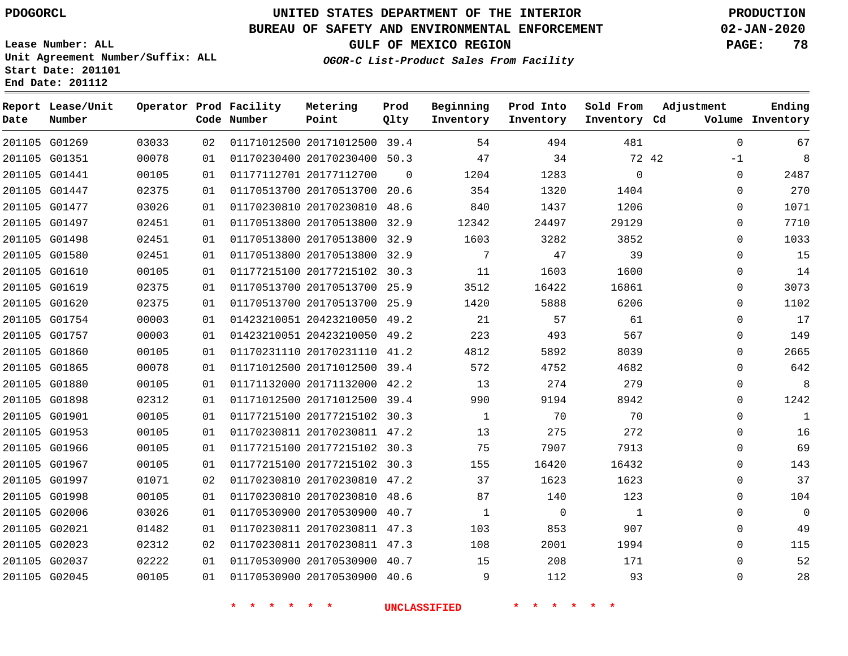## **BUREAU OF SAFETY AND ENVIRONMENTAL ENFORCEMENT 02-JAN-2020**

**Lease Number: ALL Unit Agreement Number/Suffix: ALL Start Date: 201101 End Date: 201112**

## **OGOR-C List-Product Sales From Facility**

**GULF OF MEXICO REGION PAGE: 78**

| Date | Report Lease/Unit<br>Number |       |    | Operator Prod Facility<br>Code Number | Metering<br>Point            | Prod<br>Qlty | Beginning<br>Inventory | Prod Into<br>Inventory | Sold From<br>Inventory Cd | Adjustment    | Ending<br>Volume Inventory |
|------|-----------------------------|-------|----|---------------------------------------|------------------------------|--------------|------------------------|------------------------|---------------------------|---------------|----------------------------|
|      | 201105 G01269               | 03033 | 02 |                                       | 01171012500 20171012500 39.4 |              | 54                     | 494                    | 481                       | $\Omega$      | 67                         |
|      | 201105 G01351               | 00078 | 01 |                                       | 01170230400 20170230400 50.3 |              | 47                     | 34                     |                           | 72 42<br>$-1$ | 8                          |
|      | 201105 G01441               | 00105 | 01 |                                       | 01177112701 20177112700      | $\Omega$     | 1204                   | 1283                   | $\mathbf 0$               | $\mathbf 0$   | 2487                       |
|      | 201105 G01447               | 02375 | 01 |                                       | 01170513700 20170513700 20.6 |              | 354                    | 1320                   | 1404                      | $\Omega$      | 270                        |
|      | 201105 G01477               | 03026 | 01 |                                       | 01170230810 20170230810 48.6 |              | 840                    | 1437                   | 1206                      | $\mathbf 0$   | 1071                       |
|      | 201105 G01497               | 02451 | 01 |                                       | 01170513800 20170513800 32.9 |              | 12342                  | 24497                  | 29129                     | $\mathbf 0$   | 7710                       |
|      | 201105 G01498               | 02451 | 01 |                                       | 01170513800 20170513800      | 32.9         | 1603                   | 3282                   | 3852                      | $\mathbf 0$   | 1033                       |
|      | 201105 G01580               | 02451 | 01 |                                       | 01170513800 20170513800 32.9 |              | 7                      | 47                     | 39                        | $\Omega$      | 15                         |
|      | 201105 G01610               | 00105 | 01 |                                       | 01177215100 20177215102 30.3 |              | 11                     | 1603                   | 1600                      | $\mathbf 0$   | 14                         |
|      | 201105 G01619               | 02375 | 01 |                                       | 01170513700 20170513700 25.9 |              | 3512                   | 16422                  | 16861                     | $\mathbf 0$   | 3073                       |
|      | 201105 G01620               | 02375 | 01 |                                       | 01170513700 20170513700 25.9 |              | 1420                   | 5888                   | 6206                      | $\Omega$      | 1102                       |
|      | 201105 G01754               | 00003 | 01 |                                       | 01423210051 20423210050 49.2 |              | 21                     | 57                     | 61                        | $\mathbf 0$   | 17                         |
|      | 201105 G01757               | 00003 | 01 |                                       | 01423210051 20423210050 49.2 |              | 223                    | 493                    | 567                       | $\Omega$      | 149                        |
|      | 201105 G01860               | 00105 | 01 |                                       | 01170231110 20170231110 41.2 |              | 4812                   | 5892                   | 8039                      | $\mathbf 0$   | 2665                       |
|      | 201105 G01865               | 00078 | 01 |                                       | 01171012500 20171012500 39.4 |              | 572                    | 4752                   | 4682                      | $\mathbf 0$   | 642                        |
|      | 201105 G01880               | 00105 | 01 |                                       | 01171132000 20171132000 42.2 |              | 13                     | 274                    | 279                       | $\mathbf 0$   | 8                          |
|      | 201105 G01898               | 02312 | 01 |                                       | 01171012500 20171012500 39.4 |              | 990                    | 9194                   | 8942                      | $\Omega$      | 1242                       |
|      | 201105 G01901               | 00105 | 01 |                                       | 01177215100 20177215102 30.3 |              | $\mathbf{1}$           | 70                     | 70                        | $\Omega$      | 1                          |
|      | 201105 G01953               | 00105 | 01 |                                       | 01170230811 20170230811 47.2 |              | 13                     | 275                    | 272                       | $\mathbf 0$   | 16                         |
|      | 201105 G01966               | 00105 | 01 |                                       | 01177215100 20177215102 30.3 |              | 75                     | 7907                   | 7913                      | $\mathbf 0$   | 69                         |
|      | 201105 G01967               | 00105 | 01 |                                       | 01177215100 20177215102 30.3 |              | 155                    | 16420                  | 16432                     | $\Omega$      | 143                        |
|      | 201105 G01997               | 01071 | 02 |                                       | 01170230810 20170230810 47.2 |              | 37                     | 1623                   | 1623                      | $\mathbf 0$   | 37                         |
|      | 201105 G01998               | 00105 | 01 |                                       | 01170230810 20170230810 48.6 |              | 87                     | 140                    | 123                       | $\mathbf 0$   | 104                        |
|      | 201105 G02006               | 03026 | 01 |                                       | 01170530900 20170530900 40.7 |              | $\mathbf{1}$           | $\overline{0}$         | $\mathbf{1}$              | $\mathbf 0$   | $\overline{0}$             |
|      | 201105 G02021               | 01482 | 01 |                                       | 01170230811 20170230811 47.3 |              | 103                    | 853                    | 907                       | $\mathbf 0$   | 49                         |
|      | 201105 G02023               | 02312 | 02 |                                       | 01170230811 20170230811 47.3 |              | 108                    | 2001                   | 1994                      | $\mathbf 0$   | 115                        |
|      | 201105 G02037               | 02222 | 01 |                                       | 01170530900 20170530900 40.7 |              | 15                     | 208                    | 171                       | $\Omega$      | 52                         |
|      | 201105 G02045               | 00105 | 01 |                                       | 01170530900 20170530900 40.6 |              | 9                      | 112                    | 93                        | $\Omega$      | 28                         |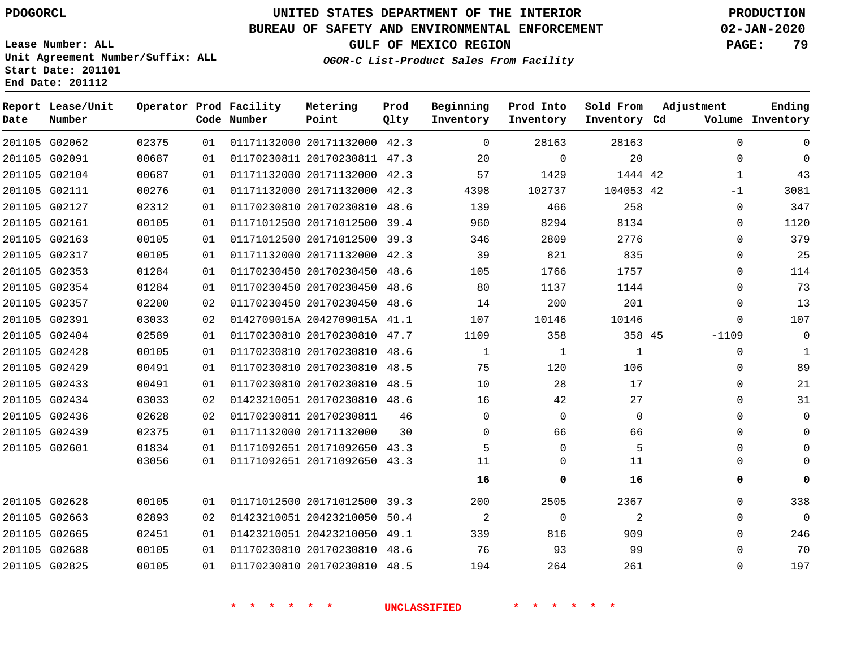**Date**

**End Date: 201112**

# **UNITED STATES DEPARTMENT OF THE INTERIOR PDOGORCL PRODUCTION**

#### **BUREAU OF SAFETY AND ENVIRONMENTAL ENFORCEMENT 02-JAN-2020**

**Lease Number: ALL Unit Agreement Number/Suffix: ALL Start Date: 201101**

**OGOR-C List-Product Sales From Facility**

**GULF OF MEXICO REGION PAGE: 79**

| Report Lease/Unit<br>Number |                                                                                                                                                                                                                                                                                                                                                                                                                                       |    | Metering<br>Point                     | Prod<br>Olty                                       | Beginning<br>Inventory                                                                                                                                                                                                                                                                                                                                                                                                                                                                                                                                                                                                                                                                                                                                                                       | Prod Into<br>Inventory | Sold From   | Adjustment   | Ending<br>Volume Inventory                     |
|-----------------------------|---------------------------------------------------------------------------------------------------------------------------------------------------------------------------------------------------------------------------------------------------------------------------------------------------------------------------------------------------------------------------------------------------------------------------------------|----|---------------------------------------|----------------------------------------------------|----------------------------------------------------------------------------------------------------------------------------------------------------------------------------------------------------------------------------------------------------------------------------------------------------------------------------------------------------------------------------------------------------------------------------------------------------------------------------------------------------------------------------------------------------------------------------------------------------------------------------------------------------------------------------------------------------------------------------------------------------------------------------------------------|------------------------|-------------|--------------|------------------------------------------------|
|                             | 02375                                                                                                                                                                                                                                                                                                                                                                                                                                 | 01 |                                       |                                                    | $\Omega$                                                                                                                                                                                                                                                                                                                                                                                                                                                                                                                                                                                                                                                                                                                                                                                     | 28163                  | 28163       | $\Omega$     | 0                                              |
|                             | 00687                                                                                                                                                                                                                                                                                                                                                                                                                                 | 01 |                                       |                                                    | 20                                                                                                                                                                                                                                                                                                                                                                                                                                                                                                                                                                                                                                                                                                                                                                                           | $\mathbf 0$            | 20          | $\mathbf 0$  | $\mathbf 0$                                    |
|                             | 00687                                                                                                                                                                                                                                                                                                                                                                                                                                 | 01 |                                       |                                                    | 57                                                                                                                                                                                                                                                                                                                                                                                                                                                                                                                                                                                                                                                                                                                                                                                           | 1429                   |             | $\mathbf{1}$ | 43                                             |
|                             | 00276                                                                                                                                                                                                                                                                                                                                                                                                                                 | 01 |                                       |                                                    | 4398                                                                                                                                                                                                                                                                                                                                                                                                                                                                                                                                                                                                                                                                                                                                                                                         | 102737                 |             | $-1$         | 3081                                           |
|                             | 02312                                                                                                                                                                                                                                                                                                                                                                                                                                 | 01 |                                       |                                                    | 139                                                                                                                                                                                                                                                                                                                                                                                                                                                                                                                                                                                                                                                                                                                                                                                          | 466                    | 258         | 0            | 347                                            |
|                             | 00105                                                                                                                                                                                                                                                                                                                                                                                                                                 | 01 |                                       |                                                    | 960                                                                                                                                                                                                                                                                                                                                                                                                                                                                                                                                                                                                                                                                                                                                                                                          | 8294                   | 8134        | $\mathbf 0$  | 1120                                           |
|                             | 00105                                                                                                                                                                                                                                                                                                                                                                                                                                 | 01 |                                       |                                                    | 346                                                                                                                                                                                                                                                                                                                                                                                                                                                                                                                                                                                                                                                                                                                                                                                          | 2809                   | 2776        | $\Omega$     | 379                                            |
|                             | 00105                                                                                                                                                                                                                                                                                                                                                                                                                                 | 01 |                                       |                                                    | 39                                                                                                                                                                                                                                                                                                                                                                                                                                                                                                                                                                                                                                                                                                                                                                                           | 821                    | 835         | $\Omega$     | 25                                             |
|                             | 01284                                                                                                                                                                                                                                                                                                                                                                                                                                 | 01 |                                       |                                                    | 105                                                                                                                                                                                                                                                                                                                                                                                                                                                                                                                                                                                                                                                                                                                                                                                          | 1766                   | 1757        | $\mathbf{0}$ | 114                                            |
|                             | 01284                                                                                                                                                                                                                                                                                                                                                                                                                                 | 01 |                                       |                                                    | 80                                                                                                                                                                                                                                                                                                                                                                                                                                                                                                                                                                                                                                                                                                                                                                                           | 1137                   | 1144        | $\Omega$     | 73                                             |
|                             | 02200                                                                                                                                                                                                                                                                                                                                                                                                                                 | 02 |                                       |                                                    | 14                                                                                                                                                                                                                                                                                                                                                                                                                                                                                                                                                                                                                                                                                                                                                                                           | 200                    | 201         | $\mathbf{0}$ | 13                                             |
|                             | 03033                                                                                                                                                                                                                                                                                                                                                                                                                                 | 02 |                                       |                                                    | 107                                                                                                                                                                                                                                                                                                                                                                                                                                                                                                                                                                                                                                                                                                                                                                                          | 10146                  | 10146       | $\Omega$     | 107                                            |
|                             | 02589                                                                                                                                                                                                                                                                                                                                                                                                                                 | 01 |                                       |                                                    | 1109                                                                                                                                                                                                                                                                                                                                                                                                                                                                                                                                                                                                                                                                                                                                                                                         | 358                    |             | $-1109$      | 0                                              |
|                             | 00105                                                                                                                                                                                                                                                                                                                                                                                                                                 | 01 |                                       |                                                    | 1                                                                                                                                                                                                                                                                                                                                                                                                                                                                                                                                                                                                                                                                                                                                                                                            | $\mathbf{1}$           | 1           | $\Omega$     | $\mathbf{1}$                                   |
|                             | 00491                                                                                                                                                                                                                                                                                                                                                                                                                                 | 01 |                                       |                                                    | 75                                                                                                                                                                                                                                                                                                                                                                                                                                                                                                                                                                                                                                                                                                                                                                                           | 120                    | 106         | 0            | 89                                             |
|                             | 00491                                                                                                                                                                                                                                                                                                                                                                                                                                 | 01 |                                       |                                                    | 10                                                                                                                                                                                                                                                                                                                                                                                                                                                                                                                                                                                                                                                                                                                                                                                           | 28                     | 17          | $\mathbf 0$  | 21                                             |
|                             | 03033                                                                                                                                                                                                                                                                                                                                                                                                                                 | 02 |                                       |                                                    | 16                                                                                                                                                                                                                                                                                                                                                                                                                                                                                                                                                                                                                                                                                                                                                                                           | 42                     | 27          | 0            | 31                                             |
|                             | 02628                                                                                                                                                                                                                                                                                                                                                                                                                                 | 02 |                                       | 46                                                 | $\mathbf 0$                                                                                                                                                                                                                                                                                                                                                                                                                                                                                                                                                                                                                                                                                                                                                                                  | $\mathbf 0$            | $\mathbf 0$ | $\Omega$     | 0                                              |
|                             | 02375                                                                                                                                                                                                                                                                                                                                                                                                                                 | 01 |                                       | 30                                                 | $\Omega$                                                                                                                                                                                                                                                                                                                                                                                                                                                                                                                                                                                                                                                                                                                                                                                     | 66                     | 66          | 0            | 0                                              |
|                             | 01834                                                                                                                                                                                                                                                                                                                                                                                                                                 | 01 |                                       |                                                    | 5                                                                                                                                                                                                                                                                                                                                                                                                                                                                                                                                                                                                                                                                                                                                                                                            | $\mathbf 0$            | 5           | $\Omega$     | 0                                              |
|                             | 03056                                                                                                                                                                                                                                                                                                                                                                                                                                 | 01 |                                       |                                                    | 11                                                                                                                                                                                                                                                                                                                                                                                                                                                                                                                                                                                                                                                                                                                                                                                           | $\mathbf 0$            | 11          | 0            | $\Omega$                                       |
|                             |                                                                                                                                                                                                                                                                                                                                                                                                                                       |    |                                       |                                                    | 16                                                                                                                                                                                                                                                                                                                                                                                                                                                                                                                                                                                                                                                                                                                                                                                           | 0                      | 16          | 0            | 0                                              |
|                             | 00105                                                                                                                                                                                                                                                                                                                                                                                                                                 | 01 |                                       |                                                    | 200                                                                                                                                                                                                                                                                                                                                                                                                                                                                                                                                                                                                                                                                                                                                                                                          | 2505                   | 2367        | $\mathbf 0$  | 338                                            |
|                             | 02893                                                                                                                                                                                                                                                                                                                                                                                                                                 | 02 |                                       |                                                    | 2                                                                                                                                                                                                                                                                                                                                                                                                                                                                                                                                                                                                                                                                                                                                                                                            | $\mathbf 0$            | 2           | $\mathbf{0}$ | $\mathbf 0$                                    |
|                             | 02451                                                                                                                                                                                                                                                                                                                                                                                                                                 | 01 |                                       |                                                    | 339                                                                                                                                                                                                                                                                                                                                                                                                                                                                                                                                                                                                                                                                                                                                                                                          | 816                    | 909         | $\Omega$     | 246                                            |
|                             | 00105                                                                                                                                                                                                                                                                                                                                                                                                                                 | 01 |                                       |                                                    | 76                                                                                                                                                                                                                                                                                                                                                                                                                                                                                                                                                                                                                                                                                                                                                                                           | 93                     | 99          | $\Omega$     | 70                                             |
|                             | 00105                                                                                                                                                                                                                                                                                                                                                                                                                                 | 01 |                                       |                                                    | 194                                                                                                                                                                                                                                                                                                                                                                                                                                                                                                                                                                                                                                                                                                                                                                                          | 264                    | 261         | $\mathbf{0}$ | 197                                            |
|                             | 201105 G02062<br>201105 G02091<br>201105 G02104<br>201105 G02111<br>201105 G02127<br>201105 G02161<br>201105 G02163<br>201105 G02317<br>201105 G02353<br>201105 G02354<br>201105 G02357<br>201105 G02391<br>201105 G02404<br>201105 G02428<br>201105 G02429<br>201105 G02433<br>201105 G02434<br>201105 G02436<br>201105 G02439<br>201105 G02601<br>201105 G02628<br>201105 G02663<br>201105 G02665<br>201105 G02688<br>201105 G02825 |    | Operator Prod Facility<br>Code Number | 01170230811 20170230811<br>01171132000 20171132000 | 01171132000 20171132000 42.3<br>01170230811 20170230811 47.3<br>01171132000 20171132000 42.3<br>01171132000 20171132000 42.3<br>01170230810 20170230810 48.6<br>01171012500 20171012500 39.4<br>01171012500 20171012500 39.3<br>01171132000 20171132000 42.3<br>01170230450 20170230450 48.6<br>01170230450 20170230450 48.6<br>01170230450 20170230450 48.6<br>0142709015A 2042709015A 41.1<br>01170230810 20170230810 47.7<br>01170230810 20170230810 48.6<br>01170230810 20170230810 48.5<br>01170230810 20170230810 48.5<br>01423210051 20170230810 48.6<br>01171092651 20171092650 43.3<br>01171092651 20171092650 43.3<br>01171012500 20171012500 39.3<br>01423210051 20423210050 50.4<br>01423210051 20423210050 49.1<br>01170230810 20170230810 48.6<br>01170230810 20170230810 48.5 |                        |             |              | Inventory Cd<br>1444 42<br>104053 42<br>358 45 |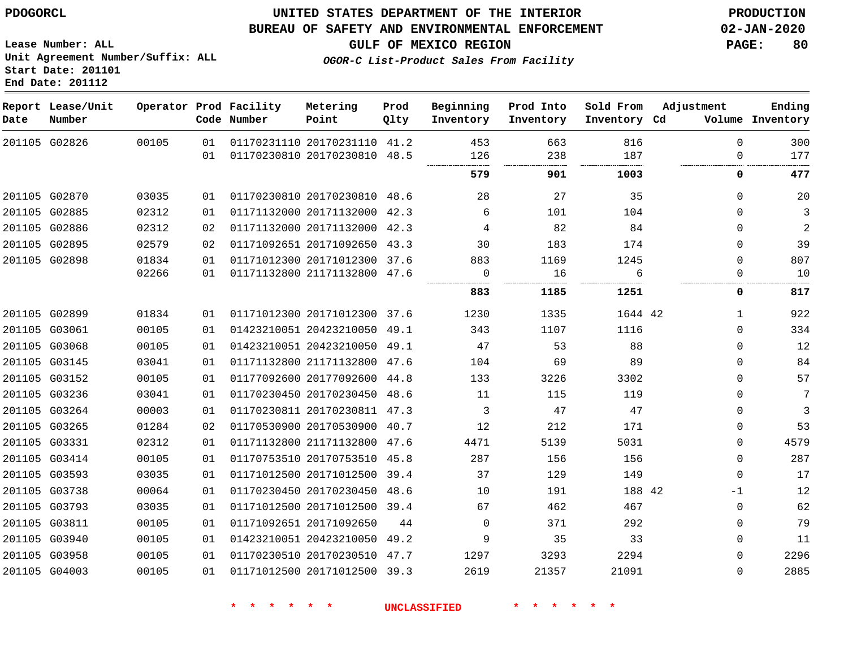**End Date: 201112**

## **UNITED STATES DEPARTMENT OF THE INTERIOR PDOGORCL PRODUCTION**

#### **BUREAU OF SAFETY AND ENVIRONMENTAL ENFORCEMENT 02-JAN-2020**

**Lease Number: ALL Unit Agreement Number/Suffix: ALL Start Date: 201101**

**GULF OF MEXICO REGION PAGE: 80**

**OGOR-C List-Product Sales From Facility**

| Date | Report Lease/Unit<br>Number |       |          | Operator Prod Facility<br>Code Number | Metering<br>Point                                       | Prod<br>Qlty | Beginning<br>Inventory | Prod Into<br>Inventory | Sold From<br>Inventory Cd | Adjustment              | Ending<br>Volume Inventory |
|------|-----------------------------|-------|----------|---------------------------------------|---------------------------------------------------------|--------------|------------------------|------------------------|---------------------------|-------------------------|----------------------------|
|      | 201105 G02826               | 00105 | 01<br>01 |                                       | 01170231110 20170231110 41.2<br>01170230810 20170230810 | 48.5         | 453<br>126             | 663<br>238             | 816<br>187                | $\mathbf 0$<br>$\Omega$ | 300<br>177                 |
|      |                             |       |          |                                       |                                                         |              | 579                    | 901                    | 1003                      | 0                       | 477                        |
|      |                             |       |          |                                       |                                                         |              |                        |                        |                           |                         |                            |
|      | 201105 G02870               | 03035 | 01       |                                       | 01170230810 20170230810 48.6                            |              | 28                     | 27                     | 35                        | $\Omega$                | 20                         |
|      | 201105 G02885               | 02312 | 01       |                                       | 01171132000 20171132000 42.3                            |              | 6                      | 101                    | 104                       | $\Omega$                | 3                          |
|      | 201105 G02886               | 02312 | 02       |                                       | 01171132000 20171132000 42.3                            |              | 4                      | 82                     | 84                        | $\mathbf 0$             | $\overline{2}$             |
|      | 201105 G02895               | 02579 | 02       |                                       | 01171092651 20171092650 43.3                            |              | 30                     | 183                    | 174                       | $\Omega$                | 39                         |
|      | 201105 G02898               | 01834 | 01       |                                       | 01171012300 20171012300 37.6                            |              | 883                    | 1169                   | 1245                      | $\Omega$                | 807                        |
|      |                             | 02266 | 01       |                                       | 01171132800 21171132800 47.6                            |              | 0                      | 16                     | 6                         | 0                       | 10                         |
|      |                             |       |          |                                       |                                                         |              | 883                    | 1185                   | 1251                      | 0                       | 817                        |
|      | 201105 G02899               | 01834 | 01       |                                       | 01171012300 20171012300 37.6                            |              | 1230                   | 1335                   | 1644 42                   | $\mathbf{1}$            | 922                        |
|      | 201105 G03061               | 00105 | 01       |                                       | 01423210051 20423210050 49.1                            |              | 343                    | 1107                   | 1116                      | $\Omega$                | 334                        |
|      | 201105 G03068               | 00105 | 01       |                                       | 01423210051 20423210050 49.1                            |              | 47                     | 53                     | 88                        | $\mathbf 0$             | 12                         |
|      | 201105 G03145               | 03041 | 01       |                                       | 01171132800 21171132800 47.6                            |              | 104                    | 69                     | 89                        | $\mathbf 0$             | 84                         |
|      | 201105 G03152               | 00105 | 01       |                                       | 01177092600 20177092600 44.8                            |              | 133                    | 3226                   | 3302                      | $\Omega$                | 57                         |
|      | 201105 G03236               | 03041 | 01       |                                       | 01170230450 20170230450 48.6                            |              | 11                     | 115                    | 119                       | $\mathbf 0$             | 7                          |
|      | 201105 G03264               | 00003 | 01       |                                       | 01170230811 20170230811 47.3                            |              | 3                      | 47                     | 47                        | $\Omega$                | 3                          |
|      | 201105 G03265               | 01284 | 02       |                                       | 01170530900 20170530900 40.7                            |              | 12                     | 212                    | 171                       | $\mathbf 0$             | 53                         |
|      | 201105 G03331               | 02312 | 01       |                                       | 01171132800 21171132800 47.6                            |              | 4471                   | 5139                   | 5031                      | $\mathbf 0$             | 4579                       |
|      | 201105 G03414               | 00105 | 01       |                                       | 01170753510 20170753510 45.8                            |              | 287                    | 156                    | 156                       | $\mathbf 0$             | 287                        |
|      | 201105 G03593               | 03035 | 01       |                                       | 01171012500 20171012500 39.4                            |              | 37                     | 129                    | 149                       | $\Omega$                | 17                         |
|      | 201105 G03738               | 00064 | 01       |                                       | 01170230450 20170230450 48.6                            |              | 10                     | 191                    | 188 42                    | $-1$                    | 12                         |
|      | 201105 G03793               | 03035 | 01       |                                       | 01171012500 20171012500 39.4                            |              | 67                     | 462                    | 467                       | $\Omega$                | 62                         |
|      | 201105 G03811               | 00105 | 01       |                                       | 01171092651 20171092650                                 | 44           | $\Omega$               | 371                    | 292                       | $\Omega$                | 79                         |
|      | 201105 G03940               | 00105 | 01       |                                       | 01423210051 20423210050 49.2                            |              | 9                      | 35                     | 33                        | $\Omega$                | 11                         |
|      | 201105 G03958               | 00105 | 01       |                                       | 01170230510 20170230510 47.7                            |              | 1297                   | 3293                   | 2294                      | $\Omega$                | 2296                       |
|      | 201105 G04003               | 00105 | 01       |                                       | 01171012500 20171012500 39.3                            |              | 2619                   | 21357                  | 21091                     | $\Omega$                | 2885                       |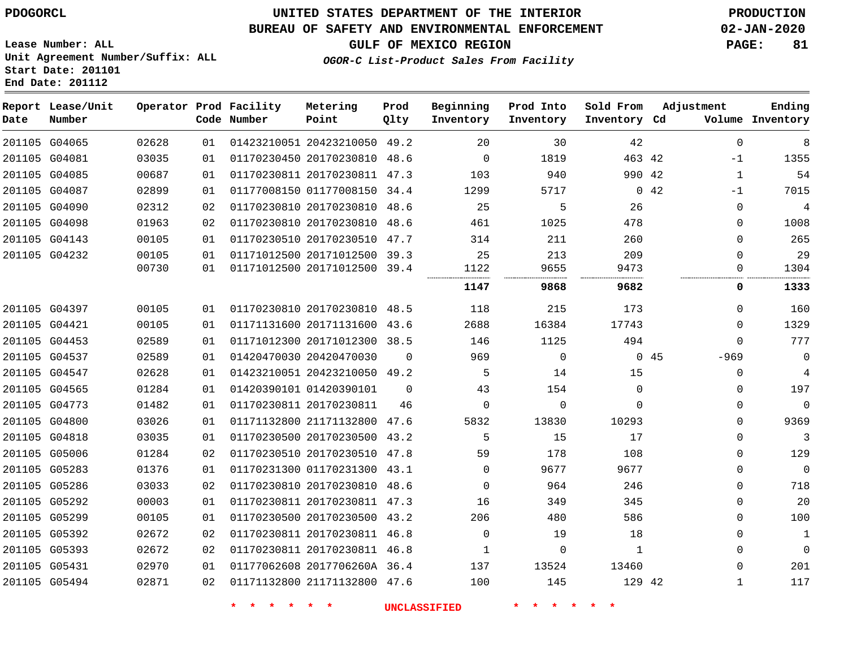**Date**

**End Date: 201112**

**Report Lease/Unit**

**Number**

# **UNITED STATES DEPARTMENT OF THE INTERIOR PDOGORCL PRODUCTION**

#### **BUREAU OF SAFETY AND ENVIRONMENTAL ENFORCEMENT 02-JAN-2020**

**Lease Number: ALL Unit Agreement Number/Suffix: ALL Start Date: 201101**

**OGOR-C List-Product Sales From Facility**

**GULF OF MEXICO REGION PAGE: 81**

**Inventory Cd Volume**

**Adjustment**

**Ending**

|       | Operator Prod Facility<br>Code Number | Metering<br>Point | Prod<br>01ty | Beginning Prod Into<br>Inventory | Inventory | Sold From<br>Inventory Cd | - Z |
|-------|---------------------------------------|-------------------|--------------|----------------------------------|-----------|---------------------------|-----|
| 02628 | 01 01423210051 20423210050 49.2       |                   |              | 20                               | 30        | 42                        |     |
| 03035 | 01 01170230450 20170230810 48.6       |                   |              |                                  | 1819      | 463 42                    |     |

| 02628                                                                                                                                                                                                                                                                                                                                                                                                                                                  | 01 |  | 49.2                                                                                                                                                           | 20                                                                                                                                                                                                                                                                                                                                                                                                                                                                                                                                                                                                                                                                                         | 30       | 42       |   | 8                                                                                                                                                                                                                                                                                 |
|--------------------------------------------------------------------------------------------------------------------------------------------------------------------------------------------------------------------------------------------------------------------------------------------------------------------------------------------------------------------------------------------------------------------------------------------------------|----|--|----------------------------------------------------------------------------------------------------------------------------------------------------------------|--------------------------------------------------------------------------------------------------------------------------------------------------------------------------------------------------------------------------------------------------------------------------------------------------------------------------------------------------------------------------------------------------------------------------------------------------------------------------------------------------------------------------------------------------------------------------------------------------------------------------------------------------------------------------------------------|----------|----------|---|-----------------------------------------------------------------------------------------------------------------------------------------------------------------------------------------------------------------------------------------------------------------------------------|
| 03035                                                                                                                                                                                                                                                                                                                                                                                                                                                  | 01 |  | 48.6                                                                                                                                                           | 0                                                                                                                                                                                                                                                                                                                                                                                                                                                                                                                                                                                                                                                                                          | 1819     |          |   | 1355                                                                                                                                                                                                                                                                              |
| 00687                                                                                                                                                                                                                                                                                                                                                                                                                                                  | 01 |  |                                                                                                                                                                | 103                                                                                                                                                                                                                                                                                                                                                                                                                                                                                                                                                                                                                                                                                        | 940      |          | 1 | 54                                                                                                                                                                                                                                                                                |
| 02899                                                                                                                                                                                                                                                                                                                                                                                                                                                  | 01 |  |                                                                                                                                                                | 1299                                                                                                                                                                                                                                                                                                                                                                                                                                                                                                                                                                                                                                                                                       | 5717     |          |   | 7015                                                                                                                                                                                                                                                                              |
| 02312                                                                                                                                                                                                                                                                                                                                                                                                                                                  | 02 |  |                                                                                                                                                                | 25                                                                                                                                                                                                                                                                                                                                                                                                                                                                                                                                                                                                                                                                                         | 5        | 26       |   | 4                                                                                                                                                                                                                                                                                 |
| 01963                                                                                                                                                                                                                                                                                                                                                                                                                                                  | 02 |  |                                                                                                                                                                | 461                                                                                                                                                                                                                                                                                                                                                                                                                                                                                                                                                                                                                                                                                        | 1025     | 478      |   | 1008                                                                                                                                                                                                                                                                              |
| 00105                                                                                                                                                                                                                                                                                                                                                                                                                                                  | 01 |  |                                                                                                                                                                | 314                                                                                                                                                                                                                                                                                                                                                                                                                                                                                                                                                                                                                                                                                        | 211      | 260      |   | 265                                                                                                                                                                                                                                                                               |
| 00105                                                                                                                                                                                                                                                                                                                                                                                                                                                  | 01 |  |                                                                                                                                                                | 25                                                                                                                                                                                                                                                                                                                                                                                                                                                                                                                                                                                                                                                                                         | 213      | 209      |   | 29                                                                                                                                                                                                                                                                                |
| 00730                                                                                                                                                                                                                                                                                                                                                                                                                                                  | 01 |  |                                                                                                                                                                | 1122                                                                                                                                                                                                                                                                                                                                                                                                                                                                                                                                                                                                                                                                                       | 9655     | 9473     |   | 1304                                                                                                                                                                                                                                                                              |
|                                                                                                                                                                                                                                                                                                                                                                                                                                                        |    |  |                                                                                                                                                                | 1147                                                                                                                                                                                                                                                                                                                                                                                                                                                                                                                                                                                                                                                                                       | 9868     | 9682     |   | 1333                                                                                                                                                                                                                                                                              |
| 00105                                                                                                                                                                                                                                                                                                                                                                                                                                                  | 01 |  |                                                                                                                                                                | 118                                                                                                                                                                                                                                                                                                                                                                                                                                                                                                                                                                                                                                                                                        | 215      | 173      |   | 160                                                                                                                                                                                                                                                                               |
| 00105                                                                                                                                                                                                                                                                                                                                                                                                                                                  | 01 |  |                                                                                                                                                                | 2688                                                                                                                                                                                                                                                                                                                                                                                                                                                                                                                                                                                                                                                                                       | 16384    | 17743    |   | 1329                                                                                                                                                                                                                                                                              |
| 02589                                                                                                                                                                                                                                                                                                                                                                                                                                                  | 01 |  | 38.5                                                                                                                                                           | 146                                                                                                                                                                                                                                                                                                                                                                                                                                                                                                                                                                                                                                                                                        | 1125     | 494      |   | 777                                                                                                                                                                                                                                                                               |
| 02589                                                                                                                                                                                                                                                                                                                                                                                                                                                  | 01 |  | $\Omega$                                                                                                                                                       | 969                                                                                                                                                                                                                                                                                                                                                                                                                                                                                                                                                                                                                                                                                        | $\Omega$ |          |   | $\overline{0}$                                                                                                                                                                                                                                                                    |
| 02628                                                                                                                                                                                                                                                                                                                                                                                                                                                  | 01 |  |                                                                                                                                                                | 5                                                                                                                                                                                                                                                                                                                                                                                                                                                                                                                                                                                                                                                                                          | 14       | 15       |   | 4                                                                                                                                                                                                                                                                                 |
| 01284                                                                                                                                                                                                                                                                                                                                                                                                                                                  | 01 |  | $\Omega$                                                                                                                                                       | 43                                                                                                                                                                                                                                                                                                                                                                                                                                                                                                                                                                                                                                                                                         | 154      | $\Omega$ |   | 197                                                                                                                                                                                                                                                                               |
| 01482                                                                                                                                                                                                                                                                                                                                                                                                                                                  | 01 |  | 46                                                                                                                                                             | $\Omega$                                                                                                                                                                                                                                                                                                                                                                                                                                                                                                                                                                                                                                                                                   | $\Omega$ | $\Omega$ |   | $\overline{0}$                                                                                                                                                                                                                                                                    |
| 03026                                                                                                                                                                                                                                                                                                                                                                                                                                                  | 01 |  | 47.6                                                                                                                                                           | 5832                                                                                                                                                                                                                                                                                                                                                                                                                                                                                                                                                                                                                                                                                       | 13830    | 10293    |   | 9369                                                                                                                                                                                                                                                                              |
| 03035                                                                                                                                                                                                                                                                                                                                                                                                                                                  | 01 |  |                                                                                                                                                                | 5                                                                                                                                                                                                                                                                                                                                                                                                                                                                                                                                                                                                                                                                                          | 15       | 17       |   | 3                                                                                                                                                                                                                                                                                 |
| 01284                                                                                                                                                                                                                                                                                                                                                                                                                                                  | 02 |  |                                                                                                                                                                | 59                                                                                                                                                                                                                                                                                                                                                                                                                                                                                                                                                                                                                                                                                         | 178      | 108      |   | 129                                                                                                                                                                                                                                                                               |
| 01376                                                                                                                                                                                                                                                                                                                                                                                                                                                  | 01 |  |                                                                                                                                                                | $\Omega$                                                                                                                                                                                                                                                                                                                                                                                                                                                                                                                                                                                                                                                                                   | 9677     | 9677     |   | $\overline{0}$                                                                                                                                                                                                                                                                    |
| 03033                                                                                                                                                                                                                                                                                                                                                                                                                                                  | 02 |  |                                                                                                                                                                | $\Omega$                                                                                                                                                                                                                                                                                                                                                                                                                                                                                                                                                                                                                                                                                   | 964      | 246      |   | 718                                                                                                                                                                                                                                                                               |
| 00003                                                                                                                                                                                                                                                                                                                                                                                                                                                  | 01 |  |                                                                                                                                                                | 16                                                                                                                                                                                                                                                                                                                                                                                                                                                                                                                                                                                                                                                                                         | 349      | 345      |   | 20                                                                                                                                                                                                                                                                                |
| 00105                                                                                                                                                                                                                                                                                                                                                                                                                                                  | 01 |  |                                                                                                                                                                | 206                                                                                                                                                                                                                                                                                                                                                                                                                                                                                                                                                                                                                                                                                        | 480      | 586      |   | 100                                                                                                                                                                                                                                                                               |
| 02672                                                                                                                                                                                                                                                                                                                                                                                                                                                  | 02 |  |                                                                                                                                                                | $\Omega$                                                                                                                                                                                                                                                                                                                                                                                                                                                                                                                                                                                                                                                                                   | 19       | 18       |   | 1                                                                                                                                                                                                                                                                                 |
| 02672                                                                                                                                                                                                                                                                                                                                                                                                                                                  | 02 |  |                                                                                                                                                                | 1                                                                                                                                                                                                                                                                                                                                                                                                                                                                                                                                                                                                                                                                                          | 0        | 1        |   | $\Omega$                                                                                                                                                                                                                                                                          |
| 02970                                                                                                                                                                                                                                                                                                                                                                                                                                                  | 01 |  |                                                                                                                                                                | 137                                                                                                                                                                                                                                                                                                                                                                                                                                                                                                                                                                                                                                                                                        | 13524    | 13460    |   | 201                                                                                                                                                                                                                                                                               |
| 02871                                                                                                                                                                                                                                                                                                                                                                                                                                                  | 02 |  |                                                                                                                                                                | 100                                                                                                                                                                                                                                                                                                                                                                                                                                                                                                                                                                                                                                                                                        | 145      |          |   | 117                                                                                                                                                                                                                                                                               |
| 201105 G04065<br>201105 G04081<br>201105 G04085<br>201105 G04087<br>201105 G04090<br>201105 G04098<br>201105 G04143<br>201105 G04232<br>201105 G04397<br>201105 G04421<br>201105 G04453<br>201105 G04537<br>201105 G04547<br>201105 G04565<br>201105 G04773<br>201105 G04800<br>201105 G04818<br>201105 G05006<br>201105 G05283<br>201105 G05286<br>201105 G05292<br>201105 G05299<br>201105 G05392<br>201105 G05393<br>201105 G05431<br>201105 G05494 |    |  | 01170230450 20170230810<br>01171012300 20171012300<br>01420470030 20420470030<br>01420390101 01420390101<br>01170230811 20170230811<br>01170230510 20170230510 | 01423210051 20423210050<br>01170230811 20170230811 47.3<br>01177008150 01177008150 34.4<br>01170230810 20170230810 48.6<br>01170230810 20170230810 48.6<br>01170230510 20170230510 47.7<br>01171012500 20171012500 39.3<br>01171012500 20171012500 39.4<br>01170230810 20170230810 48.5<br>01171131600 20171131600 43.6<br>01423210051 20423210050 49.2<br>01171132800 21171132800<br>01170230500 20170230500 43.2<br>47.8<br>01170231300 01170231300 43.1<br>01170230810 20170230810 48.6<br>01170230811 20170230811 47.3<br>01170230500 20170230500 43.2<br>01170230811 20170230811 46.8<br>01170230811 20170230811 46.8<br>01177062608 2017706260A 36.4<br>01171132800 21171132800 47.6 |          |          |   | $\Omega$<br>463 42<br>-1<br>990 42<br>0.42<br>$-1$<br>$\Omega$<br>$\Omega$<br>0<br>0<br>0<br><br>0<br>0<br>0<br>$\Omega$<br>$-969$<br>045<br>0<br>$\Omega$<br>$\Omega$<br>0<br>0<br>$\Omega$<br>$\Omega$<br>$\Omega$<br>0<br>$\Omega$<br>$\Omega$<br>0<br>$\Omega$<br>129 42<br>1 |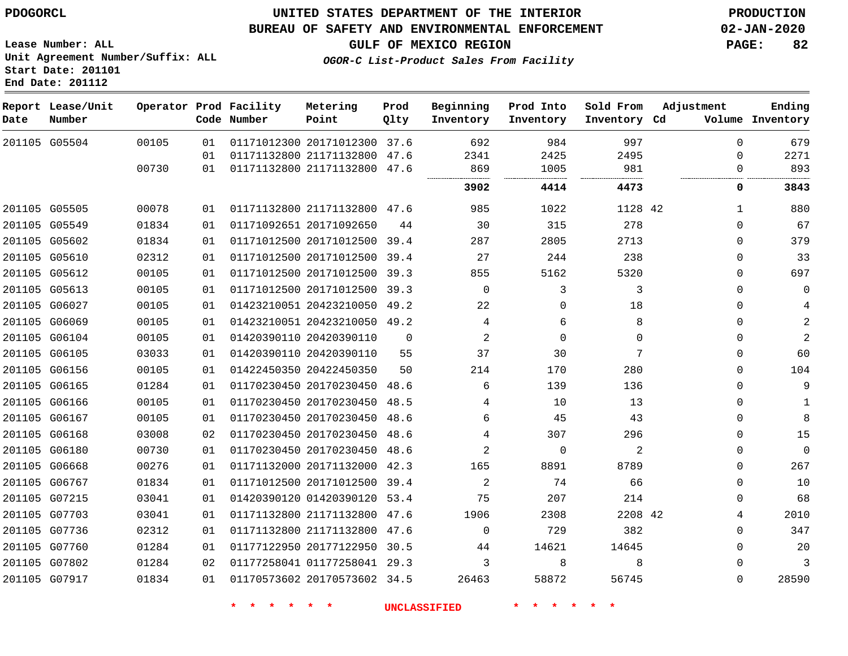G05504

**Date**

**Report Lease/Unit**

**Number**

 G05505 G05549 G05602 G05610 G05612 G05613 G06027 G06069 G06104 G06105 G06156 G06165 G06166 G06167 G06168 G06180 G06668 G06767 G07215 G07703 G07736 G07760 G07802 G07917

## **UNITED STATES DEPARTMENT OF THE INTERIOR PDOGORCL PRODUCTION**

47.6

**Prod Qlty**

#### **BUREAU OF SAFETY AND ENVIRONMENTAL ENFORCEMENT 02-JAN-2020**

**Lease Number: ALL Unit Agreement Number/Suffix: ALL Start Date: 201101 End Date: 201112**

**Operator Prod Facility**

**Code Number**

20171012300 37.6

**Metering Point**

21171132800 47.6

21171132800 47.6

20171012500 39.4

21171132800

20171092650

 

**OGOR-C List-Product Sales From Facility**

 

 

**Prod Into Inventory**

**Beginning Inventory**

**GULF OF MEXICO REGION PAGE: 82**

**Inventory Cd Volume**

**Adjustment**

  $\Omega$  $\Omega$ 

  $\Omega$   $\Omega$  $\Omega$  $\Omega$  $\Omega$  $\Omega$  $\Omega$  $\Omega$  $\Omega$  $\Omega$  $\Omega$  $\Omega$  $\Omega$  $\Omega$   $\Omega$  $\Omega$   $\Omega$ 

 

**Ending**

| 02312 | 01 |                         | 01171012500 20171012500 | 39.4 | 27             | 244      | 238      |    |
|-------|----|-------------------------|-------------------------|------|----------------|----------|----------|----|
| 00105 | 01 | 01171012500 20171012500 |                         | 39.3 | 855            | 5162     | 5320     |    |
| 00105 | 01 | 01171012500 20171012500 |                         | 39.3 | $\Omega$       | 3        | 3        |    |
| 00105 | 01 | 01423210051 20423210050 |                         | 49.2 | 22             | $\Omega$ | 18       |    |
| 00105 | 01 |                         | 01423210051 20423210050 | 49.2 | 4              | 6        | 8        |    |
| 00105 | 01 | 01420390110 20420390110 |                         | 0    | 2              | $\Omega$ | $\Omega$ |    |
| 03033 | 01 | 01420390110 20420390110 |                         | 55   | 37             | 30       | 7        |    |
| 00105 | 01 | 01422450350 20422450350 |                         | 50   | 214            | 170      | 280      |    |
| 01284 | 01 |                         | 01170230450 20170230450 | 48.6 | 6              | 139      | 136      |    |
| 00105 | 01 | 01170230450 20170230450 |                         | 48.5 | 4              | 10       | 13       |    |
| 00105 | 01 | 01170230450 20170230450 |                         | 48.6 | 6              | 45       | 43       |    |
| 03008 | 02 | 01170230450 20170230450 |                         | 48.6 | 4              | 307      | 296      |    |
| 00730 | 01 | 01170230450 20170230450 |                         | 48.6 | $\overline{2}$ | $\Omega$ | 2        |    |
| 00276 | 01 | 01171132000 20171132000 |                         | 42.3 | 165            | 8891     | 8789     |    |
| 01834 | 01 | 01171012500 20171012500 |                         | 39.4 | 2              | 74       | 66       |    |
| 03041 | 01 | 01420390120 01420390120 |                         | 53.4 | 75             | 207      | 214      |    |
| 03041 | 01 | 01171132800 21171132800 |                         | 47.6 | 1906           | 2308     | 2208     | 42 |
| 02312 | 01 | 01171132800 21171132800 |                         | 47.6 | 0              | 729      | 382      |    |
| 01284 | 01 | 01177122950 20177122950 |                         | 30.5 | 44             | 14621    | 14645    |    |
| 01284 | 02 | 01177258041 01177258041 |                         | 29.3 | 3              | 8        | 8        |    |

20170573602 34.5

**\* \* \* \* \* \* UNCLASSIFIED \* \* \* \* \* \***

42

**4414 4473 0 3843**

 

 

 

**Sold From Inventory**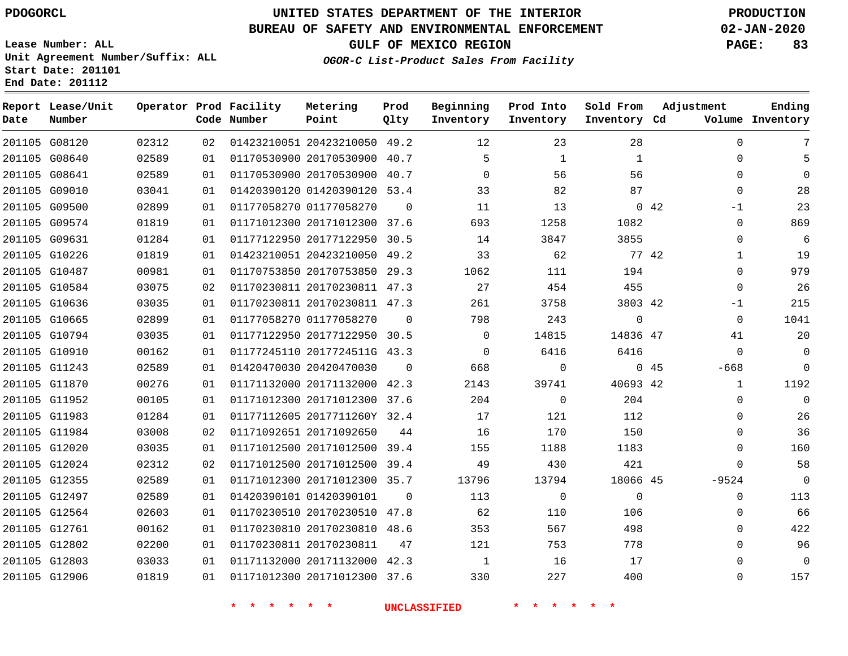#### **BUREAU OF SAFETY AND ENVIRONMENTAL ENFORCEMENT 02-JAN-2020**

**Lease Number: ALL Unit Agreement Number/Suffix: ALL Start Date: 201101**

**Operator Prod Facility Metering**

**End Date: 201112**

**Report Lease/Unit**

**GULF OF MEXICO REGION PAGE: 83**

**Prod**

**OGOR-C List-Product Sales From Facility**

**Beginning Prod Into Sold From Adjustment**

**Ending**

| Date | Number        |       |    | Code Number            | Point                                 | Qlty           | Inventory           | Inventory      | Inventory Cd   |                | Volume Inventory |
|------|---------------|-------|----|------------------------|---------------------------------------|----------------|---------------------|----------------|----------------|----------------|------------------|
|      | 201105 G08120 | 02312 |    |                        | 02 01423210051 20423210050 49.2       |                | 12                  | 23             | 28             | $\mathbf{0}$   | 7                |
|      | 201105 G08640 | 02589 | 01 |                        | 01170530900 20170530900 40.7          |                | 5                   | $\mathbf{1}$   | $\mathbf{1}$   | $\mathbf 0$    | 5                |
|      | 201105 G08641 | 02589 | 01 |                        | 01170530900 20170530900 40.7          |                | $\overline{0}$      | 56             | 56             | $\mathbf 0$    | $\mathbf 0$      |
|      | 201105 G09010 | 03041 | 01 |                        | 01420390120 01420390120 53.4          |                | 33                  | 82             | 87             | $\Omega$       | 28               |
|      | 201105 G09500 | 02899 | 01 |                        | 01177058270 01177058270               | $\overline{0}$ | 11                  | 13             | $0\quad 42$    | $-1$           | 23               |
|      | 201105 G09574 | 01819 | 01 |                        | 01171012300 20171012300 37.6          |                | 693                 | 1258           | 1082           | $\Omega$       | 869              |
|      | 201105 G09631 | 01284 | 01 |                        | 01177122950 20177122950 30.5          |                | 14                  | 3847           | 3855           | $\mathbf 0$    | 6                |
|      | 201105 G10226 | 01819 | 01 |                        | 01423210051 20423210050 49.2          |                | 33                  | 62             | 77 42          | $\mathbf{1}$   | 19               |
|      | 201105 G10487 | 00981 | 01 |                        | 01170753850 20170753850 29.3          |                | 1062                | 111            | 194            | $\Omega$       | 979              |
|      | 201105 G10584 | 03075 | 02 |                        | 01170230811 20170230811 47.3          |                | 27                  | 454            | 455            | $\Omega$       | 26               |
|      | 201105 G10636 | 03035 | 01 |                        | 01170230811 20170230811 47.3          |                | 261                 | 3758           | 3803 42        | $-1$           | 215              |
|      | 201105 G10665 | 02899 | 01 |                        | 01177058270 01177058270               | $\overline{0}$ | 798                 | 243            | $\overline{0}$ | $\overline{0}$ | 1041             |
|      | 201105 G10794 | 03035 | 01 |                        | 01177122950 20177122950 30.5          |                | $\overline{0}$      | 14815          | 14836 47       | 41             | 20               |
|      | 201105 G10910 | 00162 | 01 |                        | 01177245110 2017724511G 43.3          |                | $\overline{0}$      | 6416           | 6416           | $\overline{0}$ | $\overline{0}$   |
|      | 201105 G11243 | 02589 | 01 |                        | 01420470030 20420470030               | $\Omega$       | 668                 | $\overline{0}$ | 045            | $-668$         | $\overline{0}$   |
|      | 201105 G11870 | 00276 | 01 |                        | 01171132000 20171132000 42.3          |                | 2143                | 39741          | 40693 42       | $\mathbf{1}$   | 1192             |
|      | 201105 G11952 | 00105 | 01 |                        | 01171012300 20171012300 37.6          |                | 204                 | $\overline{0}$ | 204            | $\Omega$       | $\overline{0}$   |
|      | 201105 G11983 | 01284 | 01 |                        | 01177112605 2017711260Y 32.4          |                | 17                  | 121            | 112            | $\mathbf 0$    | 26               |
|      | 201105 G11984 | 03008 | 02 |                        | 01171092651 20171092650               | 44             | 16                  | 170            | 150            | $\mathbf{0}$   | 36               |
|      | 201105 G12020 | 03035 | 01 |                        | 01171012500 20171012500 39.4          |                | 155                 | 1188           | 1183           | 0              | 160              |
|      | 201105 G12024 | 02312 | 02 |                        | 01171012500 20171012500 39.4          |                | 49                  | 430            | 421            | $\Omega$       | 58               |
|      | 201105 G12355 | 02589 | 01 |                        | 01171012300 20171012300 35.7          |                | 13796               | 13794          | 18066 45       | $-9524$        | $\overline{0}$   |
|      | 201105 G12497 | 02589 | 01 |                        | 01420390101 01420390101               | $\overline{0}$ | 113                 | $\overline{0}$ | $\overline{0}$ | $\mathbf{0}$   | 113              |
|      | 201105 G12564 | 02603 | 01 |                        | 01170230510 20170230510 47.8          |                | 62                  | 110            | 106            | $\mathbf 0$    | 66               |
|      | 201105 G12761 | 00162 | 01 |                        | 01170230810 20170230810 48.6          |                | 353                 | 567            | 498            | $\Omega$       | 422              |
|      | 201105 G12802 | 02200 | 01 |                        | 01170230811 20170230811               | 47             | 121                 | 753            | 778            | $\mathbf 0$    | 96               |
|      | 201105 G12803 | 03033 | 01 |                        | 01171132000 20171132000 42.3          |                | $\overline{1}$      | 16             | 17             | $\mathbf 0$    | $\overline{0}$   |
|      | 201105 G12906 | 01819 |    |                        | 01   01171012300   20171012300   37.6 |                | 330                 | 227            | 400            | $\mathsf{O}$   | 157              |
|      |               |       |    | $*$ $*$ $*$<br>$\star$ | 一大<br>$\star$                         |                | <b>UNCLASSIFIED</b> | 一大             |                |                |                  |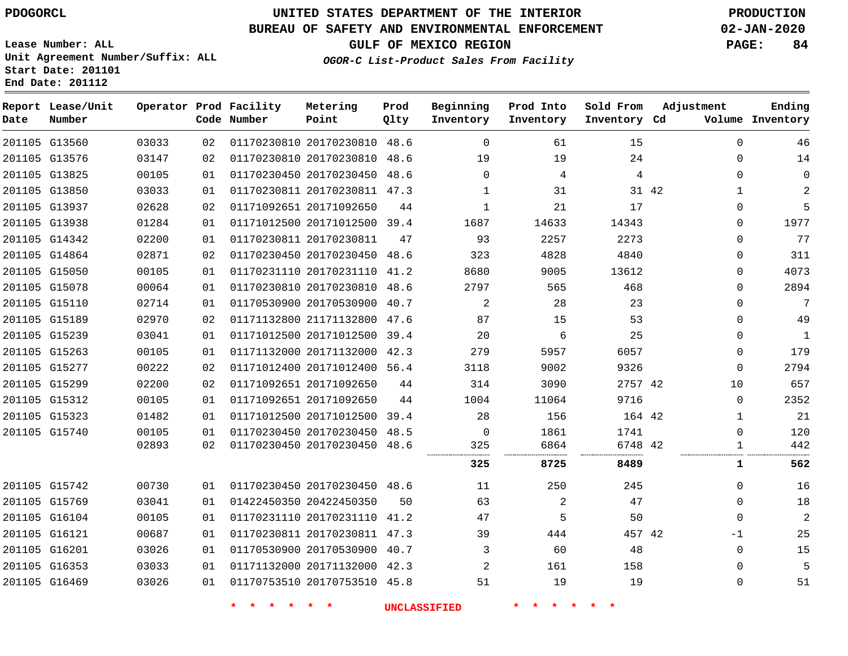**Date**

**End Date: 201112**

**Report Lease/Unit**

**Number**

 G15742 G15769 G16104 G16121 G16201 G16353 G16469

# **UNITED STATES DEPARTMENT OF THE INTERIOR PDOGORCL PRODUCTION**

**Prod Qlty**

#### **BUREAU OF SAFETY AND ENVIRONMENTAL ENFORCEMENT 02-JAN-2020**

**Lease Number: ALL Unit Agreement Number/Suffix: ALL Start Date: 201101**

**Operator Prod Facility**

**Code Number**

**OGOR-C List-Product Sales From Facility**

**Beginning Inventory** **Prod Into Inventory** **Sold From Inventory**

**GULF OF MEXICO REGION PAGE: 84**

**Inventory Cd Volume**

**Adjustment**

 $\Omega$  $\Omega$  $\Omega$   $\Omega$  $\Omega$  $\Omega$  $\Omega$  $\Omega$  $\Omega$  $\Omega$  $\Omega$  $\Omega$   $\Omega$   $\Omega$   $\Omega$ 

**Ending**

 $\Omega$   $\Omega$ -1  $\Omega$  $\Omega$  $\Omega$ 

|    | 15     | 61    | 0              | 48.6 | 01170230810 20170230810 |             | 02 | 03033 | G13560 | 201105 |
|----|--------|-------|----------------|------|-------------------------|-------------|----|-------|--------|--------|
|    | 24     | 19    | 19             | 48.6 | 01170230810 20170230810 |             | 02 | 03147 | G13576 | 201105 |
|    | 4      | 4     | 0              | 48.6 | 01170230450 20170230450 |             | 01 | 00105 | G13825 | 201105 |
| 42 | 31     | 31    | 1              | 47.3 | 20170230811             | 01170230811 | 01 | 03033 | G13850 | 201105 |
|    | 17     | 21    |                | 44   | 01171092651 20171092650 |             | 02 | 02628 | G13937 | 201105 |
|    | 14343  | 14633 | 1687           | 39.4 | 01171012500 20171012500 |             | 01 | 01284 | G13938 | 201105 |
|    | 2273   | 2257  | 93             | 47   | 20170230811             | 01170230811 | 01 | 02200 | G14342 | 201105 |
|    | 4840   | 4828  | 323            | 48.6 | 01170230450 20170230450 |             | 02 | 02871 | G14864 | 201105 |
|    | 13612  | 9005  | 8680           | 41.2 | 01170231110 20170231110 |             | 01 | 00105 | G15050 | 201105 |
|    | 468    | 565   | 2797           | 48.6 | 01170230810 20170230810 |             | 01 | 00064 | G15078 | 201105 |
|    | 23     | 28    | $\overline{2}$ | 40.7 | 01170530900 20170530900 |             | 01 | 02714 | G15110 | 201105 |
|    | 53     | 15    | 87             | 47.6 | 01171132800 21171132800 |             | 02 | 02970 | G15189 | 201105 |
|    | 25     | 6     | 20             | 39.4 | 01171012500 20171012500 |             | 01 | 03041 | G15239 | 201105 |
|    | 6057   | 5957  | 279            | 42.3 | 20171132000             | 01171132000 | 01 | 00105 | G15263 | 201105 |
|    | 9326   | 9002  | 3118           | 56.4 | 20171012400             | 01171012400 | 02 | 00222 | G15277 | 201105 |
| 42 | 2757   | 3090  | 314            | 44   | 20171092650             | 01171092651 | 02 | 02200 | G15299 | 201105 |
|    | 9716   | 11064 | 1004           | 44   | 20171092650             | 01171092651 | 01 | 00105 | G15312 | 201105 |
|    | 164 42 | 156   | 28             | 39.4 | 01171012500 20171012500 |             | 01 | 01482 | G15323 | 201105 |
|    | 1741   | 1861  | $\Omega$       | 48.5 | 01170230450 20170230450 |             | 01 | 00105 | G15740 | 201105 |
| 42 | 6748   | 6864  | 325            | 48.6 | 01170230450 20170230450 |             | 02 | 02893 |        |        |

**Metering Point**

20170230450 48.6

 20170231110 41.2 20170230811 47.3 20170530900 40.7 20171132000 42.3 20170753510 45.8

20422450350

**\* \* \* \* \* \* UNCLASSIFIED \* \* \* \* \* \***

42

 

 

**8725 8489 1 562**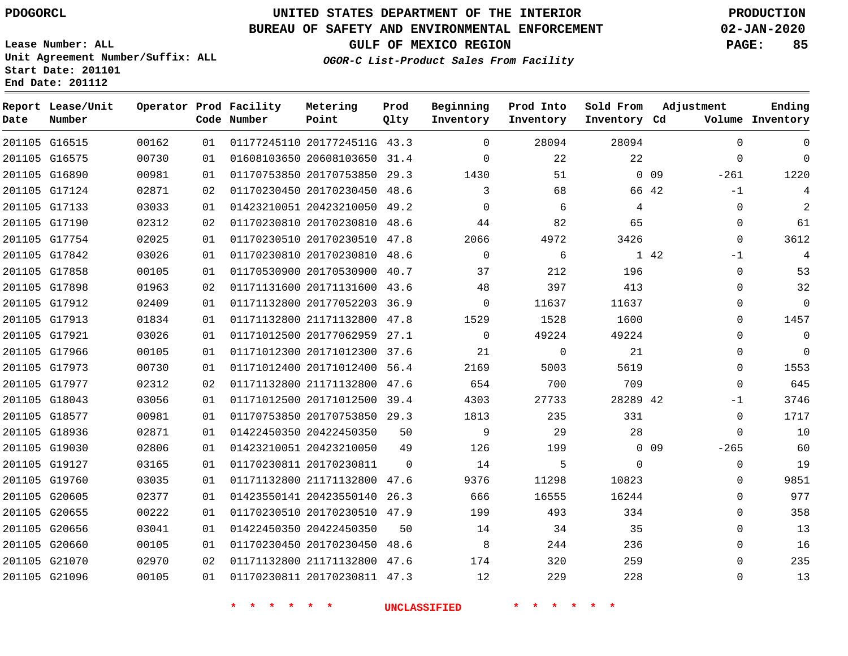#### **BUREAU OF SAFETY AND ENVIRONMENTAL ENFORCEMENT 02-JAN-2020**

**Lease Number: ALL Unit Agreement Number/Suffix: ALL Start Date: 201101**

**OGOR-C List-Product Sales From Facility**

**GULF OF MEXICO REGION PAGE: 85**

**End Date: 201112**

| Date | Report Lease/Unit<br>Number |       |    | Operator Prod Facility<br>Code Number | Metering<br>Point            | Prod<br>Qlty | Beginning<br>Inventory | Prod Into<br>Inventory | Sold From<br>Inventory Cd | Adjustment                | Ending<br>Volume Inventory |
|------|-----------------------------|-------|----|---------------------------------------|------------------------------|--------------|------------------------|------------------------|---------------------------|---------------------------|----------------------------|
|      | 201105 G16515               | 00162 | 01 |                                       | 01177245110 2017724511G 43.3 |              | $\Omega$               | 28094                  | 28094                     | $\mathbf 0$               | $\mathbf 0$                |
|      | 201105 G16575               | 00730 | 01 |                                       | 01608103650 20608103650 31.4 |              | $\Omega$               | 22                     | 22                        | $\Omega$                  | $\Omega$                   |
|      | 201105 G16890               | 00981 | 01 |                                       | 01170753850 20170753850      | 29.3         | 1430                   | 51                     |                           | 0 <sub>09</sub><br>$-261$ | 1220                       |
|      | 201105 G17124               | 02871 | 02 |                                       | 01170230450 20170230450 48.6 |              | 3                      | 68                     | 66 42                     | $-1$                      | 4                          |
|      | 201105 G17133               | 03033 | 01 |                                       | 01423210051 20423210050      | 49.2         | $\Omega$               | 6                      | 4                         | $\mathbf 0$               | $\overline{c}$             |
|      | 201105 G17190               | 02312 | 02 |                                       | 01170230810 20170230810 48.6 |              | 44                     | 82                     | 65                        | $\Omega$                  | 61                         |
|      | 201105 G17754               | 02025 | 01 |                                       | 01170230510 20170230510 47.8 |              | 2066                   | 4972                   | 3426                      | $\mathbf 0$               | 3612                       |
|      | 201105 G17842               | 03026 | 01 |                                       | 01170230810 20170230810 48.6 |              | $\mathbf 0$            | 6                      |                           | 1 42<br>$-1$              |                            |
|      | 201105 G17858               | 00105 | 01 |                                       | 01170530900 20170530900 40.7 |              | 37                     | 212                    | 196                       | $\Omega$                  | 53                         |
|      | 201105 G17898               | 01963 | 02 |                                       | 01171131600 20171131600 43.6 |              | 48                     | 397                    | 413                       | $\mathbf 0$               | 32                         |
|      | 201105 G17912               | 02409 | 01 |                                       | 01171132800 20177052203 36.9 |              | $\mathbf 0$            | 11637                  | 11637                     | $\mathbf 0$               | $\mathbf 0$                |
|      | 201105 G17913               | 01834 | 01 |                                       | 01171132800 21171132800 47.8 |              | 1529                   | 1528                   | 1600                      | $\Omega$                  | 1457                       |
|      | 201105 G17921               | 03026 | 01 |                                       | 01171012500 20177062959 27.1 |              | $\Omega$               | 49224                  | 49224                     | $\Omega$                  | $\mathbf 0$                |
|      | 201105 G17966               | 00105 | 01 |                                       | 01171012300 20171012300 37.6 |              | 21                     | 0                      | 21                        | $\Omega$                  | $\Omega$                   |
|      | 201105 G17973               | 00730 | 01 |                                       | 01171012400 20171012400 56.4 |              | 2169                   | 5003                   | 5619                      | $\Omega$                  | 1553                       |
|      | 201105 G17977               | 02312 | 02 |                                       | 01171132800 21171132800      | 47.6         | 654                    | 700                    | 709                       | $\Omega$                  | 645                        |
|      | 201105 G18043               | 03056 | 01 |                                       | 01171012500 20171012500      | 39.4         | 4303                   | 27733                  | 28289 42                  | $-1$                      | 3746                       |
|      | 201105 G18577               | 00981 | 01 |                                       | 01170753850 20170753850 29.3 |              | 1813                   | 235                    | 331                       | 0                         | 1717                       |
|      | 201105 G18936               | 02871 | 01 |                                       | 01422450350 20422450350      | 50           | 9                      | 29                     | 28                        | $\mathbf 0$               | 10                         |
|      | 201105 G19030               | 02806 | 01 |                                       | 01423210051 20423210050      | 49           | 126                    | 199                    |                           | 0 <sub>09</sub><br>$-265$ | 60                         |
|      | 201105 G19127               | 03165 | 01 |                                       | 01170230811 20170230811      | $\mathbf 0$  | 14                     | 5                      | $\Omega$                  | $\mathbf 0$               | 19                         |
|      | 201105 G19760               | 03035 | 01 |                                       | 01171132800 21171132800 47.6 |              | 9376                   | 11298                  | 10823                     | $\Omega$                  | 9851                       |
|      | 201105 G20605               | 02377 | 01 |                                       | 01423550141 20423550140      | 26.3         | 666                    | 16555                  | 16244                     | $\mathbf 0$               | 977                        |
|      | 201105 G20655               | 00222 | 01 |                                       | 01170230510 20170230510 47.9 |              | 199                    | 493                    | 334                       | $\Omega$                  | 358                        |
|      | 201105 G20656               | 03041 | 01 |                                       | 01422450350 20422450350      | 50           | 14                     | 34                     | 35                        | $\Omega$                  | 13                         |
|      | 201105 G20660               | 00105 | 01 |                                       | 01170230450 20170230450 48.6 |              | 8                      | 244                    | 236                       | $\Omega$                  | 16                         |
|      | 201105 G21070               | 02970 | 02 |                                       | 01171132800 21171132800      | 47.6         | 174                    | 320                    | 259                       | $\Omega$                  | 235                        |
|      | 201105 G21096               | 00105 | 01 |                                       | 01170230811 20170230811 47.3 |              | 12                     | 229                    | 228                       | $\mathbf{0}$              | 13                         |
|      |                             |       |    |                                       |                              |              |                        |                        |                           |                           |                            |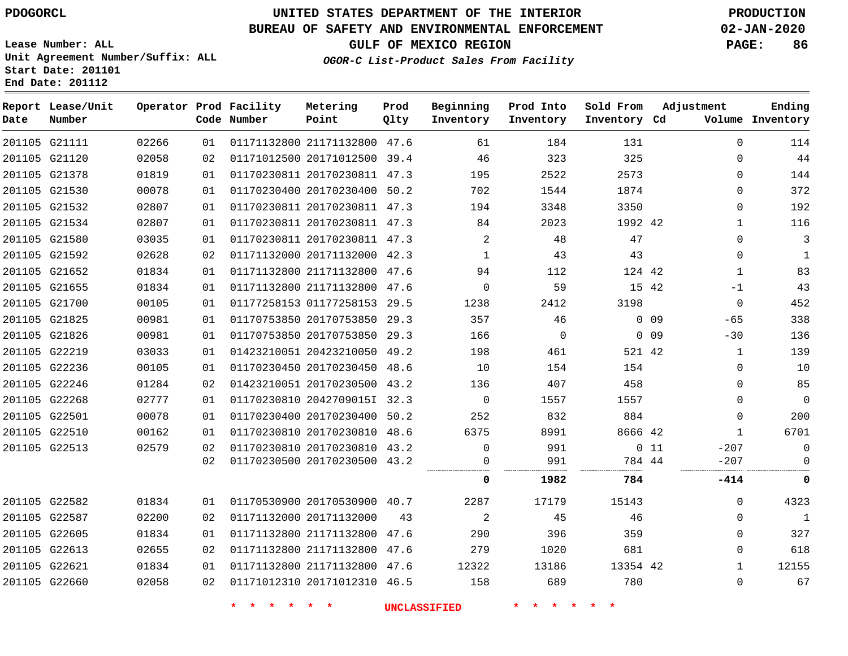**Date**

**End Date: 201112**

# **UNITED STATES DEPARTMENT OF THE INTERIOR PDOGORCL PRODUCTION**

#### **BUREAU OF SAFETY AND ENVIRONMENTAL ENFORCEMENT 02-JAN-2020**

**Lease Number: ALL Unit Agreement Number/Suffix: ALL Start Date: 201101**

**OGOR-C List-Product Sales From Facility**

**GULF OF MEXICO REGION PAGE: 86**

| Date | Report Lease/Unit<br>Number |       |    | Operator Prod Facility<br>Code Number | Metering<br>Point            | Prod<br>Qlty | Beginning<br>Inventory | Prod Into<br>Inventory | Sold From<br>Inventory Cd | Adjustment |              | Ending<br>Volume Inventory |
|------|-----------------------------|-------|----|---------------------------------------|------------------------------|--------------|------------------------|------------------------|---------------------------|------------|--------------|----------------------------|
|      | 201105 G21111               | 02266 | 01 |                                       | 01171132800 21171132800 47.6 |              | 61                     | 184                    | 131                       |            | $\Omega$     | 114                        |
|      | 201105 G21120               | 02058 | 02 |                                       | 01171012500 20171012500 39.4 |              | 46                     | 323                    | 325                       |            | $\mathbf 0$  | 44                         |
|      | 201105 G21378               | 01819 | 01 |                                       | 01170230811 20170230811 47.3 |              | 195                    | 2522                   | 2573                      |            | $\Omega$     | 144                        |
|      | 201105 G21530               | 00078 | 01 |                                       | 01170230400 20170230400 50.2 |              | 702                    | 1544                   | 1874                      |            | 0            | 372                        |
|      | 201105 G21532               | 02807 | 01 |                                       | 01170230811 20170230811 47.3 |              | 194                    | 3348                   | 3350                      |            | 0            | 192                        |
|      | 201105 G21534               | 02807 | 01 |                                       | 01170230811 20170230811 47.3 |              | 84                     | 2023                   | 1992 42                   |            | $\mathbf{1}$ | 116                        |
|      | 201105 G21580               | 03035 | 01 |                                       | 01170230811 20170230811 47.3 |              | $\overline{2}$         | 48                     | 47                        |            | $\Omega$     | 3                          |
|      | 201105 G21592               | 02628 | 02 |                                       | 01171132000 20171132000 42.3 |              | $\mathbf{1}$           | 43                     | 43                        |            | $\mathbf 0$  | $\mathbf{1}$               |
|      | 201105 G21652               | 01834 | 01 |                                       | 01171132800 21171132800 47.6 |              | 94                     | 112                    | 124 42                    |            | $\mathbf{1}$ | 83                         |
|      | 201105 G21655               | 01834 | 01 |                                       | 01171132800 21171132800 47.6 |              | $\mathbf 0$            | 59                     | 15 42                     |            | $-1$         | 43                         |
|      | 201105 G21700               | 00105 | 01 |                                       | 01177258153 01177258153 29.5 |              | 1238                   | 2412                   | 3198                      |            | $\mathbf 0$  | 452                        |
|      | 201105 G21825               | 00981 | 01 |                                       | 01170753850 20170753850 29.3 |              | 357                    | 46                     |                           | $0$ 09     | $-65$        | 338                        |
|      | 201105 G21826               | 00981 | 01 |                                       | 01170753850 20170753850 29.3 |              | 166                    | $\mathbf 0$            |                           | $0$ 09     | $-30$        | 136                        |
|      | 201105 G22219               | 03033 | 01 |                                       | 01423210051 20423210050 49.2 |              | 198                    | 461                    | 521 42                    |            | $\mathbf{1}$ | 139                        |
|      | 201105 G22236               | 00105 | 01 |                                       | 01170230450 20170230450 48.6 |              | 10                     | 154                    | 154                       |            | $\Omega$     | 10                         |
|      | 201105 G22246               | 01284 | 02 |                                       | 01423210051 20170230500 43.2 |              | 136                    | 407                    | 458                       |            | $\Omega$     | 85                         |
|      | 201105 G22268               | 02777 | 01 |                                       | 01170230810 2042709015I 32.3 |              | $\overline{0}$         | 1557                   | 1557                      |            | $\mathbf 0$  | $\mathbf 0$                |
|      | 201105 G22501               | 00078 | 01 |                                       | 01170230400 20170230400 50.2 |              | 252                    | 832                    | 884                       |            | $\mathbf 0$  | 200                        |
|      | 201105 G22510               | 00162 | 01 |                                       | 01170230810 20170230810 48.6 |              | 6375                   | 8991                   | 8666 42                   |            | $\mathbf{1}$ | 6701                       |
|      | 201105 G22513               | 02579 | 02 |                                       | 01170230810 20170230810 43.2 |              | $\mathbf 0$            | 991                    |                           | $0$ 11     | $-207$       | 0                          |
|      |                             |       | 02 |                                       | 01170230500 20170230500 43.2 |              | 0                      | 991                    | 784 44                    |            | $-207$       | 0                          |
|      |                             |       |    |                                       |                              |              | 0                      | 1982                   | 784                       |            | -414         | 0                          |
|      | 201105 G22582               | 01834 | 01 |                                       | 01170530900 20170530900 40.7 |              | 2287                   | 17179                  | 15143                     |            | $\mathbf 0$  | 4323                       |
|      | 201105 G22587               | 02200 | 02 |                                       | 01171132000 20171132000      | 43           | 2                      | 45                     | 46                        |            | $\Omega$     | $\mathbf{1}$               |
|      | 201105 G22605               | 01834 | 01 |                                       | 01171132800 21171132800 47.6 |              | 290                    | 396                    | 359                       |            | $\Omega$     | 327                        |
|      | 201105 G22613               | 02655 | 02 |                                       | 01171132800 21171132800 47.6 |              | 279                    | 1020                   | 681                       |            | $\mathbf 0$  | 618                        |
|      | 201105 G22621               | 01834 | 01 |                                       | 01171132800 21171132800 47.6 |              | 12322                  | 13186                  | 13354 42                  |            | $\mathbf{1}$ | 12155                      |
|      | 201105 G22660               | 02058 | 02 |                                       | 01171012310 20171012310 46.5 |              | 158                    | 689                    | 780                       |            | $\Omega$     | 67                         |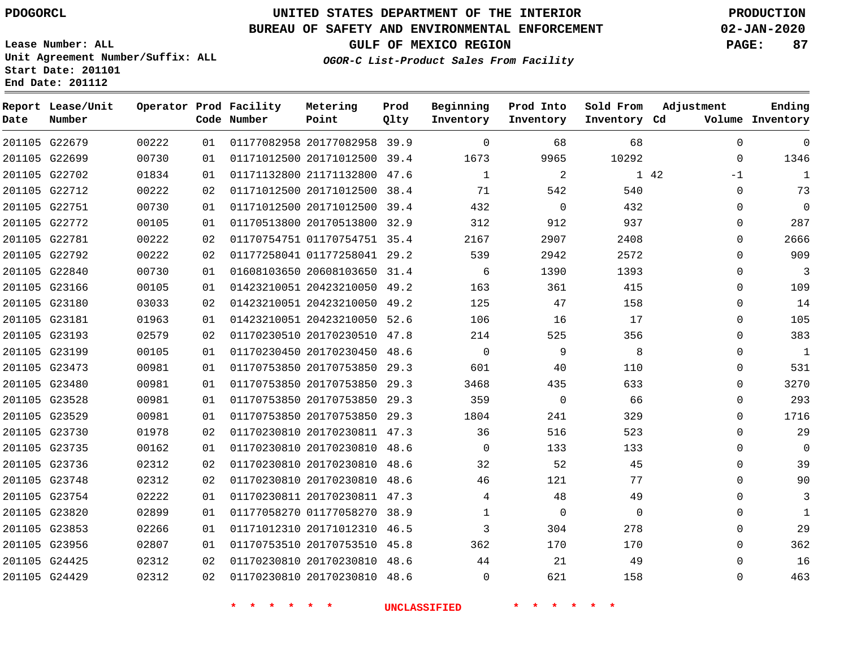G22679 G22699 G22702 G22712 G22751 G22772 G22781 G22792 G22840 G23166 G23180 G23181 G23193 G23199 G23473 G23480 G23528 G23529 G23730 G23735 G23736 G23748 G23754 G23820 G23853 G23956 G24425 G24429

**Date**

**Report Lease/Unit**

**Number**

# **UNITED STATES DEPARTMENT OF THE INTERIOR PDOGORCL PRODUCTION**

**Prod Qlty**

#### **BUREAU OF SAFETY AND ENVIRONMENTAL ENFORCEMENT 02-JAN-2020**

**Lease Number: ALL Unit Agreement Number/Suffix: ALL Start Date: 201101 End Date: 201112**

**Operator Prod Facility**

**Code Number**

**Metering Point**

20170753510 45.8

20170230810 48.6

20170230810

 

**OGOR-C List-Product Sales From Facility**

**Prod Into Inventory**

**Beginning Inventory**

**GULF OF MEXICO REGION PAGE: 87**

**Inventory Cd Volume**

**Adjustment**

 $\Omega$  $\Omega$ -1  $\Omega$  $\Omega$  $\Omega$  $\Omega$  $\Omega$  $\Omega$  $\Omega$  $\Omega$  $\Omega$  $\Omega$  $\Omega$  $\Omega$  $\Omega$  $\Omega$  $\cap$  $\Omega$  $\Omega$   $\Omega$  $\Omega$   $\Omega$   $\Omega$  $\Omega$ 

**Ending**

42

 

**Sold From Inventory**

| 02 | 01170230510 20170230510 | 47.8 | 214          | 525      |
|----|-------------------------|------|--------------|----------|
| 01 | 01170230450 20170230450 | 48.6 | $\Omega$     | 9        |
| 01 | 01170753850 20170753850 | 29.3 | 601          | 40       |
| 01 | 01170753850 20170753850 | 29.3 | 3468         | 435      |
| 01 | 01170753850 20170753850 | 29.3 | 359          | $\Omega$ |
| 01 | 01170753850 20170753850 | 29.3 | 1804         | 241      |
| 02 | 01170230810 20170230811 | 47.3 | 36           | 516      |
| 01 | 01170230810 20170230810 | 48.6 | $\Omega$     | 133      |
| 02 | 01170230810 20170230810 | 48.6 | 32           | 52       |
| 02 | 01170230810 20170230810 | 48.6 | 46           | 121      |
| 01 | 01170230811 20170230811 | 47.3 | 4            | 48       |
| 01 | 01177058270 01177058270 | 38.9 | $\mathbf{1}$ | $\Omega$ |
| 01 | 01171012310 20171012310 | 46.5 | 3            | 304      |

48.6

**\* \* \* \* \* \* UNCLASSIFIED \* \* \* \* \* \***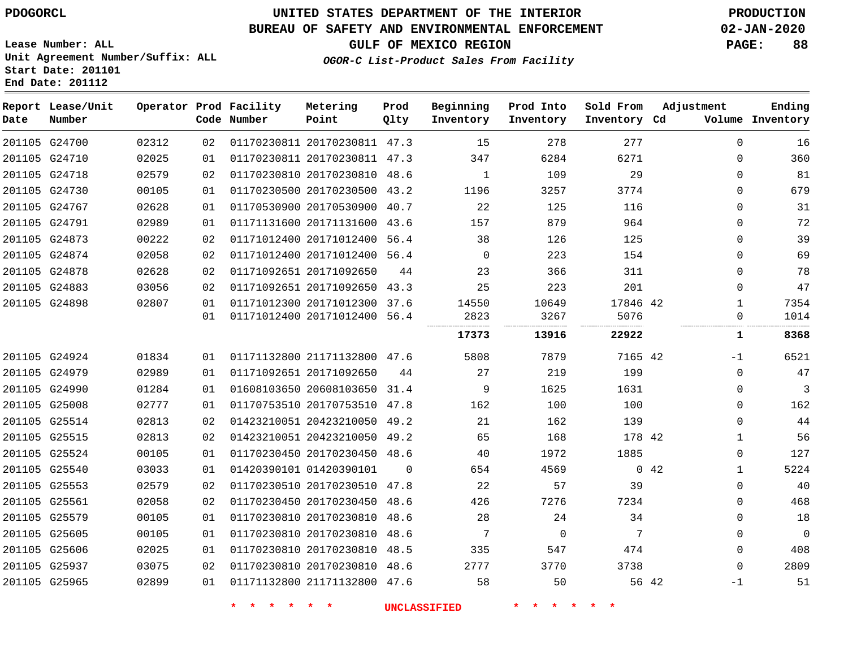**End Date: 201112**

# **UNITED STATES DEPARTMENT OF THE INTERIOR PDOGORCL PRODUCTION**

## **BUREAU OF SAFETY AND ENVIRONMENTAL ENFORCEMENT 02-JAN-2020**

**Lease Number: ALL Unit Agreement Number/Suffix: ALL Start Date: 201101**

## **GULF OF MEXICO REGION PAGE: 88**

**OGOR-C List-Product Sales From Facility**

| Date          | Report Lease/Unit<br>Number |       |    | Operator Prod Facility<br>Code Number | Metering<br>Point            | Prod<br>Qlty | Beginning<br>Inventory | Prod Into<br>Inventory | Sold From<br>Inventory Cd | Adjustment          | Ending<br>Volume Inventory |
|---------------|-----------------------------|-------|----|---------------------------------------|------------------------------|--------------|------------------------|------------------------|---------------------------|---------------------|----------------------------|
|               | 201105 G24700               | 02312 | 02 |                                       | 01170230811 20170230811 47.3 |              | 15                     | 278                    | 277                       | $\Omega$            | 16                         |
|               | 201105 G24710               | 02025 | 01 |                                       | 01170230811 20170230811 47.3 |              | 347                    | 6284                   | 6271                      | 0                   | 360                        |
|               | 201105 G24718               | 02579 | 02 |                                       | 01170230810 20170230810 48.6 |              | $\mathbf{1}$           | 109                    | 29                        | 0                   | 81                         |
|               | 201105 G24730               | 00105 | 01 |                                       | 01170230500 20170230500 43.2 |              | 1196                   | 3257                   | 3774                      | $\Omega$            | 679                        |
|               | 201105 G24767               | 02628 | 01 |                                       | 01170530900 20170530900 40.7 |              | 22                     | 125                    | 116                       | $\Omega$            | 31                         |
|               | 201105 G24791               | 02989 | 01 |                                       | 01171131600 20171131600 43.6 |              | 157                    | 879                    | 964                       | 0                   | 72                         |
| 201105 G24873 |                             | 00222 | 02 |                                       | 01171012400 20171012400      | 56.4         | 38                     | 126                    | 125                       | 0                   | 39                         |
|               | 201105 G24874               | 02058 | 02 |                                       | 01171012400 20171012400      | 56.4         | 0                      | 223                    | 154                       | 0                   | 69                         |
|               | 201105 G24878               | 02628 | 02 |                                       | 01171092651 20171092650      | 44           | 23                     | 366                    | 311                       | $\Omega$            | 78                         |
|               | 201105 G24883               | 03056 | 02 |                                       | 01171092651 20171092650 43.3 |              | 25                     | 223                    | 201                       | $\Omega$            | 47                         |
|               | 201105 G24898               | 02807 | 01 |                                       | 01171012300 20171012300 37.6 |              | 14550                  | 10649                  | 17846 42                  | $\mathbf 1$         | 7354                       |
|               |                             |       | 01 |                                       | 01171012400 20171012400 56.4 |              | 2823<br>               | 3267<br>               | 5076<br>                  | $\Omega$            | 1014                       |
|               |                             |       |    |                                       |                              |              | 17373                  | 13916                  | 22922                     | ı                   | 8368                       |
|               | 201105 G24924               | 01834 | 01 |                                       | 01171132800 21171132800 47.6 |              | 5808                   | 7879                   | 7165 42                   | -1                  | 6521                       |
|               | 201105 G24979               | 02989 | 01 |                                       | 01171092651 20171092650      | 44           | 27                     | 219                    | 199                       | 0                   | 47                         |
|               | 201105 G24990               | 01284 | 01 |                                       | 01608103650 20608103650 31.4 |              | 9                      | 1625                   | 1631                      | $\Omega$            | 3                          |
|               | 201105 G25008               | 02777 | 01 |                                       | 01170753510 20170753510 47.8 |              | 162                    | 100                    | 100                       | $\Omega$            | 162                        |
|               | 201105 G25514               | 02813 | 02 |                                       | 01423210051 20423210050 49.2 |              | 21                     | 162                    | 139                       | 0                   | 44                         |
| 201105 G25515 |                             | 02813 | 02 |                                       | 01423210051 20423210050 49.2 |              | 65                     | 168                    | 178 42                    | 1                   | 56                         |
|               | 201105 G25524               | 00105 | 01 |                                       | 01170230450 20170230450 48.6 |              | 40                     | 1972                   | 1885                      | 0                   | 127                        |
|               | 201105 G25540               | 03033 | 01 |                                       | 01420390101 01420390101      | $\Omega$     | 654                    | 4569                   |                           | 0.42<br>$\mathbf 1$ | 5224                       |
|               | 201105 G25553               | 02579 | 02 |                                       | 01170230510 20170230510 47.8 |              | 22                     | 57                     | 39                        | 0                   | 40                         |
|               | 201105 G25561               | 02058 | 02 |                                       | 01170230450 20170230450 48.6 |              | 426                    | 7276                   | 7234                      | 0                   | 468                        |
|               | 201105 G25579               | 00105 | 01 |                                       | 01170230810 20170230810      | 48.6         | 28                     | 24                     | 34                        | 0                   | 18                         |
| 201105 G25605 |                             | 00105 | 01 |                                       | 01170230810 20170230810      | 48.6         | 7                      | $\Omega$               | 7                         | $\Omega$            | $\mathbf 0$                |
|               | 201105 G25606               | 02025 | 01 |                                       | 01170230810 20170230810 48.5 |              | 335                    | 547                    | 474                       | 0                   | 408                        |
|               | 201105 G25937               | 03075 | 02 |                                       | 01170230810 20170230810 48.6 |              | 2777                   | 3770                   | 3738                      | 0                   | 2809                       |
|               | 201105 G25965               | 02899 | 01 |                                       | 01171132800 21171132800 47.6 |              | 58                     | 50                     |                           | 56 42<br>$-1$       | 51                         |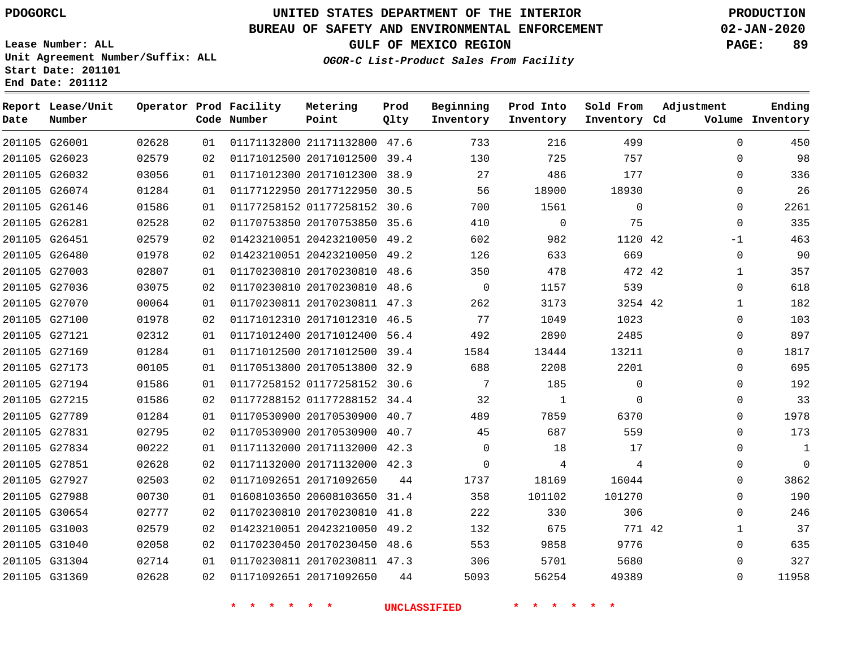**Date**

**End Date: 201112**

**Report Lease/Unit**

**Number**

# **UNITED STATES DEPARTMENT OF THE INTERIOR PDOGORCL PRODUCTION**

**Prod Qlty**

#### **BUREAU OF SAFETY AND ENVIRONMENTAL ENFORCEMENT 02-JAN-2020**

**Lease Number: ALL Unit Agreement Number/Suffix: ALL Start Date: 201101**

**Operator Prod Facility**

**Code Number**

**OGOR-C List-Product Sales From Facility**

**Beginning Inventory** **Prod Into Inventory** **Sold From Inventory**

**GULF OF MEXICO REGION PAGE: 89**

**Inventory Cd Volume**

**Adjustment**

  $\Omega$   $\Omega$   $-1$   $\Omega$  $\Omega$  $\overline{0}$  $\Omega$  $\overline{0}$  $\Omega$  $\Omega$  $\Omega$  $\Omega$   $\Omega$ 

**Ending**

|               | 201105 G26001 | 02628 | 01 | 01171132800 21171132800 47.6 |    | 733             | 216            | 499         |  |
|---------------|---------------|-------|----|------------------------------|----|-----------------|----------------|-------------|--|
|               | 201105 G26023 | 02579 | 02 | 01171012500 20171012500 39.4 |    | 130             | 725            | 757         |  |
|               | 201105 G26032 | 03056 | 01 | 01171012300 20171012300 38.9 |    | 27              | 486            | 177         |  |
|               | 201105 G26074 | 01284 | 01 | 01177122950 20177122950 30.5 |    | 56              | 18900          | 18930       |  |
|               | 201105 G26146 | 01586 | 01 | 01177258152 01177258152 30.6 |    | 700             | 1561           | $\mathbf 0$ |  |
|               | 201105 G26281 | 02528 | 02 | 01170753850 20170753850 35.6 |    | 410             | $\overline{0}$ | 75          |  |
|               | 201105 G26451 | 02579 | 02 | 01423210051 20423210050 49.2 |    | 602             | 982            | 1120 42     |  |
|               | 201105 G26480 | 01978 | 02 | 01423210051 20423210050 49.2 |    | 126             | 633            | 669         |  |
|               | 201105 G27003 | 02807 | 01 | 01170230810 20170230810 48.6 |    | 350             | 478            | 472 42      |  |
|               | 201105 G27036 | 03075 | 02 | 01170230810 20170230810 48.6 |    | $\overline{0}$  | 1157           | 539         |  |
|               | 201105 G27070 | 00064 | 01 | 01170230811 20170230811 47.3 |    | 262             | 3173           | 3254 42     |  |
|               | 201105 G27100 | 01978 | 02 | 01171012310 20171012310 46.5 |    | 77              | 1049           | 1023        |  |
|               | 201105 G27121 | 02312 | 01 | 01171012400 20171012400 56.4 |    | 492             | 2890           | 2485        |  |
|               | 201105 G27169 | 01284 | 01 | 01171012500 20171012500 39.4 |    | 1584            | 13444          | 13211       |  |
|               | 201105 G27173 | 00105 | 01 | 01170513800 20170513800 32.9 |    | 688             | 2208           | 2201        |  |
|               | 201105 G27194 | 01586 | 01 | 01177258152 01177258152 30.6 |    | $7\overline{ }$ | 185            | 0           |  |
| 201105 G27215 |               | 01586 | 02 | 01177288152 01177288152 34.4 |    | 32              | 1              | $\mathbf 0$ |  |
|               | 201105 G27789 | 01284 | 01 | 01170530900 20170530900 40.7 |    | 489             | 7859           | 6370        |  |
|               | 201105 G27831 | 02795 | 02 | 01170530900 20170530900 40.7 |    | 45              | 687            | 559         |  |
|               | 201105 G27834 | 00222 | 01 | 01171132000 20171132000 42.3 |    | $\Omega$        | 18             | 17          |  |
|               | 201105 G27851 | 02628 | 02 | 01171132000 20171132000 42.3 |    | $\overline{0}$  | $\overline{4}$ | 4           |  |
|               | 201105 G27927 | 02503 | 02 | 01171092651 20171092650      | 44 | 1737            | 18169          | 16044       |  |
|               | 201105 G27988 | 00730 | 01 | 01608103650 20608103650 31.4 |    | 358             | 101102         | 101270      |  |
|               | 201105 G30654 | 02777 | 02 | 01170230810 20170230810 41.8 |    | 222             | 330            | 306         |  |
|               | 201105 G31003 | 02579 | 02 | 01423210051 20423210050 49.2 |    | 132             | 675            | 771 42      |  |
|               | 201105 G31040 | 02058 | 02 | 01170230450 20170230450 48.6 |    | 553             | 9858           | 9776        |  |
|               | 201105 G31304 | 02714 | 01 | 01170230811 20170230811 47.3 |    | 306             | 5701           | 5680        |  |
|               | 201105 G31369 | 02628 | 02 | 01171092651 20171092650      | 44 | 5093            | 56254          | 49389       |  |
|               |               |       |    |                              |    |                 |                |             |  |

**Metering Point**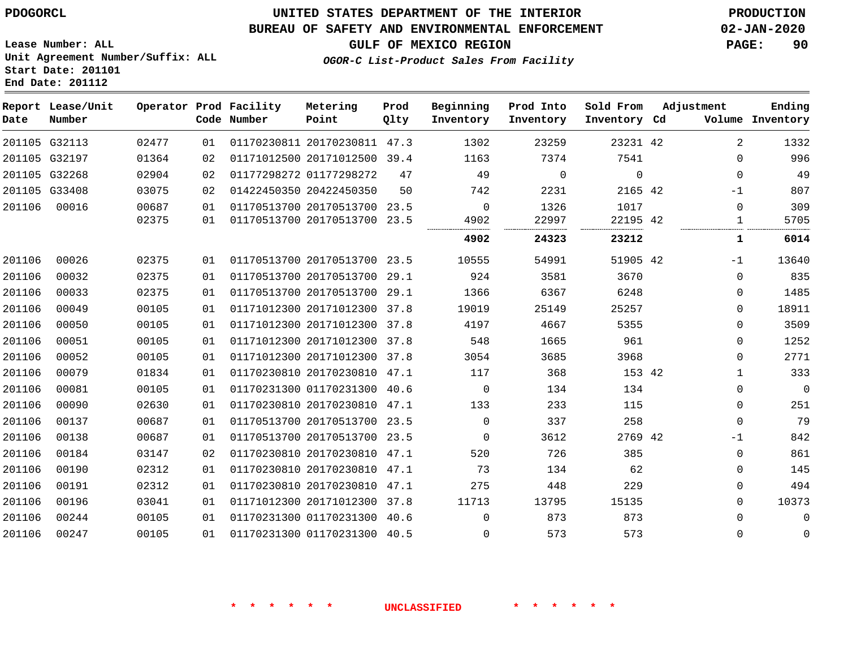#### **BUREAU OF SAFETY AND ENVIRONMENTAL ENFORCEMENT 02-JAN-2020**

**GULF OF MEXICO REGION PAGE: 90**

**Lease Number: ALL Unit Agreement Number/Suffix: ALL Start Date: 201101 End Date: 201112**

**OGOR-C List-Product Sales From Facility**

| Date   | Report Lease/Unit<br>Number |       |    | Operator Prod Facility<br>Code Number | Metering<br>Point            | Prod<br>Qlty | Beginning<br>Inventory | Prod Into<br>Inventory | Sold From<br>Inventory Cd | Adjustment   | Ending<br>Volume Inventory |
|--------|-----------------------------|-------|----|---------------------------------------|------------------------------|--------------|------------------------|------------------------|---------------------------|--------------|----------------------------|
|        | 201105 G32113               | 02477 | 01 |                                       | 01170230811 20170230811 47.3 |              | 1302                   | 23259                  | 23231 42                  | 2            | 1332                       |
|        | 201105 G32197               | 01364 | 02 |                                       | 01171012500 20171012500      | 39.4         | 1163                   | 7374                   | 7541                      | $\Omega$     | 996                        |
|        | 201105 G32268               | 02904 | 02 | 01177298272 01177298272               |                              | 47           | 49                     | $\mathbf 0$            | $\mathbf 0$               | 0            | 49                         |
|        | 201105 G33408               | 03075 | 02 |                                       | 01422450350 20422450350      | 50           | 742                    | 2231                   | 2165 42                   | $-1$         | 807                        |
| 201106 | 00016                       | 00687 | 01 |                                       | 01170513700 20170513700 23.5 |              | $\mathbf 0$            | 1326                   | 1017                      | 0            | 309                        |
|        |                             | 02375 | 01 |                                       | 01170513700 20170513700 23.5 |              | 4902                   | 22997                  | 22195 42                  | 1            | 5705                       |
|        |                             |       |    |                                       |                              |              | 4902                   | 24323                  | 23212                     | 1            | 6014                       |
| 201106 | 00026                       | 02375 | 01 |                                       | 01170513700 20170513700 23.5 |              | 10555                  | 54991                  | 51905 42                  | $-1$         | 13640                      |
| 201106 | 00032                       | 02375 | 01 |                                       | 01170513700 20170513700      | 29.1         | 924                    | 3581                   | 3670                      | $\Omega$     | 835                        |
| 201106 | 00033                       | 02375 | 01 |                                       | 01170513700 20170513700 29.1 |              | 1366                   | 6367                   | 6248                      | 0            | 1485                       |
| 201106 | 00049                       | 00105 | 01 |                                       | 01171012300 20171012300 37.8 |              | 19019                  | 25149                  | 25257                     | 0            | 18911                      |
| 201106 | 00050                       | 00105 | 01 |                                       | 01171012300 20171012300 37.8 |              | 4197                   | 4667                   | 5355                      | 0            | 3509                       |
| 201106 | 00051                       | 00105 | 01 |                                       | 01171012300 20171012300 37.8 |              | 548                    | 1665                   | 961                       | 0            | 1252                       |
| 201106 | 00052                       | 00105 | 01 |                                       | 01171012300 20171012300      | 37.8         | 3054                   | 3685                   | 3968                      | 0            | 2771                       |
| 201106 | 00079                       | 01834 | 01 |                                       | 01170230810 20170230810 47.1 |              | 117                    | 368                    | 153 42                    | $\mathbf{1}$ | 333                        |
| 201106 | 00081                       | 00105 | 01 |                                       | 01170231300 01170231300 40.6 |              | $\Omega$               | 134                    | 134                       | 0            | $\mathbf 0$                |
| 201106 | 00090                       | 02630 | 01 |                                       | 01170230810 20170230810 47.1 |              | 133                    | 233                    | 115                       | 0            | 251                        |
| 201106 | 00137                       | 00687 | 01 |                                       | 01170513700 20170513700 23.5 |              | $\Omega$               | 337                    | 258                       | 0            | 79                         |
| 201106 | 00138                       | 00687 | 01 |                                       | 01170513700 20170513700 23.5 |              | $\Omega$               | 3612                   | 2769 42                   | $-1$         | 842                        |
| 201106 | 00184                       | 03147 | 02 |                                       | 01170230810 20170230810      | 47.1         | 520                    | 726                    | 385                       | 0            | 861                        |
| 201106 | 00190                       | 02312 | 01 |                                       | 01170230810 20170230810 47.1 |              | 73                     | 134                    | 62                        | 0            | 145                        |
| 201106 | 00191                       | 02312 | 01 |                                       | 01170230810 20170230810      | 47.1         | 275                    | 448                    | 229                       | 0            | 494                        |
| 201106 | 00196                       | 03041 | 01 |                                       | 01171012300 20171012300 37.8 |              | 11713                  | 13795                  | 15135                     | 0            | 10373                      |
| 201106 | 00244                       | 00105 | 01 |                                       | 01170231300 01170231300 40.6 |              | $\Omega$               | 873                    | 873                       | 0            | $\mathbf 0$                |
| 201106 | 00247                       | 00105 | 01 |                                       | 01170231300 01170231300 40.5 |              | $\Omega$               | 573                    | 573                       | 0            | $\mathbf 0$                |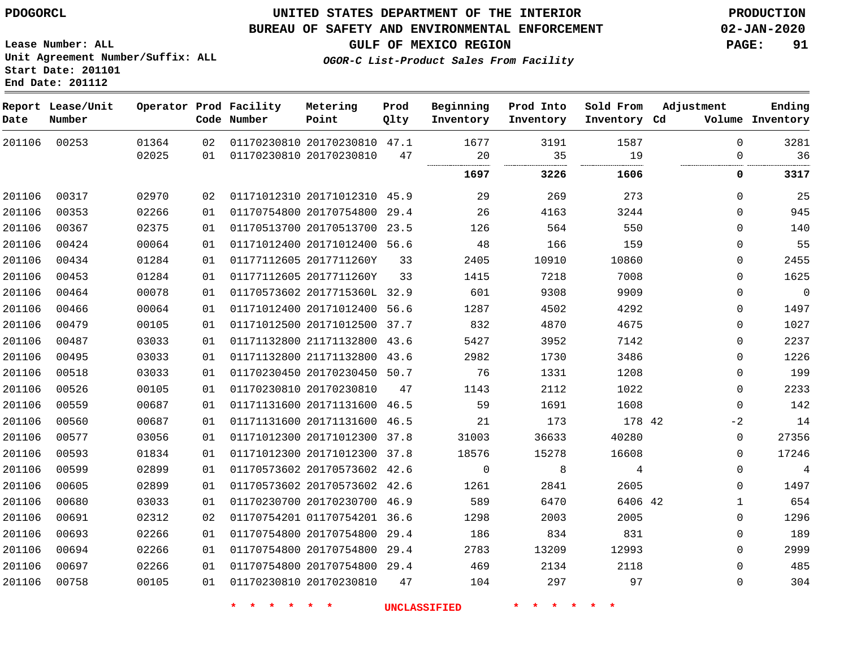#### **BUREAU OF SAFETY AND ENVIRONMENTAL ENFORCEMENT 02-JAN-2020**

**Lease Number: ALL Unit Agreement Number/Suffix: ALL**

**GULF OF MEXICO REGION PAGE: 91**

**OGOR-C List-Product Sales From Facility**

**Start Date: 201101 End Date: 201112**

| Date   | Report Lease/Unit<br>Number |       |    | Operator Prod Facility<br>Code Number | Metering<br>Point            | Prod<br>Qlty | Beginning<br>Inventory | Prod Into<br>Inventory | Sold From<br>Inventory Cd | Adjustment   | Ending<br>Volume Inventory |
|--------|-----------------------------|-------|----|---------------------------------------|------------------------------|--------------|------------------------|------------------------|---------------------------|--------------|----------------------------|
| 201106 | 00253                       | 01364 | 02 |                                       | 01170230810 20170230810 47.1 |              | 1677                   | 3191                   | 1587                      | $\Omega$     | 3281                       |
|        |                             | 02025 | 01 |                                       | 01170230810 20170230810      | 47           | 20                     | 35<br>.                | 19                        | $\Omega$     | 36                         |
|        |                             |       |    |                                       |                              |              | 1697                   | 3226                   | 1606                      | 0            | 3317                       |
| 201106 | 00317                       | 02970 | 02 |                                       | 01171012310 20171012310 45.9 |              | 29                     | 269                    | 273                       | $\mathbf 0$  | 25                         |
| 201106 | 00353                       | 02266 | 01 |                                       | 01170754800 20170754800 29.4 |              | 26                     | 4163                   | 3244                      | $\mathbf 0$  | 945                        |
| 201106 | 00367                       | 02375 | 01 |                                       | 01170513700 20170513700 23.5 |              | 126                    | 564                    | 550                       | $\mathbf 0$  | 140                        |
| 201106 | 00424                       | 00064 | 01 |                                       | 01171012400 20171012400 56.6 |              | 48                     | 166                    | 159                       | 0            | 55                         |
| 201106 | 00434                       | 01284 | 01 |                                       | 01177112605 2017711260Y      | 33           | 2405                   | 10910                  | 10860                     | $\mathbf 0$  | 2455                       |
| 201106 | 00453                       | 01284 | 01 |                                       | 01177112605 2017711260Y      | 33           | 1415                   | 7218                   | 7008                      | $\mathbf{0}$ | 1625                       |
| 201106 | 00464                       | 00078 | 01 |                                       | 01170573602 2017715360L 32.9 |              | 601                    | 9308                   | 9909                      | $\mathbf{0}$ | $\overline{0}$             |
| 201106 | 00466                       | 00064 | 01 |                                       | 01171012400 20171012400      | 56.6         | 1287                   | 4502                   | 4292                      | $\mathbf 0$  | 1497                       |
| 201106 | 00479                       | 00105 | 01 |                                       | 01171012500 20171012500 37.7 |              | 832                    | 4870                   | 4675                      | $\mathbf 0$  | 1027                       |
| 201106 | 00487                       | 03033 | 01 |                                       | 01171132800 21171132800 43.6 |              | 5427                   | 3952                   | 7142                      | $\mathbf 0$  | 2237                       |
| 201106 | 00495                       | 03033 | 01 |                                       | 01171132800 21171132800 43.6 |              | 2982                   | 1730                   | 3486                      | $\mathbf 0$  | 1226                       |
| 201106 | 00518                       | 03033 | 01 |                                       | 01170230450 20170230450 50.7 |              | 76                     | 1331                   | 1208                      | $\mathbf{0}$ | 199                        |
| 201106 | 00526                       | 00105 | 01 |                                       | 01170230810 20170230810      | 47           | 1143                   | 2112                   | 1022                      | $\mathbf 0$  | 2233                       |
| 201106 | 00559                       | 00687 | 01 |                                       | 01171131600 20171131600 46.5 |              | 59                     | 1691                   | 1608                      | $\Omega$     | 142                        |
| 201106 | 00560                       | 00687 | 01 |                                       | 01171131600 20171131600 46.5 |              | 21                     | 173                    | 178 42                    | $-2$         | 14                         |
| 201106 | 00577                       | 03056 | 01 |                                       | 01171012300 20171012300 37.8 |              | 31003                  | 36633                  | 40280                     | 0            | 27356                      |
| 201106 | 00593                       | 01834 | 01 |                                       | 01171012300 20171012300 37.8 |              | 18576                  | 15278                  | 16608                     | $\mathbf 0$  | 17246                      |
| 201106 | 00599                       | 02899 | 01 |                                       | 01170573602 20170573602 42.6 |              | $\mathbf 0$            | 8                      | $\overline{4}$            | $\mathbf 0$  | $\sqrt{4}$                 |
| 201106 | 00605                       | 02899 | 01 |                                       | 01170573602 20170573602 42.6 |              | 1261                   | 2841                   | 2605                      | $\Omega$     | 1497                       |
| 201106 | 00680                       | 03033 | 01 |                                       | 01170230700 20170230700 46.9 |              | 589                    | 6470                   | 6406 42                   | $\mathbf{1}$ | 654                        |
| 201106 | 00691                       | 02312 | 02 |                                       | 01170754201 01170754201 36.6 |              | 1298                   | 2003                   | 2005                      | $\Omega$     | 1296                       |
| 201106 | 00693                       | 02266 | 01 |                                       | 01170754800 20170754800      | 29.4         | 186                    | 834                    | 831                       | $\mathbf 0$  | 189                        |
| 201106 | 00694                       | 02266 | 01 |                                       | 01170754800 20170754800 29.4 |              | 2783                   | 13209                  | 12993                     | $\mathbf{0}$ | 2999                       |
| 201106 | 00697                       | 02266 | 01 |                                       | 01170754800 20170754800 29.4 |              | 469                    | 2134                   | 2118                      | $\mathbf{0}$ | 485                        |
| 201106 | 00758                       | 00105 | 01 |                                       | 01170230810 20170230810      | 47           | 104                    | 297                    | 97                        | 0            | 304                        |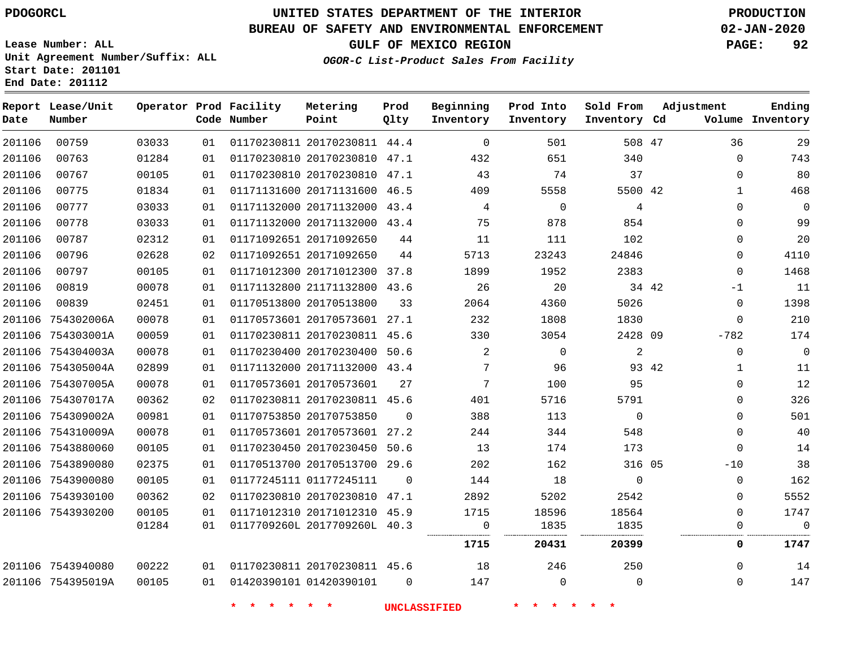**Date**

**End Date: 201112**

**Report Lease/Unit**

**Number**

754395019A

# **UNITED STATES DEPARTMENT OF THE INTERIOR PDOGORCL PRODUCTION**

**Prod Qlty**

#### **BUREAU OF SAFETY AND ENVIRONMENTAL ENFORCEMENT 02-JAN-2020**

**Lease Number: ALL Unit Agreement Number/Suffix: ALL Start Date: 201101**

**Operator Prod Facility**

**Code Number**

**OGOR-C List-Product Sales From Facility**

**Beginning Inventory** **Prod Into Inventory** **Sold From Inventory**

**GULF OF MEXICO REGION PAGE: 92**

**Inventory Cd Volume**

**Adjustment**

**Ending**

 

  $\Omega$ 

| 201106 | 00759             | 03033 | 01 | 01170230811 20170230811 44.4    |          | $\Omega$        | 501            | 508 47   |       | 36           | 29   |
|--------|-------------------|-------|----|---------------------------------|----------|-----------------|----------------|----------|-------|--------------|------|
| 201106 | 00763             | 01284 | 01 | 01170230810 20170230810 47.1    |          | 432             | 651            | 340      |       | $\Omega$     | 743  |
| 201106 | 00767             | 00105 | 01 | 01170230810 20170230810 47.1    |          | 43              | 74             | 37       |       | $\Omega$     | 80   |
| 201106 | 00775             | 01834 | 01 | 01171131600 20171131600 46.5    |          | 409             | 5558           | 5500 42  |       | $\mathbf{1}$ | 468  |
| 201106 | 00777             | 03033 | 01 | 01171132000 20171132000 43.4    |          | 4               | $\overline{0}$ | 4        |       | $\Omega$     | 0    |
| 201106 | 00778             | 03033 | 01 | 01171132000 20171132000 43.4    |          | 75              | 878            | 854      |       | $\Omega$     | 99   |
| 201106 | 00787             | 02312 | 01 | 01171092651 20171092650         | 44       | 11              | 111            | 102      |       | $\Omega$     | 20   |
| 201106 | 00796             | 02628 | 02 | 01171092651 20171092650         | 44       | 5713            | 23243          | 24846    |       | $\Omega$     | 4110 |
| 201106 | 00797             | 00105 | 01 | 01171012300 20171012300 37.8    |          | 1899            | 1952           | 2383     |       | $\Omega$     | 1468 |
| 201106 | 00819             | 00078 | 01 | 01171132800 21171132800 43.6    |          | 26              | 20             | 34 42    |       | $-1$         | 11   |
| 201106 | 00839             | 02451 | 01 | 01170513800 20170513800         | 33       | 2064            | 4360           | 5026     |       | 0            | 1398 |
|        | 201106 754302006A | 00078 | 01 | 01170573601 20170573601 27.1    |          | 232             | 1808           | 1830     |       | 0            | 210  |
|        | 201106 754303001A | 00059 | 01 | 01170230811 20170230811 45.6    |          | 330             | 3054           | 2428 09  |       | $-782$       | 174  |
|        | 201106 754304003A | 00078 | 01 | 01170230400 20170230400 50.6    |          | 2               | $\Omega$       | 2        |       | 0            | 0    |
|        | 201106 754305004A | 02899 | 01 | 01171132000 20171132000 43.4    |          | 7               | 96             |          | 93 42 | 1            | 11   |
|        | 201106 754307005A | 00078 | 01 | 01170573601 20170573601         | 27       | $7\phantom{.0}$ | 100            | 95       |       | $\Omega$     | 12   |
|        | 201106 754307017A | 00362 | 02 | 01170230811 20170230811 45.6    |          | 401             | 5716           | 5791     |       | 0            | 326  |
|        | 201106 754309002A | 00981 | 01 | 01170753850 20170753850         | 0        | 388             | 113            | $\Omega$ |       | 0            | 501  |
|        | 201106 754310009A | 00078 | 01 | 01170573601 20170573601 27.2    |          | 244             | 344            | 548      |       | $\Omega$     | 40   |
|        | 201106 7543880060 | 00105 | 01 | 01170230450 20170230450 50.6    |          | 13              | 174            | 173      |       | $\Omega$     | 14   |
|        | 201106 7543890080 | 02375 | 01 | 01170513700 20170513700 29.6    |          | 202             | 162            | 316 05   |       | $-10$        | 38   |
|        | 201106 7543900080 | 00105 | 01 | 01177245111 01177245111         | $\Omega$ | 144             | 18             | $\Omega$ |       | 0            | 162  |
|        | 201106 7543930100 | 00362 | 02 | 01170230810 20170230810 47.1    |          | 2892            | 5202           | 2542     |       | $\Omega$     | 5552 |
|        | 201106 7543930200 | 00105 | 01 | 01171012310 20171012310 45.9    |          | 1715            | 18596          | 18564    |       | 0            | 1747 |
|        |                   | 01284 | 01 | 0117709260L 2017709260L 40.3    |          | 0               | 1835           | 1835     |       | 0            | 0    |
|        |                   |       |    |                                 |          | 1715            | 20431          | 20399    |       | 0            | 1747 |
|        | 201106 7543940080 | 00222 |    | 01 01170230811 20170230811 45.6 |          | 18              | 246            | 250      |       | $\Omega$     | 14   |

**Metering Point**

**\* \* \* \* \* \* UNCLASSIFIED \* \* \* \* \* \***

 $\Omega$ 

01420390101

 $\Omega$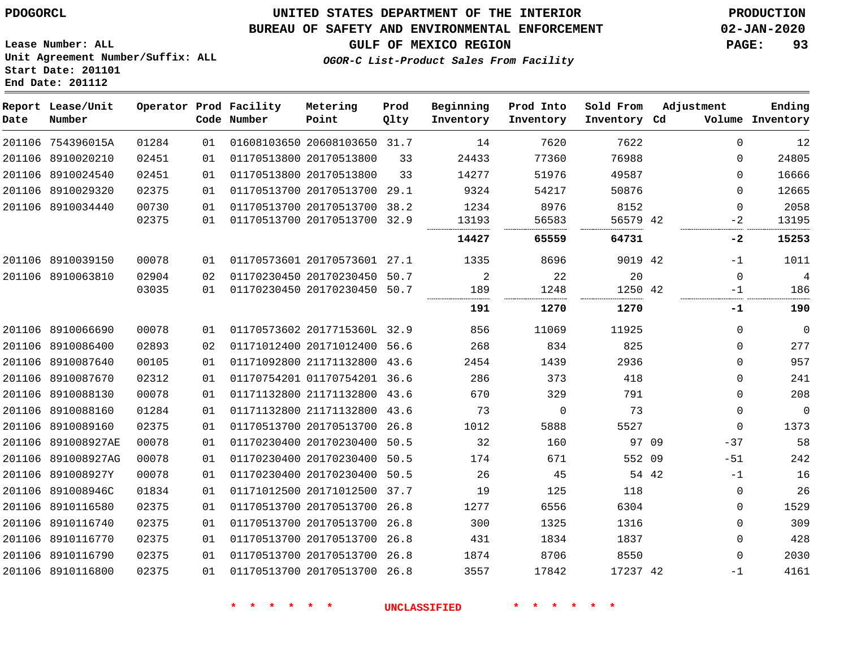#### **BUREAU OF SAFETY AND ENVIRONMENTAL ENFORCEMENT 02-JAN-2020**

**OGOR-C List-Product Sales From Facility**

**GULF OF MEXICO REGION PAGE: 93**

**Lease Number: ALL Unit Agreement Number/Suffix: ALL Start Date: 201101 End Date: 201112**

| Date | Report Lease/Unit<br>Number |       |    | Operator Prod Facility<br>Code Number | Metering<br>Point            | Prod<br>Qlty | Beginning<br>Inventory | Prod Into<br>Inventory | Sold From<br>Inventory Cd | Adjustment |              | Ending<br>Volume Inventory |
|------|-----------------------------|-------|----|---------------------------------------|------------------------------|--------------|------------------------|------------------------|---------------------------|------------|--------------|----------------------------|
|      | 201106 754396015A           | 01284 | 01 |                                       | 01608103650 20608103650 31.7 |              | 14                     | 7620                   | 7622                      |            | $\Omega$     | 12                         |
|      | 201106 8910020210           | 02451 | 01 |                                       | 01170513800 20170513800      | 33           | 24433                  | 77360                  | 76988                     |            | $\Omega$     | 24805                      |
|      | 201106 8910024540           | 02451 | 01 |                                       | 01170513800 20170513800      | 33           | 14277                  | 51976                  | 49587                     |            | $\Omega$     | 16666                      |
|      | 201106 8910029320           | 02375 | 01 |                                       | 01170513700 20170513700 29.1 |              | 9324                   | 54217                  | 50876                     |            | $\Omega$     | 12665                      |
|      | 201106 8910034440           | 00730 | 01 |                                       | 01170513700 20170513700 38.2 |              | 1234                   | 8976                   | 8152                      |            | $\Omega$     | 2058                       |
|      |                             | 02375 | 01 |                                       | 01170513700 20170513700      | 32.9         | 13193                  | 56583                  | 56579 42                  |            | -2           | 13195                      |
|      |                             |       |    |                                       |                              |              | 14427                  | 65559                  | 64731                     |            | -2           | 15253                      |
|      | 201106 8910039150           | 00078 | 01 |                                       | 01170573601 20170573601 27.1 |              | 1335                   | 8696                   | 9019 42                   |            | $-1$         | 1011                       |
|      | 201106 8910063810           | 02904 | 02 |                                       | 01170230450 20170230450 50.7 |              | 2                      | 22                     | 20                        |            | $\Omega$     | $\overline{4}$             |
|      |                             | 03035 | 01 |                                       | 01170230450 20170230450 50.7 |              | 189                    | 1248                   | 1250 42                   |            | -1           | 186                        |
|      |                             |       |    |                                       |                              |              | 191                    | 1270                   | 1270                      |            | -1           | 190                        |
|      | 201106 8910066690           | 00078 | 01 |                                       | 01170573602 2017715360L 32.9 |              | 856                    | 11069                  | 11925                     |            | $\mathbf{0}$ | $\overline{0}$             |
|      | 201106 8910086400           | 02893 | 02 |                                       | 01171012400 20171012400 56.6 |              | 268                    | 834                    | 825                       |            | $\mathbf{0}$ | 277                        |
|      | 201106 8910087640           | 00105 | 01 |                                       | 01171092800 21171132800 43.6 |              | 2454                   | 1439                   | 2936                      |            | $\mathbf{0}$ | 957                        |
|      | 201106 8910087670           | 02312 | 01 |                                       | 01170754201 01170754201 36.6 |              | 286                    | 373                    | 418                       |            | $\mathbf{0}$ | 241                        |
|      | 201106 8910088130           | 00078 | 01 |                                       | 01171132800 21171132800      | 43.6         | 670                    | 329                    | 791                       |            | $\mathbf{0}$ | 208                        |
|      | 201106 8910088160           | 01284 | 01 |                                       | 01171132800 21171132800 43.6 |              | 73                     | 0                      | 73                        |            | 0            | $\mathbf 0$                |
|      | 201106 8910089160           | 02375 | 01 |                                       | 01170513700 20170513700 26.8 |              | 1012                   | 5888                   | 5527                      |            | $\mathbf{0}$ | 1373                       |
|      | 201106 891008927AE          | 00078 | 01 |                                       | 01170230400 20170230400 50.5 |              | 32                     | 160                    |                           | 97 09      | $-37$        | 58                         |
|      | 201106 891008927AG          | 00078 | 01 |                                       | 01170230400 20170230400      | 50.5         | 174                    | 671                    | 552 09                    |            | $-51$        | 242                        |
|      | 201106 891008927Y           | 00078 | 01 |                                       | 01170230400 20170230400 50.5 |              | 26                     | 45                     |                           | 54 42      | $-1$         | 16                         |
|      | 201106 891008946C           | 01834 | 01 |                                       | 01171012500 20171012500 37.7 |              | 19                     | 125                    | 118                       |            | $\mathbf{0}$ | 26                         |
|      | 201106 8910116580           | 02375 | 01 |                                       | 01170513700 20170513700 26.8 |              | 1277                   | 6556                   | 6304                      |            | 0            | 1529                       |
|      | 201106 8910116740           | 02375 | 01 |                                       | 01170513700 20170513700      | 26.8         | 300                    | 1325                   | 1316                      |            | $\mathbf{0}$ | 309                        |
|      | 201106 8910116770           | 02375 | 01 |                                       | 01170513700 20170513700 26.8 |              | 431                    | 1834                   | 1837                      |            | 0            | 428                        |
|      | 201106 8910116790           | 02375 | 01 |                                       | 01170513700 20170513700 26.8 |              | 1874                   | 8706                   | 8550                      |            | 0            | 2030                       |
|      | 201106 8910116800           | 02375 | 01 |                                       | 01170513700 20170513700 26.8 |              | 3557                   | 17842                  | 17237 42                  |            | -1           | 4161                       |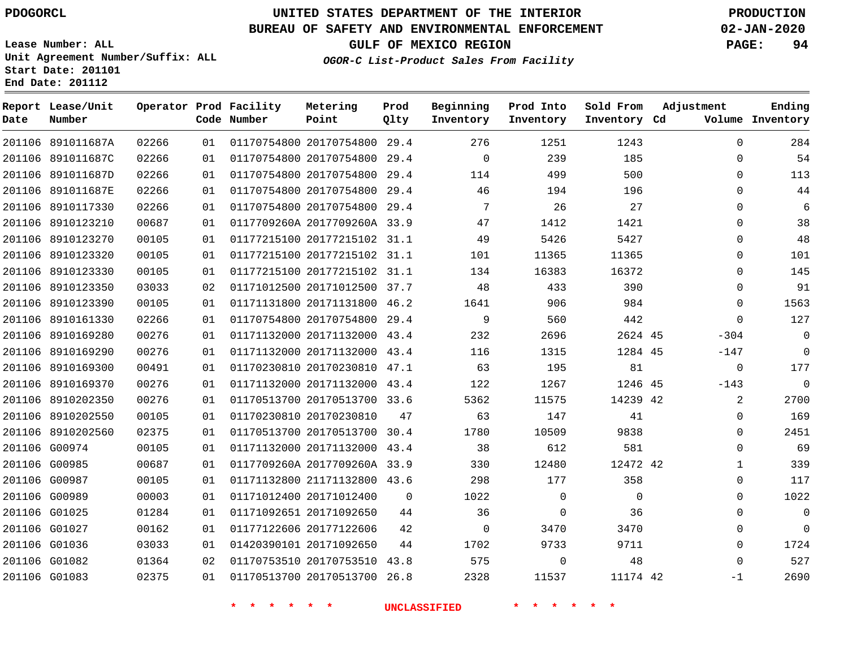**Date**

# **UNITED STATES DEPARTMENT OF THE INTERIOR PDOGORCL PRODUCTION**

**Prod Qlty**

#### **BUREAU OF SAFETY AND ENVIRONMENTAL ENFORCEMENT 02-JAN-2020**

**Lease Number: ALL Unit Agreement Number/Suffix: ALL Start Date: 201101**

**Operator Prod Facility**

**Code Number**

**Metering Point**

**End Date: 201112**

**Report Lease/Unit**

**Number**

**GULF OF MEXICO REGION PAGE: 94**

**Inventory Cd Volume**

**Adjustment**

**Ending**

**OGOR-C List-Product Sales From Facility**

**Inventory**

**Beginning Prod Into**

**Inventory**

**Sold From Inventory**

|        | 201106 891011687A | 02266 | 01 | 01170754800 20170754800      | 29.4 | 276         | 1251        | 1243     | $\mathbf 0$ | 284         |
|--------|-------------------|-------|----|------------------------------|------|-------------|-------------|----------|-------------|-------------|
|        | 201106 891011687C | 02266 | 01 | 01170754800 20170754800      | 29.4 | $\Omega$    | 239         | 185      | $\Omega$    | 54          |
|        | 201106 891011687D | 02266 | 01 | 01170754800 20170754800 29.4 |      | 114         | 499         | 500      | 0           | 113         |
| 201106 | 891011687E        | 02266 | 01 | 01170754800 20170754800      | 29.4 | 46          | 194         | 196      | $\Omega$    | 44          |
| 201106 | 8910117330        | 02266 | 01 | 01170754800 20170754800      | 29.4 | 7           | 26          | 27       | $\Omega$    | 6           |
|        | 201106 8910123210 | 00687 | 01 | 0117709260A 2017709260A 33.9 |      | 47          | 1412        | 1421     | 0           | 38          |
| 201106 | 8910123270        | 00105 | 01 | 01177215100 20177215102 31.1 |      | 49          | 5426        | 5427     | $\mathbf 0$ | 48          |
| 201106 | 8910123320        | 00105 | 01 | 01177215100 20177215102 31.1 |      | 101         | 11365       | 11365    | $\Omega$    | 101         |
|        | 201106 8910123330 | 00105 | 01 | 01177215100 20177215102 31.1 |      | 134         | 16383       | 16372    | 0           | 145         |
| 201106 | 8910123350        | 03033 | 02 | 01171012500 20171012500 37.7 |      | 48          | 433         | 390      | $\mathbf 0$ | 91          |
| 201106 | 8910123390        | 00105 | 01 | 01171131800 20171131800 46.2 |      | 1641        | 906         | 984      | $\Omega$    | 1563        |
|        | 201106 8910161330 | 02266 | 01 | 01170754800 20170754800 29.4 |      | 9           | 560         | 442      | $\Omega$    | 127         |
| 201106 | 8910169280        | 00276 | 01 | 01171132000 20171132000 43.4 |      | 232         | 2696        | 2624 45  | $-304$      | $\mathbf 0$ |
|        | 201106 8910169290 | 00276 | 01 | 01171132000 20171132000 43.4 |      | 116         | 1315        | 1284 45  | $-147$      | $\mathbf 0$ |
|        | 201106 8910169300 | 00491 | 01 | 01170230810 20170230810 47.1 |      | 63          | 195         | 81       | $\mathbf 0$ | 177         |
| 201106 | 8910169370        | 00276 | 01 | 01171132000 20171132000 43.4 |      | 122         | 1267        | 1246 45  | $-143$      | $\mathbf 0$ |
| 201106 | 8910202350        | 00276 | 01 | 01170513700 20170513700 33.6 |      | 5362        | 11575       | 14239 42 | 2           | 2700        |
|        | 201106 8910202550 | 00105 | 01 | 01170230810 20170230810      | 47   | 63          | 147         | 41       | $\mathbf 0$ | 169         |
| 201106 | 8910202560        | 02375 | 01 | 01170513700 20170513700      | 30.4 | 1780        | 10509       | 9838     | $\Omega$    | 2451        |
|        | 201106 G00974     | 00105 | 01 | 01171132000 20171132000 43.4 |      | 38          | 612         | 581      | $\mathbf 0$ | 69          |
|        | 201106 G00985     | 00687 | 01 | 0117709260A 2017709260A 33.9 |      | 330         | 12480       | 12472 42 | 1           | 339         |
| 201106 | G00987            | 00105 | 01 | 01171132800 21171132800 43.6 |      | 298         | 177         | 358      | $\Omega$    | 117         |
|        | 201106 G00989     | 00003 | 01 | 01171012400 20171012400      | 0    | 1022        | $\mathbf 0$ | $\Omega$ | 0           | 1022        |
|        | 201106 G01025     | 01284 | 01 | 01171092651 20171092650      | 44   | 36          | $\mathbf 0$ | 36       | 0           | $\mathbf 0$ |
| 201106 | G01027            | 00162 | 01 | 01177122606 20177122606      | 42   | $\mathbf 0$ | 3470        | 3470     | $\Omega$    | $\mathbf 0$ |
|        | 201106 G01036     | 03033 | 01 | 01420390101 20171092650      | 44   | 1702        | 9733        | 9711     | 0           | 1724        |
|        | 201106 G01082     | 01364 | 02 | 01170753510 20170753510 43.8 |      | 575         | $\mathbf 0$ | 48       | $\Omega$    | 527         |
|        | 201106 G01083     | 02375 | 01 | 01170513700 20170513700      | 26.8 | 2328        | 11537       | 11174 42 | $-1$        | 2690        |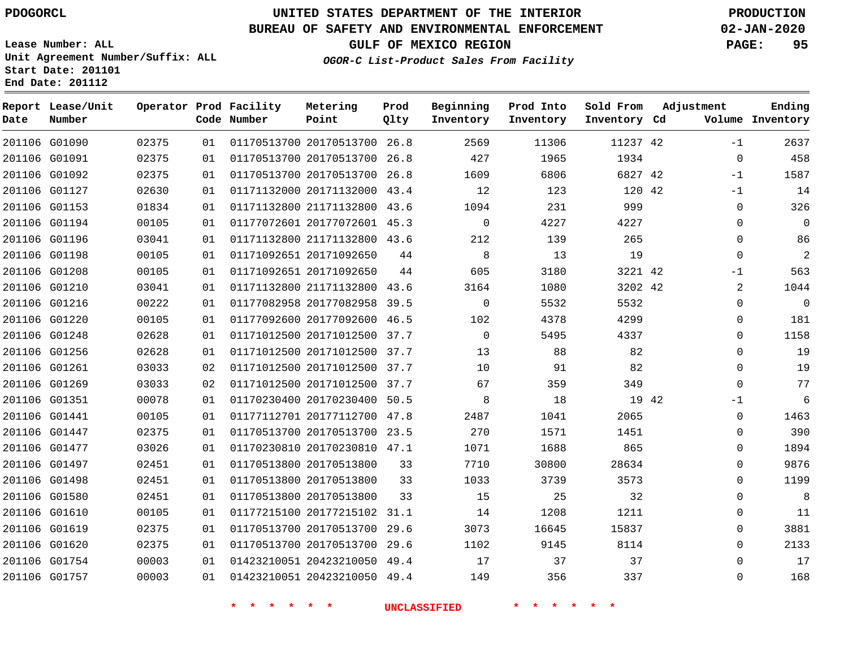**End Date: 201112**

# **UNITED STATES DEPARTMENT OF THE INTERIOR PDOGORCL PRODUCTION**

## **BUREAU OF SAFETY AND ENVIRONMENTAL ENFORCEMENT 02-JAN-2020**

**Lease Number: ALL Unit Agreement Number/Suffix: ALL Start Date: 201101**

**GULF OF MEXICO REGION PAGE: 95**

**OGOR-C List-Product Sales From Facility**

| Date          | Report Lease/Unit<br>Number |       |     | Operator Prod Facility<br>Code Number | Metering<br>Point            | Prod<br>Qlty | Beginning<br>Inventory | Prod Into<br>Inventory | Sold From<br>Inventory Cd | Adjustment |             | Ending<br>Volume Inventory |
|---------------|-----------------------------|-------|-----|---------------------------------------|------------------------------|--------------|------------------------|------------------------|---------------------------|------------|-------------|----------------------------|
| 201106 G01090 |                             | 02375 | 01  |                                       | 01170513700 20170513700      | 26.8         | 2569                   | 11306                  | 11237 42                  |            | $-1$        | 2637                       |
| 201106 G01091 |                             | 02375 | 01  |                                       | 01170513700 20170513700 26.8 |              | 427                    | 1965                   | 1934                      |            | $\mathbf 0$ | 458                        |
| 201106 G01092 |                             | 02375 | 0 1 |                                       | 01170513700 20170513700      | 26.8         | 1609                   | 6806                   | 6827 42                   |            | $-1$        | 1587                       |
| 201106 G01127 |                             | 02630 | 01  |                                       | 01171132000 20171132000 43.4 |              | 12                     | 123                    | 120 42                    |            | $-1$        | 14                         |
|               | 201106 G01153               | 01834 | 01  |                                       | 01171132800 21171132800 43.6 |              | 1094                   | 231                    | 999                       |            | $\mathbf 0$ | 326                        |
|               | 201106 G01194               | 00105 | 01  |                                       | 01177072601 20177072601 45.3 |              | $\Omega$               | 4227                   | 4227                      |            | $\Omega$    | $\Omega$                   |
| 201106 G01196 |                             | 03041 | 01  |                                       | 01171132800 21171132800 43.6 |              | 212                    | 139                    | 265                       |            | $\mathbf 0$ | 86                         |
| 201106 G01198 |                             | 00105 | 01  |                                       | 01171092651 20171092650      | 44           | 8                      | 13                     | 19                        |            | $\Omega$    | 2                          |
| 201106 G01208 |                             | 00105 | 01  |                                       | 01171092651 20171092650      | 44           | 605                    | 3180                   | 3221 42                   |            | -1          | 563                        |
| 201106 G01210 |                             | 03041 | 01  |                                       | 01171132800 21171132800 43.6 |              | 3164                   | 1080                   | 3202 42                   |            | 2           | 1044                       |
| 201106 G01216 |                             | 00222 | 01  |                                       | 01177082958 20177082958 39.5 |              | $\Omega$               | 5532                   | 5532                      |            | $\mathbf 0$ | $\mathbf 0$                |
| 201106 G01220 |                             | 00105 | 01  |                                       | 01177092600 20177092600 46.5 |              | 102                    | 4378                   | 4299                      |            | 0           | 181                        |
| 201106 G01248 |                             | 02628 | 01  |                                       | 01171012500 20171012500 37.7 |              | $\Omega$               | 5495                   | 4337                      |            | $\Omega$    | 1158                       |
|               | 201106 G01256               | 02628 | 01  |                                       | 01171012500 20171012500 37.7 |              | 13                     | 88                     | 82                        |            | $\mathbf 0$ | 19                         |
| 201106 G01261 |                             | 03033 | 02  |                                       | 01171012500 20171012500 37.7 |              | 10                     | 91                     | 82                        |            | $\mathbf 0$ | 19                         |
| 201106 G01269 |                             | 03033 | 02  |                                       | 01171012500 20171012500 37.7 |              | 67                     | 359                    | 349                       |            | $\Omega$    | 77                         |
| 201106 G01351 |                             | 00078 | 01  |                                       | 01170230400 20170230400 50.5 |              | 8                      | 18                     | 19 42                     |            | -1          | 6                          |
| 201106 G01441 |                             | 00105 | 01  |                                       | 01177112701 20177112700 47.8 |              | 2487                   | 1041                   | 2065                      |            | $\mathbf 0$ | 1463                       |
| 201106 G01447 |                             | 02375 | 01  |                                       | 01170513700 20170513700 23.5 |              | 270                    | 1571                   | 1451                      |            | $\mathbf 0$ | 390                        |
|               | 201106 G01477               | 03026 | 01  |                                       | 01170230810 20170230810 47.1 |              | 1071                   | 1688                   | 865                       |            | $\mathbf 0$ | 1894                       |
|               | 201106 G01497               | 02451 | 01  |                                       | 01170513800 20170513800      | 33           | 7710                   | 30800                  | 28634                     |            | $\Omega$    | 9876                       |
| 201106 G01498 |                             | 02451 | 01  |                                       | 01170513800 20170513800      | 33           | 1033                   | 3739                   | 3573                      |            | $\mathbf 0$ | 1199                       |
| 201106 G01580 |                             | 02451 | 01  |                                       | 01170513800 20170513800      | 33           | 15                     | 25                     | 32                        |            | $\mathbf 0$ | 8                          |
| 201106 G01610 |                             | 00105 | 01  |                                       | 01177215100 20177215102      | 31.1         | 14                     | 1208                   | 1211                      |            | $\mathbf 0$ | 11                         |
| 201106 G01619 |                             | 02375 | 01  |                                       | 01170513700 20170513700 29.6 |              | 3073                   | 16645                  | 15837                     |            | $\mathbf 0$ | 3881                       |
| 201106 G01620 |                             | 02375 | 01  |                                       | 01170513700 20170513700 29.6 |              | 1102                   | 9145                   | 8114                      |            | $\mathbf 0$ | 2133                       |
| 201106 G01754 |                             | 00003 | 01  |                                       | 01423210051 20423210050 49.4 |              | 17                     | 37                     | 37                        |            | $\mathbf 0$ | 17                         |
| 201106 G01757 |                             | 00003 | 01  |                                       | 01423210051 20423210050 49.4 |              | 149                    | 356                    | 337                       |            | $\Omega$    | 168                        |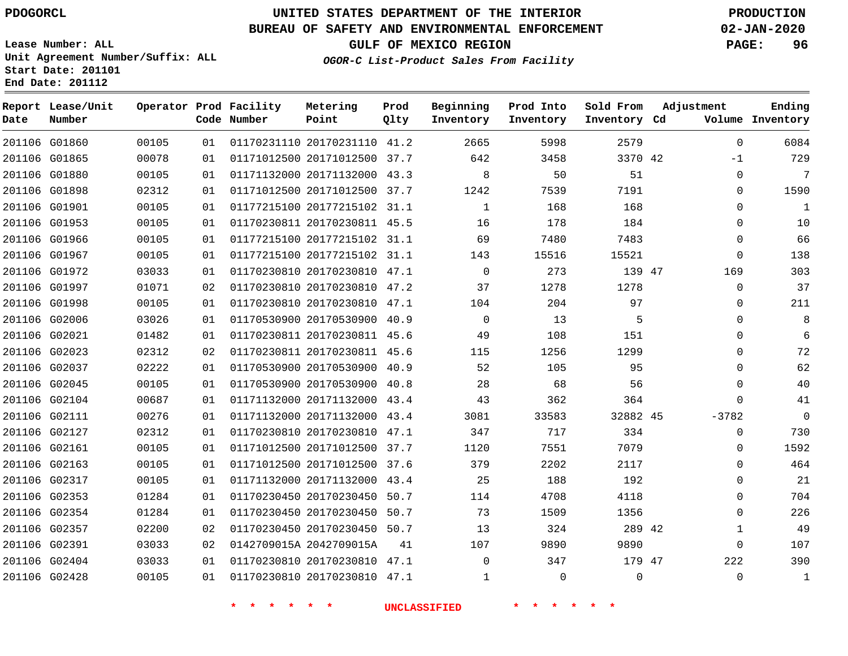**Date**

**End Date: 201112**

**Report Lease/Unit**

**Number**

 G02317 G02353 G02354 G02357 G02391 G02404 G02428

# **UNITED STATES DEPARTMENT OF THE INTERIOR PDOGORCL PRODUCTION**

**Prod Qlty**

#### **BUREAU OF SAFETY AND ENVIRONMENTAL ENFORCEMENT 02-JAN-2020**

**Lease Number: ALL Unit Agreement Number/Suffix: ALL Start Date: 201101**

**Operator Prod Facility**

**Code Number**

**OGOR-C List-Product Sales From Facility**

**Beginning Inventory** **Prod Into Inventory** **Sold From Inventory**

**GULF OF MEXICO REGION PAGE: 96**

**Inventory Cd Volume**

**Adjustment**

 -1  $\Omega$  $\Omega$  $\Omega$  $\Omega$  $\Omega$  $\Omega$   $\Omega$  $\Omega$  $\Omega$  $\Omega$   $\Omega$  $\overline{0}$  $\Omega$ -3782  $\Omega$  $\Omega$   $\Omega$  $\Omega$   $\Omega$ 

**Ending**

| 2579     | 5998  | 2665         | 41.2 | 01170231110 20170231110 | 01 | 00105 | G01860 | 201106 |
|----------|-------|--------------|------|-------------------------|----|-------|--------|--------|
| 3370 42  | 3458  | 642          | 37.7 | 01171012500 20171012500 | 01 | 00078 | G01865 | 201106 |
| 51       | 50    | 8            | 43.3 | 01171132000 20171132000 | 01 | 00105 | G01880 | 201106 |
| 7191     | 7539  | 1242         | 37.7 | 01171012500 20171012500 | 01 | 02312 | G01898 | 201106 |
| 168      | 168   | $\mathbf{1}$ | 31.1 | 01177215100 20177215102 | 01 | 00105 | G01901 | 201106 |
| 184      | 178   | 16           | 45.5 | 01170230811 20170230811 | 01 | 00105 | G01953 | 201106 |
| 7483     | 7480  | 69           | 31.1 | 01177215100 20177215102 | 01 | 00105 | G01966 | 201106 |
| 15521    | 15516 | 143          | 31.1 | 01177215100 20177215102 | 01 | 00105 | G01967 | 201106 |
| 139 47   | 273   | $\Omega$     | 47.1 | 01170230810 20170230810 | 01 | 03033 | G01972 | 201106 |
| 1278     | 1278  | 37           | 47.2 | 01170230810 20170230810 | 02 | 01071 | G01997 | 201106 |
| 97       | 204   | 104          | 47.1 | 01170230810 20170230810 | 01 | 00105 | G01998 | 201106 |
| 5        | 13    | $\Omega$     | 40.9 | 01170530900 20170530900 | 01 | 03026 | G02006 | 201106 |
| 151      | 108   | 49           | 45.6 | 01170230811 20170230811 | 01 | 01482 | G02021 | 201106 |
| 1299     | 1256  | 115          | 45.6 | 01170230811 20170230811 | 02 | 02312 | G02023 | 201106 |
| 95       | 105   | 52           | 40.9 | 01170530900 20170530900 | 01 | 02222 | G02037 | 201106 |
| 56       | 68    | 28           | 40.8 | 01170530900 20170530900 | 01 | 00105 | G02045 | 201106 |
| 364      | 362   | 43           | 43.4 | 01171132000 20171132000 | 01 | 00687 | G02104 | 201106 |
| 32882 45 | 33583 | 3081         | 43.4 | 01171132000 20171132000 | 01 | 00276 | G02111 | 201106 |
| 334      | 717   | 347          | 47.1 | 01170230810 20170230810 | 01 | 02312 | G02127 | 201106 |
| 7079     | 7551  | 1120         | 37.7 | 01171012500 20171012500 | 01 | 00105 | G02161 | 201106 |
| 2117     | 2202  | 379          | 37.6 | 01171012500 20171012500 | 01 | 00105 | G02163 | 201106 |

 20171132000 43.4 20170230450 50.7 20170230450 50.7 20170230450 50.7

**Metering Point**

 20170230810 47.1 20170230810 47.1

0142709015A 2042709015A

**\* \* \* \* \* \* UNCLASSIFIED \* \* \* \* \* \***

42

 

47

 $\Omega$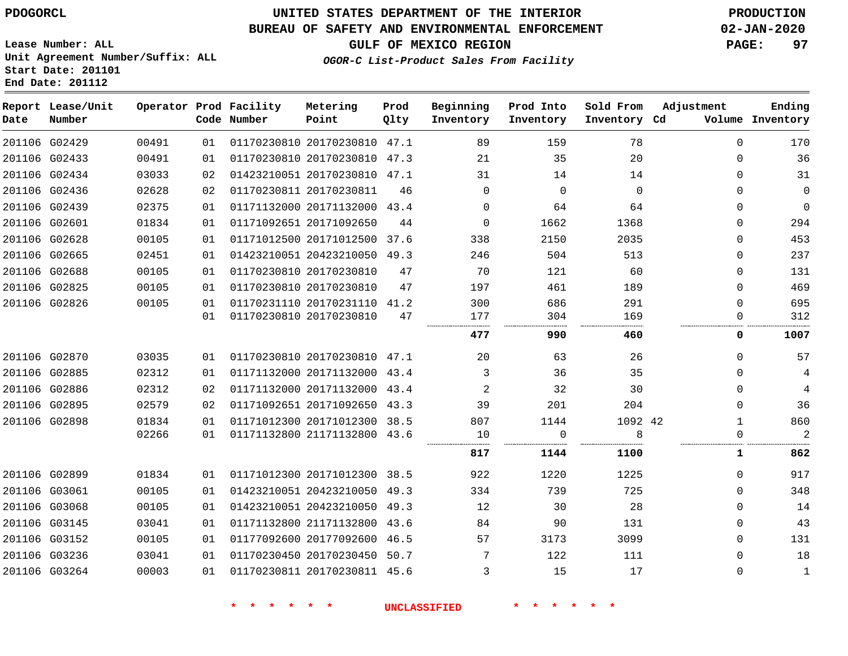G02886 G02895 G02898

 G02899 G03061 G03068 G03145 G03152 G03236 G03264

# **UNITED STATES DEPARTMENT OF THE INTERIOR PDOGORCL PRODUCTION**

#### **BUREAU OF SAFETY AND ENVIRONMENTAL ENFORCEMENT 02-JAN-2020**

**Lease Number: ALL Unit Agreement Number/Suffix: ALL Start Date: 201101 End Date: 201112**

#### **OGOR-C List-Product Sales From Facility**

**GULF OF MEXICO REGION PAGE: 97**

 $\Omega$  $\Omega$  $\Omega$  $\Omega$   $\Omega$ 

 $\Omega$  $\Omega$   $\Omega$  $\Omega$  $\Omega$  $\Omega$ 

| Date | Report Lease/Unit<br>Number |       |    | Operator Prod Facility<br>Code Number | Metering<br>Point            | Prod<br>Qlty | Beginning<br>Inventory | Prod Into<br>Inventory | Sold From<br>Inventory Cd | Adjustment<br>Volume | Ending<br>Inventory |
|------|-----------------------------|-------|----|---------------------------------------|------------------------------|--------------|------------------------|------------------------|---------------------------|----------------------|---------------------|
|      | 201106 G02429               | 00491 | 01 |                                       | 01170230810 20170230810 47.1 |              | 89                     | 159                    | 78                        | $\Omega$             | 170                 |
|      | 201106 G02433               | 00491 | 01 |                                       | 01170230810 20170230810 47.3 |              | 21                     | 35                     | 20                        | $\Omega$             | 36                  |
|      | 201106 G02434               | 03033 | 02 |                                       | 01423210051 20170230810      | 47.1         | 31                     | 14                     | 14                        | $\Omega$             | 31                  |
|      | 201106 G02436               | 02628 | 02 |                                       | 01170230811 20170230811      | 46           | $\Omega$               | $\Omega$               | $\Omega$                  | $\Omega$             | $\mathbf 0$         |
|      | 201106 G02439               | 02375 | 01 |                                       | 01171132000 20171132000      | 43.4         | $\Omega$               | 64                     | 64                        | $\Omega$             | 0                   |
|      | 201106 G02601               | 01834 | 01 |                                       | 01171092651 20171092650      | 44           | $\Omega$               | 1662                   | 1368                      | $\mathbf{0}$         | 294                 |
|      | 201106 G02628               | 00105 | 01 |                                       | 01171012500 20171012500      | 37.6         | 338                    | 2150                   | 2035                      | $\Omega$             | 453                 |
|      | 201106 G02665               | 02451 | 01 |                                       | 01423210051 20423210050      | 49.3         | 246                    | 504                    | 513                       | $\Omega$             | 237                 |
|      | 201106 G02688               | 00105 | 01 |                                       | 01170230810 20170230810      | 47           | 70                     | 121                    | 60                        | $\Omega$             | 131                 |
|      | 201106 G02825               | 00105 | 01 |                                       | 01170230810 20170230810      | 47           | 197                    | 461                    | 189                       | $\Omega$             | 469                 |
|      | 201106 G02826               | 00105 | 01 |                                       | 01170231110 20170231110      | 41.2         | 300                    | 686                    | 291                       | $\Omega$             | 695                 |
|      |                             |       | 01 |                                       | 01170230810 20170230810      | 47           | 177                    | 304                    | 169                       |                      | 312                 |
|      |                             |       |    |                                       |                              |              | 477                    | 990                    | 460                       | 0                    | 1007                |
|      | 201106 G02870               | 03035 | 01 |                                       | 01170230810 20170230810      | 47.1         | 20                     | 63                     | 26                        | $\Omega$             | 57                  |
|      | 201106 G02885               | 02312 | 01 |                                       | 01171132000 20171132000 43.4 |              |                        | 36                     | 35                        | $\Omega$             | 4                   |

20170230811 45.6

 20171132000 43.4 20171092650 43.3 20171012300 38.5 21171132800 43.6

 20171012300 38.5 20423210050 49.3 20423210050 49.3 21171132800 43.6 20177092600 46.5 20170230450 50.7

**\* \* \* \* \* \* UNCLASSIFIED \* \* \* \* \* \***

42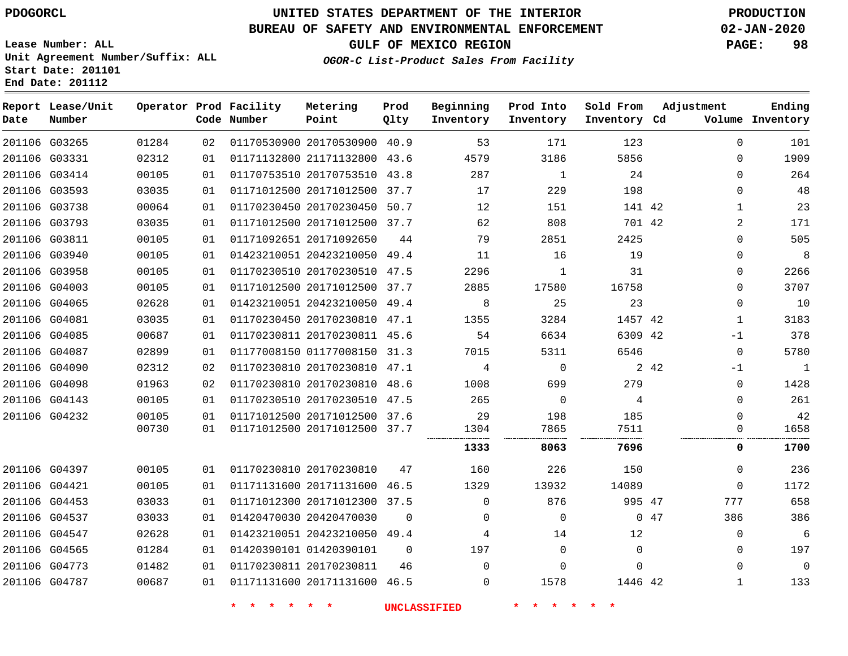**End Date: 201112**

# **UNITED STATES DEPARTMENT OF THE INTERIOR PDOGORCL PRODUCTION**

## **BUREAU OF SAFETY AND ENVIRONMENTAL ENFORCEMENT 02-JAN-2020**

**Lease Number: ALL Unit Agreement Number/Suffix: ALL Start Date: 201101**

**GULF OF MEXICO REGION PAGE: 98**

**OGOR-C List-Product Sales From Facility**

| Date          | Report Lease/Unit<br>Number |       |    | Operator Prod Facility<br>Code Number | Metering<br>Point            | Prod<br>Qlty | Beginning<br>Inventory | Prod Into<br>Inventory | Sold From<br>Inventory Cd |      | Adjustment   | Ending<br>Volume Inventory |
|---------------|-----------------------------|-------|----|---------------------------------------|------------------------------|--------------|------------------------|------------------------|---------------------------|------|--------------|----------------------------|
|               | 201106 G03265               | 01284 | 02 |                                       | 01170530900 20170530900 40.9 |              | 53                     | 171                    | 123                       |      | $\mathbf 0$  | 101                        |
|               | 201106 G03331               | 02312 | 01 |                                       | 01171132800 21171132800 43.6 |              | 4579                   | 3186                   | 5856                      |      | $\Omega$     | 1909                       |
|               | 201106 G03414               | 00105 | 01 |                                       | 01170753510 20170753510      | 43.8         | 287                    | $\mathbf{1}$           | 24                        |      | $\Omega$     | 264                        |
|               | 201106 G03593               | 03035 | 01 |                                       | 01171012500 20171012500 37.7 |              | 17                     | 229                    | 198                       |      | $\Omega$     | 48                         |
|               | 201106 G03738               | 00064 | 01 |                                       | 01170230450 20170230450      | 50.7         | 12                     | 151                    | 141 42                    |      | 1            | 23                         |
|               | 201106 G03793               | 03035 | 01 |                                       | 01171012500 20171012500 37.7 |              | 62                     | 808                    | 701 42                    |      | 2            | 171                        |
|               | 201106 G03811               | 00105 | 01 |                                       | 01171092651 20171092650      | 44           | 79                     | 2851                   | 2425                      |      | $\Omega$     | 505                        |
|               | 201106 G03940               | 00105 | 01 |                                       | 01423210051 20423210050 49.4 |              | 11                     | 16                     | 19                        |      | 0            | 8                          |
|               | 201106 G03958               | 00105 | 01 |                                       | 01170230510 20170230510 47.5 |              | 2296                   | 1                      | 31                        |      | $\Omega$     | 2266                       |
|               | 201106 G04003               | 00105 | 01 |                                       | 01171012500 20171012500 37.7 |              | 2885                   | 17580                  | 16758                     |      | $\Omega$     | 3707                       |
|               | 201106 G04065               | 02628 | 01 |                                       | 01423210051 20423210050 49.4 |              | 8                      | 25                     | 23                        |      | $\mathbf 0$  | 10                         |
|               | 201106 G04081               | 03035 | 01 |                                       | 01170230450 20170230810 47.1 |              | 1355                   | 3284                   | 1457 42                   |      | 1            | 3183                       |
|               | 201106 G04085               | 00687 | 01 |                                       | 01170230811 20170230811 45.6 |              | 54                     | 6634                   | 6309 42                   |      | $-1$         | 378                        |
|               | 201106 G04087               | 02899 | 01 |                                       | 01177008150 01177008150 31.3 |              | 7015                   | 5311                   | 6546                      |      | $\mathbf 0$  | 5780                       |
|               | 201106 G04090               | 02312 | 02 |                                       | 01170230810 20170230810 47.1 |              | 4                      | 0                      |                           | 2 42 | -1           | $\mathbf{1}$               |
|               | 201106 G04098               | 01963 | 02 |                                       | 01170230810 20170230810 48.6 |              | 1008                   | 699                    | 279                       |      | $\mathbf{0}$ | 1428                       |
|               | 201106 G04143               | 00105 | 01 |                                       | 01170230510 20170230510      | 47.5         | 265                    | $\mathbf 0$            | 4                         |      | $\mathbf 0$  | 261                        |
|               | 201106 G04232               | 00105 | 01 |                                       | 01171012500 20171012500 37.6 |              | 29                     | 198                    | 185                       |      | $\Omega$     | 42                         |
|               |                             | 00730 | 01 |                                       | 01171012500 20171012500 37.7 |              | 1304                   | 7865                   | 7511                      |      | $\mathbf{0}$ | 1658                       |
|               |                             |       |    |                                       |                              |              | 1333                   | 8063                   | 7696                      |      | 0            | 1700                       |
|               | 201106 G04397               | 00105 | 01 |                                       | 01170230810 20170230810      | 47           | 160                    | 226                    | 150                       |      | $\Omega$     | 236                        |
| 201106 G04421 |                             | 00105 | 01 |                                       | 01171131600 20171131600      | 46.5         | 1329                   | 13932                  | 14089                     |      | $\Omega$     | 1172                       |
|               | 201106 G04453               | 03033 | 01 |                                       | 01171012300 20171012300      | 37.5         | $\mathbf{0}$           | 876                    | 995 47                    |      | 777          | 658                        |
|               | 201106 G04537               | 03033 | 01 |                                       | 01420470030 20420470030      | $\Omega$     | $\Omega$               | $\Omega$               |                           | 047  | 386          | 386                        |
|               | 201106 G04547               | 02628 | 01 |                                       | 01423210051 20423210050      | 49.4         | 4                      | 14                     | 12                        |      | $\mathbf 0$  | 6                          |
|               | 201106 G04565               | 01284 | 01 |                                       | 01420390101 01420390101      | $\mathbf 0$  | 197                    | $\mathbf 0$            | $\mathbf 0$               |      | $\mathbf{0}$ | 197                        |
|               | 201106 G04773               | 01482 | 01 |                                       | 01170230811 20170230811      | 46           | $\Omega$               | $\Omega$               | $\Omega$                  |      | $\Omega$     | $\Omega$                   |
|               | 201106 G04787               | 00687 | 01 |                                       | 01171131600 20171131600 46.5 |              | 0                      | 1578                   | 1446 42                   |      | 1            | 133                        |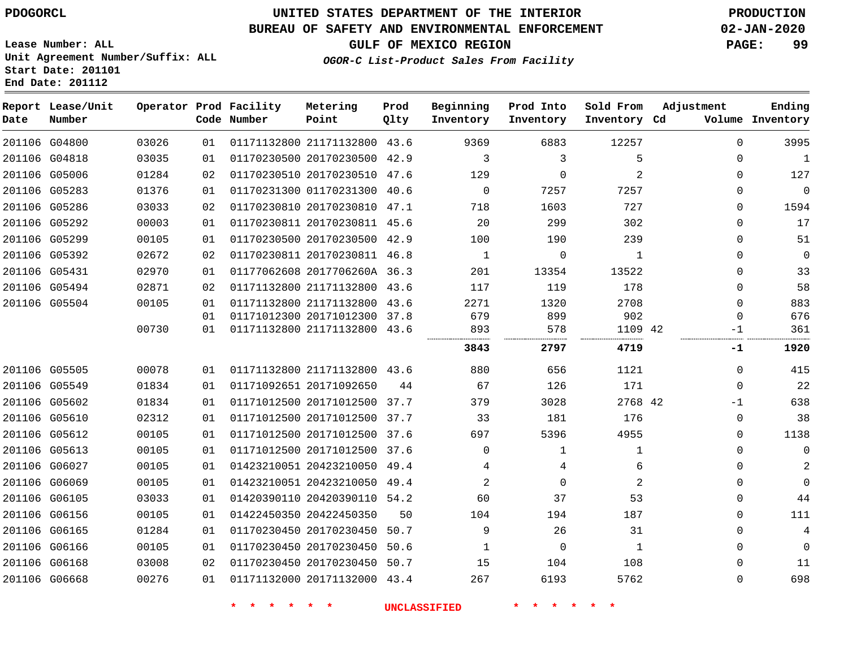#### **BUREAU OF SAFETY AND ENVIRONMENTAL ENFORCEMENT 02-JAN-2020**

**Lease Number: ALL Unit Agreement Number/Suffix: ALL Start Date: 201101 End Date: 201112**

## **OGOR-C List-Product Sales From Facility**

**GULF OF MEXICO REGION PAGE: 99**

| Date          | Report Lease/Unit<br>Number |       |    | Operator Prod Facility<br>Code Number | Metering<br>Point            | Prod<br>Qlty | Beginning<br>Inventory | Prod Into<br>Inventory | Sold From<br>Inventory Cd | Adjustment   | Ending<br>Volume Inventory |
|---------------|-----------------------------|-------|----|---------------------------------------|------------------------------|--------------|------------------------|------------------------|---------------------------|--------------|----------------------------|
|               | 201106 G04800               | 03026 | 01 |                                       | 01171132800 21171132800 43.6 |              | 9369                   | 6883                   | 12257                     | $\mathbf 0$  | 3995                       |
| 201106 G04818 |                             | 03035 | 01 |                                       | 01170230500 20170230500 42.9 |              | 3                      | 3                      | 5                         | $\Omega$     | $\mathbf{1}$               |
|               | 201106 G05006               | 01284 | 02 |                                       | 01170230510 20170230510 47.6 |              | 129                    | $\mathbf 0$            | 2                         | $\Omega$     | 127                        |
| 201106 G05283 |                             | 01376 | 01 |                                       | 01170231300 01170231300 40.6 |              | $\overline{0}$         | 7257                   | 7257                      | $\Omega$     | $\mathbf 0$                |
| 201106 G05286 |                             | 03033 | 02 |                                       | 01170230810 20170230810 47.1 |              | 718                    | 1603                   | 727                       | $\Omega$     | 1594                       |
|               | 201106 G05292               | 00003 | 01 |                                       | 01170230811 20170230811 45.6 |              | 20                     | 299                    | 302                       | $\Omega$     | 17                         |
| 201106 G05299 |                             | 00105 | 01 |                                       | 01170230500 20170230500 42.9 |              | 100                    | 190                    | 239                       | 0            | 51                         |
|               | 201106 G05392               | 02672 | 02 |                                       | 01170230811 20170230811 46.8 |              | $\mathbf{1}$           | 0                      | $\mathbf{1}$              | $\mathbf{0}$ | $\mathbf 0$                |
| 201106 G05431 |                             | 02970 | 01 |                                       | 01177062608 2017706260A 36.3 |              | 201                    | 13354                  | 13522                     | $\Omega$     | 33                         |
|               | 201106 G05494               | 02871 | 02 |                                       | 01171132800 21171132800 43.6 |              | 117                    | 119                    | 178                       | $\Omega$     | 58                         |
| 201106 G05504 |                             | 00105 | 01 |                                       | 01171132800 21171132800 43.6 |              | 2271                   | 1320                   | 2708                      | $\Omega$     | 883                        |
|               |                             |       | 01 |                                       | 01171012300 20171012300 37.8 |              | 679                    | 899                    | 902                       | $\Omega$     | 676                        |
|               |                             | 00730 | 01 |                                       | 01171132800 21171132800 43.6 |              | 893                    | 578                    | 1109 42                   | -1           | 361                        |
|               |                             |       |    |                                       |                              |              | 3843                   | 2797                   | 4719                      | -1           | 1920                       |
| 201106 G05505 |                             | 00078 | 01 |                                       | 01171132800 21171132800 43.6 |              | 880                    | 656                    | 1121                      | 0            | 415                        |
| 201106 G05549 |                             | 01834 | 01 |                                       | 01171092651 20171092650      | 44           | 67                     | 126                    | 171                       | $\mathbf 0$  | 22                         |
|               | 201106 G05602               | 01834 | 01 |                                       | 01171012500 20171012500 37.7 |              | 379                    | 3028                   | 2768 42                   | -1           | 638                        |
|               | 201106 G05610               | 02312 | 01 |                                       | 01171012500 20171012500 37.7 |              | 33                     | 181                    | 176                       | 0            | 38                         |
|               | 201106 G05612               | 00105 | 01 |                                       | 01171012500 20171012500 37.6 |              | 697                    | 5396                   | 4955                      | 0            | 1138                       |
| 201106 G05613 |                             | 00105 | 01 |                                       | 01171012500 20171012500 37.6 |              | $\Omega$               | $\mathbf{1}$           | $\mathbf{1}$              | $\Omega$     | $\mathbf 0$                |
| 201106 G06027 |                             | 00105 | 01 |                                       | 01423210051 20423210050 49.4 |              | 4                      | 4                      | 6                         | $\Omega$     | $\overline{2}$             |
| 201106 G06069 |                             | 00105 | 01 |                                       | 01423210051 20423210050 49.4 |              | 2                      | $\Omega$               | 2                         | $\Omega$     | $\mathbf 0$                |
|               | 201106 G06105               | 03033 | 01 |                                       | 01420390110 20420390110 54.2 |              | 60                     | 37                     | 53                        | 0            | 44                         |
| 201106 G06156 |                             | 00105 | 01 |                                       | 01422450350 20422450350      | 50           | 104                    | 194                    | 187                       | $\Omega$     | 111                        |
| 201106 G06165 |                             | 01284 | 01 |                                       | 01170230450 20170230450      | 50.7         | 9                      | 26                     | 31                        | 0            | 4                          |
|               | 201106 G06166               | 00105 | 01 |                                       | 01170230450 20170230450      | 50.6         | 1                      | 0                      | 1                         | $\mathbf{0}$ | $\mathbf 0$                |
| 201106 G06168 |                             | 03008 | 02 |                                       | 01170230450 20170230450 50.7 |              | 15                     | 104                    | 108                       | $\Omega$     | 11                         |
| 201106 G06668 |                             | 00276 | 01 |                                       | 01171132000 20171132000 43.4 |              | 267                    | 6193                   | 5762                      | $\Omega$     | 698                        |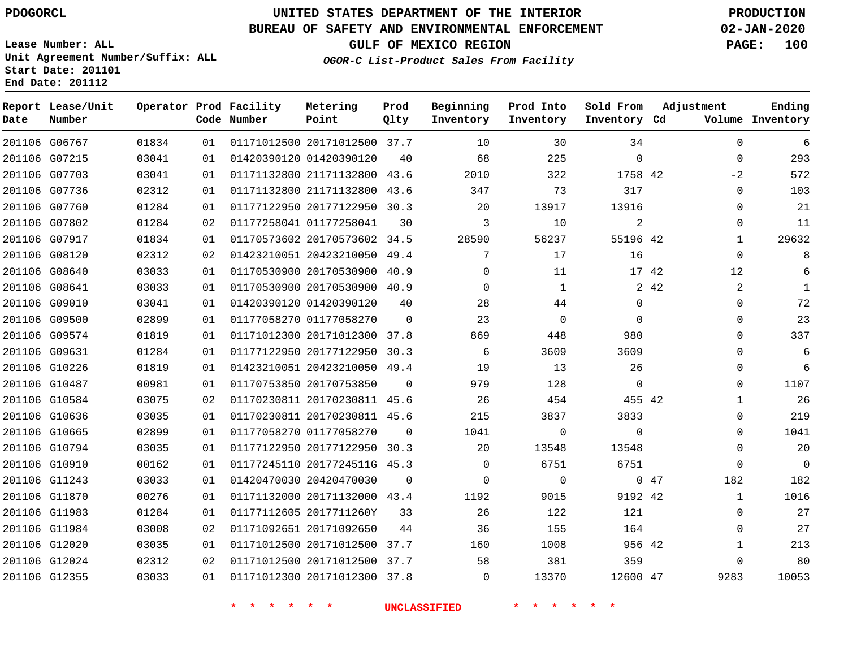G06767

**Report Lease/Unit**

**Number**

 G12024 G12355

**Date**

# **UNITED STATES DEPARTMENT OF THE INTERIOR PDOGORCL PRODUCTION**

**Prod Qlty**

#### **BUREAU OF SAFETY AND ENVIRONMENTAL ENFORCEMENT 02-JAN-2020**

**Lease Number: ALL Unit Agreement Number/Suffix: ALL Start Date: 201101 End Date: 201112**

**Operator Prod Facility**

**Code Number**

20171012500 37.7

**Metering Point**

    **OGOR-C List-Product Sales From Facility**

**Sold From Inventory**

**Prod Into Inventory**

**Beginning Inventory**

**GULF OF MEXICO REGION PAGE: 100**

**Inventory Cd Volume**

**Adjustment**

 

**Ending**

| G07215 | 03041 | 01 | 01420390120 01420390120      | 40       | 68       | 225      | $\Omega$ |       | 0              |
|--------|-------|----|------------------------------|----------|----------|----------|----------|-------|----------------|
| G07703 | 03041 | 01 | 01171132800 21171132800 43.6 |          | 2010     | 322      | 1758 42  |       | $-2$           |
| G07736 | 02312 | 01 | 01171132800 21171132800 43.6 |          | 347      | 73       | 317      |       | 0              |
| G07760 | 01284 | 01 | 01177122950 20177122950 30.3 |          | 20       | 13917    | 13916    |       | 0              |
| G07802 | 01284 | 02 | 01177258041 01177258041      | 30       | 3        | 10       | 2        |       | $\mathbf 0$    |
| G07917 | 01834 | 01 | 01170573602 20170573602 34.5 |          | 28590    | 56237    | 55196 42 |       | 1              |
| G08120 | 02312 | 02 | 01423210051 20423210050      | 49.4     | 7        | 17       | 16       |       | 0              |
| G08640 | 03033 | 01 | 01170530900 20170530900      | 40.9     | 0        | 11       |          | 17 42 | 12             |
| G08641 | 03033 | 01 | 01170530900 20170530900 40.9 |          | 0        | 1        | 2        | 42    | $\overline{a}$ |
| G09010 | 03041 | 01 | 01420390120 01420390120      | 40       | 28       | 44       | $\Omega$ |       | 0              |
| G09500 | 02899 | 01 | 01177058270 01177058270      | $\Omega$ | 23       | $\Omega$ | $\Omega$ |       | 0              |
| G09574 | 01819 | 01 | 01171012300 20171012300      | 37.8     | 869      | 448      | 980      |       | 0              |
| G09631 | 01284 | 01 | 01177122950 20177122950      | 30.3     | 6        | 3609     | 3609     |       | 0              |
| G10226 | 01819 | 01 | 01423210051 20423210050 49.4 |          | 19       | 13       | 26       |       | 0              |
| G10487 | 00981 | 01 | 01170753850 20170753850      | $\Omega$ | 979      | 128      | $\Omega$ |       | 0              |
| G10584 | 03075 | 02 | 01170230811 20170230811      | 45.6     | 26       | 454      | 455 42   |       | 1              |
| G10636 | 03035 | 01 | 01170230811 20170230811 45.6 |          | 215      | 3837     | 3833     |       | 0              |
| G10665 | 02899 | 01 | 01177058270 01177058270      | $\Omega$ | 1041     | 0        | $\Omega$ |       | 0              |
| G10794 | 03035 | 01 | 01177122950 20177122950 30.3 |          | 20       | 13548    | 13548    |       | 0              |
| G10910 | 00162 | 01 | 01177245110 2017724511G 45.3 |          | 0        | 6751     | 6751     |       | 0              |
| G11243 | 03033 | 01 | 01420470030 20420470030      | $\Omega$ | $\Omega$ | $\Omega$ | $\Omega$ | 47    | 182            |
| G11870 | 00276 | 01 | 01171132000 20171132000 43.4 |          | 1192     | 9015     | 9192 42  |       | 1              |
| G11983 | 01284 | 01 | 01177112605 2017711260Y      | 33       | 26       | 122      | 121      |       | 0              |
| G11984 | 03008 | 02 | 01171092651 20171092650      | 44       | 36       | 155      | 164      |       | 0              |
| G12020 | 03035 | 01 | 01171012500 20171012500 37.7 |          | 160      | 1008     | 956 42   |       | 1              |

**\* \* \* \* \* \* UNCLASSIFIED \* \* \* \* \* \***

 20171012500 37.7 20171012300 37.8

  $\Omega$ 

 

47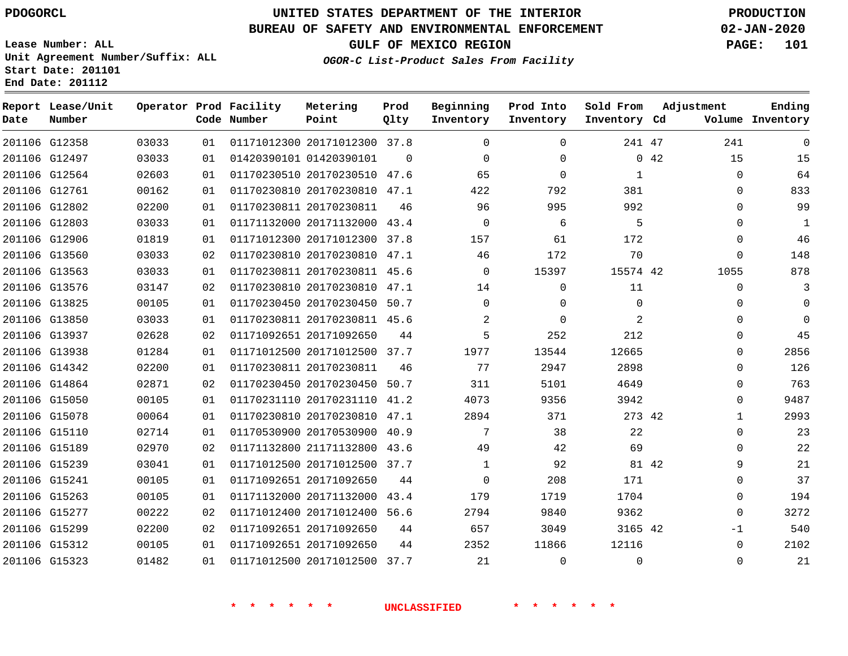## **BUREAU OF SAFETY AND ENVIRONMENTAL ENFORCEMENT 02-JAN-2020**

**Lease Number: ALL Unit Agreement Number/Suffix: ALL Start Date: 201101 End Date: 201112**

**OGOR-C List-Product Sales From Facility**

**GULF OF MEXICO REGION PAGE: 101**

|  | OGOR-C List-Product Sales From Facility |  |  |
|--|-----------------------------------------|--|--|
|  |                                         |  |  |

| Date | Report Lease/Unit<br>Number |       |    | Operator Prod Facility<br>Code Number | Metering<br>Point            | Prod<br>Qlty | Beginning<br>Inventory | Prod Into<br>Inventory | Sold From<br>Inventory Cd | Adjustment   | Ending<br>Volume Inventory |
|------|-----------------------------|-------|----|---------------------------------------|------------------------------|--------------|------------------------|------------------------|---------------------------|--------------|----------------------------|
|      | 201106 G12358               | 03033 | 01 |                                       | 01171012300 20171012300 37.8 |              | $\Omega$               | $\Omega$               | 241 47                    | 241          | $\mathbf 0$                |
|      | 201106 G12497               | 03033 | 01 |                                       | 01420390101 01420390101      | $\Omega$     | $\Omega$               | $\Omega$               |                           | 15<br>0.42   | 15                         |
|      | 201106 G12564               | 02603 | 01 |                                       | 01170230510 20170230510 47.6 |              | 65                     | $\Omega$               | 1                         | 0            | 64                         |
|      | 201106 G12761               | 00162 | 01 |                                       | 01170230810 20170230810 47.1 |              | 422                    | 792                    | 381                       | 0            | 833                        |
|      | 201106 G12802               | 02200 | 01 | 01170230811 20170230811               |                              | 46           | 96                     | 995                    | 992                       | $\Omega$     | 99                         |
|      | 201106 G12803               | 03033 | 01 |                                       | 01171132000 20171132000      | 43.4         | $\mathbf 0$            | 6                      | 5                         | 0            | 1                          |
|      | 201106 G12906               | 01819 | 01 |                                       | 01171012300 20171012300 37.8 |              | 157                    | 61                     | 172                       | $\Omega$     | 46                         |
|      | 201106 G13560               | 03033 | 02 |                                       | 01170230810 20170230810      | 47.1         | 46                     | 172                    | 70                        | 0            | 148                        |
|      | 201106 G13563               | 03033 | 01 |                                       | 01170230811 20170230811 45.6 |              | $\Omega$               | 15397                  | 15574 42                  | 1055         | 878                        |
|      | 201106 G13576               | 03147 | 02 |                                       | 01170230810 20170230810      | 47.1         | 14                     | 0                      | 11                        | 0            | 3                          |
|      | 201106 G13825               | 00105 | 01 |                                       | 01170230450 20170230450      | 50.7         | $\Omega$               | $\Omega$               | $\Omega$                  | 0            | $\mathbf 0$                |
|      | 201106 G13850               | 03033 | 01 |                                       | 01170230811 20170230811 45.6 |              | 2                      | $\Omega$               | 2                         | $\Omega$     | $\Omega$                   |
|      | 201106 G13937               | 02628 | 02 |                                       | 01171092651 20171092650      | 44           | 5                      | 252                    | 212                       | 0            | 45                         |
|      | 201106 G13938               | 01284 | 01 |                                       | 01171012500 20171012500 37.7 |              | 1977                   | 13544                  | 12665                     | $\Omega$     | 2856                       |
|      | 201106 G14342               | 02200 | 01 | 01170230811 20170230811               |                              | 46           | 77                     | 2947                   | 2898                      | 0            | 126                        |
|      | 201106 G14864               | 02871 | 02 |                                       | 01170230450 20170230450 50.7 |              | 311                    | 5101                   | 4649                      | 0            | 763                        |
|      | 201106 G15050               | 00105 | 01 |                                       | 01170231110 20170231110      | 41.2         | 4073                   | 9356                   | 3942                      | $\Omega$     | 9487                       |
|      | 201106 G15078               | 00064 | 01 |                                       | 01170230810 20170230810 47.1 |              | 2894                   | 371                    | 273 42                    | $\mathbf{1}$ | 2993                       |
|      | 201106 G15110               | 02714 | 01 |                                       | 01170530900 20170530900      | 40.9         | 7                      | 38                     | 22                        | 0            | 23                         |
|      | 201106 G15189               | 02970 | 02 |                                       | 01171132800 21171132800 43.6 |              | 49                     | 42                     | 69                        | 0            | 22                         |
|      | 201106 G15239               | 03041 | 01 |                                       | 01171012500 20171012500      | 37.7         | 1                      | 92                     | 81 42                     | 9            | 21                         |
|      | 201106 G15241               | 00105 | 01 | 01171092651 20171092650               |                              | 44           | 0                      | 208                    | 171                       | 0            | 37                         |
|      | 201106 G15263               | 00105 | 01 |                                       | 01171132000 20171132000      | 43.4         | 179                    | 1719                   | 1704                      | 0            | 194                        |
|      | 201106 G15277               | 00222 | 02 |                                       | 01171012400 20171012400      | 56.6         | 2794                   | 9840                   | 9362                      | $\Omega$     | 3272                       |
|      | 201106 G15299               | 02200 | 02 |                                       | 01171092651 20171092650      | 44           | 657                    | 3049                   | 3165 42                   | $-1$         | 540                        |
|      | 201106 G15312               | 00105 | 01 |                                       | 01171092651 20171092650      | 44           | 2352                   | 11866                  | 12116                     | 0            | 2102                       |
|      | 201106 G15323               | 01482 | 01 |                                       | 01171012500 20171012500 37.7 |              | 21                     | $\mathbf 0$            | $\mathbf 0$               | 0            | 21                         |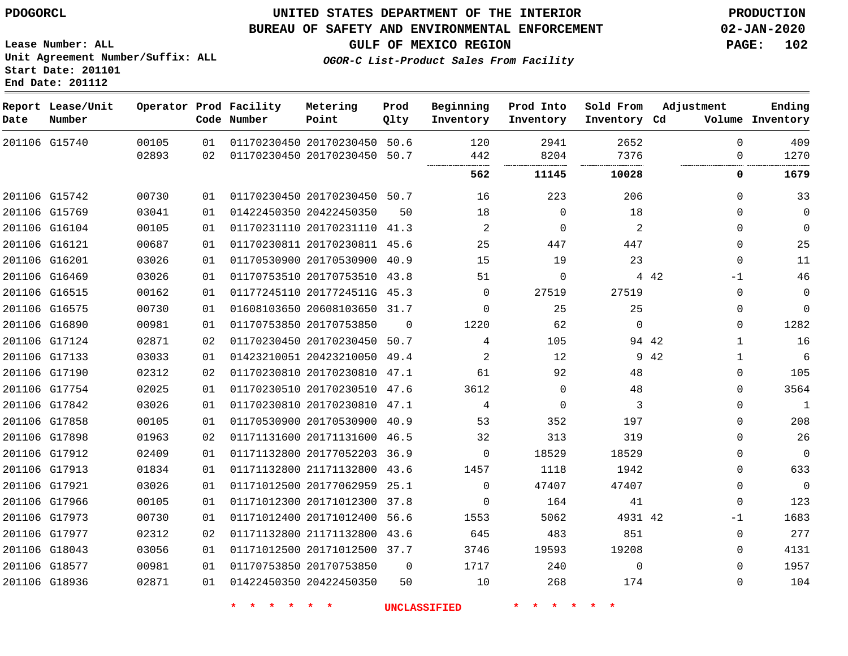**Lease Number: ALL**

**Start Date: 201101 End Date: 201112**

## **UNITED STATES DEPARTMENT OF THE INTERIOR PDOGORCL PRODUCTION**

#### **BUREAU OF SAFETY AND ENVIRONMENTAL ENFORCEMENT 02-JAN-2020**

**Unit Agreement Number/Suffix: ALL**

**GULF OF MEXICO REGION PAGE: 102**

**OGOR-C List-Product Sales From Facility**

| Date          | Report Lease/Unit<br>Number |       |    | Operator Prod Facility<br>Code Number | Metering<br>Point            | Prod<br>Qlty | Beginning<br>Inventory | Prod Into<br>Inventory | Sold From<br>Inventory Cd | Adjustment   | Ending<br>Volume Inventory |
|---------------|-----------------------------|-------|----|---------------------------------------|------------------------------|--------------|------------------------|------------------------|---------------------------|--------------|----------------------------|
| 201106 G15740 |                             | 00105 | 01 |                                       | 01170230450 20170230450 50.6 |              | 120                    | 2941                   | 2652                      | $\Omega$     | 409                        |
|               |                             | 02893 | 02 | 01170230450 20170230450               |                              | 50.7         | 442                    | 8204                   | 7376                      | $\Omega$     | 1270                       |
|               |                             |       |    |                                       |                              |              | 562                    | 11145                  | 10028                     | 0            | 1679                       |
|               | 201106 G15742               | 00730 | 01 |                                       | 01170230450 20170230450 50.7 |              | 16                     | 223                    | 206                       | $\Omega$     | 33                         |
| 201106 G15769 |                             | 03041 | 01 | 01422450350 20422450350               |                              | 50           | 18                     | $\mathbf 0$            | 18                        | 0            | $\mathbf 0$                |
| 201106 G16104 |                             | 00105 | 01 |                                       | 01170231110 20170231110 41.3 |              | $\overline{2}$         | $\Omega$               | 2                         | $\Omega$     | $\mathbf 0$                |
| 201106 G16121 |                             | 00687 | 01 |                                       | 01170230811 20170230811 45.6 |              | 25                     | 447                    | 447                       | 0            | 25                         |
| 201106 G16201 |                             | 03026 | 01 |                                       | 01170530900 20170530900 40.9 |              | 15                     | 19                     | 23                        | $\mathbf 0$  | 11                         |
| 201106 G16469 |                             | 03026 | 01 |                                       | 01170753510 20170753510 43.8 |              | 51                     | $\Omega$               |                           | 4 4 2<br>-1  | 46                         |
| 201106 G16515 |                             | 00162 | 01 |                                       | 01177245110 2017724511G 45.3 |              | $\Omega$               | 27519                  | 27519                     | $\Omega$     | $\mathbf 0$                |
| 201106 G16575 |                             | 00730 | 01 |                                       | 01608103650 20608103650 31.7 |              | $\Omega$               | 25                     | 25                        | $\Omega$     | $\Omega$                   |
| 201106 G16890 |                             | 00981 | 01 | 01170753850 20170753850               |                              | $\Omega$     | 1220                   | 62                     | $\Omega$                  | $\Omega$     | 1282                       |
|               | 201106 G17124               | 02871 | 02 |                                       | 01170230450 20170230450      | 50.7         | 4                      | 105                    | 94 42                     | $\mathbf{1}$ | 16                         |
| 201106 G17133 |                             | 03033 | 01 |                                       | 01423210051 20423210050 49.4 |              | $\overline{2}$         | 12                     |                           | 9 42<br>1    | 6                          |
| 201106 G17190 |                             | 02312 | 02 |                                       | 01170230810 20170230810 47.1 |              | 61                     | 92                     | 48                        | $\Omega$     | 105                        |
| 201106 G17754 |                             | 02025 | 01 |                                       | 01170230510 20170230510 47.6 |              | 3612                   | $\Omega$               | 48                        | $\Omega$     | 3564                       |
| 201106 G17842 |                             | 03026 | 01 |                                       | 01170230810 20170230810 47.1 |              | 4                      | $\Omega$               | 3                         | $\Omega$     | $\mathbf{1}$               |
| 201106 G17858 |                             | 00105 | 01 |                                       | 01170530900 20170530900 40.9 |              | 53                     | 352                    | 197                       | $\Omega$     | 208                        |
| 201106 G17898 |                             | 01963 | 02 |                                       | 01171131600 20171131600 46.5 |              | 32                     | 313                    | 319                       | $\Omega$     | 26                         |
|               | 201106 G17912               | 02409 | 01 |                                       | 01171132800 20177052203 36.9 |              | $\Omega$               | 18529                  | 18529                     | $\Omega$     | $\overline{0}$             |
| 201106 G17913 |                             | 01834 | 01 |                                       | 01171132800 21171132800 43.6 |              | 1457                   | 1118                   | 1942                      | $\Omega$     | 633                        |
| 201106 G17921 |                             | 03026 | 01 |                                       | 01171012500 20177062959 25.1 |              | $\Omega$               | 47407                  | 47407                     | $\Omega$     | $\mathbf 0$                |
| 201106 G17966 |                             | 00105 | 01 |                                       | 01171012300 20171012300 37.8 |              | $\Omega$               | 164                    | 41                        | 0            | 123                        |
| 201106 G17973 |                             | 00730 | 01 |                                       | 01171012400 20171012400 56.6 |              | 1553                   | 5062                   | 4931 42                   | -1           | 1683                       |
| 201106 G17977 |                             | 02312 | 02 |                                       | 01171132800 21171132800 43.6 |              | 645                    | 483                    | 851                       | 0            | 277                        |
| 201106 G18043 |                             | 03056 | 01 |                                       | 01171012500 20171012500 37.7 |              | 3746                   | 19593                  | 19208                     | $\Omega$     | 4131                       |
|               | 201106 G18577               | 00981 | 01 | 01170753850 20170753850               |                              | $\mathbf 0$  | 1717                   | 240                    | $\Omega$                  | $\Omega$     | 1957                       |
| 201106 G18936 |                             | 02871 | 01 | 01422450350 20422450350               |                              | 50           | 10                     | 268                    | 174                       | $\Omega$     | 104                        |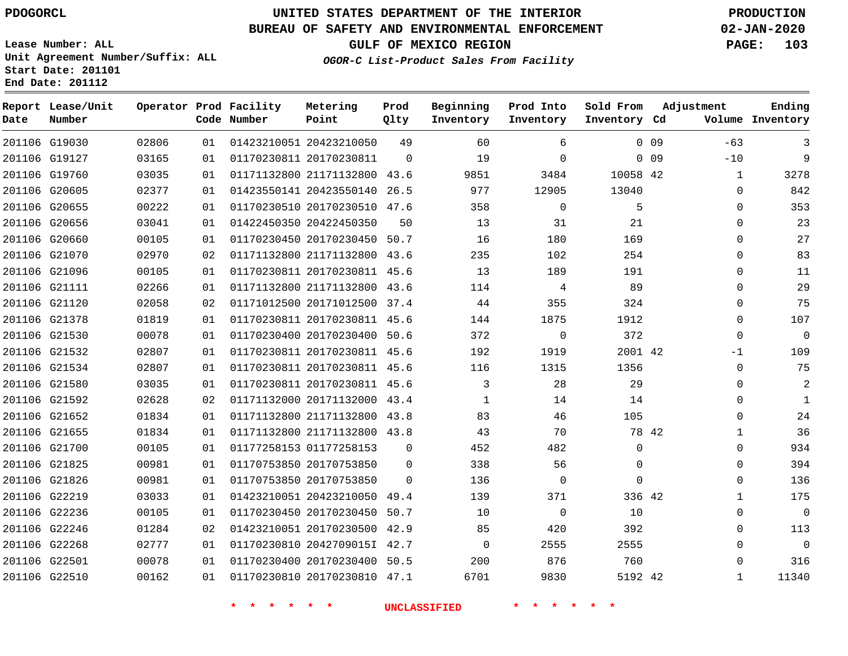## **BUREAU OF SAFETY AND ENVIRONMENTAL ENFORCEMENT 02-JAN-2020**

**Lease Number: ALL Unit Agreement Number/Suffix: ALL Start Date: 201101 End Date: 201112**

**GULF OF MEXICO REGION PAGE: 103**

| Date          | Report Lease/Unit<br>Number |       |    | Operator Prod Facility<br>Code Number | Metering<br>Point            | Prod<br>Qlty | Beginning<br>Inventory | Prod Into<br>Inventory | Sold From<br>Inventory Cd |      | Adjustment   | Ending<br>Volume Inventory |
|---------------|-----------------------------|-------|----|---------------------------------------|------------------------------|--------------|------------------------|------------------------|---------------------------|------|--------------|----------------------------|
|               | 201106 G19030               | 02806 | 01 |                                       | 01423210051 20423210050      | 49           | 60                     | 6                      |                           | 0.09 | $-63$        | 3                          |
|               | 201106 G19127               | 03165 | 01 |                                       | 01170230811 20170230811      | $\Omega$     | 19                     | $\Omega$               |                           | 0.09 | $-10$        | 9                          |
|               | 201106 G19760               | 03035 | 01 |                                       | 01171132800 21171132800 43.6 |              | 9851                   | 3484                   | 10058 42                  |      | $\mathbf{1}$ | 3278                       |
| 201106 G20605 |                             | 02377 | 01 |                                       | 01423550141 20423550140      | 26.5         | 977                    | 12905                  | 13040                     |      | $\Omega$     | 842                        |
|               | 201106 G20655               | 00222 | 01 |                                       | 01170230510 20170230510 47.6 |              | 358                    | $\Omega$               | 5                         |      | $\Omega$     | 353                        |
|               | 201106 G20656               | 03041 | 01 |                                       | 01422450350 20422450350      | 50           | 13                     | 31                     | 21                        |      | $\mathbf{0}$ | 23                         |
|               | 201106 G20660               | 00105 | 01 |                                       | 01170230450 20170230450 50.7 |              | 16                     | 180                    | 169                       |      | $\Omega$     | 27                         |
|               | 201106 G21070               | 02970 | 02 |                                       | 01171132800 21171132800 43.6 |              | 235                    | 102                    | 254                       |      | $\Omega$     | 83                         |
|               | 201106 G21096               | 00105 | 01 |                                       | 01170230811 20170230811 45.6 |              | 13                     | 189                    | 191                       |      | $\mathbf{0}$ | 11                         |
|               | 201106 G21111               | 02266 | 01 |                                       | 01171132800 21171132800 43.6 |              | 114                    | 4                      | 89                        |      | $\Omega$     | 29                         |
|               | 201106 G21120               | 02058 | 02 |                                       | 01171012500 20171012500 37.4 |              | 44                     | 355                    | 324                       |      | $\Omega$     | 75                         |
|               | 201106 G21378               | 01819 | 01 |                                       | 01170230811 20170230811 45.6 |              | 144                    | 1875                   | 1912                      |      | $\mathbf 0$  | 107                        |
| 201106 G21530 |                             | 00078 | 01 |                                       | 01170230400 20170230400 50.6 |              | 372                    | $\mathbf 0$            | 372                       |      | $\Omega$     | $\Omega$                   |
|               | 201106 G21532               | 02807 | 01 |                                       | 01170230811 20170230811 45.6 |              | 192                    | 1919                   | 2001 42                   |      | $-1$         | 109                        |
| 201106 G21534 |                             | 02807 | 01 |                                       | 01170230811 20170230811 45.6 |              | 116                    | 1315                   | 1356                      |      | $\mathbf 0$  | 75                         |
|               | 201106 G21580               | 03035 | 01 |                                       | 01170230811 20170230811 45.6 |              | 3                      | 28                     | 29                        |      | $\Omega$     | $\overline{2}$             |
|               | 201106 G21592               | 02628 | 02 |                                       | 01171132000 20171132000 43.4 |              | 1                      | 14                     | 14                        |      | $\Omega$     | 1                          |
|               | 201106 G21652               | 01834 | 01 |                                       | 01171132800 21171132800 43.8 |              | 83                     | 46                     | 105                       |      | $\Omega$     | 24                         |
| 201106 G21655 |                             | 01834 | 01 |                                       | 01171132800 21171132800 43.8 |              | 43                     | 70                     | 78 42                     |      | $\mathbf 1$  | 36                         |
|               | 201106 G21700               | 00105 | 01 |                                       | 01177258153 01177258153      | 0            | 452                    | 482                    | $\mathbf{0}$              |      | $\mathbf 0$  | 934                        |
| 201106 G21825 |                             | 00981 | 01 |                                       | 01170753850 20170753850      | $\mathbf 0$  | 338                    | 56                     | $\mathbf 0$               |      | $\mathbf 0$  | 394                        |
|               | 201106 G21826               | 00981 | 01 |                                       | 01170753850 20170753850      | $\Omega$     | 136                    | $\Omega$               | $\Omega$                  |      | $\Omega$     | 136                        |
|               | 201106 G22219               | 03033 | 01 |                                       | 01423210051 20423210050 49.4 |              | 139                    | 371                    | 336 42                    |      | $\mathbf{1}$ | 175                        |
|               | 201106 G22236               | 00105 | 01 |                                       | 01170230450 20170230450 50.7 |              | 10                     | $\mathbf 0$            | 10                        |      | $\mathbf{0}$ | $\mathbf 0$                |
|               | 201106 G22246               | 01284 | 02 |                                       | 01423210051 20170230500 42.9 |              | 85                     | 420                    | 392                       |      | $\Omega$     | 113                        |
| 201106 G22268 |                             | 02777 | 01 |                                       | 01170230810 2042709015I 42.7 |              | $\overline{0}$         | 2555                   | 2555                      |      | $\Omega$     | $\mathbf 0$                |
|               | 201106 G22501               | 00078 | 01 |                                       | 01170230400 20170230400 50.5 |              | 200                    | 876                    | 760                       |      | $\mathbf 0$  | 316                        |
| 201106 G22510 |                             | 00162 | 01 |                                       | 01170230810 20170230810 47.1 |              | 6701                   | 9830                   | 5192 42                   |      | $\mathbf{1}$ | 11340                      |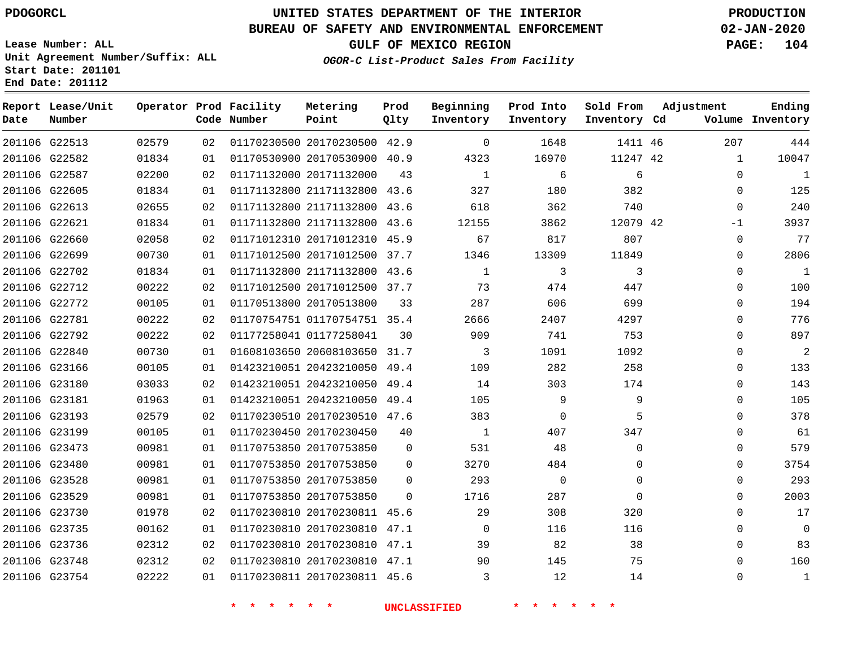**Report Lease/Unit**

# **UNITED STATES DEPARTMENT OF THE INTERIOR PDOGORCL PRODUCTION**

**Prod**

## **BUREAU OF SAFETY AND ENVIRONMENTAL ENFORCEMENT 02-JAN-2020**

**Lease Number: ALL Unit Agreement Number/Suffix: ALL Start Date: 201101 End Date: 201112**

**GULF OF MEXICO REGION PAGE: 104**

**Adjustment**

**Ending**

**OGOR-C List-Product Sales From Facility**

**Beginning Prod Into Sold From**

| Date | Number        |       |                 | Code Number             | Point                        | Qlty        | Inventory    | Inventory   | Inventory Cd |              | Volume Inventory |
|------|---------------|-------|-----------------|-------------------------|------------------------------|-------------|--------------|-------------|--------------|--------------|------------------|
|      | 201106 G22513 | 02579 | 02              |                         | 01170230500 20170230500 42.9 |             | $\mathbf 0$  | 1648        | 1411 46      | 207          | 444              |
|      | 201106 G22582 | 01834 | 01              |                         | 01170530900 20170530900 40.9 |             | 4323         | 16970       | 11247 42     | $\mathbf{1}$ | 10047            |
|      | 201106 G22587 | 02200 | 02              |                         | 01171132000 20171132000      | 43          | 1            | 6           | 6            | $\Omega$     | $\mathbf{1}$     |
|      | 201106 G22605 | 01834 | 01              |                         | 01171132800 21171132800 43.6 |             | 327          | 180         | 382          | $\mathbf 0$  | 125              |
|      | 201106 G22613 | 02655 | 02              |                         | 01171132800 21171132800 43.6 |             | 618          | 362         | 740          | $\mathbf 0$  | 240              |
|      | 201106 G22621 | 01834 | 01              |                         | 01171132800 21171132800 43.6 |             | 12155        | 3862        | 12079 42     | $-1$         | 3937             |
|      | 201106 G22660 | 02058 | 02 <sub>o</sub> |                         | 01171012310 20171012310 45.9 |             | 67           | 817         | 807          | $\Omega$     | 77               |
|      | 201106 G22699 | 00730 | 01              |                         | 01171012500 20171012500 37.7 |             | 1346         | 13309       | 11849        | $\Omega$     | 2806             |
|      | 201106 G22702 | 01834 | 01              |                         | 01171132800 21171132800 43.6 |             | $\mathbf{1}$ | 3           | 3            | $\Omega$     | $\mathbf{1}$     |
|      | 201106 G22712 | 00222 | 02              |                         | 01171012500 20171012500 37.7 |             | 73           | 474         | 447          | $\mathbf 0$  | 100              |
|      | 201106 G22772 | 00105 | 01              |                         | 01170513800 20170513800      | 33          | 287          | 606         | 699          | $\mathbf 0$  | 194              |
|      | 201106 G22781 | 00222 | 02              |                         | 01170754751 01170754751 35.4 |             | 2666         | 2407        | 4297         | $\mathbf 0$  | 776              |
|      | 201106 G22792 | 00222 | 02              | 01177258041 01177258041 |                              | 30          | 909          | 741         | 753          | $\mathbf 0$  | 897              |
|      | 201106 G22840 | 00730 | 01              |                         | 01608103650 20608103650 31.7 |             | 3            | 1091        | 1092         | $\Omega$     | 2                |
|      | 201106 G23166 | 00105 | 01              |                         | 01423210051 20423210050 49.4 |             | 109          | 282         | 258          | $\mathbf 0$  | 133              |
|      | 201106 G23180 | 03033 | 02              |                         | 01423210051 20423210050 49.4 |             | 14           | 303         | 174          | $\mathbf 0$  | 143              |
|      | 201106 G23181 | 01963 | 01              |                         | 01423210051 20423210050 49.4 |             | 105          | 9           | 9            | $\Omega$     | 105              |
|      | 201106 G23193 | 02579 | 02              |                         | 01170230510 20170230510 47.6 |             | 383          | $\mathbf 0$ | 5            | $\mathbf 0$  | 378              |
|      | 201106 G23199 | 00105 | 01              |                         | 01170230450 20170230450      | 40          | 1            | 407         | 347          | $\mathbf 0$  | 61               |
|      | 201106 G23473 | 00981 | 01              |                         | 01170753850 20170753850      | $\mathbf 0$ | 531          | 48          | $\mathbf 0$  | $\mathbf 0$  | 579              |
|      | 201106 G23480 | 00981 | 01              |                         | 01170753850 20170753850      | 0           | 3270         | 484         | $\mathbf 0$  | $\mathbf 0$  | 3754             |
|      | 201106 G23528 | 00981 | 01              |                         | 01170753850 20170753850      | $\Omega$    | 293          | $\Omega$    | $\Omega$     | $\mathbf 0$  | 293              |
|      | 201106 G23529 | 00981 | 01              |                         | 01170753850 20170753850      | $\Omega$    | 1716         | 287         | $\Omega$     | $\Omega$     | 2003             |
|      | 201106 G23730 | 01978 | 02              |                         | 01170230810 20170230811 45.6 |             | 29           | 308         | 320          | $\Omega$     | 17               |
|      | 201106 G23735 | 00162 | 01              |                         | 01170230810 20170230810 47.1 |             | $\Omega$     | 116         | 116          | $\Omega$     | $\mathbf 0$      |
|      | 201106 G23736 | 02312 | 02              |                         | 01170230810 20170230810 47.1 |             | 39           | 82          | 38           | $\mathbf 0$  | 83               |
|      | 201106 G23748 | 02312 | 02              |                         | 01170230810 20170230810 47.1 |             | 90           | 145         | 75           | $\mathbf 0$  | 160              |
|      | 201106 G23754 | 02222 | 01              |                         | 01170230811 20170230811 45.6 |             | 3            | 12          | 14           | 0            | $\mathbf{1}$     |

**\* \* \* \* \* \* UNCLASSIFIED \* \* \* \* \* \***

**Operator Prod Facility Metering**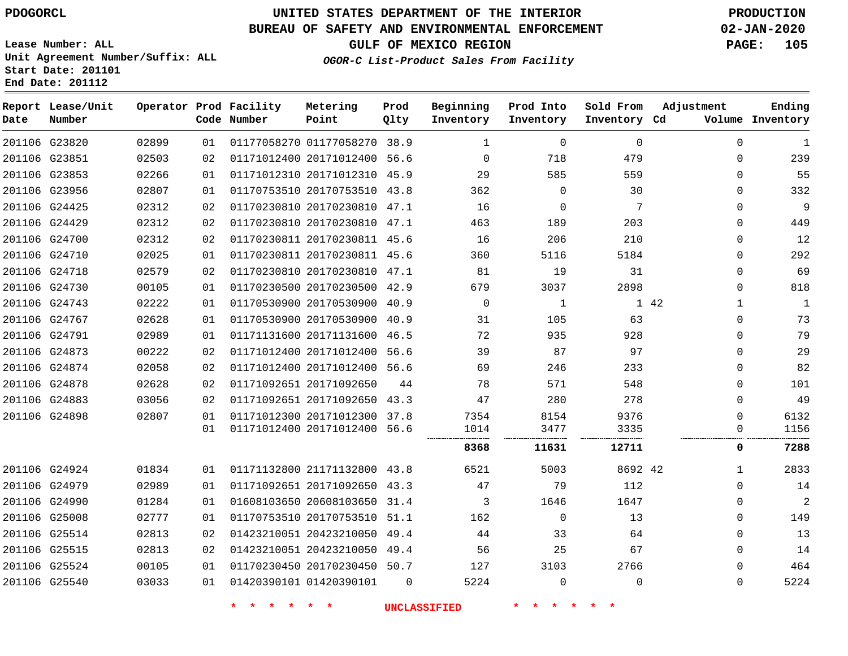**Prod**

## **BUREAU OF SAFETY AND ENVIRONMENTAL ENFORCEMENT 02-JAN-2020**

**Lease Number: ALL Unit Agreement Number/Suffix: ALL Start Date: 201101 End Date: 201112**

**OGOR-C List-Product Sales From Facility**

**GULF OF MEXICO REGION PAGE: 105**

**Adjustment**

**Ending**

| Date | Report Lease/Unit<br>Number |       |    | Operator Prod Facility<br>Code Number | Metering<br>Point            | Prod<br>Qlty | Beginning<br>Inventory | Prod Into<br>Inventory | Sold From<br>Inventory Cd | Adjustment  | Ending<br>Volume Inventory |
|------|-----------------------------|-------|----|---------------------------------------|------------------------------|--------------|------------------------|------------------------|---------------------------|-------------|----------------------------|
|      | 201106 G23820               | 02899 | 01 |                                       | 01177058270 01177058270 38.9 |              | $\mathbf{1}$           | 0                      | 0                         | $\mathbf 0$ | $\mathbf{1}$               |
|      | 201106 G23851               | 02503 | 02 |                                       | 01171012400 20171012400 56.6 |              | $\mathbf 0$            | 718                    | 479                       | $\mathbf 0$ | 239                        |
|      | 201106 G23853               | 02266 | 01 |                                       | 01171012310 20171012310 45.9 |              | 29                     | 585                    | 559                       | $\Omega$    | 55                         |
|      | 201106 G23956               | 02807 | 01 |                                       | 01170753510 20170753510 43.8 |              | 362                    | 0                      | 30                        | $\mathbf 0$ | 332                        |
|      | 201106 G24425               | 02312 | 02 |                                       | 01170230810 20170230810 47.1 |              | 16                     | $\Omega$               | 7                         | $\Omega$    | 9                          |
|      | 201106 G24429               | 02312 | 02 |                                       | 01170230810 20170230810 47.1 |              | 463                    | 189                    | 203                       | $\mathbf 0$ | 449                        |
|      | 201106 G24700               | 02312 | 02 |                                       | 01170230811 20170230811 45.6 |              | 16                     | 206                    | 210                       | $\mathbf 0$ | 12                         |
|      | 201106 G24710               | 02025 | 01 |                                       | 01170230811 20170230811 45.6 |              | 360                    | 5116                   | 5184                      | $\mathbf 0$ | 292                        |
|      | 201106 G24718               | 02579 | 02 |                                       | 01170230810 20170230810 47.1 |              | 81                     | 19                     | 31                        | $\Omega$    | 69                         |
|      | 201106 G24730               | 00105 | 01 |                                       | 01170230500 20170230500 42.9 |              | 679                    | 3037                   | 2898                      | $\Omega$    | 818                        |
|      | 201106 G24743               | 02222 | 01 |                                       | 01170530900 20170530900 40.9 |              | $\mathbf 0$            | 1                      |                           | 1 42<br>1   | $\mathbf{1}$               |
|      | 201106 G24767               | 02628 | 01 |                                       | 01170530900 20170530900 40.9 |              | 31                     | 105                    | 63                        | $\mathbf 0$ | 73                         |
|      | 201106 G24791               | 02989 | 01 |                                       | 01171131600 20171131600 46.5 |              | 72                     | 935                    | 928                       | $\Omega$    | 79                         |
|      | 201106 G24873               | 00222 | 02 |                                       | 01171012400 20171012400      | 56.6         | 39                     | 87                     | 97                        | $\Omega$    | 29                         |
|      | 201106 G24874               | 02058 | 02 |                                       | 01171012400 20171012400 56.6 |              | 69                     | 246                    | 233                       | $\Omega$    | 82                         |
|      | 201106 G24878               | 02628 | 02 |                                       | 01171092651 20171092650      | 44           | 78                     | 571                    | 548                       | $\mathbf 0$ | 101                        |
|      | 201106 G24883               | 03056 | 02 |                                       | 01171092651 20171092650 43.3 |              | 47                     | 280                    | 278                       | $\mathbf 0$ | 49                         |
|      | 201106 G24898               | 02807 | 01 |                                       | 01171012300 20171012300 37.8 |              | 7354                   | 8154                   | 9376                      | $\mathbf 0$ | 6132                       |
|      |                             |       | 01 |                                       | 01171012400 20171012400 56.6 |              | 1014                   | 3477                   | 3335                      | 0           | 1156                       |
|      |                             |       |    |                                       |                              |              | 8368                   | 11631                  | 12711                     | 0           | 7288                       |
|      | 201106 G24924               | 01834 | 01 |                                       | 01171132800 21171132800 43.8 |              | 6521                   | 5003                   | 8692 42                   | 1           | 2833                       |
|      | 201106 G24979               | 02989 | 01 |                                       | 01171092651 20171092650 43.3 |              | 47                     | 79                     | 112                       | $\Omega$    | 14                         |
|      | 201106 G24990               | 01284 | 01 |                                       | 01608103650 20608103650      | 31.4         | 3                      | 1646                   | 1647                      | $\Omega$    | 2                          |
|      | 201106 G25008               | 02777 | 01 |                                       | 01170753510 20170753510 51.1 |              | 162                    | 0                      | 13                        | $\Omega$    | 149                        |
|      | 201106 G25514               | 02813 | 02 |                                       | 01423210051 20423210050 49.4 |              | 44                     | 33                     | 64                        | $\Omega$    | 13                         |
|      | 201106 G25515               | 02813 | 02 |                                       | 01423210051 20423210050 49.4 |              | 56                     | 25                     | 67                        | $\Omega$    | 14                         |
|      | 201106 G25524               | 00105 | 01 |                                       | 01170230450 20170230450 50.7 |              | 127                    | 3103                   | 2766                      | $\mathbf 0$ | 464                        |
|      | 201106 G25540               | 03033 | 01 |                                       | 01420390101 01420390101      | $\Omega$     | 5224                   | 0                      | $\Omega$                  | $\mathbf 0$ | 5224                       |
|      |                             |       |    | 未                                     | $\star$<br>*                 |              | <b>UNCLASSIFIED</b>    |                        |                           |             |                            |

**Metering**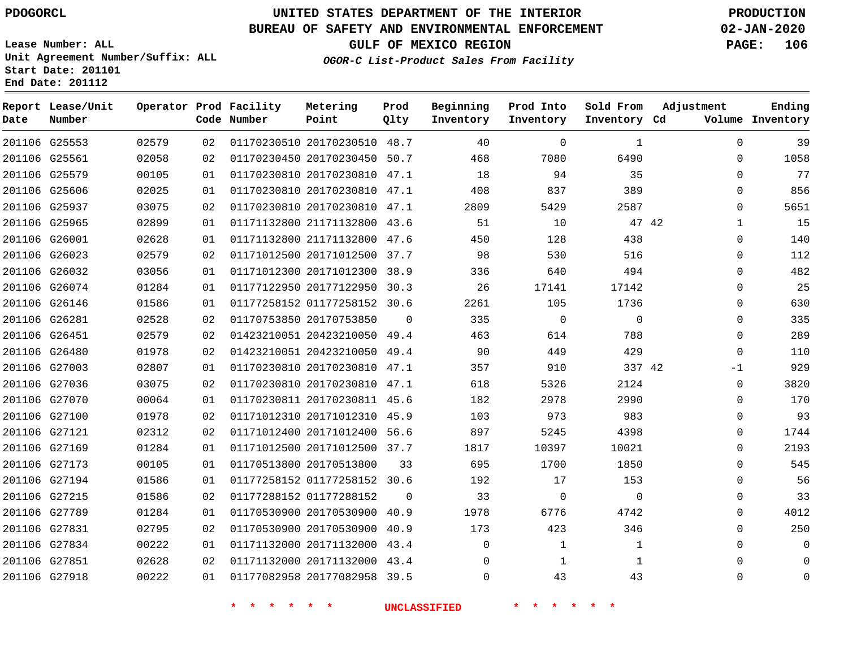G25553 G25561 G25579 G25606 G25937 G25965 G26001 G26023 G26032 G26074 G26146 G26281 G26451 G26480 G27003 G27036 G27070 G27100 G27121 G27169 G27173 G27194 G27215 G27789 G27831 G27834 G27851 G27918

**Date**

**Report Lease/Unit**

**Number**

# **UNITED STATES DEPARTMENT OF THE INTERIOR PDOGORCL PRODUCTION**

**Prod Qlty**

#### **BUREAU OF SAFETY AND ENVIRONMENTAL ENFORCEMENT 02-JAN-2020**

**Lease Number: ALL Unit Agreement Number/Suffix: ALL Start Date: 201101 End Date: 201112**

**Operator Prod Facility**

**Code Number**

 20170230510 48.7 20170230450 50.7 20170230810 47.1 20170230810 47.1

**Metering Point**

**OGOR-C List-Product Sales From Facility**

**Sold From Inventory**

**Prod Into Inventory**

**Beginning Inventory**

**GULF OF MEXICO REGION PAGE: 106**

**Inventory Cd Volume**

**Adjustment**

  $\Omega$  $\Omega$   $\Omega$   $\Omega$  $\Omega$  $\Omega$  $\Omega$   $\Omega$  $\overline{0}$   $-1$  $\overline{0}$  $\Omega$  $\Omega$  $\Omega$  $\Omega$   $\Omega$  $\Omega$   $\Omega$   $\Omega$ 

**Ending**

|       |    | *                       |             | <b>UNCLASSIFIED</b> |             |             |  |
|-------|----|-------------------------|-------------|---------------------|-------------|-------------|--|
| 00222 | 01 | 01177082958 20177082958 | 39.5        | $\mathbf 0$         | 43          | 43          |  |
| 02628 | 02 | 01171132000 20171132000 | 43.4        | $\mathbf 0$         | 1           | $\mathbf 1$ |  |
| 00222 | 01 | 01171132000 20171132000 | 43.4        | $\Omega$            | 1           | $1\,$       |  |
| 02795 | 02 | 01170530900 20170530900 | 40.9        | 173                 | 423         | 346         |  |
| 01284 | 01 | 01170530900 20170530900 | 40.9        | 1978                | 6776        | 4742        |  |
| 01586 | 02 | 01177288152 01177288152 | $\mathbf 0$ | 33                  | $\mathbf 0$ | $\mathbf 0$ |  |
| 01586 | 01 | 01177258152 01177258152 | 30.6        | 192                 | 17          | 153         |  |
| 00105 | 01 | 01170513800 20170513800 | 33          | 695                 | 1700        | 1850        |  |
| 01284 | 01 | 01171012500 20171012500 | 37.7        | 1817                | 10397       | 10021       |  |
| 02312 | 02 | 01171012400 20171012400 | 56.6        | 897                 | 5245        | 4398        |  |
| 01978 | 02 | 01171012310 20171012310 | 45.9        | 103                 | 973         | 983         |  |
| 00064 | 01 | 01170230811 20170230811 | 45.6        | 182                 | 2978        | 2990        |  |
| 03075 | 02 | 01170230810 20170230810 | 47.1        | 618                 | 5326        | 2124        |  |
| 02807 | 01 | 01170230810 20170230810 | 47.1        | 357                 | 910         | 337 42      |  |
| 01978 | 02 | 01423210051 20423210050 | 49.4        | 90                  | 449         | 429         |  |
| 02579 | 02 | 01423210051 20423210050 | 49.4        | 463                 | 614         | 788         |  |
| 02528 | 02 | 01170753850 20170753850 | $\Omega$    | 335                 | $\mathbf 0$ | $\mathbf 0$ |  |
| 01586 | 01 | 01177258152 01177258152 | 30.6        | 2261                | 105         | 1736        |  |
| 01284 | 01 | 01177122950 20177122950 | 30.3        | 26                  | 17141       | 17142       |  |
| 03056 | 01 | 01171012300 20171012300 | 38.9        | 336                 | 640         | 494         |  |
| 02579 | 02 | 01171012500 20171012500 | 37.7        | 98                  | 530         | 516         |  |
| 02628 | 01 | 01171132800 21171132800 | 47.6        | 450                 | 128         | 438         |  |
| 02899 | 01 | 01171132800 21171132800 | 43.6        | 51                  | 10          | 47 42       |  |
| 03075 | 02 | 01170230810 20170230810 | 47.1        | 2809                | 5429        | 2587        |  |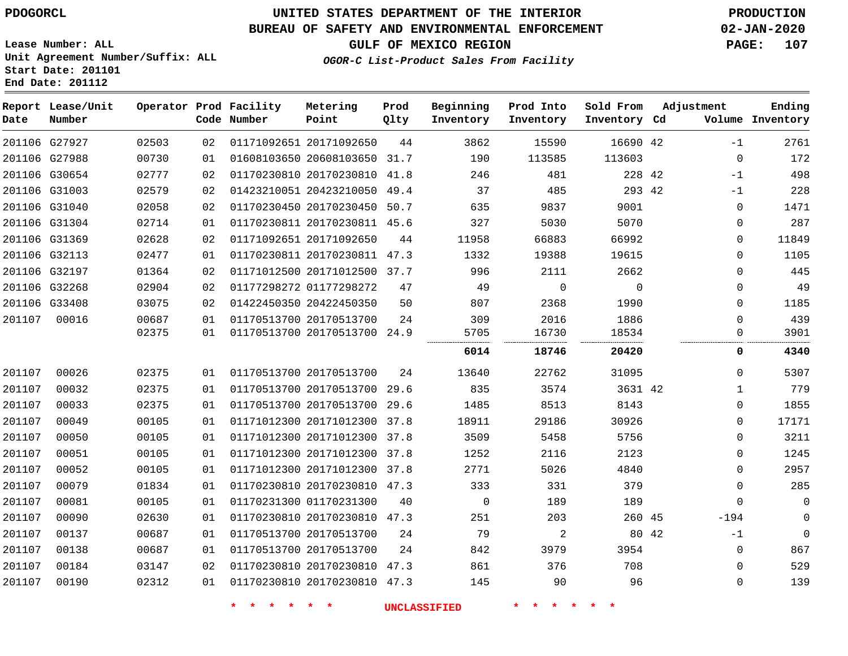**Lease Number: ALL**

**Start Date: 201101 End Date: 201112**

# **UNITED STATES DEPARTMENT OF THE INTERIOR PDOGORCL PRODUCTION**

## **BUREAU OF SAFETY AND ENVIRONMENTAL ENFORCEMENT 02-JAN-2020**

**Unit Agreement Number/Suffix: ALL**

**GULF OF MEXICO REGION PAGE: 107**

**OGOR-C List-Product Sales From Facility**

| Date   | Report Lease/Unit<br>Number |       |                 | Operator Prod Facility<br>Code Number | Metering<br>Point            | Prod<br>Qlty | Beginning<br>Inventory | Prod Into<br>Inventory | Sold From<br>Inventory Cd | Adjustment |              | Ending<br>Volume Inventory |
|--------|-----------------------------|-------|-----------------|---------------------------------------|------------------------------|--------------|------------------------|------------------------|---------------------------|------------|--------------|----------------------------|
|        | 201106 G27927               | 02503 | 02              |                                       | 01171092651 20171092650      | 44           | 3862                   | 15590                  | 16690 42                  |            | $-1$         | 2761                       |
|        | 201106 G27988               | 00730 | 01              |                                       | 01608103650 20608103650 31.7 |              | 190                    | 113585                 | 113603                    |            | $\mathbf 0$  | 172                        |
|        | 201106 G30654               | 02777 | 02              |                                       | 01170230810 20170230810 41.8 |              | 246                    | 481                    | 228 42                    |            | $-1$         | 498                        |
|        | 201106 G31003               | 02579 | 02              |                                       | 01423210051 20423210050 49.4 |              | 37                     | 485                    | 293 42                    |            | $-1$         | 228                        |
|        | 201106 G31040               | 02058 | 02              |                                       | 01170230450 20170230450 50.7 |              | 635                    | 9837                   | 9001                      |            | $\mathbf 0$  | 1471                       |
|        | 201106 G31304               | 02714 | 01              |                                       | 01170230811 20170230811 45.6 |              | 327                    | 5030                   | 5070                      |            | $\mathbf 0$  | 287                        |
|        | 201106 G31369               | 02628 | 02              |                                       | 01171092651 20171092650      | 44           | 11958                  | 66883                  | 66992                     |            | $\mathbf 0$  | 11849                      |
|        | 201106 G32113               | 02477 | 01              |                                       | 01170230811 20170230811 47.3 |              | 1332                   | 19388                  | 19615                     |            | $\Omega$     | 1105                       |
|        | 201106 G32197               | 01364 | 02              |                                       | 01171012500 20171012500 37.7 |              | 996                    | 2111                   | 2662                      |            | $\mathbf 0$  | 445                        |
|        | 201106 G32268               | 02904 | 02              |                                       | 01177298272 01177298272      | 47           | 49                     | $\mathbf 0$            | $\mathbf 0$               |            | $\mathbf 0$  | 49                         |
|        | 201106 G33408               | 03075 | 02 <sub>2</sub> |                                       | 01422450350 20422450350      | 50           | 807                    | 2368                   | 1990                      |            | $\Omega$     | 1185                       |
| 201107 | 00016                       | 00687 | 01              |                                       | 01170513700 20170513700      | 24           | 309                    | 2016                   | 1886                      |            | $\Omega$     | 439                        |
|        |                             | 02375 | 01              |                                       | 01170513700 20170513700 24.9 |              | 5705                   | 16730                  | 18534                     |            | $\mathbf 0$  | 3901                       |
|        |                             |       |                 |                                       |                              |              | 6014                   | 18746                  | 20420                     |            | 0            | 4340                       |
| 201107 | 00026                       | 02375 | 01              |                                       | 01170513700 20170513700      | 24           | 13640                  | 22762                  | 31095                     |            | $\mathbf 0$  | 5307                       |
| 201107 | 00032                       | 02375 | 01              |                                       | 01170513700 20170513700 29.6 |              | 835                    | 3574                   | 3631 42                   |            | $\mathbf{1}$ | 779                        |
| 201107 | 00033                       | 02375 | 01              |                                       | 01170513700 20170513700 29.6 |              | 1485                   | 8513                   | 8143                      |            | $\mathbf 0$  | 1855                       |
| 201107 | 00049                       | 00105 | 01              |                                       | 01171012300 20171012300 37.8 |              | 18911                  | 29186                  | 30926                     |            | $\Omega$     | 17171                      |
| 201107 | 00050                       | 00105 | 01              |                                       | 01171012300 20171012300 37.8 |              | 3509                   | 5458                   | 5756                      |            | $\mathbf 0$  | 3211                       |
| 201107 | 00051                       | 00105 | 01              |                                       | 01171012300 20171012300 37.8 |              | 1252                   | 2116                   | 2123                      |            | $\mathbf 0$  | 1245                       |
| 201107 | 00052                       | 00105 | 01              |                                       | 01171012300 20171012300 37.8 |              | 2771                   | 5026                   | 4840                      |            | $\Omega$     | 2957                       |
| 201107 | 00079                       | 01834 | 01              |                                       | 01170230810 20170230810 47.3 |              | 333                    | 331                    | 379                       |            | $\mathbf 0$  | 285                        |
| 201107 | 00081                       | 00105 | 01              |                                       | 01170231300 01170231300      | 40           | $\mathbf 0$            | 189                    | 189                       |            | $\Omega$     | $\Omega$                   |
| 201107 | 00090                       | 02630 | 01              |                                       | 01170230810 20170230810 47.3 |              | 251                    | 203                    | 260 45                    |            | $-194$       | $\Omega$                   |
| 201107 | 00137                       | 00687 | 01              |                                       | 01170513700 20170513700      | 24           | 79                     | 2                      | 80 42                     |            | $-1$         | $\mathbf 0$                |
| 201107 | 00138                       | 00687 | 01              |                                       | 01170513700 20170513700      | 24           | 842                    | 3979                   | 3954                      |            | 0            | 867                        |
| 201107 | 00184                       | 03147 | 02              |                                       | 01170230810 20170230810 47.3 |              | 861                    | 376                    | 708                       |            | $\mathbf 0$  | 529                        |
| 201107 | 00190                       | 02312 | 01              |                                       | 01170230810 20170230810 47.3 |              | 145                    | 90                     | 96                        |            | $\Omega$     | 139                        |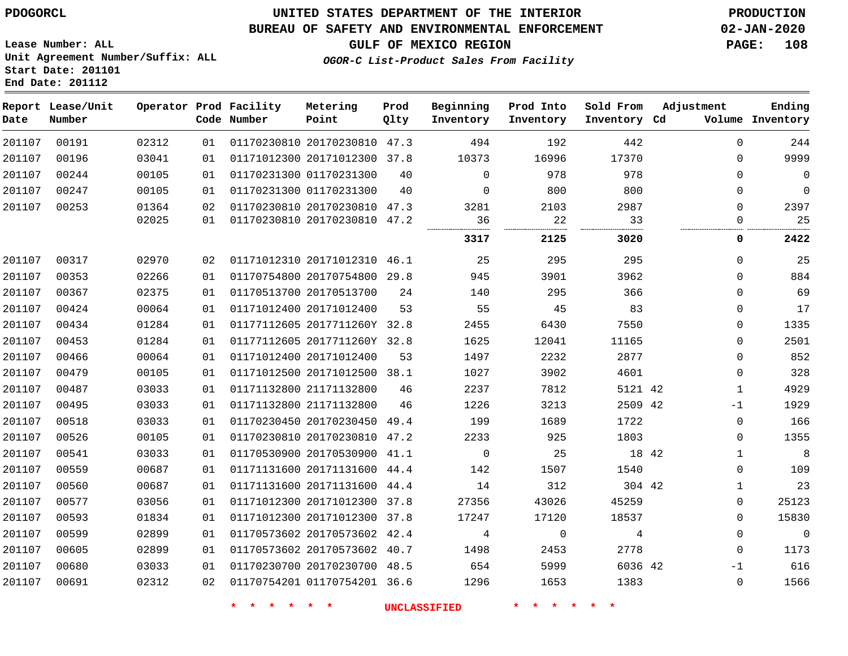00191 00196 00244

**Report Lease/Unit**

**Number**

 

00317

 

**Date**

## **UNITED STATES DEPARTMENT OF THE INTERIOR PDOGORCL PRODUCTION**

#### **BUREAU OF SAFETY AND ENVIRONMENTAL ENFORCEMENT 02-JAN-2020**

**Lease Number: ALL Unit Agreement Number/Suffix: ALL Start Date: 201101 End Date: 201112**

#### **OGOR-C List-Product Sales From Facility**

|       |                | Operator Prod Facility<br>Code Number | Metering<br>Point       | Prod<br>Qlty | Beginning<br>Inventory | Prod Into<br>Inventory | Sold From<br>Inventory | Adjustment<br>Volume<br>Cd. | Ending<br>Inventory |
|-------|----------------|---------------------------------------|-------------------------|--------------|------------------------|------------------------|------------------------|-----------------------------|---------------------|
| 02312 | 0 <sub>1</sub> | 01170230810                           | 20170230810             | 47.3         | 494                    | 192                    | 442                    | 0                           | 244                 |
| 03041 | 01             |                                       | 01171012300 20171012300 | 37.8         | 10373                  | 16996                  | 17370                  | 0                           | 9999                |
| 00105 | 01             |                                       | 01170231300 01170231300 | 40           | 0                      | 978                    | 978                    | $\mathbf 0$                 | U                   |
| 00105 | 01             |                                       | 01170231300 01170231300 | 40           | 0                      | 800                    | 800                    | 0                           |                     |
| 01364 | 02             |                                       | 01170230810 20170230810 | 47.3         | 3281                   | 2103                   | 2987                   | 0                           | 2397                |
| 02025 | 0 <sub>1</sub> |                                       | 01170230810 20170230810 | 47.2         | 36                     | 22                     | 33                     | O                           | 25                  |
|       |                |                                       |                         |              | <br>3317               | <br>2125               | <br>3020               | 0                           | 2422                |
| 02970 | 02             |                                       | 01171012310 20171012310 | 46.1         | 25                     | 295                    | 295                    | 0                           | 25                  |
| 02266 | 0 <sub>1</sub> |                                       | 01170754800 20170754800 | 29.8         | 945                    | 3901                   | 3962                   | 0                           | 884                 |
| 02375 | 0 <sub>1</sub> |                                       | 01170513700 20170513700 | 24           | 140                    | 295                    | 366                    | 0                           | 69                  |
|       |                |                                       |                         |              |                        |                        |                        |                             |                     |

| 201107 | 00353 | 02266 | 01 | 01170754800 20170754800      | 29.8 | 945   | 3901  | 3962    |       | 0        | 884            |
|--------|-------|-------|----|------------------------------|------|-------|-------|---------|-------|----------|----------------|
| 201107 | 00367 | 02375 | 01 | 01170513700 20170513700      | 24   | 140   | 295   | 366     |       | $\Omega$ | 69             |
| 201107 | 00424 | 00064 | 01 | 01171012400 20171012400      | 53   | 55    | 45    | 83      |       | $\Omega$ | 17             |
| 201107 | 00434 | 01284 | 01 | 01177112605 2017711260Y 32.8 |      | 2455  | 6430  | 7550    |       | $\Omega$ | 1335           |
| 201107 | 00453 | 01284 | 01 | 01177112605 2017711260Y 32.8 |      | 1625  | 12041 | 11165   |       | $\Omega$ | 2501           |
| 201107 | 00466 | 00064 | 01 | 01171012400 20171012400      | 53   | 1497  | 2232  | 2877    |       | 0        | 852            |
| 201107 | 00479 | 00105 | 01 | 01171012500 20171012500 38.1 |      | 1027  | 3902  | 4601    |       | $\Omega$ | 328            |
| 201107 | 00487 | 03033 | 01 | 01171132800 21171132800      | 46   | 2237  | 7812  | 5121 42 |       |          | 4929           |
| 201107 | 00495 | 03033 | 01 | 01171132800 21171132800      | 46   | 1226  | 3213  | 2509 42 |       | $-1$     | 1929           |
| 201107 | 00518 | 03033 | 01 | 01170230450 20170230450      | 49.4 | 199   | 1689  | 1722    |       | $\Omega$ | 166            |
| 201107 | 00526 | 00105 | 01 | 01170230810 20170230810      | 47.2 | 2233  | 925   | 1803    |       | $\Omega$ | 1355           |
| 201107 | 00541 | 03033 | 01 | 01170530900 20170530900      | 41.1 | 0     | 25    |         | 18 42 |          | 8              |
| 201107 | 00559 | 00687 | 01 | 01171131600 20171131600 44.4 |      | 142   | 1507  | 1540    |       | 0        | 109            |
| 201107 | 00560 | 00687 | 01 | 01171131600 20171131600 44.4 |      | 14    | 312   | 304 42  |       |          | 23             |
| 201107 | 00577 | 03056 | 01 | 01171012300 20171012300      | 37.8 | 27356 | 43026 | 45259   |       | $\Omega$ | 25123          |
| 201107 | 00593 | 01834 | 01 | 01171012300 20171012300      | 37.8 | 17247 | 17120 | 18537   |       | 0        | 15830          |
| 201107 | 00599 | 02899 | 01 | 01170573602 20170573602      | 42.4 | 4     | 0     | 4       |       | $\Omega$ | $\overline{0}$ |
| 201107 | 00605 | 02899 | 01 | 01170573602 20170573602      | 40.7 | 1498  | 2453  | 2778    |       | $\Omega$ | 1173           |
| 201107 | 00680 | 03033 | 01 | 01170230700 20170230700 48.5 |      | 654   | 5999  | 6036 42 |       | $-1$     | 616            |
| 201107 | 00691 | 02312 | 02 | 01170754201 01170754201 36.6 |      | 1296  | 1653  | 1383    |       | 0        | 1566           |
|        |       |       |    |                              |      |       |       |         |       |          |                |

**\* \* \* \* \* \* UNCLASSIFIED \* \* \* \* \* \***

**GULF OF MEXICO REGION PAGE: 108**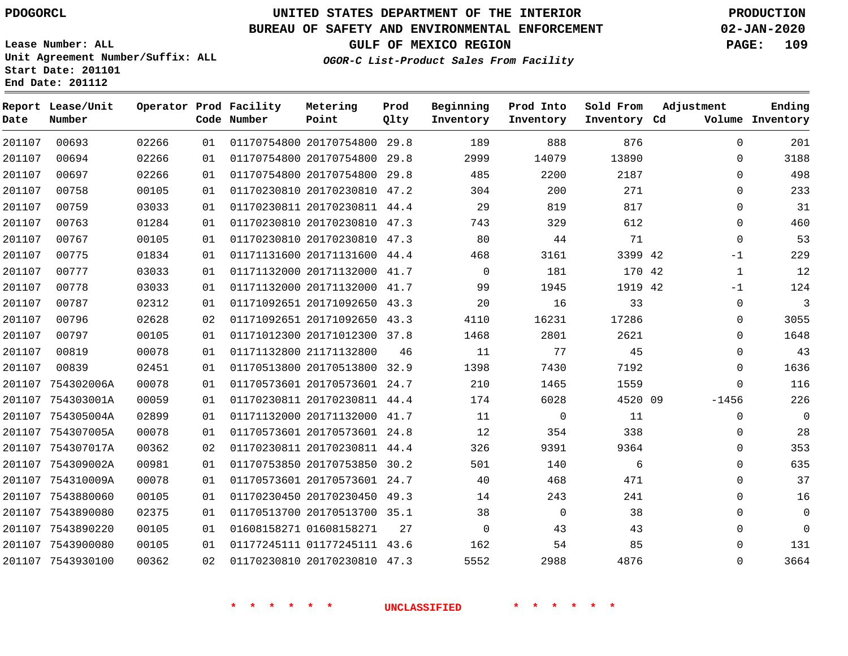# **UNITED STATES DEPARTMENT OF THE INTERIOR PDOGORCL PRODUCTION**

#### **BUREAU OF SAFETY AND ENVIRONMENTAL ENFORCEMENT 02-JAN-2020**

**Lease Number: ALL Unit Agreement Number/Suffix: ALL Start Date: 201101 End Date: 201112**

**OGOR-C List-Product Sales From Facility**

**GULF OF MEXICO REGION PAGE: 109**

| Date   | Report Lease/Unit<br>Number |       |    | Operator Prod Facility<br>Code Number | Metering<br>Point            | Prod<br>Qlty | Beginning<br>Inventory | Prod Into<br>Inventory | Sold From<br>Inventory Cd | Adjustment   | Ending<br>Volume Inventory |
|--------|-----------------------------|-------|----|---------------------------------------|------------------------------|--------------|------------------------|------------------------|---------------------------|--------------|----------------------------|
| 201107 | 00693                       | 02266 | 01 |                                       | 01170754800 20170754800 29.8 |              | 189                    | 888                    | 876                       | $\Omega$     | 201                        |
| 201107 | 00694                       | 02266 | 01 |                                       | 01170754800 20170754800 29.8 |              | 2999                   | 14079                  | 13890                     | 0            | 3188                       |
| 201107 | 00697                       | 02266 | 01 |                                       | 01170754800 20170754800 29.8 |              | 485                    | 2200                   | 2187                      | $\Omega$     | 498                        |
| 201107 | 00758                       | 00105 | 01 |                                       | 01170230810 20170230810 47.2 |              | 304                    | 200                    | 271                       | $\mathbf 0$  | 233                        |
| 201107 | 00759                       | 03033 | 01 |                                       | 01170230811 20170230811 44.4 |              | 29                     | 819                    | 817                       | $\Omega$     | 31                         |
| 201107 | 00763                       | 01284 | 01 |                                       | 01170230810 20170230810 47.3 |              | 743                    | 329                    | 612                       | $\mathbf 0$  | 460                        |
| 201107 | 00767                       | 00105 | 01 |                                       | 01170230810 20170230810 47.3 |              | 80                     | 44                     | 71                        | $\mathbf 0$  | 53                         |
| 201107 | 00775                       | 01834 | 01 |                                       | 01171131600 20171131600 44.4 |              | 468                    | 3161                   | 3399 42                   | $-1$         | 229                        |
| 201107 | 00777                       | 03033 | 01 |                                       | 01171132000 20171132000 41.7 |              | $\mathbf 0$            | 181                    | 170 42                    | $\mathbf{1}$ | 12                         |
| 201107 | 00778                       | 03033 | 01 |                                       | 01171132000 20171132000 41.7 |              | 99                     | 1945                   | 1919 42                   | $-1$         | 124                        |
| 201107 | 00787                       | 02312 | 01 |                                       | 01171092651 20171092650 43.3 |              | 20                     | 16                     | 33                        | 0            | $\overline{3}$             |
| 201107 | 00796                       | 02628 | 02 |                                       | 01171092651 20171092650 43.3 |              | 4110                   | 16231                  | 17286                     | 0            | 3055                       |
| 201107 | 00797                       | 00105 | 01 |                                       | 01171012300 20171012300 37.8 |              | 1468                   | 2801                   | 2621                      | $\mathbf{0}$ | 1648                       |
| 201107 | 00819                       | 00078 | 01 |                                       | 01171132800 21171132800      | 46           | 11                     | 77                     | 45                        | $\Omega$     | 43                         |
| 201107 | 00839                       | 02451 | 01 |                                       | 01170513800 20170513800 32.9 |              | 1398                   | 7430                   | 7192                      | $\mathbf{0}$ | 1636                       |
| 201107 | 754302006A                  | 00078 | 01 |                                       | 01170573601 20170573601 24.7 |              | 210                    | 1465                   | 1559                      | $\Omega$     | 116                        |
|        | 201107 754303001A           | 00059 | 01 |                                       | 01170230811 20170230811 44.4 |              | 174                    | 6028                   | 4520 09                   | $-1456$      | 226                        |
|        | 201107 754305004A           | 02899 | 01 |                                       | 01171132000 20171132000 41.7 |              | 11                     | $\Omega$               | 11                        | $\Omega$     | $\Omega$                   |
|        | 201107 754307005A           | 00078 | 01 |                                       | 01170573601 20170573601 24.8 |              | 12                     | 354                    | 338                       | $\mathbf 0$  | 28                         |
|        | 201107 754307017A           | 00362 | 02 |                                       | 01170230811 20170230811 44.4 |              | 326                    | 9391                   | 9364                      | $\Omega$     | 353                        |
|        | 201107 754309002A           | 00981 | 01 |                                       | 01170753850 20170753850 30.2 |              | 501                    | 140                    | 6                         | $\Omega$     | 635                        |
|        | 201107 754310009A           | 00078 | 01 |                                       | 01170573601 20170573601 24.7 |              | 40                     | 468                    | 471                       | $\Omega$     | 37                         |
|        | 201107 7543880060           | 00105 | 01 |                                       | 01170230450 20170230450 49.3 |              | 14                     | 243                    | 241                       | $\Omega$     | 16                         |
|        | 201107 7543890080           | 02375 | 01 |                                       | 01170513700 20170513700 35.1 |              | 38                     | $\Omega$               | 38                        | $\Omega$     | $\Omega$                   |
|        | 201107 7543890220           | 00105 | 01 |                                       | 01608158271 01608158271      | 27           | $\mathbf{0}$           | 43                     | 43                        | $\Omega$     | $\Omega$                   |
|        | 201107 7543900080           | 00105 | 01 |                                       | 01177245111 01177245111 43.6 |              | 162                    | 54                     | 85                        | $\Omega$     | 131                        |
|        | 201107 7543930100           | 00362 | 02 |                                       | 01170230810 20170230810 47.3 |              | 5552                   | 2988                   | 4876                      | $\Omega$     | 3664                       |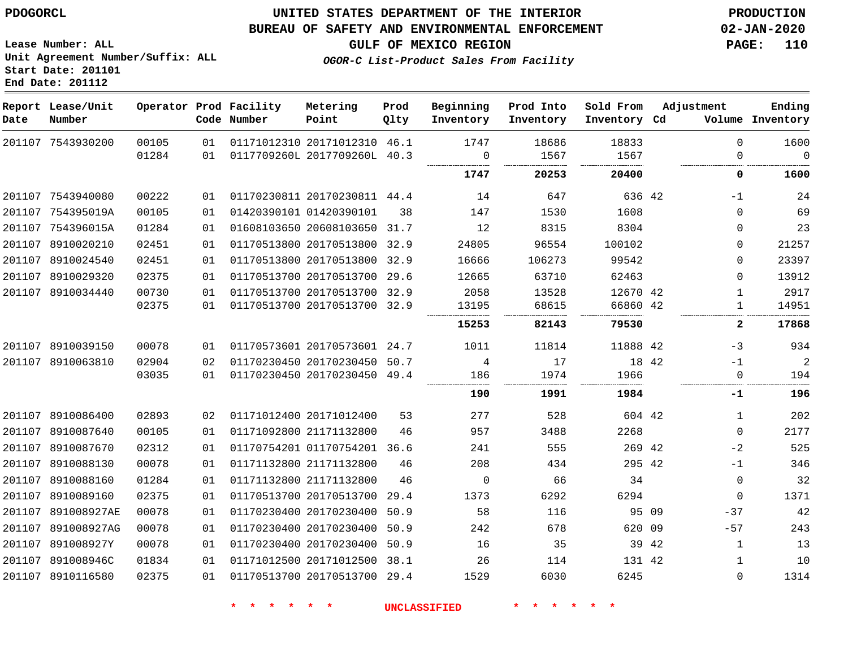### **BUREAU OF SAFETY AND ENVIRONMENTAL ENFORCEMENT 02-JAN-2020**

**GULF OF MEXICO REGION PAGE: 110**

**Lease Number: ALL Unit Agreement Number/Suffix: ALL Start Date: 201101 End Date: 201112**

**OGOR-C List-Product Sales From Facility**

| Date | Report Lease/Unit<br>Number |       |    | Operator Prod Facility<br>Code Number | Metering<br>Point            | Prod<br>Qlty | Beginning<br>Inventory | Prod Into<br>Inventory | Sold From<br>Inventory Cd | Adjustment            | Ending<br>Volume Inventory |
|------|-----------------------------|-------|----|---------------------------------------|------------------------------|--------------|------------------------|------------------------|---------------------------|-----------------------|----------------------------|
|      | 201107 7543930200           | 00105 | 01 |                                       | 01171012310 20171012310 46.1 |              | 1747                   | 18686                  | 18833                     | $\Omega$              | 1600                       |
|      |                             | 01284 | 01 |                                       | 0117709260L 2017709260L      | 40.3         | $\mathbf 0$            | 1567                   | 1567                      | $\Omega$              | $\mathbf 0$                |
|      |                             |       |    |                                       |                              |              | 1747                   | 20253                  | 20400                     | 0                     | 1600                       |
|      | 201107 7543940080           | 00222 | 01 |                                       | 01170230811 20170230811 44.4 |              | 14                     | 647                    | 636 42                    | $-1$                  | 24                         |
|      | 201107 754395019A           | 00105 | 01 |                                       | 01420390101 01420390101      | 38           | 147                    | 1530                   | 1608                      | $\Omega$              | 69                         |
|      | 201107 754396015A           | 01284 | 01 |                                       | 01608103650 20608103650 31.7 |              | 12                     | 8315                   | 8304                      | 0                     | 23                         |
|      | 201107 8910020210           | 02451 | 01 |                                       | 01170513800 20170513800 32.9 |              | 24805                  | 96554                  | 100102                    | 0                     | 21257                      |
|      | 201107 8910024540           | 02451 | 01 |                                       | 01170513800 20170513800 32.9 |              | 16666                  | 106273                 | 99542                     | 0                     | 23397                      |
|      | 201107 8910029320           | 02375 | 01 |                                       | 01170513700 20170513700 29.6 |              | 12665                  | 63710                  | 62463                     | $\Omega$              | 13912                      |
|      | 201107 8910034440           | 00730 | 01 |                                       | 01170513700 20170513700 32.9 |              | 2058                   | 13528                  | 12670 42                  | $\mathbf{1}$          | 2917                       |
|      |                             | 02375 | 01 |                                       | 01170513700 20170513700      | 32.9         | 13195                  | 68615                  | 66860 42                  | $\mathbf{1}$          | 14951                      |
|      |                             |       |    |                                       |                              |              | 15253                  | 82143                  | 79530                     | 2                     | 17868                      |
|      | 201107 8910039150           | 00078 | 01 |                                       | 01170573601 20170573601 24.7 |              | 1011                   | 11814                  | 11888 42                  | -3                    | 934                        |
|      | 201107 8910063810           | 02904 | 02 |                                       | 01170230450 20170230450      | 50.7         | 4                      | 17                     | 18 42                     | $-1$                  | 2                          |
|      |                             | 03035 | 01 |                                       | 01170230450 20170230450      | 49.4         | 186                    | 1974                   | 1966                      | $\mathbf 0$           | 194                        |
|      |                             |       |    |                                       |                              |              | 190                    | 1991                   | 1984                      | -1                    | 196                        |
|      | 201107 8910086400           | 02893 | 02 |                                       | 01171012400 20171012400      | 53           | 277                    | 528                    | 604 42                    | 1                     | 202                        |
|      | 201107 8910087640           | 00105 | 01 |                                       | 01171092800 21171132800      | 46           | 957                    | 3488                   | 2268                      | $\mathbf 0$           | 2177                       |
|      | 201107 8910087670           | 02312 | 01 |                                       | 01170754201 01170754201      | 36.6         | 241                    | 555                    | 269 42                    | $-2$                  | 525                        |
|      | 201107 8910088130           | 00078 | 01 |                                       | 01171132800 21171132800      | 46           | 208                    | 434                    | 295 42                    | $-1$                  | 346                        |
|      | 201107 8910088160           | 01284 | 01 |                                       | 01171132800 21171132800      | 46           | $\mathbf 0$            | 66                     | 34                        | $\mathbf 0$           | 32                         |
|      | 201107 8910089160           | 02375 | 01 |                                       | 01170513700 20170513700      | 29.4         | 1373                   | 6292                   | 6294                      | $\mathbf 0$           | 1371                       |
|      | 201107 891008927AE          | 00078 | 01 |                                       | 01170230400 20170230400      | 50.9         | 58                     | 116                    |                           | 95 09<br>$-37$        | 42                         |
|      | 201107 891008927AG          | 00078 | 01 |                                       | 01170230400 20170230400      | 50.9         | 242                    | 678                    | 620 09                    | $-57$                 | 243                        |
|      | 201107 891008927Y           | 00078 | 01 |                                       | 01170230400 20170230400      | 50.9         | 16                     | 35                     |                           | 39 42<br>$\mathbf{1}$ | 13                         |
|      | 201107 891008946C           | 01834 | 01 |                                       | 01171012500 20171012500      | 38.1         | 26                     | 114                    | 131 42                    | 1                     | 10                         |
|      | 201107 8910116580           | 02375 | 01 |                                       | 01170513700 20170513700      | 29.4         | 1529                   | 6030                   | 6245                      | $\Omega$              | 1314                       |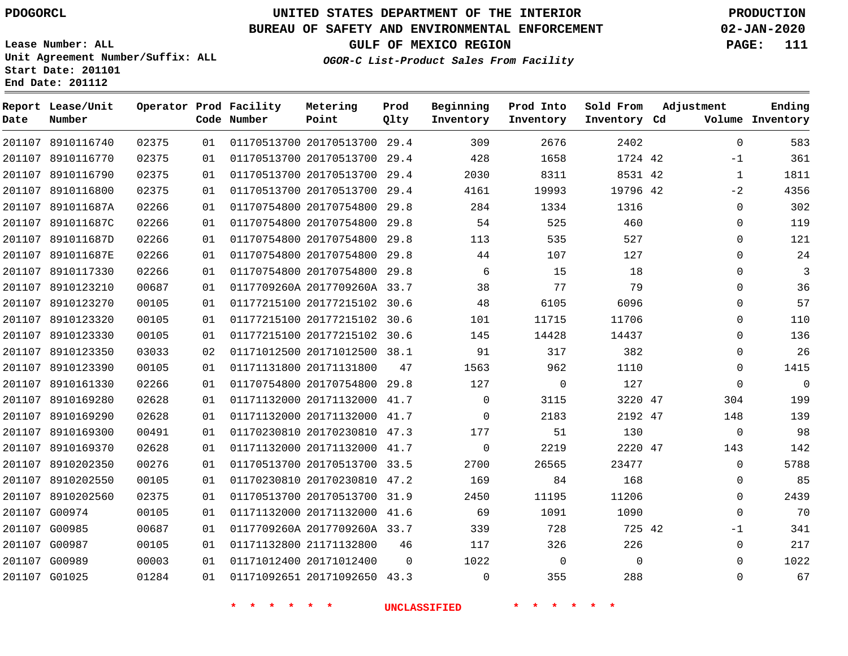**Report Lease/Unit**

# **UNITED STATES DEPARTMENT OF THE INTERIOR PDOGORCL PRODUCTION**

**Prod**

#### **BUREAU OF SAFETY AND ENVIRONMENTAL ENFORCEMENT 02-JAN-2020**

**Lease Number: ALL Unit Agreement Number/Suffix: ALL Start Date: 201101 End Date: 201112**

**Operator Prod Facility**

**OGOR-C List-Product Sales From Facility**

**Beginning Prod Into**

**Sold From**

**GULF OF MEXICO REGION PAGE: 111**

**Adjustment**

**Ending**

| Date | Number            |       |    | Code Number                               | Point                        | Qlty     | Inventory           | Inventory                       | Inventory Cd |              | Volume Inventory |
|------|-------------------|-------|----|-------------------------------------------|------------------------------|----------|---------------------|---------------------------------|--------------|--------------|------------------|
|      | 201107 8910116740 | 02375 | 01 |                                           | 01170513700 20170513700 29.4 |          | 309                 | 2676                            | 2402         | $\Omega$     | 583              |
|      | 201107 8910116770 | 02375 | 01 |                                           | 01170513700 20170513700 29.4 |          | 428                 | 1658                            | 1724 42      | $-1$         | 361              |
|      | 201107 8910116790 | 02375 | 01 |                                           | 01170513700 20170513700 29.4 |          | 2030                | 8311                            | 8531 42      | $\mathbf{1}$ | 1811             |
|      | 201107 8910116800 | 02375 | 01 |                                           | 01170513700 20170513700 29.4 |          | 4161                | 19993                           | 19796 42     | $-2$         | 4356             |
|      | 201107 891011687A | 02266 | 01 |                                           | 01170754800 20170754800 29.8 |          | 284                 | 1334                            | 1316         | $\mathsf{O}$ | 302              |
|      | 201107 891011687C | 02266 | 01 |                                           | 01170754800 20170754800 29.8 |          | 54                  | 525                             | 460          | $\mathbf 0$  | 119              |
|      | 201107 891011687D | 02266 | 01 |                                           | 01170754800 20170754800 29.8 |          | 113                 | 535                             | 527          | $\mathbf 0$  | 121              |
|      | 201107 891011687E | 02266 | 01 |                                           | 01170754800 20170754800 29.8 |          | 44                  | 107                             | 127          | $\mathbf 0$  | 24               |
|      | 201107 8910117330 | 02266 | 01 |                                           | 01170754800 20170754800 29.8 |          | 6                   | 15                              | 18           | $\Omega$     | 3                |
|      | 201107 8910123210 | 00687 | 01 |                                           | 0117709260A 2017709260A 33.7 |          | 38                  | 77                              | 79           | $\mathbf 0$  | 36               |
|      | 201107 8910123270 | 00105 | 01 |                                           | 01177215100 20177215102 30.6 |          | 48                  | 6105                            | 6096         | $\Omega$     | 57               |
|      | 201107 8910123320 | 00105 | 01 |                                           | 01177215100 20177215102 30.6 |          | 101                 | 11715                           | 11706        | $\Omega$     | 110              |
|      | 201107 8910123330 | 00105 | 01 |                                           | 01177215100 20177215102 30.6 |          | 145                 | 14428                           | 14437        | $\mathbf 0$  | 136              |
|      | 201107 8910123350 | 03033 | 02 |                                           | 01171012500 20171012500 38.1 |          | 91                  | 317                             | 382          | $\mathbf 0$  | 26               |
|      | 201107 8910123390 | 00105 | 01 |                                           | 01171131800 20171131800      | 47       | 1563                | 962                             | 1110         | $\mathbf 0$  | 1415             |
|      | 201107 8910161330 | 02266 | 01 |                                           | 01170754800 20170754800 29.8 |          | 127                 | $\mathbf 0$                     | 127          | $\mathbf 0$  | $\mathbf 0$      |
|      | 201107 8910169280 | 02628 | 01 |                                           | 01171132000 20171132000 41.7 |          | $\mathbf 0$         | 3115                            | 3220 47      | 304          | 199              |
|      | 201107 8910169290 | 02628 | 01 |                                           | 01171132000 20171132000 41.7 |          | $\mathbf 0$         | 2183                            | 2192 47      | 148          | 139              |
|      | 201107 8910169300 | 00491 | 01 |                                           | 01170230810 20170230810 47.3 |          | 177                 | 51                              | 130          | $\mathbf 0$  | 98               |
|      | 201107 8910169370 | 02628 | 01 |                                           | 01171132000 20171132000 41.7 |          | $\overline{0}$      | 2219                            | 2220 47      | 143          | 142              |
|      | 201107 8910202350 | 00276 | 01 |                                           | 01170513700 20170513700 33.5 |          | 2700                | 26565                           | 23477        | $\mathbf 0$  | 5788             |
|      | 201107 8910202550 | 00105 | 01 |                                           | 01170230810 20170230810 47.2 |          | 169                 | 84                              | 168          | $\mathbf 0$  | 85               |
|      | 201107 8910202560 | 02375 | 01 |                                           | 01170513700 20170513700 31.9 |          | 2450                | 11195                           | 11206        | $\mathbf 0$  | 2439             |
|      | 201107 G00974     | 00105 | 01 |                                           | 01171132000 20171132000 41.6 |          | 69                  | 1091                            | 1090         | $\Omega$     | 70               |
|      | 201107 G00985     | 00687 | 01 |                                           | 0117709260A 2017709260A 33.7 |          | 339                 | 728                             | 725 42       | $-1$         | 341              |
|      | 201107 G00987     | 00105 | 01 |                                           | 01171132800 21171132800      | 46       | 117                 | 326                             | 226          | $\mathbf 0$  | 217              |
|      | 201107 G00989     | 00003 | 01 |                                           | 01171012400 20171012400      | $\Omega$ | 1022                | $\overline{0}$                  | $\Omega$     | $\mathbf 0$  | 1022             |
|      | 201107 G01025     | 01284 | 01 |                                           | 01171092651 20171092650 43.3 |          | 0                   | 355                             | 288          | 0            | 67               |
|      |                   |       |    | $\star$<br>$\rightarrow$<br>一大<br>$\star$ | $*$ $*$                      |          | <b>UNCLASSIFIED</b> | 一大<br>*.<br>$\star$<br><b>水</b> | $\star$ .    |              |                  |

**Metering**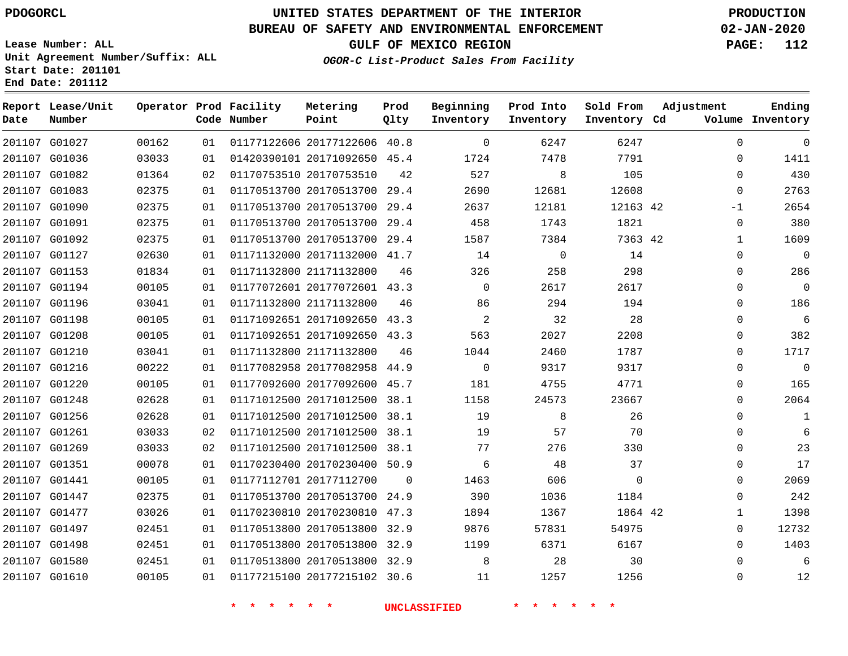G01027 G01036 G01082 G01083 G01090 G01091 G01092 G01127 G01153 G01194 G01196 G01198 G01208 G01210 G01216 G01220 G01248 G01256 G01261 G01269 G01351 G01441 G01447 G01477 G01497 G01498 G01580 G01610

**Date**

**Report Lease/Unit**

**Number**

# **UNITED STATES DEPARTMENT OF THE INTERIOR PDOGORCL PRODUCTION**

**Prod Qlty**

#### **BUREAU OF SAFETY AND ENVIRONMENTAL ENFORCEMENT 02-JAN-2020**

**Lease Number: ALL Unit Agreement Number/Suffix: ALL Start Date: 201101 End Date: 201112**

> 

**Operator Prod Facility**

**Code Number**

 20177122606 40.8 20171092650 45.4

**Metering Point**

 

**OGOR-C List-Product Sales From Facility**

 

   

**Sold From Inventory**

**Prod Into Inventory**

**Beginning Inventory**

**GULF OF MEXICO REGION PAGE: 112**

**Inventory Cd Volume**

**Adjustment**

  $\Omega$  $\Omega$  $\Omega$  $-1$  $\Omega$   $\Omega$  $\Omega$  $\Omega$  $\Omega$  $\Omega$  $\Omega$   $\Omega$  $\Omega$  $\Omega$  $\cap$  $\Omega$  $\Omega$   $\Omega$  $\Omega$   $\Omega$ 

**Ending**

| 01364 | 02 | 01170753510 20170753510 | 42   | 527      | 8     | 105      |  |
|-------|----|-------------------------|------|----------|-------|----------|--|
| 02375 | 01 | 01170513700 20170513700 | 29.4 | 2690     | 12681 | 12608    |  |
| 02375 | 01 | 01170513700 20170513700 | 29.4 | 2637     | 12181 | 12163 42 |  |
| 02375 | 01 | 01170513700 20170513700 | 29.4 | 458      | 1743  | 1821     |  |
| 02375 | 01 | 01170513700 20170513700 | 29.4 | 1587     | 7384  | 7363 42  |  |
| 02630 | 01 | 01171132000 20171132000 | 41.7 | 14       | 0     | 14       |  |
| 01834 | 01 | 01171132800 21171132800 | 46   | 326      | 258   | 298      |  |
| 00105 | 01 | 01177072601 20177072601 | 43.3 | $\Omega$ | 2617  | 2617     |  |
| 03041 | 01 | 01171132800 21171132800 | 46   | 86       | 294   | 194      |  |
| 00105 | 01 | 01171092651 20171092650 | 43.3 | 2        | 32    | 28       |  |
| 00105 | 01 | 01171092651 20171092650 | 43.3 | 563      | 2027  | 2208     |  |
| 03041 | 01 | 01171132800 21171132800 | 46   | 1044     | 2460  | 1787     |  |
| 00222 | 01 | 01177082958 20177082958 | 44.9 | $\Omega$ | 9317  | 9317     |  |
| 00105 | 01 | 01177092600 20177092600 | 45.7 | 181      | 4755  | 4771     |  |
| 02628 | 01 | 01171012500 20171012500 | 38.1 | 1158     | 24573 | 23667    |  |
| 02628 | 01 | 01171012500 20171012500 | 38.1 | 19       | 8     | 26       |  |
| 03033 | 02 | 01171012500 20171012500 | 38.1 | 19       | 57    | 70       |  |

38.1

 $\Omega$ 

20177215102 30.6

20171012500

20177112700

20170230400 50.9

 20170513700 24.9 20170230810 47.3 20170513800 32.9 20170513800 32.9 20170513800 32.9

**\* \* \* \* \* \* UNCLASSIFIED \* \* \* \* \* \***

42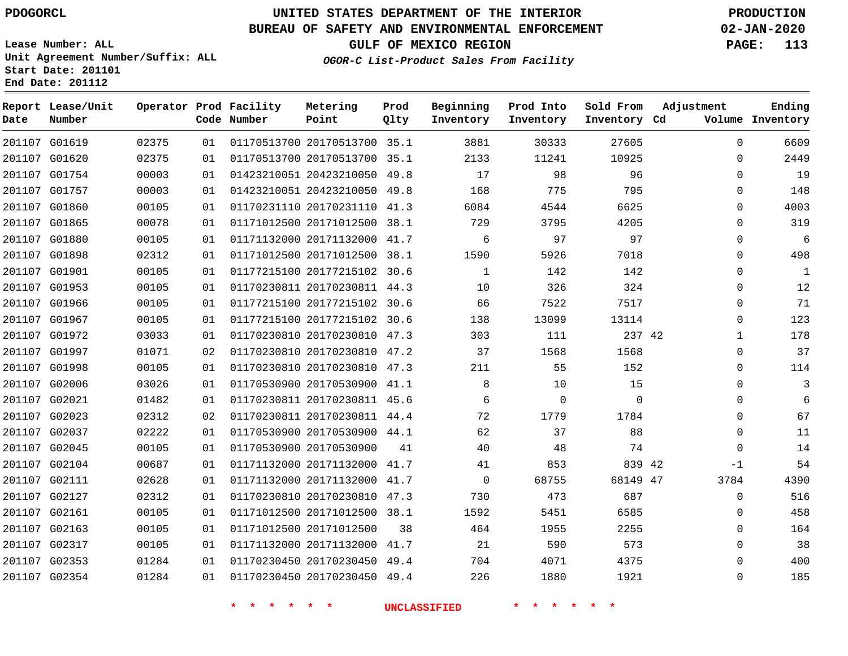**Report Lease/Unit**

**Number**

G02354

# **UNITED STATES DEPARTMENT OF THE INTERIOR PDOGORCL PRODUCTION**

### **BUREAU OF SAFETY AND ENVIRONMENTAL ENFORCEMENT 02-JAN-2020**

**Lease Number: ALL Unit Agreement Number/Suffix: ALL Start Date: 201101 End Date: 201112**

**Operator Prod Facility**

**Code Number**

**Metering Point**

**Prod Qlty**

**GULF OF MEXICO REGION PAGE: 113**

**Inventory Cd Volume**

**Adjustment**

**Ending**

 $\Omega$ 

**OGOR-C List-Product Sales From Facility**

**Beginning Inventory**

**Prod Into Inventory**

**Sold From Inventory**

| 6609 | $\Omega$ | 27605       | 30333 | 3881           |    | 01170513700 20170513700 35.1 | 01 | 02375 | 201107 G01619 |  |
|------|----------|-------------|-------|----------------|----|------------------------------|----|-------|---------------|--|
| 2449 | $\Omega$ | 10925       | 11241 | 2133           |    | 01170513700 20170513700 35.1 | 01 | 02375 | 201107 G01620 |  |
| 19   | $\Omega$ | 96          | 98    | 17             |    | 01423210051 20423210050 49.8 | 01 | 00003 | 201107 G01754 |  |
| 148  | 0        | 795         | 775   | 168            |    | 01423210051 20423210050 49.8 | 01 | 00003 | 201107 G01757 |  |
| 4003 | $\Omega$ | 6625        | 4544  | 6084           |    | 01170231110 20170231110 41.3 | 01 | 00105 | 201107 G01860 |  |
| 319  | $\Omega$ | 4205        | 3795  | 729            |    | 01171012500 20171012500 38.1 | 01 | 00078 | 201107 G01865 |  |
| 6    | $\Omega$ | 97          | 97    | 6              |    | 01171132000 20171132000 41.7 | 01 | 00105 | 201107 G01880 |  |
| 498  | $\Omega$ | 7018        | 5926  | 1590           |    | 01171012500 20171012500 38.1 | 01 | 02312 | 201107 G01898 |  |
| 1    | 0        | 142         | 142   | 1              |    | 01177215100 20177215102 30.6 | 01 | 00105 | 201107 G01901 |  |
| 12   | $\Omega$ | 324         | 326   | 10             |    | 01170230811 20170230811 44.3 | 01 | 00105 | 201107 G01953 |  |
| 71   | $\Omega$ | 7517        | 7522  | 66             |    | 01177215100 20177215102 30.6 | 01 | 00105 | 201107 G01966 |  |
| 123  | $\Omega$ | 13114       | 13099 | 138            |    | 01177215100 20177215102 30.6 | 01 | 00105 | 201107 G01967 |  |
| 178  | 1        | 237 42      | 111   | 303            |    | 01170230810 20170230810 47.3 | 01 | 03033 | 201107 G01972 |  |
| 37   | $\Omega$ | 1568        | 1568  | 37             |    | 01170230810 20170230810 47.2 | 02 | 01071 | 201107 G01997 |  |
| 114  | $\Omega$ | 152         | 55    | 211            |    | 01170230810 20170230810 47.3 | 01 | 00105 | 201107 G01998 |  |
| 3    | 0        | 15          | 10    | 8              |    | 01170530900 20170530900 41.1 | 01 | 03026 | 201107 G02006 |  |
|      | $\Omega$ | $\mathbf 0$ | 0     | 6              |    | 01170230811 20170230811 45.6 | 01 | 01482 | 201107 G02021 |  |
| 67   | $\Omega$ | 1784        | 1779  | 72             |    | 01170230811 20170230811 44.4 | 02 | 02312 | 201107 G02023 |  |
| 11   | $\Omega$ | 88          | 37    | 62             |    | 01170530900 20170530900 44.1 | 01 | 02222 | 201107 G02037 |  |
| 14   | $\Omega$ | 74          | 48    | 40             | 41 | 01170530900 20170530900      | 01 | 00105 | 201107 G02045 |  |
| 54   | $-1$     | 839 42      | 853   | 41             |    | 01171132000 20171132000 41.7 | 01 | 00687 | 201107 G02104 |  |
| 4390 | 3784     | 68149 47    | 68755 | $\overline{0}$ |    | 01171132000 20171132000 41.7 | 01 | 02628 | 201107 G02111 |  |
| 516  | 0        | 687         | 473   | 730            |    | 01170230810 20170230810 47.3 | 01 | 02312 | 201107 G02127 |  |
| 458  | $\Omega$ | 6585        | 5451  | 1592           |    | 01171012500 20171012500 38.1 | 01 | 00105 | 201107 G02161 |  |
| 164  | $\Omega$ | 2255        | 1955  | 464            | 38 | 01171012500 20171012500      | 01 | 00105 | 201107 G02163 |  |
| 38   | 0        | 573         | 590   | 21             |    | 01171132000 20171132000 41.7 | 01 | 00105 | 201107 G02317 |  |
| 400  | $\Omega$ | 4375        | 4071  | 704            |    | 01170230450 20170230450 49.4 | 01 | 01284 | 201107 G02353 |  |
|      |          |             |       |                |    |                              |    |       |               |  |

**\* \* \* \* \* \* UNCLASSIFIED \* \* \* \* \* \***

01170230450 20170230450 49.4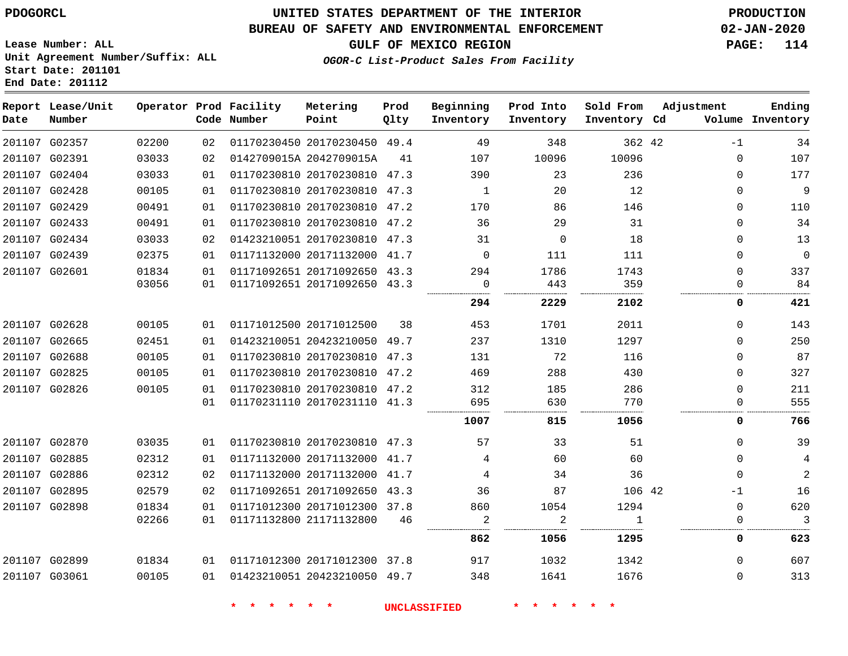## **BUREAU OF SAFETY AND ENVIRONMENTAL ENFORCEMENT 02-JAN-2020**

**OGOR-C List-Product Sales From Facility**

**GULF OF MEXICO REGION PAGE: 114**

**Lease Number: ALL Unit Agreement Number/Suffix: ALL Start Date: 201101 End Date: 201112**

| Date          | Report Lease/Unit<br>Number |       |    | Operator Prod Facility<br>Code Number | Metering<br>Point            | Prod<br>Qlty | Beginning<br>Inventory | Prod Into<br>Inventory | Sold From<br>Inventory Cd | Adjustment  | Ending<br>Volume Inventory |
|---------------|-----------------------------|-------|----|---------------------------------------|------------------------------|--------------|------------------------|------------------------|---------------------------|-------------|----------------------------|
|               | 201107 G02357               | 02200 | 02 |                                       | 01170230450 20170230450 49.4 |              | 49                     | 348                    | 362 42                    | $-1$        | 34                         |
| 201107 G02391 |                             | 03033 | 02 |                                       | 0142709015A 2042709015A      | 41           | 107                    | 10096                  | 10096                     | $\Omega$    | 107                        |
|               | 201107 G02404               | 03033 | 01 |                                       | 01170230810 20170230810 47.3 |              | 390                    | 23                     | 236                       | 0           | 177                        |
| 201107 G02428 |                             | 00105 | 01 |                                       | 01170230810 20170230810 47.3 |              | 1                      | 20                     | 12                        | $\Omega$    | $\overline{9}$             |
|               | 201107 G02429               | 00491 | 01 |                                       | 01170230810 20170230810      | 47.2         | 170                    | 86                     | 146                       | 0           | 110                        |
|               | 201107 G02433               | 00491 | 01 |                                       | 01170230810 20170230810      | 47.2         | 36                     | 29                     | 31                        | $\mathbf 0$ | 34                         |
|               | 201107 G02434               | 03033 | 02 |                                       | 01423210051 20170230810 47.3 |              | 31                     | $\Omega$               | 18                        | $\Omega$    | 13                         |
|               | 201107 G02439               | 02375 | 01 |                                       | 01171132000 20171132000      | 41.7         | $\mathbf 0$            | 111                    | 111                       | $\mathbf 0$ | $\overline{0}$             |
| 201107 G02601 |                             | 01834 | 01 |                                       | 01171092651 20171092650 43.3 |              | 294                    | 1786                   | 1743                      | $\mathbf 0$ | 337                        |
|               |                             | 03056 | 01 |                                       | 01171092651 20171092650 43.3 |              | 0                      | 443                    | 359                       | $\Omega$    | 84                         |
|               |                             |       |    |                                       |                              |              | 294                    | 2229                   | 2102                      | 0           | 421                        |
|               | 201107 G02628               | 00105 | 01 |                                       | 01171012500 20171012500      | 38           | 453                    | 1701                   | 2011                      | $\mathbf 0$ | 143                        |
|               | 201107 G02665               | 02451 | 01 |                                       | 01423210051 20423210050      | 49.7         | 237                    | 1310                   | 1297                      | 0           | 250                        |
|               | 201107 G02688               | 00105 | 01 |                                       | 01170230810 20170230810      | 47.3         | 131                    | 72                     | 116                       | $\mathbf 0$ | 87                         |
|               | 201107 G02825               | 00105 | 01 |                                       | 01170230810 20170230810      | 47.2         | 469                    | 288                    | 430                       | $\mathbf 0$ | 327                        |
|               | 201107 G02826               | 00105 | 01 |                                       | 01170230810 20170230810 47.2 |              | 312                    | 185                    | 286                       | 0           | 211                        |
|               |                             |       | 01 |                                       | 01170231110 20170231110 41.3 |              | 695                    | 630                    | 770                       | $\Omega$    | 555                        |
|               |                             |       |    |                                       |                              |              | 1007                   | 815                    | 1056                      | 0           | 766                        |
|               | 201107 G02870               | 03035 | 01 |                                       | 01170230810 20170230810 47.3 |              | 57                     | 33                     | 51                        | $\Omega$    | 39                         |
|               | 201107 G02885               | 02312 | 01 |                                       | 01171132000 20171132000      | 41.7         | 4                      | 60                     | 60                        | $\Omega$    | 4                          |
|               | 201107 G02886               | 02312 | 02 |                                       | 01171132000 20171132000      | 41.7         | 4                      | 34                     | 36                        | $\mathbf 0$ | $\overline{2}$             |
|               | 201107 G02895               | 02579 | 02 |                                       | 01171092651 20171092650      | 43.3         | 36                     | 87                     | 106 42                    | $-1$        | 16                         |
|               | 201107 G02898               | 01834 | 01 |                                       | 01171012300 20171012300 37.8 |              | 860                    | 1054                   | 1294                      | $\Omega$    | 620                        |
|               |                             | 02266 | 01 |                                       | 01171132800 21171132800      | 46           | 2                      | 2                      | $\mathbf{1}$              | 0           | 3                          |
|               |                             |       |    |                                       |                              |              | 862                    | 1056                   | 1295                      | 0           | 623                        |
|               | 201107 G02899               | 01834 | 01 |                                       | 01171012300 20171012300 37.8 |              | 917                    | 1032                   | 1342                      | $\mathbf 0$ | 607                        |
| 201107 G03061 |                             | 00105 | 01 |                                       | 01423210051 20423210050 49.7 |              | 348                    | 1641                   | 1676                      | $\Omega$    | 313                        |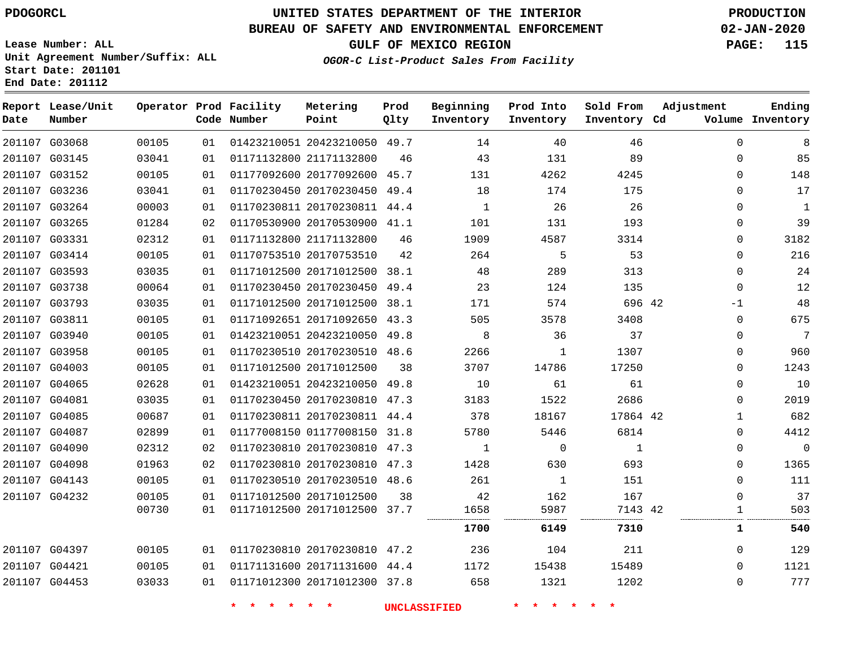**Report Lease/Unit**

**Number**

# **UNITED STATES DEPARTMENT OF THE INTERIOR PDOGORCL PRODUCTION**

**Prod Qlty**

#### **BUREAU OF SAFETY AND ENVIRONMENTAL ENFORCEMENT 02-JAN-2020**

**Lease Number: ALL Unit Agreement Number/Suffix: ALL Start Date: 201101 End Date: 201112**

**Operator Prod Facility**

**Code Number**

**Metering Point**

**GULF OF MEXICO REGION PAGE: 115**

**Inventory Cd Volume**

**Adjustment**

**Ending**

**OGOR-C List-Product Sales From Facility**

**Beginning Inventory** **Prod Into Inventory** **Sold From Inventory**

| 201107 G03068 | 00105 | 01 | 01423210051 20423210050 49.7          |    | 14             | 40             | 46             | $\Omega$    | 8              |
|---------------|-------|----|---------------------------------------|----|----------------|----------------|----------------|-------------|----------------|
| 201107 G03145 | 03041 | 01 | 01171132800 21171132800               | 46 | 43             | 131            | 89             | $\mathbf 0$ | 85             |
| 201107 G03152 | 00105 | 01 | 01177092600 20177092600 45.7          |    | 131            | 4262           | 4245           | $\Omega$    | 148            |
| 201107 G03236 | 03041 | 01 | 01170230450 20170230450 49.4          |    | 18             | 174            | 175            | $\Omega$    | 17             |
| 201107 G03264 | 00003 | 01 | 01170230811 20170230811 44.4          |    | $\overline{1}$ | 26             | 26             | $\Omega$    | 1              |
| 201107 G03265 | 01284 | 02 | 01170530900 20170530900 41.1          |    | 101            | 131            | 193            | 0           | 39             |
| 201107 G03331 | 02312 | 01 | 01171132800 21171132800               | 46 | 1909           | 4587           | 3314           | $\Omega$    | 3182           |
| 201107 G03414 | 00105 | 01 | 01170753510 20170753510               | 42 | 264            | 5              | 53             | $\Omega$    | 216            |
| 201107 G03593 | 03035 | 01 | 01171012500 20171012500 38.1          |    | 48             | 289            | 313            | $\Omega$    | 24             |
| 201107 G03738 | 00064 | 01 | 01170230450 20170230450 49.4          |    | 23             | 124            | 135            | $\Omega$    | 12             |
| 201107 G03793 | 03035 | 01 | 01171012500 20171012500 38.1          |    | 171            | 574            | 696 42         | $-1$        | 48             |
| 201107 G03811 | 00105 | 01 | 01171092651 20171092650 43.3          |    | 505            | 3578           | 3408           | $\Omega$    | 675            |
| 201107 G03940 | 00105 | 01 | 01423210051 20423210050 49.8          |    | - 8            | 36             | 37             | $\Omega$    | 7              |
| 201107 G03958 | 00105 | 01 | 01170230510 20170230510 48.6          |    | 2266           | $\mathbf{1}$   | 1307           | $\Omega$    | 960            |
| 201107 G04003 | 00105 | 01 | 01171012500 20171012500               | 38 | 3707           | 14786          | 17250          | 0           | 1243           |
| 201107 G04065 | 02628 | 01 | 01423210051 20423210050 49.8          |    | 10             | 61             | 61             | $\Omega$    | 10             |
| 201107 G04081 | 03035 | 01 | 01170230450 20170230810 47.3          |    | 3183           | 1522           | 2686           | $\Omega$    | 2019           |
| 201107 G04085 | 00687 | 01 | 01170230811 20170230811 44.4          |    | 378            | 18167          | 17864 42       | 1           | 682            |
| 201107 G04087 | 02899 | 01 | 01177008150 01177008150 31.8          |    | 5780           | 5446           | 6814           | $\Omega$    | 4412           |
| 201107 G04090 | 02312 | 02 | 01170230810 20170230810 47.3          |    | $\overline{1}$ | $\overline{0}$ | $\overline{1}$ | 0           | $\overline{0}$ |
| 201107 G04098 | 01963 | 02 | 01170230810 20170230810 47.3          |    | 1428           | 630            | 693            | $\Omega$    | 1365           |
| 201107 G04143 | 00105 | 01 | 01170230510 20170230510 48.6          |    | 261            | $\overline{1}$ | 151            | $\Omega$    | 111            |
| 201107 G04232 | 00105 | 01 | 01171012500 20171012500               | 38 | 42             | 162            | 167            | 0           | 37             |
|               | 00730 | 01 | 01171012500 20171012500 37.7          |    | 1658           | 5987           | 7143 42        | 1           | 503            |
|               |       |    |                                       |    | 1700           | 6149           | 7310           | 1           | 540            |
| 201107 G04397 | 00105 |    | 01   01170230810   20170230810   47.2 |    | 236            | 104            | 211            | $\Omega$    | 129            |

| 201107 G04397 | 00105 |                                       |  | L O 4 |       | ⊥29  |
|---------------|-------|---------------------------------------|--|-------|-------|------|
| 201107 G04421 | 00105 | 01   01171131600   20171131600   44.4 |  | 15438 | 15489 | 1121 |
| 201107 G04453 | 03033 | 01   01171012300   20171012300   37.8 |  |       | 1202  | 777  |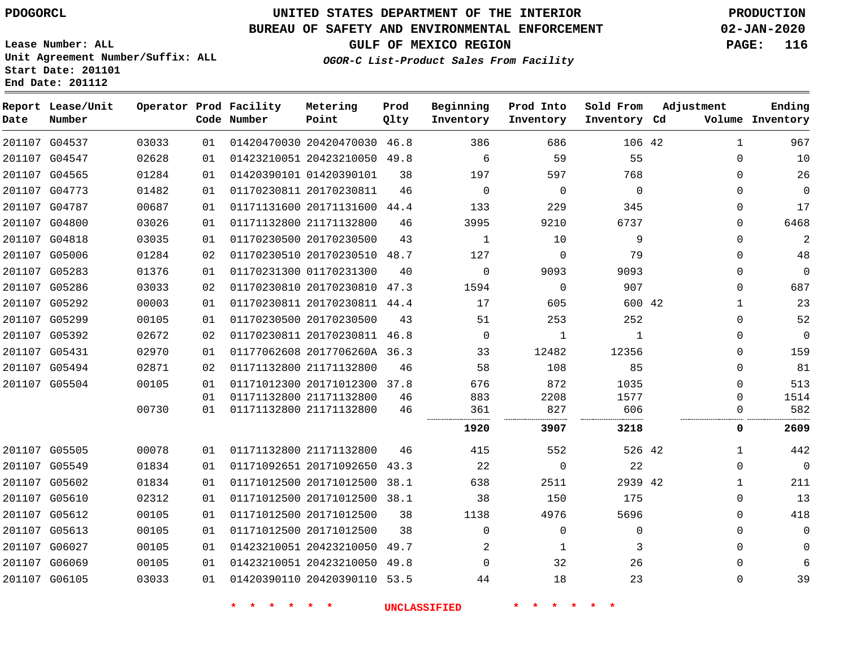**End Date: 201112**

# **UNITED STATES DEPARTMENT OF THE INTERIOR PDOGORCL PRODUCTION**

## **BUREAU OF SAFETY AND ENVIRONMENTAL ENFORCEMENT 02-JAN-2020**

**Lease Number: ALL Unit Agreement Number/Suffix: ALL Start Date: 201101**

**GULF OF MEXICO REGION PAGE: 116**

**OGOR-C List-Product Sales From Facility**

| Date | Report Lease/Unit<br>Number |       |    | Operator Prod Facility<br>Code Number | Metering<br>Point            | Prod<br>Qlty | Beginning<br>Inventory | Prod Into<br>Inventory | Sold From<br>Inventory Cd | Adjustment |              | Ending<br>Volume Inventory |
|------|-----------------------------|-------|----|---------------------------------------|------------------------------|--------------|------------------------|------------------------|---------------------------|------------|--------------|----------------------------|
|      | 201107 G04537               | 03033 | 01 |                                       | 01420470030 20420470030 46.8 |              | 386                    | 686                    | 106 42                    |            | 1            | 967                        |
|      | 201107 G04547               | 02628 | 01 |                                       | 01423210051 20423210050 49.8 |              | 6                      | 59                     | 55                        |            | $\Omega$     | 10                         |
|      | 201107 G04565               | 01284 | 01 |                                       | 01420390101 01420390101      | 38           | 197                    | 597                    | 768                       |            | $\Omega$     | 26                         |
|      | 201107 G04773               | 01482 | 01 |                                       | 01170230811 20170230811      | 46           | $\Omega$               | $\Omega$               | $\Omega$                  |            | $\Omega$     | $\Omega$                   |
|      | 201107 G04787               | 00687 | 01 |                                       | 01171131600 20171131600      | 44.4         | 133                    | 229                    | 345                       |            | 0            | 17                         |
|      | 201107 G04800               | 03026 | 01 |                                       | 01171132800 21171132800      | 46           | 3995                   | 9210                   | 6737                      |            | 0            | 6468                       |
|      | 201107 G04818               | 03035 | 01 |                                       | 01170230500 20170230500      | 43           | 1                      | 10                     | 9                         |            | 0            | $\overline{2}$             |
|      | 201107 G05006               | 01284 | 02 |                                       | 01170230510 20170230510      | 48.7         | 127                    | 0                      | 79                        |            | $\Omega$     | 48                         |
|      | 201107 G05283               | 01376 | 01 |                                       | 01170231300 01170231300      | 40           | $\Omega$               | 9093                   | 9093                      |            | $\Omega$     | $\Omega$                   |
|      | 201107 G05286               | 03033 | 02 |                                       | 01170230810 20170230810      | 47.3         | 1594                   | $\mathbf 0$            | 907                       |            | 0            | 687                        |
|      | 201107 G05292               | 00003 | 01 |                                       | 01170230811 20170230811 44.4 |              | 17                     | 605                    | 600 42                    |            | $\mathbf{1}$ | 23                         |
|      | 201107 G05299               | 00105 | 01 |                                       | 01170230500 20170230500      | 43           | 51                     | 253                    | 252                       |            | $\mathbf 0$  | 52                         |
|      | 201107 G05392               | 02672 | 02 |                                       | 01170230811 20170230811 46.8 |              | $\mathbf 0$            | 1                      | 1                         |            | $\Omega$     | $\mathbf{0}$               |
|      | 201107 G05431               | 02970 | 01 |                                       | 01177062608 2017706260A 36.3 |              | 33                     | 12482                  | 12356                     |            | $\Omega$     | 159                        |
|      | 201107 G05494               | 02871 | 02 |                                       | 01171132800 21171132800      | 46           | 58                     | 108                    | 85                        |            | 0            | 81                         |
|      | 201107 G05504               | 00105 | 01 |                                       | 01171012300 20171012300      | 37.8         | 676                    | 872                    | 1035                      |            | $\Omega$     | 513                        |
|      |                             |       | 01 |                                       | 01171132800 21171132800      | 46           | 883                    | 2208                   | 1577                      |            | $\Omega$     | 1514                       |
|      |                             | 00730 | 01 |                                       | 01171132800 21171132800      | 46           | 361                    | 827                    | 606                       |            | 0            | 582                        |
|      |                             |       |    |                                       |                              |              | 1920                   | 3907                   | 3218                      |            | 0            | 2609                       |
|      | 201107 G05505               | 00078 | 01 |                                       | 01171132800 21171132800      | 46           | 415                    | 552                    | 526 42                    |            | 1            | 442                        |
|      | 201107 G05549               | 01834 | 01 |                                       | 01171092651 20171092650      | 43.3         | 22                     | $\mathbf 0$            | 22                        |            | $\mathbf 0$  | $\mathbf 0$                |
|      | 201107 G05602               | 01834 | 01 |                                       | 01171012500 20171012500      | 38.1         | 638                    | 2511                   | 2939 42                   |            | 1            | 211                        |
|      | 201107 G05610               | 02312 | 01 |                                       | 01171012500 20171012500 38.1 |              | 38                     | 150                    | 175                       |            | $\mathbf 0$  | 13                         |
|      | 201107 G05612               | 00105 | 01 |                                       | 01171012500 20171012500      | 38           | 1138                   | 4976                   | 5696                      |            | $\Omega$     | 418                        |
|      | 201107 G05613               | 00105 | 01 |                                       | 01171012500 20171012500      | 38           | $\Omega$               | $\Omega$               | $\mathbf 0$               |            | $\Omega$     | $\Omega$                   |
|      | 201107 G06027               | 00105 | 01 |                                       | 01423210051 20423210050      | 49.7         | 2                      | 1                      | 3                         |            | $\mathbf 0$  | $\Omega$                   |
|      | 201107 G06069               | 00105 | 01 |                                       | 01423210051 20423210050 49.8 |              | $\Omega$               | 32                     | 26                        |            | $\Omega$     | 6                          |
|      | 201107 G06105               | 03033 | 01 |                                       | 01420390110 20420390110 53.5 |              | 44                     | 18                     | 23                        |            | $\mathbf 0$  | 39                         |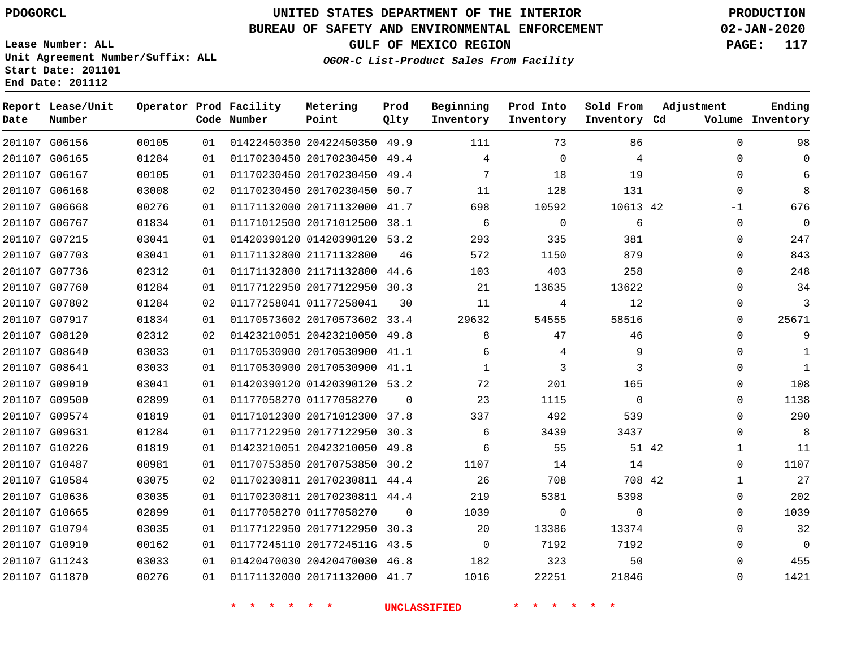**Report Lease/Unit**

**Number**

# **UNITED STATES DEPARTMENT OF THE INTERIOR PDOGORCL PRODUCTION**

**Prod Qlty**

### **BUREAU OF SAFETY AND ENVIRONMENTAL ENFORCEMENT 02-JAN-2020**

**Lease Number: ALL Unit Agreement Number/Suffix: ALL Start Date: 201101 End Date: 201112**

**Operator Prod Facility**

**Code Number**

**Metering Point**

**OGOR-C List-Product Sales From Facility**

**Beginning Inventory**

**Prod Into Inventory**

**Sold From Inventory**

**GULF OF MEXICO REGION PAGE: 117**

**Inventory Cd Volume**

**Adjustment**

  $\Omega$  $\Omega$  -1  $\Omega$  $\Omega$  $\Omega$  $\Omega$  $\Omega$  $\Omega$  $\Omega$  $\Omega$   $\Omega$  $\overline{0}$  $\Omega$  $\Omega$  $\Omega$   $\Omega$   $\Omega$  $\Omega$  $\Omega$  $\Omega$   $\Omega$ 

**Ending**

| 201107 G06156 | 00105 | 01 |                                       | 01422450350 20422450350 49.9     |                | 111                         | 73                      | 86                      |  |
|---------------|-------|----|---------------------------------------|----------------------------------|----------------|-----------------------------|-------------------------|-------------------------|--|
| 201107 G06165 | 01284 | 01 |                                       | 01170230450 20170230450 49.4     |                | 4                           | $\overline{0}$          | $\overline{4}$          |  |
| 201107 G06167 | 00105 | 01 |                                       | 01170230450 20170230450 49.4     |                | 7                           | 18                      | 19                      |  |
| 201107 G06168 | 03008 | 02 |                                       | 01170230450 20170230450 50.7     |                | 11                          | 128                     | 131                     |  |
| 201107 G06668 | 00276 | 01 |                                       | 01171132000 20171132000 41.7     |                | 698                         | 10592                   | 10613 42                |  |
| 201107 G06767 | 01834 | 01 |                                       | 01171012500 20171012500 38.1     |                | 6                           | $\overline{0}$          | 6                       |  |
| 201107 G07215 | 03041 | 01 |                                       | 01420390120 01420390120 53.2     |                | 293                         | 335                     | 381                     |  |
| 201107 G07703 | 03041 | 01 | 01171132800 21171132800               |                                  | 46             | 572                         | 1150                    | 879                     |  |
| 201107 G07736 | 02312 | 01 |                                       | 01171132800 21171132800 44.6     |                | 103                         | 403                     | 258                     |  |
| 201107 G07760 | 01284 | 01 |                                       | 01177122950 20177122950 30.3     |                |                             | 13635                   | 13622                   |  |
| 201107 G07802 | 01284 | 02 | 01177258041 01177258041               |                                  | 30             | 11                          | 4                       | 12                      |  |
| 201107 G07917 | 01834 | 01 |                                       | 01170573602 20170573602 33.4     |                | 29632                       | 54555                   | 58516                   |  |
| 201107 G08120 | 02312 | 02 |                                       | 01423210051 20423210050 49.8     |                | 8 <sup>8</sup>              | 47                      | 46                      |  |
| 201107 G08640 | 03033 | 01 |                                       | 01170530900 20170530900 41.1     |                | 6                           | $\overline{4}$          | - 9                     |  |
| 201107 G08641 | 03033 | 01 |                                       | 01170530900 20170530900 41.1     |                | $\sim$ $\sim$ $\sim$ $\sim$ | $\overline{\mathbf{3}}$ | $\overline{\mathbf{3}}$ |  |
| 201107 G09010 | 03041 | 01 |                                       | 01420390120 01420390120 53.2     |                | 72                          | 201                     | 165                     |  |
| 201107 G09500 | 02899 | 01 |                                       | 01177058270 01177058270          | $\overline{0}$ | 23                          | 1115                    | $\overline{0}$          |  |
| 201107 G09574 | 01819 | 01 |                                       | 01171012300 20171012300 37.8     |                | 337                         | 492                     | 539                     |  |
| 201107 G09631 | 01284 | 01 |                                       | 01177122950 20177122950 30.3     |                | 6                           | 3439                    | 3437                    |  |
| 201107 G10226 | 01819 | 01 |                                       | 01423210051 20423210050 49.8     |                | 6                           | 55                      | 51 42                   |  |
| 201107 G10487 | 00981 | 01 |                                       | 01170753850 20170753850 30.2     |                | 1107                        | 14                      | 14                      |  |
| 201107 G10584 | 03075 | 02 |                                       | 01170230811 20170230811 44.4     |                | 26                          | 708                     | 708 42                  |  |
| 201107 G10636 | 03035 | 01 |                                       | 01170230811 20170230811 44.4     |                | 219                         | 5381                    | 5398                    |  |
| 201107 G10665 | 02899 | 01 | 01177058270 01177058270               |                                  |                | 1039<br>$\overline{0}$      | $\overline{0}$          | $\mathbf{0}$            |  |
| 201107 G10794 | 03035 | 01 |                                       | 01177122950 20177122950 30.3     |                | 20                          | 13386                   | 13374                   |  |
| 201107 G10910 | 00162 | 01 |                                       | 01177245110 2017724511G 43.5     |                | $\overline{0}$              | 7192                    | 7192                    |  |
| 201107 G11243 | 03033 | 01 |                                       | 01420470030 20420470030 46.8 182 |                |                             | 323                     | 50                      |  |
| 201107 G11870 | 00276 |    | 01   01171132000   20171132000   41.7 |                                  |                | 1016                        | 22251                   | 21846                   |  |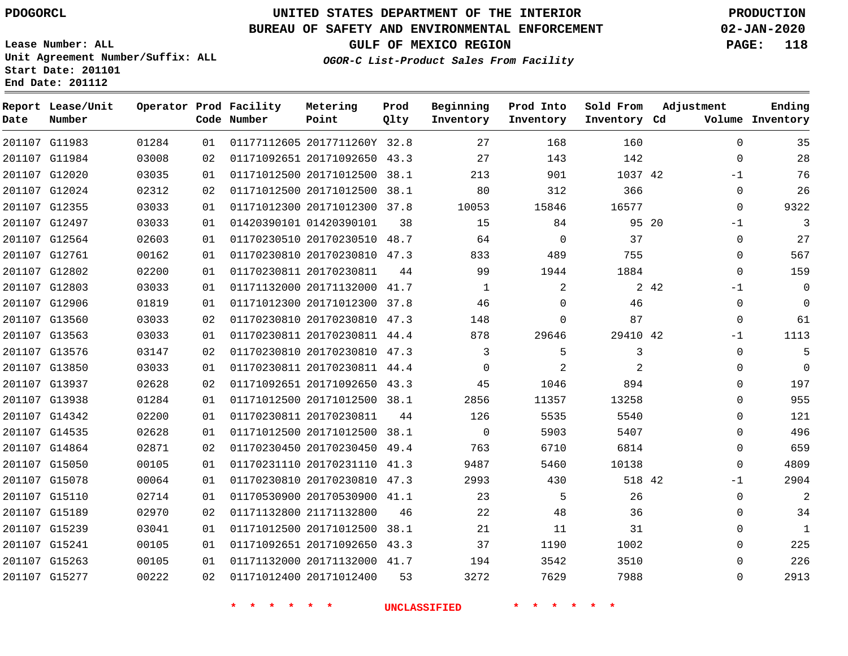**Report Lease/Unit**

**Number**

## **UNITED STATES DEPARTMENT OF THE INTERIOR PDOGORCL PRODUCTION**

**Prod Qlty**

#### **BUREAU OF SAFETY AND ENVIRONMENTAL ENFORCEMENT 02-JAN-2020**

**Lease Number: ALL Unit Agreement Number/Suffix: ALL Start Date: 201101 End Date: 201112**

**Operator Prod Facility**

**Code Number**

**Metering Point**

**OGOR-C List-Product Sales From Facility**

**Sold From Inventory**

**Prod Into Inventory**

**Beginning Inventory**

**GULF OF MEXICO REGION PAGE: 118**

**Inventory Cd Volume**

**Adjustment**

  $-1$  -1  $\Omega$   $-1$   $\Omega$ -1  $\overline{0}$  $\overline{0}$  $\overline{0}$  $\Omega$  $\overline{0}$  $\Omega$  $\Omega$  -1  $\Omega$ 

**Ending**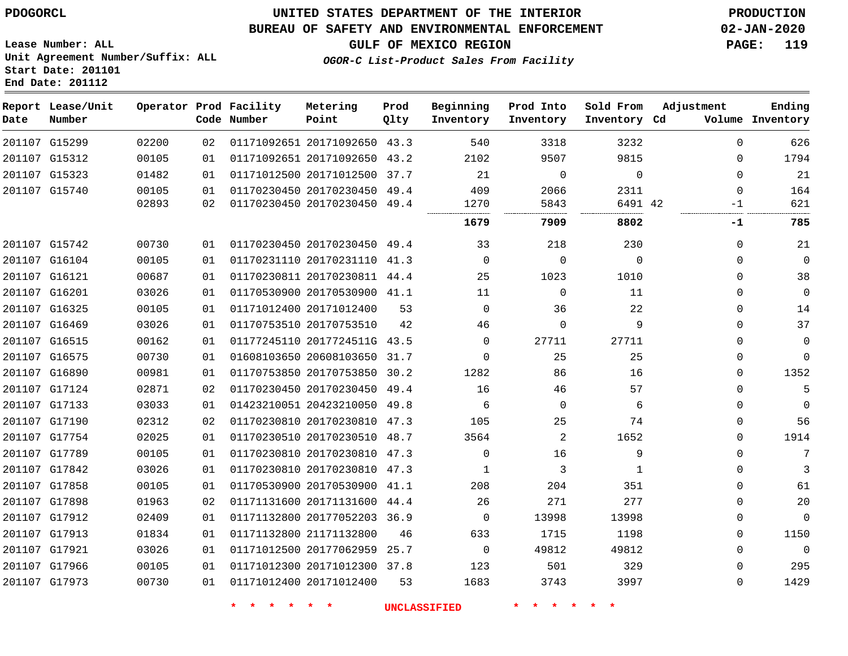**End Date: 201112**

## **UNITED STATES DEPARTMENT OF THE INTERIOR PDOGORCL PRODUCTION**

### **BUREAU OF SAFETY AND ENVIRONMENTAL ENFORCEMENT 02-JAN-2020**

**Lease Number: ALL Unit Agreement Number/Suffix: ALL Start Date: 201101**

**GULF OF MEXICO REGION PAGE: 119**

**OGOR-C List-Product Sales From Facility**

| Date          | Report Lease/Unit<br>Number |       |    | Operator Prod Facility<br>Code Number | Metering<br>Point            | Prod<br>Qlty | Beginning<br>Inventory | Prod Into<br>Inventory | Sold From<br>Inventory Cd | Adjustment | Ending<br>Volume Inventory |
|---------------|-----------------------------|-------|----|---------------------------------------|------------------------------|--------------|------------------------|------------------------|---------------------------|------------|----------------------------|
| 201107 G15299 |                             | 02200 | 02 |                                       | 01171092651 20171092650 43.3 |              | 540                    | 3318                   | 3232                      | $\Omega$   | 626                        |
|               | 201107 G15312               | 00105 | 01 |                                       | 01171092651 20171092650 43.2 |              | 2102                   | 9507                   | 9815                      | 0          | 1794                       |
| 201107 G15323 |                             | 01482 | 01 |                                       | 01171012500 20171012500 37.7 |              | 21                     | $\Omega$               | $\Omega$                  | $\Omega$   | 21                         |
|               | 201107 G15740               | 00105 | 01 |                                       | 01170230450 20170230450 49.4 |              | 409                    | 2066                   | 2311                      | $\Omega$   | 164                        |
|               |                             | 02893 | 02 |                                       | 01170230450 20170230450 49.4 |              | 1270<br>               | 5843                   | 6491 42                   | $-1$<br>.  | 621                        |
|               |                             |       |    |                                       |                              |              | 1679                   | 7909                   | 8802                      | -1         | 785                        |
| 201107 G15742 |                             | 00730 | 01 |                                       | 01170230450 20170230450 49.4 |              | 33                     | 218                    | 230                       | 0          | 21                         |
| 201107 G16104 |                             | 00105 | 01 |                                       | 01170231110 20170231110 41.3 |              | $\Omega$               | $\mathbf 0$            | $\mathbf 0$               | 0          | $\mathbf 0$                |
| 201107 G16121 |                             | 00687 | 01 |                                       | 01170230811 20170230811 44.4 |              | 25                     | 1023                   | 1010                      | 0          | 38                         |
| 201107 G16201 |                             | 03026 | 01 |                                       | 01170530900 20170530900 41.1 |              | 11                     | $\Omega$               | 11                        | $\Omega$   | $\Omega$                   |
| 201107 G16325 |                             | 00105 | 01 |                                       | 01171012400 20171012400      | 53           | $\Omega$               | 36                     | 22                        | 0          | 14                         |
| 201107 G16469 |                             | 03026 | 01 |                                       | 01170753510 20170753510      | 42           | 46                     | $\mathbf 0$            | 9                         | $\Omega$   | 37                         |
| 201107 G16515 |                             | 00162 | 01 |                                       | 01177245110 2017724511G 43.5 |              | $\Omega$               | 27711                  | 27711                     | 0          | $\mathbf 0$                |
| 201107 G16575 |                             | 00730 | 01 |                                       | 01608103650 20608103650 31.7 |              | $\Omega$               | 25                     | 25                        | 0          | $\mathbf 0$                |
| 201107 G16890 |                             | 00981 | 01 |                                       | 01170753850 20170753850 30.2 |              | 1282                   | 86                     | 16                        | 0          | 1352                       |
| 201107 G17124 |                             | 02871 | 02 |                                       | 01170230450 20170230450 49.4 |              | 16                     | 46                     | 57                        | 0          | 5                          |
| 201107 G17133 |                             | 03033 | 01 |                                       | 01423210051 20423210050 49.8 |              | 6                      | $\Omega$               | 6                         | 0          | $\mathbf 0$                |
| 201107 G17190 |                             | 02312 | 02 |                                       | 01170230810 20170230810 47.3 |              | 105                    | 25                     | 74                        | 0          | 56                         |
| 201107 G17754 |                             | 02025 | 01 |                                       | 01170230510 20170230510 48.7 |              | 3564                   | 2                      | 1652                      | 0          | 1914                       |
| 201107 G17789 |                             | 00105 | 01 |                                       | 01170230810 20170230810 47.3 |              | $\mathbf 0$            | 16                     | 9                         | 0          | $7\phantom{.0}$            |
| 201107 G17842 |                             | 03026 | 01 |                                       | 01170230810 20170230810 47.3 |              | 1                      | 3                      | 1                         | $\Omega$   | 3                          |
| 201107 G17858 |                             | 00105 | 01 |                                       | 01170530900 20170530900 41.1 |              | 208                    | 204                    | 351                       | $\Omega$   | 61                         |
| 201107 G17898 |                             | 01963 | 02 |                                       | 01171131600 20171131600      | 44.4         | 26                     | 271                    | 277                       | 0          | 20                         |
| 201107 G17912 |                             | 02409 | 01 |                                       | 01171132800 20177052203 36.9 |              | $\mathbf 0$            | 13998                  | 13998                     | 0          | $\mathbf 0$                |
| 201107 G17913 |                             | 01834 | 01 |                                       | 01171132800 21171132800      | 46           | 633                    | 1715                   | 1198                      | 0          | 1150                       |
| 201107 G17921 |                             | 03026 | 01 |                                       | 01171012500 20177062959 25.7 |              | $\mathbf 0$            | 49812                  | 49812                     | 0          | $\mathbf 0$                |
| 201107 G17966 |                             | 00105 | 01 |                                       | 01171012300 20171012300 37.8 |              | 123                    | 501                    | 329                       | $\Omega$   | 295                        |
|               | 201107 G17973               | 00730 | 01 |                                       | 01171012400 20171012400      | 53           | 1683                   | 3743                   | 3997                      | $\Omega$   | 1429                       |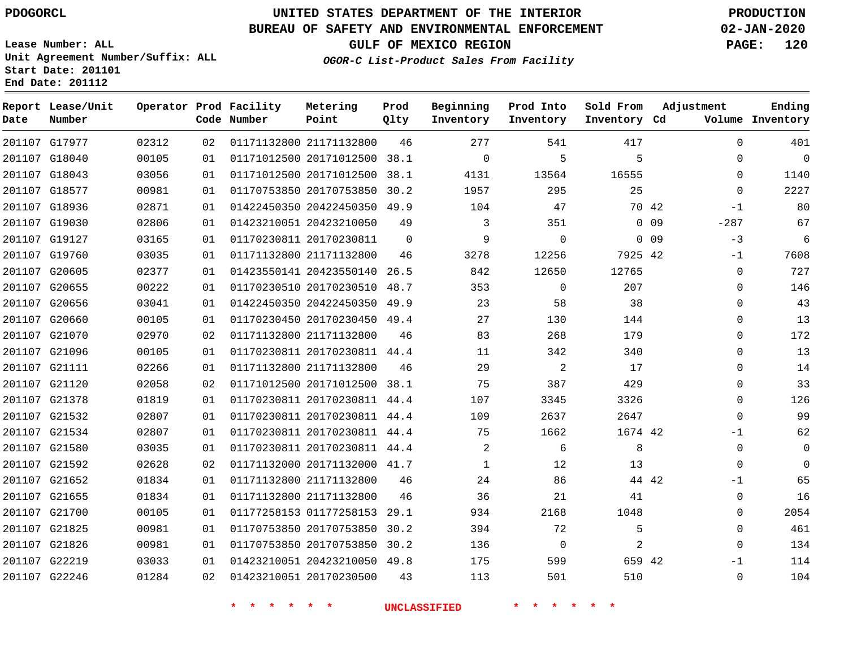## **BUREAU OF SAFETY AND ENVIRONMENTAL ENFORCEMENT 02-JAN-2020**

**Lease Number: ALL Unit Agreement Number/Suffix: ALL Start Date: 201101 End Date: 201112**

**GULF OF MEXICO REGION PAGE: 120**

**OGOR-C List-Product Sales From Facility**

| Date | Report Lease/Unit<br>Number |       |    | Operator Prod Facility<br>Code Number | Metering<br>Point            | Prod<br>Qlty | Beginning<br>Inventory | Prod Into<br>Inventory | Sold From<br>Inventory Cd | Adjustment                | Ending<br>Volume Inventory |
|------|-----------------------------|-------|----|---------------------------------------|------------------------------|--------------|------------------------|------------------------|---------------------------|---------------------------|----------------------------|
|      | 201107 G17977               | 02312 | 02 |                                       | 01171132800 21171132800      | 46           | 277                    | 541                    | 417                       | $\Omega$                  | 401                        |
|      | 201107 G18040               | 00105 | 01 |                                       | 01171012500 20171012500      | 38.1         | $\Omega$               | 5                      | 5                         | $\Omega$                  | $\Omega$                   |
|      | 201107 G18043               | 03056 | 01 |                                       | 01171012500 20171012500      | 38.1         | 4131                   | 13564                  | 16555                     | $\mathbf 0$               | 1140                       |
|      | 201107 G18577               | 00981 | 01 |                                       | 01170753850 20170753850      | 30.2         | 1957                   | 295                    | 25                        | $\Omega$                  | 2227                       |
|      | 201107 G18936               | 02871 | 01 |                                       | 01422450350 20422450350 49.9 |              | 104                    | 47                     |                           | 70 42<br>$-1$             | 80                         |
|      | 201107 G19030               | 02806 | 01 |                                       | 01423210051 20423210050      | 49           | 3                      | 351                    |                           | 0 <sub>09</sub><br>$-287$ | 67                         |
|      | 201107 G19127               | 03165 | 01 |                                       | 01170230811 20170230811      | $\mathbf 0$  | 9                      | $\Omega$               |                           | $-3$<br>$0\quad09$        | 6                          |
|      | 201107 G19760               | 03035 | 01 |                                       | 01171132800 21171132800      | 46           | 3278                   | 12256                  | 7925 42                   | $-1$                      | 7608                       |
|      | 201107 G20605               | 02377 | 01 |                                       | 01423550141 20423550140      | 26.5         | 842                    | 12650                  | 12765                     | 0                         | 727                        |
|      | 201107 G20655               | 00222 | 01 |                                       | 01170230510 20170230510      | 48.7         | 353                    | $\mathbf 0$            | 207                       | $\Omega$                  | 146                        |
|      | 201107 G20656               | 03041 | 01 |                                       | 01422450350 20422450350 49.9 |              | 23                     | 58                     | 38                        | $\mathbf 0$               | 43                         |
|      | 201107 G20660               | 00105 | 01 |                                       | 01170230450 20170230450 49.4 |              | 27                     | 130                    | 144                       | $\mathbf 0$               | 13                         |
|      | 201107 G21070               | 02970 | 02 |                                       | 01171132800 21171132800      | 46           | 83                     | 268                    | 179                       | $\mathbf 0$               | 172                        |
|      | 201107 G21096               | 00105 | 01 |                                       | 01170230811 20170230811 44.4 |              | 11                     | 342                    | 340                       | $\Omega$                  | 13                         |
|      | 201107 G21111               | 02266 | 01 |                                       | 01171132800 21171132800      | 46           | 29                     | $\overline{a}$         | 17                        | $\mathbf 0$               | 14                         |
|      | 201107 G21120               | 02058 | 02 |                                       | 01171012500 20171012500 38.1 |              | 75                     | 387                    | 429                       | $\mathbf 0$               | 33                         |
|      | 201107 G21378               | 01819 | 01 |                                       | 01170230811 20170230811 44.4 |              | 107                    | 3345                   | 3326                      | $\Omega$                  | 126                        |
|      | 201107 G21532               | 02807 | 01 |                                       | 01170230811 20170230811 44.4 |              | 109                    | 2637                   | 2647                      | $\Omega$                  | 99                         |
|      | 201107 G21534               | 02807 | 01 |                                       | 01170230811 20170230811 44.4 |              | 75                     | 1662                   | 1674 42                   | $-1$                      | 62                         |
|      | 201107 G21580               | 03035 | 01 |                                       | 01170230811 20170230811 44.4 |              | 2                      | 6                      | 8                         | $\mathbf 0$               | $\Omega$                   |
|      | 201107 G21592               | 02628 | 02 |                                       | 01171132000 20171132000 41.7 |              | 1                      | 12                     | 13                        | 0                         | $\Omega$                   |
|      | 201107 G21652               | 01834 | 01 |                                       | 01171132800 21171132800      | 46           | 24                     | 86                     |                           | 44 42<br>$-1$             | 65                         |
|      | 201107 G21655               | 01834 | 01 |                                       | 01171132800 21171132800      | 46           | 36                     | 21                     | 41                        | 0                         | 16                         |
|      | 201107 G21700               | 00105 | 01 |                                       | 01177258153 01177258153 29.1 |              | 934                    | 2168                   | 1048                      | $\mathbf 0$               | 2054                       |
|      | 201107 G21825               | 00981 | 01 |                                       | 01170753850 20170753850      | 30.2         | 394                    | 72                     | 5                         | $\mathbf{0}$              | 461                        |
|      | 201107 G21826               | 00981 | 01 |                                       | 01170753850 20170753850 30.2 |              | 136                    | $\Omega$               | 2                         | $\Omega$                  | 134                        |
|      | 201107 G22219               | 03033 | 01 |                                       | 01423210051 20423210050 49.8 |              | 175                    | 599                    | 659 42                    | -1                        | 114                        |
|      | 201107 G22246               | 01284 | 02 |                                       | 01423210051 20170230500      | 43           | 113                    | 501                    | 510                       | $\mathbf{0}$              | 104                        |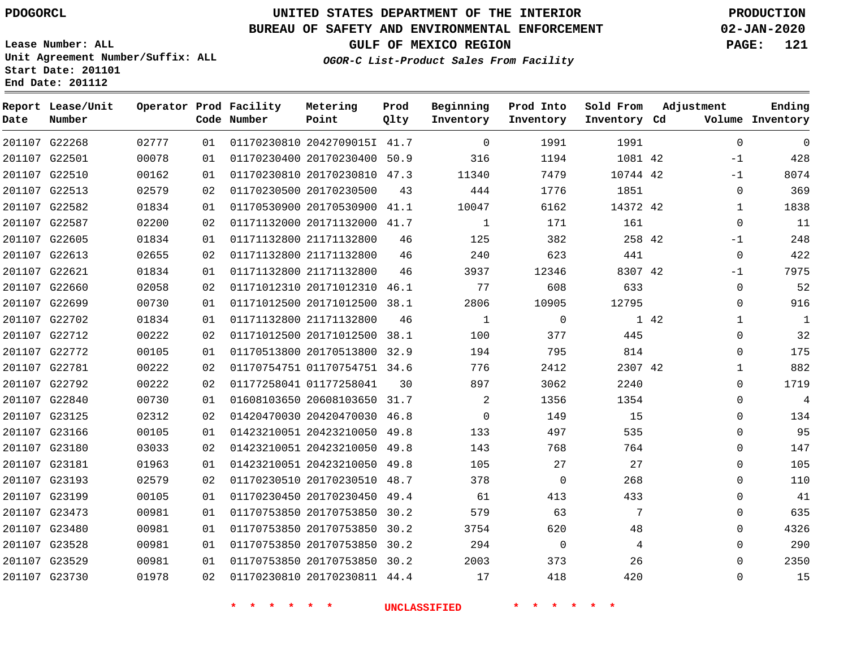**Report Lease/Unit**

# **UNITED STATES DEPARTMENT OF THE INTERIOR PDOGORCL PRODUCTION**

**Prod**

**Metering**

#### **BUREAU OF SAFETY AND ENVIRONMENTAL ENFORCEMENT 02-JAN-2020**

**Lease Number: ALL Unit Agreement Number/Suffix: ALL Start Date: 201101 End Date: 201112**

**Operator Prod Facility**

**OGOR-C List-Product Sales From Facility**

**Beginning**

**Prod Into**

**Sold From Adjustment**

**GULF OF MEXICO REGION PAGE: 121**

**Ending**

| Date | Number        |       |    | Code Number                      | Point                        | Qlty | Inventory           | Inventory                | Inventory Cd                 |      |              | Volume Inventory |
|------|---------------|-------|----|----------------------------------|------------------------------|------|---------------------|--------------------------|------------------------------|------|--------------|------------------|
|      | 201107 G22268 | 02777 | 01 |                                  | 01170230810 2042709015I 41.7 |      | $\overline{0}$      | 1991                     | 1991                         |      | $\mathbf 0$  | $\overline{0}$   |
|      | 201107 G22501 | 00078 | 01 |                                  | 01170230400 20170230400 50.9 |      | 316                 | 1194                     | 1081 42                      |      | $-1$         | 428              |
|      | 201107 G22510 | 00162 | 01 |                                  | 01170230810 20170230810 47.3 |      | 11340               | 7479                     | 10744 42                     |      | $-1$         | 8074             |
|      | 201107 G22513 | 02579 | 02 |                                  | 01170230500 20170230500      | 43   | 444                 | 1776                     | 1851                         |      | 0            | 369              |
|      | 201107 G22582 | 01834 | 01 |                                  | 01170530900 20170530900 41.1 |      | 10047               | 6162                     | 14372 42                     |      | $\mathbf{1}$ | 1838             |
|      | 201107 G22587 | 02200 | 02 |                                  | 01171132000 20171132000 41.7 |      | $\mathbf{1}$        | 171                      | 161                          |      | $\Omega$     | 11               |
|      | 201107 G22605 | 01834 | 01 |                                  | 01171132800 21171132800      | 46   | 125                 | 382                      | 258 42                       |      | $-1$         | 248              |
|      | 201107 G22613 | 02655 | 02 |                                  | 01171132800 21171132800      | 46   | 240                 | 623                      | 441                          |      | $\mathbf 0$  | 422              |
|      | 201107 G22621 | 01834 | 01 |                                  | 01171132800 21171132800      | 46   | 3937                | 12346                    | 8307 42                      |      | -1           | 7975             |
|      | 201107 G22660 | 02058 | 02 |                                  | 01171012310 20171012310 46.1 |      | 77                  | 608                      | 633                          |      | $\mathbf 0$  | 52               |
|      | 201107 G22699 | 00730 | 01 |                                  | 01171012500 20171012500 38.1 |      | 2806                | 10905                    | 12795                        |      | $\Omega$     | 916              |
|      | 201107 G22702 | 01834 | 01 |                                  | 01171132800 21171132800      | 46   | $\overline{1}$      | $\overline{0}$           |                              | 1 42 | $\mathbf{1}$ | $\mathbf{1}$     |
|      | 201107 G22712 | 00222 | 02 |                                  | 01171012500 20171012500 38.1 |      | 100                 | 377                      | 445                          |      | $\Omega$     | 32               |
|      | 201107 G22772 | 00105 | 01 |                                  | 01170513800 20170513800 32.9 |      | 194                 | 795                      | 814                          |      | 0            | 175              |
|      | 201107 G22781 | 00222 | 02 |                                  | 01170754751 01170754751 34.6 |      | 776                 | 2412                     | 2307 42                      |      | 1            | 882              |
|      | 201107 G22792 | 00222 | 02 |                                  | 01177258041 01177258041      | 30   | 897                 | 3062                     | 2240                         |      | 0            | 1719             |
|      | 201107 G22840 | 00730 | 01 |                                  | 01608103650 20608103650 31.7 |      | 2                   | 1356                     | 1354                         |      | 0            | $\overline{4}$   |
|      | 201107 G23125 | 02312 | 02 |                                  | 01420470030 20420470030 46.8 |      | $\overline{0}$      | 149                      | 15                           |      | $\Omega$     | 134              |
|      | 201107 G23166 | 00105 | 01 |                                  | 01423210051 20423210050 49.8 |      | 133                 | 497                      | 535                          |      | $\Omega$     | 95               |
|      | 201107 G23180 | 03033 | 02 |                                  | 01423210051 20423210050 49.8 |      | 143                 | 768                      | 764                          |      | 0            | 147              |
|      | 201107 G23181 | 01963 | 01 |                                  | 01423210051 20423210050 49.8 |      | 105                 | 27                       | 27                           |      | $\Omega$     | 105              |
|      | 201107 G23193 | 02579 | 02 |                                  | 01170230510 20170230510 48.7 |      | 378                 | $\overline{0}$           | 268                          |      | 0            | 110              |
|      | 201107 G23199 | 00105 | 01 |                                  | 01170230450 20170230450 49.4 |      | 61                  | 413                      | 433                          |      | $\Omega$     | 41               |
|      | 201107 G23473 | 00981 | 01 |                                  | 01170753850 20170753850 30.2 |      | 579                 | 63                       | $7\phantom{.0}\phantom{.0}7$ |      | 0            | 635              |
|      | 201107 G23480 | 00981 | 01 |                                  | 01170753850 20170753850 30.2 |      | 3754                | 620                      | 48                           |      | $\Omega$     | 4326             |
|      | 201107 G23528 | 00981 | 01 |                                  | 01170753850 20170753850 30.2 |      | 294                 | $\overline{\phantom{0}}$ | $\overline{4}$               |      | 0            | 290              |
|      | 201107 G23529 | 00981 | 01 |                                  | 01170753850 20170753850 30.2 |      | 2003                | 373                      | 26                           |      | $\Omega$     | 2350             |
|      | 201107 G23730 | 01978 | 02 |                                  | 01170230810 20170230811 44.4 |      | 17                  | 418                      | 420                          |      | $\mathbf 0$  | 15               |
|      |               |       |    | $\star$ $\star$<br>一大<br>$\star$ | $\star$<br>一大                |      | <b>UNCLASSIFIED</b> | 一米                       |                              |      |              |                  |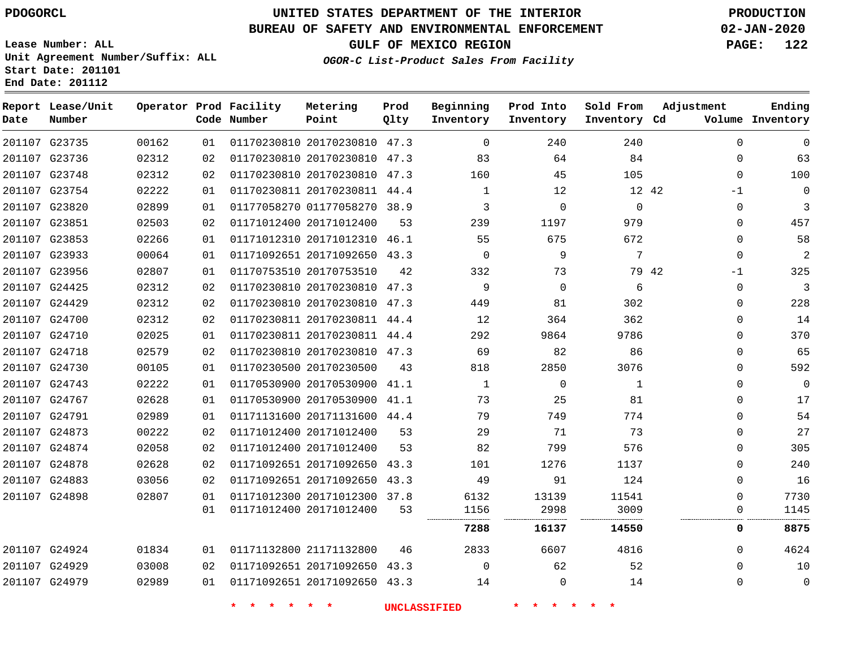## **BUREAU OF SAFETY AND ENVIRONMENTAL ENFORCEMENT 02-JAN-2020**

**Lease Number: ALL Unit Agreement Number/Suffix: ALL Start Date: 201101 End Date: 201112**

**OGOR-C List-Product Sales From Facility**

**GULF OF MEXICO REGION PAGE: 122**

| Date | Report Lease/Unit<br>Number |       |    | Operator Prod Facility<br>Code Number | Metering<br>Point            | Prod<br>Qlty | Beginning<br>Inventory | Prod Into<br>Inventory | Sold From<br>Inventory Cd | Adjustment    | Ending<br>Volume Inventory |
|------|-----------------------------|-------|----|---------------------------------------|------------------------------|--------------|------------------------|------------------------|---------------------------|---------------|----------------------------|
|      | 201107 G23735               | 00162 | 01 |                                       | 01170230810 20170230810 47.3 |              | $\mathbf 0$            | 240                    | 240                       | $\Omega$      | $\mathbf 0$                |
|      | 201107 G23736               | 02312 | 02 |                                       | 01170230810 20170230810 47.3 |              | 83                     | 64                     | 84                        | $\Omega$      | 63                         |
|      | 201107 G23748               | 02312 | 02 |                                       | 01170230810 20170230810 47.3 |              | 160                    | 45                     | 105                       | $\mathbf{0}$  | 100                        |
|      | 201107 G23754               | 02222 | 01 |                                       | 01170230811 20170230811 44.4 |              | $\mathbf{1}$           | 12                     | 12 42                     | $-1$          | 0                          |
|      | 201107 G23820               | 02899 | 01 |                                       | 01177058270 01177058270 38.9 |              | 3                      | 0                      | $\mathbf 0$               | 0             | 3                          |
|      | 201107 G23851               | 02503 | 02 |                                       | 01171012400 20171012400      | 53           | 239                    | 1197                   | 979                       | $\Omega$      | 457                        |
|      | 201107 G23853               | 02266 | 01 |                                       | 01171012310 20171012310 46.1 |              | 55                     | 675                    | 672                       | 0             | 58                         |
|      | 201107 G23933               | 00064 | 01 |                                       | 01171092651 20171092650 43.3 |              | $\Omega$               | 9                      | 7                         | $\Omega$      | 2                          |
|      | 201107 G23956               | 02807 | 01 |                                       | 01170753510 20170753510      | 42           | 332                    | 73                     |                           | 79 42<br>$-1$ | 325                        |
|      | 201107 G24425               | 02312 | 02 |                                       | 01170230810 20170230810 47.3 |              | 9                      | $\mathbf 0$            | 6                         | $\Omega$      | 3                          |
|      | 201107 G24429               | 02312 | 02 |                                       | 01170230810 20170230810 47.3 |              | 449                    | 81                     | 302                       | $\Omega$      | 228                        |
|      | 201107 G24700               | 02312 | 02 |                                       | 01170230811 20170230811 44.4 |              | 12                     | 364                    | 362                       | 0             | 14                         |
|      | 201107 G24710               | 02025 | 01 |                                       | 01170230811 20170230811 44.4 |              | 292                    | 9864                   | 9786                      | $\Omega$      | 370                        |
|      | 201107 G24718               | 02579 | 02 |                                       | 01170230810 20170230810 47.3 |              | 69                     | 82                     | 86                        | 0             | 65                         |
|      | 201107 G24730               | 00105 | 01 |                                       | 01170230500 20170230500      | 43           | 818                    | 2850                   | 3076                      | $\Omega$      | 592                        |
|      | 201107 G24743               | 02222 | 01 |                                       | 01170530900 20170530900 41.1 |              | $\mathbf{1}$           | 0                      | $\mathbf{1}$              | $\Omega$      | 0                          |
|      | 201107 G24767               | 02628 | 01 |                                       | 01170530900 20170530900 41.1 |              | 73                     | 25                     | 81                        | $\Omega$      | 17                         |
|      | 201107 G24791               | 02989 | 01 |                                       | 01171131600 20171131600 44.4 |              | 79                     | 749                    | 774                       | 0             | 54                         |
|      | 201107 G24873               | 00222 | 02 |                                       | 01171012400 20171012400      | 53           | 29                     | 71                     | 73                        | $\Omega$      | 27                         |
|      | 201107 G24874               | 02058 | 02 |                                       | 01171012400 20171012400      | 53           | 82                     | 799                    | 576                       | 0             | 305                        |
|      | 201107 G24878               | 02628 | 02 |                                       | 01171092651 20171092650 43.3 |              | 101                    | 1276                   | 1137                      | 0             | 240                        |
|      | 201107 G24883               | 03056 | 02 |                                       | 01171092651 20171092650 43.3 |              | 49                     | 91                     | 124                       | $\Omega$      | 16                         |
|      | 201107 G24898               | 02807 | 01 |                                       | 01171012300 20171012300 37.8 |              | 6132                   | 13139                  | 11541                     | $\Omega$      | 7730                       |
|      |                             |       | 01 |                                       | 01171012400 20171012400      | 53           | 1156                   | 2998                   | 3009                      | 0             | 1145                       |
|      |                             |       |    |                                       |                              |              | 7288                   | 16137                  | 14550                     | 0             | 8875                       |
|      | 201107 G24924               | 01834 | 01 |                                       | 01171132800 21171132800      | 46           | 2833                   | 6607                   | 4816                      | $\Omega$      | 4624                       |
|      | 201107 G24929               | 03008 | 02 |                                       | 01171092651 20171092650 43.3 |              | $\mathbf 0$            | 62                     | 52                        | $\Omega$      | 10                         |
|      | 201107 G24979               | 02989 | 01 |                                       | 01171092651 20171092650 43.3 |              | 14                     | 0                      | 14                        | $\Omega$      | 0                          |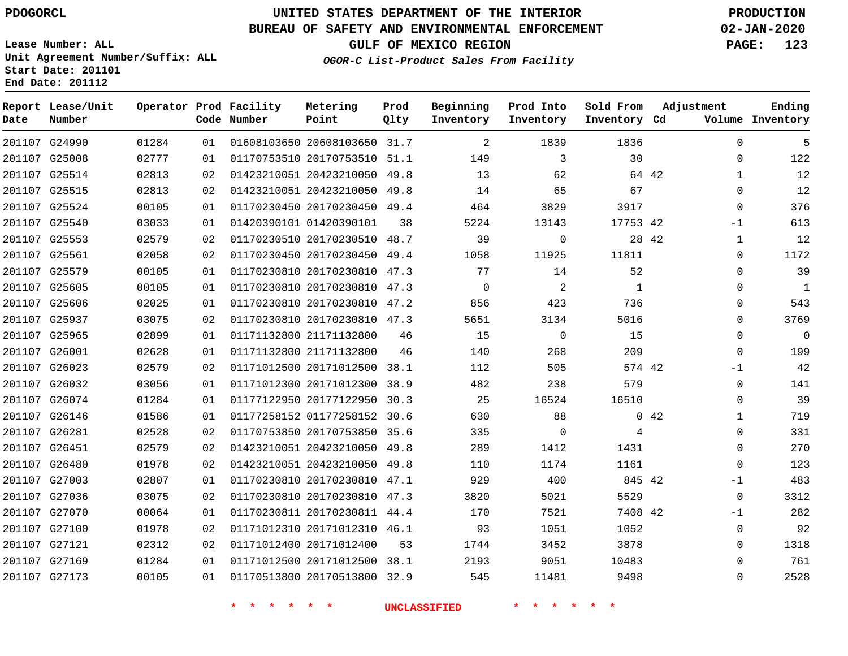G24990 G25008

**Date**

**Report Lease/Unit**

**Number**

# **UNITED STATES DEPARTMENT OF THE INTERIOR PDOGORCL PRODUCTION**

**Prod Qlty**

#### **BUREAU OF SAFETY AND ENVIRONMENTAL ENFORCEMENT 02-JAN-2020**

**Lease Number: ALL Unit Agreement Number/Suffix: ALL Start Date: 201101 End Date: 201112**

> 

**Operator Prod Facility**

**Code Number**

 20608103650 31.7 20170753510 51.1

**Metering Point**

 

**OGOR-C List-Product Sales From Facility**

 

   

**Sold From Inventory**

**Prod Into Inventory**

**Beginning Inventory**

**GULF OF MEXICO REGION PAGE: 123**

**Inventory Cd Volume**

**Adjustment**

  $\Omega$   $\Omega$ -1  $\Omega$   $\Omega$  $\overline{0}$   $-1$  $\overline{0}$  $\Omega$   $\Omega$  $\Omega$  -1  $-1$   $\Omega$ 

**Ending**

| 201107 G25514 | 02813 | 02 |        | 01423210051 20423210050 49.8 |                     | 13             | 62                | 64 42        |             |
|---------------|-------|----|--------|------------------------------|---------------------|----------------|-------------------|--------------|-------------|
| 201107 G25515 | 02813 | 02 |        | 01423210051 20423210050 49.8 |                     | 14             | 65                | 67           |             |
| 201107 G25524 | 00105 | 01 |        | 01170230450 20170230450 49.4 |                     | 464            | 3829              | 3917         |             |
| 201107 G25540 | 03033 | 01 |        | 01420390101 01420390101      | 38                  | 5224           | 13143             | 17753 42     |             |
| 201107 G25553 | 02579 | 02 |        | 01170230510 20170230510 48.7 |                     | 39             | $\mathbf 0$       | 28 42        |             |
| 201107 G25561 | 02058 | 02 |        | 01170230450 20170230450 49.4 |                     | 1058           | 11925             | 11811        |             |
| 201107 G25579 | 00105 | 01 |        | 01170230810 20170230810 47.3 |                     | 77             | 14                | 52           |             |
| 201107 G25605 | 00105 | 01 |        | 01170230810 20170230810 47.3 |                     | $\overline{0}$ | $\overline{2}$    | $\mathbf{1}$ |             |
| 201107 G25606 | 02025 | 01 |        | 01170230810 20170230810 47.2 |                     | 856            | 423               | 736          |             |
| 201107 G25937 | 03075 | 02 |        | 01170230810 20170230810 47.3 |                     | 5651           | 3134              | 5016         |             |
| 201107 G25965 | 02899 | 01 |        | 01171132800 21171132800      | 46                  | 15             | $\Omega$          | 15           |             |
| 201107 G26001 | 02628 | 01 |        | 01171132800 21171132800      | 46                  | 140            | 268               | 209          |             |
| 201107 G26023 | 02579 | 02 |        | 01171012500 20171012500 38.1 |                     | 112            | 505               | 574 42       |             |
| 201107 G26032 | 03056 | 01 |        | 01171012300 20171012300 38.9 |                     | 482            | 238               | 579          |             |
| 201107 G26074 | 01284 | 01 |        | 01177122950 20177122950 30.3 |                     | 25             | 16524             | 16510        |             |
| 201107 G26146 | 01586 | 01 |        | 01177258152 01177258152 30.6 |                     | 630            | 88                |              | $0\quad 42$ |
| 201107 G26281 | 02528 | 02 |        | 01170753850 20170753850 35.6 |                     | 335            | $\mathbf 0$       | 4            |             |
| 201107 G26451 | 02579 | 02 |        | 01423210051 20423210050 49.8 |                     | 289            | 1412              | 1431         |             |
| 201107 G26480 | 01978 | 02 |        | 01423210051 20423210050 49.8 |                     | 110            | 1174              | 1161         |             |
| 201107 G27003 | 02807 | 01 |        | 01170230810 20170230810 47.1 |                     | 929            | 400               | 845 42       |             |
| 201107 G27036 | 03075 | 02 |        | 01170230810 20170230810 47.3 |                     | 3820           | 5021              | 5529         |             |
| 201107 G27070 | 00064 | 01 |        | 01170230811 20170230811 44.4 |                     | 170            | 7521              | 7408 42      |             |
| 201107 G27100 | 01978 | 02 |        | 01171012310 20171012310 46.1 |                     | 93             | 1051              | 1052         |             |
| 201107 G27121 | 02312 | 02 |        | 01171012400 20171012400      | 53                  | 1744           | 3452              | 3878         |             |
| 201107 G27169 | 01284 | 01 |        | 01171012500 20171012500 38.1 |                     | 2193           | 9051              | 10483        |             |
| 201107 G27173 | 00105 | 01 |        | 01170513800 20170513800 32.9 |                     | 545            | 11481             | 9498         |             |
|               |       |    | $\ast$ | $\star$<br>一大                | <b>UNCLASSIFIED</b> |                | $\ast$<br>$\star$ |              |             |
|               |       |    |        |                              |                     |                |                   |              |             |
|               |       |    |        |                              |                     |                |                   |              |             |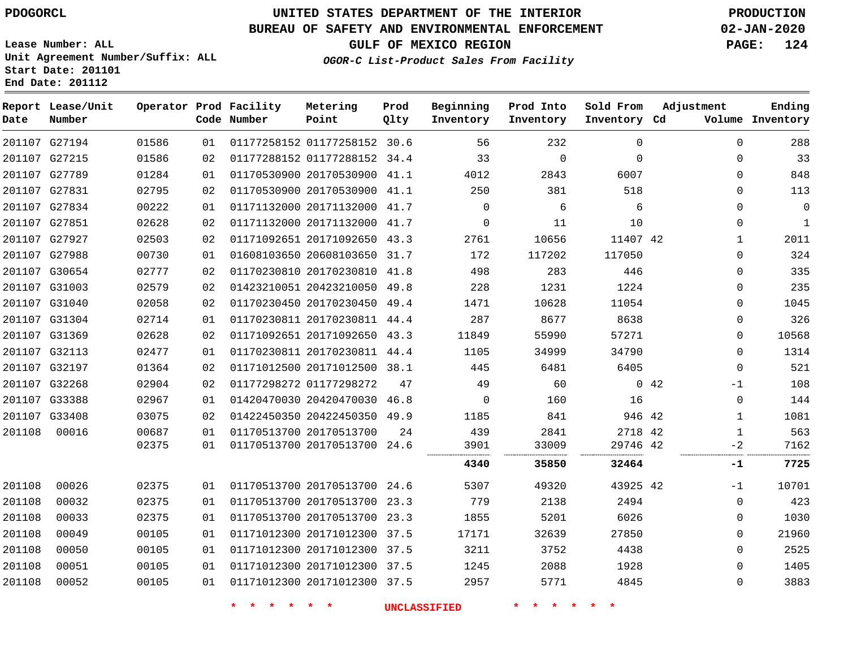G27194 G27215 G27789 G27831 G27834 G27851 G27927 G27988 G30654 G31003 G31040 G31304 G31369 G32113 G32197 G32268 G33388 G33408

**Date**

**Report Lease/Unit**

**Number**

# **UNITED STATES DEPARTMENT OF THE INTERIOR PDOGORCL PRODUCTION**

**Prod Qlty**

#### **BUREAU OF SAFETY AND ENVIRONMENTAL ENFORCEMENT 02-JAN-2020**

**Lease Number: ALL Unit Agreement Number/Suffix: ALL Start Date: 201101 End Date: 201112**

> 

**Operator Prod Facility**

**Code Number**

 01177258152 30.6 01177288152 34.4 20170530900 41.1

**Metering Point**

**OGOR-C List-Product Sales From Facility**

 

 

  $\Omega$ 

**Sold From Inventory**

**Prod Into Inventory**

**Beginning Inventory**

**GULF OF MEXICO REGION PAGE: 124**

**Inventory Cd Volume**

**Adjustment**

  $\Omega$  $\Omega$  $\Omega$  $\Omega$  $\Omega$   $\Omega$  $\Omega$  $\Omega$  $\Omega$  $\Omega$  $\overline{0}$   $\Omega$ -1  $\Omega$   $-2$ 

**Ending**

| 02795 | 02 |                         | 01170530900 20170530900 41.1 |    | 250                 | 381    | 518      |      | 0            | 113          |
|-------|----|-------------------------|------------------------------|----|---------------------|--------|----------|------|--------------|--------------|
| 00222 | 01 |                         | 01171132000 20171132000 41.7 |    | $\mathbf 0$         | 6      | 6        |      | $\Omega$     | $\mathbf 0$  |
| 02628 | 02 |                         | 01171132000 20171132000 41.7 |    | $\Omega$            | 11     | 10       |      | $\Omega$     | $\mathbf{1}$ |
| 02503 | 02 |                         | 01171092651 20171092650 43.3 |    | 2761                | 10656  | 11407 42 |      | 1            | 2011         |
| 00730 | 01 |                         | 01608103650 20608103650 31.7 |    | 172                 | 117202 | 117050   |      | $\Omega$     | 324          |
| 02777 | 02 |                         | 01170230810 20170230810 41.8 |    | 498                 | 283    | 446      |      | 0            | 335          |
| 02579 | 02 |                         | 01423210051 20423210050 49.8 |    | 228                 | 1231   | 1224     |      | 0            | 235          |
| 02058 | 02 |                         | 01170230450 20170230450 49.4 |    | 1471                | 10628  | 11054    |      | $\Omega$     | 1045         |
| 02714 | 01 |                         | 01170230811 20170230811 44.4 |    | 287                 | 8677   | 8638     |      | $\Omega$     | 326          |
| 02628 | 02 |                         | 01171092651 20171092650 43.3 |    | 11849               | 55990  | 57271    |      | $\Omega$     | 10568        |
| 02477 | 01 |                         | 01170230811 20170230811 44.4 |    | 1105                | 34999  | 34790    |      | $\Omega$     | 1314         |
| 01364 | 02 |                         | 01171012500 20171012500 38.1 |    | 445                 | 6481   | 6405     |      | $\Omega$     | 521          |
| 02904 | 02 | 01177298272 01177298272 |                              | 47 | 49                  | 60     |          | 0.42 | $-1$         | 108          |
| 02967 | 01 |                         | 01420470030 20420470030 46.8 |    | $\Omega$            | 160    | 16       |      | $\Omega$     | 144          |
| 03075 | 02 |                         | 01422450350 20422450350 49.9 |    | 1185                | 841    | 946 42   |      | 1            | 1081         |
| 00687 | 01 | 01170513700 20170513700 |                              | 24 | 439                 | 2841   | 2718 42  |      | $\mathbf{1}$ | 563          |
| 02375 | 01 |                         | 01170513700 20170513700 24.6 |    | 3901                | 33009  | 29746 42 |      | $-2$<br>     | 7162         |
|       |    |                         |                              |    | 4340                | 35850  | 32464    |      | -1           | 7725         |
| 02375 | 01 |                         | 01170513700 20170513700 24.6 |    | 5307                | 49320  | 43925 42 |      | $-1$         | 10701        |
| 02375 | 01 |                         | 01170513700 20170513700 23.3 |    | 779                 | 2138   | 2494     |      | $\Omega$     | 423          |
| 02375 | 01 |                         | 01170513700 20170513700 23.3 |    | 1855                | 5201   | 6026     |      | 0            | 1030         |
| 00105 | 01 |                         | 01171012300 20171012300 37.5 |    | 17171               | 32639  | 27850    |      | $\Omega$     | 21960        |
| 00105 | 01 |                         | 01171012300 20171012300 37.5 |    | 3211                | 3752   | 4438     |      | $\Omega$     | 2525         |
| 00105 | 01 |                         | 01171012300 20171012300 37.5 |    | 1245                | 2088   | 1928     |      | $\Omega$     | 1405         |
| 00105 | 01 |                         | 01171012300 20171012300 37.5 |    | 2957                | 5771   | 4845     |      | $\Omega$     | 3883         |
|       |    |                         |                              |    | <b>UNCLASSIFIED</b> |        |          |      |              |              |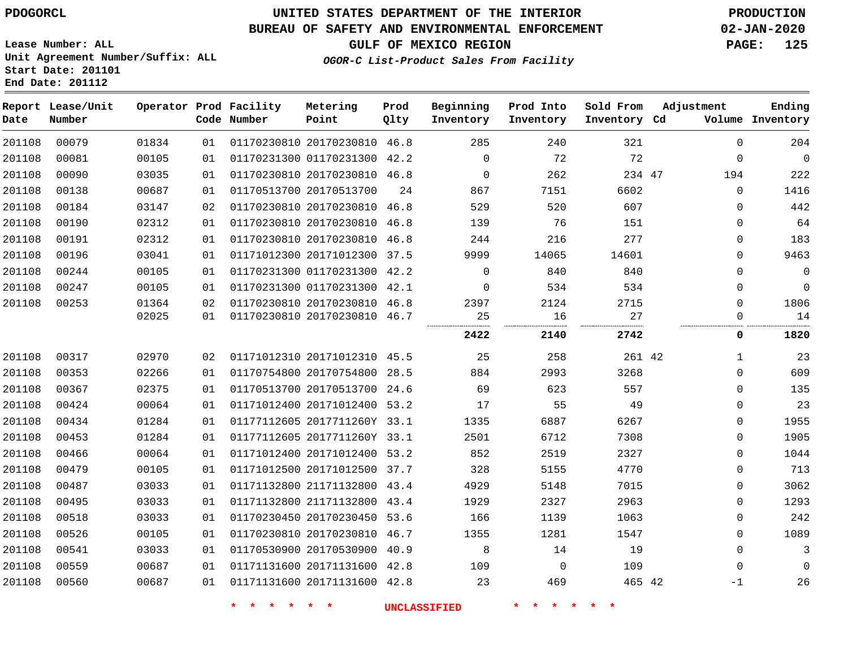#### **BUREAU OF SAFETY AND ENVIRONMENTAL ENFORCEMENT 02-JAN-2020**

**Lease Number: ALL Unit Agreement Number/Suffix: ALL Start Date: 201101**

#### **End Date: 201112**

**GULF OF MEXICO REGION PAGE: 125**

**OGOR-C List-Product Sales From Facility**

| Date   | Report Lease/Unit<br>Number |       |    | Operator Prod Facility<br>Code Number | Metering<br>Point            | Prod<br>Qlty | Beginning<br>Inventory | Prod Into<br>Inventory | Sold From<br>Inventory Cd | Adjustment   | Ending<br>Volume Inventory |
|--------|-----------------------------|-------|----|---------------------------------------|------------------------------|--------------|------------------------|------------------------|---------------------------|--------------|----------------------------|
| 201108 | 00079                       | 01834 | 01 |                                       | 01170230810 20170230810 46.8 |              | 285                    | 240                    | 321                       | $\mathbf 0$  | 204                        |
| 201108 | 00081                       | 00105 | 01 |                                       | 01170231300 01170231300 42.2 |              | $\Omega$               | 72                     | 72                        | $\Omega$     | $\overline{0}$             |
| 201108 | 00090                       | 03035 | 01 |                                       | 01170230810 20170230810 46.8 |              | $\overline{0}$         | 262                    | 234 47                    | 194          | 222                        |
| 201108 | 00138                       | 00687 | 01 |                                       | 01170513700 20170513700      | 24           | 867                    | 7151                   | 6602                      | $\mathbf{0}$ | 1416                       |
| 201108 | 00184                       | 03147 | 02 |                                       | 01170230810 20170230810 46.8 |              | 529                    | 520                    | 607                       | $\mathbf 0$  | 442                        |
| 201108 | 00190                       | 02312 | 01 |                                       | 01170230810 20170230810 46.8 |              | 139                    | 76                     | 151                       | $\mathbf{0}$ | 64                         |
| 201108 | 00191                       | 02312 | 01 |                                       | 01170230810 20170230810 46.8 |              | 244                    | 216                    | 277                       | $\mathbf{0}$ | 183                        |
| 201108 | 00196                       | 03041 | 01 |                                       | 01171012300 20171012300 37.5 |              | 9999                   | 14065                  | 14601                     | $\mathbf 0$  | 9463                       |
| 201108 | 00244                       | 00105 | 01 |                                       | 01170231300 01170231300 42.2 |              | $\Omega$               | 840                    | 840                       | $\Omega$     | $\mathbf 0$                |
| 201108 | 00247                       | 00105 | 01 |                                       | 01170231300 01170231300 42.1 |              | $\mathbf{0}$           | 534                    | 534                       | $\mathbf 0$  | $\mathbf 0$                |
| 201108 | 00253                       | 01364 | 02 |                                       | 01170230810 20170230810 46.8 |              | 2397                   | 2124                   | 2715                      | $\Omega$     | 1806                       |
|        |                             | 02025 | 01 |                                       | 01170230810 20170230810 46.7 |              | 25<br>                 | 16<br>                 | 27                        | $\Omega$     | 14                         |
|        |                             |       |    |                                       |                              |              | 2422                   | 2140                   | 2742                      | 0            | 1820                       |
| 201108 | 00317                       | 02970 | 02 |                                       | 01171012310 20171012310 45.5 |              | 25                     | 258                    | 261 42                    | $\mathbf{1}$ | 23                         |
| 201108 | 00353                       | 02266 | 01 |                                       | 01170754800 20170754800 28.5 |              | 884                    | 2993                   | 3268                      | $\mathbf{0}$ | 609                        |
| 201108 | 00367                       | 02375 | 01 |                                       | 01170513700 20170513700 24.6 |              | 69                     | 623                    | 557                       | $\mathbf 0$  | 135                        |
| 201108 | 00424                       | 00064 | 01 |                                       | 01171012400 20171012400 53.2 |              | 17                     | 55                     | 49                        | $\mathbf 0$  | 23                         |
| 201108 | 00434                       | 01284 | 01 |                                       | 01177112605 2017711260Y 33.1 |              | 1335                   | 6887                   | 6267                      | $\Omega$     | 1955                       |
| 201108 | 00453                       | 01284 | 01 |                                       | 01177112605 2017711260Y 33.1 |              | 2501                   | 6712                   | 7308                      | $\mathbf 0$  | 1905                       |
| 201108 | 00466                       | 00064 | 01 |                                       | 01171012400 20171012400 53.2 |              | 852                    | 2519                   | 2327                      | $\mathbf 0$  | 1044                       |
| 201108 | 00479                       | 00105 | 01 |                                       | 01171012500 20171012500 37.7 |              | 328                    | 5155                   | 4770                      | $\Omega$     | 713                        |
| 201108 | 00487                       | 03033 | 01 |                                       | 01171132800 21171132800 43.4 |              | 4929                   | 5148                   | 7015                      | $\mathbf 0$  | 3062                       |
| 201108 | 00495                       | 03033 | 01 |                                       | 01171132800 21171132800 43.4 |              | 1929                   | 2327                   | 2963                      | $\mathbf 0$  | 1293                       |
| 201108 | 00518                       | 03033 | 01 |                                       | 01170230450 20170230450 53.6 |              | 166                    | 1139                   | 1063                      | $\Omega$     | 242                        |
| 201108 | 00526                       | 00105 | 01 |                                       | 01170230810 20170230810 46.7 |              | 1355                   | 1281                   | 1547                      | $\Omega$     | 1089                       |
| 201108 | 00541                       | 03033 | 01 |                                       | 01170530900 20170530900 40.9 |              | 8                      | 14                     | 19                        | $\mathbf{0}$ | 3                          |
| 201108 | 00559                       | 00687 | 01 |                                       | 01171131600 20171131600 42.8 |              | 109                    | $\overline{0}$         | 109                       | 0            | $\mathbf 0$                |
| 201108 | 00560                       | 00687 | 01 |                                       | 01171131600 20171131600 42.8 |              | 23                     | 469                    | 465 42                    | $-1$         | 26                         |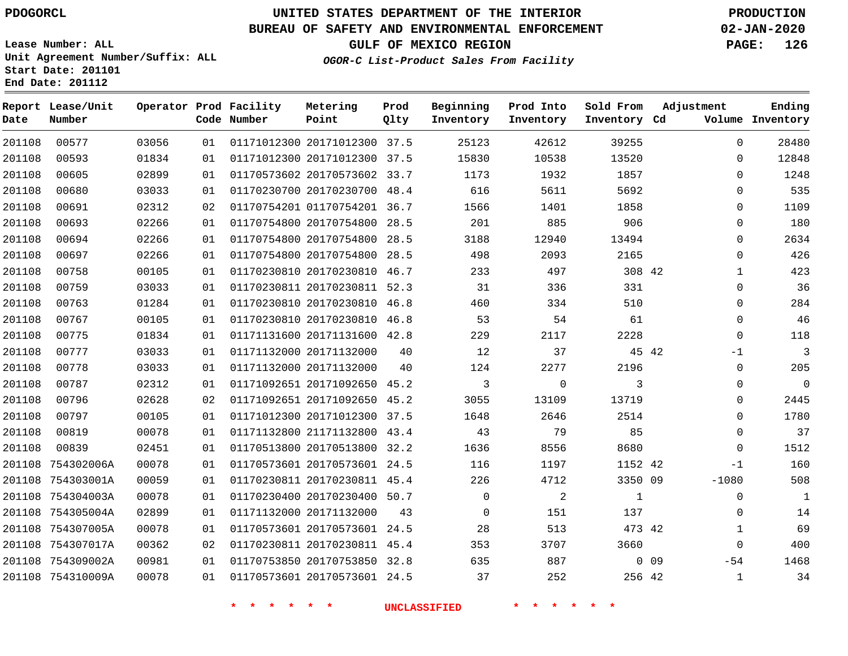#### **BUREAU OF SAFETY AND ENVIRONMENTAL ENFORCEMENT 02-JAN-2020**

**Lease Number: ALL Unit Agreement Number/Suffix: ALL Start Date: 201101 End Date: 201112**

**GULF OF MEXICO REGION PAGE: 126**

| Date   | Report Lease/Unit<br>Number |       |    | Operator Prod Facility<br>Code Number | Metering<br>Point            | Prod<br>Qlty | Beginning<br>Inventory | Prod Into<br>Inventory | Sold From<br>Inventory Cd | Adjustment |              | Ending<br>Volume Inventory |
|--------|-----------------------------|-------|----|---------------------------------------|------------------------------|--------------|------------------------|------------------------|---------------------------|------------|--------------|----------------------------|
| 201108 | 00577                       | 03056 | 01 |                                       | 01171012300 20171012300 37.5 |              | 25123                  | 42612                  | 39255                     |            | $\mathbf{0}$ | 28480                      |
| 201108 | 00593                       | 01834 | 01 |                                       | 01171012300 20171012300 37.5 |              | 15830                  | 10538                  | 13520                     |            | 0            | 12848                      |
| 201108 | 00605                       | 02899 | 01 |                                       | 01170573602 20170573602 33.7 |              | 1173                   | 1932                   | 1857                      |            | $\mathbf 0$  | 1248                       |
| 201108 | 00680                       | 03033 | 01 |                                       | 01170230700 20170230700 48.4 |              | 616                    | 5611                   | 5692                      |            | 0            | 535                        |
| 201108 | 00691                       | 02312 | 02 |                                       | 01170754201 01170754201 36.7 |              | 1566                   | 1401                   | 1858                      |            | $\mathbf{0}$ | 1109                       |
| 201108 | 00693                       | 02266 | 01 |                                       | 01170754800 20170754800 28.5 |              | 201                    | 885                    | 906                       |            | $\mathbf 0$  | 180                        |
| 201108 | 00694                       | 02266 | 01 |                                       | 01170754800 20170754800 28.5 |              | 3188                   | 12940                  | 13494                     |            | $\mathbf 0$  | 2634                       |
| 201108 | 00697                       | 02266 | 01 |                                       | 01170754800 20170754800 28.5 |              | 498                    | 2093                   | 2165                      |            | $\mathbf 0$  | 426                        |
| 201108 | 00758                       | 00105 | 01 |                                       | 01170230810 20170230810 46.7 |              | 233                    | 497                    | 308 42                    |            | $\mathbf{1}$ | 423                        |
| 201108 | 00759                       | 03033 | 01 |                                       | 01170230811 20170230811 52.3 |              | 31                     | 336                    | 331                       |            | 0            | 36                         |
| 201108 | 00763                       | 01284 | 01 |                                       | 01170230810 20170230810 46.8 |              | 460                    | 334                    | 510                       |            | $\mathbf 0$  | 284                        |
| 201108 | 00767                       | 00105 | 01 |                                       | 01170230810 20170230810 46.8 |              | 53                     | 54                     | 61                        |            | $\mathbf 0$  | 46                         |
| 201108 | 00775                       | 01834 | 01 |                                       | 01171131600 20171131600 42.8 |              | 229                    | 2117                   | 2228                      |            | $\mathbf 0$  | 118                        |
| 201108 | 00777                       | 03033 | 01 |                                       | 01171132000 20171132000      | 40           | 12                     | 37                     |                           | 45 42      | $-1$         | 3                          |
| 201108 | 00778                       | 03033 | 01 |                                       | 01171132000 20171132000      | 40           | 124                    | 2277                   | 2196                      |            | 0            | 205                        |
| 201108 | 00787                       | 02312 | 01 |                                       | 01171092651 20171092650 45.2 |              | $\mathbf{3}$           | $\mathbf 0$            | 3                         |            | $\mathbf{0}$ | $\mathbf 0$                |
| 201108 | 00796                       | 02628 | 02 |                                       | 01171092651 20171092650 45.2 |              | 3055                   | 13109                  | 13719                     |            | 0            | 2445                       |
| 201108 | 00797                       | 00105 | 01 |                                       | 01171012300 20171012300 37.5 |              | 1648                   | 2646                   | 2514                      |            | 0            | 1780                       |
| 201108 | 00819                       | 00078 | 01 |                                       | 01171132800 21171132800 43.4 |              | 43                     | 79                     | 85                        |            | $\Omega$     | 37                         |
| 201108 | 00839                       | 02451 | 01 |                                       | 01170513800 20170513800 32.2 |              | 1636                   | 8556                   | 8680                      |            | $\mathbf 0$  | 1512                       |
|        | 201108 754302006A           | 00078 | 01 |                                       | 01170573601 20170573601 24.5 |              | 116                    | 1197                   | 1152 42                   |            | $-1$         | 160                        |
|        | 201108 754303001A           | 00059 | 01 |                                       | 01170230811 20170230811 45.4 |              | 226                    | 4712                   | 3350 09                   |            | $-1080$      | 508                        |
|        | 201108 754304003A           | 00078 | 01 |                                       | 01170230400 20170230400 50.7 |              | $\mathbf 0$            | 2                      | $\mathbf{1}$              |            | 0            | $\mathbf{1}$               |
|        | 201108 754305004A           | 02899 | 01 |                                       | 01171132000 20171132000      | 43           | $\Omega$               | 151                    | 137                       |            | $\mathbf 0$  | 14                         |
|        | 201108 754307005A           | 00078 | 01 |                                       | 01170573601 20170573601 24.5 |              | 28                     | 513                    | 473 42                    |            | $\mathbf{1}$ | 69                         |
|        | 201108 754307017A           | 00362 | 02 |                                       | 01170230811 20170230811 45.4 |              | 353                    | 3707                   | 3660                      |            | $\mathsf{O}$ | 400                        |
|        | 201108 754309002A           | 00981 | 01 |                                       | 01170753850 20170753850 32.8 |              | 635                    | 887                    |                           | $0$ 09     | $-54$        | 1468                       |
|        | 201108 754310009A           | 00078 | 01 |                                       | 01170573601 20170573601 24.5 |              | 37                     | 252                    | 256 42                    |            | $\mathbf{1}$ | 34                         |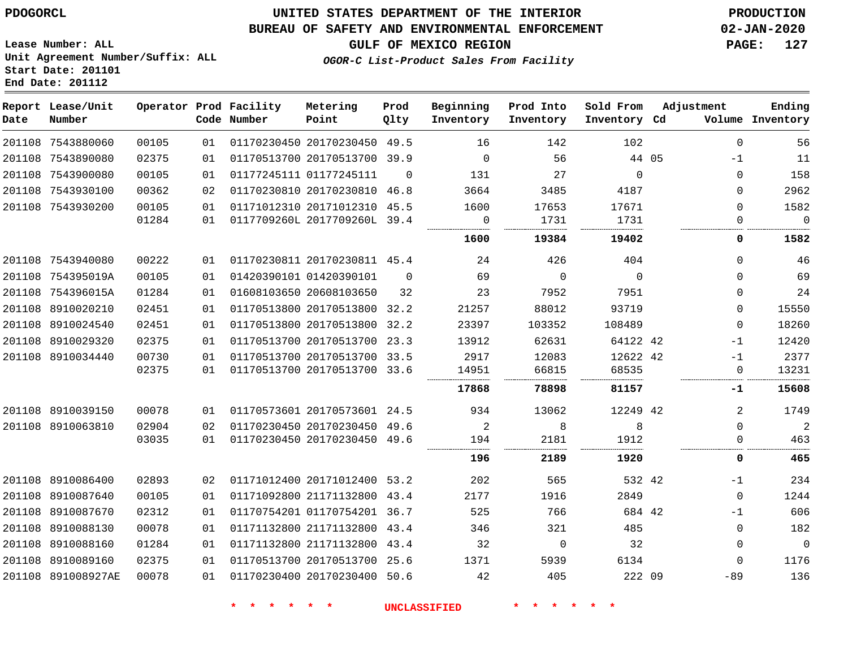**End Date: 201112**

## **UNITED STATES DEPARTMENT OF THE INTERIOR PDOGORCL PRODUCTION**

## **BUREAU OF SAFETY AND ENVIRONMENTAL ENFORCEMENT 02-JAN-2020**

**Lease Number: ALL Unit Agreement Number/Suffix: ALL Start Date: 201101**

**GULF OF MEXICO REGION PAGE: 127**

**OGOR-C List-Product Sales From Facility**

| Date   | Report Lease/Unit<br>Number |       |    | Operator Prod Facility<br>Code Number | Metering<br>Point            | Prod<br>Qlty | Beginning<br>Inventory | Prod Into<br>Inventory | Sold From<br>Inventory Cd | Adjustment   | Ending<br>Volume Inventory |
|--------|-----------------------------|-------|----|---------------------------------------|------------------------------|--------------|------------------------|------------------------|---------------------------|--------------|----------------------------|
|        | 201108 7543880060           | 00105 | 01 |                                       | 01170230450 20170230450      | 49.5         | 16                     | 142                    | 102                       | $\Omega$     | 56                         |
|        | 201108 7543890080           | 02375 | 01 |                                       | 01170513700 20170513700 39.9 |              | $\mathbf 0$            | 56                     | 44 05                     | $-1$         | 11                         |
|        | 201108 7543900080           | 00105 | 01 |                                       | 01177245111 01177245111      | $\Omega$     | 131                    | 27                     | $\Omega$                  | $\Omega$     | 158                        |
| 201108 | 7543930100                  | 00362 | 02 |                                       | 01170230810 20170230810 46.8 |              | 3664                   | 3485                   | 4187                      | $\Omega$     | 2962                       |
|        | 201108 7543930200           | 00105 | 01 |                                       | 01171012310 20171012310 45.5 |              | 1600                   | 17653                  | 17671                     | $\Omega$     | 1582                       |
|        |                             | 01284 | 01 |                                       | 0117709260L 2017709260L      | 39.4         | $\mathbf 0$            | 1731                   | 1731                      | $\mathbf{0}$ | $\mathbf 0$                |
|        |                             |       |    |                                       |                              |              | 1600                   | 19384                  | 19402                     | 0            | 1582                       |
|        | 201108 7543940080           | 00222 | 01 |                                       | 01170230811 20170230811 45.4 |              | 24                     | 426                    | 404                       | $\Omega$     | 46                         |
|        | 201108 754395019A           | 00105 | 01 |                                       | 01420390101 01420390101      | $\Omega$     | 69                     | $\Omega$               | $\Omega$                  | $\Omega$     | 69                         |
|        | 201108 754396015A           | 01284 | 01 |                                       | 01608103650 20608103650      | 32           | 23                     | 7952                   | 7951                      | $\Omega$     | 24                         |
|        | 201108 8910020210           | 02451 | 01 |                                       | 01170513800 20170513800      | 32.2         | 21257                  | 88012                  | 93719                     | $\Omega$     | 15550                      |
|        | 201108 8910024540           | 02451 | 01 |                                       | 01170513800 20170513800      | 32.2         | 23397                  | 103352                 | 108489                    | $\Omega$     | 18260                      |
| 201108 | 8910029320                  | 02375 | 01 |                                       | 01170513700 20170513700 23.3 |              | 13912                  | 62631                  | 64122 42                  | $-1$         | 12420                      |
|        | 201108 8910034440           | 00730 | 01 |                                       | 01170513700 20170513700      | 33.5         | 2917                   | 12083                  | 12622 42                  | $-1$         | 2377                       |
|        |                             | 02375 | 01 |                                       | 01170513700 20170513700 33.6 |              | 14951                  | 66815                  | 68535                     | $\Omega$     | 13231                      |
|        |                             |       |    |                                       |                              |              | 17868                  | 78898                  | 81157                     | -1           | 15608                      |
|        | 201108 8910039150           | 00078 | 01 |                                       | 01170573601 20170573601 24.5 |              | 934                    | 13062                  | 12249 42                  | 2            | 1749                       |
|        | 201108 8910063810           | 02904 | 02 |                                       | 01170230450 20170230450 49.6 |              | 2                      | 8                      | 8                         | $\Omega$     | 2                          |
|        |                             | 03035 | 01 |                                       | 01170230450 20170230450 49.6 |              | 194                    | 2181                   | 1912                      | O            | 463                        |
|        |                             |       |    |                                       |                              |              | 196                    | 2189                   | 1920                      | 0            | 465                        |
| 201108 | 8910086400                  | 02893 | 02 |                                       | 01171012400 20171012400 53.2 |              | 202                    | 565                    | 532 42                    | $-1$         | 234                        |
|        | 201108 8910087640           | 00105 | 01 |                                       | 01171092800 21171132800 43.4 |              | 2177                   | 1916                   | 2849                      | $\Omega$     | 1244                       |
| 201108 | 8910087670                  | 02312 | 01 |                                       | 01170754201 01170754201 36.7 |              | 525                    | 766                    | 684 42                    | $-1$         | 606                        |
| 201108 | 8910088130                  | 00078 | 01 |                                       | 01171132800 21171132800 43.4 |              | 346                    | 321                    | 485                       | $\mathbf 0$  | 182                        |
| 201108 | 8910088160                  | 01284 | 01 |                                       | 01171132800 21171132800 43.4 |              | 32                     | $\mathbf 0$            | 32                        | $\Omega$     | $\overline{0}$             |
| 201108 | 8910089160                  | 02375 | 01 |                                       | 01170513700 20170513700 25.6 |              | 1371                   | 5939                   | 6134                      | $\Omega$     | 1176                       |
|        | 201108 891008927AE          | 00078 | 01 |                                       | 01170230400 20170230400 50.6 |              | 42                     | 405                    | 222 09                    | $-89$        | 136                        |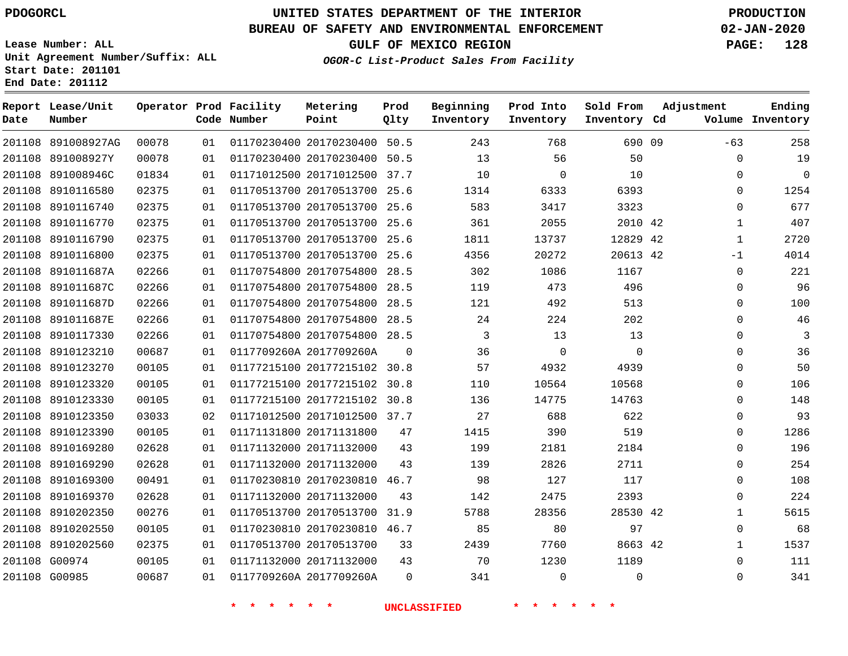**Report Lease/Unit**

# **UNITED STATES DEPARTMENT OF THE INTERIOR PDOGORCL PRODUCTION**

**Prod**

#### **BUREAU OF SAFETY AND ENVIRONMENTAL ENFORCEMENT 02-JAN-2020**

**Lease Number: ALL Unit Agreement Number/Suffix: ALL Start Date: 201101 End Date: 201112**

**Operator Prod Facility Metering**

**OGOR-C List-Product Sales From Facility**

**Beginning Prod Into Sold From**

**GULF OF MEXICO REGION PAGE: 128**

**Adjustment**

**Ending**

| Date | Number             |       |    | Code Number | Point                        | Qlty     | Inventory | Inventory   | Inventory Cd |              | Volume Inventory |
|------|--------------------|-------|----|-------------|------------------------------|----------|-----------|-------------|--------------|--------------|------------------|
|      | 201108 891008927AG | 00078 | 01 |             | 01170230400 20170230400 50.5 |          | 243       | 768         | 690 09       | $-63$        | 258              |
|      | 201108 891008927Y  | 00078 | 01 |             | 01170230400 20170230400 50.5 |          | 13        | 56          | 50           | 0            | 19               |
|      | 201108 891008946C  | 01834 | 01 |             | 01171012500 20171012500 37.7 |          | 10        | $\mathbf 0$ | 10           | $\mathbf 0$  | $\mathbf 0$      |
|      | 201108 8910116580  | 02375 | 01 |             | 01170513700 20170513700 25.6 |          | 1314      | 6333        | 6393         | 0            | 1254             |
|      | 201108 8910116740  | 02375 | 01 |             | 01170513700 20170513700 25.6 |          | 583       | 3417        | 3323         | $\Omega$     | 677              |
|      | 201108 8910116770  | 02375 | 01 |             | 01170513700 20170513700 25.6 |          | 361       | 2055        | 2010 42      | $\mathbf{1}$ | 407              |
|      | 201108 8910116790  | 02375 | 01 |             | 01170513700 20170513700 25.6 |          | 1811      | 13737       | 12829 42     | $\mathbf{1}$ | 2720             |
|      | 201108 8910116800  | 02375 | 01 |             | 01170513700 20170513700      | 25.6     | 4356      | 20272       | 20613 42     | $-1$         | 4014             |
|      | 201108 891011687A  | 02266 | 01 |             | 01170754800 20170754800 28.5 |          | 302       | 1086        | 1167         | $\mathbf 0$  | 221              |
|      | 201108 891011687C  | 02266 | 01 |             | 01170754800 20170754800      | 28.5     | 119       | 473         | 496          | 0            | 96               |
|      | 201108 891011687D  | 02266 | 01 |             | 01170754800 20170754800 28.5 |          | 121       | 492         | 513          | 0            | 100              |
|      | 201108 891011687E  | 02266 | 01 |             | 01170754800 20170754800 28.5 |          | 24        | 224         | 202          | $\Omega$     | 46               |
|      | 201108 8910117330  | 02266 | 01 |             | 01170754800 20170754800 28.5 |          | 3         | 13          | 13           | $\Omega$     | 3                |
|      | 201108 8910123210  | 00687 | 01 |             | 0117709260A 2017709260A      | $\Omega$ | 36        | $\mathbf 0$ | 0            | $\Omega$     | 36               |
|      | 201108 8910123270  | 00105 | 01 |             | 01177215100 20177215102 30.8 |          | 57        | 4932        | 4939         | $\Omega$     | 50               |
|      | 201108 8910123320  | 00105 | 01 |             | 01177215100 20177215102 30.8 |          | 110       | 10564       | 10568        | 0            | 106              |
|      | 201108 8910123330  | 00105 | 01 |             | 01177215100 20177215102 30.8 |          | 136       | 14775       | 14763        | $\Omega$     | 148              |
|      | 201108 8910123350  | 03033 | 02 |             | 01171012500 20171012500 37.7 |          | 27        | 688         | 622          | 0            | 93               |
|      | 201108 8910123390  | 00105 | 01 |             | 01171131800 20171131800      | 47       | 1415      | 390         | 519          | $\mathbf 0$  | 1286             |
|      | 201108 8910169280  | 02628 | 01 |             | 01171132000 20171132000      | 43       | 199       | 2181        | 2184         | 0            | 196              |
|      | 201108 8910169290  | 02628 | 01 |             | 01171132000 20171132000      | 43       | 139       | 2826        | 2711         | $\mathbf 0$  | 254              |
|      | 201108 8910169300  | 00491 | 01 |             | 01170230810 20170230810 46.7 |          | 98        | 127         | 117          | 0            | 108              |
|      | 201108 8910169370  | 02628 | 01 |             | 01171132000 20171132000      | 43       | 142       | 2475        | 2393         | $\mathbf 0$  | 224              |
|      | 201108 8910202350  | 00276 | 01 |             | 01170513700 20170513700 31.9 |          | 5788      | 28356       | 28530 42     | $\mathbf 1$  | 5615             |
|      | 201108 8910202550  | 00105 | 01 |             | 01170230810 20170230810 46.7 |          | 85        | 80          | 97           | $\Omega$     | 68               |
|      | 201108 8910202560  | 02375 | 01 |             | 01170513700 20170513700      | 33       | 2439      | 7760        | 8663 42      | $\mathbf 1$  | 1537             |
|      | 201108 G00974      | 00105 | 01 |             | 01171132000 20171132000      | 43       | 70        | 1230        | 1189         | $\mathbf 0$  | 111              |
|      | 201108 G00985      | 00687 | 01 |             | 0117709260A 2017709260A      | $\Omega$ | 341       | $\mathbf 0$ | 0            | 0            | 341              |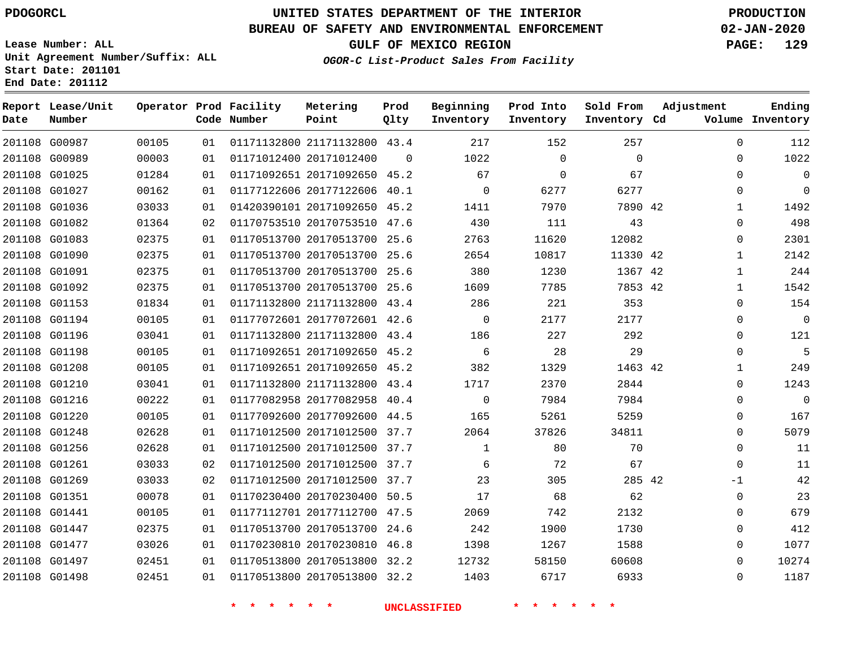G00987 G00989 G01025 G01027 G01036 G01082 G01083 G01090 G01091 G01092 G01153 G01194 G01196 G01198 G01208 G01210 G01216 G01220 G01248 G01256 G01261 G01269 G01351 G01441 G01447 G01477 G01497 G01498

**Date**

**Report Lease/Unit**

**Number**

# **UNITED STATES DEPARTMENT OF THE INTERIOR PDOGORCL PRODUCTION**

 $\Omega$ 

**Prod Qlty**

#### **BUREAU OF SAFETY AND ENVIRONMENTAL ENFORCEMENT 02-JAN-2020**

**Lease Number: ALL Unit Agreement Number/Suffix: ALL Start Date: 201101 End Date: 201112**

**Operator Prod Facility**

**Code Number**

21171132800 43.4

**Metering Point**

 20171092650 45.2 20177122606 40.1

20171012400

**OGOR-C List-Product Sales From Facility**

  $\Omega$  $\Omega$ 

**Sold From Inventory**

**Prod Into Inventory**

**Beginning Inventory**

**GULF OF MEXICO REGION PAGE: 129**

**Inventory Cd Volume**

**Adjustment**

  $\Omega$  $\Omega$  $\Omega$   $\Omega$  $\Omega$   $\Omega$  $\Omega$  $\Omega$   $\Omega$  $\Omega$  $\cap$  $\Omega$  $\Omega$  -1  $\Omega$   $\Omega$   $\Omega$  $\Omega$ 

**Ending**

|       |    | $\ast$                       | <b>UNCLASSIFIED</b> |              |       |          |  |
|-------|----|------------------------------|---------------------|--------------|-------|----------|--|
| 02451 | 01 | 01170513800 20170513800 32.2 |                     | 1403         | 6717  | 6933     |  |
| 02451 | 01 | 01170513800 20170513800 32.2 |                     | 12732        | 58150 | 60608    |  |
| 03026 | 01 | 01170230810 20170230810 46.8 |                     | 1398         | 1267  | 1588     |  |
| 02375 | 01 | 01170513700 20170513700 24.6 |                     | 242          | 1900  | 1730     |  |
| 00105 | 01 | 01177112701 20177112700 47.5 |                     | 2069         | 742   | 2132     |  |
| 00078 | 01 | 01170230400 20170230400 50.5 |                     | 17           | 68    | 62       |  |
| 03033 | 02 | 01171012500 20171012500      | 37.7                | 23           | 305   | 285 42   |  |
| 03033 | 02 | 01171012500 20171012500      | 37.7                | 6            | 72    | 67       |  |
| 02628 | 01 | 01171012500 20171012500 37.7 |                     | $\mathbf{1}$ | 80    | 70       |  |
| 02628 | 01 | 01171012500 20171012500 37.7 |                     | 2064         | 37826 | 34811    |  |
| 00105 | 01 | 01177092600 20177092600 44.5 |                     | 165          | 5261  | 5259     |  |
| 00222 | 01 | 01177082958 20177082958 40.4 |                     | $\mathbf 0$  | 7984  | 7984     |  |
| 03041 | 01 | 01171132800 21171132800 43.4 |                     | 1717         | 2370  | 2844     |  |
| 00105 | 01 | 01171092651 20171092650 45.2 |                     | 382          | 1329  | 1463 42  |  |
| 00105 | 01 | 01171092651 20171092650 45.2 |                     | 6            | 28    | 29       |  |
| 03041 | 01 | 01171132800 21171132800 43.4 |                     | 186          | 227   | 292      |  |
| 00105 | 01 | 01177072601 20177072601 42.6 |                     | $\mathbf 0$  | 2177  | 2177     |  |
| 01834 | 01 | 01171132800 21171132800 43.4 |                     | 286          | 221   | 353      |  |
| 02375 | 01 | 01170513700 20170513700 25.6 |                     | 1609         | 7785  | 7853 42  |  |
| 02375 | 01 | 01170513700 20170513700 25.6 |                     | 380          | 1230  | 1367 42  |  |
| 02375 | 01 | 01170513700 20170513700      | 25.6                | 2654         | 10817 | 11330 42 |  |
| 02375 | 01 | 01170513700 20170513700 25.6 |                     | 2763         | 11620 | 12082    |  |
| 01364 | 02 | 01170753510 20170753510 47.6 |                     | 430          | 111   | 43       |  |
| 03033 | 01 | 01420390101 20171092650 45.2 |                     | 1411         | 7970  | 7890 42  |  |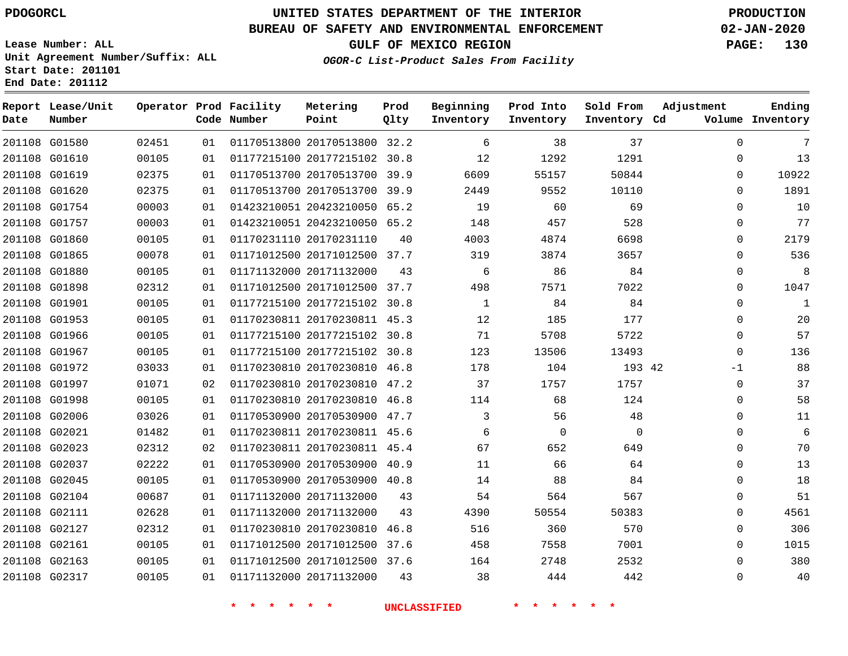# **UNITED STATES DEPARTMENT OF THE INTERIOR PDOGORCL PRODUCTION**

#### **BUREAU OF SAFETY AND ENVIRONMENTAL ENFORCEMENT 02-JAN-2020**

**Lease Number: ALL Unit Agreement Number/Suffix: ALL Start Date: 201101 End Date: 201112**

**OGOR-C List-Product Sales From Facility**

**GULF OF MEXICO REGION PAGE: 130**

**Ending Inventory**

| Date   | Report Lease/Unit<br>Number |       |    | Operator Prod Facility<br>Code Number | Metering<br>Point            | Prod<br>Qlty | Beginning<br>Inventory | Prod Into<br>Inventory | Sold From<br>Inventory Cd | Adjustment<br>Volume |
|--------|-----------------------------|-------|----|---------------------------------------|------------------------------|--------------|------------------------|------------------------|---------------------------|----------------------|
|        | 201108 G01580               | 02451 | 01 |                                       | 01170513800 20170513800 32.2 |              | 6                      | 38                     | 37                        | $\mathbf 0$          |
|        | 201108 G01610               | 00105 | 01 |                                       | 01177215100 20177215102 30.8 |              | 12                     | 1292                   | 1291                      | $\Omega$             |
|        | 201108 G01619               | 02375 | 01 |                                       | 01170513700 20170513700      | 39.9         | 6609                   | 55157                  | 50844                     | $\Omega$             |
|        | 201108 G01620               | 02375 | 01 |                                       | 01170513700 20170513700 39.9 |              | 2449                   | 9552                   | 10110                     | $\Omega$             |
|        | 201108 G01754               | 00003 | 01 |                                       | 01423210051 20423210050      | 65.2         | 19                     | 60                     | 69                        | $\Omega$             |
| 201108 | G01757                      | 00003 | 01 |                                       | 01423210051 20423210050 65.2 |              | 148                    | 457                    | 528                       | $\Omega$             |
|        | 201108 G01860               | 00105 | 01 |                                       | 01170231110 20170231110      | 40           | 4003                   | 4874                   | 6698                      | $\Omega$             |
|        | 201108 G01865               | 00078 | 01 |                                       | 01171012500 20171012500 37.7 |              | 319                    | 3874                   | 3657                      | $\Omega$             |
|        | 201108 G01880               | 00105 | 01 |                                       | 01171132000 20171132000      | 43           | 6                      | 86                     | 84                        | $\mathbf 0$          |
|        | 201108 G01898               | 02312 | 01 |                                       | 01171012500 20171012500 37.7 |              | 498                    | 7571                   | 7022                      | $\Omega$             |
|        | 201108 G01901               | 00105 | 01 |                                       | 01177215100 20177215102 30.8 |              | $\mathbf{1}$           | 84                     | 84                        | $\Omega$             |
|        | 201108 G01953               | 00105 | 01 |                                       | 01170230811 20170230811 45.3 |              | 12                     | 185                    | 177                       | $\Omega$             |
|        | 201108 G01966               | 00105 | 01 |                                       | 01177215100 20177215102 30.8 |              | 71                     | 5708                   | 5722                      | $\Omega$             |
|        | 201108 G01967               | 00105 | 01 |                                       | 01177215100 20177215102      | 30.8         | 123                    | 13506                  | 13493                     | $\Omega$             |
|        | 201108 G01972               | 03033 | 01 |                                       | 01170230810 20170230810      | 46.8         | 178                    | 104                    | 193 42                    | $-1$                 |
|        | 201108 G01997               | 01071 | 02 |                                       | 01170230810 20170230810      | 47.2         | 37                     | 1757                   | 1757                      | $\mathbf 0$          |
|        | 201108 G01998               | 00105 | 01 |                                       | 01170230810 20170230810      | 46.8         | 114                    | 68                     | 124                       | $\mathbf 0$          |
|        | 201108 G02006               | 03026 | 01 |                                       | 01170530900 20170530900 47.7 |              | 3                      | 56                     | 48                        | $\mathbf 0$          |
|        | 201108 G02021               | 01482 | 01 |                                       | 01170230811 20170230811 45.6 |              | 6                      | $\mathbf 0$            | $\mathbf 0$               | $\Omega$             |
|        | 201108 G02023               | 02312 | 02 |                                       | 01170230811 20170230811 45.4 |              | 67                     | 652                    | 649                       | $\Omega$             |
|        | 201108 G02037               | 02222 | 01 |                                       | 01170530900 20170530900 40.9 |              | 11                     | 66                     | 64                        | $\Omega$             |
|        | 201108 G02045               | 00105 | 01 |                                       | 01170530900 20170530900 40.8 |              | 14                     | 88                     | 84                        | $\Omega$             |
|        | 201108 G02104               | 00687 | 01 |                                       | 01171132000 20171132000      | 43           | 54                     | 564                    | 567                       | $\Omega$             |
|        | 201108 G02111               | 02628 | 01 |                                       | 01171132000 20171132000      | 43           | 4390                   | 50554                  | 50383                     | $\Omega$             |
|        | 201108 G02127               | 02312 | 01 |                                       | 01170230810 20170230810      | 46.8         | 516                    | 360                    | 570                       | $\Omega$             |
|        | 201108 G02161               | 00105 | 01 |                                       | 01171012500 20171012500      | 37.6         | 458                    | 7558                   | 7001                      | $\mathbf 0$          |
|        | 201108 G02163               | 00105 | 01 |                                       | 01171012500 20171012500 37.6 |              | 164                    | 2748                   | 2532                      | $\Omega$             |
|        | 201108 G02317               | 00105 | 01 |                                       | 01171132000 20171132000      | 43           | 38                     | 444                    | 442                       | $\Omega$             |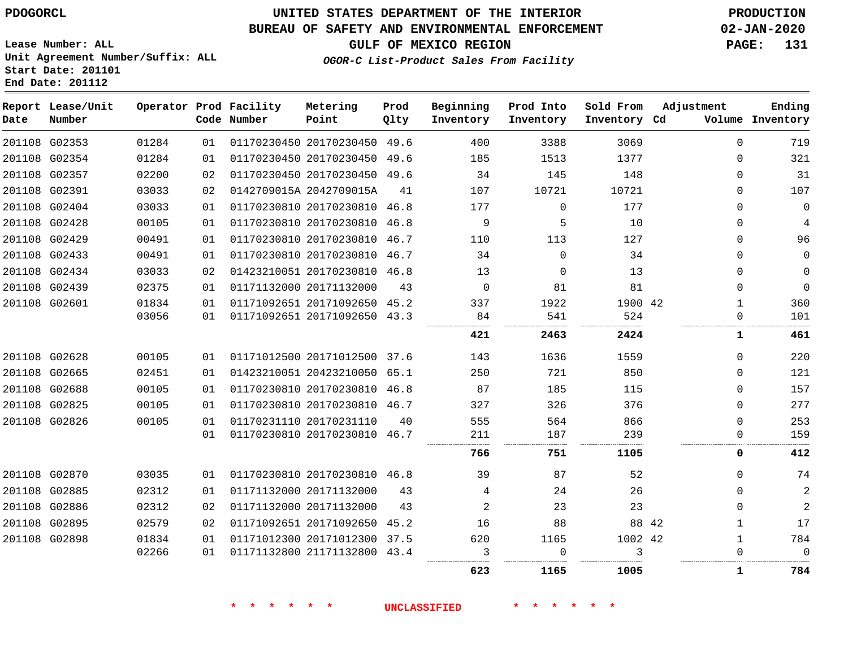## **BUREAU OF SAFETY AND ENVIRONMENTAL ENFORCEMENT 02-JAN-2020**

**Lease Number: ALL Unit Agreement Number/Suffix: ALL Start Date: 201101 End Date: 201112**

**GULF OF MEXICO REGION PAGE: 131**

**OGOR-C List-Product Sales From Facility**

| Date | Report Lease/Unit<br>Number |       |    | Operator Prod Facility<br>Code Number | Metering<br>Point            | Prod<br>Qlty | Beginning<br>Inventory | Prod Into<br>Inventory | Sold From<br>Inventory Cd | Adjustment   | Ending<br>Volume Inventory |
|------|-----------------------------|-------|----|---------------------------------------|------------------------------|--------------|------------------------|------------------------|---------------------------|--------------|----------------------------|
|      | 201108 G02353               | 01284 | 01 |                                       | 01170230450 20170230450 49.6 |              | 400                    | 3388                   | 3069                      | $\Omega$     | 719                        |
|      | 201108 G02354               | 01284 | 01 |                                       | 01170230450 20170230450 49.6 |              | 185                    | 1513                   | 1377                      | $\Omega$     | 321                        |
|      | 201108 G02357               | 02200 | 02 |                                       | 01170230450 20170230450 49.6 |              | 34                     | 145                    | 148                       | 0            | 31                         |
|      | 201108 G02391               | 03033 | 02 |                                       | 0142709015A 2042709015A      | 41           | 107                    | 10721                  | 10721                     | $\Omega$     | 107                        |
|      | 201108 G02404               | 03033 | 01 |                                       | 01170230810 20170230810 46.8 |              | 177                    | $\mathbf 0$            | 177                       | 0            | $\mathbf 0$                |
|      | 201108 G02428               | 00105 | 01 |                                       | 01170230810 20170230810 46.8 |              | 9                      | 5                      | 10                        | $\mathbf 0$  | 4                          |
|      | 201108 G02429               | 00491 | 01 |                                       | 01170230810 20170230810 46.7 |              | 110                    | 113                    | 127                       | 0            | 96                         |
|      | 201108 G02433               | 00491 | 01 |                                       | 01170230810 20170230810 46.7 |              | 34                     | $\Omega$               | 34                        | $\Omega$     | 0                          |
|      | 201108 G02434               | 03033 | 02 |                                       | 01423210051 20170230810 46.8 |              | 13                     | $\Omega$               | 13                        | 0            | $\mathbf 0$                |
|      | 201108 G02439               | 02375 | 01 |                                       | 01171132000 20171132000      | 43           | $\mathbf 0$            | 81                     | 81                        | $\mathbf 0$  | $\mathbf{0}$               |
|      | 201108 G02601               | 01834 | 01 |                                       | 01171092651 20171092650 45.2 |              | 337                    | 1922                   | 1900 42                   | $\mathbf{1}$ | 360                        |
|      |                             | 03056 | 01 |                                       | 01171092651 20171092650 43.3 |              | 84                     | 541                    | 524                       | $\Omega$     | 101                        |
|      |                             |       |    |                                       |                              |              | 421                    | 2463                   | 2424                      | 1            | 461                        |
|      | 201108 G02628               | 00105 | 01 |                                       | 01171012500 20171012500 37.6 |              | 143                    | 1636                   | 1559                      | $\Omega$     | 220                        |
|      | 201108 G02665               | 02451 | 01 |                                       | 01423210051 20423210050 65.1 |              | 250                    | 721                    | 850                       | 0            | 121                        |
|      | 201108 G02688               | 00105 | 01 |                                       | 01170230810 20170230810 46.8 |              | 87                     | 185                    | 115                       | $\mathbf 0$  | 157                        |
|      | 201108 G02825               | 00105 | 01 |                                       | 01170230810 20170230810 46.7 |              | 327                    | 326                    | 376                       | 0            | 277                        |
|      | 201108 G02826               | 00105 | 01 |                                       | 01170231110 20170231110      | 40           | 555                    | 564                    | 866                       | $\Omega$     | 253                        |
|      |                             |       | 01 |                                       | 01170230810 20170230810 46.7 |              | 211                    | 187                    | 239                       | $\Omega$     | 159                        |
|      |                             |       |    |                                       |                              |              | 766                    | 751                    | 1105                      | 0            | 412                        |
|      | 201108 G02870               | 03035 | 01 |                                       | 01170230810 20170230810 46.8 |              | 39                     | 87                     | 52                        | $\Omega$     | 74                         |
|      | 201108 G02885               | 02312 | 01 |                                       | 01171132000 20171132000      | 43           | 4                      | 24                     | 26                        | $\Omega$     | $\sqrt{2}$                 |
|      | 201108 G02886               | 02312 | 02 |                                       | 01171132000 20171132000      | 43           | 2                      | 23                     | 23                        | $\Omega$     | $\overline{2}$             |
|      | 201108 G02895               | 02579 | 02 |                                       | 01171092651 20171092650      | 45.2         | 16                     | 88                     | 88 42                     | $\mathbf{1}$ | 17                         |
|      | 201108 G02898               | 01834 | 01 |                                       | 01171012300 20171012300 37.5 |              | 620                    | 1165                   | 1002 42                   | $\mathbf{1}$ | 784                        |
|      |                             | 02266 | 01 |                                       | 01171132800 21171132800 43.4 |              | 3                      | $\mathbf 0$            | 3                         | 0            | $\Omega$                   |
|      |                             |       |    |                                       |                              |              | 623                    | 1165                   | 1005                      | 1            | 784                        |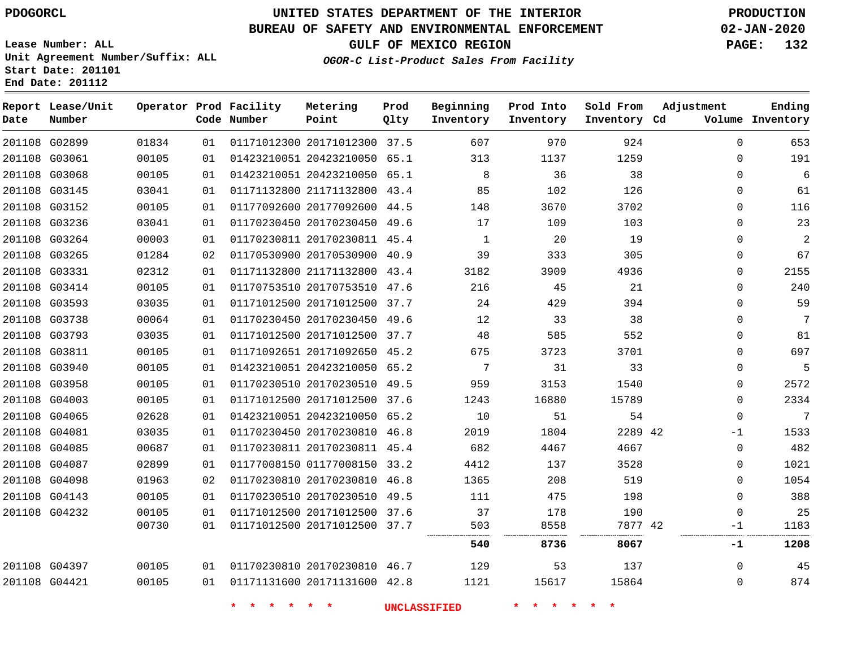### **BUREAU OF SAFETY AND ENVIRONMENTAL ENFORCEMENT 02-JAN-2020**

**Lease Number: ALL Unit Agreement Number/Suffix: ALL Start Date: 201101 End Date: 201112**

**OGOR-C List-Product Sales From Facility**

**GULF OF MEXICO REGION PAGE: 132**

**Ending**

| Date | Report Lease/Unit<br>Number |       |    | Operator Prod Facility<br>Code Number | Metering<br>Point            | Prod<br>Qlty | Beginning<br>Inventory | Prod Into<br>Inventory | Sold From<br>Inventory Cd | Adjustment   | Ending<br>Volume Inventory |
|------|-----------------------------|-------|----|---------------------------------------|------------------------------|--------------|------------------------|------------------------|---------------------------|--------------|----------------------------|
|      | 201108 G02899               | 01834 | 01 |                                       | 01171012300 20171012300 37.5 |              | 607                    | 970                    | 924                       | $\Omega$     | 653                        |
|      | 201108 G03061               | 00105 | 01 |                                       | 01423210051 20423210050 65.1 |              | 313                    | 1137                   | 1259                      | $\Omega$     | 191                        |
|      | 201108 G03068               | 00105 | 01 |                                       | 01423210051 20423210050 65.1 |              | 8                      | 36                     | 38                        | $\Omega$     | 6                          |
|      | 201108 G03145               | 03041 | 01 |                                       | 01171132800 21171132800 43.4 |              | 85                     | 102                    | 126                       | 0            | 61                         |
|      | 201108 G03152               | 00105 | 01 |                                       | 01177092600 20177092600 44.5 |              | 148                    | 3670                   | 3702                      | 0            | 116                        |
|      | 201108 G03236               | 03041 | 01 |                                       | 01170230450 20170230450 49.6 |              | 17                     | 109                    | 103                       | $\Omega$     | 23                         |
|      | 201108 G03264               | 00003 | 01 |                                       | 01170230811 20170230811 45.4 |              | 1                      | 20                     | 19                        | 0            | 2                          |
|      | 201108 G03265               | 01284 | 02 |                                       | 01170530900 20170530900 40.9 |              | 39                     | 333                    | 305                       | $\Omega$     | 67                         |
|      | 201108 G03331               | 02312 | 01 |                                       | 01171132800 21171132800 43.4 |              | 3182                   | 3909                   | 4936                      | $\Omega$     | 2155                       |
|      | 201108 G03414               | 00105 | 01 |                                       | 01170753510 20170753510 47.6 |              | 216                    | 45                     | 21                        | 0            | 240                        |
|      | 201108 G03593               | 03035 | 01 |                                       | 01171012500 20171012500 37.7 |              | 24                     | 429                    | 394                       | $\Omega$     | 59                         |
|      | 201108 G03738               | 00064 | 01 |                                       | 01170230450 20170230450 49.6 |              | 12                     | 33                     | 38                        | $\Omega$     | 7                          |
|      | 201108 G03793               | 03035 | 01 |                                       | 01171012500 20171012500 37.7 |              | 48                     | 585                    | 552                       | 0            | 81                         |
|      | 201108 G03811               | 00105 | 01 |                                       | 01171092651 20171092650 45.2 |              | 675                    | 3723                   | 3701                      | $\Omega$     | 697                        |
|      | 201108 G03940               | 00105 | 01 |                                       | 01423210051 20423210050 65.2 |              | 7                      | 31                     | 33                        | 0            | 5                          |
|      | 201108 G03958               | 00105 | 01 |                                       | 01170230510 20170230510 49.5 |              | 959                    | 3153                   | 1540                      | 0            | 2572                       |
|      | 201108 G04003               | 00105 | 01 |                                       | 01171012500 20171012500 37.6 |              | 1243                   | 16880                  | 15789                     | $\Omega$     | 2334                       |
|      | 201108 G04065               | 02628 | 01 |                                       | 01423210051 20423210050 65.2 |              | 10                     | 51                     | 54                        | 0            | 7                          |
|      | 201108 G04081               | 03035 | 01 |                                       | 01170230450 20170230810 46.8 |              | 2019                   | 1804                   | 2289 42                   | $-1$         | 1533                       |
|      | 201108 G04085               | 00687 | 01 |                                       | 01170230811 20170230811 45.4 |              | 682                    | 4467                   | 4667                      | $\Omega$     | 482                        |
|      | 201108 G04087               | 02899 | 01 |                                       | 01177008150 01177008150 33.2 |              | 4412                   | 137                    | 3528                      | 0            | 1021                       |
|      | 201108 G04098               | 01963 | 02 |                                       | 01170230810 20170230810 46.8 |              | 1365                   | 208                    | 519                       | $\Omega$     | 1054                       |
|      | 201108 G04143               | 00105 | 01 |                                       | 01170230510 20170230510 49.5 |              | 111                    | 475                    | 198                       | $\mathbf{0}$ | 388                        |
|      | 201108 G04232               | 00105 | 01 |                                       | 01171012500 20171012500 37.6 |              | 37                     | 178                    | 190                       | $\Omega$     | 25                         |
|      |                             | 00730 | 01 |                                       | 01171012500 20171012500 37.7 |              | 503                    | 8558                   | 7877 42                   | $-1$         | 1183                       |
|      |                             |       |    |                                       |                              |              | 540                    | 8736                   | 8067                      | -1           | 1208                       |
|      | 201108 G04397               | 00105 | 01 |                                       | 01170230810 20170230810 46.7 |              | 129                    | 53                     | 137                       | $\Omega$     | 45                         |
|      | 201108 G04421               | 00105 | 01 |                                       | 01171131600 20171131600 42.8 |              | 1121                   | 15617                  | 15864                     | $\Omega$     | 874                        |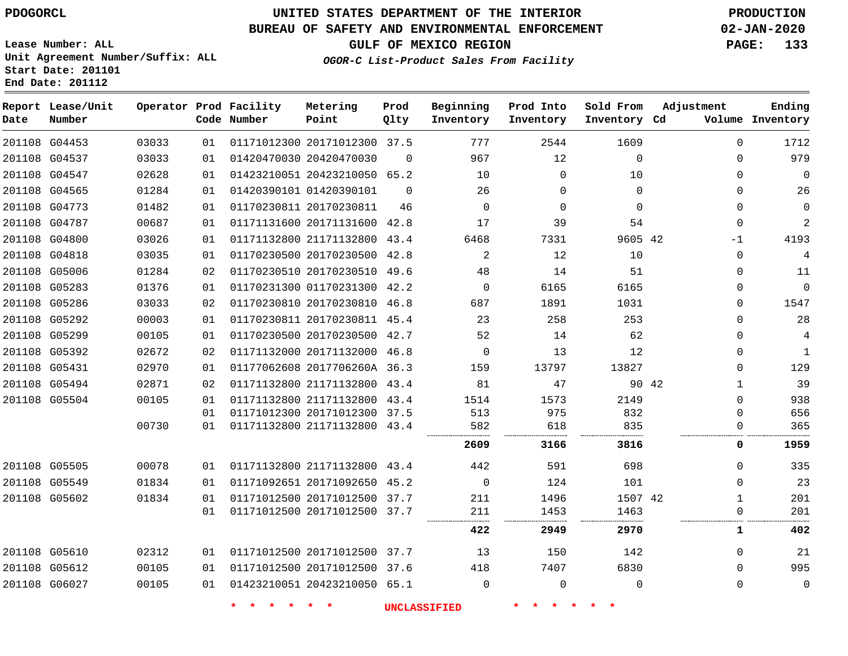## **BUREAU OF SAFETY AND ENVIRONMENTAL ENFORCEMENT 02-JAN-2020**

**Lease Number: ALL Unit Agreement Number/Suffix: ALL Start Date: 201101 End Date: 201112**

**OGOR-C List-Product Sales From Facility**

**GULF OF MEXICO REGION PAGE: 133**

| Date | Report Lease/Unit<br>Number |       |    | Operator Prod Facility<br>Code Number | Metering<br>Point            | Prod<br>Qlty | Beginning<br>Inventory | Prod Into<br>Inventory | Sold From<br>Inventory Cd | Adjustment            | Ending<br>Volume Inventory |
|------|-----------------------------|-------|----|---------------------------------------|------------------------------|--------------|------------------------|------------------------|---------------------------|-----------------------|----------------------------|
|      | 201108 G04453               | 03033 | 01 |                                       | 01171012300 20171012300 37.5 |              | 777                    | 2544                   | 1609                      | 0                     | 1712                       |
|      | 201108 G04537               | 03033 | 01 |                                       | 01420470030 20420470030      | $\Omega$     | 967                    | 12                     | $\Omega$                  | $\Omega$              | 979                        |
|      | 201108 G04547               | 02628 | 01 |                                       | 01423210051 20423210050 65.2 |              | 10                     | $\mathbf 0$            | 10                        | 0                     | $\mathbf 0$                |
|      | 201108 G04565               | 01284 | 01 |                                       | 01420390101 01420390101      | $\Omega$     | 26                     | $\mathbf 0$            | $\mathbf 0$               | 0                     | 26                         |
|      | 201108 G04773               | 01482 | 01 |                                       | 01170230811 20170230811      | 46           | $\Omega$               | $\Omega$               | $\Omega$                  | $\Omega$              | $\mathbf{0}$               |
|      | 201108 G04787               | 00687 | 01 |                                       | 01171131600 20171131600 42.8 |              | 17                     | 39                     | 54                        | 0                     | $\overline{a}$             |
|      | 201108 G04800               | 03026 | 01 |                                       | 01171132800 21171132800 43.4 |              | 6468                   | 7331                   | 9605 42                   | $-1$                  | 4193                       |
|      | 201108 G04818               | 03035 | 01 |                                       | 01170230500 20170230500 42.8 |              | 2                      | 12                     | 10                        | 0                     | $\overline{4}$             |
|      | 201108 G05006               | 01284 | 02 |                                       | 01170230510 20170230510 49.6 |              | 48                     | 14                     | 51                        | 0                     | 11                         |
|      | 201108 G05283               | 01376 | 01 |                                       | 01170231300 01170231300 42.2 |              | $\mathbf 0$            | 6165                   | 6165                      | 0                     | $\mathbf{0}$               |
|      | 201108 G05286               | 03033 | 02 |                                       | 01170230810 20170230810 46.8 |              | 687                    | 1891                   | 1031                      | 0                     | 1547                       |
|      | 201108 G05292               | 00003 | 01 |                                       | 01170230811 20170230811 45.4 |              | 23                     | 258                    | 253                       | 0                     | 28                         |
|      | 201108 G05299               | 00105 | 01 |                                       | 01170230500 20170230500 42.7 |              | 52                     | 14                     | 62                        | 0                     | 4                          |
|      | 201108 G05392               | 02672 | 02 |                                       | 01171132000 20171132000 46.8 |              | $\mathbf 0$            | 13                     | 12                        | 0                     | $\mathbf{1}$               |
|      | 201108 G05431               | 02970 | 01 |                                       | 01177062608 2017706260A 36.3 |              | 159                    | 13797                  | 13827                     | 0                     | 129                        |
|      | 201108 G05494               | 02871 | 02 |                                       | 01171132800 21171132800 43.4 |              | 81                     | 47                     |                           | 90 42<br>$\mathbf{1}$ | 39                         |
|      | 201108 G05504               | 00105 | 01 |                                       | 01171132800 21171132800 43.4 |              | 1514                   | 1573                   | 2149                      | 0                     | 938                        |
|      |                             |       | 01 |                                       | 01171012300 20171012300 37.5 |              | 513                    | 975                    | 832                       | 0                     | 656                        |
|      |                             | 00730 | 01 |                                       | 01171132800 21171132800 43.4 |              | 582                    | 618                    | 835                       | 0                     | 365                        |
|      |                             |       |    |                                       |                              |              | 2609                   | 3166                   | 3816                      | 0                     | 1959                       |
|      | 201108 G05505               | 00078 | 01 |                                       | 01171132800 21171132800 43.4 |              | 442                    | 591                    | 698                       | 0                     | 335                        |
|      | 201108 G05549               | 01834 | 01 |                                       | 01171092651 20171092650 45.2 |              | $\mathbf 0$            | 124                    | 101                       | 0                     | 23                         |
|      | 201108 G05602               | 01834 | 01 |                                       | 01171012500 20171012500 37.7 |              | 211                    | 1496                   | 1507 42                   | $\mathbf{1}$          | 201                        |
|      |                             |       | 01 |                                       | 01171012500 20171012500 37.7 |              | 211                    | 1453                   | 1463                      | 0                     | 201                        |
|      |                             |       |    |                                       |                              |              | 422                    | 2949                   | 2970                      | $\mathbf{1}$          | 402                        |
|      | 201108 G05610               | 02312 | 01 |                                       | 01171012500 20171012500 37.7 |              | 13                     | 150                    | 142                       | $\Omega$              | 21                         |
|      | 201108 G05612               | 00105 | 01 |                                       | 01171012500 20171012500 37.6 |              | 418                    | 7407                   | 6830                      | 0                     | 995                        |
|      | 201108 G06027               | 00105 | 01 |                                       | 01423210051 20423210050 65.1 |              | $\Omega$               | 0                      | $\Omega$                  | 0                     | $\mathbf 0$                |
|      |                             |       |    | $\star$<br>$\star$                    | $\star$<br>$\star$           |              | <b>UNCLASSIFIED</b>    | 一大                     |                           |                       |                            |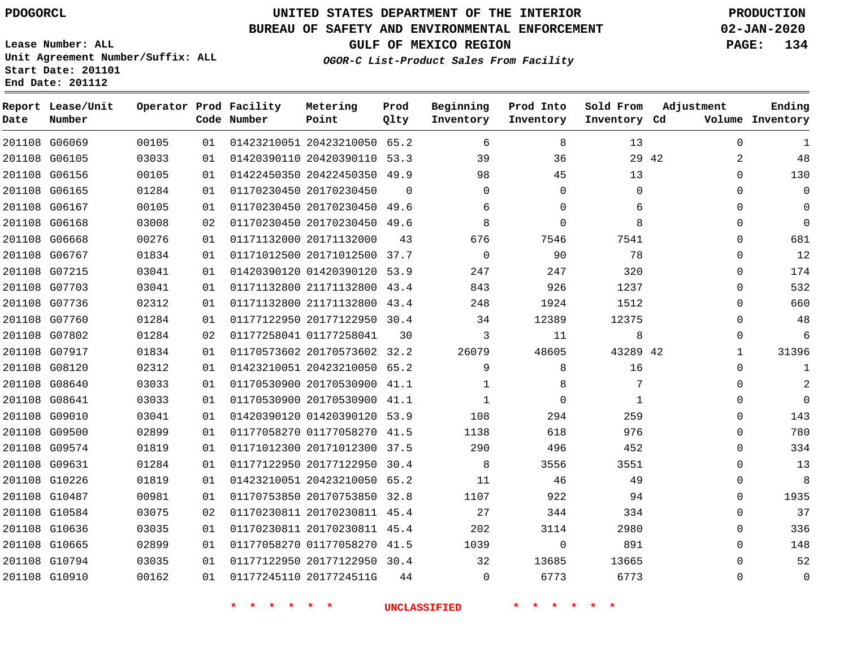## **BUREAU OF SAFETY AND ENVIRONMENTAL ENFORCEMENT 02-JAN-2020**

**Lease Number: ALL Unit Agreement Number/Suffix: ALL Start Date: 201101 End Date: 201112**

### **OGOR-C List-Product Sales From Facility**

**GULF OF MEXICO REGION PAGE: 134**

| Metering | Prod | Beginning | Prod Into |
|----------|------|-----------|-----------|

| Date | Report Lease/Unit<br>Number |       |    | Operator Prod Facility<br>Code Number | Metering<br>Point            | Prod<br>Qlty | Beginning<br>Inventory | Prod Into<br>Inventory | Sold From<br>Inventory Cd | Adjustment |              | Ending<br>Volume Inventory |
|------|-----------------------------|-------|----|---------------------------------------|------------------------------|--------------|------------------------|------------------------|---------------------------|------------|--------------|----------------------------|
|      | 201108 G06069               | 00105 | 01 |                                       | 01423210051 20423210050 65.2 |              | 6                      | 8                      | 13                        |            | $\Omega$     | $\mathbf{1}$               |
|      | 201108 G06105               | 03033 | 01 |                                       | 01420390110 20420390110 53.3 |              | 39                     | 36                     | 29                        | -42        | 2            | 48                         |
|      | 201108 G06156               | 00105 | 01 |                                       | 01422450350 20422450350 49.9 |              | 98                     | 45                     | 13                        |            | $\Omega$     | 130                        |
|      | 201108 G06165               | 01284 | 01 |                                       | 01170230450 20170230450      | $\Omega$     | $\Omega$               | $\Omega$               | $\Omega$                  |            | $\Omega$     | $\mathbf 0$                |
|      | 201108 G06167               | 00105 | 01 |                                       | 01170230450 20170230450 49.6 |              | 6                      | $\Omega$               | 6                         |            | $\Omega$     | $\mathbf 0$                |
|      | 201108 G06168               | 03008 | 02 |                                       | 01170230450 20170230450 49.6 |              | 8                      | $\Omega$               | 8                         |            | $\Omega$     | $\Omega$                   |
|      | 201108 G06668               | 00276 | 01 |                                       | 01171132000 20171132000      | 43           | 676                    | 7546                   | 7541                      |            | $\Omega$     | 681                        |
|      | 201108 G06767               | 01834 | 01 |                                       | 01171012500 20171012500 37.7 |              | $\mathbf 0$            | 90                     | 78                        |            | $\mathbf 0$  | 12                         |
|      | 201108 G07215               | 03041 | 01 |                                       | 01420390120 01420390120 53.9 |              | 247                    | 247                    | 320                       |            | $\Omega$     | 174                        |
|      | 201108 G07703               | 03041 | 01 |                                       | 01171132800 21171132800 43.4 |              | 843                    | 926                    | 1237                      |            | $\Omega$     | 532                        |
|      | 201108 G07736               | 02312 | 01 |                                       | 01171132800 21171132800 43.4 |              | 248                    | 1924                   | 1512                      |            | $\mathbf 0$  | 660                        |
|      | 201108 G07760               | 01284 | 01 |                                       | 01177122950 20177122950 30.4 |              | 34                     | 12389                  | 12375                     |            | $\mathbf 0$  | 48                         |
|      | 201108 G07802               | 01284 | 02 |                                       | 01177258041 01177258041      | 30           | 3                      | 11                     | 8                         |            | $\Omega$     | 6                          |
|      | 201108 G07917               | 01834 | 01 |                                       | 01170573602 20170573602 32.2 |              | 26079                  | 48605                  | 43289 42                  |            | $\mathbf{1}$ | 31396                      |
|      | 201108 G08120               | 02312 | 01 |                                       | 01423210051 20423210050 65.2 |              | 9                      | 8                      | 16                        |            | $\mathbf 0$  | $\mathbf{1}$               |
|      | 201108 G08640               | 03033 | 01 |                                       | 01170530900 20170530900 41.1 |              | 1                      | 8                      | 7                         |            | $\mathbf 0$  | $\overline{c}$             |
|      | 201108 G08641               | 03033 | 01 |                                       | 01170530900 20170530900 41.1 |              | 1                      | $\mathbf 0$            | 1                         |            | $\mathbf 0$  | $\mathbf 0$                |
|      | 201108 G09010               | 03041 | 01 |                                       | 01420390120 01420390120 53.9 |              | 108                    | 294                    | 259                       |            | $\mathbf 0$  | 143                        |
|      | 201108 G09500               | 02899 | 01 |                                       | 01177058270 01177058270      | 41.5         | 1138                   | 618                    | 976                       |            | $\mathbf 0$  | 780                        |
|      | 201108 G09574               | 01819 | 01 |                                       | 01171012300 20171012300 37.5 |              | 290                    | 496                    | 452                       |            | $\mathbf 0$  | 334                        |
|      | 201108 G09631               | 01284 | 01 |                                       | 01177122950 20177122950 30.4 |              | 8                      | 3556                   | 3551                      |            | $\mathbf 0$  | 13                         |
|      | 201108 G10226               | 01819 | 01 |                                       | 01423210051 20423210050 65.2 |              | 11                     | 46                     | 49                        |            | $\mathbf 0$  | 8                          |
|      | 201108 G10487               | 00981 | 01 |                                       | 01170753850 20170753850 32.8 |              | 1107                   | 922                    | 94                        |            | $\mathbf 0$  | 1935                       |
|      | 201108 G10584               | 03075 | 02 |                                       | 01170230811 20170230811 45.4 |              | 27                     | 344                    | 334                       |            | 0            | 37                         |
|      | 201108 G10636               | 03035 | 01 |                                       | 01170230811 20170230811 45.4 |              | 202                    | 3114                   | 2980                      |            | $\mathbf 0$  | 336                        |
|      | 201108 G10665               | 02899 | 01 |                                       | 01177058270 01177058270 41.5 |              | 1039                   | 0                      | 891                       |            | $\mathbf 0$  | 148                        |
|      | 201108 G10794               | 03035 | 01 |                                       | 01177122950 20177122950 30.4 |              | 32                     | 13685                  | 13665                     |            | $\Omega$     | 52                         |
|      | 201108 G10910               | 00162 | 01 |                                       | 01177245110 2017724511G      | 44           | $\mathbf 0$            | 6773                   | 6773                      |            | $\Omega$     | $\mathsf 0$                |

**\* \* \* \* \* \* UNCLASSIFIED \* \* \* \* \* \***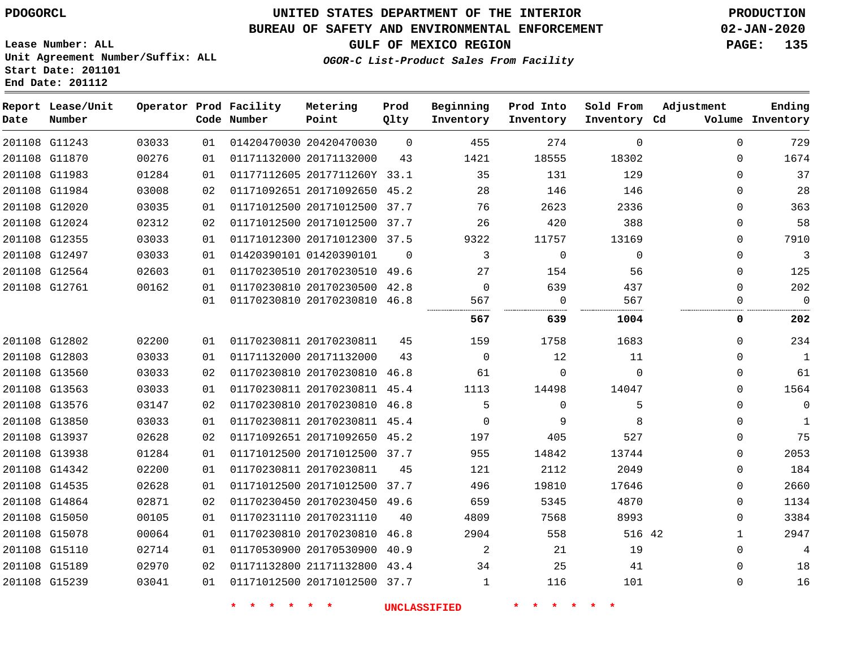**Lease Number: ALL**

**Start Date: 201101 End Date: 201112**

# **UNITED STATES DEPARTMENT OF THE INTERIOR PDOGORCL PRODUCTION**

## **BUREAU OF SAFETY AND ENVIRONMENTAL ENFORCEMENT 02-JAN-2020**

**Unit Agreement Number/Suffix: ALL**

**GULF OF MEXICO REGION PAGE: 135**

**OGOR-C List-Product Sales From Facility**

| Date | Report Lease/Unit<br>Number |       |    | Operator Prod Facility<br>Code Number | Metering<br>Point            | Prod<br>Qlty   | Beginning<br>Inventory | Prod Into<br>Inventory | Sold From<br>Inventory Cd | Adjustment   | Ending<br>Volume Inventory |
|------|-----------------------------|-------|----|---------------------------------------|------------------------------|----------------|------------------------|------------------------|---------------------------|--------------|----------------------------|
|      | 201108 G11243               | 03033 | 01 |                                       | 01420470030 20420470030      | $\mathbf 0$    | 455                    | 274                    | $\mathbf 0$               | $\mathbf{0}$ | 729                        |
|      | 201108 G11870               | 00276 | 01 |                                       | 01171132000 20171132000      | 43             | 1421                   | 18555                  | 18302                     | $\Omega$     | 1674                       |
|      | 201108 G11983               | 01284 | 01 |                                       | 01177112605 2017711260Y 33.1 |                | 35                     | 131                    | 129                       | $\Omega$     | 37                         |
|      | 201108 G11984               | 03008 | 02 |                                       | 01171092651 20171092650 45.2 |                | 28                     | 146                    | 146                       | $\Omega$     | 28                         |
|      | 201108 G12020               | 03035 | 01 |                                       | 01171012500 20171012500 37.7 |                | 76                     | 2623                   | 2336                      | $\Omega$     | 363                        |
|      | 201108 G12024               | 02312 | 02 |                                       | 01171012500 20171012500 37.7 |                | 26                     | 420                    | 388                       | $\Omega$     | 58                         |
|      | 201108 G12355               | 03033 | 01 |                                       | 01171012300 20171012300 37.5 |                | 9322                   | 11757                  | 13169                     | $\Omega$     | 7910                       |
|      | 201108 G12497               | 03033 | 01 |                                       | 01420390101 01420390101      | $\overline{0}$ | 3                      | $\mathbf 0$            | $\mathbf 0$               | 0            | 3                          |
|      | 201108 G12564               | 02603 | 01 |                                       | 01170230510 20170230510 49.6 |                | 27                     | 154                    | 56                        | $\Omega$     | 125                        |
|      | 201108 G12761               | 00162 | 01 |                                       | 01170230810 20170230500      | 42.8           | $\Omega$               | 639                    | 437                       | $\Omega$     | 202                        |
|      |                             |       | 01 |                                       | 01170230810 20170230810 46.8 |                | 567                    | 0                      | 567                       | $\Omega$     | $\mathbf 0$                |
|      |                             |       |    |                                       |                              |                | 567                    | 639                    | 1004                      | 0            | 202                        |
|      | 201108 G12802               | 02200 | 01 |                                       | 01170230811 20170230811      | 45             | 159                    | 1758                   | 1683                      | $\Omega$     | 234                        |
|      | 201108 G12803               | 03033 | 01 |                                       | 01171132000 20171132000      | 43             | $\Omega$               | 12                     | 11                        | $\Omega$     | $\mathbf 1$                |
|      | 201108 G13560               | 03033 | 02 |                                       | 01170230810 20170230810      | 46.8           | 61                     | $\mathbf 0$            | $\Omega$                  | $\Omega$     | 61                         |
|      | 201108 G13563               | 03033 | 01 |                                       | 01170230811 20170230811 45.4 |                | 1113                   | 14498                  | 14047                     | $\Omega$     | 1564                       |
|      | 201108 G13576               | 03147 | 02 |                                       | 01170230810 20170230810 46.8 |                | 5                      | $\mathbf 0$            | 5                         | $\Omega$     | 0                          |
|      | 201108 G13850               | 03033 | 01 |                                       | 01170230811 20170230811 45.4 |                | $\Omega$               | 9                      | 8                         | 0            | $\mathbf{1}$               |
|      | 201108 G13937               | 02628 | 02 |                                       | 01171092651 20171092650 45.2 |                | 197                    | 405                    | 527                       | $\Omega$     | 75                         |
|      | 201108 G13938               | 01284 | 01 |                                       | 01171012500 20171012500 37.7 |                | 955                    | 14842                  | 13744                     | 0            | 2053                       |
|      | 201108 G14342               | 02200 | 01 |                                       | 01170230811 20170230811      | 45             | 121                    | 2112                   | 2049                      | 0            | 184                        |
|      | 201108 G14535               | 02628 | 01 |                                       | 01171012500 20171012500      | 37.7           | 496                    | 19810                  | 17646                     | $\Omega$     | 2660                       |
|      | 201108 G14864               | 02871 | 02 |                                       | 01170230450 20170230450 49.6 |                | 659                    | 5345                   | 4870                      | $\Omega$     | 1134                       |
|      | 201108 G15050               | 00105 | 01 |                                       | 01170231110 20170231110      | 40             | 4809                   | 7568                   | 8993                      | 0            | 3384                       |
|      | 201108 G15078               | 00064 | 01 |                                       | 01170230810 20170230810      | 46.8           | 2904                   | 558                    | 516 42                    | $\mathbf{1}$ | 2947                       |
|      | 201108 G15110               | 02714 | 01 |                                       | 01170530900 20170530900 40.9 |                | 2                      | 21                     | 19                        | $\Omega$     | 4                          |
|      | 201108 G15189               | 02970 | 02 |                                       | 01171132800 21171132800 43.4 |                | 34                     | 25                     | 41                        | 0            | 18                         |
|      | 201108 G15239               | 03041 | 01 |                                       | 01171012500 20171012500 37.7 |                | 1                      | 116                    | 101                       | $\mathbf{0}$ | 16                         |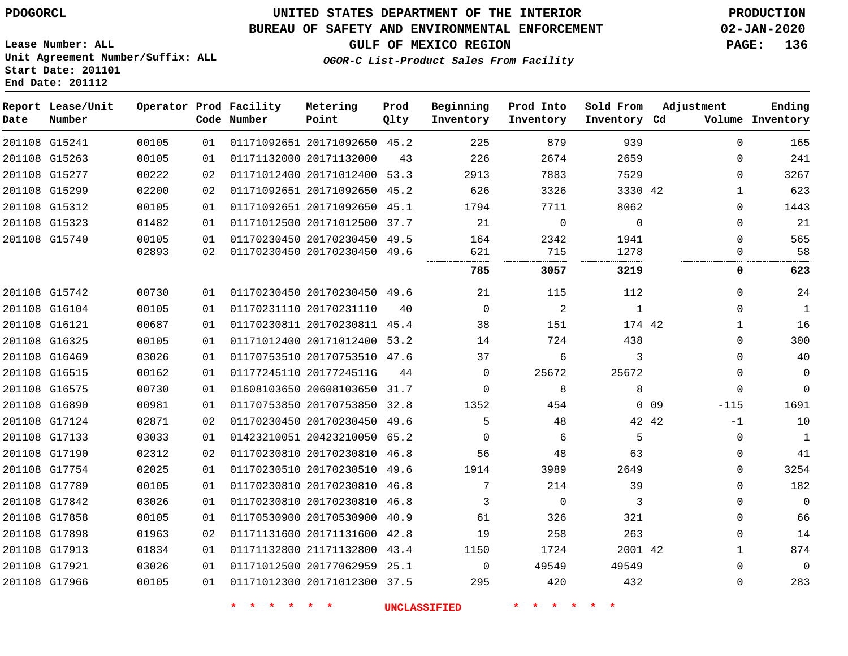## **BUREAU OF SAFETY AND ENVIRONMENTAL ENFORCEMENT 02-JAN-2020**

**Lease Number: ALL Unit Agreement Number/Suffix: ALL Start Date: 201101 End Date: 201112**

**GULF OF MEXICO REGION PAGE: 136**

**OGOR-C List-Product Sales From Facility**

| Date          | Report Lease/Unit<br>Number |       |    | Operator Prod Facility<br>Code Number | Metering<br>Point            | Prod<br>Qlty | Beginning<br>Inventory | Prod Into<br>Inventory | Sold From<br>Inventory Cd | Adjustment      |              | Ending<br>Volume Inventory |
|---------------|-----------------------------|-------|----|---------------------------------------|------------------------------|--------------|------------------------|------------------------|---------------------------|-----------------|--------------|----------------------------|
| 201108 G15241 |                             | 00105 | 01 |                                       | 01171092651 20171092650 45.2 |              | 225                    | 879                    | 939                       |                 | $\Omega$     | 165                        |
|               | 201108 G15263               | 00105 | 01 | 01171132000 20171132000               |                              | 43           | 226                    | 2674                   | 2659                      |                 | $\Omega$     | 241                        |
| 201108 G15277 |                             | 00222 | 02 |                                       | 01171012400 20171012400 53.3 |              | 2913                   | 7883                   | 7529                      |                 | $\Omega$     | 3267                       |
| 201108 G15299 |                             | 02200 | 02 |                                       | 01171092651 20171092650 45.2 |              | 626                    | 3326                   | 3330 42                   |                 | 1            | 623                        |
| 201108 G15312 |                             | 00105 | 01 |                                       | 01171092651 20171092650 45.1 |              | 1794                   | 7711                   | 8062                      |                 | $\Omega$     | 1443                       |
| 201108 G15323 |                             | 01482 | 01 |                                       | 01171012500 20171012500 37.7 |              | 21                     | $\Omega$               | $\Omega$                  |                 | $\Omega$     | 21                         |
| 201108 G15740 |                             | 00105 | 01 |                                       | 01170230450 20170230450 49.5 |              | 164                    | 2342                   | 1941                      |                 | $\mathbf 0$  | 565                        |
|               |                             | 02893 | 02 |                                       | 01170230450 20170230450 49.6 |              | 621                    | 715                    | 1278                      |                 | $\Omega$     | 58                         |
|               |                             |       |    |                                       |                              |              | 785                    | 3057                   | 3219                      |                 | 0            | 623                        |
|               | 201108 G15742               | 00730 | 01 |                                       | 01170230450 20170230450 49.6 |              | 21                     | 115                    | 112                       |                 | $\Omega$     | 24                         |
|               | 201108 G16104               | 00105 | 01 | 01170231110 20170231110               |                              | 40           | $\Omega$               | 2                      | $\mathbf{1}$              |                 | $\Omega$     | $\mathbf{1}$               |
| 201108 G16121 |                             | 00687 | 01 |                                       | 01170230811 20170230811 45.4 |              | 38                     | 151                    | 174 42                    |                 | $\mathbf{1}$ | 16                         |
| 201108 G16325 |                             | 00105 | 01 |                                       | 01171012400 20171012400 53.2 |              | 14                     | 724                    | 438                       |                 | $\Omega$     | 300                        |
| 201108 G16469 |                             | 03026 | 01 |                                       | 01170753510 20170753510 47.6 |              | 37                     | 6                      | 3                         |                 | $\Omega$     | 40                         |
| 201108 G16515 |                             | 00162 | 01 | 01177245110 2017724511G               |                              | 44           | $\Omega$               | 25672                  | 25672                     |                 | $\Omega$     | $\mathbf 0$                |
| 201108 G16575 |                             | 00730 | 01 |                                       | 01608103650 20608103650 31.7 |              | $\Omega$               | 8                      | 8                         |                 | $\mathbf 0$  | $\Omega$                   |
| 201108 G16890 |                             | 00981 | 01 |                                       | 01170753850 20170753850 32.8 |              | 1352                   | 454                    |                           | 0 <sub>09</sub> | $-115$       | 1691                       |
| 201108 G17124 |                             | 02871 | 02 |                                       | 01170230450 20170230450 49.6 |              | 5                      | 48                     | 42 42                     |                 | $-1$         | 10                         |
| 201108 G17133 |                             | 03033 | 01 |                                       | 01423210051 20423210050 65.2 |              | $\mathbf 0$            | 6                      | 5                         |                 | $\mathbf 0$  | $\mathbf{1}$               |
| 201108 G17190 |                             | 02312 | 02 |                                       | 01170230810 20170230810 46.8 |              | 56                     | 48                     | 63                        |                 | $\mathbf{0}$ | 41                         |
| 201108 G17754 |                             | 02025 | 01 |                                       | 01170230510 20170230510 49.6 |              | 1914                   | 3989                   | 2649                      |                 | $\mathbf 0$  | 3254                       |
| 201108 G17789 |                             | 00105 | 01 |                                       | 01170230810 20170230810 46.8 |              | 7                      | 214                    | 39                        |                 | $\Omega$     | 182                        |
|               | 201108 G17842               | 03026 | 01 |                                       | 01170230810 20170230810 46.8 |              | 3                      | $\mathbf 0$            | 3                         |                 | $\Omega$     | $\Omega$                   |
| 201108 G17858 |                             | 00105 | 01 |                                       | 01170530900 20170530900 40.9 |              | 61                     | 326                    | 321                       |                 | $\Omega$     | 66                         |
|               | 201108 G17898               | 01963 | 02 |                                       | 01171131600 20171131600 42.8 |              | 19                     | 258                    | 263                       |                 | $\Omega$     | 14                         |
| 201108 G17913 |                             | 01834 | 01 |                                       | 01171132800 21171132800 43.4 |              | 1150                   | 1724                   | 2001 42                   |                 | $\mathbf{1}$ | 874                        |
| 201108 G17921 |                             | 03026 | 01 |                                       | 01171012500 20177062959 25.1 |              | $\mathbf 0$            | 49549                  | 49549                     |                 | $\Omega$     | $\mathbf{0}$               |
| 201108 G17966 |                             | 00105 | 01 |                                       | 01171012300 20171012300 37.5 |              | 295                    | 420                    | 432                       |                 | $\mathbf 0$  | 283                        |
|               |                             |       |    |                                       |                              |              |                        |                        |                           |                 |              |                            |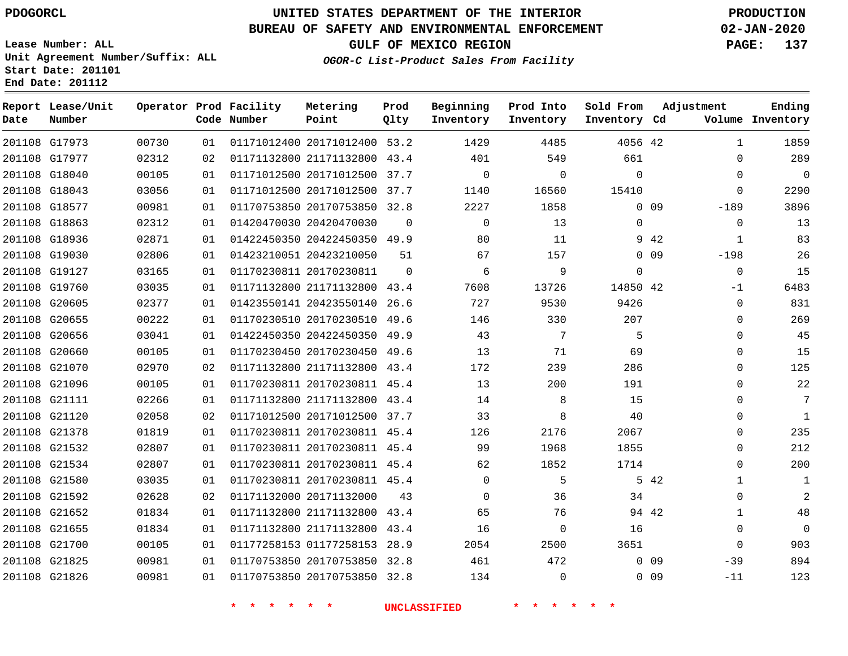G17973

**Date**

**Report Lease/Unit**

**Number**

# **UNITED STATES DEPARTMENT OF THE INTERIOR PDOGORCL PRODUCTION**

**Prod Qlty**

### **BUREAU OF SAFETY AND ENVIRONMENTAL ENFORCEMENT 02-JAN-2020**

**Lease Number: ALL Unit Agreement Number/Suffix: ALL Start Date: 201101 End Date: 201112**

**Operator Prod Facility**

**Code Number**

20171012400 53.2

**Metering Point**

**OGOR-C List-Product Sales From Facility**

**Prod Into Inventory**

**Beginning Inventory**

**GULF OF MEXICO REGION PAGE: 137**

**Inventory Cd Volume**

**Adjustment**

  $\Omega$  $\Omega$  -189  $\Omega$  -198 -1  $\Omega$  $\overline{0}$   $\Omega$  $\overline{0}$  $\Omega$  $\Omega$  $\Omega$  $\Omega$  $\Omega$  -39  $-11$ 

**Ending**

42

**Sold From Inventory**

| 201108 G17977 | 02312 | 02 |                      | 01171132800 21171132800 43.4 |          | 401                 | 549             | 661          |                 |
|---------------|-------|----|----------------------|------------------------------|----------|---------------------|-----------------|--------------|-----------------|
| 201108 G18040 | 00105 | 01 |                      | 01171012500 20171012500 37.7 |          | $\Omega$            | $\Omega$        | 0            |                 |
| 201108 G18043 | 03056 | 01 |                      | 01171012500 20171012500 37.7 |          | 1140                | 16560           | 15410        |                 |
| 201108 G18577 | 00981 | 01 |                      | 01170753850 20170753850 32.8 |          | 2227                | 1858            |              | 0 <sub>09</sub> |
| 201108 G18863 | 02312 | 01 |                      | 01420470030 20420470030      | $\Omega$ | $\Omega$            | 13 <sup>°</sup> | $\mathbf{0}$ |                 |
| 201108 G18936 | 02871 | 01 |                      | 01422450350 20422450350 49.9 |          | 80                  | 11              |              | 9 42            |
| 201108 G19030 | 02806 | 01 |                      | 01423210051 20423210050      | 51       | 67                  | 157             |              | $0\quad09$      |
| 201108 G19127 | 03165 | 01 |                      | 01170230811 20170230811      | 0        | 6                   | 9               | 0            |                 |
| 201108 G19760 | 03035 | 01 |                      | 01171132800 21171132800 43.4 |          | 7608                | 13726           | 14850 42     |                 |
| 201108 G20605 | 02377 | 01 |                      | 01423550141 20423550140 26.6 |          | 727                 | 9530            | 9426         |                 |
| 201108 G20655 | 00222 | 01 |                      | 01170230510 20170230510 49.6 |          | 146                 | 330             | 207          |                 |
| 201108 G20656 | 03041 | 01 |                      | 01422450350 20422450350 49.9 |          | 43                  | 7               | 5            |                 |
| 201108 G20660 | 00105 | 01 |                      | 01170230450 20170230450 49.6 |          | 13                  | 71              | 69           |                 |
| 201108 G21070 | 02970 | 02 |                      | 01171132800 21171132800 43.4 |          | 172                 | 239             | 286          |                 |
| 201108 G21096 | 00105 | 01 |                      | 01170230811 20170230811 45.4 |          | 13                  | 200             | 191          |                 |
| 201108 G21111 | 02266 | 01 |                      | 01171132800 21171132800 43.4 |          | 14                  | 8               | 15           |                 |
| 201108 G21120 | 02058 | 02 |                      | 01171012500 20171012500 37.7 |          | 33                  | 8               | 40           |                 |
| 201108 G21378 | 01819 | 01 |                      | 01170230811 20170230811 45.4 |          | 126                 | 2176            | 2067         |                 |
| 201108 G21532 | 02807 | 01 |                      | 01170230811 20170230811 45.4 |          | 99                  | 1968            | 1855         |                 |
| 201108 G21534 | 02807 | 01 |                      | 01170230811 20170230811 45.4 |          | 62                  | 1852            | 1714         |                 |
| 201108 G21580 | 03035 | 01 |                      | 01170230811 20170230811 45.4 |          | $\Omega$            | 5               |              | 5 42            |
| 201108 G21592 | 02628 | 02 |                      | 01171132000 20171132000      | 43       | $\Omega$            | 36              | 34           |                 |
| 201108 G21652 | 01834 | 01 |                      | 01171132800 21171132800 43.4 |          | 65                  | 76              | 94 42        |                 |
| 201108 G21655 | 01834 | 01 |                      | 01171132800 21171132800 43.4 |          | 16                  | $\Omega$        | 16           |                 |
| 201108 G21700 | 00105 | 01 |                      | 01177258153 01177258153 28.9 |          | 2054                | 2500            | 3651         |                 |
| 201108 G21825 | 00981 | 01 |                      | 01170753850 20170753850 32.8 |          | 461                 | 472             |              | 0 <sub>09</sub> |
| 201108 G21826 | 00981 | 01 |                      | 01170753850 20170753850 32.8 |          | 134                 | $\Omega$        |              | $0$ 09          |
|               |       |    | $\star$<br>* * * * * |                              |          | <b>INCLASSIFIED</b> | * * *           |              |                 |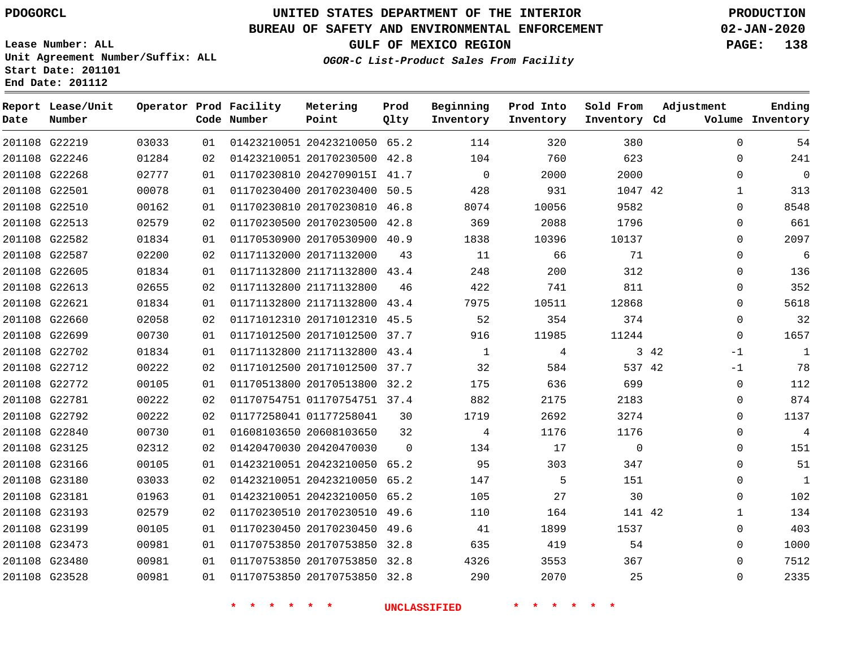**Report Lease/Unit**

**Number**

# **UNITED STATES DEPARTMENT OF THE INTERIOR PDOGORCL PRODUCTION**

**Prod Qlty**

## **BUREAU OF SAFETY AND ENVIRONMENTAL ENFORCEMENT 02-JAN-2020**

**Lease Number: ALL Unit Agreement Number/Suffix: ALL Start Date: 201101 End Date: 201112**

**Operator Prod Facility**

**Code Number**

**OGOR-C List-Product Sales From Facility**

**Beginning Inventory** **Prod Into Inventory**

**Sold From Inventory**

**GULF OF MEXICO REGION PAGE: 138**

**Inventory Cd Volume**

**Adjustment**

**Ending**

| 201108 G22219 | 03033 | 01 |                        | 01423210051 20423210050 65.2 |          | 114                 | 320            | 380            |      | $\Omega$       |
|---------------|-------|----|------------------------|------------------------------|----------|---------------------|----------------|----------------|------|----------------|
| 201108 G22246 | 01284 | 02 |                        | 01423210051 20170230500 42.8 |          | 104                 | 760            | 623            |      | $\mathbf 0$    |
| 201108 G22268 | 02777 | 01 |                        | 01170230810 2042709015I 41.7 |          | $\overline{0}$      | 2000           | 2000           |      | $\Omega$       |
| 201108 G22501 | 00078 | 01 |                        | 01170230400 20170230400 50.5 |          | 428                 | 931            | 1047 42        |      | 1              |
| 201108 G22510 | 00162 | 01 |                        | 01170230810 20170230810 46.8 |          | 8074                | 10056          | 9582           |      | $\Omega$       |
| 201108 G22513 | 02579 | 02 |                        | 01170230500 20170230500 42.8 |          | 369                 | 2088           | 1796           |      | $\Omega$       |
| 201108 G22582 | 01834 | 01 |                        | 01170530900 20170530900 40.9 |          | 1838                | 10396          | 10137          |      | $\Omega$       |
| 201108 G22587 | 02200 | 02 |                        | 01171132000 20171132000 43   |          | 11                  | 66             | 71             |      | $\Omega$       |
| 201108 G22605 | 01834 | 01 |                        | 01171132800 21171132800 43.4 |          | 248                 | 200            | 312            |      | $\Omega$       |
| 201108 G22613 | 02655 | 02 |                        | 01171132800 21171132800      | 46       | 422                 | 741            | 811            |      | $\overline{0}$ |
| 201108 G22621 | 01834 | 01 |                        | 01171132800 21171132800 43.4 |          | 7975                | 10511          | 12868          |      | $\Omega$       |
| 201108 G22660 | 02058 | 02 |                        | 01171012310 20171012310 45.5 |          | 52                  | 354            | 374            |      | $\mathbf 0$    |
| 201108 G22699 | 00730 | 01 |                        | 01171012500 20171012500 37.7 |          | 916                 | 11985          | 11244          |      | $\Omega$       |
| 201108 G22702 | 01834 | 01 |                        | 01171132800 21171132800 43.4 |          | $\overline{1}$      | $\overline{4}$ |                | 3 42 | $-1$           |
| 201108 G22712 | 00222 | 02 |                        | 01171012500 20171012500 37.7 |          | 32                  | 584            | 537 42         |      | $-1$           |
| 201108 G22772 | 00105 | 01 |                        | 01170513800 20170513800 32.2 |          | 175                 | 636            | 699            |      | $\overline{0}$ |
| 201108 G22781 | 00222 | 02 |                        | 01170754751 01170754751 37.4 |          | 882                 | 2175           | 2183           |      | $\overline{0}$ |
| 201108 G22792 | 00222 | 02 |                        | 01177258041 01177258041      | 30       | 1719                | 2692           | 3274           |      | $\overline{0}$ |
| 201108 G22840 | 00730 | 01 |                        | 01608103650 20608103650      | 32       | $\overline{4}$      | 1176           | 1176           |      | $\Omega$       |
| 201108 G23125 | 02312 | 02 |                        | 01420470030 20420470030      | $\Omega$ | 134                 | 17             | $\overline{0}$ |      | $\Omega$       |
| 201108 G23166 | 00105 | 01 |                        | 01423210051 20423210050 65.2 |          | 95                  | 303            | 347            |      | $\Omega$       |
| 201108 G23180 | 03033 | 02 |                        | 01423210051 20423210050 65.2 |          | 147                 | $5^{\circ}$    | 151            |      | $\Omega$       |
| 201108 G23181 | 01963 | 01 |                        | 01423210051 20423210050 65.2 |          | 105                 | 27             | 30             |      | $\mathbf 0$    |
| 201108 G23193 | 02579 | 02 |                        | 01170230510 20170230510 49.6 |          | 110                 | 164            | 141 42         |      | $\mathbf 1$    |
| 201108 G23199 | 00105 | 01 |                        | 01170230450 20170230450 49.6 |          | 41                  | 1899           | 1537           |      | $\Omega$       |
| 201108 G23473 | 00981 | 01 |                        | 01170753850 20170753850 32.8 |          | 635                 | 419            | 54             |      | $\Omega$       |
| 201108 G23480 | 00981 | 01 |                        | 01170753850 20170753850 32.8 |          | 4326                | 3553           | 367            |      | $\Omega$       |
| 201108 G23528 | 00981 | 01 |                        | 01170753850 20170753850 32.8 |          | 290                 | 2070           | 25             |      | $\Omega$       |
|               |       |    | * * *<br>$\rightarrow$ | $\star$<br>一天                |          | <b>UNCLASSIFIED</b> | * * * *        |                |      |                |
|               |       |    |                        |                              |          |                     |                |                |      |                |

**Metering Point**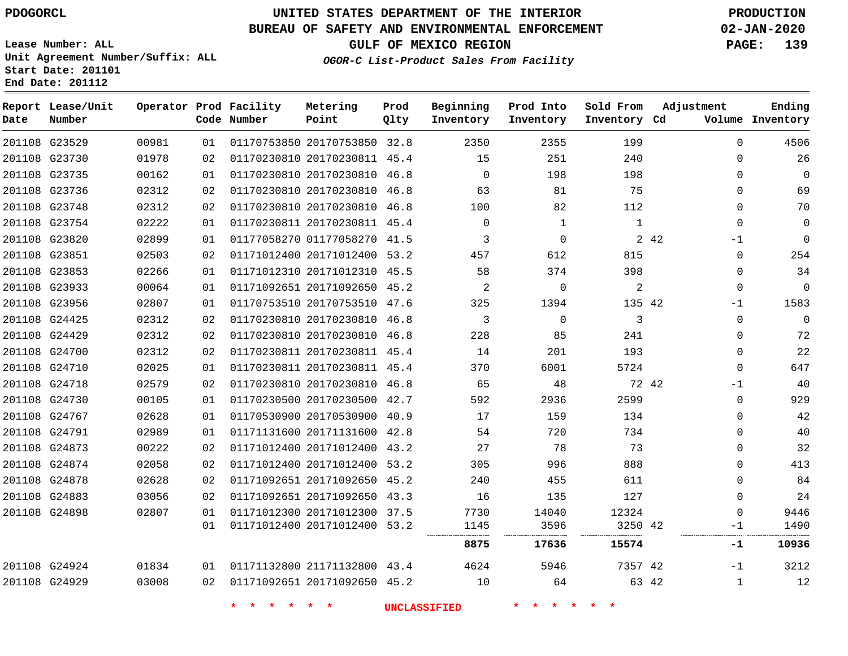**Report Lease/Unit**

**Number**

# **UNITED STATES DEPARTMENT OF THE INTERIOR PDOGORCL PRODUCTION**

**Prod Qlty**

### **BUREAU OF SAFETY AND ENVIRONMENTAL ENFORCEMENT 02-JAN-2020**

**Lease Number: ALL Unit Agreement Number/Suffix: ALL Start Date: 201101 End Date: 201112**

**Operator Prod Facility**

**Code Number**

**Metering Point**

**OGOR-C List-Product Sales From Facility**

**Beginning Inventory** **Prod Into Inventory** **Sold From Inventory**

**GULF OF MEXICO REGION PAGE: 139**

**Inventory Cd Volume**

**Adjustment**

**Ending**

 

| 201108 G23529 | 00981 | 01 |                 | 01170753850 20170753850 32.8 | 2350                | 2355         | 199          |       | 0            | 4506        |
|---------------|-------|----|-----------------|------------------------------|---------------------|--------------|--------------|-------|--------------|-------------|
| 201108 G23730 | 01978 | 02 |                 | 01170230810 20170230811 45.4 | 15                  | 251          | 240          |       | 0            | 26          |
| 201108 G23735 | 00162 | 01 |                 | 01170230810 20170230810 46.8 | $\Omega$            | 198          | 198          |       | $\Omega$     | 0           |
| 201108 G23736 | 02312 | 02 |                 | 01170230810 20170230810 46.8 | 63                  | 81           | 75           |       | $\mathbf{0}$ | 69          |
| 201108 G23748 | 02312 | 02 |                 | 01170230810 20170230810 46.8 | 100                 | 82           | 112          |       | $\Omega$     | 70          |
| 201108 G23754 | 02222 | 01 |                 | 01170230811 20170230811 45.4 | $\mathbf 0$         | 1            | $\mathbf{1}$ |       | $\Omega$     | 0           |
| 201108 G23820 | 02899 | 01 |                 | 01177058270 01177058270 41.5 | 3                   | $\mathbf 0$  |              | 2 4 2 | -1           | $\mathbf 0$ |
| 201108 G23851 | 02503 | 02 |                 | 01171012400 20171012400 53.2 | 457                 | 612          | 815          |       | 0            | 254         |
| 201108 G23853 | 02266 | 01 |                 | 01171012310 20171012310 45.5 | 58                  | 374          | 398          |       | $\Omega$     | 34          |
| 201108 G23933 | 00064 | 01 |                 | 01171092651 20171092650 45.2 | 2                   | $\Omega$     | 2            |       | $\Omega$     | 0           |
| 201108 G23956 | 02807 | 01 |                 | 01170753510 20170753510 47.6 | 325                 | 1394         | 135 42       |       | $-1$         | 1583        |
| 201108 G24425 | 02312 | 02 |                 | 01170230810 20170230810 46.8 | 3                   | $\mathbf{0}$ | 3            |       | $\Omega$     | $\mathbf 0$ |
| 201108 G24429 | 02312 | 02 |                 | 01170230810 20170230810 46.8 | 228                 | 85           | 241          |       | $\Omega$     | 72          |
| 201108 G24700 | 02312 | 02 |                 | 01170230811 20170230811 45.4 | 14                  | 201          | 193          |       | 0            | 22          |
| 201108 G24710 | 02025 | 01 |                 | 01170230811 20170230811 45.4 | 370                 | 6001         | 5724         |       | $\Omega$     | 647         |
| 201108 G24718 | 02579 | 02 |                 | 01170230810 20170230810 46.8 | 65                  | 48           | 72 42        |       | $-1$         | 40          |
| 201108 G24730 | 00105 | 01 |                 | 01170230500 20170230500 42.7 | 592                 | 2936         | 2599         |       | $\mathbf 0$  | 929         |
| 201108 G24767 | 02628 | 01 |                 | 01170530900 20170530900 40.9 | 17                  | 159          | 134          |       | $\Omega$     | 42          |
| 201108 G24791 | 02989 | 01 |                 | 01171131600 20171131600 42.8 | 54                  | 720          | 734          |       | 0            | 40          |
| 201108 G24873 | 00222 | 02 |                 | 01171012400 20171012400 43.2 | 27                  | 78           | 73           |       | $\Omega$     | 32          |
| 201108 G24874 | 02058 | 02 |                 | 01171012400 20171012400 53.2 | 305                 | 996          | 888          |       | $\Omega$     | 413         |
| 201108 G24878 | 02628 | 02 |                 | 01171092651 20171092650 45.2 | 240                 | 455          | 611          |       | $\Omega$     | 84          |
| 201108 G24883 | 03056 | 02 |                 | 01171092651 20171092650 43.3 | 16                  | 135          | 127          |       | $\Omega$     | 24          |
| 201108 G24898 | 02807 | 01 |                 | 01171012300 20171012300 37.5 | 7730                | 14040        | 12324        |       | $\Omega$     | 9446        |
|               |       | 01 |                 | 01171012400 20171012400 53.2 | 1145                | 3596         | 3250 42      |       | -1           | 1490        |
|               |       |    |                 |                              | 8875                | 17636        | 15574        |       | $-1$         | 10936       |
| 201108 G24924 | 01834 | 01 |                 | 01171132800 21171132800 43.4 | 4624                | 5946         | 7357 42      |       | $-1$         | 3212        |
| 201108 G24929 | 03008 | 02 |                 | 01171092651 20171092650 45.2 | 10                  | 64           |              | 63 42 | $\mathbf{1}$ | 12          |
|               |       |    | $\star$ $\star$ |                              | <b>UNCLASSIFIED</b> | * * * *      |              |       |              |             |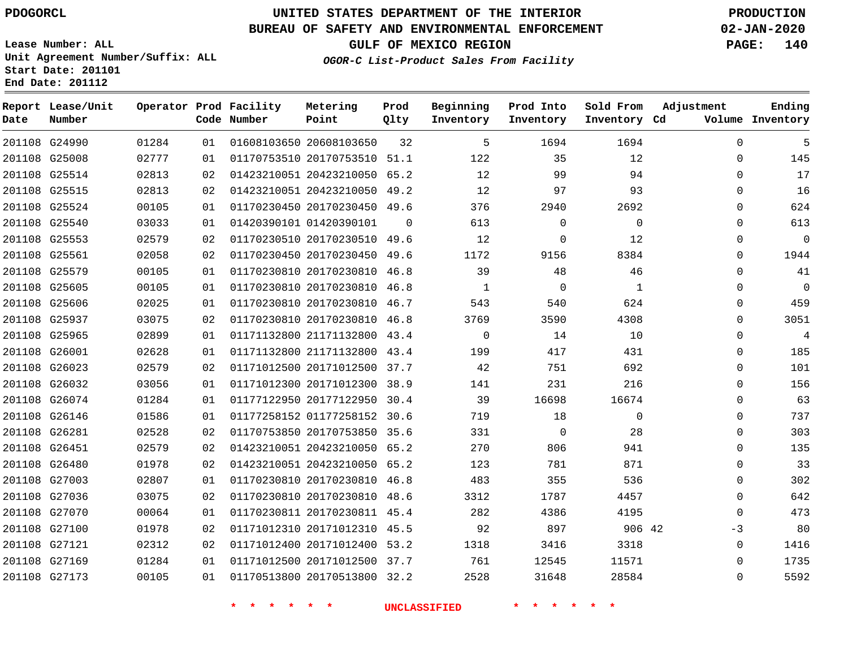**Report Lease/Unit**

**Number**

# **UNITED STATES DEPARTMENT OF THE INTERIOR PDOGORCL PRODUCTION**

**Prod Qlty**

### **BUREAU OF SAFETY AND ENVIRONMENTAL ENFORCEMENT 02-JAN-2020**

**Lease Number: ALL Unit Agreement Number/Suffix: ALL Start Date: 201101 End Date: 201112**

**Operator Prod Facility**

**Code Number**

**OGOR-C List-Product Sales From Facility**

**Beginning Inventory** **Prod Into Inventory** **Sold From Inventory**

**GULF OF MEXICO REGION PAGE: 140**

**Inventory Cd Volume**

**Adjustment**

  $\Omega$   $\Omega$  $\Omega$  $\Omega$   $\Omega$   $\Omega$  $\overline{0}$  $\overline{0}$  $\Omega$  $\overline{0}$  $\Omega$  $\Omega$  $\Omega$  $\Omega$  $\Omega$  -3  $\Omega$ 

**Ending**

| 201108 G24990 | 01284 | 01              | 01608103650 20608103650 32       | $5^{\circ}$    | 1694                                                                                                                                                                                                                                     | 1694           |  |
|---------------|-------|-----------------|----------------------------------|----------------|------------------------------------------------------------------------------------------------------------------------------------------------------------------------------------------------------------------------------------------|----------------|--|
| 201108 G25008 | 02777 | 01              | 01170753510 20170753510 51.1 122 |                | 35                                                                                                                                                                                                                                       | 12             |  |
| 201108 G25514 | 02813 | 02              | 01423210051 20423210050 65.2     | 12             | 99                                                                                                                                                                                                                                       | 94             |  |
| 201108 G25515 | 02813 | 02              | 01423210051 20423210050 49.2     | 12             | 97                                                                                                                                                                                                                                       | 93             |  |
| 201108 G25524 | 00105 | 01              | 01170230450 20170230450 49.6     |                | 376 — 17<br>2940                                                                                                                                                                                                                         | 2692           |  |
| 201108 G25540 | 03033 | 01              | 01420390101 01420390101 0        | 613            | $\Omega$                                                                                                                                                                                                                                 | $\Omega$       |  |
| 201108 G25553 | 02579 | 02              | 01170230510 20170230510 49.6     | 12             | $\mathbf{0}$                                                                                                                                                                                                                             | 12             |  |
| 201108 G25561 | 02058 | 02              | 01170230450 20170230450 49.6     | 1172           | 9156 70                                                                                                                                                                                                                                  | 8384           |  |
| 201108 G25579 | 00105 | 01              | 01170230810 20170230810 46.8     | 39             | 48                                                                                                                                                                                                                                       | 46             |  |
| 201108 G25605 | 00105 | 01              | 01170230810 20170230810 46.8     | $\frac{1}{1}$  | $\overline{0}$                                                                                                                                                                                                                           | $\mathbf{1}$   |  |
| 201108 G25606 | 02025 | 01              | 01170230810 20170230810 46.7     | 543            | 540                                                                                                                                                                                                                                      | 624            |  |
| 201108 G25937 | 03075 | 02              | 01170230810 20170230810 46.8     | 3769 — 17      | 3590                                                                                                                                                                                                                                     | 4308           |  |
| 201108 G25965 | 02899 | 01              | 01171132800 21171132800 43.4     | $\overline{0}$ | 14                                                                                                                                                                                                                                       | 10             |  |
| 201108 G26001 | 02628 | 01              | 01171132800 21171132800 43.4 199 |                | 417                                                                                                                                                                                                                                      | 431            |  |
| 201108 G26023 | 02579 | 02 <sub>o</sub> | 01171012500 20171012500 37.7 42  |                | 751                                                                                                                                                                                                                                      | 692            |  |
| 201108 G26032 | 03056 | 01              | 01171012300 20171012300 38.9     | 141            | 231                                                                                                                                                                                                                                      | 216            |  |
| 201108 G26074 | 01284 | 01              | 01177122950 20177122950 30.4     | 39 — 10        | 16698                                                                                                                                                                                                                                    | 16674          |  |
| 201108 G26146 | 01586 | 01              | 01177258152 01177258152 30.6 719 |                | 18                                                                                                                                                                                                                                       | $\overline{0}$ |  |
| 201108 G26281 | 02528 | 02              | 01170753850 20170753850 35.6     | 331            | $\overline{0}$                                                                                                                                                                                                                           | 28             |  |
| 201108 G26451 | 02579 | 02              | 01423210051 20423210050 65.2     |                | 270 — 270 — 270 — 270 — 270 — 270 — 270 — 270 — 270 — 270 — 270 — 270 — 270 — 270 — 270 — 270 — 270 — 270 — 270 — 270 — 270 — 270 — 270 — 270 — 270 — 270 — 270 — 270 — 270 — 270 — 270 — 270 — 270 — 270 — 270 — 270 — 270 — 2<br>806 1 | 941            |  |
| 201108 G26480 | 01978 | 02              | 01423210051 20423210050 65.2     | 123            | 781                                                                                                                                                                                                                                      | 871            |  |
| 201108 G27003 | 02807 | 01              | 01170230810 20170230810 46.8     | 483            | 355                                                                                                                                                                                                                                      | 536            |  |
| 201108 G27036 | 03075 | 02              | 01170230810 20170230810 48.6     | 3312           | 1787                                                                                                                                                                                                                                     | 4457           |  |
| 201108 G27070 | 00064 | 01              | 01170230811 20170230811 45.4     | 282            | 4386                                                                                                                                                                                                                                     | 4195           |  |
| 201108 G27100 | 01978 | 02              | 01171012310 20171012310 45.5 92  |                | 897                                                                                                                                                                                                                                      | 906 42         |  |
| 201108 G27121 | 02312 | 02              | 01171012400 20171012400 53.2     | 1318           | 3416                                                                                                                                                                                                                                     | 3318           |  |
| 201108 G27169 | 01284 | 01              | 01171012500 20171012500 37.7     | 761            | 12545                                                                                                                                                                                                                                    | 11571          |  |
| 201108 G27173 | 00105 | 01              | 01170513800 20170513800 32.2     | 2528           | 31648                                                                                                                                                                                                                                    | 28584          |  |
|               |       |                 |                                  |                |                                                                                                                                                                                                                                          |                |  |

**Metering Point**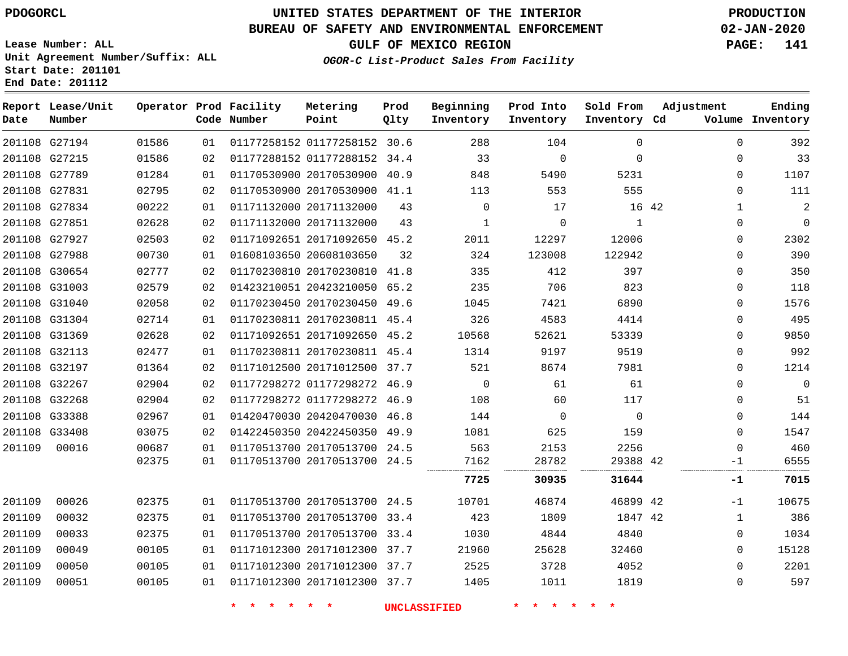G27194 G27215 G27789 G27831 G27834 G27851 G27927 G27988 G30654 G31003 G31040 G31304 G31369 G32113 G32197 G32267 G32268 G33388 G33408

**Date**

**Report Lease/Unit**

**Number**

# **UNITED STATES DEPARTMENT OF THE INTERIOR PDOGORCL PRODUCTION**

**Prod Qlty**

#### **BUREAU OF SAFETY AND ENVIRONMENTAL ENFORCEMENT 02-JAN-2020**

**Lease Number: ALL Unit Agreement Number/Suffix: ALL Start Date: 201101 End Date: 201112**

> 

**Operator Prod Facility**

**Code Number**

01177258152 30.6

**Metering Point**

  $0<sup>2</sup>$ 

**OGOR-C List-Product Sales From Facility**

**Sold From Inventory**

**Prod Into Inventory**

**Beginning Inventory**

**GULF OF MEXICO REGION PAGE: 141**

**Inventory Cd Volume**

**Adjustment**

**Ending**

-1  $\Omega$  $\Omega$  $\Omega$  $\Omega$ 

| 01586 | 02 | 01177288152 01177288152 34.4 |      | 33       | $\Omega$ | $\Omega$ |       | $\mathbf{0}$ | 33             |
|-------|----|------------------------------|------|----------|----------|----------|-------|--------------|----------------|
| 01284 | 01 | 01170530900 20170530900 40.9 |      | 848      | 5490     | 5231     |       | $\mathbf{0}$ | 1107           |
| 02795 | 02 | 01170530900 20170530900 41.1 |      | 113      | 553      | 555      |       | $\Omega$     | 111            |
| 00222 | 01 | 01171132000 20171132000      | 43   | $\Omega$ | 17       |          | 16 42 | 1            | $\overline{2}$ |
| 02628 | 02 | 01171132000 20171132000      | 43   | 1        | $\Omega$ | 1        |       | $\Omega$     | 0              |
| 02503 | 02 | 01171092651 20171092650 45.2 |      | 2011     | 12297    | 12006    |       | $\Omega$     | 2302           |
| 00730 | 01 | 01608103650 20608103650      | 32   | 324      | 123008   | 122942   |       | $\Omega$     | 390            |
| 02777 | 02 | 01170230810 20170230810 41.8 |      | 335      | 412      | 397      |       | $\Omega$     | 350            |
| 02579 | 02 | 01423210051 20423210050 65.2 |      | 235      | 706      | 823      |       | $\Omega$     | 118            |
| 02058 | 02 | 01170230450 20170230450 49.6 |      | 1045     | 7421     | 6890     |       | $\Omega$     | 1576           |
| 02714 | 01 | 01170230811 20170230811 45.4 |      | 326      | 4583     | 4414     |       | $\Omega$     | 495            |
| 02628 | 02 | 01171092651 20171092650 45.2 |      | 10568    | 52621    | 53339    |       | $\Omega$     | 9850           |
| 02477 | 01 | 01170230811 20170230811 45.4 |      | 1314     | 9197     | 9519     |       | 0            | 992            |
| 01364 | 02 | 01171012500 20171012500 37.7 |      | 521      | 8674     | 7981     |       | $\Omega$     | 1214           |
| 02904 | 02 | 01177298272 01177298272 46.9 |      | $\Omega$ | 61       | 61       |       | $\Omega$     | $\mathbf 0$    |
| 02904 | 02 | 01177298272 01177298272      | 46.9 | 108      | 60       | 117      |       | $\Omega$     | 51             |
| 02967 | 01 | 01420470030 20420470030 46.8 |      | 144      | $\Omega$ | $\Omega$ |       | $\Omega$     | 144            |
| 03075 | 02 | 01422450350 20422450350 49.9 |      | 1081     | 625      | 159      |       | $\Omega$     | 1547           |
| 00687 | 01 | 01170513700 20170513700 24.5 |      | 563      | 2153     | 2256     |       | $\Omega$     | 460            |
| 02375 | 01 | 01170513700 20170513700 24.5 |      | 7162<br> | 28782    | 29388 42 |       | -1           | 6555           |
|       |    |                              |      | 7725     | 30935    | 31644    |       | -1           | 7015           |
| 02375 | 01 | 01170513700 20170513700 24.5 |      | 10701    | 46874    | 46899 42 |       | $-1$         | 10675          |
| 02375 | 01 | 01170513700 20170513700 33.4 |      | 423      | 1809     | 1847 42  |       | 1            | 386            |
| 02375 | 01 | 01170513700 20170513700 33.4 |      | 1030     | 4844     | 4840     |       | $\Omega$     | 1034           |
| 00105 | 01 | 01171012300 20171012300 37.7 |      | 21960    | 25628    | 32460    |       | $\Omega$     | 15128          |
| 00105 | 01 | 01171012300 20171012300 37.7 |      | 2525     | 3728     | 4052     |       | $\Omega$     | 2201           |

20171012300 37.7

**\* \* \* \* \* \* UNCLASSIFIED \* \* \* \* \* \***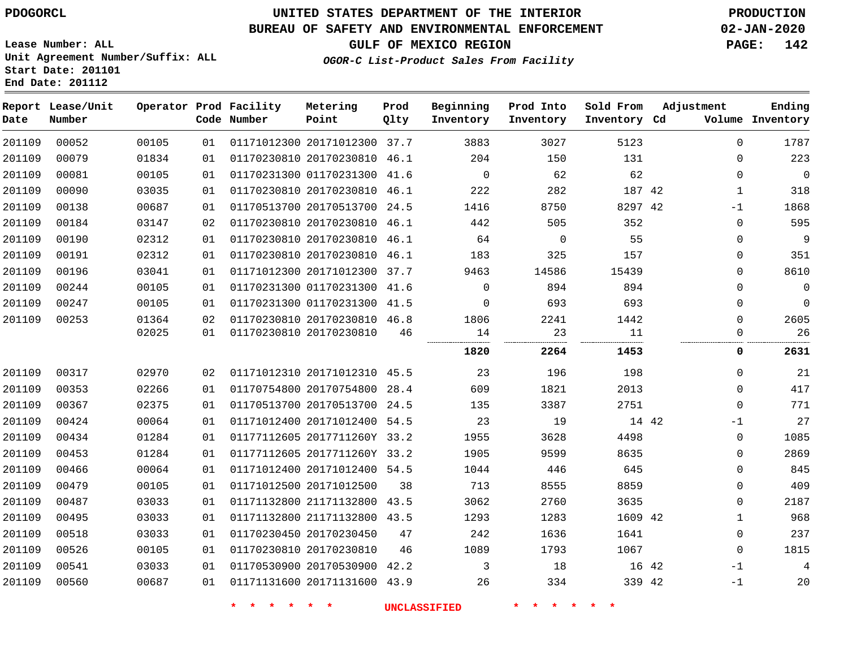**End Date: 201112**

# **UNITED STATES DEPARTMENT OF THE INTERIOR PDOGORCL PRODUCTION**

## **BUREAU OF SAFETY AND ENVIRONMENTAL ENFORCEMENT 02-JAN-2020**

**Lease Number: ALL Unit Agreement Number/Suffix: ALL Start Date: 201101**

## **OGOR-C List-Product Sales From Facility**

**GULF OF MEXICO REGION PAGE: 142**

| Date   | Report Lease/Unit<br>Number |       |    | Operator Prod Facility<br>Code Number | Metering<br>Point            | Prod<br>Qlty | Beginning<br>Inventory | Prod Into<br>Inventory | Sold From<br>Inventory Cd | Adjustment |              | Ending<br>Volume Inventory |
|--------|-----------------------------|-------|----|---------------------------------------|------------------------------|--------------|------------------------|------------------------|---------------------------|------------|--------------|----------------------------|
| 201109 | 00052                       | 00105 | 01 |                                       | 01171012300 20171012300 37.7 |              | 3883                   | 3027                   | 5123                      |            | $\Omega$     | 1787                       |
| 201109 | 00079                       | 01834 | 01 |                                       | 01170230810 20170230810 46.1 |              | 204                    | 150                    | 131                       |            | $\Omega$     | 223                        |
| 201109 | 00081                       | 00105 | 01 |                                       | 01170231300 01170231300 41.6 |              | $\overline{0}$         | 62                     | 62                        |            | $\Omega$     | $\overline{0}$             |
| 201109 | 00090                       | 03035 | 01 |                                       | 01170230810 20170230810 46.1 |              | 222                    | 282                    | 187 42                    |            | $\mathbf{1}$ | 318                        |
| 201109 | 00138                       | 00687 | 01 |                                       | 01170513700 20170513700 24.5 |              | 1416                   | 8750                   | 8297 42                   |            | $-1$         | 1868                       |
| 201109 | 00184                       | 03147 | 02 |                                       | 01170230810 20170230810 46.1 |              | 442                    | 505                    | 352                       |            | $\mathbf 0$  | 595                        |
| 201109 | 00190                       | 02312 | 01 |                                       | 01170230810 20170230810 46.1 |              | 64                     | $\mathbf 0$            | 55                        |            | $\Omega$     | 9                          |
| 201109 | 00191                       | 02312 | 01 |                                       | 01170230810 20170230810 46.1 |              | 183                    | 325                    | 157                       |            | 0            | 351                        |
| 201109 | 00196                       | 03041 | 01 |                                       | 01171012300 20171012300 37.7 |              | 9463                   | 14586                  | 15439                     |            | $\Omega$     | 8610                       |
| 201109 | 00244                       | 00105 | 01 |                                       | 01170231300 01170231300 41.6 |              | $\mathbf 0$            | 894                    | 894                       |            | $\mathbf 0$  | $\mathbf 0$                |
| 201109 | 00247                       | 00105 | 01 |                                       | 01170231300 01170231300 41.5 |              | $\Omega$               | 693                    | 693                       |            | $\Omega$     | $\mathbf 0$                |
| 201109 | 00253                       | 01364 | 02 |                                       | 01170230810 20170230810 46.8 |              | 1806                   | 2241                   | 1442                      |            | $\Omega$     | 2605                       |
|        |                             | 02025 | 01 |                                       | 01170230810 20170230810      | 46           | 14<br>                 | 23<br>.                | 11<br>.                   |            | 0            | 26                         |
|        |                             |       |    |                                       |                              |              | 1820                   | 2264                   | 1453                      |            | 0            | 2631                       |
| 201109 | 00317                       | 02970 | 02 |                                       | 01171012310 20171012310 45.5 |              | 23                     | 196                    | 198                       |            | 0            | 21                         |
| 201109 | 00353                       | 02266 | 01 |                                       | 01170754800 20170754800 28.4 |              | 609                    | 1821                   | 2013                      |            | $\Omega$     | 417                        |
| 201109 | 00367                       | 02375 | 01 |                                       | 01170513700 20170513700 24.5 |              | 135                    | 3387                   | 2751                      |            | $\Omega$     | 771                        |
| 201109 | 00424                       | 00064 | 01 |                                       | 01171012400 20171012400 54.5 |              | 23                     | 19                     | 14 42                     |            | $-1$         | 27                         |
| 201109 | 00434                       | 01284 | 01 |                                       | 01177112605 2017711260Y 33.2 |              | 1955                   | 3628                   | 4498                      |            | $\mathbf 0$  | 1085                       |
| 201109 | 00453                       | 01284 | 01 |                                       | 01177112605 2017711260Y 33.2 |              | 1905                   | 9599                   | 8635                      |            | 0            | 2869                       |
| 201109 | 00466                       | 00064 | 01 |                                       | 01171012400 20171012400 54.5 |              | 1044                   | 446                    | 645                       |            | 0            | 845                        |
| 201109 | 00479                       | 00105 | 01 |                                       | 01171012500 20171012500      | 38           | 713                    | 8555                   | 8859                      |            | 0            | 409                        |
| 201109 | 00487                       | 03033 | 01 |                                       | 01171132800 21171132800 43.5 |              | 3062                   | 2760                   | 3635                      |            | $\Omega$     | 2187                       |
| 201109 | 00495                       | 03033 | 01 |                                       | 01171132800 21171132800 43.5 |              | 1293                   | 1283                   | 1609 42                   |            | $\mathbf 1$  | 968                        |
| 201109 | 00518                       | 03033 | 01 |                                       | 01170230450 20170230450      | 47           | 242                    | 1636                   | 1641                      |            | $\Omega$     | 237                        |
| 201109 | 00526                       | 00105 | 01 |                                       | 01170230810 20170230810      | 46           | 1089                   | 1793                   | 1067                      |            | $\Omega$     | 1815                       |
| 201109 | 00541                       | 03033 | 01 |                                       | 01170530900 20170530900 42.2 |              | 3                      | 18                     |                           | 16 42      | $-1$         | 4                          |
| 201109 | 00560                       | 00687 | 01 |                                       | 01171131600 20171131600 43.9 |              | 26                     | 334                    | 339 42                    |            | $-1$         | 20                         |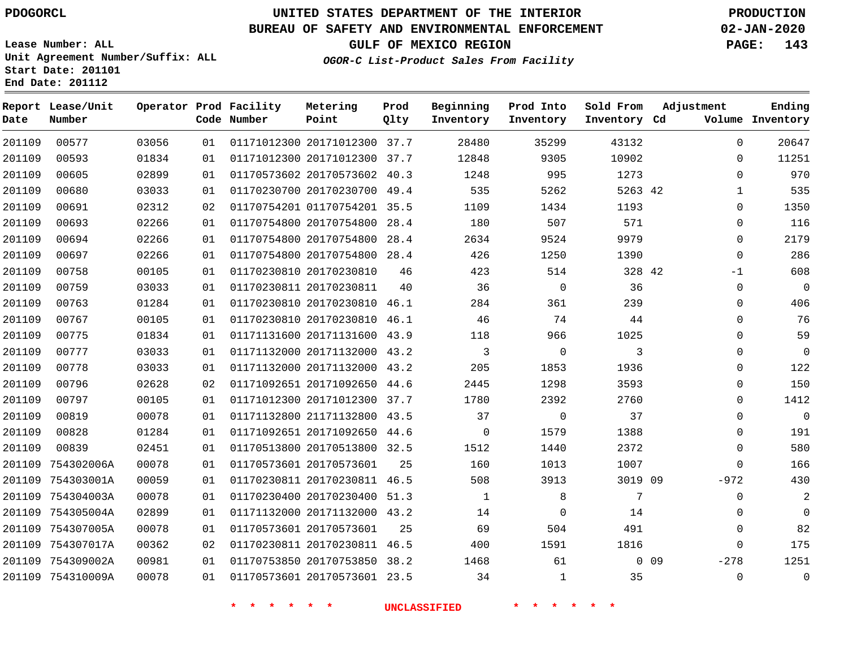**Report Lease/Unit**

**Number**

754310009A

# **UNITED STATES DEPARTMENT OF THE INTERIOR PDOGORCL PRODUCTION**

**Prod Qlty**

#### **BUREAU OF SAFETY AND ENVIRONMENTAL ENFORCEMENT 02-JAN-2020**

**Lease Number: ALL Unit Agreement Number/Suffix: ALL Start Date: 201101 End Date: 201112**

**Operator Prod Facility**

**OGOR-C List-Product Sales From Facility**

**Beginning Inventory** **Prod Into Inventory**

**Sold From Inventory**

**Adjustment**

**GULF OF MEXICO REGION PAGE: 143**

**Ending**

| Date   | Number            |       |    | Code Number | Point                        | Qlty | Inventory | Inventory    | Inventory Cd |        |             | Volume Inventory |
|--------|-------------------|-------|----|-------------|------------------------------|------|-----------|--------------|--------------|--------|-------------|------------------|
| 201109 | 00577             | 03056 | 01 |             | 01171012300 20171012300 37.7 |      | 28480     | 35299        | 43132        |        | $\Omega$    | 20647            |
| 201109 | 00593             | 01834 | 01 |             | 01171012300 20171012300 37.7 |      | 12848     | 9305         | 10902        |        | 0           | 11251            |
| 201109 | 00605             | 02899 | 01 |             | 01170573602 20170573602 40.3 |      | 1248      | 995          | 1273         |        | $\Omega$    | 970              |
| 201109 | 00680             | 03033 | 01 |             | 01170230700 20170230700 49.4 |      | 535       | 5262         | 5263 42      |        | 1           | 535              |
| 201109 | 00691             | 02312 | 02 |             | 01170754201 01170754201 35.5 |      | 1109      | 1434         | 1193         |        | 0           | 1350             |
| 201109 | 00693             | 02266 | 01 |             | 01170754800 20170754800      | 28.4 | 180       | 507          | 571          |        | $\mathbf 0$ | 116              |
| 201109 | 00694             | 02266 | 01 |             | 01170754800 20170754800      | 28.4 | 2634      | 9524         | 9979         |        | $\Omega$    | 2179             |
| 201109 | 00697             | 02266 | 01 |             | 01170754800 20170754800 28.4 |      | 426       | 1250         | 1390         |        | $\mathbf 0$ | 286              |
| 201109 | 00758             | 00105 | 01 |             | 01170230810 20170230810      | 46   | 423       | 514          | 328 42       |        | $-1$        | 608              |
| 201109 | 00759             | 03033 | 01 |             | 01170230811 20170230811      | 40   | 36        | 0            | 36           |        | 0           | $\mathbf 0$      |
| 201109 | 00763             | 01284 | 01 |             | 01170230810 20170230810 46.1 |      | 284       | 361          | 239          |        | $\Omega$    | 406              |
| 201109 | 00767             | 00105 | 01 |             | 01170230810 20170230810 46.1 |      | 46        | 74           | 44           |        | $\Omega$    | 76               |
| 201109 | 00775             | 01834 | 01 |             | 01171131600 20171131600 43.9 |      | 118       | 966          | 1025         |        | $\Omega$    | 59               |
| 201109 | 00777             | 03033 | 01 |             | 01171132000 20171132000 43.2 |      | 3         | $\mathbf 0$  | 3            |        | $\Omega$    | 0                |
| 201109 | 00778             | 03033 | 01 |             | 01171132000 20171132000 43.2 |      | 205       | 1853         | 1936         |        | 0           | 122              |
| 201109 | 00796             | 02628 | 02 |             | 01171092651 20171092650 44.6 |      | 2445      | 1298         | 3593         |        | $\Omega$    | 150              |
| 201109 | 00797             | 00105 | 01 |             | 01171012300 20171012300 37.7 |      | 1780      | 2392         | 2760         |        | $\Omega$    | 1412             |
| 201109 | 00819             | 00078 | 01 |             | 01171132800 21171132800 43.5 |      | 37        | $\mathsf{O}$ | 37           |        | 0           | $\mathbf 0$      |
| 201109 | 00828             | 01284 | 01 |             | 01171092651 20171092650 44.6 |      | $\Omega$  | 1579         | 1388         |        | $\Omega$    | 191              |
| 201109 | 00839             | 02451 | 01 |             | 01170513800 20170513800 32.5 |      | 1512      | 1440         | 2372         |        | $\Omega$    | 580              |
| 201109 | 754302006A        | 00078 | 01 |             | 01170573601 20170573601      | 25   | 160       | 1013         | 1007         |        | $\mathbf 0$ | 166              |
| 201109 | 754303001A        | 00059 | 01 |             | 01170230811 20170230811 46.5 |      | 508       | 3913         | 3019 09      |        | $-972$      | 430              |
| 201109 | 754304003A        | 00078 | 01 |             | 01170230400 20170230400 51.3 |      | 1         | 8            | 7            |        | $\Omega$    | 2                |
| 201109 | 754305004A        | 02899 | 01 |             | 01171132000 20171132000 43.2 |      | 14        | 0            | 14           |        | $\Omega$    | $\mathbf 0$      |
| 201109 | 754307005A        | 00078 | 01 |             | 01170573601 20170573601      | 25   | 69        | 504          | 491          |        | $\Omega$    | 82               |
| 201109 | 754307017A        | 00362 | 02 |             | 01170230811 20170230811 46.5 |      | 400       | 1591         | 1816         |        | $\Omega$    | 175              |
|        | 201109 754309002A | 00981 | 01 |             | 01170753850 20170753850 38.2 |      | 1468      | 61           |              | $0$ 09 | $-278$      | 1251             |

**Metering Point**

**\* \* \* \* \* \* UNCLASSIFIED \* \* \* \* \* \***

20170573601 23.5

 $\Omega$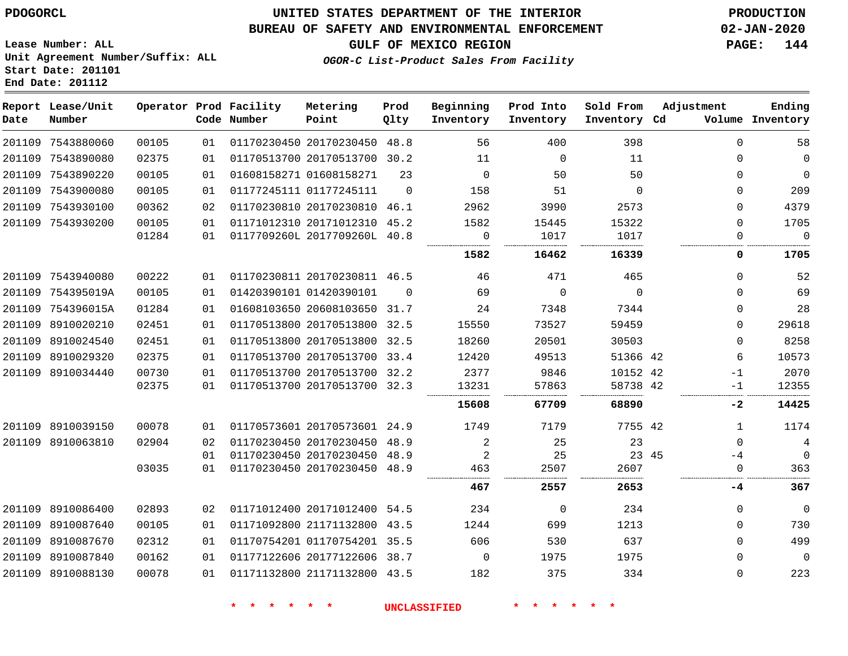## **BUREAU OF SAFETY AND ENVIRONMENTAL ENFORCEMENT 02-JAN-2020**

**GULF OF MEXICO REGION PAGE: 144**

**Lease Number: ALL Unit Agreement Number/Suffix: ALL Start Date: 201101 End Date: 201112**

| Date | Report Lease/Unit<br>Number |       |    | Operator Prod Facility<br>Code Number | Metering<br>Point            | Prod<br>Qlty | Beginning<br>Inventory | Prod Into<br>Inventory | Sold From<br>Inventory Cd | Adjustment   | Ending<br>Volume Inventory |
|------|-----------------------------|-------|----|---------------------------------------|------------------------------|--------------|------------------------|------------------------|---------------------------|--------------|----------------------------|
|      | 201109 7543880060           | 00105 | 01 |                                       | 01170230450 20170230450 48.8 |              | 56                     | 400                    | 398                       | 0            | 58                         |
|      | 201109 7543890080           | 02375 | 01 |                                       | 01170513700 20170513700 30.2 |              | 11                     | $\overline{0}$         | 11                        | $\Omega$     | 0                          |
|      | 201109 7543890220           | 00105 | 01 |                                       | 01608158271 01608158271      | 23           | $\mathbf 0$            | 50                     | 50                        | $\Omega$     | $\mathbf 0$                |
|      | 201109 7543900080           | 00105 | 01 |                                       | 01177245111 01177245111      | $\Omega$     | 158                    | 51                     | $\Omega$                  | $\Omega$     | 209                        |
|      | 201109 7543930100           | 00362 | 02 |                                       | 01170230810 20170230810 46.1 |              | 2962                   | 3990                   | 2573                      | $\Omega$     | 4379                       |
|      | 201109 7543930200           | 00105 | 01 |                                       | 01171012310 20171012310 45.2 |              | 1582                   | 15445                  | 15322                     | $\Omega$     | 1705                       |
|      |                             | 01284 | 01 |                                       | 0117709260L 2017709260L 40.8 |              | 0                      | 1017                   | 1017                      | 0            | $\mathbf 0$                |
|      |                             |       |    |                                       |                              |              | 1582                   | 16462                  | 16339                     | 0            | 1705                       |
|      | 201109 7543940080           | 00222 | 01 |                                       | 01170230811 20170230811 46.5 |              | 46                     | 471                    | 465                       | $\Omega$     | 52                         |
|      | 201109 754395019A           | 00105 | 01 |                                       | 01420390101 01420390101      | $\Omega$     | 69                     | $\mathbf 0$            | $\mathbf 0$               | $\Omega$     | 69                         |
|      | 201109 754396015A           | 01284 | 01 |                                       | 01608103650 20608103650 31.7 |              | 24                     | 7348                   | 7344                      | $\Omega$     | 28                         |
|      | 201109 8910020210           | 02451 | 01 |                                       | 01170513800 20170513800 32.5 |              | 15550                  | 73527                  | 59459                     | $\mathbf 0$  | 29618                      |
|      | 201109 8910024540           | 02451 | 01 |                                       | 01170513800 20170513800 32.5 |              | 18260                  | 20501                  | 30503                     | $\mathbf{0}$ | 8258                       |
|      | 201109 8910029320           | 02375 | 01 |                                       | 01170513700 20170513700 33.4 |              | 12420                  | 49513                  | 51366 42                  | 6            | 10573                      |
|      | 201109 8910034440           | 00730 | 01 |                                       | 01170513700 20170513700 32.2 |              | 2377                   | 9846                   | 10152 42                  | $-1$         | 2070                       |
|      |                             | 02375 | 01 |                                       | 01170513700 20170513700 32.3 |              | 13231                  | 57863                  | 58738 42<br>              | $-1$         | 12355                      |
|      |                             |       |    |                                       |                              |              | 15608                  | 67709                  | 68890                     | -2           | 14425                      |
|      | 201109 8910039150           | 00078 | 01 |                                       | 01170573601 20170573601 24.9 |              | 1749                   | 7179                   | 7755 42                   | $\mathbf{1}$ | 1174                       |
|      | 201109 8910063810           | 02904 | 02 |                                       | 01170230450 20170230450 48.9 |              | $\overline{2}$         | 25                     | 23                        | $\Omega$     | $\overline{4}$             |
|      |                             |       | 01 |                                       | 01170230450 20170230450 48.9 |              | $\overline{2}$         | 25                     | 23 45                     | $-4$         | 0                          |
|      |                             | 03035 | 01 |                                       | 01170230450 20170230450 48.9 |              | 463                    | 2507                   | 2607                      | $\mathbf 0$  | 363                        |
|      |                             |       |    |                                       |                              |              | 467                    | 2557                   | 2653                      | -4           | 367                        |
|      | 201109 8910086400           | 02893 | 02 |                                       | 01171012400 20171012400 54.5 |              | 234                    | 0                      | 234                       | $\Omega$     | $\mathbf 0$                |
|      | 201109 8910087640           | 00105 | 01 |                                       | 01171092800 21171132800 43.5 |              | 1244                   | 699                    | 1213                      | $\Omega$     | 730                        |
|      | 201109 8910087670           | 02312 | 01 |                                       | 01170754201 01170754201 35.5 |              | 606                    | 530                    | 637                       | $\Omega$     | 499                        |
|      | 201109 8910087840           | 00162 | 01 |                                       | 01177122606 20177122606 38.7 |              | $\Omega$               | 1975                   | 1975                      | $\Omega$     | $\mathbf 0$                |
|      | 201109 8910088130           | 00078 | 01 |                                       | 01171132800 21171132800 43.5 |              | 182                    | 375                    | 334                       | $\Omega$     | 223                        |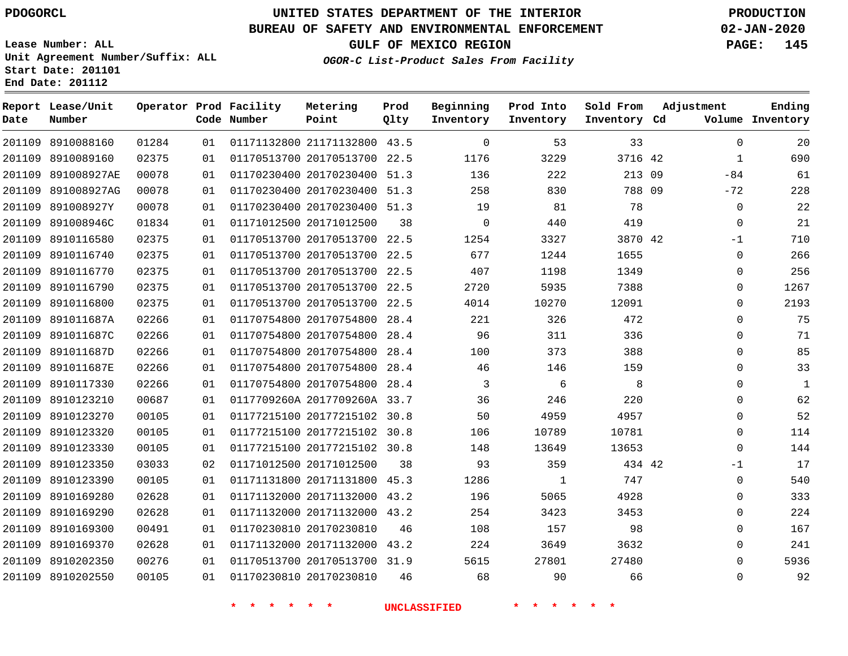**Report Lease/Unit**

**Number**

# **UNITED STATES DEPARTMENT OF THE INTERIOR PDOGORCL PRODUCTION**

**Prod Qlty**

#### **BUREAU OF SAFETY AND ENVIRONMENTAL ENFORCEMENT 02-JAN-2020**

**Lease Number: ALL Unit Agreement Number/Suffix: ALL Start Date: 201101 End Date: 201112**

**Operator Prod Facility**

**Code Number**

**OGOR-C List-Product Sales From Facility**

**Beginning Inventory** **Prod Into Inventory** **Sold From Inventory**

**GULF OF MEXICO REGION PAGE: 145**

**Inventory Cd Volume**

**Adjustment**

 -84 -72  $-1$   $\Omega$  $\overline{0}$  $\overline{0}$  $\overline{0}$  $\overline{0}$  $\Omega$  $\overline{0}$  $\overline{0}$  $\overline{0}$ -1 

**Ending**

| 201109 8910088160  | 01284 | 01 |                                | 01171132800 21171132800 43.5     |    | $\overline{0}$          | 53                           | 33             |  |
|--------------------|-------|----|--------------------------------|----------------------------------|----|-------------------------|------------------------------|----------------|--|
| 201109 8910089160  | 02375 | 01 |                                | 01170513700 20170513700 22.5     |    | 1176                    | 3229                         | 3716 42        |  |
| 201109 891008927AE | 00078 | 01 |                                | 01170230400 20170230400 51.3     |    | 136                     | 222                          | 213 09         |  |
| 201109 891008927AG | 00078 | 01 |                                | 01170230400 20170230400 51.3     |    | 258                     | 830                          | 788 09         |  |
| 201109 891008927Y  | 00078 | 01 |                                | 01170230400 20170230400 51.3     |    | 19                      | 81                           | 78             |  |
| 201109 891008946C  | 01834 | 01 |                                | 01171012500 20171012500          | 38 | $\overline{\mathbf{0}}$ | 440                          | 419            |  |
| 201109 8910116580  | 02375 | 01 |                                | 01170513700 20170513700 22.5     |    | 1254                    | 3327                         | 3870 42        |  |
| 201109 8910116740  | 02375 | 01 |                                | 01170513700 20170513700 22.5     |    | 677                     | 1244                         | 1655           |  |
| 201109 8910116770  | 02375 | 01 |                                | 01170513700 20170513700 22.5     |    | 407                     | 1198                         | 1349           |  |
| 201109 8910116790  | 02375 | 01 |                                | 01170513700 20170513700 22.5     |    | 2720                    | 5935                         | 7388           |  |
| 201109 8910116800  | 02375 | 01 |                                | 01170513700 20170513700 22.5     |    | 4014                    | 10270                        | 12091          |  |
| 201109 891011687A  | 02266 | 01 |                                | 01170754800 20170754800 28.4 221 |    |                         | 326                          | 472            |  |
| 201109 891011687C  | 02266 | 01 |                                | 01170754800 20170754800 28.4     |    | 96                      | 311                          | 336            |  |
| 201109 891011687D  | 02266 | 01 |                                | 01170754800 20170754800 28.4     |    | 100                     | 373                          | 388            |  |
| 201109 891011687E  | 02266 | 01 |                                | 01170754800 20170754800 28.4     |    | 46                      | 146                          | 159            |  |
| 201109 8910117330  | 02266 | 01 |                                | 01170754800 20170754800 28.4     |    | $\overline{\mathbf{3}}$ | 6                            | 8 <sup>8</sup> |  |
| 201109 8910123210  | 00687 | 01 |                                | 0117709260A 2017709260A 33.7     |    | 36                      | 246                          | 220            |  |
| 201109 8910123270  | 00105 | 01 |                                | 01177215100 20177215102 30.8     |    | 50                      | 4959                         | 4957           |  |
| 201109 8910123320  | 00105 | 01 |                                | 01177215100 20177215102 30.8     |    | 106                     | 10789                        | 10781          |  |
| 201109 8910123330  | 00105 | 01 |                                | 01177215100 20177215102 30.8     |    | 148                     | 13649                        | 13653          |  |
| 201109 8910123350  | 03033 | 02 |                                | 01171012500 20171012500 38       |    | 93                      | 359                          | 434 42         |  |
| 201109 8910123390  | 00105 | 01 |                                | 01171131800 20171131800 45.3     |    | 1286                    | $\overline{1}$               | 747            |  |
| 201109 8910169280  | 02628 | 01 |                                | 01171132000 20171132000 43.2     |    | 196                     | 5065                         | 4928           |  |
| 201109 8910169290  | 02628 | 01 |                                | 01171132000 20171132000 43.2     |    | 254                     | 3423                         | 3453           |  |
| 201109 8910169300  | 00491 | 01 |                                | 01170230810 20170230810          | 46 | 108                     | 157                          | 98             |  |
| 201109 8910169370  | 02628 | 01 |                                | 01171132000 20171132000 43.2     |    | 224                     | 3649                         | 3632           |  |
| 201109 8910202350  | 00276 | 01 |                                | 01170513700 20170513700 31.9     |    | 5615                    | 27801                        | 27480          |  |
| 201109 8910202550  | 00105 | 01 |                                | 01170230810 20170230810          |    | 46 68                   | 90                           | 66             |  |
|                    |       |    | 一天<br>$\star$<br>$\star$<br>一大 | $\star$ $\star$                  |    | UNCLASSIFIED            | $\star$<br>$\star$<br>$\ast$ | $\star$        |  |

**Metering Point**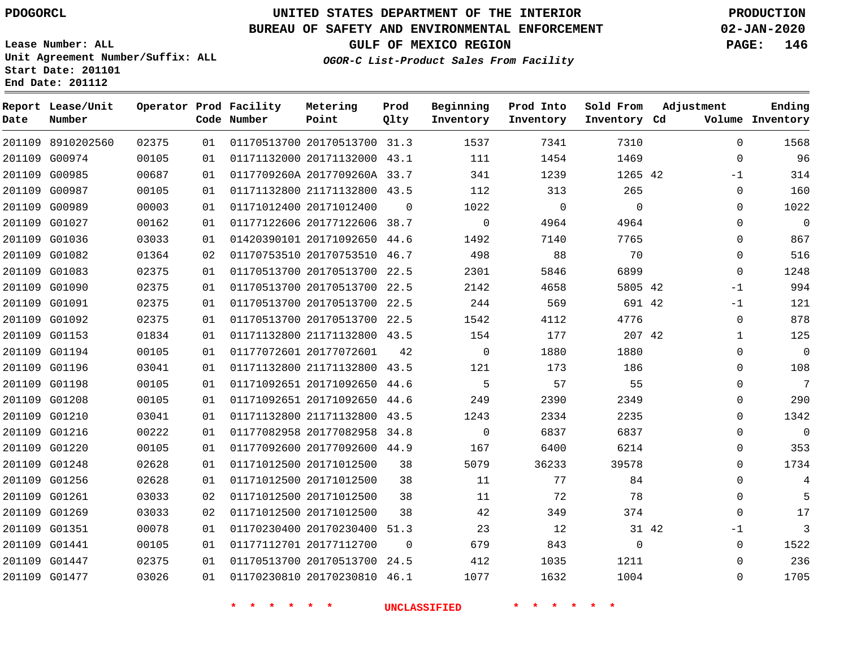## **BUREAU OF SAFETY AND ENVIRONMENTAL ENFORCEMENT 02-JAN-2020**

**Lease Number: ALL Unit Agreement Number/Suffix: ALL Start Date: 201101 End Date: 201112**

**OGOR-C List-Product Sales From Facility**

**GULF OF MEXICO REGION PAGE: 146**

| Date | Report Lease/Unit<br>Number |       |    | Operator Prod Facility<br>Code Number | Metering<br>Point            | Prod<br>Qlty | Beginning<br>Inventory | Prod Into<br>Inventory | Sold From<br>Inventory Cd | Adjustment   | Ending<br>Volume Inventory |
|------|-----------------------------|-------|----|---------------------------------------|------------------------------|--------------|------------------------|------------------------|---------------------------|--------------|----------------------------|
|      | 201109 8910202560           | 02375 | 01 |                                       | 01170513700 20170513700 31.3 |              | 1537                   | 7341                   | 7310                      | $\Omega$     | 1568                       |
|      | 201109 G00974               | 00105 | 01 |                                       | 01171132000 20171132000 43.1 |              | 111                    | 1454                   | 1469                      | $\mathbf 0$  | 96                         |
|      | 201109 G00985               | 00687 | 01 |                                       | 0117709260A 2017709260A 33.7 |              | 341                    | 1239                   | 1265 42                   | $-1$         | 314                        |
|      | 201109 G00987               | 00105 | 01 |                                       | 01171132800 21171132800 43.5 |              | 112                    | 313                    | 265                       | $\mathbf 0$  | 160                        |
|      | 201109 G00989               | 00003 | 01 |                                       | 01171012400 20171012400      | $\Omega$     | 1022                   | $\mathbf 0$            | $\mathbf 0$               | $\Omega$     | 1022                       |
|      | 201109 G01027               | 00162 | 01 |                                       | 01177122606 20177122606 38.7 |              | $\mathbf 0$            | 4964                   | 4964                      | $\mathbf 0$  | $\mathbf 0$                |
|      | 201109 G01036               | 03033 | 01 |                                       | 01420390101 20171092650 44.6 |              | 1492                   | 7140                   | 7765                      | $\Omega$     | 867                        |
|      | 201109 G01082               | 01364 | 02 |                                       | 01170753510 20170753510 46.7 |              | 498                    | 88                     | 70                        | $\mathbf{0}$ | 516                        |
|      | 201109 G01083               | 02375 | 01 |                                       | 01170513700 20170513700 22.5 |              | 2301                   | 5846                   | 6899                      | $\Omega$     | 1248                       |
|      | 201109 G01090               | 02375 | 01 |                                       | 01170513700 20170513700 22.5 |              | 2142                   | 4658                   | 5805 42                   | $-1$         | 994                        |
|      | 201109 G01091               | 02375 | 01 |                                       | 01170513700 20170513700 22.5 |              | 244                    | 569                    | 691 42                    | $-1$         | 121                        |
|      | 201109 G01092               | 02375 | 01 |                                       | 01170513700 20170513700      | 22.5         | 1542                   | 4112                   | 4776                      | 0            | 878                        |
|      | 201109 G01153               | 01834 | 01 |                                       | 01171132800 21171132800 43.5 |              | 154                    | 177                    | 207 42                    | $\mathbf{1}$ | 125                        |
|      | 201109 G01194               | 00105 | 01 |                                       | 01177072601 20177072601      | 42           | $\mathbf 0$            | 1880                   | 1880                      | $\mathbf{0}$ | $\mathbf 0$                |
|      | 201109 G01196               | 03041 | 01 |                                       | 01171132800 21171132800 43.5 |              | 121                    | 173                    | 186                       | $\Omega$     | 108                        |
|      | 201109 G01198               | 00105 | 01 |                                       | 01171092651 20171092650 44.6 |              | 5                      | 57                     | 55                        | $\mathbf{0}$ | 7                          |
|      | 201109 G01208               | 00105 | 01 |                                       | 01171092651 20171092650 44.6 |              | 249                    | 2390                   | 2349                      | $\Omega$     | 290                        |
|      | 201109 G01210               | 03041 | 01 |                                       | 01171132800 21171132800 43.5 |              | 1243                   | 2334                   | 2235                      | $\Omega$     | 1342                       |
|      | 201109 G01216               | 00222 | 01 |                                       | 01177082958 20177082958 34.8 |              | $\mathbf 0$            | 6837                   | 6837                      | $\mathbf 0$  | $\mathbf 0$                |
|      | 201109 G01220               | 00105 | 01 |                                       | 01177092600 20177092600 44.9 |              | 167                    | 6400                   | 6214                      | $\Omega$     | 353                        |
|      | 201109 G01248               | 02628 | 01 |                                       | 01171012500 20171012500      | 38           | 5079                   | 36233                  | 39578                     | $\mathbf 0$  | 1734                       |
|      | 201109 G01256               | 02628 | 01 |                                       | 01171012500 20171012500      | 38           | 11                     | 77                     | 84                        | $\Omega$     | 4                          |
|      | 201109 G01261               | 03033 | 02 |                                       | 01171012500 20171012500      | 38           | 11                     | 72                     | 78                        | $\mathbf 0$  | 5                          |
|      | 201109 G01269               | 03033 | 02 |                                       | 01171012500 20171012500      | 38           | 42                     | 349                    | 374                       | $\Omega$     | 17                         |
|      | 201109 G01351               | 00078 | 01 |                                       | 01170230400 20170230400      | 51.3         | 23                     | 12                     |                           | 31 42<br>-1  | $\mathbf{3}$               |
|      | 201109 G01441               | 00105 | 01 |                                       | 01177112701 20177112700      | $\Omega$     | 679                    | 843                    | $\Omega$                  | $\Omega$     | 1522                       |
|      | 201109 G01447               | 02375 | 01 |                                       | 01170513700 20170513700 24.5 |              | 412                    | 1035                   | 1211                      | 0            | 236                        |
|      | 201109 G01477               | 03026 | 01 |                                       | 01170230810 20170230810 46.1 |              | 1077                   | 1632                   | 1004                      | $\Omega$     | 1705                       |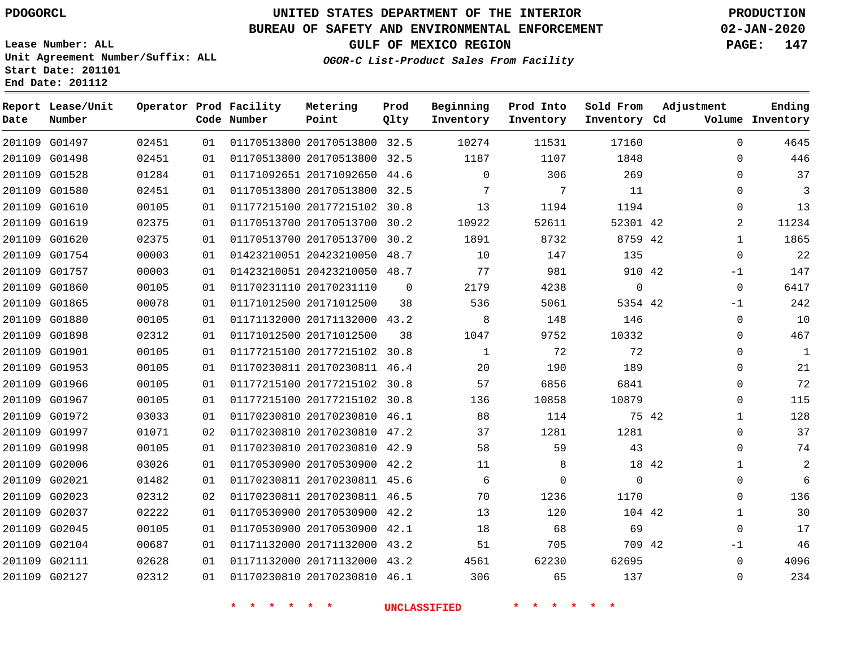G01497

**Date**

**Report Lease/Unit**

**Number**

# **UNITED STATES DEPARTMENT OF THE INTERIOR PDOGORCL PRODUCTION**

**Prod Qlty**

#### **BUREAU OF SAFETY AND ENVIRONMENTAL ENFORCEMENT 02-JAN-2020**

**Lease Number: ALL Unit Agreement Number/Suffix: ALL Start Date: 201101 End Date: 201112**

> $0.2451$

**Operator Prod Facility**

**Code Number**

 

**OGOR-C List-Product Sales From Facility**

**Sold From Inventory**

**Prod Into Inventory**

**Beginning Inventory**

**Inventory Cd Volume**

**Adjustment**

  $\Omega$  $\Omega$   $\Omega$   $\Omega$ -1  $-1$  $\Omega$  $\Omega$   $\Omega$  $\overline{0}$  $\Omega$   $\Omega$  $\Omega$   $\Omega$   $\Omega$ -1  $\Omega$ 

**GULF OF MEXICO REGION PAGE: 147**

**Ending**

|       | 1848     | 1107     | 1187        |          | 01170513800 20170513800 32.5 | 01 | 02451 | 201109 G01498 |  |
|-------|----------|----------|-------------|----------|------------------------------|----|-------|---------------|--|
|       | 269      | 306      | $\mathbf 0$ |          | 01171092651 20171092650 44.6 | 01 | 01284 | 201109 G01528 |  |
|       | 11       | 7        | 7           |          | 01170513800 20170513800 32.5 | 01 | 02451 | 201109 G01580 |  |
|       | 1194     | 1194     | 13          |          | 01177215100 20177215102 30.8 | 01 | 00105 | 201109 G01610 |  |
|       | 52301 42 | 52611    | 10922       |          | 01170513700 20170513700 30.2 | 01 | 02375 | 201109 G01619 |  |
|       | 8759 42  | 8732     | 1891        |          | 01170513700 20170513700 30.2 | 01 | 02375 | 201109 G01620 |  |
|       | 135      | 147      | 10          |          | 01423210051 20423210050 48.7 | 01 | 00003 | 201109 G01754 |  |
|       | 910 42   | 981      | 77          |          | 01423210051 20423210050 48.7 | 01 | 00003 | 201109 G01757 |  |
|       | 0        | 4238     | 2179        | $\Omega$ | 01170231110 20170231110      | 01 | 00105 | 201109 G01860 |  |
|       | 5354 42  | 5061     | 536         | 38       | 01171012500 20171012500      | 01 | 00078 | 201109 G01865 |  |
|       | 146      | 148      | 8           |          | 01171132000 20171132000 43.2 | 01 | 00105 | 201109 G01880 |  |
|       | 10332    | 9752     | 1047        | 38       | 01171012500 20171012500      | 01 | 02312 | 201109 G01898 |  |
|       | 72       | 72       | 1           |          | 01177215100 20177215102 30.8 | 01 | 00105 | 201109 G01901 |  |
|       | 189      | 190      | 20          |          | 01170230811 20170230811 46.4 | 01 | 00105 | 201109 G01953 |  |
|       | 6841     | 6856     | 57          |          | 01177215100 20177215102 30.8 | 01 | 00105 | 201109 G01966 |  |
|       | 10879    | 10858    | 136         |          | 01177215100 20177215102 30.8 | 01 | 00105 | 201109 G01967 |  |
| 75 42 |          | 114      | 88          |          | 01170230810 20170230810 46.1 | 01 | 03033 | 201109 G01972 |  |
|       | 1281     | 1281     | 37          |          | 01170230810 20170230810 47.2 | 02 | 01071 | 201109 G01997 |  |
|       | 43       | 59       | 58          |          | 01170230810 20170230810 42.9 | 01 | 00105 | 201109 G01998 |  |
| 18 42 |          | 8        | 11          |          | 01170530900 20170530900 42.2 | 01 | 03026 | 201109 G02006 |  |
|       | $\Omega$ | $\Omega$ | 6           |          | 01170230811 20170230811 45.6 | 01 | 01482 | 201109 G02021 |  |
|       | 1170     | 1236     | 70          |          | 01170230811 20170230811 46.5 | 02 | 02312 | 201109 G02023 |  |
|       | 104 42   | 120      | 13          |          | 01170530900 20170530900 42.2 | 01 | 02222 | 201109 G02037 |  |
|       | 69       | 68       | 18          |          | 01170530900 20170530900 42.1 | 01 | 00105 | 201109 G02045 |  |
|       | 709 42   | 705      | 51          |          | 01171132000 20171132000 43.2 | 01 | 00687 | 201109 G02104 |  |
|       | 62695    | 62230    | 4561        |          | 01171132000 20171132000 43.2 | 01 | 02628 | 201109 G02111 |  |
|       | 137      | 65       | 306         |          | 01170230810 20170230810 46.1 | 01 | 02312 | 201109 G02127 |  |
|       |          |          |             |          |                              |    |       |               |  |

20170513800 32.5

**Metering Point**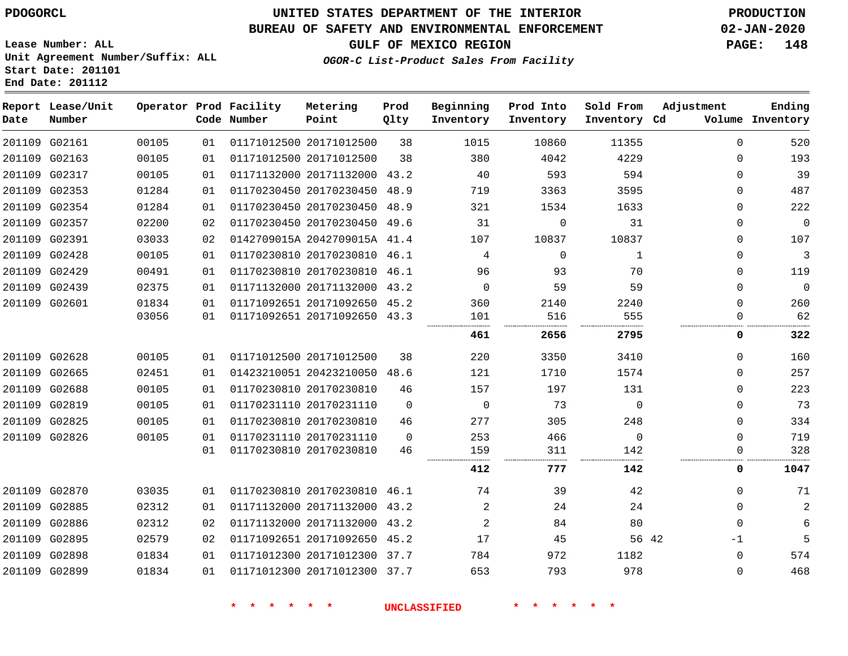**End Date: 201112**

# **UNITED STATES DEPARTMENT OF THE INTERIOR PDOGORCL PRODUCTION**

## **BUREAU OF SAFETY AND ENVIRONMENTAL ENFORCEMENT 02-JAN-2020**

**Lease Number: ALL Unit Agreement Number/Suffix: ALL Start Date: 201101**

## **GULF OF MEXICO REGION PAGE: 148**

**OGOR-C List-Product Sales From Facility**

| Date | Report Lease/Unit<br>Number |       |    | Operator Prod Facility<br>Code Number | Metering<br>Point            | Prod<br>Qlty | Beginning<br>Inventory | Prod Into<br>Inventory | Sold From<br>Inventory Cd | Adjustment  | Ending<br>Volume Inventory |
|------|-----------------------------|-------|----|---------------------------------------|------------------------------|--------------|------------------------|------------------------|---------------------------|-------------|----------------------------|
|      | 201109 G02161               | 00105 | 01 |                                       | 01171012500 20171012500      | 38           | 1015                   | 10860                  | 11355                     | $\mathbf 0$ | 520                        |
|      | 201109 G02163               | 00105 | 01 |                                       | 01171012500 20171012500      | 38           | 380                    | 4042                   | 4229                      | $\Omega$    | 193                        |
|      | 201109 G02317               | 00105 | 01 |                                       | 01171132000 20171132000 43.2 |              | 40                     | 593                    | 594                       | 0           | 39                         |
|      | 201109 G02353               | 01284 | 01 |                                       | 01170230450 20170230450 48.9 |              | 719                    | 3363                   | 3595                      | $\Omega$    | 487                        |
|      | 201109 G02354               | 01284 | 01 |                                       | 01170230450 20170230450 48.9 |              | 321                    | 1534                   | 1633                      | $\Omega$    | 222                        |
|      | 201109 G02357               | 02200 | 02 |                                       | 01170230450 20170230450 49.6 |              | 31                     | $\Omega$               | 31                        | $\Omega$    | $\mathbf 0$                |
|      | 201109 G02391               | 03033 | 02 |                                       | 0142709015A 2042709015A 41.4 |              | 107                    | 10837                  | 10837                     | 0           | 107                        |
|      | 201109 G02428               | 00105 | 01 |                                       | 01170230810 20170230810 46.1 |              | 4                      | $\mathbf{0}$           | 1                         | 0           | 3                          |
|      | 201109 G02429               | 00491 | 01 |                                       | 01170230810 20170230810 46.1 |              | 96                     | 93                     | 70                        | 0           | 119                        |
|      | 201109 G02439               | 02375 | 01 |                                       | 01171132000 20171132000 43.2 |              | $\Omega$               | 59                     | 59                        | $\Omega$    | $\mathbf 0$                |
|      | 201109 G02601               | 01834 | 01 |                                       | 01171092651 20171092650 45.2 |              | 360                    | 2140                   | 2240                      | 0           | 260                        |
|      |                             | 03056 | 01 |                                       | 01171092651 20171092650 43.3 |              | 101                    | 516                    | 555                       | 0           | 62                         |
|      |                             |       |    |                                       |                              |              | 461                    | 2656                   | 2795                      | 0           | 322                        |
|      | 201109 G02628               | 00105 | 01 |                                       | 01171012500 20171012500      | 38           | 220                    | 3350                   | 3410                      | $\Omega$    | 160                        |
|      | 201109 G02665               | 02451 | 01 |                                       | 01423210051 20423210050 48.6 |              | 121                    | 1710                   | 1574                      | 0           | 257                        |
|      | 201109 G02688               | 00105 | 01 |                                       | 01170230810 20170230810      | 46           | 157                    | 197                    | 131                       | 0           | 223                        |
|      | 201109 G02819               | 00105 | 01 |                                       | 01170231110 20170231110      | $\Omega$     | $\mathbf 0$            | 73                     | $\mathbf 0$               | $\Omega$    | 73                         |
|      | 201109 G02825               | 00105 | 01 |                                       | 01170230810 20170230810      | 46           | 277                    | 305                    | 248                       | $\Omega$    | 334                        |
|      | 201109 G02826               | 00105 | 01 |                                       | 01170231110 20170231110      | $\Omega$     | 253                    | 466                    | $\Omega$                  | $\Omega$    | 719                        |
|      |                             |       | 01 |                                       | 01170230810 20170230810      | 46           | 159                    | 311                    | 142                       | 0           | 328                        |
|      |                             |       |    |                                       |                              |              | 412                    | 777                    | 142                       | 0           | 1047                       |
|      | 201109 G02870               | 03035 | 01 |                                       | 01170230810 20170230810 46.1 |              | 74                     | 39                     | 42                        | $\Omega$    | 71                         |
|      | 201109 G02885               | 02312 | 01 |                                       | 01171132000 20171132000 43.2 |              | 2                      | 24                     | 24                        | $\Omega$    | $\overline{2}$             |
|      | 201109 G02886               | 02312 | 02 |                                       | 01171132000 20171132000 43.2 |              | 2                      | 84                     | 80                        | $\mathbf 0$ | 6                          |
|      | 201109 G02895               | 02579 | 02 |                                       | 01171092651 20171092650 45.2 |              | 17                     | 45                     | 56 42                     | -1          | 5                          |
|      | 201109 G02898               | 01834 | 01 |                                       | 01171012300 20171012300 37.7 |              | 784                    | 972                    | 1182                      | $\mathbf 0$ | 574                        |
|      | 201109 G02899               | 01834 | 01 |                                       | 01171012300 20171012300 37.7 |              | 653                    | 793                    | 978                       | $\Omega$    | 468                        |
|      |                             |       |    |                                       |                              |              |                        |                        |                           |             |                            |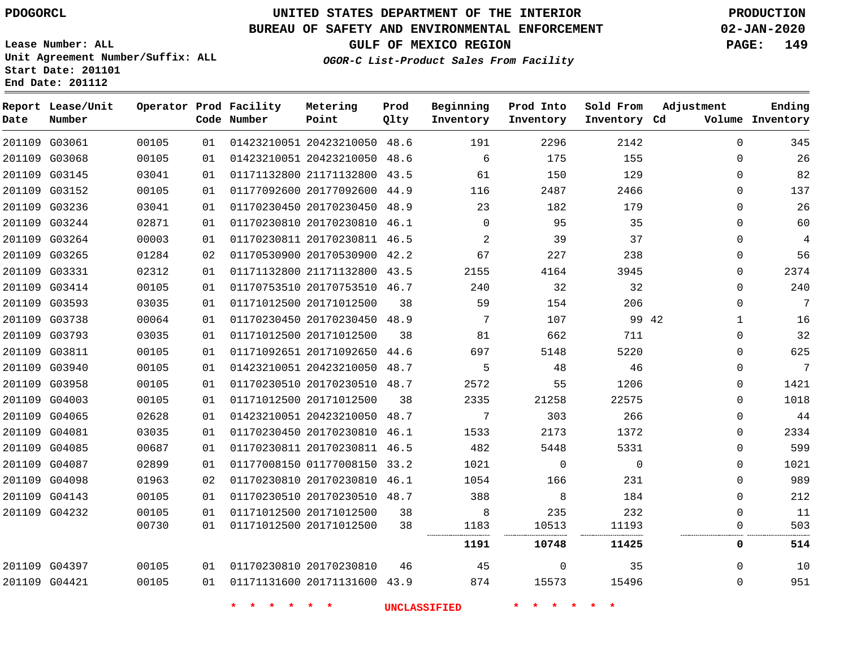**Report Lease/Unit**

## **UNITED STATES DEPARTMENT OF THE INTERIOR PDOGORCL PRODUCTION**

#### **BUREAU OF SAFETY AND ENVIRONMENTAL ENFORCEMENT 02-JAN-2020**

**Lease Number: ALL Unit Agreement Number/Suffix: ALL Start Date: 201101 End Date: 201112**

**Operator Prod Facility Metering**

**Prod**

**GULF OF MEXICO REGION PAGE: 149**

**Ending**

**OGOR-C List-Product Sales From Facility**

| Date | Number        |       |    | Code Number | Point                        | Qlty | Inventory   | Inventory    | Inventory Cd |                       | Volume Inventory |
|------|---------------|-------|----|-------------|------------------------------|------|-------------|--------------|--------------|-----------------------|------------------|
|      | 201109 G03061 | 00105 | 01 |             | 01423210051 20423210050 48.6 |      | 191         | 2296         | 2142         | $\Omega$              | 345              |
|      | 201109 G03068 | 00105 | 01 |             | 01423210051 20423210050 48.6 |      | 6           | 175          | 155          | $\Omega$              | 26               |
|      | 201109 G03145 | 03041 | 01 |             | 01171132800 21171132800 43.5 |      | 61          | 150          | 129          | $\Omega$              | 82               |
|      | 201109 G03152 | 00105 | 01 |             | 01177092600 20177092600      | 44.9 | 116         | 2487         | 2466         | $\Omega$              | 137              |
|      | 201109 G03236 | 03041 | 01 |             | 01170230450 20170230450 48.9 |      | 23          | 182          | 179          | $\Omega$              | 26               |
|      | 201109 G03244 | 02871 | 01 |             | 01170230810 20170230810 46.1 |      | $\mathbf 0$ | 95           | 35           | $\Omega$              | 60               |
|      | 201109 G03264 | 00003 | 01 |             | 01170230811 20170230811 46.5 |      | 2           | 39           | 37           | $\Omega$              | $\overline{4}$   |
|      | 201109 G03265 | 01284 | 02 |             | 01170530900 20170530900      | 42.2 | 67          | 227          | 238          | $\Omega$              | 56               |
|      | 201109 G03331 | 02312 | 01 |             | 01171132800 21171132800 43.5 |      | 2155        | 4164         | 3945         | $\Omega$              | 2374             |
|      | 201109 G03414 | 00105 | 01 |             | 01170753510 20170753510 46.7 |      | 240         | 32           | 32           | $\Omega$              | 240              |
|      | 201109 G03593 | 03035 | 01 |             | 01171012500 20171012500      | 38   | 59          | 154          | 206          | $\Omega$              | 7                |
|      | 201109 G03738 | 00064 | 01 |             | 01170230450 20170230450 48.9 |      | 7           | 107          |              | 99 42<br>$\mathbf{1}$ | 16               |
|      | 201109 G03793 | 03035 | 01 |             | 01171012500 20171012500      | 38   | 81          | 662          | 711          | $\Omega$              | 32               |
|      | 201109 G03811 | 00105 | 01 |             | 01171092651 20171092650 44.6 |      | 697         | 5148         | 5220         | $\Omega$              | 625              |
|      | 201109 G03940 | 00105 | 01 |             | 01423210051 20423210050 48.7 |      | 5           | 48           | 46           | $\Omega$              | 7                |
|      | 201109 G03958 | 00105 | 01 |             | 01170230510 20170230510 48.7 |      | 2572        | 55           | 1206         | $\mathbf 0$           | 1421             |
|      | 201109 G04003 | 00105 | 01 |             | 01171012500 20171012500      | 38   | 2335        | 21258        | 22575        | $\Omega$              | 1018             |
|      | 201109 G04065 | 02628 | 01 |             | 01423210051 20423210050 48.7 |      | 7           | 303          | 266          | $\Omega$              | 44               |
|      | 201109 G04081 | 03035 | 01 |             | 01170230450 20170230810 46.1 |      | 1533        | 2173         | 1372         | $\Omega$              | 2334             |
|      | 201109 G04085 | 00687 | 01 |             | 01170230811 20170230811 46.5 |      | 482         | 5448         | 5331         | 0                     | 599              |
|      | 201109 G04087 | 02899 | 01 |             | 01177008150 01177008150 33.2 |      | 1021        | 0            | 0            | $\Omega$              | 1021             |
|      | 201109 G04098 | 01963 | 02 |             | 01170230810 20170230810 46.1 |      | 1054        | 166          | 231          | $\Omega$              | 989              |
|      | 201109 G04143 | 00105 | 01 |             | 01170230510 20170230510 48.7 |      | 388         | 8            | 184          | $\mathbf 0$           | 212              |
|      | 201109 G04232 | 00105 | 01 |             | 01171012500 20171012500      | 38   | 8           | 235          | 232          | $\Omega$              | 11               |
|      |               | 00730 | 01 |             | 01171012500 20171012500      | 38   | 1183        | 10513        | 11193<br>    | $\mathbf 0$           | 503              |
|      |               |       |    |             |                              |      | 1191        | 10748        | 11425        | 0                     | 514              |
|      | 201109 G04397 | 00105 | 01 |             | 01170230810 20170230810      | 46   | 45          | $\mathbf{0}$ | 35           | $\Omega$              | 10               |
|      | 201109 G04421 | 00105 | 01 |             | 01171131600 20171131600 43.9 |      | 874         | 15573        | 15496        | $\Omega$              | 951              |

**\* \* \* \* \* \* UNCLASSIFIED \* \* \* \* \* \***

**Beginning Prod Into Sold From Adjustment**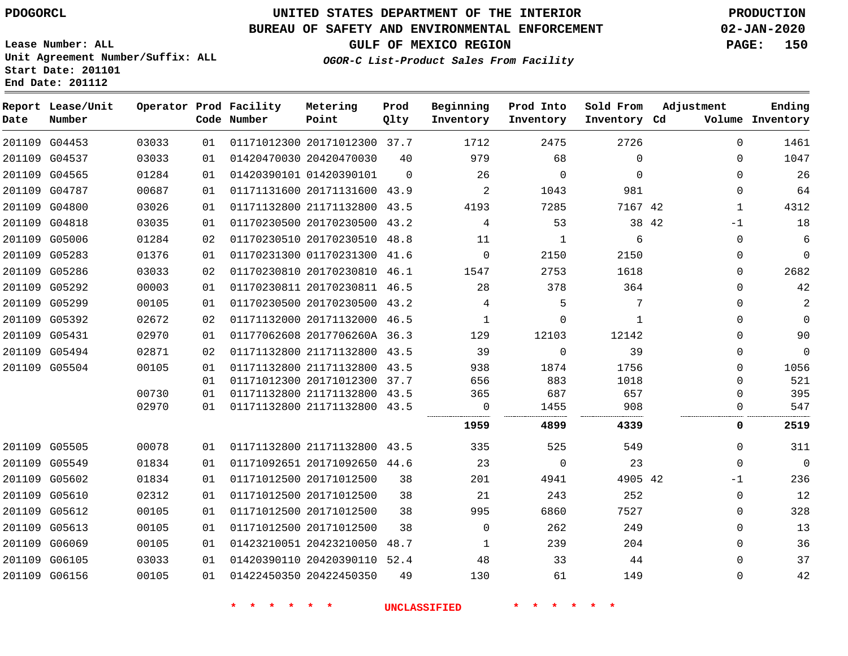## **BUREAU OF SAFETY AND ENVIRONMENTAL ENFORCEMENT 02-JAN-2020**

**Lease Number: ALL Unit Agreement Number/Suffix: ALL Start Date: 201101 End Date: 201112**

**OGOR-C List-Product Sales From Facility**

**GULF OF MEXICO REGION PAGE: 150**

|  | CGOR-C 11SC-FICQUCC DAIES FICM FACIIICY |  |  |
|--|-----------------------------------------|--|--|
|  |                                         |  |  |
|  |                                         |  |  |

| Date          | Report Lease/Unit<br>Number |       |    | Operator Prod Facility<br>Code Number | Metering<br>Point            | Prod<br>Qlty | Beginning<br>Inventory | Prod Into<br>Inventory | Sold From<br>Inventory Cd | Adjustment    | Ending<br>Volume Inventory |
|---------------|-----------------------------|-------|----|---------------------------------------|------------------------------|--------------|------------------------|------------------------|---------------------------|---------------|----------------------------|
|               | 201109 G04453               | 03033 | 01 |                                       | 01171012300 20171012300 37.7 |              | 1712                   | 2475                   | 2726                      | $\Omega$      | 1461                       |
|               | 201109 G04537               | 03033 | 01 |                                       | 01420470030 20420470030      | 40           | 979                    | 68                     | $\Omega$                  | $\Omega$      | 1047                       |
|               | 201109 G04565               | 01284 | 01 |                                       | 01420390101 01420390101      | $\Omega$     | 26                     | $\mathbf 0$            | $\Omega$                  | $\Omega$      | 26                         |
|               | 201109 G04787               | 00687 | 01 |                                       | 01171131600 20171131600 43.9 |              | 2                      | 1043                   | 981                       | $\Omega$      | 64                         |
|               | 201109 G04800               | 03026 | 01 |                                       | 01171132800 21171132800 43.5 |              | 4193                   | 7285                   | 7167 42                   | $\mathbf{1}$  | 4312                       |
|               | 201109 G04818               | 03035 | 01 |                                       | 01170230500 20170230500 43.2 |              | 4                      | 53                     |                           | 38 42<br>$-1$ | 18                         |
|               | 201109 G05006               | 01284 | 02 |                                       | 01170230510 20170230510 48.8 |              | 11                     | $\mathbf{1}$           | 6                         | $\mathbf 0$   | 6                          |
|               | 201109 G05283               | 01376 | 01 |                                       | 01170231300 01170231300 41.6 |              | $\Omega$               | 2150                   | 2150                      | $\Omega$      | $\Omega$                   |
|               | 201109 G05286               | 03033 | 02 |                                       | 01170230810 20170230810 46.1 |              | 1547                   | 2753                   | 1618                      | $\mathbf 0$   | 2682                       |
|               | 201109 G05292               | 00003 | 01 |                                       | 01170230811 20170230811 46.5 |              | 28                     | 378                    | 364                       | $\Omega$      | 42                         |
|               | 201109 G05299               | 00105 | 01 |                                       | 01170230500 20170230500 43.2 |              | 4                      | 5                      | 7                         | $\mathbf 0$   | 2                          |
|               | 201109 G05392               | 02672 | 02 |                                       | 01171132000 20171132000 46.5 |              | 1                      | $\Omega$               | 1                         | $\Omega$      | $\mathbf 0$                |
| 201109 G05431 |                             | 02970 | 01 |                                       | 01177062608 2017706260A 36.3 |              | 129                    | 12103                  | 12142                     | $\Omega$      | 90                         |
|               | 201109 G05494               | 02871 | 02 |                                       | 01171132800 21171132800 43.5 |              | 39                     | $\mathbf 0$            | 39                        | $\mathbf 0$   | $\mathbf 0$                |
|               | 201109 G05504               | 00105 | 01 |                                       | 01171132800 21171132800 43.5 |              | 938                    | 1874                   | 1756                      | $\Omega$      | 1056                       |
|               |                             |       | 01 |                                       | 01171012300 20171012300 37.7 |              | 656                    | 883                    | 1018                      | $\Omega$      | 521                        |
|               |                             | 00730 | 01 |                                       | 01171132800 21171132800 43.5 |              | 365                    | 687                    | 657                       | O             | 395                        |
|               |                             | 02970 | 01 |                                       | 01171132800 21171132800 43.5 |              | 0                      | 1455                   | 908                       | 0             | 547                        |
|               |                             |       |    |                                       |                              |              | 1959                   | 4899                   | 4339                      | 0             | 2519                       |
|               | 201109 G05505               | 00078 | 01 |                                       | 01171132800 21171132800 43.5 |              | 335                    | 525                    | 549                       | $\Omega$      | 311                        |
|               | 201109 G05549               | 01834 | 01 |                                       | 01171092651 20171092650 44.6 |              | 23                     | $\Omega$               | 23                        | $\Omega$      | $\overline{0}$             |
|               | 201109 G05602               | 01834 | 01 |                                       | 01171012500 20171012500      | 38           | 201                    | 4941                   | 4905 42                   | -1            | 236                        |
|               | 201109 G05610               | 02312 | 01 |                                       | 01171012500 20171012500      | 38           | 21                     | 243                    | 252                       | $\Omega$      | 12                         |
|               | 201109 G05612               | 00105 | 01 |                                       | 01171012500 20171012500      | 38           | 995                    | 6860                   | 7527                      | $\mathbf 0$   | 328                        |
|               | 201109 G05613               | 00105 | 01 |                                       | 01171012500 20171012500      | 38           | $\mathbf 0$            | 262                    | 249                       | $\mathbf 0$   | 13                         |
|               | 201109 G06069               | 00105 | 01 |                                       | 01423210051 20423210050      | 48.7         | 1                      | 239                    | 204                       | $\Omega$      | 36                         |
| 201109 G06105 |                             | 03033 | 01 |                                       | 01420390110 20420390110 52.4 |              | 48                     | 33                     | 44                        | $\mathbf 0$   | 37                         |
|               | 201109 G06156               | 00105 | 01 |                                       | 01422450350 20422450350      | 49           | 130                    | 61                     | 149                       | $\Omega$      | 42                         |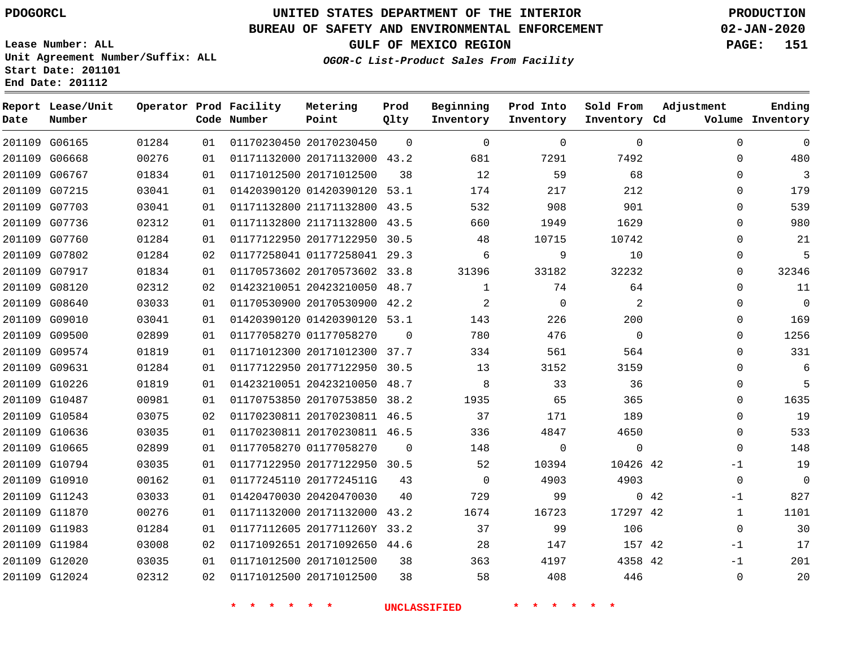## **BUREAU OF SAFETY AND ENVIRONMENTAL ENFORCEMENT 02-JAN-2020**

**Lease Number: ALL Unit Agreement Number/Suffix: ALL Start Date: 201101 End Date: 201112**

**OGOR-C List-Product Sales From Facility**

**GULF OF MEXICO REGION PAGE: 151**

| Date          | Report Lease/Unit<br>Number |       |    | Operator Prod Facility<br>Code Number | Metering<br>Point            | Prod<br>Qlty | Beginning<br>Inventory | Prod Into<br>Inventory | Sold From<br>Inventory Cd | Adjustment   | Ending<br>Volume Inventory |
|---------------|-----------------------------|-------|----|---------------------------------------|------------------------------|--------------|------------------------|------------------------|---------------------------|--------------|----------------------------|
| 201109 G06165 |                             | 01284 | 01 | 01170230450 20170230450               |                              | $\Omega$     | $\Omega$               | $\Omega$               | $\Omega$                  | $\Omega$     | $\mathbf 0$                |
| 201109 G06668 |                             | 00276 | 01 |                                       | 01171132000 20171132000 43.2 |              | 681                    | 7291                   | 7492                      | $\Omega$     | 480                        |
| 201109 G06767 |                             | 01834 | 01 | 01171012500 20171012500               |                              | 38           | 12                     | 59                     | 68                        | 0            | 3                          |
| 201109 G07215 |                             | 03041 | 01 |                                       | 01420390120 01420390120 53.1 |              | 174                    | 217                    | 212                       | $\Omega$     | 179                        |
| 201109 G07703 |                             | 03041 | 01 |                                       | 01171132800 21171132800 43.5 |              | 532                    | 908                    | 901                       | 0            | 539                        |
|               | 201109 G07736               | 02312 | 01 |                                       | 01171132800 21171132800 43.5 |              | 660                    | 1949                   | 1629                      | 0            | 980                        |
| 201109 G07760 |                             | 01284 | 01 |                                       | 01177122950 20177122950 30.5 |              | 48                     | 10715                  | 10742                     | $\Omega$     | 21                         |
|               | 201109 G07802               | 01284 | 02 |                                       | 01177258041 01177258041 29.3 |              | 6                      | 9                      | 10                        | 0            | 5                          |
| 201109 G07917 |                             | 01834 | 01 |                                       | 01170573602 20170573602 33.8 |              | 31396                  | 33182                  | 32232                     | 0            | 32346                      |
| 201109 G08120 |                             | 02312 | 02 |                                       | 01423210051 20423210050 48.7 |              | 1                      | 74                     | 64                        | 0            | 11                         |
| 201109 G08640 |                             | 03033 | 01 |                                       | 01170530900 20170530900 42.2 |              | 2                      | $\mathbf 0$            | 2                         | 0            | $\overline{0}$             |
| 201109 G09010 |                             | 03041 | 01 |                                       | 01420390120 01420390120 53.1 |              | 143                    | 226                    | 200                       | 0            | 169                        |
| 201109 G09500 |                             | 02899 | 01 |                                       | 01177058270 01177058270      | $\Omega$     | 780                    | 476                    | $\Omega$                  | $\Omega$     | 1256                       |
|               | 201109 G09574               | 01819 | 01 |                                       | 01171012300 20171012300 37.7 |              | 334                    | 561                    | 564                       | 0            | 331                        |
| 201109 G09631 |                             | 01284 | 01 |                                       | 01177122950 20177122950 30.5 |              | 13                     | 3152                   | 3159                      | 0            | 6                          |
| 201109 G10226 |                             | 01819 | 01 |                                       | 01423210051 20423210050      | 48.7         | 8                      | 33                     | 36                        | 0            | 5                          |
| 201109 G10487 |                             | 00981 | 01 |                                       | 01170753850 20170753850 38.2 |              | 1935                   | 65                     | 365                       | 0            | 1635                       |
|               | 201109 G10584               | 03075 | 02 |                                       | 01170230811 20170230811 46.5 |              | 37                     | 171                    | 189                       | 0            | 19                         |
| 201109 G10636 |                             | 03035 | 01 |                                       | 01170230811 20170230811 46.5 |              | 336                    | 4847                   | 4650                      | 0            | 533                        |
| 201109 G10665 |                             | 02899 | 01 |                                       | 01177058270 01177058270      | $\Omega$     | 148                    | 0                      | $\mathbf 0$               | 0            | 148                        |
| 201109 G10794 |                             | 03035 | 01 |                                       | 01177122950 20177122950 30.5 |              | 52                     | 10394                  | 10426 42                  | $-1$         | 19                         |
| 201109 G10910 |                             | 00162 | 01 |                                       | 01177245110 2017724511G      | 43           | $\mathbf 0$            | 4903                   | 4903                      | $\Omega$     | $\Omega$                   |
| 201109 G11243 |                             | 03033 | 01 |                                       | 01420470030 20420470030      | 40           | 729                    | 99                     |                           | 0.42<br>$-1$ | 827                        |
| 201109 G11870 |                             | 00276 | 01 |                                       | 01171132000 20171132000 43.2 |              | 1674                   | 16723                  | 17297 42                  | $\mathbf{1}$ | 1101                       |
| 201109 G11983 |                             | 01284 | 01 |                                       | 01177112605 2017711260Y 33.2 |              | 37                     | 99                     | 106                       | $\Omega$     | 30                         |
|               | 201109 G11984               | 03008 | 02 |                                       | 01171092651 20171092650 44.6 |              | 28                     | 147                    | 157 42                    | -1           | 17                         |
| 201109 G12020 |                             | 03035 | 01 |                                       | 01171012500 20171012500      | 38           | 363                    | 4197                   | 4358 42                   | $-1$         | 201                        |
| 201109 G12024 |                             | 02312 | 02 |                                       | 01171012500 20171012500      | 38           | 58                     | 408                    | 446                       | 0            | 20                         |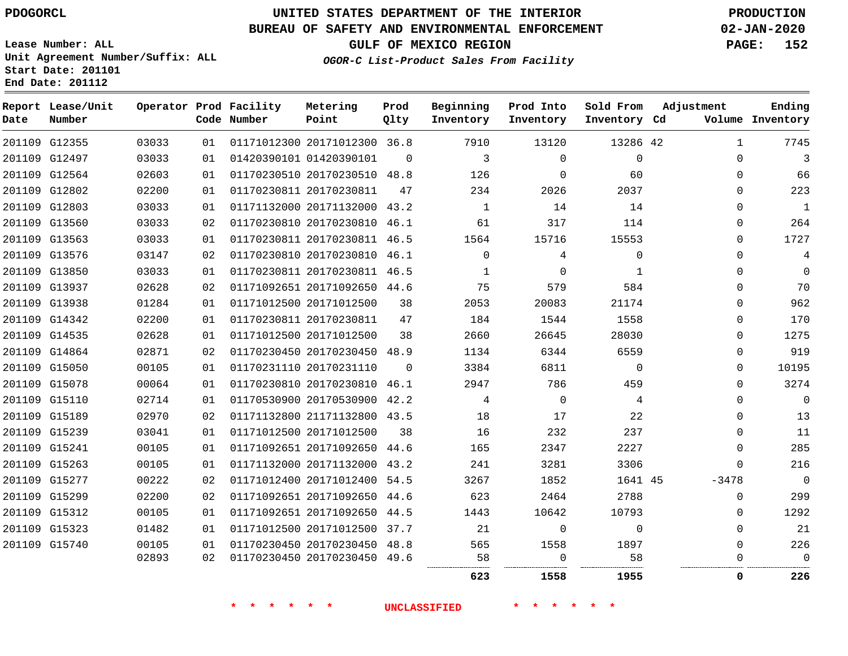**Start Date: 201101 End Date: 201112**

## **UNITED STATES DEPARTMENT OF THE INTERIOR PDOGORCL PRODUCTION**

## **BUREAU OF SAFETY AND ENVIRONMENTAL ENFORCEMENT 02-JAN-2020**

**Lease Number: ALL Unit Agreement Number/Suffix: ALL**

**GULF OF MEXICO REGION PAGE: 152**

**OGOR-C List-Product Sales From Facility**

| Date | Report Lease/Unit<br>Number |       |    | Operator Prod Facility<br>Code Number | Metering<br>Point            | Prod<br>Qlty | Beginning<br>Inventory | Prod Into<br>Inventory | Sold From<br>Inventory Cd | Adjustment   | Ending<br>Volume Inventory |
|------|-----------------------------|-------|----|---------------------------------------|------------------------------|--------------|------------------------|------------------------|---------------------------|--------------|----------------------------|
|      | 201109 G12355               | 03033 | 01 |                                       | 01171012300 20171012300 36.8 |              | 7910                   | 13120                  | 13286 42                  | $\mathbf{1}$ | 7745                       |
|      | 201109 G12497               | 03033 | 01 |                                       | 01420390101 01420390101      | $\Omega$     | 3                      | $\Omega$               | $\mathbf 0$               | $\mathbf 0$  | 3                          |
|      | 201109 G12564               | 02603 | 01 |                                       | 01170230510 20170230510      | 48.8         | 126                    | $\mathbf 0$            | 60                        | $\mathbf 0$  | 66                         |
|      | 201109 G12802               | 02200 | 01 |                                       | 01170230811 20170230811      | 47           | 234                    | 2026                   | 2037                      | $\Omega$     | 223                        |
|      | 201109 G12803               | 03033 | 01 |                                       | 01171132000 20171132000      | 43.2         | $\mathbf{1}$           | 14                     | 14                        | $\Omega$     | 1                          |
|      | 201109 G13560               | 03033 | 02 |                                       | 01170230810 20170230810      | 46.1         | 61                     | 317                    | 114                       | 0            | 264                        |
|      | 201109 G13563               | 03033 | 01 |                                       | 01170230811 20170230811      | 46.5         | 1564                   | 15716                  | 15553                     | $\Omega$     | 1727                       |
|      | 201109 G13576               | 03147 | 02 |                                       | 01170230810 20170230810      | 46.1         | $\mathbf 0$            | 4                      | $\mathbf 0$               | $\mathbf 0$  | 4                          |
|      | 201109 G13850               | 03033 | 01 |                                       | 01170230811 20170230811 46.5 |              | 1                      | $\Omega$               | 1                         | 0            | $\Omega$                   |
|      | 201109 G13937               | 02628 | 02 |                                       | 01171092651 20171092650 44.6 |              | 75                     | 579                    | 584                       | $\mathbf 0$  | 70                         |
|      | 201109 G13938               | 01284 | 01 |                                       | 01171012500 20171012500      | 38           | 2053                   | 20083                  | 21174                     | 0            | 962                        |
|      | 201109 G14342               | 02200 | 01 |                                       | 01170230811 20170230811      | 47           | 184                    | 1544                   | 1558                      | $\mathbf{0}$ | 170                        |
|      | 201109 G14535               | 02628 | 01 |                                       | 01171012500 20171012500      | 38           | 2660                   | 26645                  | 28030                     | $\mathbf 0$  | 1275                       |
|      | 201109 G14864               | 02871 | 02 |                                       | 01170230450 20170230450 48.9 |              | 1134                   | 6344                   | 6559                      | $\mathbf 0$  | 919                        |
|      | 201109 G15050               | 00105 | 01 |                                       | 01170231110 20170231110      | $\Omega$     | 3384                   | 6811                   | $\mathbf 0$               | $\mathbf 0$  | 10195                      |
|      | 201109 G15078               | 00064 | 01 |                                       | 01170230810 20170230810      | 46.1         | 2947                   | 786                    | 459                       | $\Omega$     | 3274                       |
|      | 201109 G15110               | 02714 | 01 |                                       | 01170530900 20170530900 42.2 |              | 4                      | $\Omega$               | 4                         | $\Omega$     | $\Omega$                   |
|      | 201109 G15189               | 02970 | 02 |                                       | 01171132800 21171132800 43.5 |              | 18                     | 17                     | 22                        | $\Omega$     | 13                         |
|      | 201109 G15239               | 03041 | 01 |                                       | 01171012500 20171012500      | 38           | 16                     | 232                    | 237                       | $\Omega$     | 11                         |
|      | 201109 G15241               | 00105 | 01 |                                       | 01171092651 20171092650      | 44.6         | 165                    | 2347                   | 2227                      | $\Omega$     | 285                        |
|      | 201109 G15263               | 00105 | 01 |                                       | 01171132000 20171132000      | 43.2         | 241                    | 3281                   | 3306                      | $\Omega$     | 216                        |
|      | 201109 G15277               | 00222 | 02 |                                       | 01171012400 20171012400      | 54.5         | 3267                   | 1852                   | 1641 45                   | $-3478$      | $\Omega$                   |
|      | 201109 G15299               | 02200 | 02 |                                       | 01171092651 20171092650      | 44.6         | 623                    | 2464                   | 2788                      | $\Omega$     | 299                        |
|      | 201109 G15312               | 00105 | 01 |                                       | 01171092651 20171092650      | 44.5         | 1443                   | 10642                  | 10793                     | 0            | 1292                       |
|      | 201109 G15323               | 01482 | 01 |                                       | 01171012500 20171012500 37.7 |              | 21                     | 0                      | $\Omega$                  | $\Omega$     | 21                         |
|      | 201109 G15740               | 00105 | 01 |                                       | 01170230450 20170230450      | 48.8         | 565                    | 1558                   | 1897                      | $\mathbf 0$  | 226                        |
|      |                             | 02893 | 02 |                                       | 01170230450 20170230450      | 49.6         | 58                     | $\Omega$               | 58                        | $\mathbf{0}$ | $\Omega$                   |
|      |                             |       |    |                                       |                              |              | 623                    | 1558                   | 1955                      | 0            | 226                        |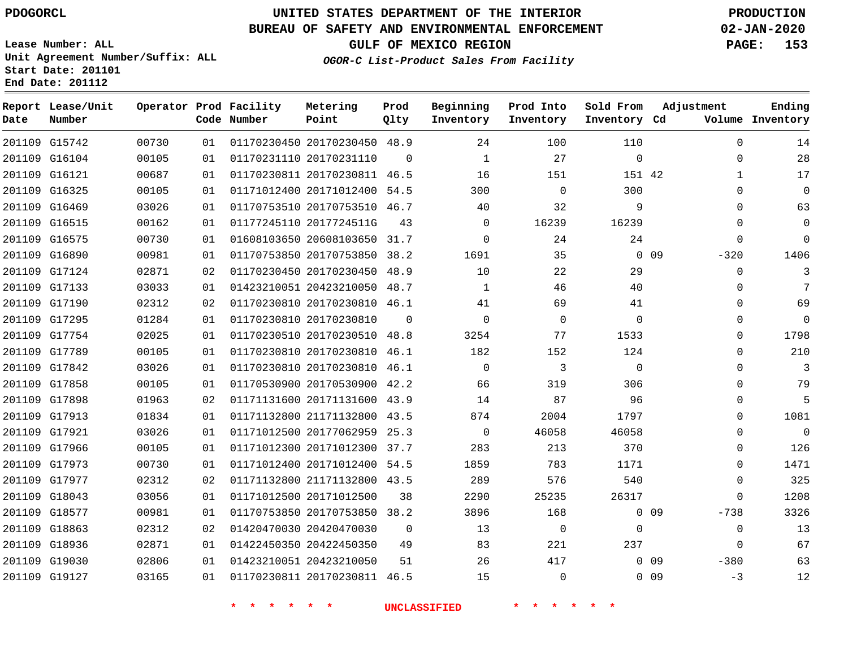**Report Lease/Unit**

**Number**

## **UNITED STATES DEPARTMENT OF THE INTERIOR PDOGORCL PRODUCTION**

**Prod Qlty**

#### **BUREAU OF SAFETY AND ENVIRONMENTAL ENFORCEMENT 02-JAN-2020**

**Lease Number: ALL Unit Agreement Number/Suffix: ALL Start Date: 201101 End Date: 201112**

**Operator Prod Facility**

**Code Number**

**Metering Point**

**OGOR-C List-Product Sales From Facility**

**Beginning Inventory** **Prod Into Inventory** **Sold From Inventory**

**GULF OF MEXICO REGION PAGE: 153**

**Inventory Cd Volume**

**Adjustment**

  $\Omega$   $\Omega$  $\Omega$  $\Omega$ 

  $\Omega$   $\Omega$  $\overline{0}$   $\Omega$  $\overline{0}$  $\Omega$  $\Omega$  $\Omega$  $\Omega$   $\Omega$  $\Omega$ 

-3

**Ending**

| 201109 G15742 | 00730 | 01 | 01170230450 20170230450 48.9 |          | 24           | 100         | 110          |                 | $\mathbf 0$    |
|---------------|-------|----|------------------------------|----------|--------------|-------------|--------------|-----------------|----------------|
| 201109 G16104 | 00105 | 01 | 01170231110 20170231110      | $\Omega$ | 1            | 27          | $\mathbf 0$  |                 | 0              |
| 201109 G16121 | 00687 | 01 | 01170230811 20170230811 46.5 |          | 16           | 151         | 151 42       |                 | 1              |
| 201109 G16325 | 00105 | 01 | 01171012400 20171012400 54.5 |          | 300          | $\Omega$    | 300          |                 | 0              |
| 201109 G16469 | 03026 | 01 | 01170753510 20170753510 46.7 |          | 40           | 32          | 9            |                 | 0              |
| 201109 G16515 | 00162 | 01 | 01177245110 2017724511G      | 43       | 0            | 16239       | 16239        |                 | 0              |
| 201109 G16575 | 00730 | 01 | 01608103650 20608103650 31.7 |          | 0            | 24          | 24           |                 | $\Omega$       |
| 201109 G16890 | 00981 | 01 | 01170753850 20170753850 38.2 |          | 1691         | 35          |              | 0 <sub>09</sub> | $-320$         |
| 201109 G17124 | 02871 | 02 | 01170230450 20170230450 48.9 |          | 10           | 22          | 29           |                 | 0              |
| 201109 G17133 | 03033 | 01 | 01423210051 20423210050      | 48.7     | 1            | 46          | 40           |                 | 0              |
| 201109 G17190 | 02312 | 02 | 01170230810 20170230810 46.1 |          | 41           | 69          | 41           |                 | 0              |
| 201109 G17295 | 01284 | 01 | 01170230810 20170230810      | $\Omega$ | $\Omega$     | 0           | $\mathbf{0}$ |                 | 0              |
| 201109 G17754 | 02025 | 01 | 01170230510 20170230510 48.8 |          | 3254         | 77          | 1533         |                 | 0              |
| 201109 G17789 | 00105 | 01 | 01170230810 20170230810 46.1 |          | 182          | 152         | 124          |                 | 0              |
| 201109 G17842 | 03026 | 01 | 01170230810 20170230810 46.1 |          | $\mathbf 0$  | 3           | $\mathbf 0$  |                 | 0              |
| 201109 G17858 | 00105 | 01 | 01170530900 20170530900 42.2 |          | 66           | 319         | 306          |                 | $\mathbf 0$    |
| 201109 G17898 | 01963 | 02 | 01171131600 20171131600 43.9 |          | 14           | 87          | 96           |                 | $\mathbf 0$    |
| 201109 G17913 | 01834 | 01 | 01171132800 21171132800      | 43.5     | 874          | 2004        | 1797         |                 | 0              |
| 201109 G17921 | 03026 | 01 | 01171012500 20177062959      | 25.3     | $\mathbf{0}$ | 46058       | 46058        |                 | 0              |
| 201109 G17966 | 00105 | 01 | 01171012300 20171012300      | 37.7     | 283          | 213         | 370          |                 | 0              |
| 201109 G17973 | 00730 | 01 | 01171012400 20171012400      | 54.5     | 1859         | 783         | 1171         |                 | $\mathbf 0$    |
| 201109 G17977 | 02312 | 02 | 01171132800 21171132800 43.5 |          | 289          | 576         | 540          |                 | 0              |
| 201109 G18043 | 03056 | 01 | 01171012500 20171012500      | 38       | 2290         | 25235       | 26317        |                 | $\mathbf 0$    |
| 201109 G18577 | 00981 | 01 | 01170753850 20170753850 38.2 |          | 3896         | 168         |              | $0\quad09$      | $-738$         |
| 201109 G18863 | 02312 | 02 | 01420470030 20420470030      | $\Omega$ | 13           | $\mathbf 0$ | 0            |                 | $\overline{0}$ |
| 201109 G18936 | 02871 | 01 | 01422450350 20422450350      | 49       | 83           | 221         | 237          |                 | 0              |
| 201109 G19030 | 02806 | 01 | 01423210051 20423210050      | 51       | 26           | 417         |              | 0 <sub>09</sub> | $-380$         |
| 201109 G19127 | 03165 | 01 | 01170230811 20170230811 46.5 |          | 15           | 0           |              | 0 <sub>09</sub> | $-3$           |
|               |       |    |                              |          |              |             |              |                 |                |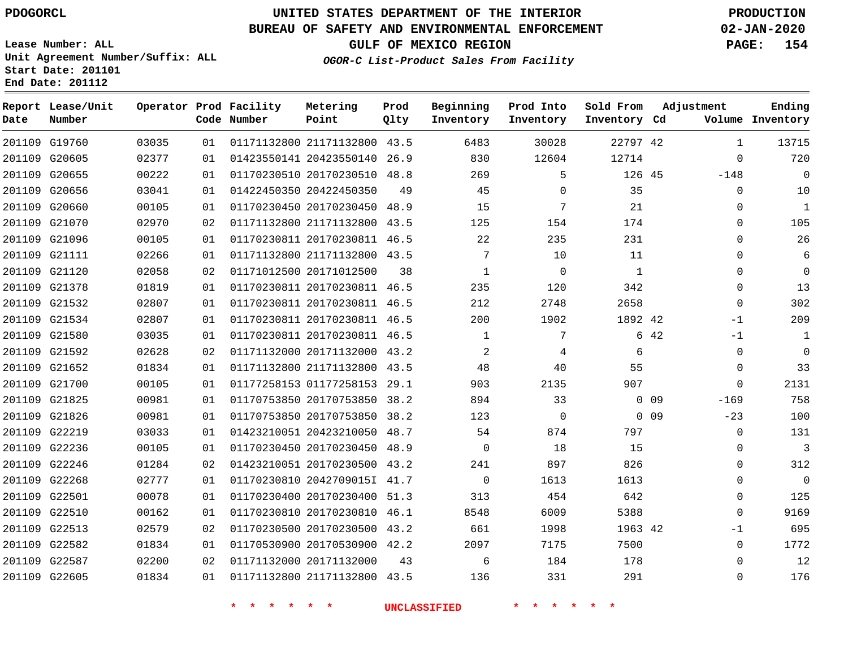**Report Lease/Unit**

**Number**

## **UNITED STATES DEPARTMENT OF THE INTERIOR PDOGORCL PRODUCTION**

**Prod Qlty**

#### **BUREAU OF SAFETY AND ENVIRONMENTAL ENFORCEMENT 02-JAN-2020**

**Lease Number: ALL Unit Agreement Number/Suffix: ALL Start Date: 201101 End Date: 201112**

**Operator Prod Facility**

**Code Number**

**Metering Point**

**OGOR-C List-Product Sales From Facility**

**Beginning Inventory** **Prod Into Inventory** **Sold From Inventory**

**GULF OF MEXICO REGION PAGE: 154**

**Inventory Cd Volume**

**Adjustment**

  $\Omega$ 

  $\Omega$  $\Omega$  $\Omega$  $\Omega$  -1 -1  $\overline{0}$  $\overline{0}$  $\overline{0}$ 

**Ending**

|               | 201109 G19760 | 03035 | 01 |                              | 01171132800 21171132800 43.5 |    | 6483        | 30028    | 22797 42     |                 | 1              |
|---------------|---------------|-------|----|------------------------------|------------------------------|----|-------------|----------|--------------|-----------------|----------------|
| 201109 G20605 |               | 02377 | 01 | 01423550141 20423550140 26.9 |                              |    | 830         | 12604    | 12714        |                 | $\overline{0}$ |
| 201109 G20655 |               | 00222 | 01 | 01170230510 20170230510 48.8 |                              |    | 269         | 5        | 126 45       |                 | $-148$         |
|               | 201109 G20656 | 03041 | 01 | 01422450350 20422450350      |                              | 49 | 45          | 0        | 35           |                 | $\mathbf 0$    |
| 201109 G20660 |               | 00105 | 01 |                              | 01170230450 20170230450 48.9 |    | 15          | 7        | 21           |                 | 0              |
| 201109 G21070 |               | 02970 | 02 |                              | 01171132800 21171132800 43.5 |    | 125         | 154      | 174          |                 | 0              |
|               | 201109 G21096 | 00105 | 01 | 01170230811 20170230811 46.5 |                              |    | 22          | 235      | 231          |                 | 0              |
| 201109 G21111 |               | 02266 | 01 |                              | 01171132800 21171132800 43.5 |    | 7           | 10       | 11           |                 | 0              |
| 201109 G21120 |               | 02058 | 02 | 01171012500 20171012500      |                              | 38 | 1           | $\Omega$ | $\mathbf{1}$ |                 | 0              |
| 201109 G21378 |               | 01819 | 01 | 01170230811 20170230811 46.5 |                              |    | 235         | 120      | 342          |                 | 0              |
| 201109 G21532 |               | 02807 | 01 |                              | 01170230811 20170230811 46.5 |    | 212         | 2748     | 2658         |                 | $\mathbf 0$    |
|               | 201109 G21534 | 02807 | 01 |                              | 01170230811 20170230811 46.5 |    | 200         | 1902     | 1892 42      |                 | $-1$           |
| 201109 G21580 |               | 03035 | 01 | 01170230811 20170230811 46.5 |                              |    | 1           | 7        |              | 6 42            | $-1$           |
|               | 201109 G21592 | 02628 | 02 | 01171132000 20171132000 43.2 |                              |    | 2           | 4        | 6            |                 | $\mathbf 0$    |
| 201109 G21652 |               | 01834 | 01 |                              | 01171132800 21171132800 43.5 |    | 48          | 40       | 55           |                 | $\mathbf 0$    |
|               | 201109 G21700 | 00105 | 01 | 01177258153 01177258153 29.1 |                              |    | 903         | 2135     | 907          |                 | $\Omega$       |
| 201109 G21825 |               | 00981 | 01 | 01170753850 20170753850 38.2 |                              |    | 894         | 33       |              | $0$ 09          | $-169$         |
| 201109 G21826 |               | 00981 | 01 |                              | 01170753850 20170753850 38.2 |    | 123         | 0        |              | 0 <sub>09</sub> | $-23$          |
| 201109 G22219 |               | 03033 | 01 | 01423210051 20423210050 48.7 |                              |    | 54          | 874      | 797          |                 | $\mathbf 0$    |
| 201109 G22236 |               | 00105 | 01 | 01170230450 20170230450 48.9 |                              |    | $\Omega$    | 18       | 15           |                 | $\mathbf 0$    |
| 201109 G22246 |               | 01284 | 02 |                              | 01423210051 20170230500 43.2 |    | 241         | 897      | 826          |                 | 0              |
| 201109 G22268 |               | 02777 | 01 | 01170230810 2042709015I 41.7 |                              |    | $\mathbf 0$ | 1613     | 1613         |                 | 0              |
| 201109 G22501 |               | 00078 | 01 |                              | 01170230400 20170230400 51.3 |    | 313         | 454      | 642          |                 | 0              |
| 201109 G22510 |               | 00162 | 01 |                              | 01170230810 20170230810 46.1 |    | 8548        | 6009     | 5388         |                 | $\mathbf 0$    |
| 201109 G22513 |               | 02579 | 02 | 01170230500 20170230500 43.2 |                              |    | 661         | 1998     | 1963 42      |                 | $-1$           |
| 201109 G22582 |               | 01834 | 01 | 01170530900 20170530900 42.2 |                              |    | 2097        | 7175     | 7500         |                 | $\mathbf 0$    |
| 201109 G22587 |               | 02200 | 02 | 01171132000 20171132000      |                              | 43 | 6           | 184      | 178          |                 | 0              |
| 201109 G22605 |               | 01834 | 01 | 01171132800 21171132800 43.5 |                              |    | 136         | 331      | 291          |                 | $\mathbf 0$    |
|               |               |       |    |                              |                              |    |             |          |              |                 |                |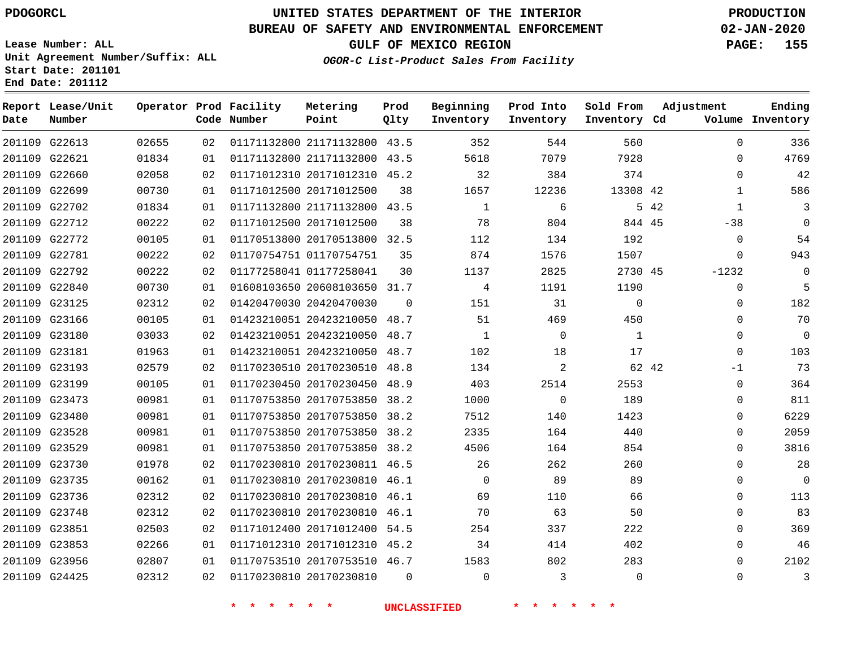**Prod**

**Metering**

#### **BUREAU OF SAFETY AND ENVIRONMENTAL ENFORCEMENT 02-JAN-2020**

**Lease Number: ALL Unit Agreement Number/Suffix: ALL Start Date: 201101 End Date: 201112**

**GULF OF MEXICO REGION PAGE: 155**

**Adjustment**

**Ending**

**OGOR-C List-Product Sales From Facility**

| Date | Report Lease/Unit<br>Number |       |    | Operator Prod Facility<br>Code Number | Metering<br>Point            | Prod<br>Qlty | Beginning<br>Inventory | Prod Into<br>Inventory | Sold From<br>Inventory Cd | Adjustment           | Ending<br>Volume Inventory |
|------|-----------------------------|-------|----|---------------------------------------|------------------------------|--------------|------------------------|------------------------|---------------------------|----------------------|----------------------------|
|      | 201109 G22613               | 02655 | 02 |                                       | 01171132800 21171132800 43.5 |              | 352                    | 544                    | 560                       | 0                    | 336                        |
|      | 201109 G22621               | 01834 | 01 |                                       | 01171132800 21171132800 43.5 |              | 5618                   | 7079                   | 7928                      | $\Omega$             | 4769                       |
|      | 201109 G22660               | 02058 | 02 |                                       | 01171012310 20171012310 45.2 |              | 32                     | 384                    | 374                       | $\mathbf 0$          | 42                         |
|      | 201109 G22699               | 00730 | 01 |                                       | 01171012500 20171012500      | 38           | 1657                   | 12236                  | 13308 42                  | $\mathbf{1}$         | 586                        |
|      | 201109 G22702               | 01834 | 01 |                                       | 01171132800 21171132800 43.5 |              | $\mathbf{1}$           | 6                      |                           | 5 42<br>$\mathbf{1}$ | 3                          |
|      | 201109 G22712               | 00222 | 02 |                                       | 01171012500 20171012500      | 38           | 78                     | 804                    | 844 45                    | $-38$                | $\mathbf 0$                |
|      | 201109 G22772               | 00105 | 01 |                                       | 01170513800 20170513800 32.5 |              | 112                    | 134                    | 192                       | 0                    | 54                         |
|      | 201109 G22781               | 00222 | 02 |                                       | 01170754751 01170754751      | 35           | 874                    | 1576                   | 1507                      | $\mathbf 0$          | 943                        |
|      | 201109 G22792               | 00222 | 02 |                                       | 01177258041 01177258041      | 30           | 1137                   | 2825                   | 2730 45                   | $-1232$              | 0                          |
|      | 201109 G22840               | 00730 | 01 |                                       | 01608103650 20608103650 31.7 |              | 4                      | 1191                   | 1190                      | $\mathbf 0$          | 5                          |
|      | 201109 G23125               | 02312 | 02 |                                       | 01420470030 20420470030      | $\Omega$     | 151                    | 31                     | $\mathbf 0$               | $\mathbf 0$          | 182                        |
|      | 201109 G23166               | 00105 | 01 |                                       | 01423210051 20423210050 48.7 |              | 51                     | 469                    | 450                       | $\mathbf 0$          | 70                         |
|      | 201109 G23180               | 03033 | 02 |                                       | 01423210051 20423210050 48.7 |              | $\mathbf{1}$           | $\mathbf 0$            | $\mathbf{1}$              | 0                    | $\mathbf 0$                |
|      | 201109 G23181               | 01963 | 01 |                                       | 01423210051 20423210050 48.7 |              | 102                    | 18                     | 17                        | $\Omega$             | 103                        |
|      | 201109 G23193               | 02579 | 02 |                                       | 01170230510 20170230510 48.8 |              | 134                    | 2                      | 62 42                     | $-1$                 | 73                         |
|      | 201109 G23199               | 00105 | 01 |                                       | 01170230450 20170230450 48.9 |              | 403                    | 2514                   | 2553                      | $\mathbf 0$          | 364                        |
|      | 201109 G23473               | 00981 | 01 |                                       | 01170753850 20170753850 38.2 |              | 1000                   | $\mathbf 0$            | 189                       | 0                    | 811                        |
|      | 201109 G23480               | 00981 | 01 |                                       | 01170753850 20170753850 38.2 |              | 7512                   | 140                    | 1423                      | 0                    | 6229                       |
|      | 201109 G23528               | 00981 | 01 |                                       | 01170753850 20170753850 38.2 |              | 2335                   | 164                    | 440                       | 0                    | 2059                       |
|      | 201109 G23529               | 00981 | 01 |                                       | 01170753850 20170753850 38.2 |              | 4506                   | 164                    | 854                       | 0                    | 3816                       |
|      | 201109 G23730               | 01978 | 02 |                                       | 01170230810 20170230811 46.5 |              | 26                     | 262                    | 260                       | 0                    | 28                         |
|      | 201109 G23735               | 00162 | 01 |                                       | 01170230810 20170230810 46.1 |              | $\Omega$               | 89                     | 89                        | $\Omega$             | $\mathbf 0$                |
|      | 201109 G23736               | 02312 | 02 |                                       | 01170230810 20170230810 46.1 |              | 69                     | 110                    | 66                        | 0                    | 113                        |
|      | 201109 G23748               | 02312 | 02 |                                       | 01170230810 20170230810 46.1 |              | 70                     | 63                     | 50                        | 0                    | 83                         |
|      | 201109 G23851               | 02503 | 02 |                                       | 01171012400 20171012400 54.5 |              | 254                    | 337                    | 222                       | $\mathbf 0$          | 369                        |
|      | 201109 G23853               | 02266 | 01 |                                       | 01171012310 20171012310 45.2 |              | 34                     | 414                    | 402                       | $\Omega$             | 46                         |
|      | 201109 G23956               | 02807 | 01 |                                       | 01170753510 20170753510 46.7 |              | 1583                   | 802                    | 283                       | 0                    | 2102                       |
|      | 201109 G24425               | 02312 | 02 |                                       | 01170230810 20170230810      | $\Omega$     | $\Omega$               | 3                      | 0                         | 0                    | 3                          |
|      |                             |       |    |                                       |                              |              |                        |                        |                           |                      |                            |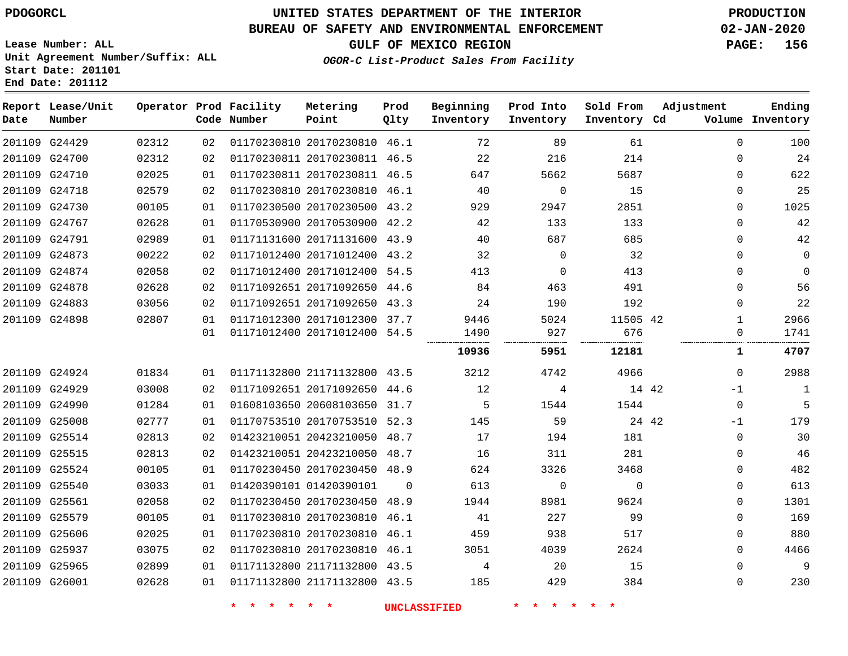**Report Lease/Unit**

**Date**

# **UNITED STATES DEPARTMENT OF THE INTERIOR PDOGORCL PRODUCTION**

**Prod Qlty**

#### **BUREAU OF SAFETY AND ENVIRONMENTAL ENFORCEMENT 02-JAN-2020**

**Lease Number: ALL Unit Agreement Number/Suffix: ALL Start Date: 201101 End Date: 201112**

**Operator Prod Facility**

**OGOR-C List-Product Sales From Facility**

**Beginning Inventory** **Prod Into Inventory** **Sold From**

**GULF OF MEXICO REGION PAGE: 156**

**Adjustment**

**Ending**

| Number |       |    | Code Number | Point                        | Qlty     | Inventory | Inventory   | Inventory Cd |       |              | Volume Inventory |
|--------|-------|----|-------------|------------------------------|----------|-----------|-------------|--------------|-------|--------------|------------------|
| G24429 | 02312 | 02 |             | 01170230810 20170230810 46.1 |          | 72        | 89          | 61           |       | $\Omega$     | 100              |
| G24700 | 02312 | 02 |             | 01170230811 20170230811 46.5 |          | 22        | 216         | 214          |       | 0            | 24               |
| G24710 | 02025 | 01 |             | 01170230811 20170230811 46.5 |          | 647       | 5662        | 5687         |       | $\mathbf 0$  | 622              |
| G24718 | 02579 | 02 |             | 01170230810 20170230810 46.1 |          | 40        | $\mathbf 0$ | 15           |       | 0            | 25               |
| G24730 | 00105 | 01 |             | 01170230500 20170230500 43.2 |          | 929       | 2947        | 2851         |       | 0            | 1025             |
| G24767 | 02628 | 01 |             | 01170530900 20170530900 42.2 |          | 42        | 133         | 133          |       | 0            | 42               |
| G24791 | 02989 | 01 |             | 01171131600 20171131600 43.9 |          | 40        | 687         | 685          |       | 0            | 42               |
| G24873 | 00222 | 02 |             | 01171012400 20171012400 43.2 |          | 32        | $\mathbf 0$ | 32           |       | 0            | 0                |
| G24874 | 02058 | 02 |             | 01171012400 20171012400      | 54.5     | 413       | $\Omega$    | 413          |       | 0            | $\Omega$         |
| G24878 | 02628 | 02 |             | 01171092651 20171092650 44.6 |          | 84        | 463         | 491          |       | 0            | 56               |
| G24883 | 03056 | 02 |             | 01171092651 20171092650      | 43.3     | 24        | 190         | 192          |       | 0            | 22               |
| G24898 | 02807 | 01 |             | 01171012300 20171012300 37.7 |          | 9446      | 5024        | 11505 42     |       | $\mathbf{1}$ | 2966             |
|        |       | 01 |             | 01171012400 20171012400 54.5 |          | 1490      | 927         | 676          |       | 0            | 1741             |
|        |       |    |             |                              |          | 10936     | 5951        | 12181        |       | 1            | 4707             |
| G24924 | 01834 | 01 |             | 01171132800 21171132800 43.5 |          | 3212      | 4742        | 4966         |       | 0            | 2988             |
| G24929 | 03008 | 02 |             | 01171092651 20171092650 44.6 |          | 12        | 4           | 14 42        |       | -1           | 1                |
| G24990 | 01284 | 01 |             | 01608103650 20608103650      | 31.7     | 5         | 1544        | 1544         |       | 0            | 5                |
| G25008 | 02777 | 01 |             | 01170753510 20170753510 52.3 |          | 145       | 59          |              | 24 42 | $-1$         | 179              |
| G25514 | 02813 | 02 |             | 01423210051 20423210050 48.7 |          | 17        | 194         | 181          |       | $\mathbf 0$  | 30               |
| G25515 | 02813 | 02 |             | 01423210051 20423210050 48.7 |          | 16        | 311         | 281          |       | $\mathbf 0$  | 46               |
| G25524 | 00105 | 01 |             | 01170230450 20170230450 48.9 |          | 624       | 3326        | 3468         |       | 0            | 482              |
| G25540 | 03033 | 01 |             | 01420390101 01420390101      | $\Omega$ | 613       | $\Omega$    | $\Omega$     |       | 0            | 613              |
| G25561 | 02058 | 02 |             | 01170230450 20170230450 48.9 |          | 1944      | 8981        | 9624         |       | $\mathbf 0$  | 1301             |
| G25579 | 00105 | 01 |             | 01170230810 20170230810      | 46.1     | 41        | 227         | 99           |       | $\Omega$     | 169              |
| G25606 | 02025 | 01 |             | 01170230810 20170230810 46.1 |          | 459       | 938         | 517          |       | 0            | 880              |
| G25937 | 03075 | 02 |             | 01170230810 20170230810 46.1 |          | 3051      | 4039        | 2624         |       | 0            | 4466             |
| G25965 | 02899 | 01 |             | 01171132800 21171132800 43.5 |          | 4         | 20          | 15           |       | $\Omega$     | 9                |
| G26001 | 02628 | 01 |             | 01171132800 21171132800 43.5 |          | 185       | 429         | 384          |       | 0            | 230              |

**Metering Point**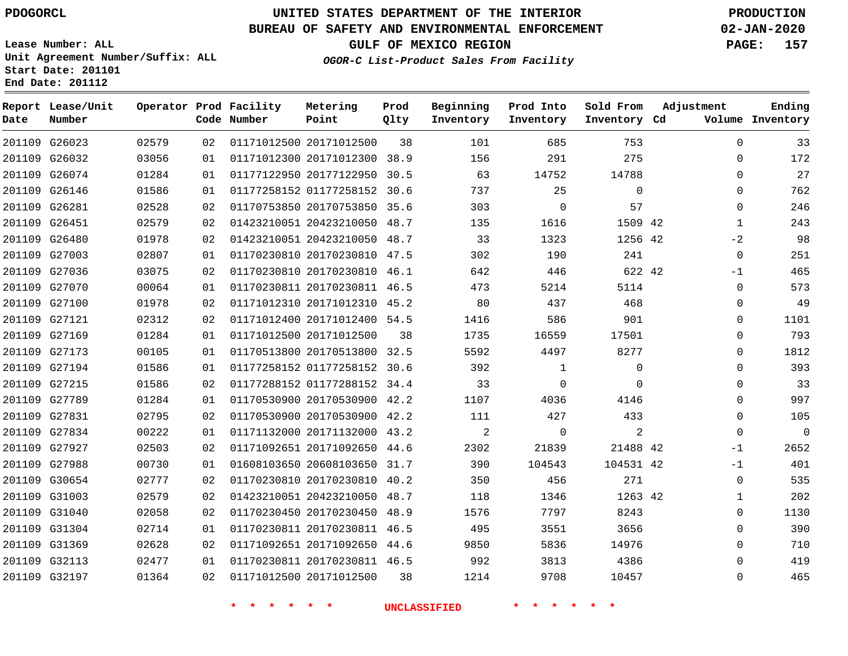**Report Lease/Unit**

 G31369 G32113 G32197    

# **UNITED STATES DEPARTMENT OF THE INTERIOR PDOGORCL PRODUCTION**

**Prod Qlty**

#### **BUREAU OF SAFETY AND ENVIRONMENTAL ENFORCEMENT 02-JAN-2020**

**Lease Number: ALL Unit Agreement Number/Suffix: ALL Start Date: 201101 End Date: 201112**

**Operator Prod Facility**

#### **OGOR-C List-Product Sales From Facility**

**Beginning**

**Prod Into**

**Sold From**

**GULF OF MEXICO REGION PAGE: 157**

  $\Omega$  $\Omega$  $\Omega$  $\Omega$   $-2$  -1  $\Omega$  $\Omega$  $\Omega$  $\overline{0}$   $\Omega$  $\overline{0}$  $\Omega$  $\Omega$  $\Omega$  $-1$ -1  $\Omega$   $\Omega$ 

**Adjustment**

**Ending**

| Date   | Number        |       |    | Code Number | Point                        | Qlty | Inventory | Inventory      | Inventory Cd |             | Volume Inventory |
|--------|---------------|-------|----|-------------|------------------------------|------|-----------|----------------|--------------|-------------|------------------|
|        | 201109 G26023 | 02579 | 02 |             | 01171012500 20171012500      | 38   | 101       | 685            | 753          | $\Omega$    | 33               |
| 201109 | G26032        | 03056 | 01 |             | 01171012300 20171012300 38.9 |      | 156       | 291            | 275          | 0           | 172              |
|        | 201109 G26074 | 01284 | 01 |             | 01177122950 20177122950 30.5 |      | 63        | 14752          | 14788        | $\Omega$    | 27               |
| 201109 | G26146        | 01586 | 01 |             | 01177258152 01177258152 30.6 |      | 737       | 25             | $\mathbf 0$  | 0           | 762              |
| 201109 | G26281        | 02528 | 02 |             | 01170753850 20170753850 35.6 |      | 303       | $\overline{0}$ | 57           | 0           | 246              |
|        | 201109 G26451 | 02579 | 02 |             | 01423210051 20423210050 48.7 |      | 135       | 1616           | 1509 42      | $\mathbf 1$ | 243              |
|        | 201109 G26480 | 01978 | 02 |             | 01423210051 20423210050 48.7 |      | 33        | 1323           | 1256 42      | $-2$        | 98               |
|        | 201109 G27003 | 02807 | 01 |             | 01170230810 20170230810 47.5 |      | 302       | 190            | 241          | $\mathbf 0$ | 251              |
|        | 201109 G27036 | 03075 | 02 |             | 01170230810 20170230810 46.1 |      | 642       | 446            | 622 42       | $-1$        | 465              |
|        | 201109 G27070 | 00064 | 01 |             | 01170230811 20170230811 46.5 |      | 473       | 5214           | 5114         | 0           | 573              |
|        | 201109 G27100 | 01978 | 02 |             | 01171012310 20171012310 45.2 |      | 80        | 437            | 468          | $\Omega$    | 49               |
|        | 201109 G27121 | 02312 | 02 |             | 01171012400 20171012400 54.5 |      | 1416      | 586            | 901          | $\Omega$    | 1101             |
|        | 201109 G27169 | 01284 | 01 |             | 01171012500 20171012500      | 38   | 1735      | 16559          | 17501        | $\Omega$    | 793              |
|        | 201109 G27173 | 00105 | 01 |             | 01170513800 20170513800 32.5 |      | 5592      | 4497           | 8277         | 0           | 1812             |
|        | 201109 G27194 | 01586 | 01 |             | 01177258152 01177258152 30.6 |      | 392       | 1              | $\Omega$     | $\Omega$    | 393              |
| 201109 | G27215        | 01586 | 02 |             | 01177288152 01177288152 34.4 |      | 33        | $\mathbf 0$    | $\Omega$     | $\Omega$    | 33               |
|        | 201109 G27789 | 01284 | 01 |             | 01170530900 20170530900 42.2 |      | 1107      | 4036           | 4146         | $\Omega$    | 997              |
|        | 201109 G27831 | 02795 | 02 |             | 01170530900 20170530900 42.2 |      | 111       | 427            | 433          | $\Omega$    | 105              |
|        | 201109 G27834 | 00222 | 01 |             | 01171132000 20171132000 43.2 |      | 2         | $\mathbf 0$    | 2            | $\Omega$    | $\overline{0}$   |
|        | 201109 G27927 | 02503 | 02 |             | 01171092651 20171092650 44.6 |      | 2302      | 21839          | 21488 42     | $-1$        | 2652             |
| 201109 | G27988        | 00730 | 01 |             | 01608103650 20608103650 31.7 |      | 390       | 104543         | 104531 42    | $-1$        | 401              |
|        | 201109 G30654 | 02777 | 02 |             | 01170230810 20170230810 40.2 |      | 350       | 456            | 271          | $\mathbf 0$ | 535              |
|        | 201109 G31003 | 02579 | 02 |             | 01423210051 20423210050 48.7 |      | 118       | 1346           | 1263 42      | 1           | 202              |
|        | 201109 G31040 | 02058 | 02 |             | 01170230450 20170230450 48.9 |      | 1576      | 7797           | 8243         | 0           | 1130             |
|        | 201109 G31304 | 02714 | 01 |             | 01170230811 20170230811 46.5 |      | 495       | 3551           | 3656         | $\Omega$    | 390              |

**Metering**

20171012500

 20171092650 44.6 20170230811 46.5

 

**\* \* \* \* \* \* UNCLASSIFIED \* \* \* \* \* \***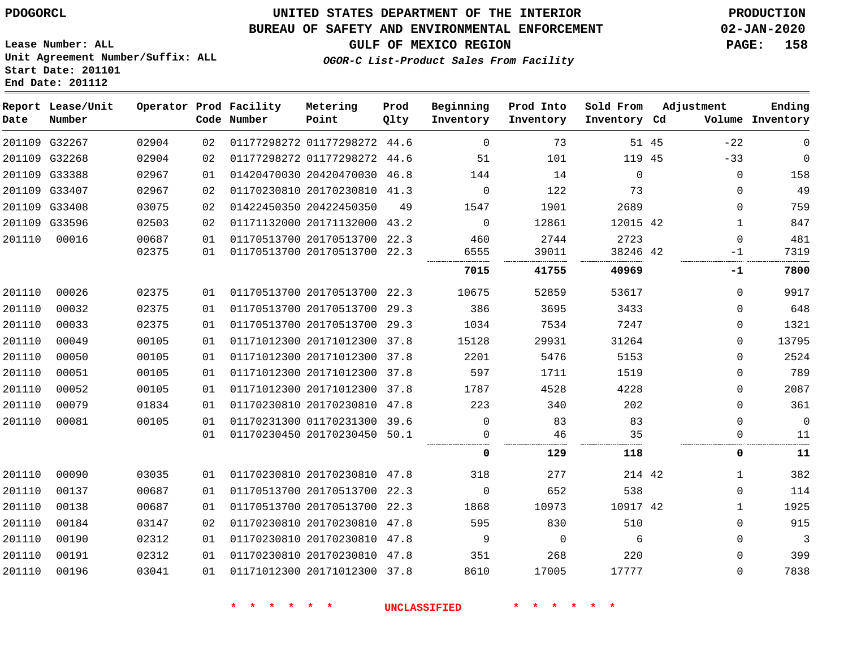**End Date: 201112**

# **UNITED STATES DEPARTMENT OF THE INTERIOR PDOGORCL PRODUCTION**

## **BUREAU OF SAFETY AND ENVIRONMENTAL ENFORCEMENT 02-JAN-2020**

**Lease Number: ALL Unit Agreement Number/Suffix: ALL Start Date: 201101**

**GULF OF MEXICO REGION PAGE: 158**

**OGOR-C List-Product Sales From Facility**

| Date   | Report Lease/Unit<br>Number |       |    | Operator Prod Facility<br>Code Number | Metering<br>Point            | Prod<br>Qlty | Beginning<br>Inventory | Prod Into<br>Inventory | Sold From<br>Inventory Cd |       | Adjustment   | Ending<br>Volume Inventory |
|--------|-----------------------------|-------|----|---------------------------------------|------------------------------|--------------|------------------------|------------------------|---------------------------|-------|--------------|----------------------------|
|        | 201109 G32267               | 02904 | 02 |                                       | 01177298272 01177298272 44.6 |              | $\Omega$               | 73                     |                           | 51 45 | $-22$        | $\mathbf 0$                |
|        | 201109 G32268               | 02904 | 02 |                                       | 01177298272 01177298272 44.6 |              | 51                     | 101                    | 119 45                    |       | $-33$        | $\Omega$                   |
|        | 201109 G33388               | 02967 | 01 |                                       | 01420470030 20420470030 46.8 |              | 144                    | 14                     | $\Omega$                  |       | $\Omega$     | 158                        |
|        | 201109 G33407               | 02967 | 02 |                                       | 01170230810 20170230810 41.3 |              | $\Omega$               | 122                    | 73                        |       | $\Omega$     | 49                         |
|        | 201109 G33408               | 03075 | 02 |                                       | 01422450350 20422450350      | 49           | 1547                   | 1901                   | 2689                      |       | $\Omega$     | 759                        |
|        | 201109 G33596               | 02503 | 02 |                                       | 01171132000 20171132000      | 43.2         | $\mathbf 0$            | 12861                  | 12015 42                  |       | $\mathbf{1}$ | 847                        |
| 201110 | 00016                       | 00687 | 01 |                                       | 01170513700 20170513700 22.3 |              | 460                    | 2744                   | 2723                      |       | 0            | 481                        |
|        |                             | 02375 | 01 |                                       | 01170513700 20170513700 22.3 |              | 6555                   | 39011                  | 38246 42                  |       | $-1$         | 7319                       |
|        |                             |       |    |                                       |                              |              | 7015                   | 41755                  | 40969                     |       | -1           | 7800                       |
| 201110 | 00026                       | 02375 | 01 |                                       | 01170513700 20170513700      | 22.3         | 10675                  | 52859                  | 53617                     |       | $\Omega$     | 9917                       |
| 201110 | 00032                       | 02375 | 01 |                                       | 01170513700 20170513700 29.3 |              | 386                    | 3695                   | 3433                      |       | $\Omega$     | 648                        |
| 201110 | 00033                       | 02375 | 01 |                                       | 01170513700 20170513700 29.3 |              | 1034                   | 7534                   | 7247                      |       | $\Omega$     | 1321                       |
| 201110 | 00049                       | 00105 | 01 |                                       | 01171012300 20171012300 37.8 |              | 15128                  | 29931                  | 31264                     |       | 0            | 13795                      |
| 201110 | 00050                       | 00105 | 01 |                                       | 01171012300 20171012300 37.8 |              | 2201                   | 5476                   | 5153                      |       | 0            | 2524                       |
| 201110 | 00051                       | 00105 | 01 |                                       | 01171012300 20171012300 37.8 |              | 597                    | 1711                   | 1519                      |       | 0            | 789                        |
| 201110 | 00052                       | 00105 | 01 |                                       | 01171012300 20171012300      | 37.8         | 1787                   | 4528                   | 4228                      |       | $\Omega$     | 2087                       |
| 201110 | 00079                       | 01834 | 01 |                                       | 01170230810 20170230810 47.8 |              | 223                    | 340                    | 202                       |       | $\Omega$     | 361                        |
| 201110 | 00081                       | 00105 | 01 |                                       | 01170231300 01170231300 39.6 |              | $\Omega$               | 83                     | 83                        |       | $\Omega$     | $\mathbf{0}$               |
|        |                             |       | 01 |                                       | 01170230450 20170230450 50.1 |              | $\Omega$               | 46                     | 35                        |       | $\Omega$     | 11                         |
|        |                             |       |    |                                       |                              |              | $\Omega$               | 129                    | 118                       |       | 0            | 11                         |
| 201110 | 00090                       | 03035 | 01 |                                       | 01170230810 20170230810 47.8 |              | 318                    | 277                    | 214 42                    |       | $\mathbf{1}$ | 382                        |
| 201110 | 00137                       | 00687 | 01 |                                       | 01170513700 20170513700 22.3 |              | $\Omega$               | 652                    | 538                       |       | 0            | 114                        |
| 201110 | 00138                       | 00687 | 01 |                                       | 01170513700 20170513700 22.3 |              | 1868                   | 10973                  | 10917 42                  |       | $\mathbf{1}$ | 1925                       |
| 201110 | 00184                       | 03147 | 02 |                                       | 01170230810 20170230810 47.8 |              | 595                    | 830                    | 510                       |       | $\Omega$     | 915                        |
| 201110 | 00190                       | 02312 | 01 |                                       | 01170230810 20170230810 47.8 |              | 9                      | $\mathbf 0$            | 6                         |       | $\mathbf 0$  | 3                          |
| 201110 | 00191                       | 02312 | 01 |                                       | 01170230810 20170230810 47.8 |              | 351                    | 268                    | 220                       |       | $\Omega$     | 399                        |
| 201110 | 00196                       | 03041 | 01 |                                       | 01171012300 20171012300 37.8 |              | 8610                   | 17005                  | 17777                     |       | $\Omega$     | 7838                       |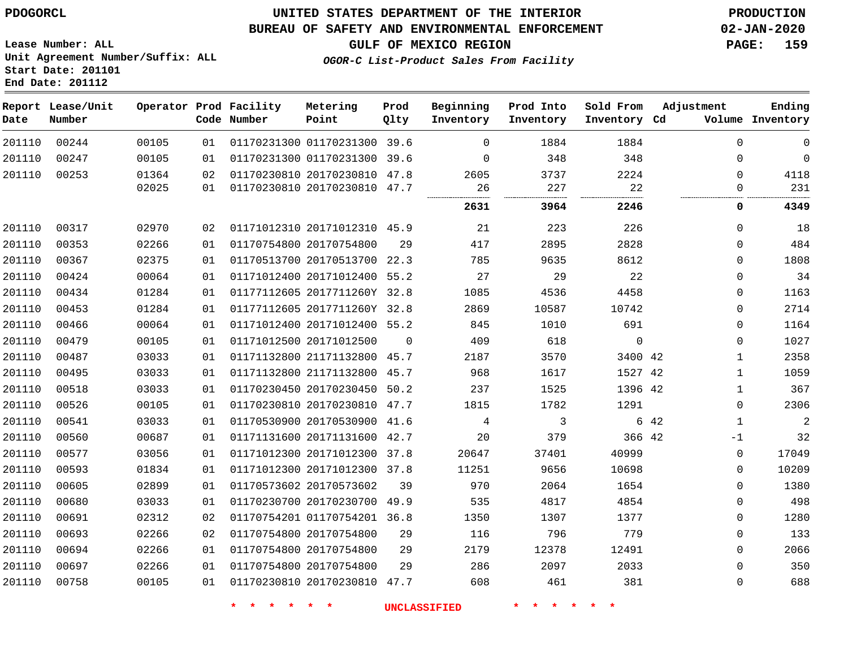**End Date: 201112**

## **UNITED STATES DEPARTMENT OF THE INTERIOR PDOGORCL PRODUCTION**

#### **BUREAU OF SAFETY AND ENVIRONMENTAL ENFORCEMENT 02-JAN-2020**

**Lease Number: ALL Unit Agreement Number/Suffix: ALL Start Date: 201101**

**OGOR-C List-Product Sales From Facility**

|  | <b>GULF OF MEXICO REGION</b> | <b>PAGE: 159</b>                                                                            |  |
|--|------------------------------|---------------------------------------------------------------------------------------------|--|
|  |                              | $A$ $I_{n}$ $A_{n}$ $A_{n}$ $A_{n}$ $A_{n}$ $A_{n}$ $A_{n}$ $A_{n}$ $A_{n}$ $A_{n}$ $A_{n}$ |  |

| Date   | Report Lease/Unit<br>Number |       |    | Operator Prod Facility<br>Code Number | Metering<br>Point            | Prod<br>Qlty | Beginning<br>Inventory | Prod Into<br>Inventory        | Sold From<br>Inventory Cd | Adjustment |              | Ending<br>Volume Inventory |
|--------|-----------------------------|-------|----|---------------------------------------|------------------------------|--------------|------------------------|-------------------------------|---------------------------|------------|--------------|----------------------------|
| 201110 | 00244                       | 00105 | 01 |                                       | 01170231300 01170231300 39.6 |              | $\mathbf 0$            | 1884                          | 1884                      |            | 0            | $\mathsf{O}\xspace$        |
| 201110 | 00247                       | 00105 | 01 |                                       | 01170231300 01170231300 39.6 |              | $\Omega$               | 348                           | 348                       |            | 0            | $\mathsf 0$                |
| 201110 | 00253                       | 01364 | 02 |                                       | 01170230810 20170230810 47.8 |              | 2605                   | 3737                          | 2224                      |            | 0            | 4118                       |
|        |                             | 02025 | 01 |                                       | 01170230810 20170230810 47.7 |              | 26                     | 227                           | 22                        |            | 0            | 231                        |
|        |                             |       |    |                                       |                              |              | 2631                   | 3964                          | 2246                      |            | 0            | 4349                       |
| 201110 | 00317                       | 02970 | 02 |                                       | 01171012310 20171012310 45.9 |              | 21                     | 223                           | 226                       |            | 0            | 18                         |
| 201110 | 00353                       | 02266 | 01 |                                       | 01170754800 20170754800      | 29           | 417                    | 2895                          | 2828                      |            | 0            | 484                        |
| 201110 | 00367                       | 02375 | 01 |                                       | 01170513700 20170513700 22.3 |              | 785                    | 9635                          | 8612                      |            | 0            | 1808                       |
| 201110 | 00424                       | 00064 | 01 |                                       | 01171012400 20171012400 55.2 |              | 27                     | 29                            | 22                        |            | 0            | 34                         |
| 201110 | 00434                       | 01284 | 01 |                                       | 01177112605 2017711260Y 32.8 |              | 1085                   | 4536                          | 4458                      |            | 0            | 1163                       |
| 201110 | 00453                       | 01284 | 01 |                                       | 01177112605 2017711260Y 32.8 |              | 2869                   | 10587                         | 10742                     |            | 0            | 2714                       |
| 201110 | 00466                       | 00064 | 01 |                                       | 01171012400 20171012400 55.2 |              | 845                    | 1010                          | 691                       |            | 0            | 1164                       |
| 201110 | 00479                       | 00105 | 01 |                                       | 01171012500 20171012500      | $\mathbf 0$  | 409                    | 618                           | $\mathbf 0$               |            | 0            | 1027                       |
| 201110 | 00487                       | 03033 | 01 |                                       | 01171132800 21171132800 45.7 |              | 2187                   | 3570                          | 3400 42                   |            | $\mathbf 1$  | 2358                       |
| 201110 | 00495                       | 03033 | 01 |                                       | 01171132800 21171132800 45.7 |              | 968                    | 1617                          | 1527 42                   |            | $\mathbf{1}$ | 1059                       |
| 201110 | 00518                       | 03033 | 01 |                                       | 01170230450 20170230450 50.2 |              | 237                    | 1525                          | 1396 42                   |            | $\mathbf{1}$ | 367                        |
| 201110 | 00526                       | 00105 | 01 |                                       | 01170230810 20170230810 47.7 |              | 1815                   | 1782                          | 1291                      |            | 0            | 2306                       |
| 201110 | 00541                       | 03033 | 01 |                                       | 01170530900 20170530900 41.6 |              | 4                      | $\mathfrak{Z}$                |                           | 6 42       | $\mathbf{1}$ | $\sqrt{2}$                 |
| 201110 | 00560                       | 00687 | 01 |                                       | 01171131600 20171131600 42.7 |              | 20                     | 379                           | 366 42                    |            | $-1$         | 32                         |
| 201110 | 00577                       | 03056 | 01 |                                       | 01171012300 20171012300 37.8 |              | 20647                  | 37401                         | 40999                     |            | 0            | 17049                      |
| 201110 | 00593                       | 01834 | 01 |                                       | 01171012300 20171012300 37.8 |              | 11251                  | 9656                          | 10698                     |            | 0            | 10209                      |
| 201110 | 00605                       | 02899 | 01 |                                       | 01170573602 20170573602      | 39           | 970                    | 2064                          | 1654                      |            | 0            | 1380                       |
| 201110 | 00680                       | 03033 | 01 |                                       | 01170230700 20170230700 49.9 |              | 535                    | 4817                          | 4854                      |            | 0            | 498                        |
| 201110 | 00691                       | 02312 | 02 |                                       | 01170754201 01170754201 36.8 |              | 1350                   | 1307                          | 1377                      |            | 0            | 1280                       |
| 201110 | 00693                       | 02266 | 02 |                                       | 01170754800 20170754800      | 29           | 116                    | 796                           | 779                       |            | 0            | 133                        |
| 201110 | 00694                       | 02266 | 01 |                                       | 01170754800 20170754800      | 29           | 2179                   | 12378                         | 12491                     |            | 0            | 2066                       |
| 201110 | 00697                       | 02266 | 01 |                                       | 01170754800 20170754800      | 29           | 286                    | 2097                          | 2033                      |            | 0            | 350                        |
| 201110 | 00758                       | 00105 | 01 |                                       | 01170230810 20170230810 47.7 |              | 608                    | 461                           | 381                       |            | 0            | 688                        |
|        |                             |       |    | $\star$<br>一大<br>一大                   | $\star$ $\star$              |              | UNCLASSIFIED           | $\star$<br>$\star$<br>$\star$ | $\star$ $\star$           |            |              |                            |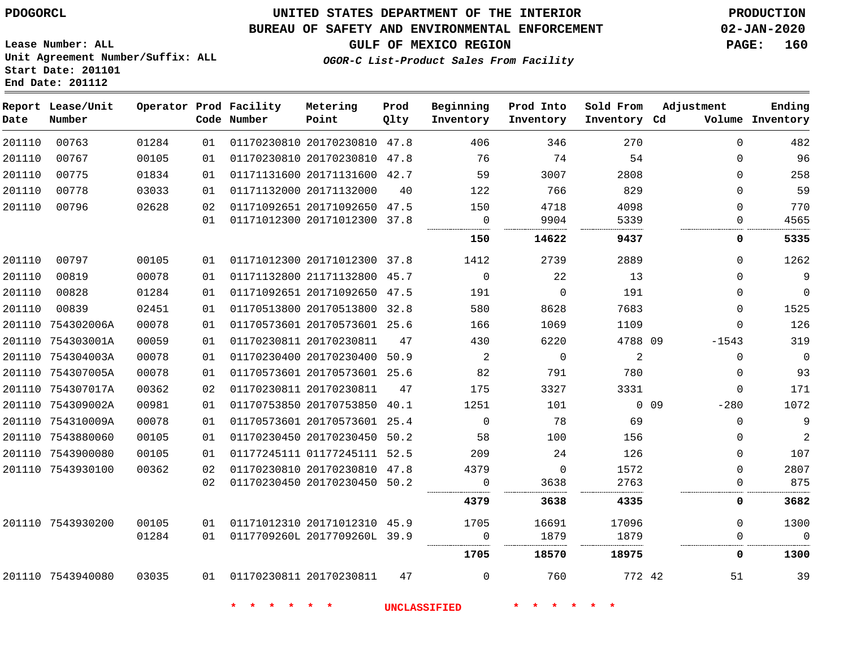#### **BUREAU OF SAFETY AND ENVIRONMENTAL ENFORCEMENT 02-JAN-2020**

**GULF OF MEXICO REGION PAGE: 160**

**OGOR-C List-Product Sales From Facility**

**Lease Number: ALL Unit Agreement Number/Suffix: ALL Start Date: 201101 End Date: 201112**

| Date   | Report Lease/Unit<br>Number |       |    | Operator Prod Facility<br>Code Number | Metering<br>Point            | Prod<br>Qlty | Beginning<br>Inventory | Prod Into<br>Inventory | Sold From<br>Inventory Cd | Adjustment       | Ending<br>Volume Inventory |
|--------|-----------------------------|-------|----|---------------------------------------|------------------------------|--------------|------------------------|------------------------|---------------------------|------------------|----------------------------|
| 201110 | 00763                       | 01284 | 01 |                                       | 01170230810 20170230810 47.8 |              | 406                    | 346                    | 270                       | $\Omega$         | 482                        |
| 201110 | 00767                       | 00105 | 01 |                                       | 01170230810 20170230810 47.8 |              | 76                     | 74                     | 54                        | $\Omega$         | 96                         |
| 201110 | 00775                       | 01834 | 01 |                                       | 01171131600 20171131600 42.7 |              | 59                     | 3007                   | 2808                      | $\mathbf 0$      | 258                        |
| 201110 | 00778                       | 03033 | 01 |                                       | 01171132000 20171132000      | 40           | 122                    | 766                    | 829                       | 0                | 59                         |
| 201110 | 00796                       | 02628 | 02 |                                       | 01171092651 20171092650 47.5 |              | 150                    | 4718                   | 4098                      | $\Omega$         | 770                        |
|        |                             |       | 01 |                                       | 01171012300 20171012300 37.8 |              | $\mathbf 0$            | 9904                   | 5339                      | $\Omega$         | 4565                       |
|        |                             |       |    |                                       |                              |              | 150                    | 14622                  | 9437                      | 0                | 5335                       |
| 201110 | 00797                       | 00105 | 01 |                                       | 01171012300 20171012300 37.8 |              | 1412                   | 2739                   | 2889                      | $\Omega$         | 1262                       |
| 201110 | 00819                       | 00078 | 01 |                                       | 01171132800 21171132800 45.7 |              | $\mathbf 0$            | 22                     | 13                        | 0                | 9                          |
| 201110 | 00828                       | 01284 | 01 |                                       | 01171092651 20171092650 47.5 |              | 191                    | $\Omega$               | 191                       | $\mathbf 0$      | $\mathbf 0$                |
| 201110 | 00839                       | 02451 | 01 |                                       | 01170513800 20170513800 32.8 |              | 580                    | 8628                   | 7683                      | $\Omega$         | 1525                       |
|        | 201110 754302006A           | 00078 | 01 |                                       | 01170573601 20170573601 25.6 |              | 166                    | 1069                   | 1109                      | $\Omega$         | 126                        |
|        | 201110 754303001A           | 00059 | 01 | 01170230811 20170230811               |                              | 47           | 430                    | 6220                   | 4788 09                   | $-1543$          | 319                        |
|        | 201110 754304003A           | 00078 | 01 |                                       | 01170230400 20170230400 50.9 |              | 2                      | $\Omega$               | 2                         | $\Omega$         | $\Omega$                   |
|        | 201110 754307005A           | 00078 | 01 |                                       | 01170573601 20170573601 25.6 |              | 82                     | 791                    | 780                       | $\mathbf 0$      | 93                         |
|        | 201110 754307017A           | 00362 | 02 | 01170230811 20170230811               |                              | 47           | 175                    | 3327                   | 3331                      | $\mathbf 0$      | 171                        |
|        | 201110 754309002A           | 00981 | 01 |                                       | 01170753850 20170753850      | 40.1         | 1251                   | 101                    |                           | $0$ 09<br>$-280$ | 1072                       |
|        | 201110 754310009A           | 00078 | 01 |                                       | 01170573601 20170573601 25.4 |              | $\mathbf 0$            | 78                     | 69                        | $\mathbf 0$      | 9                          |
|        | 201110 7543880060           | 00105 | 01 |                                       | 01170230450 20170230450      | 50.2         | 58                     | 100                    | 156                       | 0                | $\overline{2}$             |
|        | 201110 7543900080           | 00105 | 01 |                                       | 01177245111 01177245111 52.5 |              | 209                    | 24                     | 126                       | $\mathbf 0$      | 107                        |
|        | 201110 7543930100           | 00362 | 02 |                                       | 01170230810 20170230810 47.8 |              | 4379                   | $\Omega$               | 1572                      | $\Omega$         | 2807                       |
|        |                             |       | 02 |                                       | 01170230450 20170230450 50.2 |              | 0                      | 3638                   | 2763                      | $\Omega$         | 875                        |
|        |                             |       |    |                                       |                              |              | 4379                   | 3638                   | 4335                      | 0                | 3682                       |
|        | 201110 7543930200           | 00105 | 01 |                                       | 01171012310 20171012310 45.9 |              | 1705                   | 16691                  | 17096                     | $\mathbf 0$      | 1300                       |
|        |                             | 01284 | 01 |                                       | 0117709260L 2017709260L 39.9 |              | $\Omega$<br>.          | 1879                   | 1879                      | 0                | $\Omega$                   |
|        |                             |       |    |                                       |                              |              | 1705                   | 18570                  | 18975                     | 0                | 1300                       |
|        | 201110 7543940080           | 03035 | 01 | 01170230811 20170230811               |                              | 47           | 0                      | 760                    | 772 42                    | 51               | 39                         |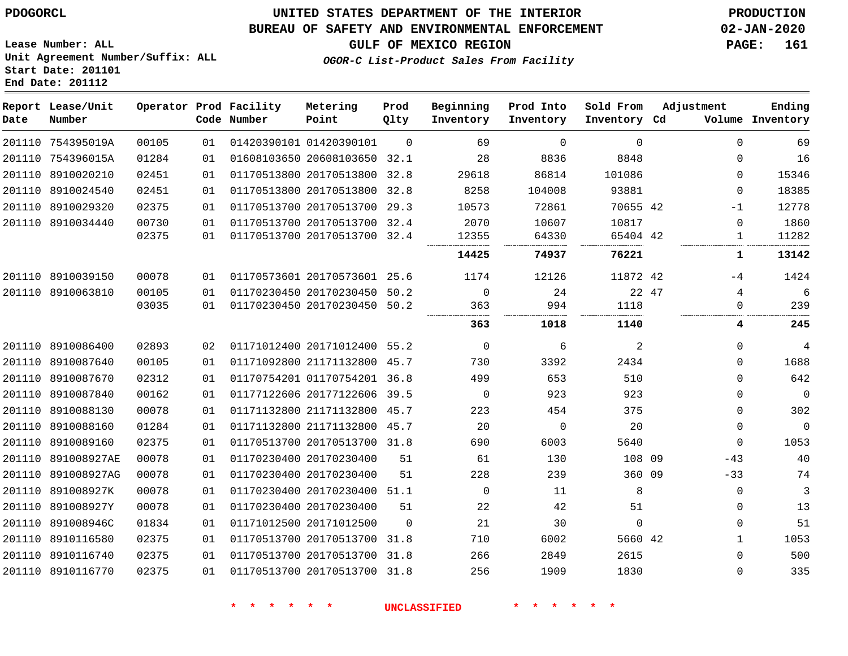**End Date: 201112**

## **UNITED STATES DEPARTMENT OF THE INTERIOR PDOGORCL PRODUCTION**

## **BUREAU OF SAFETY AND ENVIRONMENTAL ENFORCEMENT 02-JAN-2020**

**Lease Number: ALL Unit Agreement Number/Suffix: ALL Start Date: 201101**

**GULF OF MEXICO REGION PAGE: 161**

**OGOR-C List-Product Sales From Facility**

| Date   | Report Lease/Unit<br>Number |       |    | Operator Prod Facility<br>Code Number | Metering<br>Point            | Prod<br>Qlty | Beginning<br>Inventory | Prod Into<br>Inventory | Sold From<br>Inventory Cd | Adjustment   | Ending<br>Volume Inventory |
|--------|-----------------------------|-------|----|---------------------------------------|------------------------------|--------------|------------------------|------------------------|---------------------------|--------------|----------------------------|
|        | 201110 754395019A           | 00105 | 01 |                                       | 01420390101 01420390101      | $\Omega$     | 69                     | $\Omega$               | $\Omega$                  | $\Omega$     | 69                         |
| 201110 | 754396015A                  | 01284 | 01 |                                       | 01608103650 20608103650      | 32.1         | 28                     | 8836                   | 8848                      | $\Omega$     | 16                         |
| 201110 | 8910020210                  | 02451 | 01 |                                       | 01170513800 20170513800      | 32.8         | 29618                  | 86814                  | 101086                    | $\Omega$     | 15346                      |
| 201110 | 8910024540                  | 02451 | 01 |                                       | 01170513800 20170513800      | 32.8         | 8258                   | 104008                 | 93881                     | $\Omega$     | 18385                      |
|        | 201110 8910029320           | 02375 | 01 |                                       | 01170513700 20170513700      | 29.3         | 10573                  | 72861                  | 70655 42                  | $-1$         | 12778                      |
| 201110 | 8910034440                  | 00730 | 01 |                                       | 01170513700 20170513700      | 32.4         | 2070                   | 10607                  | 10817                     | $\Omega$     | 1860                       |
|        |                             | 02375 | 01 |                                       | 01170513700 20170513700      | 32.4         | 12355                  | 64330                  | 65404 42                  | 1            | 11282                      |
|        |                             |       |    |                                       |                              |              | 14425                  | 74937                  | 76221                     | 1            | 13142                      |
|        | 201110 8910039150           | 00078 | 01 |                                       | 01170573601 20170573601 25.6 |              | 1174                   | 12126                  | 11872 42                  | -4           | 1424                       |
|        | 201110 8910063810           | 00105 | 01 |                                       | 01170230450 20170230450      | 50.2         | 0                      | 24                     | 22 47                     | 4            | 6                          |
|        |                             | 03035 | 01 |                                       | 01170230450 20170230450      | 50.2         | 363                    | 994                    | 1118                      | $\Omega$     | 239                        |
|        |                             |       |    |                                       |                              |              | 363                    | 1018                   | 1140                      | 4            | 245                        |
|        | 201110 8910086400           | 02893 | 02 |                                       | 01171012400 20171012400 55.2 |              | $\mathbf 0$            | 6                      | 2                         | 0            | 4                          |
|        | 201110 8910087640           | 00105 | 01 |                                       | 01171092800 21171132800 45.7 |              | 730                    | 3392                   | 2434                      | 0            | 1688                       |
|        | 201110 8910087670           | 02312 | 01 |                                       | 01170754201 01170754201 36.8 |              | 499                    | 653                    | 510                       | $\Omega$     | 642                        |
|        | 201110 8910087840           | 00162 | 01 |                                       | 01177122606 20177122606      | 39.5         | $\Omega$               | 923                    | 923                       | $\Omega$     | $\mathbf 0$                |
| 201110 | 8910088130                  | 00078 | 01 |                                       | 01171132800 21171132800 45.7 |              | 223                    | 454                    | 375                       | $\Omega$     | 302                        |
| 201110 | 8910088160                  | 01284 | 01 |                                       | 01171132800 21171132800 45.7 |              | 20                     | 0                      | 20                        | $\mathbf 0$  | $\mathbf 0$                |
| 201110 | 8910089160                  | 02375 | 01 |                                       | 01170513700 20170513700 31.8 |              | 690                    | 6003                   | 5640                      | $\mathbf 0$  | 1053                       |
| 201110 | 891008927AE                 | 00078 | 01 |                                       | 01170230400 20170230400      | 51           | 61                     | 130                    | 108 09                    | $-43$        | 40                         |
| 201110 | 891008927AG                 | 00078 | 01 |                                       | 01170230400 20170230400      | 51           | 228                    | 239                    | 360 09                    | $-33$        | 74                         |
| 201110 | 891008927K                  | 00078 | 01 |                                       | 01170230400 20170230400 51.1 |              | $\Omega$               | 11                     | 8                         | $\Omega$     | 3                          |
| 201110 | 891008927Y                  | 00078 | 01 |                                       | 01170230400 20170230400      | 51           | 22                     | 42                     | 51                        | $\mathbf 0$  | 13                         |
| 201110 | 891008946C                  | 01834 | 01 |                                       | 01171012500 20171012500      | $\Omega$     | 21                     | 30                     | $\mathbf{0}$              | 0            | 51                         |
| 201110 | 8910116580                  | 02375 | 01 |                                       | 01170513700 20170513700      | 31.8         | 710                    | 6002                   | 5660 42                   | $\mathbf{1}$ | 1053                       |
| 201110 | 8910116740                  | 02375 | 01 |                                       | 01170513700 20170513700      | 31.8         | 266                    | 2849                   | 2615                      | $\Omega$     | 500                        |
| 201110 | 8910116770                  | 02375 | 01 |                                       | 01170513700 20170513700      | 31.8         | 256                    | 1909                   | 1830                      | $\Omega$     | 335                        |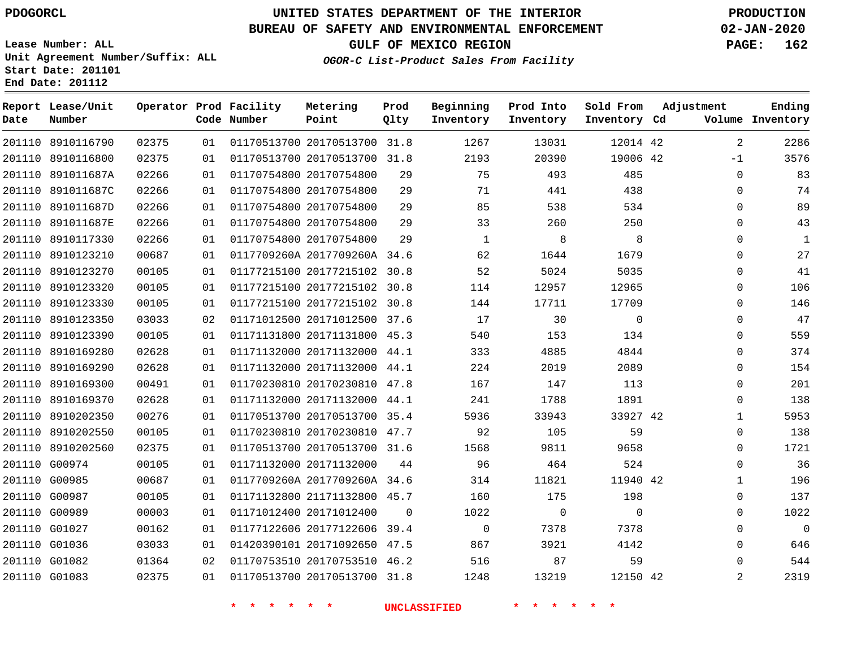## **BUREAU OF SAFETY AND ENVIRONMENTAL ENFORCEMENT 02-JAN-2020**

**Lease Number: ALL Unit Agreement Number/Suffix: ALL Start Date: 201101 End Date: 201112**

**OGOR-C List-Product Sales From Facility**

**GULF OF MEXICO REGION PAGE: 162**

| Date          | Report Lease/Unit<br>Number |       |    | Operator Prod Facility<br>Code Number | Metering<br>Point            | Prod<br>Qlty | Beginning<br>Inventory | Prod Into<br>Inventory | Sold From<br>Inventory Cd | Adjustment     | Ending<br>Volume Inventory |
|---------------|-----------------------------|-------|----|---------------------------------------|------------------------------|--------------|------------------------|------------------------|---------------------------|----------------|----------------------------|
|               | 201110 8910116790           | 02375 | 01 |                                       | 01170513700 20170513700 31.8 |              | 1267                   | 13031                  | 12014 42                  | $\overline{2}$ | 2286                       |
|               | 201110 8910116800           | 02375 | 01 |                                       | 01170513700 20170513700 31.8 |              | 2193                   | 20390                  | 19006 42                  | $-1$           | 3576                       |
|               | 201110 891011687A           | 02266 | 01 |                                       | 01170754800 20170754800      | 29           | 75                     | 493                    | 485                       | $\Omega$       | 83                         |
|               | 201110 891011687C           | 02266 | 01 |                                       | 01170754800 20170754800      | 29           | 71                     | 441                    | 438                       | $\mathbf 0$    | 74                         |
|               | 201110 891011687D           | 02266 | 01 |                                       | 01170754800 20170754800      | 29           | 85                     | 538                    | 534                       | $\Omega$       | 89                         |
|               | 201110 891011687E           | 02266 | 01 |                                       | 01170754800 20170754800      | 29           | 33                     | 260                    | 250                       | $\Omega$       | 43                         |
|               | 201110 8910117330           | 02266 | 01 |                                       | 01170754800 20170754800      | 29           | 1                      | 8                      | 8                         | $\Omega$       | $\mathbf{1}$               |
|               | 201110 8910123210           | 00687 | 01 |                                       | 0117709260A 2017709260A 34.6 |              | 62                     | 1644                   | 1679                      | $\mathbf 0$    | 27                         |
|               | 201110 8910123270           | 00105 | 01 |                                       | 01177215100 20177215102 30.8 |              | 52                     | 5024                   | 5035                      | $\Omega$       | 41                         |
|               | 201110 8910123320           | 00105 | 01 |                                       | 01177215100 20177215102 30.8 |              | 114                    | 12957                  | 12965                     | $\mathbf 0$    | 106                        |
|               | 201110 8910123330           | 00105 | 01 |                                       | 01177215100 20177215102 30.8 |              | 144                    | 17711                  | 17709                     | $\Omega$       | 146                        |
|               | 201110 8910123350           | 03033 | 02 |                                       | 01171012500 20171012500 37.6 |              | 17                     | 30                     | $\mathbf 0$               | $\mathbf 0$    | 47                         |
|               | 201110 8910123390           | 00105 | 01 |                                       | 01171131800 20171131800 45.3 |              | 540                    | 153                    | 134                       | $\mathbf{0}$   | 559                        |
|               | 201110 8910169280           | 02628 | 01 |                                       | 01171132000 20171132000 44.1 |              | 333                    | 4885                   | 4844                      | $\mathbf 0$    | 374                        |
|               | 201110 8910169290           | 02628 | 01 |                                       | 01171132000 20171132000 44.1 |              | 224                    | 2019                   | 2089                      | $\mathbf 0$    | 154                        |
|               | 201110 8910169300           | 00491 | 01 |                                       | 01170230810 20170230810 47.8 |              | 167                    | 147                    | 113                       | $\mathbf 0$    | 201                        |
|               | 201110 8910169370           | 02628 | 01 |                                       | 01171132000 20171132000 44.1 |              | 241                    | 1788                   | 1891                      | 0              | 138                        |
|               | 201110 8910202350           | 00276 | 01 |                                       | 01170513700 20170513700 35.4 |              | 5936                   | 33943                  | 33927 42                  | 1              | 5953                       |
|               | 201110 8910202550           | 00105 | 01 |                                       | 01170230810 20170230810 47.7 |              | 92                     | 105                    | 59                        | 0              | 138                        |
|               | 201110 8910202560           | 02375 | 01 |                                       | 01170513700 20170513700 31.6 |              | 1568                   | 9811                   | 9658                      | $\mathbf 0$    | 1721                       |
|               | 201110 G00974               | 00105 | 01 |                                       | 01171132000 20171132000      | 44           | 96                     | 464                    | 524                       | 0              | 36                         |
|               | 201110 G00985               | 00687 | 01 |                                       | 0117709260A 2017709260A 34.6 |              | 314                    | 11821                  | 11940 42                  | 1              | 196                        |
|               | 201110 G00987               | 00105 | 01 |                                       | 01171132800 21171132800 45.7 |              | 160                    | 175                    | 198                       | 0              | 137                        |
| 201110 G00989 |                             | 00003 | 01 |                                       | 01171012400 20171012400      | 0            | 1022                   | $\mathsf{O}$           | $\mathbf 0$               | $\mathbf 0$    | 1022                       |
|               | 201110 G01027               | 00162 | 01 |                                       | 01177122606 20177122606 39.4 |              | $\mathbf 0$            | 7378                   | 7378                      | 0              | $\mathbf{0}$               |
| 201110 G01036 |                             | 03033 | 01 |                                       | 01420390101 20171092650 47.5 |              | 867                    | 3921                   | 4142                      | 0              | 646                        |
|               | 201110 G01082               | 01364 | 02 |                                       | 01170753510 20170753510 46.2 |              | 516                    | 87                     | 59                        | 0              | 544                        |
|               | 201110 G01083               | 02375 | 01 |                                       | 01170513700 20170513700 31.8 |              | 1248                   | 13219                  | 12150 42                  | 2              | 2319                       |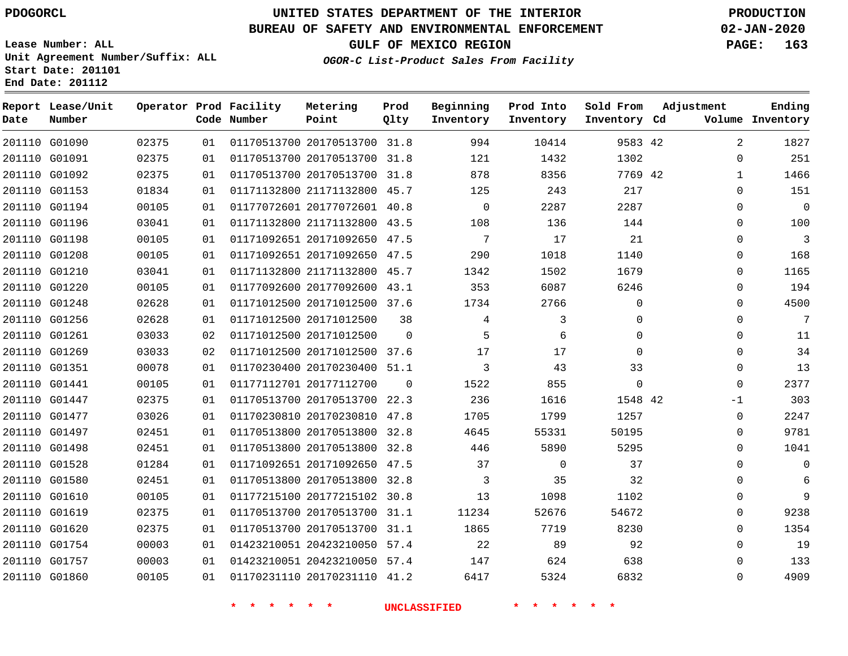## **BUREAU OF SAFETY AND ENVIRONMENTAL ENFORCEMENT 02-JAN-2020**

**Lease Number: ALL Unit Agreement Number/Suffix: ALL Start Date: 201101**

**End Date: 201112**

**GULF OF MEXICO REGION PAGE: 163**

**OGOR-C List-Product Sales From Facility**

| Date | Report Lease/Unit<br>Number |       |    | Operator Prod Facility<br>Code Number | Metering<br>Point            | Prod<br>Qlty | Beginning<br>Inventory | Prod Into<br>Inventory | Sold From<br>Inventory Cd | Adjustment     | Ending<br>Volume Inventory |
|------|-----------------------------|-------|----|---------------------------------------|------------------------------|--------------|------------------------|------------------------|---------------------------|----------------|----------------------------|
|      | 201110 G01090               | 02375 | 01 |                                       | 01170513700 20170513700 31.8 |              | 994                    | 10414                  | 9583 42                   | $\overline{2}$ | 1827                       |
|      | 201110 G01091               | 02375 | 01 |                                       | 01170513700 20170513700 31.8 |              | 121                    | 1432                   | 1302                      | $\mathbf 0$    | 251                        |
|      | 201110 G01092               | 02375 | 01 |                                       | 01170513700 20170513700 31.8 |              | 878                    | 8356                   | 7769 42                   | $\mathbf{1}$   | 1466                       |
|      | 201110 G01153               | 01834 | 01 |                                       | 01171132800 21171132800 45.7 |              | 125                    | 243                    | 217                       | $\mathbf 0$    | 151                        |
|      | 201110 G01194               | 00105 | 01 |                                       | 01177072601 20177072601 40.8 |              | $\mathbf 0$            | 2287                   | 2287                      | $\mathbf 0$    | $\overline{0}$             |
|      | 201110 G01196               | 03041 | 01 |                                       | 01171132800 21171132800 43.5 |              | 108                    | 136                    | 144                       | $\mathbf 0$    | 100                        |
|      | 201110 G01198               | 00105 | 01 |                                       | 01171092651 20171092650 47.5 |              | 7                      | 17                     | 21                        | $\mathbf 0$    | 3                          |
|      | 201110 G01208               | 00105 | 01 |                                       | 01171092651 20171092650 47.5 |              | 290                    | 1018                   | 1140                      | 0              | 168                        |
|      | 201110 G01210               | 03041 | 01 |                                       | 01171132800 21171132800 45.7 |              | 1342                   | 1502                   | 1679                      | 0              | 1165                       |
|      | 201110 G01220               | 00105 | 01 |                                       | 01177092600 20177092600 43.1 |              | 353                    | 6087                   | 6246                      | 0              | 194                        |
|      | 201110 G01248               | 02628 | 01 |                                       | 01171012500 20171012500 37.6 |              | 1734                   | 2766                   | $\mathbf{0}$              | 0              | 4500                       |
|      | 201110 G01256               | 02628 | 01 |                                       | 01171012500 20171012500      | 38           | 4                      | 3                      | $\mathbf{0}$              | $\mathbf{0}$   | 7                          |
|      | 201110 G01261               | 03033 | 02 |                                       | 01171012500 20171012500      | $\Omega$     | 5                      | 6                      | $\Omega$                  | $\mathbf 0$    | 11                         |
|      | 201110 G01269               | 03033 | 02 |                                       | 01171012500 20171012500 37.6 |              | 17                     | 17                     | $\Omega$                  | $\mathbf 0$    | 34                         |
|      | 201110 G01351               | 00078 | 01 |                                       | 01170230400 20170230400 51.1 |              | 3                      | 43                     | 33                        | $\mathbf 0$    | 13                         |
|      | 201110 G01441               | 00105 | 01 |                                       | 01177112701 20177112700      | $\Omega$     | 1522                   | 855                    | $\Omega$                  | $\mathbf 0$    | 2377                       |
|      | 201110 G01447               | 02375 | 01 |                                       | 01170513700 20170513700 22.3 |              | 236                    | 1616                   | 1548 42                   | $-1$           | 303                        |
|      | 201110 G01477               | 03026 | 01 |                                       | 01170230810 20170230810 47.8 |              | 1705                   | 1799                   | 1257                      | $\mathbf 0$    | 2247                       |
|      | 201110 G01497               | 02451 | 01 |                                       | 01170513800 20170513800 32.8 |              | 4645                   | 55331                  | 50195                     | 0              | 9781                       |
|      | 201110 G01498               | 02451 | 01 |                                       | 01170513800 20170513800      | 32.8         | 446                    | 5890                   | 5295                      | $\mathbf 0$    | 1041                       |
|      | 201110 G01528               | 01284 | 01 |                                       | 01171092651 20171092650 47.5 |              | 37                     | $\mathbf 0$            | 37                        | 0              | $\mathbf 0$                |
|      | 201110 G01580               | 02451 | 01 |                                       | 01170513800 20170513800 32.8 |              | 3                      | 35                     | 32                        | 0              | 6                          |
|      | 201110 G01610               | 00105 | 01 |                                       | 01177215100 20177215102 30.8 |              | 13                     | 1098                   | 1102                      | 0              | 9                          |
|      | 201110 G01619               | 02375 | 01 |                                       | 01170513700 20170513700 31.1 |              | 11234                  | 52676                  | 54672                     | 0              | 9238                       |
|      | 201110 G01620               | 02375 | 01 |                                       | 01170513700 20170513700 31.1 |              | 1865                   | 7719                   | 8230                      | 0              | 1354                       |
|      | 201110 G01754               | 00003 | 01 |                                       | 01423210051 20423210050 57.4 |              | 22                     | 89                     | 92                        | 0              | 19                         |
|      | 201110 G01757               | 00003 | 01 |                                       | 01423210051 20423210050 57.4 |              | 147                    | 624                    | 638                       | 0              | 133                        |
|      | 201110 G01860               | 00105 | 01 |                                       | 01170231110 20170231110 41.2 |              | 6417                   | 5324                   | 6832                      | $\Omega$       | 4909                       |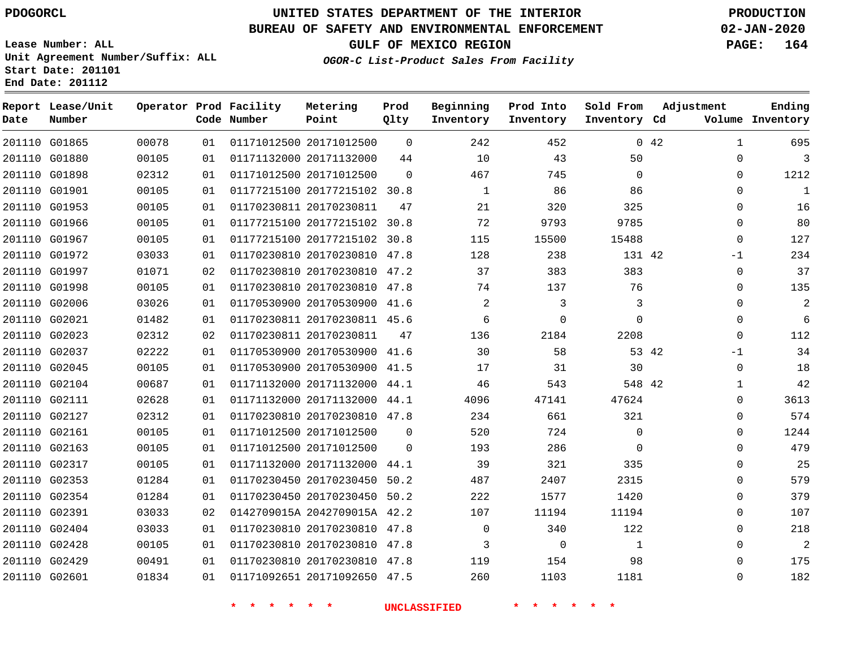**End Date: 201112**

**Report Lease/Unit**

**Number**

# **UNITED STATES DEPARTMENT OF THE INTERIOR PDOGORCL PRODUCTION**

**Prod Qlty**

#### **BUREAU OF SAFETY AND ENVIRONMENTAL ENFORCEMENT 02-JAN-2020**

**Lease Number: ALL Unit Agreement Number/Suffix: ALL Start Date: 201101**

**Operator Prod Facility**

**Code Number**

**Metering Point**

**OGOR-C List-Product Sales From Facility**

**Beginning Inventory** **Prod Into Inventory**

**Sold From Inventory**

**GULF OF MEXICO REGION PAGE: 164**

**Inventory Cd Volume**

**Adjustment**

  $\Omega$  $\Omega$  $\Omega$  $\Omega$  $\Omega$  $\Omega$ -1  $\Omega$  $\Omega$  $\Omega$  $\Omega$  $\overline{0}$ -1  $\Omega$   $\Omega$  $\Omega$  $\Omega$  $\Omega$  $\Omega$  $\Omega$  $\Omega$   $\Omega$  $\Omega$   $\Omega$ 

**Ending**

|  |                         | 242 452 042    |    |                                                                                                  | 01   01171012500   20171012500   0                                                                      |    | 00078               | 201110 G01865 |  |
|--|-------------------------|----------------|----|--------------------------------------------------------------------------------------------------|---------------------------------------------------------------------------------------------------------|----|---------------------|---------------|--|
|  | 50                      |                |    |                                                                                                  | 01 01171132000 20171132000 44 10 43                                                                     |    | 00105               | 201110 G01880 |  |
|  |                         |                |    |                                                                                                  | 01  01171012500  20171012500  0  467  745  0                                                            |    | 02312               | 201110 G01898 |  |
|  |                         |                |    |                                                                                                  | 01 01177215100 20177215102 30.8 1 86 86 86                                                              |    | 00105               | 201110 G01901 |  |
|  | 325                     | 320            | 21 | 01170230811 20170230811 47                                                                       |                                                                                                         | 01 | 00105               | 201110 G01953 |  |
|  |                         |                |    | 01177215100 20177215102 30.8 72 9793 9785                                                        |                                                                                                         | 01 | 00105               | 201110 G01966 |  |
|  | 15488                   | 115<br>15500   |    |                                                                                                  | 01   01177215100   20177215102   30.8                                                                   |    | 00105               | 201110 G01967 |  |
|  |                         |                |    | 01170230810 20170230810 47.8 128 238 131 42                                                      |                                                                                                         | 01 | 03033               | 201110 G01972 |  |
|  | 383 3<br>383            |                |    |                                                                                                  | 02 01170230810 20170230810 47.2 37                                                                      |    | 01071               | 201110 G01997 |  |
|  |                         |                |    | 01170230810 20170230810 47.8 74 137 76                                                           |                                                                                                         | 01 | 00105               | 201110 G01998 |  |
|  | $\overline{\mathbf{3}}$ |                |    |                                                                                                  | 01 01170530900 20170530900 41.6 2 3                                                                     |    | 03026               | 201110 G02006 |  |
|  | $\overline{0}$          |                |    |                                                                                                  |                                                                                                         | 01 | 01482               | 201110 G02021 |  |
|  |                         |                |    | $01170230811 \;\; 20170230811 \qquad 47 \qquad \qquad 136 \qquad \qquad 2184 \qquad \qquad 2208$ |                                                                                                         | 02 | 02312               | 201110 G02023 |  |
|  |                         |                |    |                                                                                                  | 01 01170530900 20170530900 41.6 30 58 53 42                                                             |    | 02222               | 201110 G02037 |  |
|  |                         |                |    | 01170530900 20170530900 41.5 17 31 30                                                            |                                                                                                         | 01 | 00105               | 201110 G02045 |  |
|  |                         |                |    |                                                                                                  | 01  01171132000  20171132000  44.1  46  543  548  42                                                    |    | 00687               | 201110 G02104 |  |
|  | 47141 47624             |                |    |                                                                                                  | 01 01171132000 20171132000 44.1 4096                                                                    |    | 02628               | 201110 G02111 |  |
|  |                         |                |    |                                                                                                  | 01 01170230810 20170230810 47.8 234 661 321                                                             |    | 02312               | 201110 G02127 |  |
|  |                         | 520 724 0      |    | 01171012500 20171012500 0                                                                        |                                                                                                         | 01 | 00105               | 201110 G02161 |  |
|  | $\overline{0}$          | 286            |    | 01171012500 20171012500 0 193                                                                    |                                                                                                         | 01 | 00105               | 201110 G02163 |  |
|  | 335                     | 321            |    | 01171132000 20171132000 44.1 39                                                                  |                                                                                                         | 01 | 00105               | 201110 G02317 |  |
|  | 2407<br>2315            |                |    | 01170230450 20170230450 50.2 487                                                                 |                                                                                                         | 01 | 01284               | 201110 G02353 |  |
|  | 1420                    | 222<br>1577    |    | 01170230450 20170230450 50.2                                                                     |                                                                                                         | 01 | 01284               | 201110 G02354 |  |
|  | 11194                   | 11194          |    | 0142709015A 2042709015A 42.2 107                                                                 |                                                                                                         | 02 | 03033               | 201110 G02391 |  |
|  |                         |                |    |                                                                                                  | $01 \quad 01170230810 \quad 20170230810 \quad 47.8 \qquad \qquad 0 \qquad \qquad 340 \qquad \qquad 122$ |    | 03033               | 201110 G02404 |  |
|  | $\sim$ $\sim$ 1         | $\overline{0}$ |    |                                                                                                  | 01 01170230810 20170230810 47.8 3                                                                       |    | 00105               | 201110 G02428 |  |
|  |                         |                |    |                                                                                                  | 01 01170230810 20170230810 47.8 119 154 98                                                              |    | 00491               | 201110 G02429 |  |
|  |                         |                |    |                                                                                                  | 01 01171092651 20171092650 47.5 260 1103 1181                                                           |    | 201110 G02601 01834 |               |  |
|  |                         |                |    |                                                                                                  |                                                                                                         |    |                     |               |  |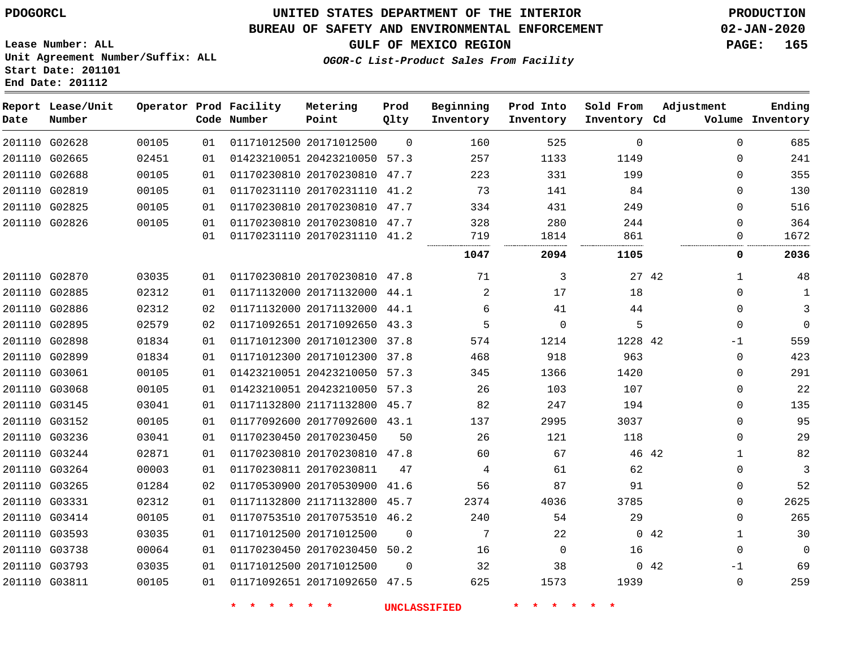**End Date: 201112**

## **UNITED STATES DEPARTMENT OF THE INTERIOR PDOGORCL PRODUCTION**

#### **BUREAU OF SAFETY AND ENVIRONMENTAL ENFORCEMENT 02-JAN-2020**

**Lease Number: ALL Unit Agreement Number/Suffix: ALL Start Date: 201101**

**GULF OF MEXICO REGION PAGE: 165**

**OGOR-C List-Product Sales From Facility**

| Date | Report Lease/Unit<br>Number |       |    | Operator Prod Facility<br>Code Number | Metering<br>Point            | Prod<br>Qlty | Beginning<br>Inventory | Prod Into<br>Inventory | Sold From<br>Inventory Cd | Adjustment          | Ending<br>Volume Inventory |
|------|-----------------------------|-------|----|---------------------------------------|------------------------------|--------------|------------------------|------------------------|---------------------------|---------------------|----------------------------|
|      | 201110 G02628               | 00105 | 01 |                                       | 01171012500 20171012500      | $\Omega$     | 160                    | 525                    | $\Omega$                  | $\Omega$            | 685                        |
|      | 201110 G02665               | 02451 | 01 |                                       | 01423210051 20423210050 57.3 |              | 257                    | 1133                   | 1149                      | $\mathbf 0$         | 241                        |
|      | 201110 G02688               | 00105 | 01 |                                       | 01170230810 20170230810 47.7 |              | 223                    | 331                    | 199                       | $\mathbf{0}$        | 355                        |
|      | 201110 G02819               | 00105 | 01 |                                       | 01170231110 20170231110 41.2 |              | 73                     | 141                    | 84                        | $\mathbf{0}$        | 130                        |
|      | 201110 G02825               | 00105 | 01 |                                       | 01170230810 20170230810 47.7 |              | 334                    | 431                    | 249                       | $\Omega$            | 516                        |
|      | 201110 G02826               | 00105 | 01 |                                       | 01170230810 20170230810 47.7 |              | 328                    | 280                    | 244                       | $\Omega$            | 364                        |
|      |                             |       | 01 |                                       | 01170231110 20170231110 41.2 |              | 719                    | 1814                   | 861                       | 0                   | 1672                       |
|      |                             |       |    |                                       |                              |              | 1047                   | 2094                   | 1105                      | 0                   | 2036                       |
|      | 201110 G02870               | 03035 | 01 |                                       | 01170230810 20170230810 47.8 |              | 71                     | 3                      | 27 42                     | 1                   | 48                         |
|      | 201110 G02885               | 02312 | 01 |                                       | 01171132000 20171132000 44.1 |              | 2                      | 17                     | 18                        | $\Omega$            | 1                          |
|      | 201110 G02886               | 02312 | 02 |                                       | 01171132000 20171132000 44.1 |              | 6                      | 41                     | 44                        | $\mathbf{0}$        | 3                          |
|      | 201110 G02895               | 02579 | 02 |                                       | 01171092651 20171092650 43.3 |              | 5                      | 0                      | 5                         | $\mathbf 0$         | $\overline{0}$             |
|      | 201110 G02898               | 01834 | 01 |                                       | 01171012300 20171012300 37.8 |              | 574                    | 1214                   | 1228 42                   | $-1$                | 559                        |
|      | 201110 G02899               | 01834 | 01 |                                       | 01171012300 20171012300 37.8 |              | 468                    | 918                    | 963                       | $\mathbf 0$         | 423                        |
|      | 201110 G03061               | 00105 | 01 |                                       | 01423210051 20423210050 57.3 |              | 345                    | 1366                   | 1420                      | 0                   | 291                        |
|      | 201110 G03068               | 00105 | 01 |                                       | 01423210051 20423210050 57.3 |              | 26                     | 103                    | 107                       | 0                   | 22                         |
|      | 201110 G03145               | 03041 | 01 |                                       | 01171132800 21171132800 45.7 |              | 82                     | 247                    | 194                       | $\mathbf 0$         | 135                        |
|      | 201110 G03152               | 00105 | 01 |                                       | 01177092600 20177092600 43.1 |              | 137                    | 2995                   | 3037                      | $\mathbf 0$         | 95                         |
|      | 201110 G03236               | 03041 | 01 |                                       | 01170230450 20170230450      | 50           | 26                     | 121                    | 118                       | $\mathbf{0}$        | 29                         |
|      | 201110 G03244               | 02871 | 01 |                                       | 01170230810 20170230810 47.8 |              | 60                     | 67                     | 46 42                     | $\mathbf{1}$        | 82                         |
|      | 201110 G03264               | 00003 | 01 |                                       | 01170230811 20170230811      | 47           | 4                      | 61                     | 62                        | $\Omega$            | 3                          |
|      | 201110 G03265               | 01284 | 02 |                                       | 01170530900 20170530900 41.6 |              | 56                     | 87                     | 91                        | 0                   | 52                         |
|      | 201110 G03331               | 02312 | 01 |                                       | 01171132800 21171132800 45.7 |              | 2374                   | 4036                   | 3785                      | 0                   | 2625                       |
|      | 201110 G03414               | 00105 | 01 |                                       | 01170753510 20170753510 46.2 |              | 240                    | 54                     | 29                        | $\mathbf{0}$        | 265                        |
|      | 201110 G03593               | 03035 | 01 |                                       | 01171012500 20171012500      | $\mathbf 0$  | 7                      | 22                     |                           | 042<br>$\mathbf{1}$ | 30                         |
|      | 201110 G03738               | 00064 | 01 |                                       | 01170230450 20170230450 50.2 |              | 16                     | $\Omega$               | 16                        | $\Omega$            | $\Omega$                   |
|      | 201110 G03793               | 03035 | 01 |                                       | 01171012500 20171012500      | $\Omega$     | 32                     | 38                     |                           | 0.42<br>-1          | 69                         |
|      | 201110 G03811               | 00105 | 01 |                                       | 01171092651 20171092650 47.5 |              | 625                    | 1573                   | 1939                      | $\Omega$            | 259                        |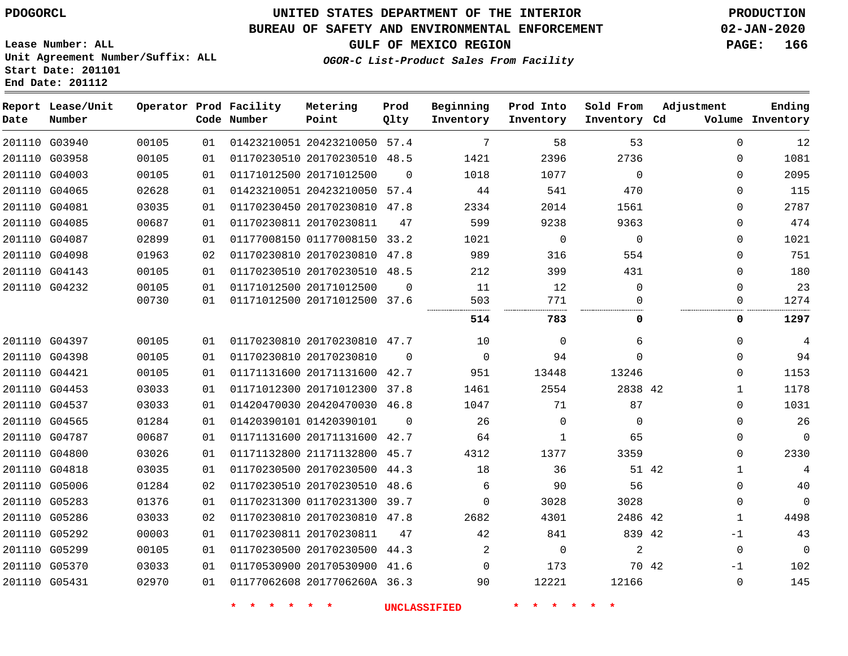**End Date: 201112**

# **UNITED STATES DEPARTMENT OF THE INTERIOR PDOGORCL PRODUCTION**

## **BUREAU OF SAFETY AND ENVIRONMENTAL ENFORCEMENT 02-JAN-2020**

**Lease Number: ALL Unit Agreement Number/Suffix: ALL Start Date: 201101**

**GULF OF MEXICO REGION PAGE: 166**

**OGOR-C List-Product Sales From Facility**

| Date | Report Lease/Unit<br>Number |       |    | Operator Prod Facility<br>Code Number | Metering<br>Point            | Prod<br>Qlty | Beginning<br>Inventory | Prod Into<br>Inventory | Sold From<br>Inventory Cd | Adjustment            | Ending<br>Volume Inventory |
|------|-----------------------------|-------|----|---------------------------------------|------------------------------|--------------|------------------------|------------------------|---------------------------|-----------------------|----------------------------|
|      | 201110 G03940               | 00105 | 01 |                                       | 01423210051 20423210050 57.4 |              | 7                      | 58                     | 53                        | $\mathbf 0$           | 12                         |
|      | 201110 G03958               | 00105 | 01 |                                       | 01170230510 20170230510 48.5 |              | 1421                   | 2396                   | 2736                      | $\Omega$              | 1081                       |
|      | 201110 G04003               | 00105 | 01 |                                       | 01171012500 20171012500      | $\Omega$     | 1018                   | 1077                   | $\Omega$                  | $\Omega$              | 2095                       |
|      | 201110 G04065               | 02628 | 01 |                                       | 01423210051 20423210050 57.4 |              | 44                     | 541                    | 470                       | $\mathbf 0$           | 115                        |
|      | 201110 G04081               | 03035 | 01 |                                       | 01170230450 20170230810 47.8 |              | 2334                   | 2014                   | 1561                      | $\Omega$              | 2787                       |
|      | 201110 G04085               | 00687 | 01 |                                       | 01170230811 20170230811      | 47           | 599                    | 9238                   | 9363                      | $\Omega$              | 474                        |
|      | 201110 G04087               | 02899 | 01 |                                       | 01177008150 01177008150      | 33.2         | 1021                   | $\mathbf 0$            | $\mathbf 0$               | $\mathbf 0$           | 1021                       |
|      | 201110 G04098               | 01963 | 02 |                                       | 01170230810 20170230810      | 47.8         | 989                    | 316                    | 554                       | $\mathbf 0$           | 751                        |
|      | 201110 G04143               | 00105 | 01 |                                       | 01170230510 20170230510 48.5 |              | 212                    | 399                    | 431                       | $\Omega$              | 180                        |
|      | 201110 G04232               | 00105 | 01 |                                       | 01171012500 20171012500      | $\Omega$     | 11                     | 12                     | $\mathbf 0$               | $\mathbf 0$           | 23                         |
|      |                             | 00730 | 01 |                                       | 01171012500 20171012500 37.6 |              | 503                    | 771                    | 0                         | 0                     | 1274                       |
|      |                             |       |    |                                       |                              |              | 514                    | 783                    | 0                         | 0                     | 1297                       |
|      | 201110 G04397               | 00105 | 01 |                                       | 01170230810 20170230810 47.7 |              | 10                     | $\Omega$               | 6                         | $\Omega$              | 4                          |
|      | 201110 G04398               | 00105 | 01 |                                       | 01170230810 20170230810      | $\Omega$     | $\Omega$               | 94                     | $\Omega$                  | $\Omega$              | 94                         |
|      | 201110 G04421               | 00105 | 01 |                                       | 01171131600 20171131600 42.7 |              | 951                    | 13448                  | 13246                     | $\Omega$              | 1153                       |
|      | 201110 G04453               | 03033 | 01 |                                       | 01171012300 20171012300 37.8 |              | 1461                   | 2554                   | 2838 42                   | $\mathbf{1}$          | 1178                       |
|      | 201110 G04537               | 03033 | 01 |                                       | 01420470030 20420470030      | 46.8         | 1047                   | 71                     | 87                        | $\Omega$              | 1031                       |
|      | 201110 G04565               | 01284 | 01 |                                       | 01420390101 01420390101      | $\Omega$     | 26                     | $\mathbf 0$            | $\mathbf 0$               | $\mathbf 0$           | 26                         |
|      | 201110 G04787               | 00687 | 01 |                                       | 01171131600 20171131600 42.7 |              | 64                     | $\mathbf{1}$           | 65                        | $\mathbf 0$           | $\Omega$                   |
|      | 201110 G04800               | 03026 | 01 |                                       | 01171132800 21171132800      | 45.7         | 4312                   | 1377                   | 3359                      | $\Omega$              | 2330                       |
|      | 201110 G04818               | 03035 | 01 |                                       | 01170230500 20170230500 44.3 |              | 18                     | 36                     |                           | 51 42<br>$\mathbf{1}$ | 4                          |
|      | 201110 G05006               | 01284 | 02 |                                       | 01170230510 20170230510      | 48.6         | 6                      | 90                     | 56                        | $\Omega$              | 40                         |
|      | 201110 G05283               | 01376 | 01 |                                       | 01170231300 01170231300      | 39.7         | $\Omega$               | 3028                   | 3028                      | $\Omega$              | $\Omega$                   |
|      | 201110 G05286               | 03033 | 02 |                                       | 01170230810 20170230810      | 47.8         | 2682                   | 4301                   | 2486 42                   | 1                     | 4498                       |
|      | 201110 G05292               | 00003 | 01 |                                       | 01170230811 20170230811      | 47           | 42                     | 841                    | 839 42                    | $-1$                  | 43                         |
|      | 201110 G05299               | 00105 | 01 |                                       | 01170230500 20170230500 44.3 |              | 2                      | $\Omega$               | 2                         | $\Omega$              | $\Omega$                   |
|      | 201110 G05370               | 03033 | 01 |                                       | 01170530900 20170530900      | 41.6         | $\mathbf 0$            | 173                    |                           | 70 42<br>$-1$         | 102                        |
|      | 201110 G05431               | 02970 | 01 |                                       | 01177062608 2017706260A 36.3 |              | 90                     | 12221                  | 12166                     | $\mathbf{0}$          | 145                        |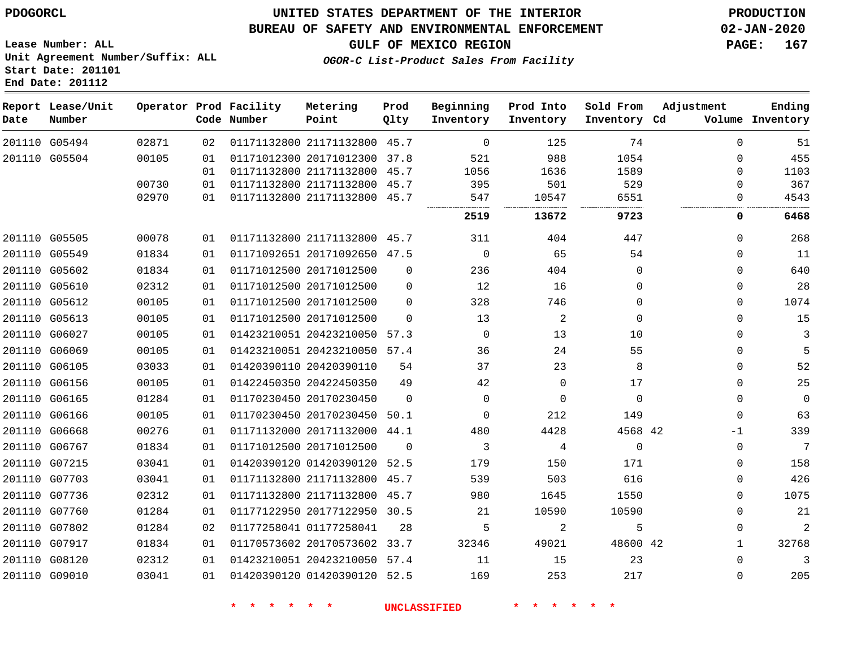#### **BUREAU OF SAFETY AND ENVIRONMENTAL ENFORCEMENT 02-JAN-2020**

**Lease Number: ALL Unit Agreement Number/Suffix: ALL Start Date: 201101 End Date: 201112**

**OGOR-C List-Product Sales From Facility**

**GULF OF MEXICO REGION PAGE: 167**

| Date | Report Lease/Unit<br>Number |       |    | Operator Prod Facility<br>Code Number | Metering<br>Point            | Prod<br>Qlty   | Beginning<br>Inventory | Prod Into<br>Inventory | Sold From<br>Inventory Cd | Adjustment   | Ending<br>Volume Inventory |
|------|-----------------------------|-------|----|---------------------------------------|------------------------------|----------------|------------------------|------------------------|---------------------------|--------------|----------------------------|
|      | 201110 G05494               | 02871 | 02 |                                       | 01171132800 21171132800 45.7 |                | $\mathbf 0$            | 125                    | 74                        | 0            | 51                         |
|      | 201110 G05504               | 00105 | 01 |                                       | 01171012300 20171012300      | 37.8           | 521                    | 988                    | 1054                      | $\Omega$     | 455                        |
|      |                             |       | 01 |                                       | 01171132800 21171132800      | 45.7           | 1056                   | 1636                   | 1589                      | $\mathbf{0}$ | 1103                       |
|      |                             | 00730 | 01 |                                       | 01171132800 21171132800      | 45.7           | 395                    | 501                    | 529                       | 0            | 367                        |
|      |                             | 02970 | 01 |                                       | 01171132800 21171132800      | 45.7           | 547                    | 10547                  | 6551                      | $\Omega$     | 4543                       |
|      |                             |       |    |                                       |                              |                | 2519                   | 13672                  | 9723                      | 0            | 6468                       |
|      | 201110 G05505               | 00078 | 01 |                                       | 01171132800 21171132800 45.7 |                | 311                    | 404                    | 447                       | $\Omega$     | 268                        |
|      | 201110 G05549               | 01834 | 01 |                                       | 01171092651 20171092650 47.5 |                | $\mathbf 0$            | 65                     | 54                        | 0            | 11                         |
|      | 201110 G05602               | 01834 | 01 |                                       | 01171012500 20171012500      | $\mathbf 0$    | 236                    | 404                    | $\mathbf 0$               | $\mathbf{0}$ | 640                        |
|      | 201110 G05610               | 02312 | 01 |                                       | 01171012500 20171012500      | $\Omega$       | 12                     | 16                     | $\Omega$                  | 0            | 28                         |
|      | 201110 G05612               | 00105 | 01 |                                       | 01171012500 20171012500      | $\Omega$       | 328                    | 746                    | $\Omega$                  | $\Omega$     | 1074                       |
|      | 201110 G05613               | 00105 | 01 |                                       | 01171012500 20171012500      | $\Omega$       | 13                     | 2                      | $\Omega$                  | $\mathbf{0}$ | 15                         |
|      | 201110 G06027               | 00105 | 01 |                                       | 01423210051 20423210050      | 57.3           | $\Omega$               | 13                     | 10                        | $\Omega$     | 3                          |
|      | 201110 G06069               | 00105 | 01 |                                       | 01423210051 20423210050 57.4 |                | 36                     | 24                     | 55                        | 0            | 5                          |
|      | 201110 G06105               | 03033 | 01 |                                       | 01420390110 20420390110      | 54             | 37                     | 23                     | 8                         | 0            | 52                         |
|      | 201110 G06156               | 00105 | 01 |                                       | 01422450350 20422450350      | 49             | 42                     | $\Omega$               | 17                        | 0            | 25                         |
|      | 201110 G06165               | 01284 | 01 |                                       | 01170230450 20170230450      | $\Omega$       | $\Omega$               | $\Omega$               | $\Omega$                  | $\Omega$     | $\mathbf 0$                |
|      | 201110 G06166               | 00105 | 01 |                                       | 01170230450 20170230450      | 50.1           | $\Omega$               | 212                    | 149                       | $\mathbf{0}$ | 63                         |
|      | 201110 G06668               | 00276 | 01 |                                       | 01171132000 20171132000 44.1 |                | 480                    | 4428                   | 4568 42                   | $-1$         | 339                        |
|      | 201110 G06767               | 01834 | 01 |                                       | 01171012500 20171012500      | $\overline{0}$ | 3                      | 4                      | $\mathbf 0$               | $\mathbf{0}$ | $7\phantom{.0}$            |
|      | 201110 G07215               | 03041 | 01 |                                       | 01420390120 01420390120      | 52.5           | 179                    | 150                    | 171                       | $\mathbf{0}$ | 158                        |
|      | 201110 G07703               | 03041 | 01 |                                       | 01171132800 21171132800 45.7 |                | 539                    | 503                    | 616                       | 0            | 426                        |
|      | 201110 G07736               | 02312 | 01 |                                       | 01171132800 21171132800 45.7 |                | 980                    | 1645                   | 1550                      | 0            | 1075                       |
|      | 201110 G07760               | 01284 | 01 |                                       | 01177122950 20177122950 30.5 |                | 21                     | 10590                  | 10590                     | $\mathbf{0}$ | 21                         |
|      | 201110 G07802               | 01284 | 02 |                                       | 01177258041 01177258041      | 28             | 5                      | 2                      | 5                         | 0            | $\overline{2}$             |
|      | 201110 G07917               | 01834 | 01 |                                       | 01170573602 20170573602 33.7 |                | 32346                  | 49021                  | 48600 42                  | $\mathbf{1}$ | 32768                      |
|      | 201110 G08120               | 02312 | 01 |                                       | 01423210051 20423210050 57.4 |                | 11                     | 15                     | 23                        | $\Omega$     | 3                          |
|      | 201110 G09010               | 03041 | 01 |                                       | 01420390120 01420390120 52.5 |                | 169                    | 253                    | 217                       | $\Omega$     | 205                        |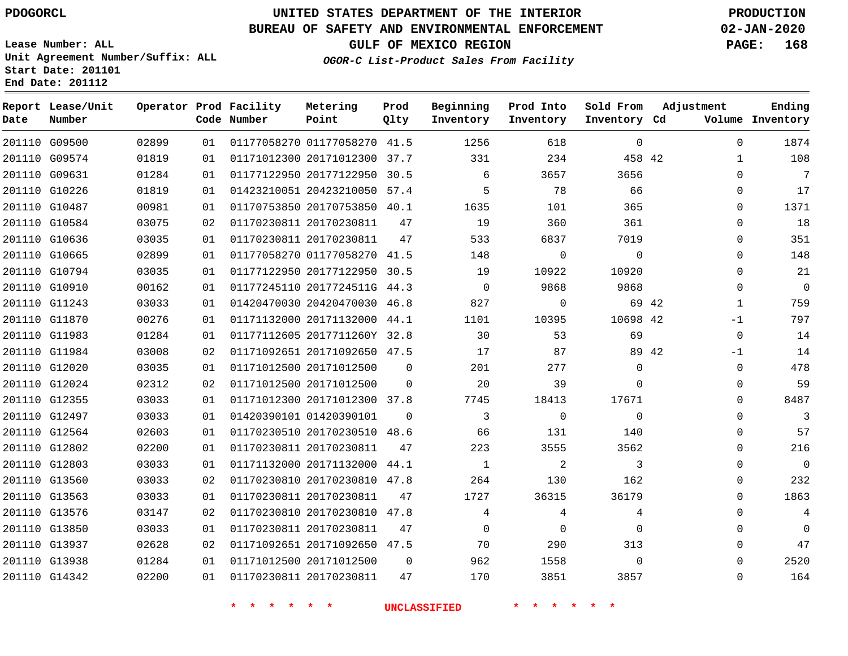**Report Lease/Unit**

**Number**

# **UNITED STATES DEPARTMENT OF THE INTERIOR PDOGORCL PRODUCTION**

**Prod Qlty**

#### **BUREAU OF SAFETY AND ENVIRONMENTAL ENFORCEMENT 02-JAN-2020**

**Lease Number: ALL Unit Agreement Number/Suffix: ALL Start Date: 201101 End Date: 201112**

**Operator Prod Facility**

**Code Number**

**Metering Point**

**OGOR-C List-Product Sales From Facility**

**Beginning Inventory** **Prod Into Inventory** **Sold From Inventory**

**GULF OF MEXICO REGION PAGE: 168**

**Inventory Cd Volume**

**Adjustment**

**Ending**

| 201110 G09500 | 02899 | 01 | 01177058270 01177058270 41.5 1256         |  |                         | 618                        | $\overline{0}$          |       | $\Omega$            |
|---------------|-------|----|-------------------------------------------|--|-------------------------|----------------------------|-------------------------|-------|---------------------|
| 201110 G09574 | 01819 | 01 | 01171012300 20171012300 37.7 331          |  |                         | 234                        | 458 42                  |       | $\mathbf{1}$        |
| 201110 G09631 | 01284 | 01 | 01177122950 20177122950 30.5              |  | $\sim$ 6                | 3657                       | 3656                    |       | $\Omega$            |
| 201110 G10226 | 01819 | 01 | 01423210051 20423210050 57.4              |  | $5^{\circ}$             | 78                         | 66                      |       | $\mathbf 0$         |
| 201110 G10487 | 00981 | 01 | 01170753850 20170753850 40.1              |  | 1635                    | 101                        | 365                     |       | $\mathbf 0$         |
| 201110 G10584 | 03075 | 02 | 01170230811 20170230811 47                |  | 19                      | 360                        | 361                     |       | $\mathbf 0$         |
| 201110 G10636 | 03035 | 01 | 01170230811 20170230811 47 533            |  |                         | 6837                       | 7019                    |       | $\mathbf 0$         |
| 201110 G10665 | 02899 | 01 | 01177058270 01177058270 41.5 148          |  |                         | $\overline{0}$             | $\overline{0}$          |       | 0                   |
| 201110 G10794 | 03035 | 01 | 01177122950 20177122950 30.5 19           |  |                         | 10922                      | 10920                   |       | $\mathbf 0$         |
| 201110 G10910 | 00162 | 01 | 01177245110 2017724511G 44.3 0            |  |                         | 9868                       | 9868                    |       | $\mathsf{O}\xspace$ |
| 201110 G11243 | 03033 | 01 | 01420470030 20420470030 46.8 827          |  |                         | $\overline{0}$             | 69 42                   |       | $\mathbf{1}$        |
| 201110 G11870 | 00276 | 01 | 01171132000 20171132000 44.1 1101         |  |                         |                            | 10395 10698 42          |       | $-1$                |
| 201110 G11983 | 01284 | 01 | 01177112605 2017711260Y 32.8 30           |  |                         | 53                         | 69                      |       | $\Omega$            |
| 201110 G11984 | 03008 | 02 | 01171092651 20171092650 47.5              |  | 17                      | 87                         |                         | 89 42 | $-1$                |
| 201110 G12020 | 03035 | 01 | 01171012500 20171012500 0                 |  | 201                     | 277                        | $\mathbf 0$             |       | $\mathbf 0$         |
| 201110 G12024 | 02312 | 02 | 01171012500 20171012500 0                 |  | $\sim$ 20               | 39                         | $\mathbf{0}$            |       | $\mathbf 0$         |
| 201110 G12355 | 03033 | 01 | 01171012300 20171012300 37.8              |  | 7745                    | 18413                      | 17671                   |       | $\mathbf 0$         |
| 201110 G12497 | 03033 | 01 | 01420390101 01420390101 0                 |  | $\overline{\mathbf{3}}$ | $\overline{0}$             | $\Omega$                |       | $\mathbf 0$         |
| 201110 G12564 | 02603 | 01 | 01170230510 20170230510 48.6 66           |  |                         | 131                        | 140                     |       | $\Omega$            |
| 201110 G12802 | 02200 | 01 | 01170230811 20170230811 47                |  | 223                     | 3555                       | 3562                    |       | $\mathsf{O}\xspace$ |
| 201110 G12803 | 03033 | 01 | 01171132000 20171132000 44.1              |  | $\sim$ 1                | $\overline{\phantom{a}}$ 2 | $\overline{\mathbf{3}}$ |       | $\mathbf 0$         |
| 201110 G13560 | 03033 | 02 | 01170230810 20170230810 47.8              |  | 264                     | 130                        | 162                     |       | $\mathbf 0$         |
| 201110 G13563 | 03033 | 01 | 01170230811 20170230811 47                |  | 1727                    | 36315                      | 36179                   |       | $\mathbf 0$         |
| 201110 G13576 | 03147 | 02 | 01170230810 20170230810 47.8              |  | $\overline{4}$          | $\overline{4}$             | 4                       |       | $\mathbf 0$         |
| 201110 G13850 | 03033 | 01 | 01170230811 20170230811 47                |  | $\overline{0}$          | $\overline{0}$             | $\mathbf 0$             |       | $\mathbf 0$         |
| 201110 G13937 | 02628 | 02 | 01171092651 20171092650 47.5              |  | 70                      | 290                        | 313                     |       | $\mathbf 0$         |
| 201110 G13938 | 01284 |    | 01 01171012500 20171012500 0 962          |  |                         | 1558                       | $\overline{0}$          |       | $\Omega$            |
| 201110 G14342 | 02200 |    | 01   01170230811   20170230811   47   170 |  |                         |                            | 3851<br>3857            |       | 0                   |
|               |       |    | * * * * * * * UNCLASSIFIED                |  |                         | * * * *                    |                         |       |                     |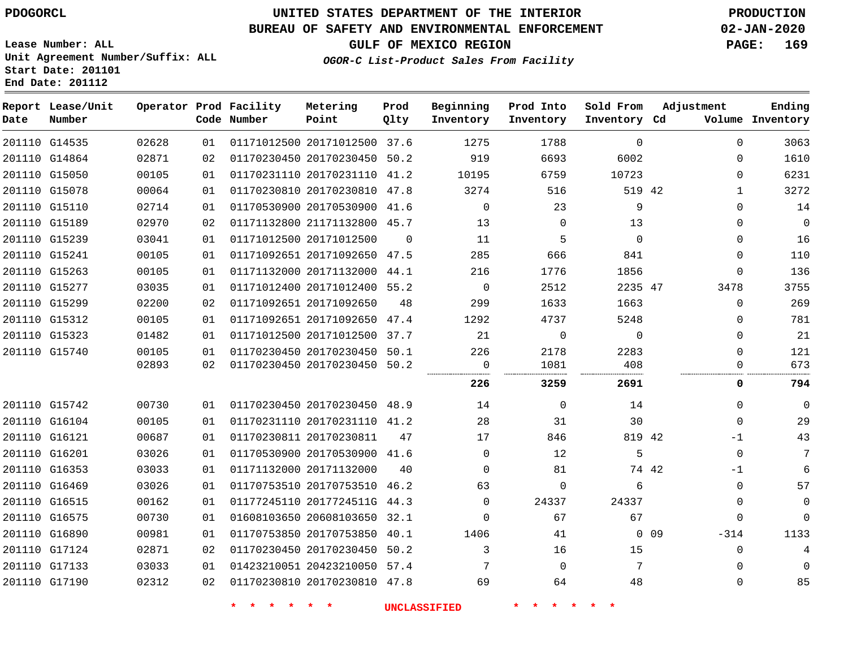**End Date: 201112**

## **UNITED STATES DEPARTMENT OF THE INTERIOR PDOGORCL PRODUCTION**

## **BUREAU OF SAFETY AND ENVIRONMENTAL ENFORCEMENT 02-JAN-2020**

**Lease Number: ALL Unit Agreement Number/Suffix: ALL Start Date: 201101**

## **GULF OF MEXICO REGION PAGE: 169**

**OGOR-C List-Product Sales From Facility**

| Date | Report Lease/Unit<br>Number |       |    | Operator Prod Facility<br>Code Number | Metering<br>Point            | Prod<br>Qlty | Beginning<br>Inventory | Prod Into<br>Inventory | Sold From<br>Inventory Cd | Adjustment |              | Ending<br>Volume Inventory |
|------|-----------------------------|-------|----|---------------------------------------|------------------------------|--------------|------------------------|------------------------|---------------------------|------------|--------------|----------------------------|
|      | 201110 G14535               | 02628 | 01 |                                       | 01171012500 20171012500 37.6 |              | 1275                   | 1788                   | $\Omega$                  |            | $\Omega$     | 3063                       |
|      | 201110 G14864               | 02871 | 02 |                                       | 01170230450 20170230450 50.2 |              | 919                    | 6693                   | 6002                      |            | 0            | 1610                       |
|      | 201110 G15050               | 00105 | 01 |                                       | 01170231110 20170231110      | 41.2         | 10195                  | 6759                   | 10723                     |            | 0            | 6231                       |
|      | 201110 G15078               | 00064 | 01 |                                       | 01170230810 20170230810 47.8 |              | 3274                   | 516                    | 519 42                    |            | $\mathbf{1}$ | 3272                       |
|      | 201110 G15110               | 02714 | 01 |                                       | 01170530900 20170530900 41.6 |              | $\Omega$               | 23                     | 9                         |            | $\Omega$     | 14                         |
|      | 201110 G15189               | 02970 | 02 |                                       | 01171132800 21171132800 45.7 |              | 13                     | $\Omega$               | 13                        |            | $\Omega$     | $\Omega$                   |
|      | 201110 G15239               | 03041 | 01 |                                       | 01171012500 20171012500      | $\Omega$     | 11                     | 5                      | $\Omega$                  |            | 0            | 16                         |
|      | 201110 G15241               | 00105 | 01 |                                       | 01171092651 20171092650 47.5 |              | 285                    | 666                    | 841                       |            | 0            | 110                        |
|      | 201110 G15263               | 00105 | 01 |                                       | 01171132000 20171132000 44.1 |              | 216                    | 1776                   | 1856                      |            | 0            | 136                        |
|      | 201110 G15277               | 03035 | 01 |                                       | 01171012400 20171012400 55.2 |              | $\mathbf 0$            | 2512                   | 2235 47                   |            | 3478         | 3755                       |
|      | 201110 G15299               | 02200 | 02 |                                       | 01171092651 20171092650      | 48           | 299                    | 1633                   | 1663                      |            | 0            | 269                        |
|      | 201110 G15312               | 00105 | 01 |                                       | 01171092651 20171092650 47.4 |              | 1292                   | 4737                   | 5248                      |            | 0            | 781                        |
|      | 201110 G15323               | 01482 | 01 |                                       | 01171012500 20171012500      | 37.7         | 21                     | $\mathbf 0$            | $\mathbf 0$               |            | 0            | 21                         |
|      | 201110 G15740               | 00105 | 01 |                                       | 01170230450 20170230450 50.1 |              | 226                    | 2178                   | 2283                      |            | $\Omega$     | 121                        |
|      |                             | 02893 | 02 |                                       | 01170230450 20170230450 50.2 |              | $\Omega$               | 1081                   | 408                       |            | $\Omega$     | 673                        |
|      |                             |       |    |                                       |                              |              | 226                    | 3259                   | 2691                      |            | 0            | 794                        |
|      | 201110 G15742               | 00730 | 01 |                                       | 01170230450 20170230450 48.9 |              | 14                     | $\Omega$               | 14                        |            | $\Omega$     | $\Omega$                   |
|      | 201110 G16104               | 00105 | 01 |                                       | 01170231110 20170231110 41.2 |              | 28                     | 31                     | 30                        |            | $\mathbf 0$  | 29                         |
|      | 201110 G16121               | 00687 | 01 |                                       | 01170230811 20170230811      | 47           | 17                     | 846                    | 819 42                    |            | $-1$         | 43                         |
|      | 201110 G16201               | 03026 | 01 |                                       | 01170530900 20170530900 41.6 |              | $\Omega$               | 12                     | 5                         |            | $\mathbf 0$  | 7                          |
|      | 201110 G16353               | 03033 | 01 |                                       | 01171132000 20171132000      | 40           | $\Omega$               | 81                     |                           | 74 42      | $-1$         | 6                          |
|      | 201110 G16469               | 03026 | 01 |                                       | 01170753510 20170753510 46.2 |              | 63                     | $\Omega$               | 6                         |            | $\Omega$     | 57                         |
|      | 201110 G16515               | 00162 | 01 |                                       | 01177245110 2017724511G 44.3 |              | $\mathbf 0$            | 24337                  | 24337                     |            | 0            | $\mathbf 0$                |
|      | 201110 G16575               | 00730 | 01 |                                       | 01608103650 20608103650 32.1 |              | $\Omega$               | 67                     | 67                        |            | 0            | $\Omega$                   |
|      | 201110 G16890               | 00981 | 01 |                                       | 01170753850 20170753850 40.1 |              | 1406                   | 41                     |                           | $0\quad09$ | $-314$       | 1133                       |
|      | 201110 G17124               | 02871 | 02 |                                       | 01170230450 20170230450 50.2 |              | 3                      | 16                     | 15                        |            | $\Omega$     | 4                          |
|      | 201110 G17133               | 03033 | 01 |                                       | 01423210051 20423210050 57.4 |              | 7                      | $\mathbf 0$            | 7                         |            | $\mathbf 0$  | $\Omega$                   |
|      | 201110 G17190               | 02312 | 02 |                                       | 01170230810 20170230810 47.8 |              | 69                     | 64                     | 48                        |            | $\mathbf 0$  | 85                         |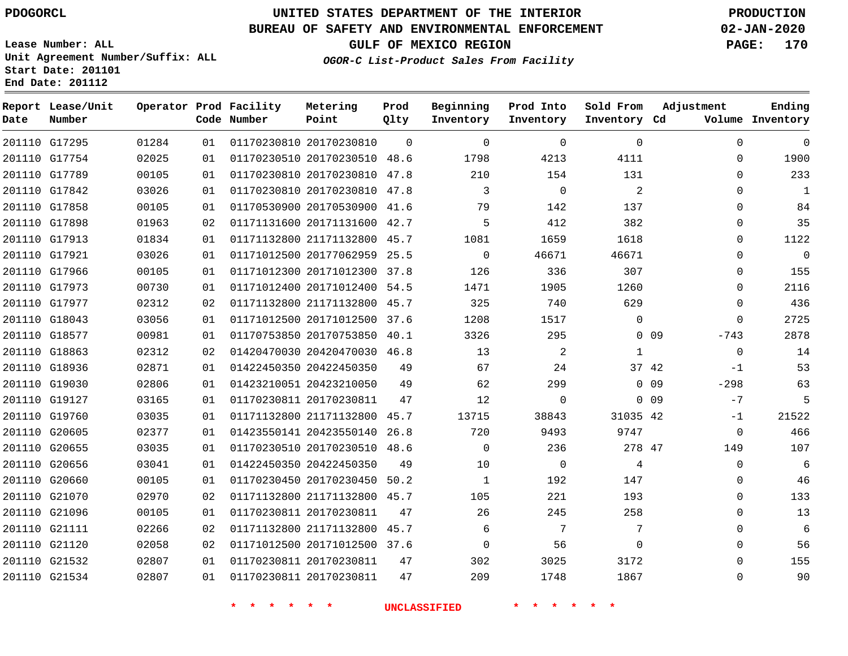**Report Lease/Unit**

**Number**

## **UNITED STATES DEPARTMENT OF THE INTERIOR PDOGORCL PRODUCTION**

**Prod Qlty**

## **BUREAU OF SAFETY AND ENVIRONMENTAL ENFORCEMENT 02-JAN-2020**

**Lease Number: ALL Unit Agreement Number/Suffix: ALL Start Date: 201101 End Date: 201112**

**Operator Prod Facility**

**OGOR-C List-Product Sales From Facility**

**Beginning Inventory**

**Prod Into Inventory**

**Sold From Inventory**

**GULF OF MEXICO REGION PAGE: 170**

**Adjustment**

**Ending**

| Date | Number        |       |    | Code Number                                 | Point                        | Qlty     | Inventory           | Inventory    | Inventory Cd |                 |              | Volume Inventory |
|------|---------------|-------|----|---------------------------------------------|------------------------------|----------|---------------------|--------------|--------------|-----------------|--------------|------------------|
|      | 201110 G17295 | 01284 | 01 |                                             | 01170230810 20170230810      | $\Omega$ | $\mathbf 0$         | $\mathbf 0$  | $\mathbf 0$  |                 | $\mathbf 0$  | $\mathbf 0$      |
|      | 201110 G17754 | 02025 | 01 |                                             | 01170230510 20170230510 48.6 |          | 1798                | 4213         | 4111         |                 | $\Omega$     | 1900             |
|      | 201110 G17789 | 00105 | 01 |                                             | 01170230810 20170230810 47.8 |          | 210                 | 154          | 131          |                 | $\Omega$     | 233              |
|      | 201110 G17842 | 03026 | 01 |                                             | 01170230810 20170230810 47.8 |          | 3                   | $\mathbf 0$  | 2            |                 | $\Omega$     | $\mathbf{1}$     |
|      | 201110 G17858 | 00105 | 01 |                                             | 01170530900 20170530900 41.6 |          | 79                  | 142          | 137          |                 | $\Omega$     | 84               |
|      | 201110 G17898 | 01963 | 02 |                                             | 01171131600 20171131600 42.7 |          | 5                   | 412          | 382          |                 | $\Omega$     | 35               |
|      | 201110 G17913 | 01834 | 01 |                                             | 01171132800 21171132800 45.7 |          | 1081                | 1659         | 1618         |                 | $\Omega$     | 1122             |
|      | 201110 G17921 | 03026 | 01 |                                             | 01171012500 20177062959 25.5 |          | $\Omega$            | 46671        | 46671        |                 | $\Omega$     | $\boldsymbol{0}$ |
|      | 201110 G17966 | 00105 | 01 |                                             | 01171012300 20171012300 37.8 |          | 126                 | 336          | 307          |                 | 0            | 155              |
|      | 201110 G17973 | 00730 | 01 |                                             | 01171012400 20171012400 54.5 |          | 1471                | 1905         | 1260         |                 | $\mathbf{0}$ | 2116             |
|      | 201110 G17977 | 02312 | 02 |                                             | 01171132800 21171132800 45.7 |          | 325                 | 740          | 629          |                 | $\Omega$     | 436              |
|      | 201110 G18043 | 03056 | 01 |                                             | 01171012500 20171012500 37.6 |          | 1208                | 1517         | $\Omega$     |                 | $\Omega$     | 2725             |
|      | 201110 G18577 | 00981 | 01 |                                             | 01170753850 20170753850 40.1 |          | 3326                | 295          |              | 0 <sub>09</sub> | $-743$       | 2878             |
|      | 201110 G18863 | 02312 | 02 |                                             | 01420470030 20420470030 46.8 |          | 13                  | 2            | $\mathbf{1}$ |                 | $\mathbf 0$  | 14               |
|      | 201110 G18936 | 02871 | 01 |                                             | 01422450350 20422450350      | 49       | 67                  | 24           |              | 37 42           | $-1$         | 53               |
|      | 201110 G19030 | 02806 | 01 |                                             | 01423210051 20423210050      | 49       | 62                  | 299          |              | 0.09            | $-298$       | 63               |
|      | 201110 G19127 | 03165 | 01 |                                             | 01170230811 20170230811      | 47       | 12                  | $\mathsf{O}$ |              | 0 <sub>09</sub> | $-7$         | 5                |
|      | 201110 G19760 | 03035 | 01 |                                             | 01171132800 21171132800 45.7 |          | 13715               | 38843        | 31035 42     |                 | $-1$         | 21522            |
|      | 201110 G20605 | 02377 | 01 |                                             | 01423550141 20423550140      | 26.8     | 720                 | 9493         | 9747         |                 | $\mathbf{0}$ | 466              |
|      | 201110 G20655 | 03035 | 01 |                                             | 01170230510 20170230510 48.6 |          | $\Omega$            | 236          | 278 47       |                 | 149          | 107              |
|      | 201110 G20656 | 03041 | 01 |                                             | 01422450350 20422450350      | 49       | 10                  | $\mathsf{O}$ | 4            |                 | $\Omega$     | 6                |
|      | 201110 G20660 | 00105 | 01 |                                             | 01170230450 20170230450 50.2 |          | $\mathbf{1}$        | 192          | 147          |                 | $\Omega$     | 46               |
|      | 201110 G21070 | 02970 | 02 |                                             | 01171132800 21171132800 45.7 |          | 105                 | 221          | 193          |                 | 0            | 133              |
|      | 201110 G21096 | 00105 | 01 |                                             | 01170230811 20170230811      | 47       | 26                  | 245          | 258          |                 | $\Omega$     | 13               |
|      | 201110 G21111 | 02266 | 02 |                                             | 01171132800 21171132800 45.7 |          | 6                   | 7            | 7            |                 | $\Omega$     | 6                |
|      | 201110 G21120 | 02058 | 02 |                                             | 01171012500 20171012500 37.6 |          | 0                   | 56           | $\mathbf 0$  |                 | $\Omega$     | 56               |
|      | 201110 G21532 | 02807 | 01 |                                             | 01170230811 20170230811      | 47       | 302                 | 3025         | 3172         |                 | $\Omega$     | 155              |
|      | 201110 G21534 | 02807 | 01 |                                             | 01170230811 20170230811      | 47       | 209                 | 1748         | 1867         |                 | 0            | 90               |
|      |               |       |    | $\star$ $\star$<br>$\star$<br>$\rightarrow$ | $\star$ $\star$              |          | <b>UNCLASSIFIED</b> | * * *        | $\star$      |                 |              |                  |

**Metering Point**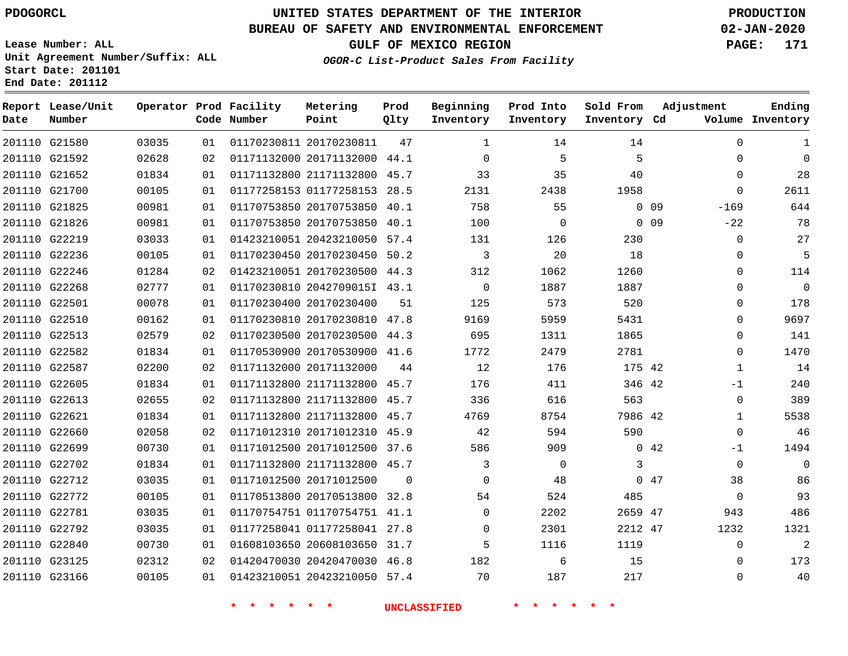**Report Lease/Unit**

 G23125 G23166    

# **UNITED STATES DEPARTMENT OF THE INTERIOR PDOGORCL PRODUCTION**

**Prod Qlty**

#### **BUREAU OF SAFETY AND ENVIRONMENTAL ENFORCEMENT 02-JAN-2020**

**OGOR-C List-Product Sales From Facility**

**Beginning Inventory**

**Lease Number: ALL Unit Agreement Number/Suffix: ALL Start Date: 201101 End Date: 201112**

**Operator Prod Facility**

**GULF OF MEXICO REGION PAGE: 171**

**Sold From**

**Prod Into Inventory**

  $\Omega$  $\Omega$  -169  $-2.2$  $\Omega$  $\Omega$   $\Omega$   $\Omega$  $\Omega$  -1  $\Omega$   $\Omega$ -1  $\Omega$   $\Omega$ 

**Adjustment**

**Ending**

| Date | Number        |       |    | Code Number | Point                        | Qlty     | Inventory | Inventory    | Inventory Cd |                 |              | Volume Inventory |
|------|---------------|-------|----|-------------|------------------------------|----------|-----------|--------------|--------------|-----------------|--------------|------------------|
|      | 201110 G21580 | 03035 | 01 |             | 01170230811 20170230811      | 47       | 1         | 14           | 14           |                 | $\Omega$     | 1                |
|      | 201110 G21592 | 02628 | 02 |             | 01171132000 20171132000 44.1 |          | $\Omega$  | 5            | 5            |                 | $\Omega$     | $\overline{0}$   |
|      | 201110 G21652 | 01834 | 01 |             | 01171132800 21171132800 45.7 |          | 33        | 35           | 40           |                 | $\Omega$     | 28               |
|      | 201110 G21700 | 00105 | 01 |             | 01177258153 01177258153 28.5 |          | 2131      | 2438         | 1958         |                 | $\Omega$     | 2611             |
|      | 201110 G21825 | 00981 | 01 |             | 01170753850 20170753850 40.1 |          | 758       | 55           |              | $0$ 09          | $-169$       | 644              |
|      | 201110 G21826 | 00981 | 01 |             | 01170753850 20170753850 40.1 |          | 100       | $\mathbf{0}$ |              | 0 <sub>09</sub> | $-22$        | 78               |
|      | 201110 G22219 | 03033 | 01 |             | 01423210051 20423210050 57.4 |          | 131       | 126          | 230          |                 | $\Omega$     | 27               |
|      | 201110 G22236 | 00105 | 01 |             | 01170230450 20170230450 50.2 |          | 3         | 20           | 18           |                 | $\Omega$     | 5                |
|      | 201110 G22246 | 01284 | 02 |             | 01423210051 20170230500 44.3 |          | 312       | 1062         | 1260         |                 | $\Omega$     | 114              |
|      | 201110 G22268 | 02777 | 01 |             | 01170230810 2042709015I 43.1 |          | $\Omega$  | 1887         | 1887         |                 | $\Omega$     | $\overline{0}$   |
|      | 201110 G22501 | 00078 | 01 |             | 01170230400 20170230400      | 51       | 125       | 573          | 520          |                 | $\Omega$     | 178              |
|      | 201110 G22510 | 00162 | 01 |             | 01170230810 20170230810 47.8 |          | 9169      | 5959         | 5431         |                 | $\Omega$     | 9697             |
|      | 201110 G22513 | 02579 | 02 |             | 01170230500 20170230500 44.3 |          | 695       | 1311         | 1865         |                 | 0            | 141              |
|      | 201110 G22582 | 01834 | 01 |             | 01170530900 20170530900 41.6 |          | 1772      | 2479         | 2781         |                 | $\Omega$     | 1470             |
|      | 201110 G22587 | 02200 | 02 |             | 01171132000 20171132000      | 44       | 12        | 176          | 175 42       |                 | $\mathbf{1}$ | 14               |
|      | 201110 G22605 | 01834 | 01 |             | 01171132800 21171132800 45.7 |          | 176       | 411          | 346 42       |                 | -1           | 240              |
|      | 201110 G22613 | 02655 | 02 |             | 01171132800 21171132800 45.7 |          | 336       | 616          | 563          |                 | $\mathbf 0$  | 389              |
|      | 201110 G22621 | 01834 | 01 |             | 01171132800 21171132800 45.7 |          | 4769      | 8754         | 7986 42      |                 | $\mathbf{1}$ | 5538             |
|      | 201110 G22660 | 02058 | 02 |             | 01171012310 20171012310 45.9 |          | 42        | 594          | 590          |                 | $\mathbf 0$  | 46               |
|      | 201110 G22699 | 00730 | 01 |             | 01171012500 20171012500 37.6 |          | 586       | 909          |              | 042             | -1           | 1494             |
|      | 201110 G22702 | 01834 | 01 |             | 01171132800 21171132800 45.7 |          | 3         | $\mathbf 0$  | 3            |                 | $\mathbf 0$  | $\mathbf 0$      |
|      | 201110 G22712 | 03035 | 01 |             | 01171012500 20171012500      | $\Omega$ | $\Omega$  | 48           |              | 047             | 38           | 86               |
|      | 201110 G22772 | 00105 | 01 |             | 01170513800 20170513800 32.8 |          | 54        | 524          | 485          |                 | $\mathbf 0$  | 93               |
|      | 201110 G22781 | 03035 | 01 |             | 01170754751 01170754751 41.1 |          | $\Omega$  | 2202         | 2659 47      |                 | 943          | 486              |
|      | 201110 G22792 | 03035 | 01 |             | 01177258041 01177258041 27.8 |          | $\Omega$  | 2301         | 2212 47      |                 | 1232         | 1321             |
|      | 201110 G22840 | 00730 | 01 |             | 01608103650 20608103650 31.7 |          | 5         | 1116         | 1119         |                 | $\Omega$     | $\overline{c}$   |

**\* \* \* \* \* \* UNCLASSIFIED \* \* \* \* \* \***

 20420470030 46.8 20423210050 57.4

**Metering Point**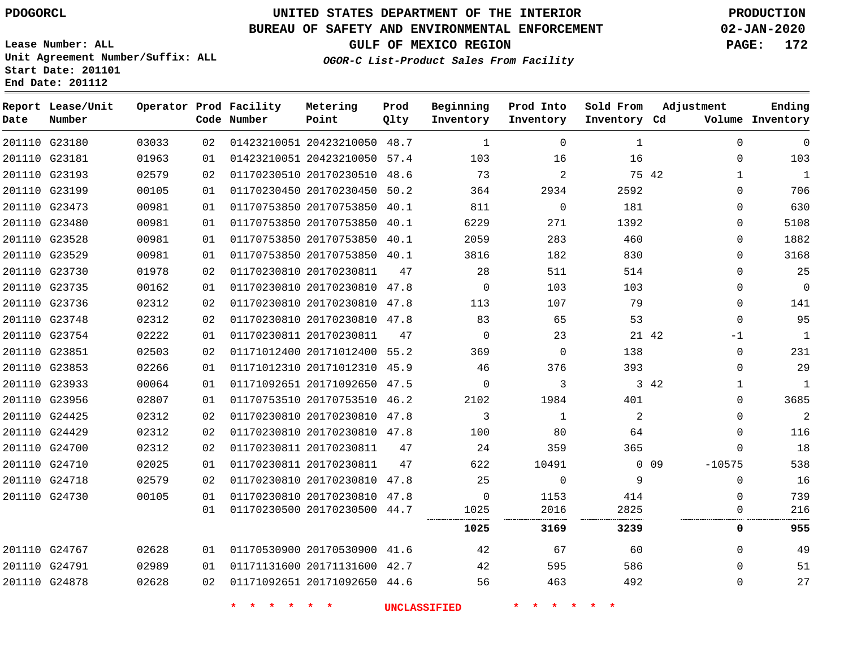G23180

**Date**

**Report Lease/Unit**

**Number**

## **UNITED STATES DEPARTMENT OF THE INTERIOR PDOGORCL PRODUCTION**

## **BUREAU OF SAFETY AND ENVIRONMENTAL ENFORCEMENT 02-JAN-2020**

**Lease Number: ALL Unit Agreement Number/Suffix: ALL Start Date: 201101 End Date: 201112**

**GULF OF MEXICO REGION PAGE: 172**

**Inventory Cd Volume**

**Adjustment**

**Sold From Inventory**

**Ending**

**OGOR-C List-Product Sales From Facility**

|       | Operator Prod Facility<br>Code Number | Metering<br>Point | Prod<br>Olty | Beginning<br>Inventory | Prod Into<br>Inventory |
|-------|---------------------------------------|-------------------|--------------|------------------------|------------------------|
| 03033 | 02 01423210051 20423210050 48.7       |                   |              | $\mathbf{1}$           | $\Omega$               |
| 0.105 | $01$ $0110201000100100010000000011$   |                   |              | $\sim$ $\sim$          | $\sim$                 |

| 201110 G23181 |               | 01963 | 01 |                         | 01423210051 20423210050 57.4 |      | 103      | 16           | 16   |                        | 103<br>$\Omega$    |
|---------------|---------------|-------|----|-------------------------|------------------------------|------|----------|--------------|------|------------------------|--------------------|
| 201110 G23193 |               | 02579 | 02 |                         | 01170230510 20170230510      | 48.6 | 73       | 2            |      | 75 42                  | 1<br>$\mathbf{1}$  |
| 201110 G23199 |               | 00105 | 01 |                         | 01170230450 20170230450 50.2 |      | 364      | 2934         | 2592 |                        | $\Omega$<br>706    |
| 201110 G23473 |               | 00981 | 01 | 01170753850 20170753850 |                              | 40.1 | 811      | $\Omega$     | 181  |                        | 630<br>0           |
| 201110 G23480 |               | 00981 | 01 | 01170753850 20170753850 |                              | 40.1 | 6229     | 271          | 1392 |                        | 5108<br>$\Omega$   |
| 201110 G23528 |               | 00981 | 01 |                         | 01170753850 20170753850 40.1 |      | 2059     | 283          | 460  |                        | 1882<br>$\Omega$   |
| 201110 G23529 |               | 00981 | 01 | 01170753850 20170753850 |                              | 40.1 | 3816     | 182          | 830  |                        | 3168<br>$\Omega$   |
|               | 201110 G23730 | 01978 | 02 | 01170230810 20170230811 |                              | 47   | 28       | 511          | 514  |                        | 25<br>$\Omega$     |
| 201110 G23735 |               | 00162 | 01 |                         | 01170230810 20170230810 47.8 |      | 0        | 103          | 103  |                        | $\mathbf 0$<br>0   |
| 201110 G23736 |               | 02312 | 02 |                         | 01170230810 20170230810      | 47.8 | 113      | 107          | 79   |                        | 141<br>0           |
| 201110 G23748 |               | 02312 | 02 |                         | 01170230810 20170230810 47.8 |      | 83       | 65           | 53   |                        | 95<br>$\Omega$     |
| 201110 G23754 |               | 02222 | 01 | 01170230811 20170230811 |                              | 47   | 0        | 23           |      | 21 42<br>$-1$          | 1                  |
|               | 201110 G23851 | 02503 | 02 |                         | 01171012400 20171012400      | 55.2 | 369      | 0            | 138  |                        | 231<br>$\mathbf 0$ |
| 201110 G23853 |               | 02266 | 01 |                         | 01171012310 20171012310 45.9 |      | 46       | 376          | 393  |                        | 29<br>$\Omega$     |
| 201110 G23933 |               | 00064 | 01 |                         | 01171092651 20171092650      | 47.5 | $\Omega$ | 3            |      | 3 42                   | 1<br>1             |
|               | 201110 G23956 | 02807 | 01 | 01170753510 20170753510 |                              | 46.2 | 2102     | 1984         | 401  |                        | 3685<br>0          |
| 201110 G24425 |               | 02312 | 02 |                         | 01170230810 20170230810 47.8 |      | 3        | $\mathbf{1}$ | 2    |                        | 2<br>$\Omega$      |
| 201110 G24429 |               | 02312 | 02 |                         | 01170230810 20170230810 47.8 |      | 100      | 80           | 64   |                        | 116<br>$\Omega$    |
| 201110 G24700 |               | 02312 | 02 | 01170230811 20170230811 |                              | 47   | 24       | 359          | 365  |                        | 18<br>0            |
| 201110 G24710 |               | 02025 | 01 | 01170230811 20170230811 |                              | 47   | 622      | 10491        |      | $0\quad09$<br>$-10575$ | 538                |
| 201110 G24718 |               | 02579 | 02 |                         | 01170230810 20170230810      | 47.8 | 25       | $\Omega$     | 9    |                        | 16<br>$\Omega$     |
| 201110 G24730 |               | 00105 | 01 |                         | 01170230810 20170230810 47.8 |      | $\Omega$ | 1153         | 414  |                        | 739<br>$\Omega$    |
|               |               |       | 01 |                         | 01170230500 20170230500 44.7 |      | 1025     | 2016<br>     | 2825 |                        | 216<br>0           |
|               |               |       |    |                         |                              |      | 1025     | 3169         | 3239 |                        | 955<br>0           |
| 201110 G24767 |               | 02628 | 01 |                         | 01170530900 20170530900 41.6 |      | 42       | 67           | 60   |                        | 49<br>0            |
| 201110 G24791 |               | 02989 | 01 |                         | 01171131600 20171131600      | 42.7 | 42       | 595          | 586  |                        | 51<br>0            |
| 201110 G24878 |               | 02628 | 02 |                         | 01171092651 20171092650 44.6 |      | 56       | 463          | 492  |                        | 27<br>$\Omega$     |
|               |               |       |    |                         |                              |      |          |              |      |                        |                    |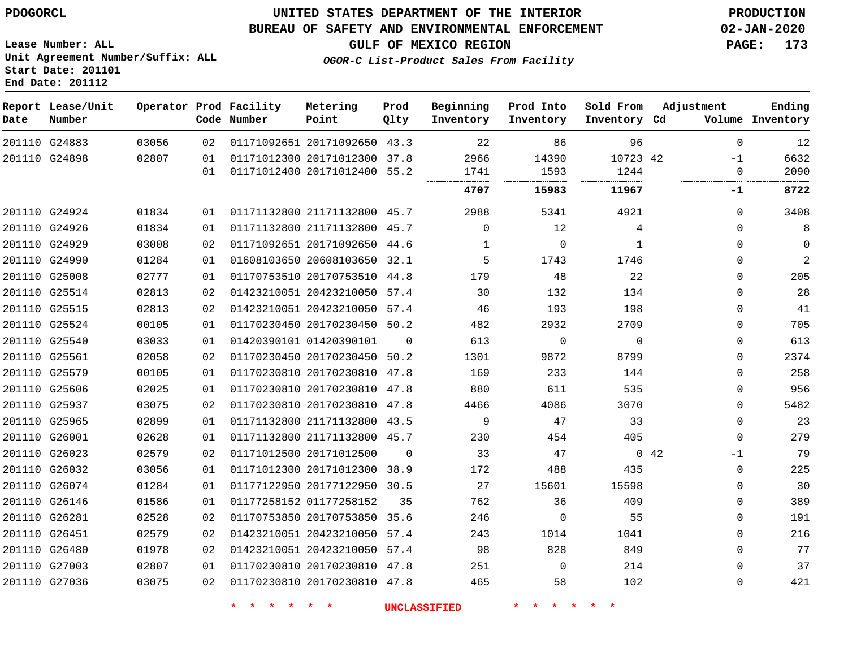G26451 G26480 G27003 G27036

## **UNITED STATES DEPARTMENT OF THE INTERIOR PDOGORCL PRODUCTION**

#### **BUREAU OF SAFETY AND ENVIRONMENTAL ENFORCEMENT 02-JAN-2020**

**Beginning**

**Prod Into**

**Sold From**

**Adjustment**

**Lease Number: ALL Unit Agreement Number/Suffix: ALL Start Date: 201101**

**OGOR-C List-Product Sales From Facility**

**GULF OF MEXICO REGION PAGE: 173**

**Ending**

| End Date: 201112  |                        |          |
|-------------------|------------------------|----------|
| Report Lease/Unit | Operator Prod Facility | Metering |

| Date | Report Lease/Unit<br>Number |       |    | Operator Prod Facility<br>Code Number | Metering<br>Point            | Prod<br>Qlty | Beginning<br>Inventory | Prod Into<br>Inventory | Sold From<br>Inventory Cd | Adjustment  | Ending<br>Volume Inventory |
|------|-----------------------------|-------|----|---------------------------------------|------------------------------|--------------|------------------------|------------------------|---------------------------|-------------|----------------------------|
|      | 201110 G24883               | 03056 | 02 |                                       | 01171092651 20171092650 43.3 |              | 22                     | 86                     | 96                        | $\Omega$    | 12                         |
|      | 201110 G24898               | 02807 | 01 |                                       | 01171012300 20171012300 37.8 |              | 2966                   | 14390                  | 10723 42                  | $-1$        | 6632                       |
|      |                             |       | 01 |                                       | 01171012400 20171012400 55.2 |              | 1741                   | 1593                   | 1244                      | $\Omega$    | 2090                       |
|      |                             |       |    |                                       |                              |              | 4707                   | 15983                  | 11967                     | -1          | 8722                       |
|      | 201110 G24924               | 01834 | 01 |                                       | 01171132800 21171132800 45.7 |              | 2988                   | 5341                   | 4921                      | $\Omega$    | 3408                       |
|      | 201110 G24926               | 01834 | 01 |                                       | 01171132800 21171132800 45.7 |              | $\Omega$               | 12                     | 4                         | $\Omega$    | 8                          |
|      | 201110 G24929               | 03008 | 02 |                                       | 01171092651 20171092650 44.6 |              | 1                      | $\mathbf 0$            | 1                         | $\Omega$    | $\Omega$                   |
|      | 201110 G24990               | 01284 | 01 |                                       | 01608103650 20608103650 32.1 |              | 5                      | 1743                   | 1746                      | 0           | 2                          |
|      | 201110 G25008               | 02777 | 01 |                                       | 01170753510 20170753510 44.8 |              | 179                    | 48                     | 22                        | $\Omega$    | 205                        |
|      | 201110 G25514               | 02813 | 02 |                                       | 01423210051 20423210050      | 57.4         | 30                     | 132                    | 134                       | 0           | 28                         |
|      | 201110 G25515               | 02813 | 02 |                                       | 01423210051 20423210050 57.4 |              | 46                     | 193                    | 198                       | $\Omega$    | 41                         |
|      | 201110 G25524               | 00105 | 01 |                                       | 01170230450 20170230450 50.2 |              | 482                    | 2932                   | 2709                      | $\Omega$    | 705                        |
|      | 201110 G25540               | 03033 | 01 |                                       | 01420390101 01420390101      | $\Omega$     | 613                    | $\Omega$               | $\mathbf 0$               | $\Omega$    | 613                        |
|      | 201110 G25561               | 02058 | 02 |                                       | 01170230450 20170230450 50.2 |              | 1301                   | 9872                   | 8799                      | $\Omega$    | 2374                       |
|      | 201110 G25579               | 00105 | 01 |                                       | 01170230810 20170230810      | 47.8         | 169                    | 233                    | 144                       | $\Omega$    | 258                        |
|      | 201110 G25606               | 02025 | 01 |                                       | 01170230810 20170230810 47.8 |              | 880                    | 611                    | 535                       | $\Omega$    | 956                        |
|      | 201110 G25937               | 03075 | 02 |                                       | 01170230810 20170230810      | 47.8         | 4466                   | 4086                   | 3070                      | $\Omega$    | 5482                       |
|      | 201110 G25965               | 02899 | 01 |                                       | 01171132800 21171132800 43.5 |              | 9                      | 47                     | 33                        | $\Omega$    | 23                         |
|      | 201110 G26001               | 02628 | 01 |                                       | 01171132800 21171132800 45.7 |              | 230                    | 454                    | 405                       | $\Omega$    | 279                        |
|      | 201110 G26023               | 02579 | 02 |                                       | 01171012500 20171012500      | $\Omega$     | 33                     | 47                     |                           | 042<br>$-1$ | 79                         |
|      | 201110 G26032               | 03056 | 01 |                                       | 01171012300 20171012300 38.9 |              | 172                    | 488                    | 435                       | $\Omega$    | 225                        |
|      | 201110 G26074               | 01284 | 01 |                                       | 01177122950 20177122950 30.5 |              | 27                     | 15601                  | 15598                     | $\Omega$    | 30                         |
|      | 201110 G26146               | 01586 | 01 |                                       | 01177258152 01177258152      | 35           | 762                    | 36                     | 409                       | $\Omega$    | 389                        |
|      | 201110 G26281               | 02528 | 02 |                                       | 01170753850 20170753850 35.6 |              | 246                    | $\Omega$               | 55                        | $\Omega$    | 191                        |

 20170230810 47.8 

 20423210050 57.4 20423210050 57.4 20170230810 47.8

**\* \* \* \* \* \* UNCLASSIFIED \* \* \* \* \* \***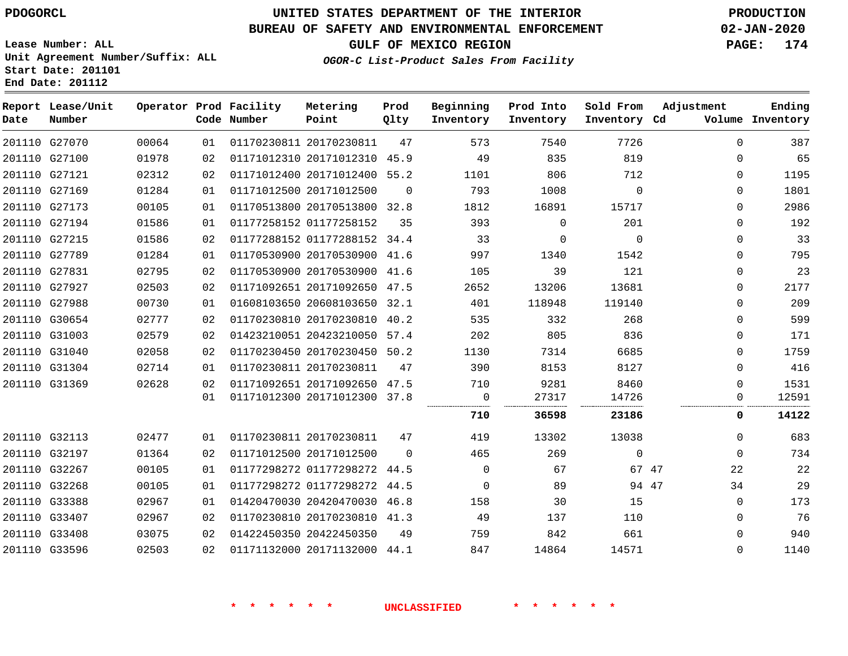## **BUREAU OF SAFETY AND ENVIRONMENTAL ENFORCEMENT 02-JAN-2020**

**Lease Number: ALL Unit Agreement Number/Suffix: ALL Start Date: 201101 End Date: 201112**

**GULF OF MEXICO REGION PAGE: 174**

**OGOR-C List-Product Sales From Facility**

| Date | Report Lease/Unit<br>Number |       |    | Operator Prod Facility<br>Code Number | Metering<br>Point            | Prod<br>Qlty | Beginning<br>Inventory | Prod Into<br>Inventory | Sold From<br>Inventory Cd | Adjustment  | Ending<br>Volume Inventory |
|------|-----------------------------|-------|----|---------------------------------------|------------------------------|--------------|------------------------|------------------------|---------------------------|-------------|----------------------------|
|      | 201110 G27070               | 00064 | 01 |                                       | 01170230811 20170230811      | 47           | 573                    | 7540                   | 7726                      | $\Omega$    | 387                        |
|      | 201110 G27100               | 01978 | 02 |                                       | 01171012310 20171012310 45.9 |              | 49                     | 835                    | 819                       | 0           | 65                         |
|      | 201110 G27121               | 02312 | 02 |                                       | 01171012400 20171012400 55.2 |              | 1101                   | 806                    | 712                       | 0           | 1195                       |
|      | 201110 G27169               | 01284 | 01 |                                       | 01171012500 20171012500      | $\Omega$     | 793                    | 1008                   | $\Omega$                  | 0           | 1801                       |
|      | 201110 G27173               | 00105 | 01 |                                       | 01170513800 20170513800 32.8 |              | 1812                   | 16891                  | 15717                     | $\Omega$    | 2986                       |
|      | 201110 G27194               | 01586 | 01 |                                       | 01177258152 01177258152      | 35           | 393                    | 0                      | 201                       | 0           | 192                        |
|      | 201110 G27215               | 01586 | 02 |                                       | 01177288152 01177288152 34.4 |              | 33                     | 0                      | $\Omega$                  | 0           | 33                         |
|      | 201110 G27789               | 01284 | 01 |                                       | 01170530900 20170530900 41.6 |              | 997                    | 1340                   | 1542                      | 0           | 795                        |
|      | 201110 G27831               | 02795 | 02 |                                       | 01170530900 20170530900 41.6 |              | 105                    | 39                     | 121                       | 0           | 23                         |
|      | 201110 G27927               | 02503 | 02 |                                       | 01171092651 20171092650 47.5 |              | 2652                   | 13206                  | 13681                     | 0           | 2177                       |
|      | 201110 G27988               | 00730 | 01 |                                       | 01608103650 20608103650 32.1 |              | 401                    | 118948                 | 119140                    | 0           | 209                        |
|      | 201110 G30654               | 02777 | 02 |                                       | 01170230810 20170230810 40.2 |              | 535                    | 332                    | 268                       | 0           | 599                        |
|      | 201110 G31003               | 02579 | 02 |                                       | 01423210051 20423210050 57.4 |              | 202                    | 805                    | 836                       | 0           | 171                        |
|      | 201110 G31040               | 02058 | 02 |                                       | 01170230450 20170230450 50.2 |              | 1130                   | 7314                   | 6685                      | $\Omega$    | 1759                       |
|      | 201110 G31304               | 02714 | 01 |                                       | 01170230811 20170230811      | 47           | 390                    | 8153                   | 8127                      | $\Omega$    | 416                        |
|      | 201110 G31369               | 02628 | 02 |                                       | 01171092651 20171092650 47.5 |              | 710                    | 9281                   | 8460                      | $\Omega$    | 1531                       |
|      |                             |       | 01 |                                       | 01171012300 20171012300 37.8 |              | $\mathbf 0$            | 27317                  | 14726                     | $\Omega$    | 12591                      |
|      |                             |       |    |                                       |                              |              | 710                    | 36598                  | 23186                     | 0           | 14122                      |
|      | 201110 G32113               | 02477 | 01 |                                       | 01170230811 20170230811      | 47           | 419                    | 13302                  | 13038                     | $\mathbf 0$ | 683                        |
|      | 201110 G32197               | 01364 | 02 |                                       | 01171012500 20171012500      | $\Omega$     | 465                    | 269                    | 0                         | $\mathbf 0$ | 734                        |
|      | 201110 G32267               | 00105 | 01 |                                       | 01177298272 01177298272 44.5 |              | $\Omega$               | 67                     | 67 47                     | 22          | 22                         |
|      | 201110 G32268               | 00105 | 01 |                                       | 01177298272 01177298272 44.5 |              | $\Omega$               | 89                     | 94 47                     | 34          | 29                         |
|      | 201110 G33388               | 02967 | 01 |                                       | 01420470030 20420470030 46.8 |              | 158                    | 30                     | 15                        | $\mathbf 0$ | 173                        |
|      | 201110 G33407               | 02967 | 02 |                                       | 01170230810 20170230810 41.3 |              | 49                     | 137                    | 110                       | $\Omega$    | 76                         |
|      | 201110 G33408               | 03075 | 02 |                                       | 01422450350 20422450350      | 49           | 759                    | 842                    | 661                       | 0           | 940                        |
|      | 201110 G33596               | 02503 | 02 |                                       | 01171132000 20171132000 44.1 |              | 847                    | 14864                  | 14571                     | $\Omega$    | 1140                       |
|      |                             |       |    |                                       |                              |              |                        |                        |                           |             |                            |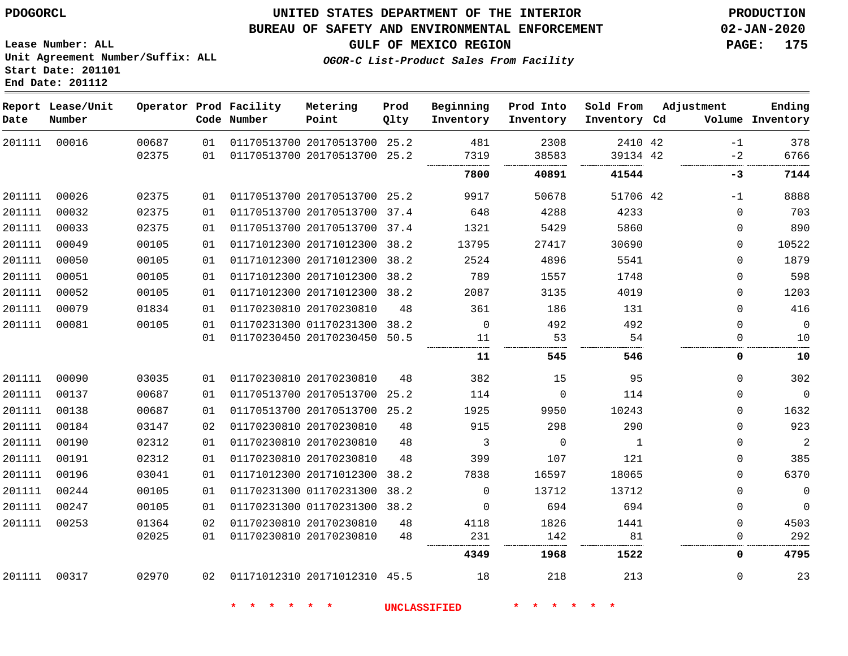## **UNITED STATES DEPARTMENT OF THE INTERIOR PDOGORCL PRODUCTION**

**Prod**

#### **BUREAU OF SAFETY AND ENVIRONMENTAL ENFORCEMENT 02-JAN-2020**

**OGOR-C List-Product Sales From Facility**

**Beginning**

**GULF OF MEXICO REGION PAGE: 175**

**Adjustment**

**Ending**

**Lease Number: ALL Unit Agreement Number/Suffix: ALL Start Date: 201101 End Date: 201112**

| Date   | Report Lease/Unit<br>Number |                |          | Operator Prod Facility<br>Code Number | Metering<br>Point                                  | Prod<br>Qlty | Beginning<br>Inventory | Prod Into<br>Inventory | Sold From<br>Inventory Cd | Adjustment              | Ending<br>Volume Inventory |
|--------|-----------------------------|----------------|----------|---------------------------------------|----------------------------------------------------|--------------|------------------------|------------------------|---------------------------|-------------------------|----------------------------|
| 201111 | 00016                       | 00687          | 01       |                                       | 01170513700 20170513700 25.2                       |              | 481                    | 2308                   | 2410 42                   | $-1$                    | 378                        |
|        |                             | 02375          | 01       |                                       | 01170513700 20170513700 25.2                       |              | 7319                   | 38583                  | 39134 42                  | $-2$                    | 6766                       |
|        |                             |                |          |                                       |                                                    |              | 7800                   | 40891                  | 41544                     | $-3$                    | 7144                       |
| 201111 | 00026                       | 02375          | 01       |                                       | 01170513700 20170513700 25.2                       |              | 9917                   | 50678                  | 51706 42                  | $-1$                    | 8888                       |
| 201111 | 00032                       | 02375          | 01       |                                       | 01170513700 20170513700 37.4                       |              | 648                    | 4288                   | 4233                      | $\Omega$                | 703                        |
| 201111 | 00033                       | 02375          | 01       |                                       | 01170513700 20170513700 37.4                       |              | 1321                   | 5429                   | 5860                      | 0                       | 890                        |
| 201111 | 00049                       | 00105          | 01       |                                       | 01171012300 20171012300 38.2                       |              | 13795                  | 27417                  | 30690                     | $\mathbf 0$             | 10522                      |
| 201111 | 00050                       | 00105          | 01       |                                       | 01171012300 20171012300 38.2                       |              | 2524                   | 4896                   | 5541                      | $\Omega$                | 1879                       |
| 201111 | 00051                       | 00105          | 01       |                                       | 01171012300 20171012300 38.2                       |              | 789                    | 1557                   | 1748                      | $\mathbf 0$             | 598                        |
| 201111 | 00052                       | 00105          | 01       |                                       | 01171012300 20171012300 38.2                       |              | 2087                   | 3135                   | 4019                      | $\mathbf 0$             | 1203                       |
| 201111 | 00079                       | 01834          | 01       |                                       | 01170230810 20170230810                            | 48           | 361                    | 186                    | 131                       | $\Omega$                | 416                        |
| 201111 | 00081                       | 00105          | 01       |                                       | 01170231300 01170231300 38.2                       |              | $\Omega$               | 492                    | 492                       | $\Omega$                | $\mathbf 0$                |
|        |                             |                | 01       |                                       | 01170230450 20170230450 50.5                       |              | 11                     | 53                     | 54                        | $\Omega$                | 10                         |
|        |                             |                |          |                                       |                                                    |              | 11                     | 545                    | 546                       | 0                       | 10                         |
| 201111 | 00090                       | 03035          | 01       |                                       | 01170230810 20170230810                            | 48           | 382                    | 15                     | 95                        | $\Omega$                | 302                        |
| 201111 | 00137                       | 00687          | 01       |                                       | 01170513700 20170513700 25.2                       |              | 114                    | $\Omega$               | 114                       | $\Omega$                | $\Omega$                   |
| 201111 | 00138                       | 00687          | 01       |                                       | 01170513700 20170513700 25.2                       |              | 1925                   | 9950                   | 10243                     | $\mathbf 0$             | 1632                       |
| 201111 | 00184                       | 03147          | 02       |                                       | 01170230810 20170230810                            | 48           | 915                    | 298                    | 290                       | $\mathbf 0$             | 923                        |
| 201111 | 00190                       | 02312          | 01       |                                       | 01170230810 20170230810                            | 48           | 3                      | $\Omega$               | $\mathbf{1}$              | $\Omega$                | 2                          |
| 201111 | 00191                       | 02312          | 01       |                                       | 01170230810 20170230810                            | 48           | 399                    | 107                    | 121                       | $\mathbf 0$             | 385                        |
| 201111 | 00196                       | 03041          | 01       |                                       | 01171012300 20171012300                            | 38.2         | 7838                   | 16597                  | 18065                     | $\mathbf 0$             | 6370                       |
| 201111 | 00244                       | 00105          | 01       |                                       | 01170231300 01170231300 38.2                       |              | $\Omega$               | 13712                  | 13712                     | $\Omega$                | $\mathbf 0$                |
| 201111 | 00247                       | 00105          | 01       |                                       | 01170231300 01170231300 38.2                       |              | $\Omega$               | 694                    | 694                       | $\Omega$                | $\Omega$                   |
| 201111 | 00253                       | 01364<br>02025 | 02<br>01 |                                       | 01170230810 20170230810<br>01170230810 20170230810 | 48<br>48     | 4118<br>231            | 1826<br>142            | 1441<br>81                | $\Omega$<br>$\mathbf 0$ | 4503<br>292                |

00317

20171012310 45.5

**\* \* \* \* \* \* UNCLASSIFIED \* \* \* \* \* \***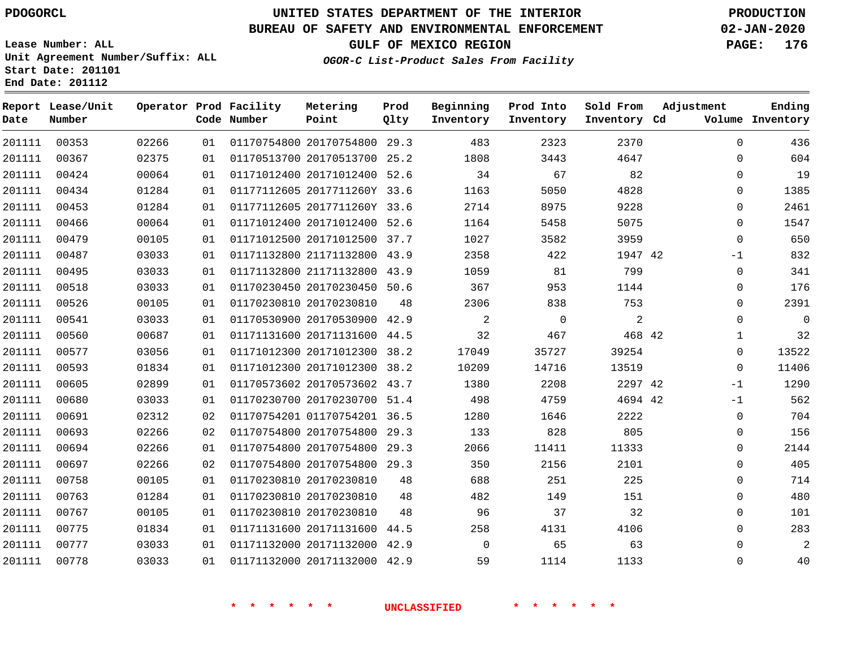**Report Lease/Unit**

**Number**

**Date**

# **UNITED STATES DEPARTMENT OF THE INTERIOR PDOGORCL PRODUCTION**

**Prod Qlty**

#### **BUREAU OF SAFETY AND ENVIRONMENTAL ENFORCEMENT 02-JAN-2020**

**Lease Number: ALL Unit Agreement Number/Suffix: ALL Start Date: 201101 End Date: 201112**

**Operator Prod Facility**

**Code Number**

20170754800 29.3

**Metering Point**

**OGOR-C List-Product Sales From Facility**

**Sold From Inventory**

**Prod Into Inventory**

**Beginning Inventory**

**GULF OF MEXICO REGION PAGE: 176**

**Inventory Cd Volume**

**Adjustment**

**Ending**

| 201111 | 00367 | 02375 | 01 |             | 01170513700 20170513700 25.2 |    | 1808                | 3443           | 4647           |  |
|--------|-------|-------|----|-------------|------------------------------|----|---------------------|----------------|----------------|--|
| 201111 | 00424 | 00064 | 01 |             | 01171012400 20171012400 52.6 |    | 34                  | 67             | 82             |  |
| 201111 | 00434 | 01284 | 01 |             | 01177112605 2017711260Y 33.6 |    | 1163                | 5050           | 4828           |  |
| 201111 | 00453 | 01284 | 01 |             | 01177112605 2017711260Y 33.6 |    | 2714                | 8975           | 9228           |  |
| 201111 | 00466 | 00064 | 01 |             | 01171012400 20171012400 52.6 |    | 1164                | 5458           | 5075           |  |
| 201111 | 00479 | 00105 | 01 |             | 01171012500 20171012500 37.7 |    | 1027                | 3582           | 3959           |  |
| 201111 | 00487 | 03033 | 01 |             | 01171132800 21171132800 43.9 |    | 2358                | 422            | 1947 42        |  |
| 201111 | 00495 | 03033 | 01 |             | 01171132800 21171132800 43.9 |    | 1059                | 81             | 799            |  |
| 201111 | 00518 | 03033 | 01 |             | 01170230450 20170230450 50.6 |    | 367                 | 953            | 1144           |  |
| 201111 | 00526 | 00105 | 01 |             | 01170230810 20170230810      | 48 | 2306                | 838            | 753            |  |
| 201111 | 00541 | 03033 | 01 |             | 01170530900 20170530900 42.9 |    | 2                   | $\overline{0}$ | $\overline{2}$ |  |
| 201111 | 00560 | 00687 | 01 |             | 01171131600 20171131600 44.5 |    | 32                  | 467            | 468 42         |  |
| 201111 | 00577 | 03056 | 01 |             | 01171012300 20171012300 38.2 |    | 17049               | 35727          | 39254          |  |
| 201111 | 00593 | 01834 | 01 |             | 01171012300 20171012300 38.2 |    | 10209               | 14716          | 13519          |  |
| 201111 | 00605 | 02899 | 01 |             | 01170573602 20170573602 43.7 |    | 1380                | 2208           | 2297 42        |  |
| 201111 | 00680 | 03033 | 01 |             | 01170230700 20170230700 51.4 |    | 498                 | 4759           | 4694 42        |  |
| 201111 | 00691 | 02312 | 02 |             | 01170754201 01170754201 36.5 |    | 1280                | 1646           | 2222           |  |
| 201111 | 00693 | 02266 | 02 |             | 01170754800 20170754800 29.3 |    | 133                 | 828            | 805            |  |
| 201111 | 00694 | 02266 | 01 |             | 01170754800 20170754800 29.3 |    | 2066                | 11411          | 11333          |  |
| 201111 | 00697 | 02266 | 02 |             | 01170754800 20170754800 29.3 |    | 350                 | 2156           | 2101           |  |
| 201111 | 00758 | 00105 | 01 |             | 01170230810 20170230810      | 48 | 688                 | 251            | 225            |  |
| 201111 | 00763 | 01284 | 01 |             | 01170230810 20170230810      | 48 | 482                 | 149            | 151            |  |
| 201111 | 00767 | 00105 | 01 |             | 01170230810 20170230810      | 48 | 96                  | 37             | 32             |  |
| 201111 | 00775 | 01834 | 01 |             | 01171131600 20171131600 44.5 |    | 258                 | 4131           | 4106           |  |
| 201111 | 00777 | 03033 | 01 |             | 01171132000 20171132000 42.9 |    | $\overline{0}$      | 65             | 63             |  |
| 201111 | 00778 | 03033 | 01 |             | 01171132000 20171132000 42.9 |    | 59                  | 1114           | 1133           |  |
|        |       |       |    |             |                              |    |                     |                |                |  |
|        |       |       |    |             |                              |    |                     |                |                |  |
|        |       |       |    | * * * * * * |                              |    | <b>UNCLASSIFIED</b> | * * * * * *    |                |  |
|        |       |       |    |             |                              |    |                     |                |                |  |
|        |       |       |    |             |                              |    |                     |                |                |  |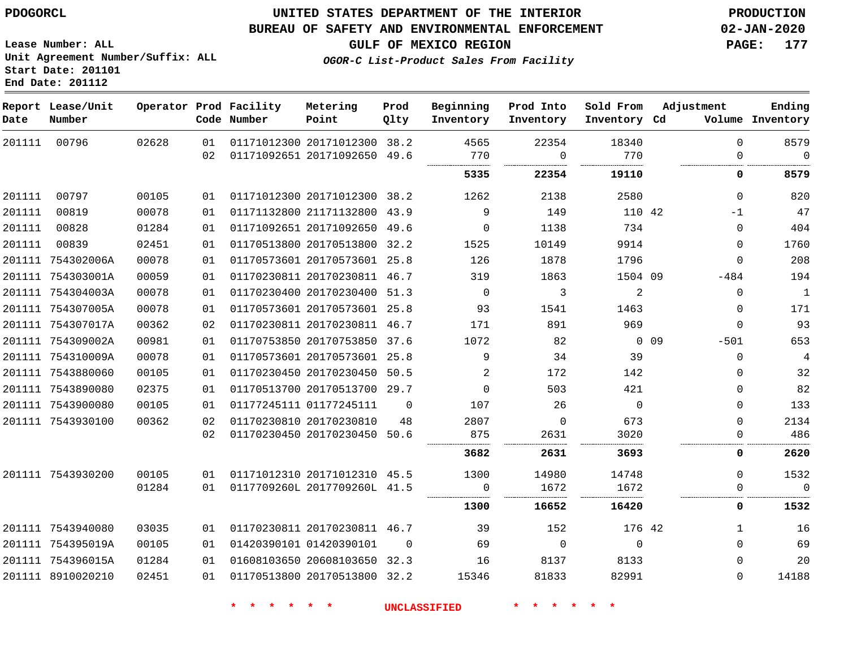#### **BUREAU OF SAFETY AND ENVIRONMENTAL ENFORCEMENT 02-JAN-2020**

**Lease Number: ALL Unit Agreement Number/Suffix: ALL Start Date: 201101 End Date: 201112**

**GULF OF MEXICO REGION PAGE: 177**

**OGOR-C List-Product Sales From Facility**

| Date   | Report Lease/Unit<br>Number |       |          | Operator Prod Facility<br>Code Number | Metering<br>Point                                            | Prod<br>Qlty   | Beginning<br>Inventory | Prod Into<br>Inventory | Sold From<br>Inventory Cd | Adjustment |               | Ending<br>Volume Inventory |
|--------|-----------------------------|-------|----------|---------------------------------------|--------------------------------------------------------------|----------------|------------------------|------------------------|---------------------------|------------|---------------|----------------------------|
| 201111 | 00796                       | 02628 | 01<br>02 |                                       | 01171012300 20171012300 38.2<br>01171092651 20171092650 49.6 |                | 4565<br>770            | 22354<br>$\Omega$      | 18340<br>770              |            | $\Omega$<br>0 | 8579<br>$\mathbf 0$        |
|        |                             |       |          |                                       |                                                              |                | 5335                   | 22354                  | 19110                     |            | 0             | 8579                       |
| 201111 | 00797                       | 00105 | 01       |                                       | 01171012300 20171012300 38.2                                 |                | 1262                   | 2138                   | 2580                      |            | 0             | 820                        |
| 201111 | 00819                       | 00078 | 01       |                                       | 01171132800 21171132800 43.9                                 |                | 9                      | 149                    | 110 42                    |            | $-1$          | 47                         |
| 201111 | 00828                       | 01284 | 01       |                                       | 01171092651 20171092650 49.6                                 |                | $\Omega$               | 1138                   | 734                       |            | $\Omega$      | 404                        |
| 201111 | 00839                       | 02451 | 01       |                                       | 01170513800 20170513800 32.2                                 |                | 1525                   | 10149                  | 9914                      |            | 0             | 1760                       |
|        | 201111 754302006A           | 00078 | 01       |                                       | 01170573601 20170573601 25.8                                 |                | 126                    | 1878                   | 1796                      |            | $\mathbf{0}$  | 208                        |
|        | 201111 754303001A           | 00059 | 01       |                                       | 01170230811 20170230811 46.7                                 |                | 319                    | 1863                   | 1504 09                   |            | $-484$        | 194                        |
|        | 201111 754304003A           | 00078 | 01       |                                       | 01170230400 20170230400 51.3                                 |                | $\overline{0}$         | 3                      | 2                         |            | $\Omega$      | $\mathbf{1}$               |
|        | 201111 754307005A           | 00078 | 01       |                                       | 01170573601 20170573601 25.8                                 |                | 93                     | 1541                   | 1463                      |            | $\mathbf 0$   | 171                        |
|        | 201111 754307017A           | 00362 | 02       |                                       | 01170230811 20170230811 46.7                                 |                | 171                    | 891                    | 969                       |            | $\mathbf{0}$  | 93                         |
|        | 201111 754309002A           | 00981 | 01       |                                       | 01170753850 20170753850 37.6                                 |                | 1072                   | 82                     |                           | 0 0 9      | $-501$        | 653                        |
|        | 201111 754310009A           | 00078 | 01       |                                       | 01170573601 20170573601 25.8                                 |                | 9                      | 34                     | 39                        |            | $\Omega$      | 4                          |
|        | 201111 7543880060           | 00105 | 01       |                                       | 01170230450 20170230450                                      | 50.5           | 2                      | 172                    | 142                       |            | 0             | 32                         |
|        | 201111 7543890080           | 02375 | 01       |                                       | 01170513700 20170513700 29.7                                 |                | $\Omega$               | 503                    | 421                       |            | $\Omega$      | 82                         |
|        | 201111 7543900080           | 00105 | 01       |                                       | 01177245111 01177245111                                      | $\Omega$       | 107                    | 26                     | $\Omega$                  |            | $\Omega$      | 133                        |
|        | 201111 7543930100           | 00362 | 02       |                                       | 01170230810 20170230810                                      | 48             | 2807                   | $\mathbf 0$            | 673                       |            | 0             | 2134                       |
|        |                             |       | 02       |                                       | 01170230450 20170230450 50.6                                 |                | 875                    | 2631                   | 3020                      |            | 0             | 486                        |
|        |                             |       |          |                                       |                                                              |                | 3682                   | 2631                   | 3693                      |            | 0             | 2620                       |
|        | 201111 7543930200           | 00105 | 01       |                                       | 01171012310 20171012310 45.5                                 |                | 1300                   | 14980                  | 14748                     |            | $\Omega$      | 1532                       |
|        |                             | 01284 | 01       |                                       | 0117709260L 2017709260L 41.5                                 |                | - 0                    | 1672                   | 1672                      |            | 0             | $\Omega$                   |
|        |                             |       |          |                                       |                                                              |                | 1300                   | 16652                  | 16420                     |            | 0             | 1532                       |
|        | 201111 7543940080           | 03035 | 01       |                                       | 01170230811 20170230811 46.7                                 |                | 39                     | 152                    | 176 42                    |            | 1             | 16                         |
|        | 201111 754395019A           | 00105 | 01       |                                       | 01420390101 01420390101                                      | $\overline{0}$ | 69                     | $\mathsf{O}$           | $\mathbf 0$               |            | $\mathbf 0$   | 69                         |
|        | 201111 754396015A           | 01284 | 01       |                                       | 01608103650 20608103650 32.3                                 |                | 16                     | 8137                   | 8133                      |            | $\Omega$      | 20                         |
|        | 201111 8910020210           | 02451 | 01       |                                       | 01170513800 20170513800 32.2                                 |                | 15346                  | 81833                  | 82991                     |            | $\Omega$      | 14188                      |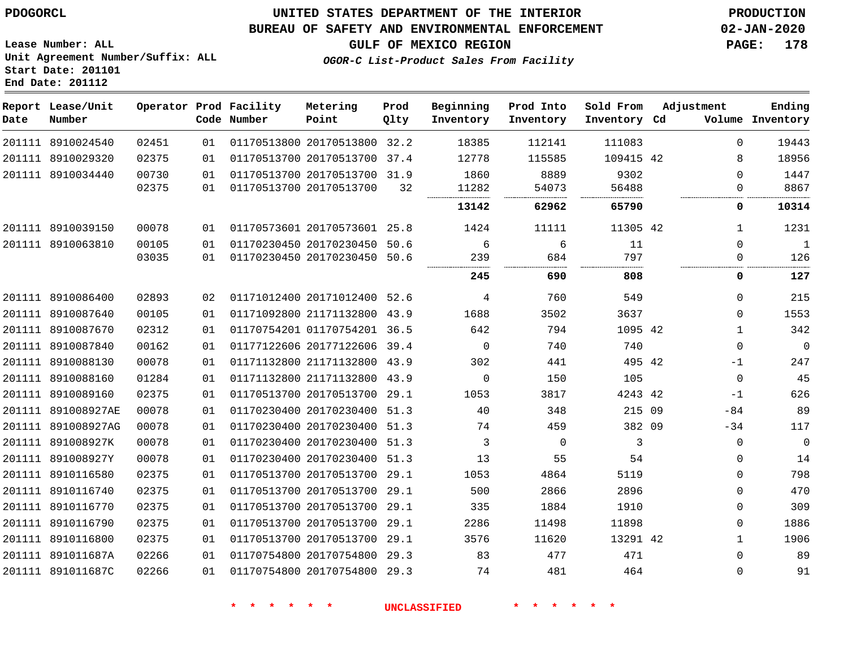**Report Lease/Unit**

891011687C

## **UNITED STATES DEPARTMENT OF THE INTERIOR PDOGORCL PRODUCTION**

**Prod**

**Metering**

#### **BUREAU OF SAFETY AND ENVIRONMENTAL ENFORCEMENT 02-JAN-2020**

**Lease Number: ALL Unit Agreement Number/Suffix: ALL Start Date: 201101 End Date: 201112**

**Operator Prod Facility**

**GULF OF MEXICO REGION PAGE: 178**

**Ending**

**OGOR-C List-Product Sales From Facility**

**Beginning**

**Prod Into**

| Date | Number             |       |    | Code Number | Point                        | Qlty  | Inventory   | Inventory | Inventory Cd |              | Volume Inventory |
|------|--------------------|-------|----|-------------|------------------------------|-------|-------------|-----------|--------------|--------------|------------------|
|      | 201111 8910024540  | 02451 | 01 |             | 01170513800 20170513800 32.2 |       | 18385       | 112141    | 111083       | 0            | 19443            |
|      | 201111 8910029320  | 02375 | 01 |             | 01170513700 20170513700      | 37.4  | 12778       | 115585    | 109415 42    | 8            | 18956            |
|      | 201111 8910034440  | 00730 | 01 |             | 01170513700 20170513700 31.9 |       | 1860        | 8889      | 9302         | $\Omega$     | 1447             |
|      |                    | 02375 | 01 |             | 01170513700 20170513700      | 32    | 11282       | 54073     | 56488        | 0            | 8867             |
|      |                    |       |    |             |                              |       | 13142       | 62962     | 65790        | 0            | 10314            |
|      | 201111 8910039150  | 00078 | 01 |             | 01170573601 20170573601 25.8 |       | 1424        | 11111     | 11305 42     | 1            | 1231             |
|      | 201111 8910063810  | 00105 | 01 |             | 01170230450 20170230450      | 50.6  | 6           | 6         | 11           | $\Omega$     | $\mathbf{1}$     |
|      |                    | 03035 | 01 |             | 01170230450 20170230450 50.6 |       | 239         | 684       | 797          | 0            | 126              |
|      |                    |       |    |             |                              |       | 245         | 690       | 808          | 0            | 127              |
|      | 201111 8910086400  | 02893 | 02 |             | 01171012400 20171012400 52.6 |       | 4           | 760       | 549          | $\Omega$     | 215              |
|      | 201111 8910087640  | 00105 | 01 |             | 01171092800 21171132800 43.9 |       | 1688        | 3502      | 3637         | $\Omega$     | 1553             |
|      | 201111 8910087670  | 02312 | 01 |             | 01170754201 01170754201 36.5 |       | 642         | 794       | 1095 42      | $\mathbf{1}$ | 342              |
|      | 201111 8910087840  | 00162 | 01 |             | 01177122606 20177122606 39.4 |       | $\mathbf 0$ | 740       | 740          | $\mathbf 0$  | $\mathbf 0$      |
|      | 201111 8910088130  | 00078 | 01 |             | 01171132800 21171132800 43.9 |       | 302         | 441       | 495 42       | -1           | 247              |
|      | 201111 8910088160  | 01284 | 01 |             | 01171132800 21171132800      | 43.9  | $\Omega$    | 150       | 105          | $\Omega$     | 45               |
|      | 201111 8910089160  | 02375 | 01 |             | 01170513700 20170513700 29.1 |       | 1053        | 3817      | 4243 42      | $-1$         | 626              |
|      | 201111 891008927AE | 00078 | 01 |             | 01170230400 20170230400 51.3 |       | 40          | 348       | 215 09       | $-84$        | 89               |
|      | 201111 891008927AG | 00078 | 01 |             | 01170230400 20170230400      | 51.3  | 74          | 459       | 382 09       | $-34$        | 117              |
|      | 201111 891008927K  | 00078 | 01 |             | 01170230400 20170230400 51.3 |       | 3           | 0         | 3            | 0            | $\mathbf 0$      |
|      | 201111 891008927Y  | 00078 | 01 |             | 01170230400 20170230400 51.3 |       | 13          | 55        | 54           | 0            | 14               |
|      | 201111 8910116580  | 02375 | 01 |             | 01170513700 20170513700      | 29.1  | 1053        | 4864      | 5119         | $\Omega$     | 798              |
|      | 201111 8910116740  | 02375 | 01 |             | 01170513700 20170513700 29.1 |       | 500         | 2866      | 2896         | $\mathbf 0$  | 470              |
|      | 201111 8910116770  | 02375 | 01 |             | 01170513700 20170513700 29.1 |       | 335         | 1884      | 1910         | $\Omega$     | 309              |
|      | 201111 8910116790  | 02375 | 01 |             | 01170513700 20170513700      | -29.1 | 2286        | 11498     | 11898        | 0            | 1886             |
|      | 201111 8910116800  | 02375 | 01 |             | 01170513700 20170513700 29.1 |       | 3576        | 11620     | 13291 42     | $\mathbf{1}$ | 1906             |
|      | 201111 891011687A  | 02266 | 01 |             | 01170754800 20170754800 29.3 |       | 83          | 477       | 471          | $\Omega$     | 89               |

01170754800 20170754800 29.3

**\* \* \* \* \* \* UNCLASSIFIED \* \* \* \* \* \***

**Sold From Adjustment**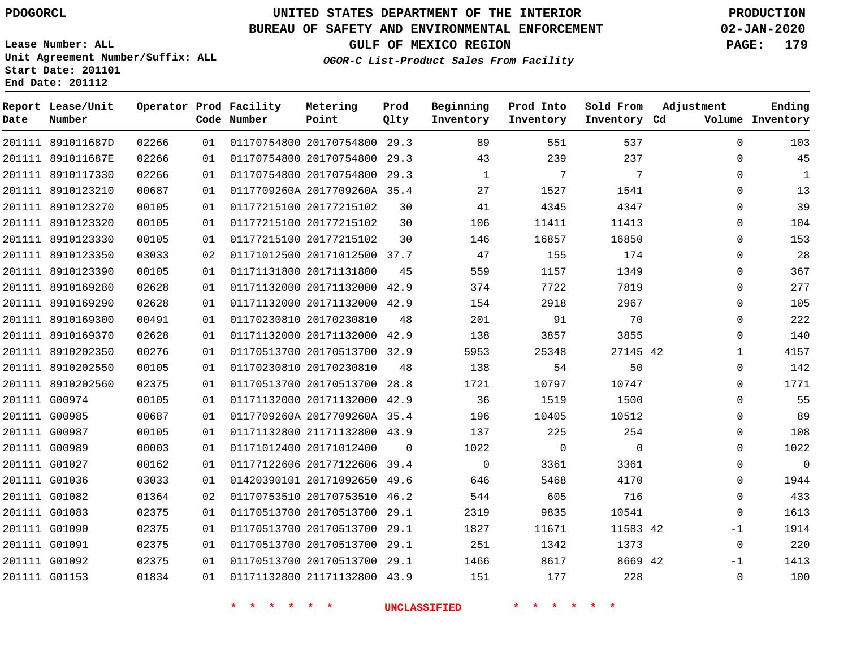## **BUREAU OF SAFETY AND ENVIRONMENTAL ENFORCEMENT 02-JAN-2020**

**Lease Number: ALL Unit Agreement Number/Suffix: ALL Start Date: 201101 End Date: 201112**

**OGOR-C List-Product Sales From Facility**

**GULF OF MEXICO REGION PAGE: 179**

| Date | Report Lease/Unit<br>Number |       |    | Operator Prod Facility<br>Code Number | Metering<br>Point            | Prod<br>Qlty | Beginning<br>Inventory | Prod Into<br>Inventory | Sold From<br>Inventory Cd | Adjustment   | Ending<br>Volume Inventory |
|------|-----------------------------|-------|----|---------------------------------------|------------------------------|--------------|------------------------|------------------------|---------------------------|--------------|----------------------------|
|      | 201111 891011687D           | 02266 | 01 |                                       | 01170754800 20170754800 29.3 |              | 89                     | 551                    | 537                       | $\mathbf 0$  | 103                        |
|      | 201111 891011687E           | 02266 | 01 |                                       | 01170754800 20170754800 29.3 |              | 43                     | 239                    | 237                       | $\Omega$     | 45                         |
|      | 201111 8910117330           | 02266 | 01 |                                       | 01170754800 20170754800 29.3 |              | 1                      | 7                      | 7                         | 0            | 1                          |
|      | 201111 8910123210           | 00687 | 01 |                                       | 0117709260A 2017709260A 35.4 |              | 27                     | 1527                   | 1541                      | $\Omega$     | 13                         |
|      | 201111 8910123270           | 00105 | 01 |                                       | 01177215100 20177215102      | 30           | 41                     | 4345                   | 4347                      | $\mathbf 0$  | 39                         |
|      | 201111 8910123320           | 00105 | 01 |                                       | 01177215100 20177215102      | 30           | 106                    | 11411                  | 11413                     | $\Omega$     | 104                        |
|      | 201111 8910123330           | 00105 | 01 |                                       | 01177215100 20177215102      | 30           | 146                    | 16857                  | 16850                     | $\Omega$     | 153                        |
|      | 201111 8910123350           | 03033 | 02 |                                       | 01171012500 20171012500 37.7 |              | 47                     | 155                    | 174                       | 0            | 28                         |
|      | 201111 8910123390           | 00105 | 01 |                                       | 01171131800 20171131800      | 45           | 559                    | 1157                   | 1349                      | $\mathbf 0$  | 367                        |
|      | 201111 8910169280           | 02628 | 01 |                                       | 01171132000 20171132000 42.9 |              | 374                    | 7722                   | 7819                      | 0            | 277                        |
|      | 201111 8910169290           | 02628 | 01 |                                       | 01171132000 20171132000 42.9 |              | 154                    | 2918                   | 2967                      | $\mathbf 0$  | 105                        |
|      | 201111 8910169300           | 00491 | 01 |                                       | 01170230810 20170230810      | 48           | 201                    | 91                     | 70                        | $\mathbf{0}$ | 222                        |
|      | 201111 8910169370           | 02628 | 01 |                                       | 01171132000 20171132000 42.9 |              | 138                    | 3857                   | 3855                      | 0            | 140                        |
|      | 201111 8910202350           | 00276 | 01 |                                       | 01170513700 20170513700 32.9 |              | 5953                   | 25348                  | 27145 42                  | $\mathbf{1}$ | 4157                       |
|      | 201111 8910202550           | 00105 | 01 |                                       | 01170230810 20170230810      | 48           | 138                    | 54                     | 50                        | $\mathbf 0$  | 142                        |
|      | 201111 8910202560           | 02375 | 01 |                                       | 01170513700 20170513700 28.8 |              | 1721                   | 10797                  | 10747                     | $\Omega$     | 1771                       |
|      | 201111 G00974               | 00105 | 01 |                                       | 01171132000 20171132000 42.9 |              | 36                     | 1519                   | 1500                      | 0            | 55                         |
|      | 201111 G00985               | 00687 | 01 |                                       | 0117709260A 2017709260A 35.4 |              | 196                    | 10405                  | 10512                     | 0            | 89                         |
|      | 201111 G00987               | 00105 | 01 |                                       | 01171132800 21171132800 43.9 |              | 137                    | 225                    | 254                       | $\mathbf 0$  | 108                        |
|      | 201111 G00989               | 00003 | 01 |                                       | 01171012400 20171012400      | $\Omega$     | 1022                   | $\overline{0}$         | $\mathbf 0$               | $\Omega$     | 1022                       |
|      | 201111 G01027               | 00162 | 01 |                                       | 01177122606 20177122606      | 39.4         | $\Omega$               | 3361                   | 3361                      | $\Omega$     | $\Omega$                   |
|      | 201111 G01036               | 03033 | 01 |                                       | 01420390101 20171092650 49.6 |              | 646                    | 5468                   | 4170                      | 0            | 1944                       |
|      | 201111 G01082               | 01364 | 02 |                                       | 01170753510 20170753510 46.2 |              | 544                    | 605                    | 716                       | $\Omega$     | 433                        |
|      | 201111 G01083               | 02375 | 01 |                                       | 01170513700 20170513700 29.1 |              | 2319                   | 9835                   | 10541                     | 0            | 1613                       |
|      | 201111 G01090               | 02375 | 01 |                                       | 01170513700 20170513700 29.1 |              | 1827                   | 11671                  | 11583 42                  | $-1$         | 1914                       |
|      | 201111 G01091               | 02375 | 01 |                                       | 01170513700 20170513700 29.1 |              | 251                    | 1342                   | 1373                      | 0            | 220                        |
|      | 201111 G01092               | 02375 | 01 |                                       | 01170513700 20170513700 29.1 |              | 1466                   | 8617                   | 8669 42                   | $-1$         | 1413                       |
|      | 201111 G01153               | 01834 | 01 |                                       | 01171132800 21171132800 43.9 |              | 151                    | 177                    | 228                       | $\Omega$     | 100                        |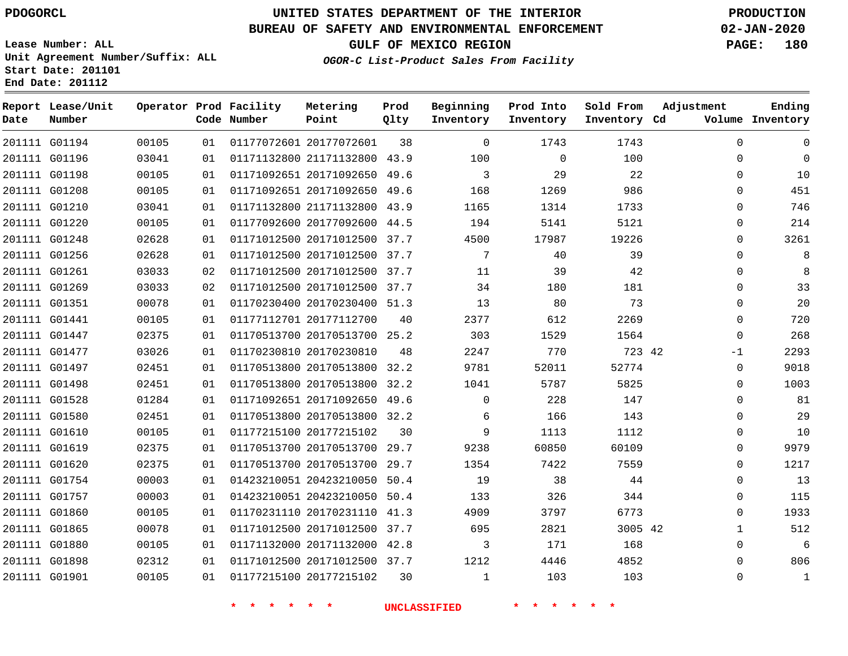# **UNITED STATES DEPARTMENT OF THE INTERIOR PDOGORCL PRODUCTION**

#### **BUREAU OF SAFETY AND ENVIRONMENTAL ENFORCEMENT 02-JAN-2020**

**Lease Number: ALL Unit Agreement Number/Suffix: ALL Start Date: 201101 End Date: 201112**

**OGOR-C List-Product Sales From Facility**

**GULF OF MEXICO REGION PAGE: 180**

| Date | Report Lease/Unit<br>Number |       |    | Operator Prod Facility<br>Code Number | Metering<br>Point            | Prod<br>Qlty | Beginning<br>Inventory | Prod Into<br>Inventory | Sold From<br>Inventory Cd | Adjustment   | Ending<br>Volume Inventory |
|------|-----------------------------|-------|----|---------------------------------------|------------------------------|--------------|------------------------|------------------------|---------------------------|--------------|----------------------------|
|      | 201111 G01194               | 00105 | 01 |                                       | 01177072601 20177072601      | 38           | $\Omega$               | 1743                   | 1743                      | $\Omega$     | $\Omega$                   |
|      | 201111 G01196               | 03041 | 01 |                                       | 01171132800 21171132800 43.9 |              | 100                    | $\mathbf 0$            | 100                       | $\Omega$     | $\Omega$                   |
|      | 201111 G01198               | 00105 | 01 |                                       | 01171092651 20171092650 49.6 |              | 3                      | 29                     | 22                        | $\Omega$     | 10                         |
|      | 201111 G01208               | 00105 | 01 |                                       | 01171092651 20171092650 49.6 |              | 168                    | 1269                   | 986                       | $\Omega$     | 451                        |
|      | 201111 G01210               | 03041 | 01 |                                       | 01171132800 21171132800 43.9 |              | 1165                   | 1314                   | 1733                      | 0            | 746                        |
|      | 201111 G01220               | 00105 | 01 |                                       | 01177092600 20177092600 44.5 |              | 194                    | 5141                   | 5121                      | 0            | 214                        |
|      | 201111 G01248               | 02628 | 01 |                                       | 01171012500 20171012500 37.7 |              | 4500                   | 17987                  | 19226                     | $\Omega$     | 3261                       |
|      | 201111 G01256               | 02628 | 01 |                                       | 01171012500 20171012500 37.7 |              | 7                      | 40                     | 39                        | $\Omega$     | 8                          |
|      | 201111 G01261               | 03033 | 02 |                                       | 01171012500 20171012500 37.7 |              | 11                     | 39                     | 42                        | $\Omega$     | 8                          |
|      | 201111 G01269               | 03033 | 02 |                                       | 01171012500 20171012500 37.7 |              | 34                     | 180                    | 181                       | $\Omega$     | 33                         |
|      | 201111 G01351               | 00078 | 01 |                                       | 01170230400 20170230400 51.3 |              | 13                     | 80                     | 73                        | $\Omega$     | 20                         |
|      | 201111 G01441               | 00105 | 01 |                                       | 01177112701 20177112700      | 40           | 2377                   | 612                    | 2269                      | 0            | 720                        |
|      | 201111 G01447               | 02375 | 01 |                                       | 01170513700 20170513700 25.2 |              | 303                    | 1529                   | 1564                      | 0            | 268                        |
|      | 201111 G01477               | 03026 | 01 |                                       | 01170230810 20170230810      | 48           | 2247                   | 770                    | 723 42                    | $-1$         | 2293                       |
|      | 201111 G01497               | 02451 | 01 |                                       | 01170513800 20170513800 32.2 |              | 9781                   | 52011                  | 52774                     | $\mathbf 0$  | 9018                       |
|      | 201111 G01498               | 02451 | 01 |                                       | 01170513800 20170513800      | 32.2         | 1041                   | 5787                   | 5825                      | $\Omega$     | 1003                       |
|      | 201111 G01528               | 01284 | 01 |                                       | 01171092651 20171092650 49.6 |              | $\Omega$               | 228                    | 147                       | $\Omega$     | 81                         |
|      | 201111 G01580               | 02451 | 01 |                                       | 01170513800 20170513800 32.2 |              | 6                      | 166                    | 143                       | $\Omega$     | 29                         |
|      | 201111 G01610               | 00105 | 01 |                                       | 01177215100 20177215102      | 30           | 9                      | 1113                   | 1112                      | 0            | 10                         |
|      | 201111 G01619               | 02375 | 01 |                                       | 01170513700 20170513700      | 29.7         | 9238                   | 60850                  | 60109                     | 0            | 9979                       |
|      | 201111 G01620               | 02375 | 01 |                                       | 01170513700 20170513700      | 29.7         | 1354                   | 7422                   | 7559                      | $\Omega$     | 1217                       |
|      | 201111 G01754               | 00003 | 01 |                                       | 01423210051 20423210050 50.4 |              | 19                     | 38                     | 44                        | $\mathbf 0$  | 13                         |
|      | 201111 G01757               | 00003 | 01 |                                       | 01423210051 20423210050 50.4 |              | 133                    | 326                    | 344                       | 0            | 115                        |
|      | 201111 G01860               | 00105 | 01 |                                       | 01170231110 20170231110 41.3 |              | 4909                   | 3797                   | 6773                      | $\Omega$     | 1933                       |
|      | 201111 G01865               | 00078 | 01 |                                       | 01171012500 20171012500 37.7 |              | 695                    | 2821                   | 3005 42                   | $\mathbf{1}$ | 512                        |
|      | 201111 G01880               | 00105 | 01 |                                       | 01171132000 20171132000 42.8 |              | 3                      | 171                    | 168                       | 0            | 6                          |
|      | 201111 G01898               | 02312 | 01 |                                       | 01171012500 20171012500 37.7 |              | 1212                   | 4446                   | 4852                      | $\Omega$     | 806                        |
|      | 201111 G01901               | 00105 | 01 |                                       | 01177215100 20177215102      | 30           | 1                      | 103                    | 103                       | $\Omega$     | $\mathbf{1}$               |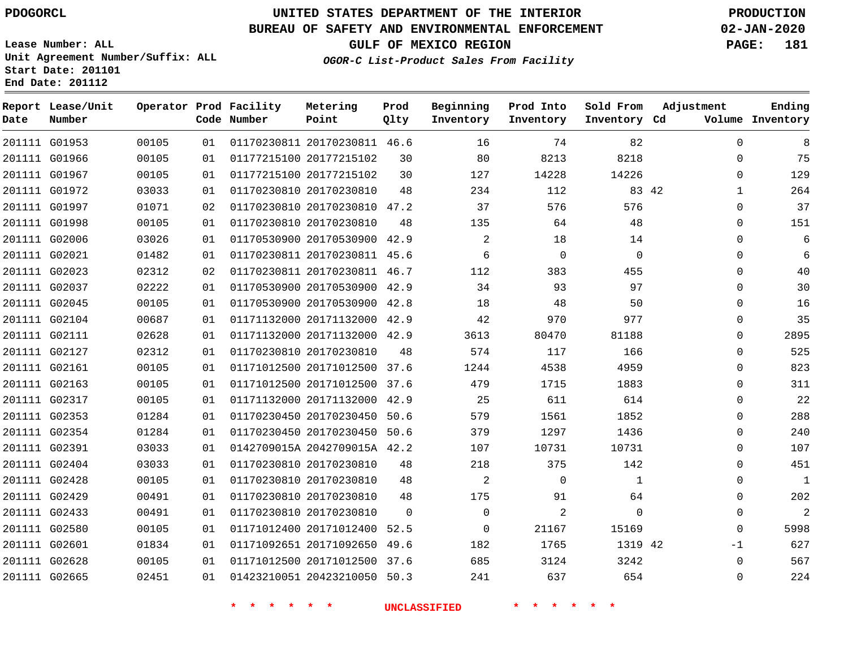G01953

**Report Lease/Unit**

**Number**

**Date**

# **UNITED STATES DEPARTMENT OF THE INTERIOR PDOGORCL PRODUCTION**

**Prod Qlty**

#### **BUREAU OF SAFETY AND ENVIRONMENTAL ENFORCEMENT 02-JAN-2020**

**Lease Number: ALL Unit Agreement Number/Suffix: ALL Start Date: 201101 End Date: 201112**

**Operator Prod Facility**

**Code Number**

**OGOR-C List-Product Sales From Facility**

**Sold From Inventory**

**Prod Into Inventory**

**Beginning Inventory**

**GULF OF MEXICO REGION PAGE: 181**

**Inventory Cd Volume**

**Adjustment**

  $\Omega$   $\Omega$  $\Omega$  $\overline{0}$  $\overline{0}$  $\overline{0}$  $\Omega$  $\overline{0}$  $\Omega$  $\overline{0}$  $\Omega$  $\Omega$  -1 

**Ending**

|               |       |    |                              | <b>UNCLASSIFIED</b> |                |              |              |  |
|---------------|-------|----|------------------------------|---------------------|----------------|--------------|--------------|--|
| 201111 G02665 | 02451 | 01 | 01423210051 20423210050 50.3 |                     | 241            | 637          | 654          |  |
| 201111 G02628 | 00105 | 01 | 01171012500 20171012500 37.6 |                     | 685            | 3124         | 3242         |  |
| 201111 G02601 | 01834 | 01 | 01171092651 20171092650      | 49.6                | 182            | 1765         | 1319 42      |  |
| 201111 G02580 | 00105 | 01 | 01171012400 20171012400 52.5 |                     | $\mathbf 0$    | 21167        | 15169        |  |
| 201111 G02433 | 00491 | 01 | 01170230810 20170230810      | $\overline{0}$      | $\mathbf 0$    | 2            | $\mathbf 0$  |  |
| 201111 G02429 | 00491 | 01 | 01170230810 20170230810      | 48                  | 175            | 91           | 64           |  |
| 201111 G02428 | 00105 | 01 | 01170230810 20170230810      | 48                  | 2              | $\mathbf 0$  | $\mathbf{1}$ |  |
| 201111 G02404 | 03033 | 01 | 01170230810 20170230810      | 48                  | 218            | 375          | 142          |  |
| 201111 G02391 | 03033 | 01 | 0142709015A 2042709015A 42.2 |                     | 107            | 10731        | 10731        |  |
| 201111 G02354 | 01284 | 01 | 01170230450 20170230450 50.6 |                     | 379            | 1297         | 1436         |  |
| 201111 G02353 | 01284 | 01 | 01170230450 20170230450 50.6 |                     | 579            | 1561         | 1852         |  |
| 201111 G02317 | 00105 | 01 | 01171132000 20171132000 42.9 |                     | 25             | 611          | 614          |  |
| 201111 G02163 | 00105 | 01 | 01171012500 20171012500 37.6 |                     | 479            | 1715         | 1883         |  |
| 201111 G02161 | 00105 | 01 | 01171012500 20171012500 37.6 |                     | 1244           | 4538         | 4959         |  |
| 201111 G02127 | 02312 | 01 | 01170230810 20170230810      | 48                  | 574            | 117          | 166          |  |
| 201111 G02111 | 02628 | 01 | 01171132000 20171132000 42.9 |                     | 3613           | 80470        | 81188        |  |
| 201111 G02104 | 00687 | 01 | 01171132000 20171132000 42.9 |                     | 42             | 970          | 977          |  |
| 201111 G02045 | 00105 | 01 | 01170530900 20170530900 42.8 |                     | 18             | 48           | 50           |  |
| 201111 G02037 | 02222 | 01 | 01170530900 20170530900 42.9 |                     | 34             | 93           | 97           |  |
| 201111 G02023 | 02312 | 02 | 01170230811 20170230811 46.7 |                     | 112            | 383          | 455          |  |
| 201111 G02021 | 01482 | 01 | 01170230811 20170230811 45.6 |                     | 6              | $\mathsf{O}$ | $\mathbf 0$  |  |
| 201111 G02006 | 03026 | 01 | 01170530900 20170530900 42.9 |                     | $\overline{2}$ | 18           | 14           |  |
| 201111 G01998 | 00105 | 01 | 01170230810 20170230810      | 48                  | 135            | 64           | 48           |  |
| 201111 G01997 | 01071 | 02 | 01170230810 20170230810 47.2 |                     | 37             | 576          | 576          |  |
| 201111 G01972 | 03033 | 01 | 01170230810 20170230810      | 48                  | 234            | 112          | 83 42        |  |
| 201111 G01967 | 00105 | 01 | 01177215100 20177215102      | 30                  | 127            | 14228        | 14226        |  |
| 201111 G01966 | 00105 | 01 | 01177215100 20177215102      | 30                  | 80             | 8213         | 8218         |  |

20170230811 46.6

**Metering Point**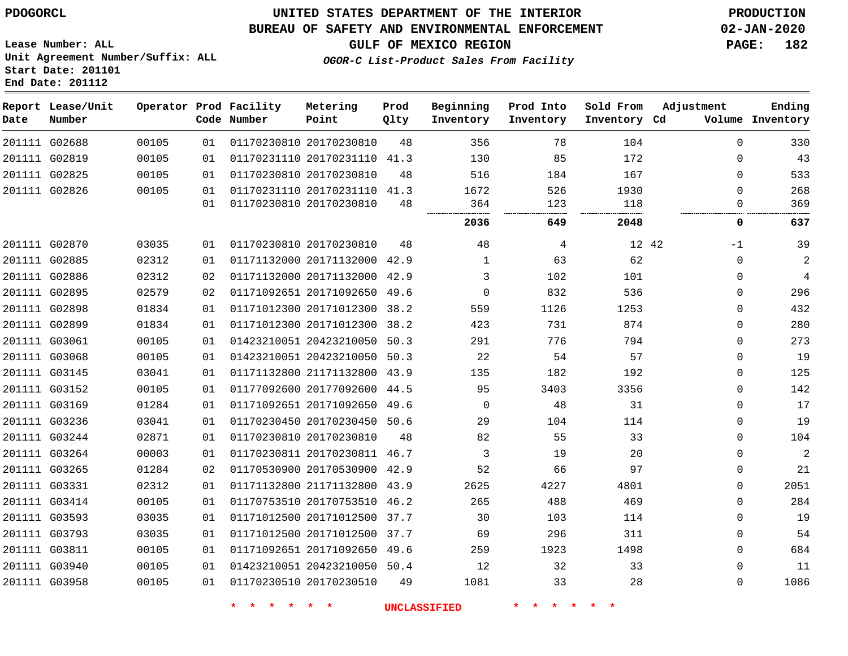**End Date: 201112**

## **UNITED STATES DEPARTMENT OF THE INTERIOR PDOGORCL PRODUCTION**

#### **BUREAU OF SAFETY AND ENVIRONMENTAL ENFORCEMENT 02-JAN-2020**

**Lease Number: ALL Unit Agreement Number/Suffix: ALL Start Date: 201101**

## **GULF OF MEXICO REGION PAGE: 182**

**OGOR-C List-Product Sales From Facility**

| Date          | Report Lease/Unit<br>Number |       |                 | Operator Prod Facility<br>Code Number | Metering<br>Point            | Prod<br>Qlty | Beginning<br>Inventory | Prod Into<br>Inventory | Sold From<br>Inventory Cd | Adjustment | Ending<br>Volume Inventory |
|---------------|-----------------------------|-------|-----------------|---------------------------------------|------------------------------|--------------|------------------------|------------------------|---------------------------|------------|----------------------------|
| 201111 G02688 |                             | 00105 | 01              |                                       | 01170230810 20170230810      | 48           | 356                    | 78                     | 104                       | 0          | 330                        |
| 201111 G02819 |                             | 00105 | 01              |                                       | 01170231110 20170231110 41.3 |              | 130                    | 85                     | 172                       | 0          | 43                         |
| 201111 G02825 |                             | 00105 | 01              |                                       | 01170230810 20170230810      | 48           | 516                    | 184                    | 167                       | $\Omega$   | 533                        |
| 201111 G02826 |                             | 00105 | 01              |                                       | 01170231110 20170231110 41.3 |              | 1672                   | 526                    | 1930                      | $\Omega$   | 268                        |
|               |                             |       | 01              |                                       | 01170230810 20170230810      | 48           | 364                    | 123<br>                | 118<br>                   | $\Omega$   | 369                        |
|               |                             |       |                 |                                       |                              |              | 2036                   | 649                    | 2048                      | 0          | 637                        |
| 201111 G02870 |                             | 03035 | 01              |                                       | 01170230810 20170230810      | 48           | 48                     | 4                      | 12 42                     | $-1$       | 39                         |
| 201111 G02885 |                             | 02312 | 01              |                                       | 01171132000 20171132000 42.9 |              | $\mathbf{1}$           | 63                     | 62                        | 0          | $\sqrt{2}$                 |
| 201111 G02886 |                             | 02312 | 02              |                                       | 01171132000 20171132000 42.9 |              | 3                      | 102                    | 101                       | $\Omega$   | $\overline{4}$             |
| 201111 G02895 |                             | 02579 | 02 <sub>o</sub> |                                       | 01171092651 20171092650 49.6 |              | $\Omega$               | 832                    | 536                       | 0          | 296                        |
| 201111 G02898 |                             | 01834 | 01              |                                       | 01171012300 20171012300      | 38.2         | 559                    | 1126                   | 1253                      | 0          | 432                        |
| 201111 G02899 |                             | 01834 | 01              |                                       | 01171012300 20171012300      | 38.2         | 423                    | 731                    | 874                       | 0          | 280                        |
| 201111 G03061 |                             | 00105 | 01              |                                       | 01423210051 20423210050 50.3 |              | 291                    | 776                    | 794                       | $\Omega$   | 273                        |
| 201111 G03068 |                             | 00105 | 01              |                                       | 01423210051 20423210050 50.3 |              | 22                     | 54                     | 57                        | 0          | 19                         |
| 201111 G03145 |                             | 03041 | 01              |                                       | 01171132800 21171132800 43.9 |              | 135                    | 182                    | 192                       | 0          | 125                        |
| 201111 G03152 |                             | 00105 | 01              |                                       | 01177092600 20177092600 44.5 |              | 95                     | 3403                   | 3356                      | 0          | 142                        |
| 201111 G03169 |                             | 01284 | 01              |                                       | 01171092651 20171092650 49.6 |              | 0                      | 48                     | 31                        | 0          | 17                         |
| 201111 G03236 |                             | 03041 | 01              |                                       | 01170230450 20170230450 50.6 |              | 29                     | 104                    | 114                       | 0          | 19                         |
| 201111 G03244 |                             | 02871 | 01              |                                       | 01170230810 20170230810      | 48           | 82                     | 55                     | 33                        | 0          | 104                        |
| 201111 G03264 |                             | 00003 | 01              |                                       | 01170230811 20170230811 46.7 |              | 3                      | 19                     | 20                        | 0          | $\overline{a}$             |
| 201111 G03265 |                             | 01284 | 02              |                                       | 01170530900 20170530900 42.9 |              | 52                     | 66                     | 97                        | 0          | 21                         |
| 201111 G03331 |                             | 02312 | 01              |                                       | 01171132800 21171132800 43.9 |              | 2625                   | 4227                   | 4801                      | 0          | 2051                       |
| 201111 G03414 |                             | 00105 | 01              |                                       | 01170753510 20170753510 46.2 |              | 265                    | 488                    | 469                       | 0          | 284                        |
| 201111 G03593 |                             | 03035 | 01              |                                       | 01171012500 20171012500      | 37.7         | 30                     | 103                    | 114                       | 0          | 19                         |
| 201111 G03793 |                             | 03035 | 01              |                                       | 01171012500 20171012500 37.7 |              | 69                     | 296                    | 311                       | 0          | 54                         |
| 201111 G03811 |                             | 00105 | 01              |                                       | 01171092651 20171092650 49.6 |              | 259                    | 1923                   | 1498                      | 0          | 684                        |
| 201111 G03940 |                             | 00105 | 01              |                                       | 01423210051 20423210050 50.4 |              | 12                     | 32                     | 33                        | $\Omega$   | 11                         |
| 201111 G03958 |                             | 00105 | 01              |                                       | 01170230510 20170230510      | 49           | 1081                   | 33                     | 28                        | $\Omega$   | 1086                       |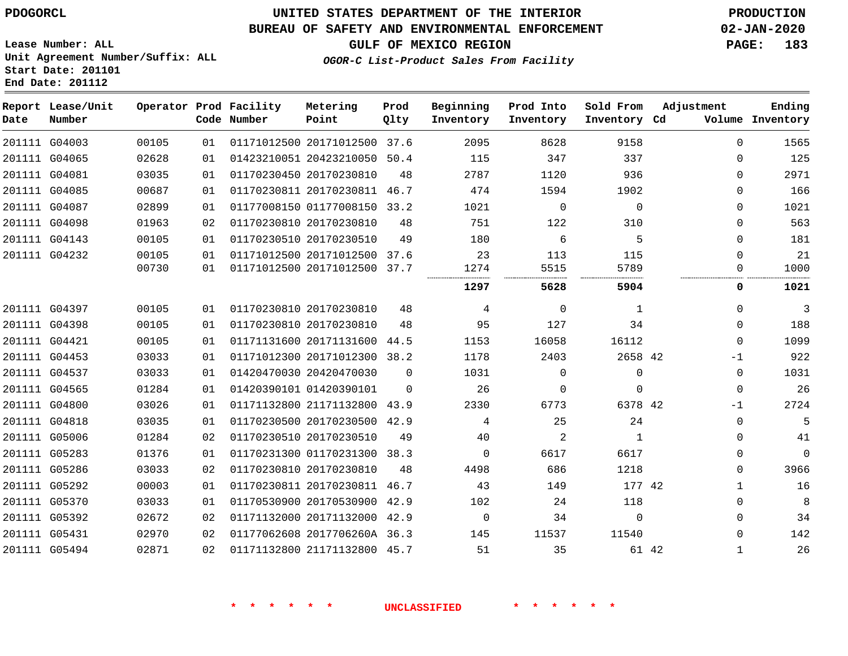**Prod**

**Metering**

#### **BUREAU OF SAFETY AND ENVIRONMENTAL ENFORCEMENT 02-JAN-2020**

**Lease Number: ALL Unit Agreement Number/Suffix: ALL Start Date: 201101**

**Operator Prod Facility**

**End Date: 201112**

**Report Lease/Unit**

**GULF OF MEXICO REGION PAGE: 183**

**Ending**

**OGOR-C List-Product Sales From Facility**

| Date | Number        |       |    | Code Number | Point                        | Qlty     | Inventory | Inventory   | Inventory Cd |              | Volume Inventory |
|------|---------------|-------|----|-------------|------------------------------|----------|-----------|-------------|--------------|--------------|------------------|
|      | 201111 G04003 | 00105 | 01 |             | 01171012500 20171012500 37.6 |          | 2095      | 8628        | 9158         | 0            | 1565             |
|      | 201111 G04065 | 02628 | 01 |             | 01423210051 20423210050      | 50.4     | 115       | 347         | 337          | $\Omega$     | 125              |
|      | 201111 G04081 | 03035 | 01 |             | 01170230450 20170230810      | 48       | 2787      | 1120        | 936          | 0            | 2971             |
|      | 201111 G04085 | 00687 | 01 |             | 01170230811 20170230811 46.7 |          | 474       | 1594        | 1902         | 0            | 166              |
|      | 201111 G04087 | 02899 | 01 |             | 01177008150 01177008150      | 33.2     | 1021      | $\mathbf 0$ | 0            | 0            | 1021             |
|      | 201111 G04098 | 01963 | 02 |             | 01170230810 20170230810      | 48       | 751       | 122         | 310          | 0            | 563              |
|      | 201111 G04143 | 00105 | 01 |             | 01170230510 20170230510      | 49       | 180       | 6           | 5            | $\Omega$     | 181              |
|      | 201111 G04232 | 00105 | 01 |             | 01171012500 20171012500      | 37.6     | 23        | 113         | 115          | 0            | 21               |
|      |               | 00730 | 01 |             | 01171012500 20171012500      | 37.7     | 1274      | 5515        | 5789         | ∩            | 1000             |
|      |               |       |    |             |                              |          | 1297      | 5628        | 5904         | 0            | 1021             |
|      | 201111 G04397 | 00105 | 01 |             | 01170230810 20170230810      | 48       | 4         | 0           | 1            | $\Omega$     | 3                |
|      | 201111 G04398 | 00105 | 01 |             | 01170230810 20170230810      | 48       | 95        | 127         | 34           | 0            | 188              |
|      | 201111 G04421 | 00105 | 01 |             | 01171131600 20171131600      | 44.5     | 1153      | 16058       | 16112        | $\Omega$     | 1099             |
|      | 201111 G04453 | 03033 | 01 |             | 01171012300 20171012300      | 38.2     | 1178      | 2403        | 2658 42      | $-1$         | 922              |
|      | 201111 G04537 | 03033 | 01 |             | 01420470030 20420470030      | $\Omega$ | 1031      | $\Omega$    | 0            | 0            | 1031             |
|      | 201111 G04565 | 01284 | 01 |             | 01420390101 01420390101      | $\Omega$ | 26        | $\Omega$    | 0            | 0            | 26               |
|      | 201111 G04800 | 03026 | 01 |             | 01171132800 21171132800 43.9 |          | 2330      | 6773        | 6378 42      | $-1$         | 2724             |
|      | 201111 G04818 | 03035 | 01 |             | 01170230500 20170230500      | 42.9     | 4         | 25          | 24           | $\Omega$     | 5                |
|      | 201111 G05006 | 01284 | 02 |             | 01170230510 20170230510      | 49       | 40        | 2           | 1            | 0            | 41               |
|      | 201111 G05283 | 01376 | 01 |             | 01170231300 01170231300      | 38.3     | $\Omega$  | 6617        | 6617         | 0            | $\mathbf 0$      |
|      | 201111 G05286 | 03033 | 02 |             | 01170230810 20170230810      | 48       | 4498      | 686         | 1218         | 0            | 3966             |
|      | 201111 G05292 | 00003 | 01 |             | 01170230811 20170230811 46.7 |          | 43        | 149         | 177 42       | 1            | 16               |
|      | 201111 G05370 | 03033 | 01 |             | 01170530900 20170530900      | 42.9     | 102       | 24          | 118          | 0            | 8                |
|      | 201111 G05392 | 02672 | 02 |             | 01171132000 20171132000 42.9 |          | $\Omega$  | 34          | 0            | $\Omega$     | 34               |
|      | 201111 G05431 | 02970 | 02 |             | 01177062608 2017706260A 36.3 |          | 145       | 11537       | 11540        | 0            | 142              |
|      | 201111 G05494 | 02871 | 02 |             | 01171132800 21171132800 45.7 |          | 51        | 35          | 61 42        | $\mathbf{1}$ | 26               |

**Beginning Prod Into Sold From Adjustment**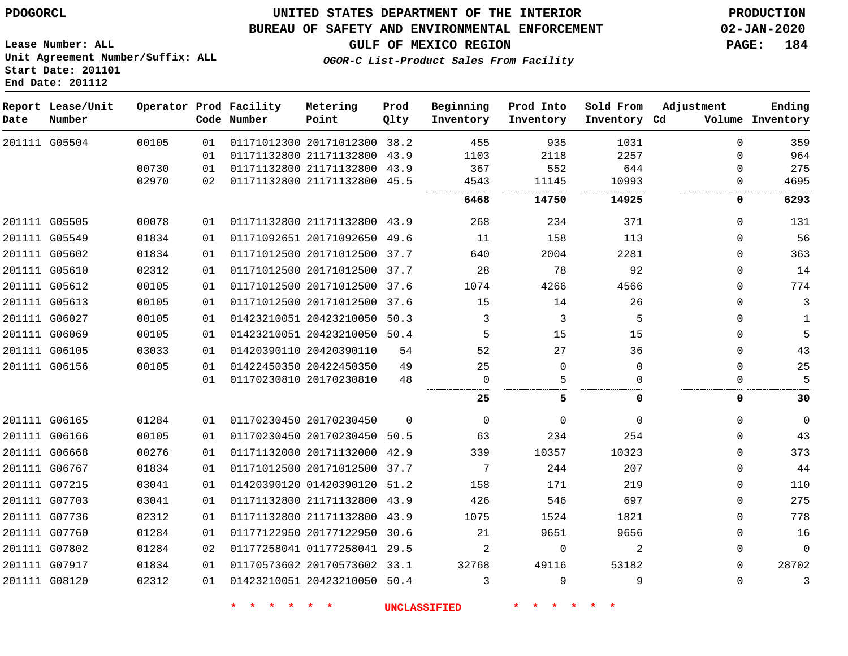**Prod Qlty**

#### **BUREAU OF SAFETY AND ENVIRONMENTAL ENFORCEMENT 02-JAN-2020**

**Lease Number: ALL Unit Agreement Number/Suffix: ALL**

**OGOR-C List-Product Sales From Facility**

**Beginning Inventory** **Prod Into Inventory** **Sold From Inventory**

**Adjustment**

**GULF OF MEXICO REGION PAGE: 184**

**Ending**

|      | Start Date: 201101<br>End Date: 201112 |       |                                       |                   |
|------|----------------------------------------|-------|---------------------------------------|-------------------|
| Date | Report Lease/Unit<br>Number            |       | Operator Prod Facility<br>Code Number | Metering<br>Point |
|      | 201111 G05504                          | 00105 | 01 01171012300 20171012               |                   |

 G05505 G05549 G05602 G05610 G05612 G05613 G06027 G06069 G06105 G06156 G06165 G06166 G06668 G06767 G07215 G07703 G07736 G07760 G07802 G07917 G08120 G05504 20171012300 38.2 21171132800 21171132800 21171132800 21171132800 43.9 20171092650 20171012500 37.7 20171012500 37.7 20171012500 37.6 20171012500 37.6 20423210050 50.3 20423210050 50.4 20420390110 20422450350 20170230810 20170230450 20170230450 50.5 20171132000 42.9 20171012500 37.7 01420390120 51.2 21171132800 43.9 21171132800 43.9 20177122950 30.6 01177258041 29.5 20170573602 33.1 20423210050 50.4 43.9 43.9 45.5 49.6  $\Omega$  $\Omega$  **Inventory Cd Volume**  $\Omega$   $\Omega$   $\Omega$   $\Omega$  $\Omega$   $\Omega$  $\Omega$  $\Omega$  $\Omega$  $\Omega$  $\Omega$  $\Omega$   $\cap$  $\Omega$  $\Omega$  $\Omega$  $\Omega$  $\Omega$  $\Omega$   $\Omega$   $\Omega$  $\Omega$   $\Omega$  $\Omega$   $\Omega$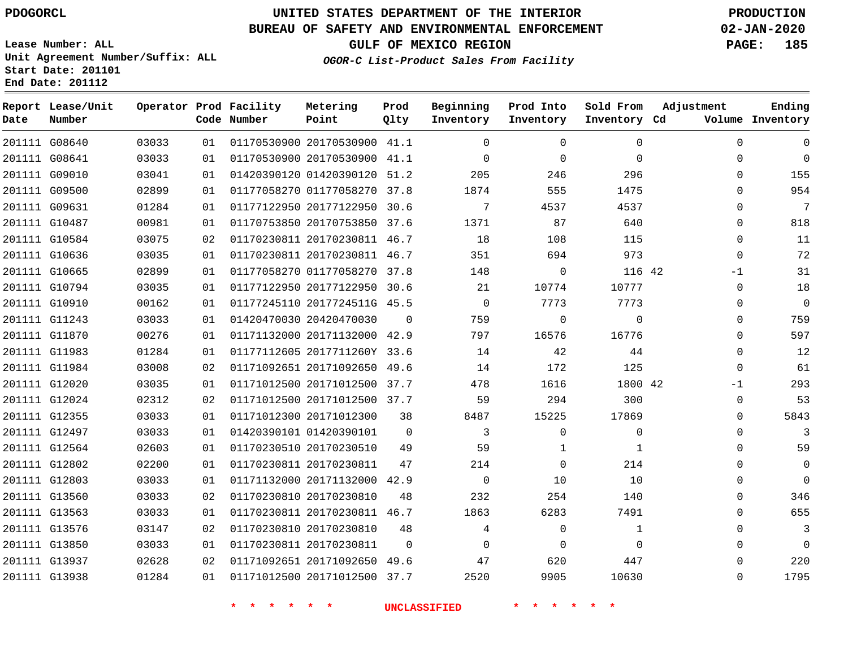**Date**

**End Date: 201112**

**Report Lease/Unit**

**Number**

# **UNITED STATES DEPARTMENT OF THE INTERIOR PDOGORCL PRODUCTION**

**Prod Qlty**

#### **BUREAU OF SAFETY AND ENVIRONMENTAL ENFORCEMENT 02-JAN-2020**

**Lease Number: ALL Unit Agreement Number/Suffix: ALL Start Date: 201101**

**Operator Prod Facility**

**Code Number**

**OGOR-C List-Product Sales From Facility**

**Beginning Inventory** **Prod Into Inventory** **Sold From Inventory**

**GULF OF MEXICO REGION PAGE: 185**

**Inventory Cd Volume**

**Adjustment**

  $\Omega$   $\Omega$  $\Omega$  $\Omega$  -1  $\Omega$  $\overline{0}$  $\overline{0}$  $\overline{0}$ -1  $\Omega$  $\Omega$  $\Omega$  $\Omega$  $\Omega$   $\Omega$ 

**Ending**

| 201111 G08640 |               | 03033 | 01 | 01170530900 20170530900 41.1 |                | 0                       | 0              | $\mathbf 0$    |  |
|---------------|---------------|-------|----|------------------------------|----------------|-------------------------|----------------|----------------|--|
|               | 201111 G08641 | 03033 | 01 | 01170530900 20170530900 41.1 |                | $\mathbf 0$             | $\mathbf{0}$   | $\Omega$       |  |
|               | 201111 G09010 | 03041 | 01 | 01420390120 01420390120 51.2 |                | 205                     | 246            | 296            |  |
|               | 201111 G09500 | 02899 | 01 | 01177058270 01177058270 37.8 |                | 1874                    | 555            | 1475           |  |
|               | 201111 G09631 | 01284 | 01 | 01177122950 20177122950 30.6 |                | $7\overline{ }$         | 4537           | 4537           |  |
|               | 201111 G10487 | 00981 | 01 | 01170753850 20170753850 37.6 |                | 1371                    | 87             | 640            |  |
|               | 201111 G10584 | 03075 | 02 | 01170230811 20170230811 46.7 |                | 18                      | 108            | 115            |  |
|               | 201111 G10636 | 03035 | 01 | 01170230811 20170230811 46.7 |                | 351                     | 694            | 973            |  |
|               | 201111 G10665 | 02899 | 01 | 01177058270 01177058270 37.8 |                | 148                     | $\overline{0}$ | 116 42         |  |
|               | 201111 G10794 | 03035 | 01 | 01177122950 20177122950 30.6 |                | 21                      | 10774          | 10777          |  |
|               | 201111 G10910 | 00162 | 01 | 01177245110 2017724511G 45.5 |                | $\overline{0}$          | 7773           | 7773           |  |
|               | 201111 G11243 | 03033 | 01 | 01420470030 20420470030      | $\overline{0}$ | 759                     | $\mathbf 0$    | $\Omega$       |  |
|               | 201111 G11870 | 00276 | 01 | 01171132000 20171132000 42.9 |                | 797                     | 16576          | 16776          |  |
|               | 201111 G11983 | 01284 | 01 | 01177112605 2017711260Y 33.6 |                | 14                      | 42             | 44             |  |
|               | 201111 G11984 | 03008 | 02 | 01171092651 20171092650 49.6 |                | 14                      | 172            | 125            |  |
|               | 201111 G12020 | 03035 | 01 | 01171012500 20171012500 37.7 |                | 478                     | 1616           | 1800 42        |  |
|               | 201111 G12024 | 02312 | 02 | 01171012500 20171012500 37.7 |                | 59                      | 294            | 300            |  |
| 201111 G12355 |               | 03033 | 01 | 01171012300 20171012300      | 38             | 8487                    | 15225          | 17869          |  |
|               | 201111 G12497 | 03033 | 01 | 01420390101 01420390101      | $\overline{0}$ | $\overline{\mathbf{3}}$ | $\Omega$       | $\Omega$       |  |
|               | 201111 G12564 | 02603 | 01 | 01170230510 20170230510      | 49             | 59                      | $\mathbf{1}$   | $\overline{1}$ |  |
|               | 201111 G12802 | 02200 | 01 | 01170230811 20170230811      | 47             | 214                     | $\mathbf{0}$   | 214            |  |
|               | 201111 G12803 | 03033 | 01 | 01171132000 20171132000 42.9 |                | $\overline{0}$          | 10             | 10             |  |
|               | 201111 G13560 | 03033 | 02 | 01170230810 20170230810      | 48             | 232                     | 254            | 140            |  |
|               | 201111 G13563 | 03033 | 01 | 01170230811 20170230811 46.7 |                | 1863                    | 6283           | 7491           |  |
|               | 201111 G13576 | 03147 | 02 | 01170230810 20170230810      | 48             | $\overline{4}$          | $\mathbf 0$    | $\mathbf{1}$   |  |
|               | 201111 G13850 | 03033 | 01 | 01170230811 20170230811      | $\overline{0}$ | $\overline{0}$          | $\Omega$       | $\Omega$       |  |
|               | 201111 G13937 | 02628 | 02 | 01171092651 20171092650 49.6 |                | 47                      | 620            | 447            |  |
|               | 201111 G13938 | 01284 | 01 | 01171012500 20171012500 37.7 |                | 2520                    | 9905           | 10630          |  |
|               |               |       |    |                              |                |                         |                |                |  |

**Metering Point**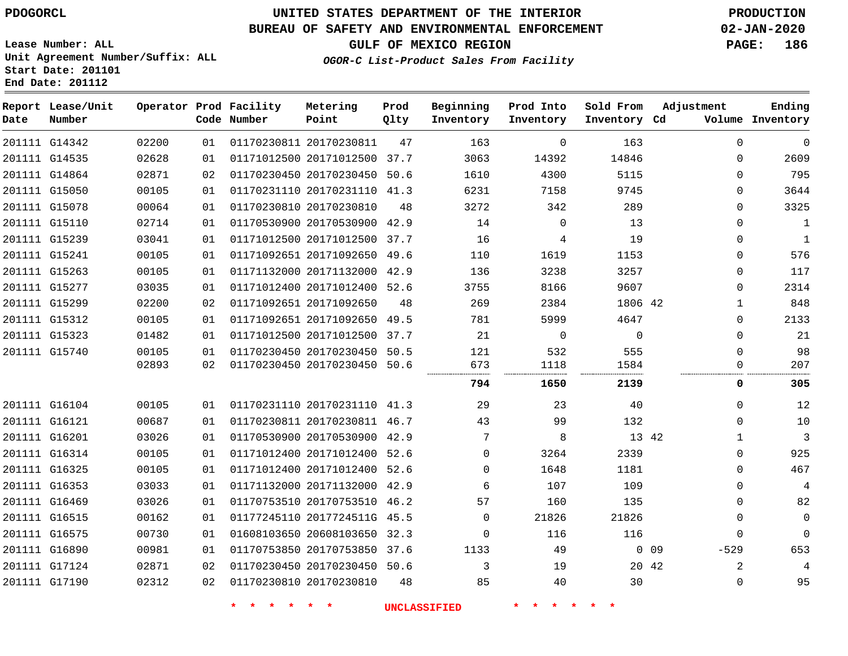## **BUREAU OF SAFETY AND ENVIRONMENTAL ENFORCEMENT 02-JAN-2020**

**Lease Number: ALL Unit Agreement Number/Suffix: ALL Start Date: 201101 End Date: 201112**

**GULF OF MEXICO REGION PAGE: 186**

| OGOR-C List-Product Sales From Facility |
|-----------------------------------------|
|                                         |

| Date | Report Lease/Unit<br>Number |       |    | Operator Prod Facility<br>Code Number | Metering<br>Point            | Prod<br>Qlty | Beginning<br>Inventory | Prod Into<br>Inventory | Sold From<br>Inventory Cd | Adjustment           | Ending<br>Volume Inventory |
|------|-----------------------------|-------|----|---------------------------------------|------------------------------|--------------|------------------------|------------------------|---------------------------|----------------------|----------------------------|
|      | 201111 G14342               | 02200 | 01 |                                       | 01170230811 20170230811      | 47           | 163                    | $\Omega$               | 163                       | $\Omega$             | $\mathbf 0$                |
|      | 201111 G14535               | 02628 | 01 |                                       | 01171012500 20171012500 37.7 |              | 3063                   | 14392                  | 14846                     | $\Omega$             | 2609                       |
|      | 201111 G14864               | 02871 | 02 |                                       | 01170230450 20170230450 50.6 |              | 1610                   | 4300                   | 5115                      | $\Omega$             | 795                        |
|      | 201111 G15050               | 00105 | 01 |                                       | 01170231110 20170231110 41.3 |              | 6231                   | 7158                   | 9745                      | $\mathbf 0$          | 3644                       |
|      | 201111 G15078               | 00064 | 01 |                                       | 01170230810 20170230810      | 48           | 3272                   | 342                    | 289                       | $\mathbf{0}$         | 3325                       |
|      | 201111 G15110               | 02714 | 01 |                                       | 01170530900 20170530900 42.9 |              | 14                     | $\mathbf 0$            | 13                        | $\Omega$             | $\mathbf{1}$               |
|      | 201111 G15239               | 03041 | 01 |                                       | 01171012500 20171012500 37.7 |              | 16                     | 4                      | 19                        | $\mathbf 0$          | $\mathbf{1}$               |
|      | 201111 G15241               | 00105 | 01 |                                       | 01171092651 20171092650 49.6 |              | 110                    | 1619                   | 1153                      | $\mathbf 0$          | 576                        |
|      | 201111 G15263               | 00105 | 01 |                                       | 01171132000 20171132000 42.9 |              | 136                    | 3238                   | 3257                      | $\Omega$             | 117                        |
|      | 201111 G15277               | 03035 | 01 |                                       | 01171012400 20171012400 52.6 |              | 3755                   | 8166                   | 9607                      | $\Omega$             | 2314                       |
|      | 201111 G15299               | 02200 | 02 |                                       | 01171092651 20171092650      | 48           | 269                    | 2384                   | 1806 42                   | $\mathbf{1}$         | 848                        |
|      | 201111 G15312               | 00105 | 01 |                                       | 01171092651 20171092650 49.5 |              | 781                    | 5999                   | 4647                      | $\Omega$             | 2133                       |
|      | 201111 G15323               | 01482 | 01 |                                       | 01171012500 20171012500 37.7 |              | 21                     | $\mathbf 0$            | $\Omega$                  | $\Omega$             | 21                         |
|      | 201111 G15740               | 00105 | 01 |                                       | 01170230450 20170230450 50.5 |              | 121                    | 532                    | 555                       | $\Omega$             | 98                         |
|      |                             | 02893 | 02 |                                       | 01170230450 20170230450 50.6 |              | 673                    | 1118                   | 1584                      | $\Omega$             | 207                        |
|      |                             |       |    |                                       |                              |              | 794                    | 1650                   | 2139                      | 0                    | 305                        |
|      | 201111 G16104               | 00105 | 01 |                                       | 01170231110 20170231110 41.3 |              | 29                     | 23                     | 40                        | $\Omega$             | 12                         |
|      | 201111 G16121               | 00687 | 01 |                                       | 01170230811 20170230811 46.7 |              | 43                     | 99                     | 132                       | $\Omega$             | 10                         |
|      | 201111 G16201               | 03026 | 01 |                                       | 01170530900 20170530900 42.9 |              | 7                      | 8                      |                           | 13 42<br>1           | 3                          |
|      | 201111 G16314               | 00105 | 01 |                                       | 01171012400 20171012400 52.6 |              | $\Omega$               | 3264                   | 2339                      | $\mathbf 0$          | 925                        |
|      | 201111 G16325               | 00105 | 01 |                                       | 01171012400 20171012400 52.6 |              | $\Omega$               | 1648                   | 1181                      | $\Omega$             | 467                        |
|      | 201111 G16353               | 03033 | 01 |                                       | 01171132000 20171132000 42.9 |              | 6                      | 107                    | 109                       | $\Omega$             | $\overline{4}$             |
|      | 201111 G16469               | 03026 | 01 |                                       | 01170753510 20170753510 46.2 |              | 57                     | 160                    | 135                       | $\mathbf 0$          | 82                         |
|      | 201111 G16515               | 00162 | 01 |                                       | 01177245110 2017724511G 45.5 |              | $\Omega$               | 21826                  | 21826                     | $\Omega$             | $\mathbf 0$                |
|      | 201111 G16575               | 00730 | 01 |                                       | 01608103650 20608103650 32.3 |              | $\Omega$               | 116                    | 116                       | $\Omega$             | $\Omega$                   |
|      | 201111 G16890               | 00981 | 01 |                                       | 01170753850 20170753850 37.6 |              | 1133                   | 49                     |                           | $-529$<br>$0\quad09$ | 653                        |
|      | 201111 G17124               | 02871 | 02 |                                       | 01170230450 20170230450 50.6 |              | 3                      | 19                     |                           | 2<br>20 42           | 4                          |
|      | 201111 G17190               | 02312 | 02 |                                       | 01170230810 20170230810      | 48           | 85                     | 40                     | 30                        | $\mathbf 0$          | 95                         |
|      |                             |       |    |                                       |                              |              |                        |                        |                           |                      |                            |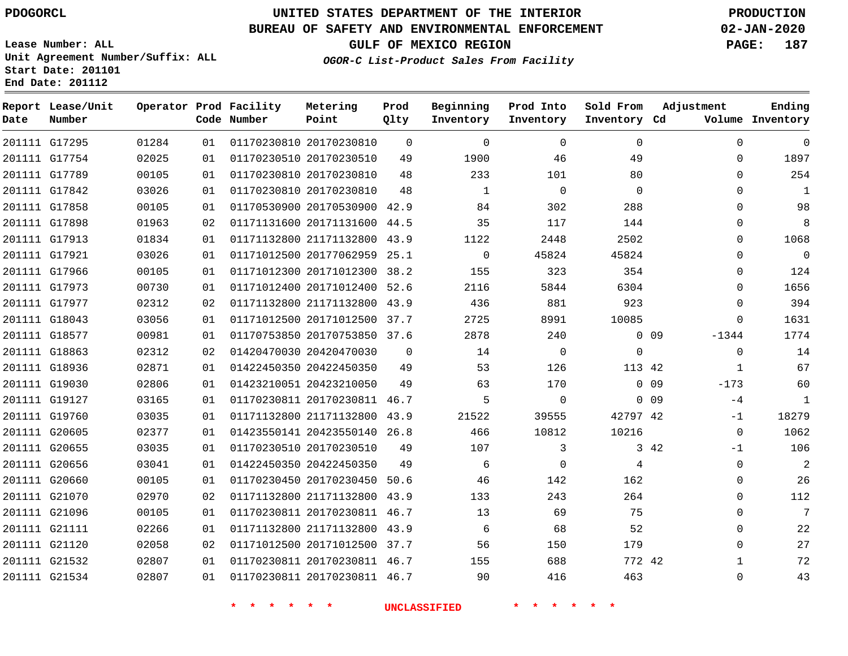**End Date: 201112**

# **UNITED STATES DEPARTMENT OF THE INTERIOR PDOGORCL PRODUCTION**

## **BUREAU OF SAFETY AND ENVIRONMENTAL ENFORCEMENT 02-JAN-2020**

**Lease Number: ALL Unit Agreement Number/Suffix: ALL Start Date: 201101**

**GULF OF MEXICO REGION PAGE: 187**

**OGOR-C List-Product Sales From Facility**

| Date | Report Lease/Unit<br>Number |       |    | Operator Prod Facility<br>Code Number | Metering<br>Point            | Prod<br>Qlty | Beginning<br>Inventory | Prod Into<br>Inventory | Sold From<br>Inventory Cd | Adjustment                 | Ending<br>Volume Inventory |
|------|-----------------------------|-------|----|---------------------------------------|------------------------------|--------------|------------------------|------------------------|---------------------------|----------------------------|----------------------------|
|      | 201111 G17295               | 01284 | 01 |                                       | 01170230810 20170230810      | $\Omega$     | $\mathbf 0$            | $\Omega$               | $\Omega$                  | $\mathbf 0$                | $\mathbf 0$                |
|      | 201111 G17754               | 02025 | 01 |                                       | 01170230510 20170230510      | 49           | 1900                   | 46                     | 49                        | $\Omega$                   | 1897                       |
|      | 201111 G17789               | 00105 | 01 |                                       | 01170230810 20170230810      | 48           | 233                    | 101                    | 80                        | $\Omega$                   | 254                        |
|      | 201111 G17842               | 03026 | 01 |                                       | 01170230810 20170230810      | 48           | 1                      | $\Omega$               | $\Omega$                  | $\Omega$                   | 1                          |
|      | 201111 G17858               | 00105 | 01 |                                       | 01170530900 20170530900      | 42.9         | 84                     | 302                    | 288                       | $\Omega$                   | 98                         |
|      | 201111 G17898               | 01963 | 02 |                                       | 01171131600 20171131600 44.5 |              | 35                     | 117                    | 144                       | $\Omega$                   | 8                          |
|      | 201111 G17913               | 01834 | 01 |                                       | 01171132800 21171132800      | 43.9         | 1122                   | 2448                   | 2502                      | 0                          | 1068                       |
|      | 201111 G17921               | 03026 | 01 |                                       | 01171012500 20177062959      | 25.1         | $\mathbf 0$            | 45824                  | 45824                     | $\Omega$                   | $\overline{0}$             |
|      | 201111 G17966               | 00105 | 01 |                                       | 01171012300 20171012300      | 38.2         | 155                    | 323                    | 354                       | 0                          | 124                        |
|      | 201111 G17973               | 00730 | 01 |                                       | 01171012400 20171012400      | 52.6         | 2116                   | 5844                   | 6304                      | 0                          | 1656                       |
|      | 201111 G17977               | 02312 | 02 |                                       | 01171132800 21171132800      | 43.9         | 436                    | 881                    | 923                       | 0                          | 394                        |
|      | 201111 G18043               | 03056 | 01 |                                       | 01171012500 20171012500      | 37.7         | 2725                   | 8991                   | 10085                     | 0                          | 1631                       |
|      | 201111 G18577               | 00981 | 01 |                                       | 01170753850 20170753850 37.6 |              | 2878                   | 240                    |                           | 0 <sub>09</sub><br>$-1344$ | 1774                       |
|      | 201111 G18863               | 02312 | 02 |                                       | 01420470030 20420470030      | $\Omega$     | 14                     | $\overline{0}$         | $\Omega$                  | $\mathbf 0$                | 14                         |
|      | 201111 G18936               | 02871 | 01 |                                       | 01422450350 20422450350      | 49           | 53                     | 126                    | 113 42                    | $\mathbf{1}$               | 67                         |
|      | 201111 G19030               | 02806 | 01 |                                       | 01423210051 20423210050      | 49           | 63                     | 170                    |                           | $0$ 09<br>$-173$           | 60                         |
|      | 201111 G19127               | 03165 | 01 |                                       | 01170230811 20170230811 46.7 |              | 5                      | $\Omega$               |                           | 0 <sub>09</sub><br>$-4$    | 1                          |
|      | 201111 G19760               | 03035 | 01 |                                       | 01171132800 21171132800      | 43.9         | 21522                  | 39555                  | 42797 42                  | $-1$                       | 18279                      |
|      | 201111 G20605               | 02377 | 01 |                                       | 01423550141 20423550140 26.8 |              | 466                    | 10812                  | 10216                     | $\Omega$                   | 1062                       |
|      | 201111 G20655               | 03035 | 01 |                                       | 01170230510 20170230510      | 49           | 107                    | 3                      |                           | 3 42<br>$-1$               | 106                        |
|      | 201111 G20656               | 03041 | 01 |                                       | 01422450350 20422450350      | 49           | 6                      | $\Omega$               | 4                         | $\Omega$                   | $\overline{2}$             |
|      | 201111 G20660               | 00105 | 01 |                                       | 01170230450 20170230450 50.6 |              | 46                     | 142                    | 162                       | 0                          | 26                         |
|      | 201111 G21070               | 02970 | 02 |                                       | 01171132800 21171132800 43.9 |              | 133                    | 243                    | 264                       | $\Omega$                   | 112                        |
|      | 201111 G21096               | 00105 | 01 |                                       | 01170230811 20170230811 46.7 |              | 13                     | 69                     | 75                        | $\mathbf 0$                | $7\phantom{.0}$            |
|      | 201111 G21111               | 02266 | 01 |                                       | 01171132800 21171132800      | 43.9         | 6                      | 68                     | 52                        | $\Omega$                   | 22                         |
|      | 201111 G21120               | 02058 | 02 |                                       | 01171012500 20171012500      | 37.7         | 56                     | 150                    | 179                       | $\Omega$                   | 27                         |
|      | 201111 G21532               | 02807 | 01 |                                       | 01170230811 20170230811 46.7 |              | 155                    | 688                    | 772 42                    | $\mathbf{1}$               | 72                         |
|      | 201111 G21534               | 02807 | 01 |                                       | 01170230811 20170230811 46.7 |              | 90                     | 416                    | 463                       | $\Omega$                   | 43                         |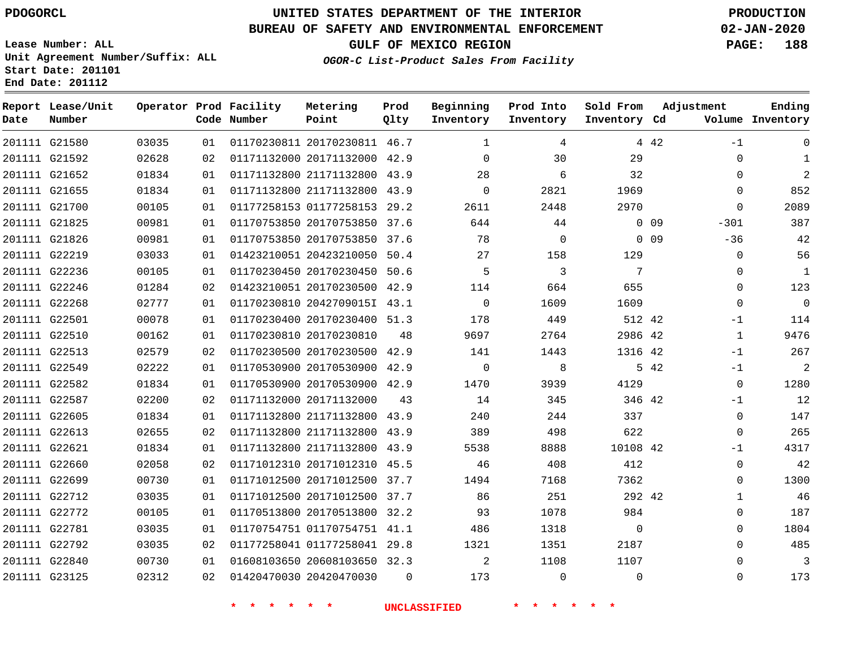**Date**

# **UNITED STATES DEPARTMENT OF THE INTERIOR PDOGORCL PRODUCTION**

**Prod Qlty**

#### **BUREAU OF SAFETY AND ENVIRONMENTAL ENFORCEMENT 02-JAN-2020**

**Lease Number: ALL Unit Agreement Number/Suffix: ALL Start Date: 201101**

**Operator Prod Facility**

**Code Number**

**Metering Point**

**End Date: 201112**

**Report Lease/Unit**

**Number**

**GULF OF MEXICO REGION PAGE: 188**

**Inventory Cd Volume**

**Adjustment**

**Ending**

**OGOR-C List-Product Sales From Facility**

**Beginning Inventory** **Prod Into Inventory** **Sold From Inventory**

| 201111 G21580 | 03035 | 01  | 01170230811 20170230811 46.7 |          | 1              | 4        |                | 4 4 2      | -1           | 0              |
|---------------|-------|-----|------------------------------|----------|----------------|----------|----------------|------------|--------------|----------------|
| 201111 G21592 | 02628 | 02  | 01171132000 20171132000 42.9 |          | $\Omega$       | 30       | 29             |            | $\Omega$     | 1              |
| 201111 G21652 | 01834 | 01  | 01171132800 21171132800 43.9 |          | 28             | 6        | 32             |            | $\Omega$     | $\overline{a}$ |
| 201111 G21655 | 01834 | 01  | 01171132800 21171132800 43.9 |          | $\mathbf 0$    | 2821     | 1969           |            | 0            | 852            |
| 201111 G21700 | 00105 | 01  | 01177258153 01177258153 29.2 |          | 2611           | 2448     | 2970           |            | $\mathbf 0$  | 2089           |
| 201111 G21825 | 00981 | 01  | 01170753850 20170753850 37.6 |          | 644            | 44       |                | $0\quad09$ | $-301$       | 387            |
| 201111 G21826 | 00981 | 01  | 01170753850 20170753850 37.6 |          | 78             | $\Omega$ |                | $0\quad09$ | $-36$        | 42             |
| 201111 G22219 | 03033 | 01  | 01423210051 20423210050 50.4 |          | 27             | 158      | 129            |            | 0            | 56             |
| 201111 G22236 | 00105 | 01  | 01170230450 20170230450 50.6 |          | 5              | 3        | 7              |            | 0            | $\mathbf{1}$   |
| 201111 G22246 | 01284 | 02  | 01423210051 20170230500 42.9 |          | 114            | 664      | 655            |            | 0            | 123            |
| 201111 G22268 | 02777 | 01  | 01170230810 2042709015I 43.1 |          | $\overline{0}$ | 1609     | 1609           |            | $\mathbf 0$  | $\overline{0}$ |
| 201111 G22501 | 00078 | 01  | 01170230400 20170230400 51.3 |          | 178            | 449      | 512 42         |            | -1           | 114            |
| 201111 G22510 | 00162 | 01  | 01170230810 20170230810      | 48       | 9697           | 2764     | 2986 42        |            | $\mathbf{1}$ | 9476           |
| 201111 G22513 | 02579 | 02  | 01170230500 20170230500 42.9 |          | 141            | 1443     | 1316 42        |            | $-1$         | 267            |
| 201111 G22549 | 02222 | 01  | 01170530900 20170530900 42.9 |          | $\Omega$       | 8        |                | 5 42       | $-1$         | 2              |
| 201111 G22582 | 01834 | 01  | 01170530900 20170530900 42.9 |          | 1470           | 3939     | 4129           |            | $\mathbf 0$  | 1280           |
| 201111 G22587 | 02200 | 02  | 01171132000 20171132000      | 43       | 14             | 345      | 346 42         |            | $-1$         | 12             |
| 201111 G22605 | 01834 | 01  | 01171132800 21171132800 43.9 |          | 240            | 244      | 337            |            | $\mathbf 0$  | 147            |
| 201111 G22613 | 02655 | 02  | 01171132800 21171132800 43.9 |          | 389            | 498      | 622            |            | 0            | 265            |
| 201111 G22621 | 01834 | 01  | 01171132800 21171132800 43.9 |          | 5538           | 8888     | 10108 42       |            | $-1$         | 4317           |
| 201111 G22660 | 02058 | 02  | 01171012310 20171012310 45.5 |          | 46             | 408      | 412            |            | $\mathbf 0$  | 42             |
| 201111 G22699 | 00730 | 01  | 01171012500 20171012500 37.7 |          | 1494           | 7168     | 7362           |            | 0            | 1300           |
| 201111 G22712 | 03035 | 01  | 01171012500 20171012500 37.7 |          | 86             | 251      | 292 42         |            | 1            | 46             |
| 201111 G22772 | 00105 | 01  | 01170513800 20170513800 32.2 |          | 93             | 1078     | 984            |            | $\mathbf{0}$ | 187            |
| 201111 G22781 | 03035 | 01  | 01170754751 01170754751 41.1 |          | 486            | 1318     | $\overline{0}$ |            | $\Omega$     | 1804           |
| 201111 G22792 | 03035 | 02  | 01177258041 01177258041 29.8 |          | 1321           | 1351     | 2187           |            | $\Omega$     | 485            |
| 201111 G22840 | 00730 | O 1 | 01608103650 20608103650 32.3 |          | 2              | 1108     | 1107           |            | $\Omega$     | 3              |
| 201111 G23125 | 02312 | 02  | 01420470030 20420470030      | $\Omega$ | 173            | $\Omega$ | $\Omega$       |            | $\Omega$     | 173            |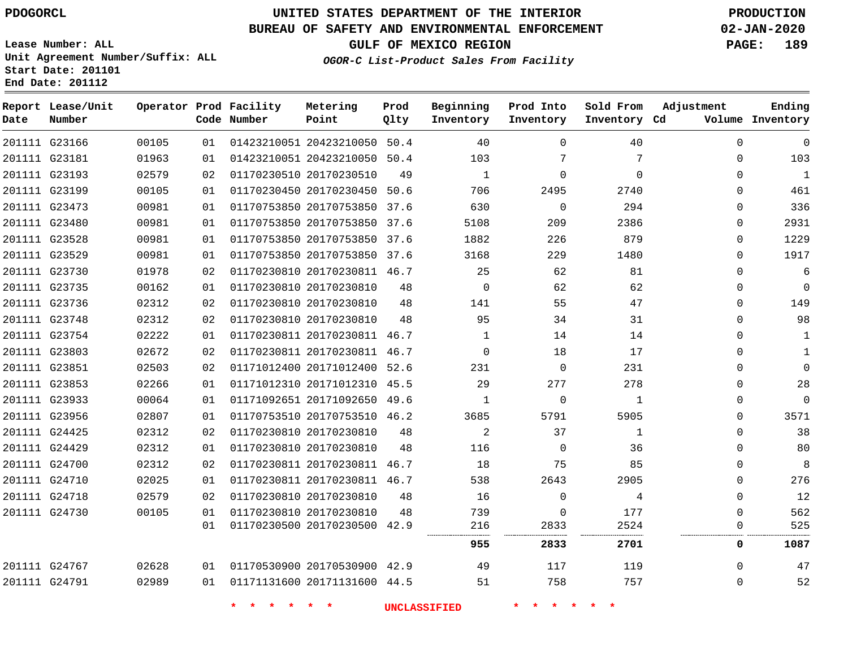**Date**

**Report Lease/Unit**

**Number**

# **UNITED STATES DEPARTMENT OF THE INTERIOR PDOGORCL PRODUCTION**

**Prod Qlty**

#### **BUREAU OF SAFETY AND ENVIRONMENTAL ENFORCEMENT 02-JAN-2020**

**Lease Number: ALL Unit Agreement Number/Suffix: ALL Start Date: 201101 End Date: 201112**

**Operator Prod Facility**

**Code Number**

**Metering Point**

**OGOR-C List-Product Sales From Facility**

**Beginning Inventory** **Prod Into Inventory** **Sold From Inventory**

**GULF OF MEXICO REGION PAGE: 189**

**Inventory Cd Volume**

**Adjustment**

**Ending**

 

|                                |                |          | 一大<br>$\star$           | $\star$                                                 | <b>UNCLASSIFIED</b> |          |                     |                  |                      |                     |
|--------------------------------|----------------|----------|-------------------------|---------------------------------------------------------|---------------------|----------|---------------------|------------------|----------------------|---------------------|
| 201111 G24791                  | 02989          | 01       |                         | 01171131600 20171131600 44.5                            |                     | 51       | 758                 | 757              | 0                    | 52                  |
| 201111 G24767                  | 02628          | 01       |                         | 01170530900 20170530900 42.9                            |                     | 49       | 117                 | 119              | $\Omega$             | 47                  |
|                                |                |          |                         |                                                         |                     | 955      | 2833                | 2701             | 0                    | 1087                |
|                                |                | 01       |                         | 01170230500 20170230500 42.9                            |                     | 216      | 2833                | 2524             | 0                    | 525                 |
| 201111 G24730                  | 00105          | 01       |                         | 01170230810 20170230810                                 | 48                  | 739      | $\Omega$            | 177              | 0                    | 562                 |
| 201111 G24718                  | 02579          | 02       | 01170230810 20170230810 |                                                         | 48                  | 16       | $\Omega$            | 4                | 0                    | 12                  |
| 201111 G24710                  | 02025          | 01       |                         | 01170230811 20170230811 46.7                            |                     | 538      | 2643                | 2905             | 0                    | 276                 |
| 201111 G24700                  | 02312          | 02       |                         | 01170230811 20170230811 46.7                            |                     | 18       | 75                  | 85               | 0                    | 8                   |
| 201111 G24429                  | 02312          | 01       | 01170230810 20170230810 |                                                         | 48                  | 116      | $\Omega$            | 36               | 0                    | 80                  |
| 201111 G24425                  | 02312          | 02       |                         | 01170230810 20170230810                                 | 48                  | 2        | 37                  | 1                | 0                    | 38                  |
| 201111 G23956                  | 02807          | 01       |                         | 01170753510 20170753510 46.2                            |                     | 3685     | 5791                | 5905             | 0                    | 3571                |
| 201111 G23933                  | 00064          | 01       |                         | 01171092651 20171092650 49.6                            |                     | 1        | 0                   | 1                | 0                    | 0                   |
| 201111 G23853                  | 02266          | 01       |                         | 01171012310 20171012310 45.5                            |                     | 29       | 277                 | 278              | 0                    | 28                  |
| 201111 G23851                  | 02503          | 02       |                         | 01171012400 20171012400 52.6                            |                     | 231      | $\Omega$            | 231              | $\Omega$             | 0                   |
| 201111 G23803                  | 02672          | 02       |                         | 01170230811 20170230811 46.7                            |                     | $\Omega$ | 18                  | 17               | 0                    | 1                   |
| 201111 G23754                  | 02222          | 01       |                         | 01170230811 20170230811 46.7                            |                     | 1        | 14                  | 14               | 0                    | 1                   |
| 201111 G23748                  | 02312          | 02       |                         | 01170230810 20170230810                                 | 48                  | 95       | 34                  | 31               | 0                    | 98                  |
| 201111 G23736                  | 02312          | 02       |                         | 01170230810 20170230810                                 | 48                  | 141      | 55                  | 47               | 0                    | 149                 |
| 201111 G23735                  | 00162          | 01       |                         | 01170230810 20170230810                                 | 48                  | $\Omega$ | 62                  | 62               | 0                    | 0                   |
| 201111 G23730                  | 01978          | 02       |                         | 01170230810 20170230811 46.7                            |                     | 25       | 62                  | 81               | 0                    | 6                   |
| 201111 G23529                  | 00981          | 01       |                         | 01170753850 20170753850 37.6                            |                     | 3168     | 229                 | 1480             | 0                    | 1917                |
| 201111 G23528                  | 00981          | 01       |                         | 01170753850 20170753850 37.6                            |                     | 1882     | 226                 | 879              | 0                    | 1229                |
| 201111 G23480                  | 00981          | 01<br>01 |                         | 01170753850 20170753850 37.6                            |                     | 5108     | 209                 | 2386             | 0                    | 2931                |
| 201111 G23473                  | 00981          |          |                         | 01170753850 20170753850 37.6                            |                     | 630      | 2495<br>$\mathbf 0$ | 294              | 0                    | 336                 |
| 201111 G23193<br>201111 G23199 | 02579<br>00105 | 02<br>01 |                         | 01170230510 20170230510<br>01170230450 20170230450 50.6 | 49                  | 1<br>706 | 0                   | $\Omega$<br>2740 | $\Omega$<br>$\Omega$ | $\mathbf{1}$<br>461 |
| 201111 G23181                  | 01963          | 01       |                         | 01423210051 20423210050 50.4                            |                     | 103      |                     | 7                | 0                    | 103                 |
|                                |                | 01       |                         |                                                         |                     | 40       |                     |                  |                      |                     |
| 201111 G23166                  | 00105          |          |                         | 01423210051 20423210050 50.4                            |                     |          | 0                   | 40               | $\Omega$             | 0                   |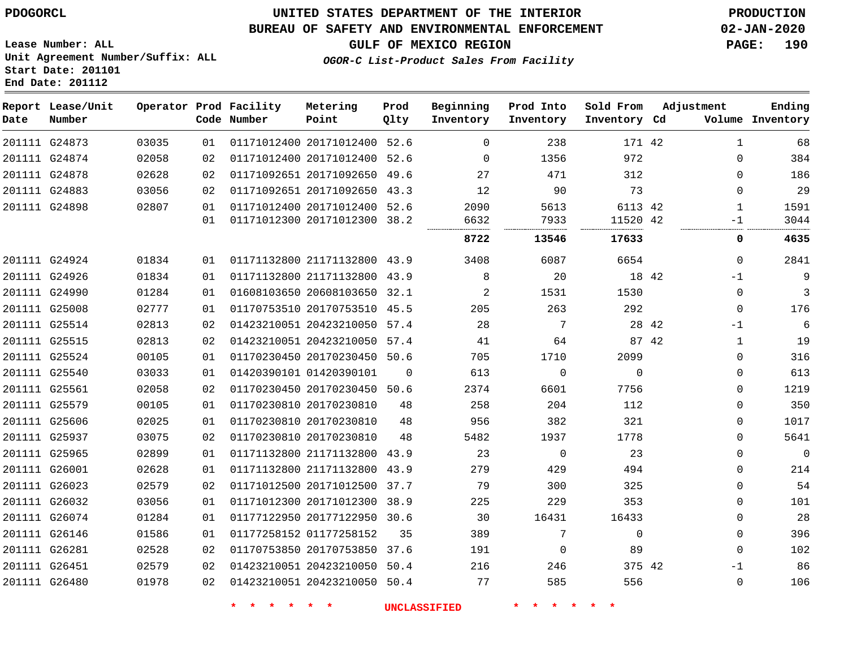**Prod**

## **BUREAU OF SAFETY AND ENVIRONMENTAL ENFORCEMENT 02-JAN-2020**

**Lease Number: ALL Unit Agreement Number/Suffix: ALL Start Date: 201101 End Date: 201112**

**GULF OF MEXICO REGION PAGE: 190**

**Adjustment**

**Ending**

**OGOR-C List-Product Sales From Facility**

| Date | Report Lease/Unit<br>Number |       |    | Operator Prod Facility<br>Code Number | Metering<br>Point            | Prod<br>Qlty | Beginning<br>Inventory | Prod Into<br>Inventory | Sold From<br>Inventory Cd | Adjustment   | Ending<br>Volume Inventory |
|------|-----------------------------|-------|----|---------------------------------------|------------------------------|--------------|------------------------|------------------------|---------------------------|--------------|----------------------------|
|      | 201111 G24873               | 03035 | 01 |                                       | 01171012400 20171012400 52.6 |              | $\mathbf 0$            | 238                    | 171 42                    | 1            | 68                         |
|      | 201111 G24874               | 02058 | 02 |                                       | 01171012400 20171012400      | 52.6         | $\Omega$               | 1356                   | 972                       | $\Omega$     | 384                        |
|      | 201111 G24878               | 02628 | 02 |                                       | 01171092651 20171092650 49.6 |              | 27                     | 471                    | 312                       | $\Omega$     | 186                        |
|      | 201111 G24883               | 03056 | 02 |                                       | 01171092651 20171092650 43.3 |              | 12                     | 90                     | 73                        | 0            | 29                         |
|      | 201111 G24898               | 02807 | 01 |                                       | 01171012400 20171012400 52.6 |              | 2090                   | 5613                   | 6113 42                   | 1            | 1591                       |
|      |                             |       | 01 |                                       | 01171012300 20171012300 38.2 |              | 6632                   | 7933                   | 11520 42                  | $-1$         | 3044                       |
|      |                             |       |    |                                       |                              |              | 8722                   | 13546                  | 17633                     | 0            | 4635                       |
|      | 201111 G24924               | 01834 | 01 |                                       | 01171132800 21171132800 43.9 |              | 3408                   | 6087                   | 6654                      | $\Omega$     | 2841                       |
|      | 201111 G24926               | 01834 | 01 |                                       | 01171132800 21171132800 43.9 |              | 8                      | 20                     | 18 42                     | $-1$         | 9                          |
|      | 201111 G24990               | 01284 | 01 |                                       | 01608103650 20608103650 32.1 |              | 2                      | 1531                   | 1530                      | $\mathbf 0$  | 3                          |
|      | 201111 G25008               | 02777 | 01 |                                       | 01170753510 20170753510 45.5 |              | 205                    | 263                    | 292                       | $\mathbf 0$  | 176                        |
|      | 201111 G25514               | 02813 | 02 |                                       | 01423210051 20423210050 57.4 |              | 28                     | 7                      | 28 42                     | $-1$         | 6                          |
|      | 201111 G25515               | 02813 | 02 |                                       | 01423210051 20423210050      | 57.4         | 41                     | 64                     | 87 42                     | 1            | 19                         |
|      | 201111 G25524               | 00105 | 01 |                                       | 01170230450 20170230450 50.6 |              | 705                    | 1710                   | 2099                      | 0            | 316                        |
|      | 201111 G25540               | 03033 | 01 |                                       | 01420390101 01420390101      | $\Omega$     | 613                    | $\mathbf 0$            | $\Omega$                  | $\mathbf 0$  | 613                        |
|      | 201111 G25561               | 02058 | 02 |                                       | 01170230450 20170230450      | 50.6         | 2374                   | 6601                   | 7756                      | 0            | 1219                       |
|      | 201111 G25579               | 00105 | 01 |                                       | 01170230810 20170230810      | 48           | 258                    | 204                    | 112                       | 0            | 350                        |
|      | 201111 G25606               | 02025 | 01 |                                       | 01170230810 20170230810      | 48           | 956                    | 382                    | 321                       | $\Omega$     | 1017                       |
|      | 201111 G25937               | 03075 | 02 |                                       | 01170230810 20170230810      | 48           | 5482                   | 1937                   | 1778                      | 0            | 5641                       |
|      | 201111 G25965               | 02899 | 01 |                                       | 01171132800 21171132800      | 43.9         | 23                     | $\mathbf 0$            | 23                        | $\Omega$     | $\mathbf 0$                |
|      | 201111 G26001               | 02628 | 01 |                                       | 01171132800 21171132800 43.9 |              | 279                    | 429                    | 494                       | $\Omega$     | 214                        |
|      | 201111 G26023               | 02579 | 02 |                                       | 01171012500 20171012500      | 37.7         | 79                     | 300                    | 325                       | 0            | 54                         |
|      | 201111 G26032               | 03056 | 01 |                                       | 01171012300 20171012300      | 38.9         | 225                    | 229                    | 353                       | $\Omega$     | 101                        |
|      | 201111 G26074               | 01284 | 01 |                                       | 01177122950 20177122950      | 30.6         | 30                     | 16431                  | 16433                     | 0            | 28                         |
|      | 201111 G26146               | 01586 | 01 |                                       | 01177258152 01177258152      | 35           | 389                    | 7                      | $\Omega$                  | $\Omega$     | 396                        |
|      | 201111 G26281               | 02528 | 02 |                                       | 01170753850 20170753850 37.6 |              | 191                    | 0                      | 89                        | $\mathbf{0}$ | 102                        |
|      | 201111 G26451               | 02579 | 02 |                                       | 01423210051 20423210050 50.4 |              | 216                    | 246                    | 375 42                    | $-1$         | 86                         |
|      | 201111 G26480               | 01978 | 02 |                                       | 01423210051 20423210050 50.4 |              | 77                     | 585                    | 556                       | $\Omega$     | 106                        |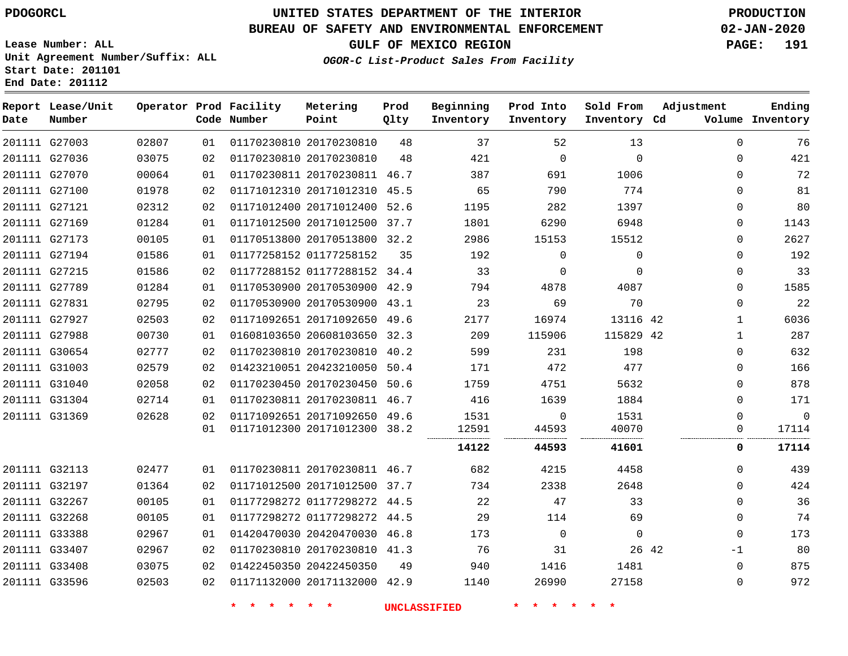## **BUREAU OF SAFETY AND ENVIRONMENTAL ENFORCEMENT 02-JAN-2020**

**Lease Number: ALL Unit Agreement Number/Suffix: ALL Start Date: 201101**

**End Date: 201112**

**GULF OF MEXICO REGION PAGE: 191**

**OGOR-C List-Product Sales From Facility**

| Date | Report Lease/Unit<br>Number |       |    | Operator Prod Facility<br>Code Number | Metering<br>Point            | Prod<br>Qlty | Beginning<br>Inventory | Prod Into<br>Inventory | Sold From<br>Inventory Cd | Adjustment   | Ending<br>Volume Inventory |
|------|-----------------------------|-------|----|---------------------------------------|------------------------------|--------------|------------------------|------------------------|---------------------------|--------------|----------------------------|
|      | 201111 G27003               | 02807 | 01 |                                       | 01170230810 20170230810      | 48           | 37                     | 52                     | 13                        | 0            | 76                         |
|      | 201111 G27036               | 03075 | 02 |                                       | 01170230810 20170230810      | 48           | 421                    | $\mathbf 0$            | $\mathbf 0$               | 0            | 421                        |
|      | 201111 G27070               | 00064 | 01 |                                       | 01170230811 20170230811 46.7 |              | 387                    | 691                    | 1006                      | 0            | 72                         |
|      | 201111 G27100               | 01978 | 02 |                                       | 01171012310 20171012310 45.5 |              | 65                     | 790                    | 774                       | 0            | 81                         |
|      | 201111 G27121               | 02312 | 02 |                                       | 01171012400 20171012400 52.6 |              | 1195                   | 282                    | 1397                      | 0            | 80                         |
|      | 201111 G27169               | 01284 | 01 |                                       | 01171012500 20171012500 37.7 |              | 1801                   | 6290                   | 6948                      | 0            | 1143                       |
|      | 201111 G27173               | 00105 | 01 |                                       | 01170513800 20170513800 32.2 |              | 2986                   | 15153                  | 15512                     | 0            | 2627                       |
|      | 201111 G27194               | 01586 | 01 |                                       | 01177258152 01177258152      | 35           | 192                    | $\mathbf 0$            | $\mathbf 0$               | 0            | 192                        |
|      | 201111 G27215               | 01586 | 02 |                                       | 01177288152 01177288152 34.4 |              | 33                     | $\mathbf 0$            | $\mathbf 0$               | 0            | 33                         |
|      | 201111 G27789               | 01284 | 01 |                                       | 01170530900 20170530900 42.9 |              | 794                    | 4878                   | 4087                      | 0            | 1585                       |
|      | 201111 G27831               | 02795 | 02 |                                       | 01170530900 20170530900 43.1 |              | 23                     | 69                     | 70                        | 0            | 22                         |
|      | 201111 G27927               | 02503 | 02 |                                       | 01171092651 20171092650 49.6 |              | 2177                   | 16974                  | 13116 42                  | $\mathbf{1}$ | 6036                       |
|      | 201111 G27988               | 00730 | 01 |                                       | 01608103650 20608103650 32.3 |              | 209                    | 115906                 | 115829 42                 | $\mathbf{1}$ | 287                        |
|      | 201111 G30654               | 02777 | 02 |                                       | 01170230810 20170230810 40.2 |              | 599                    | 231                    | 198                       | $\Omega$     | 632                        |
|      | 201111 G31003               | 02579 | 02 |                                       | 01423210051 20423210050 50.4 |              | 171                    | 472                    | 477                       | $\Omega$     | 166                        |
|      | 201111 G31040               | 02058 | 02 |                                       | 01170230450 20170230450 50.6 |              | 1759                   | 4751                   | 5632                      | 0            | 878                        |
|      | 201111 G31304               | 02714 | 01 |                                       | 01170230811 20170230811 46.7 |              | 416                    | 1639                   | 1884                      | 0            | 171                        |
|      | 201111 G31369               | 02628 | 02 |                                       | 01171092651 20171092650 49.6 |              | 1531                   | 0                      | 1531                      | 0            | $\mathbf 0$                |
|      |                             |       | 01 |                                       | 01171012300 20171012300 38.2 |              | 12591                  | 44593                  | 40070                     | $\Omega$     | 17114                      |
|      |                             |       |    |                                       |                              |              | 14122                  | 44593                  | 41601                     | 0            | 17114                      |
|      | 201111 G32113               | 02477 | 01 |                                       | 01170230811 20170230811 46.7 |              | 682                    | 4215                   | 4458                      | 0            | 439                        |
|      | 201111 G32197               | 01364 | 02 |                                       | 01171012500 20171012500 37.7 |              | 734                    | 2338                   | 2648                      | 0            | 424                        |
|      | 201111 G32267               | 00105 | 01 |                                       | 01177298272 01177298272 44.5 |              | 22                     | 47                     | 33                        | 0            | 36                         |
|      | 201111 G32268               | 00105 | 01 |                                       | 01177298272 01177298272 44.5 |              | 29                     | 114                    | 69                        | 0            | 74                         |
|      | 201111 G33388               | 02967 | 01 |                                       | 01420470030 20420470030 46.8 |              | 173                    | 0                      | $\mathbf{0}$              | 0            | 173                        |
|      | 201111 G33407               | 02967 | 02 |                                       | 01170230810 20170230810 41.3 |              | 76                     | 31                     | 26 42                     | -1           | 80                         |
|      | 201111 G33408               | 03075 | 02 |                                       | 01422450350 20422450350      | 49           | 940                    | 1416                   | 1481                      | 0            | 875                        |
|      | 201111 G33596               | 02503 | 02 |                                       | 01171132000 20171132000 42.9 |              | 1140                   | 26990                  | 27158                     | 0            | 972                        |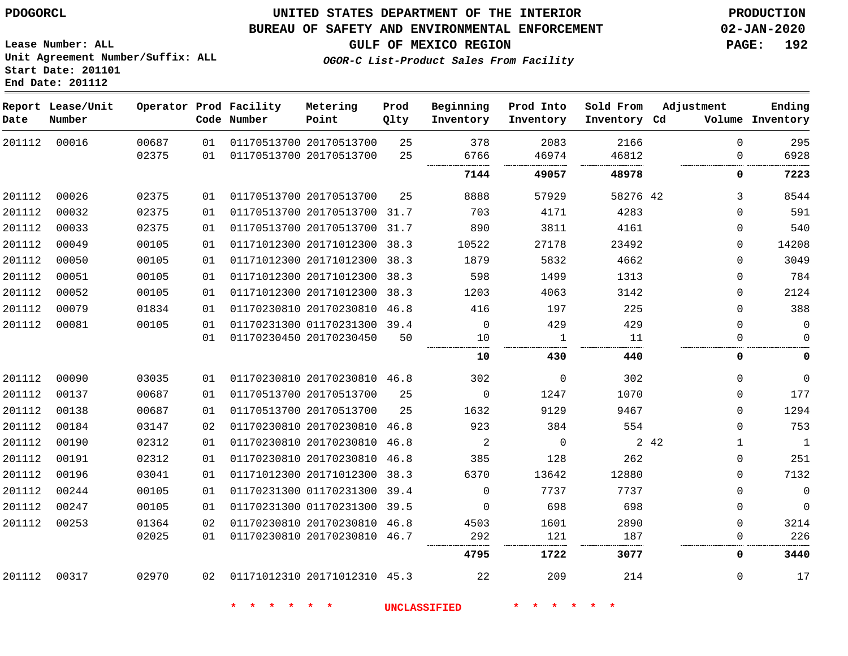**Start Date: 201101 End Date: 201112**

## **UNITED STATES DEPARTMENT OF THE INTERIOR PDOGORCL PRODUCTION**

#### **BUREAU OF SAFETY AND ENVIRONMENTAL ENFORCEMENT 02-JAN-2020**

**Lease Number: ALL Unit Agreement Number/Suffix: ALL**

**GULF OF MEXICO REGION PAGE: 192**

**OGOR-C List-Product Sales From Facility**

| Date   | Report Lease/Unit<br>Number |                |          | Operator Prod Facility<br>Code Number | Metering<br>Point                                  | Prod<br>Qlty | Beginning<br>Inventory | Prod Into<br>Inventory | Sold From<br>Inventory Cd | Adjustment            | Ending<br>Volume Inventory |
|--------|-----------------------------|----------------|----------|---------------------------------------|----------------------------------------------------|--------------|------------------------|------------------------|---------------------------|-----------------------|----------------------------|
| 201112 | 00016                       | 00687<br>02375 | 01<br>01 |                                       | 01170513700 20170513700<br>01170513700 20170513700 | 25<br>25     | 378<br>6766            | 2083<br>46974          | 2166<br>46812             | $\Omega$<br>0         | 295<br>6928                |
|        |                             |                |          |                                       |                                                    |              | 7144                   | 49057                  | 48978                     | 0                     | 7223                       |
| 201112 | 00026                       | 02375          | 01       |                                       | 01170513700 20170513700                            | 25           | 8888                   | 57929                  | 58276 42                  | 3                     | 8544                       |
| 201112 | 00032                       | 02375          | 01       |                                       | 01170513700 20170513700 31.7                       |              | 703                    | 4171                   | 4283                      | 0                     | 591                        |
| 201112 | 00033                       | 02375          | 01       |                                       | 01170513700 20170513700 31.7                       |              | 890                    | 3811                   | 4161                      | $\mathbf 0$           | 540                        |
| 201112 | 00049                       | 00105          | 01       |                                       | 01171012300 20171012300 38.3                       |              | 10522                  | 27178                  | 23492                     | $\mathbf 0$           | 14208                      |
| 201112 | 00050                       | 00105          | 01       |                                       | 01171012300 20171012300 38.3                       |              | 1879                   | 5832                   | 4662                      | $\mathbf 0$           | 3049                       |
| 201112 | 00051                       | 00105          | 01       |                                       | 01171012300 20171012300 38.3                       |              | 598                    | 1499                   | 1313                      | $\mathbf 0$           | 784                        |
| 201112 | 00052                       | 00105          | 01       |                                       | 01171012300 20171012300 38.3                       |              | 1203                   | 4063                   | 3142                      | 0                     | 2124                       |
| 201112 | 00079                       | 01834          | 01       |                                       | 01170230810 20170230810 46.8                       |              | 416                    | 197                    | 225                       | $\Omega$              | 388                        |
| 201112 | 00081                       | 00105          | 01       |                                       | 01170231300 01170231300 39.4                       |              | $\mathbf 0$            | 429                    | 429                       | $\mathbf 0$           | $\mathbf 0$                |
|        |                             |                | 01       |                                       | 01170230450 20170230450                            | 50           | 10                     | 1                      | 11                        | $\Omega$              | $\Omega$                   |
|        |                             |                |          |                                       |                                                    |              | 10                     | 430                    | 440                       | 0                     | 0                          |
| 201112 | 00090                       | 03035          | 01       |                                       | 01170230810 20170230810 46.8                       |              | 302                    | 0                      | 302                       | $\mathbf 0$           | $\mathbf 0$                |
| 201112 | 00137                       | 00687          | 01       |                                       | 01170513700 20170513700                            | 25           | $\mathbf 0$            | 1247                   | 1070                      | $\mathbf 0$           | 177                        |
| 201112 | 00138                       | 00687          | 01       |                                       | 01170513700 20170513700                            | 25           | 1632                   | 9129                   | 9467                      | $\Omega$              | 1294                       |
| 201112 | 00184                       | 03147          | 02       |                                       | 01170230810 20170230810 46.8                       |              | 923                    | 384                    | 554                       | $\Omega$              | 753                        |
| 201112 | 00190                       | 02312          | 01       |                                       | 01170230810 20170230810 46.8                       |              | $\overline{2}$         | $\mathbf 0$            |                           | 2 4 2<br>$\mathbf{1}$ | $\mathbf{1}$               |
| 201112 | 00191                       | 02312          | 01       |                                       | 01170230810 20170230810 46.8                       |              | 385                    | 128                    | 262                       | 0                     | 251                        |
| 201112 | 00196                       | 03041          | 01       |                                       | 01171012300 20171012300                            | 38.3         | 6370                   | 13642                  | 12880                     | $\Omega$              | 7132                       |
| 201112 | 00244                       | 00105          | 01       |                                       | 01170231300 01170231300 39.4                       |              | $\Omega$               | 7737                   | 7737                      | $\Omega$              | $\mathbf 0$                |
| 201112 | 00247                       | 00105          | 01       |                                       | 01170231300 01170231300 39.5                       |              | $\Omega$               | 698                    | 698                       | $\mathbf 0$           | $\mathbf 0$                |
| 201112 | 00253                       | 01364          | 02       |                                       | 01170230810 20170230810 46.8                       |              | 4503                   | 1601                   | 2890                      | $\mathbf 0$           | 3214                       |
|        |                             | 02025          | 01       |                                       | 01170230810 20170230810 46.7                       |              | 292                    | 121                    | 187                       | 0                     | 226                        |
|        |                             |                |          |                                       |                                                    |              | 4795                   | 1722                   | 3077                      | 0                     | 3440                       |
| 201112 | 00317                       | 02970          | 02       |                                       | 01171012310 20171012310 45.3                       |              | 22                     | 209                    | 214                       | $\Omega$              | 17                         |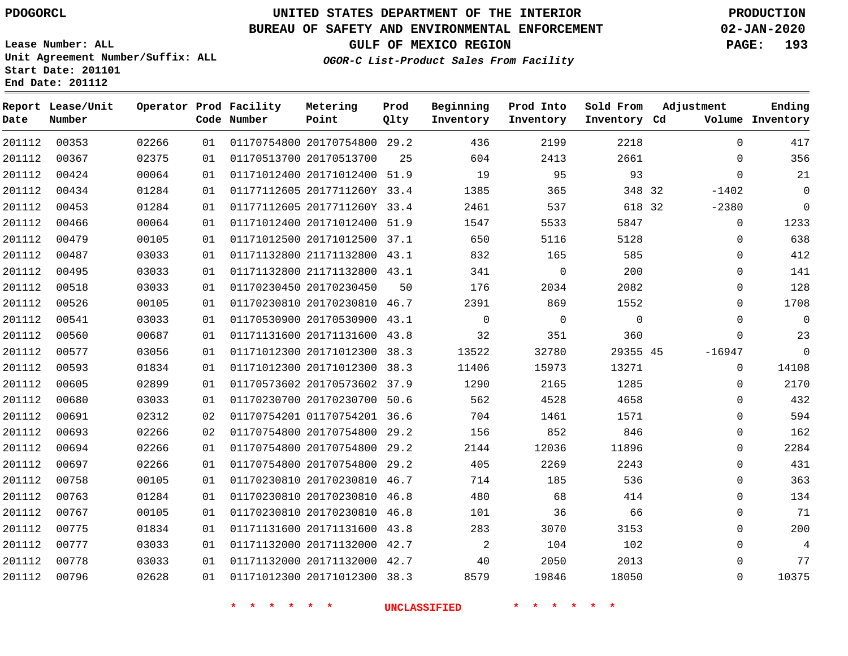**Report Lease/Unit**

**Date**

# **UNITED STATES DEPARTMENT OF THE INTERIOR PDOGORCL PRODUCTION**

**Prod**  $Q1 + 3r$ 

**Metering Point**

#### **BUREAU OF SAFETY AND ENVIRONMENTAL ENFORCEMENT 02-JAN-2020**

**Lease Number: ALL Unit Agreement Number/Suffix: ALL Start Date: 201101 End Date: 201112**

**Operator Prod Facility**

**OGOR-C List-Product Sales From Facility**

**Beginning Inventory**

**Prod Into Inventory**

**Sold From Inventory**

**GULF OF MEXICO REGION PAGE: 193**

**Adjustment**

**Ending**

| Date   | Number |       |    | Code Number | Point                        | Qlty | Inventory           | Inventory   | Inventory Cd |             | Volume Inventory |
|--------|--------|-------|----|-------------|------------------------------|------|---------------------|-------------|--------------|-------------|------------------|
| 201112 | 00353  | 02266 | 01 |             | 01170754800 20170754800 29.2 |      | 436                 | 2199        | 2218         | $\Omega$    | 417              |
| 201112 | 00367  | 02375 | 01 |             | 01170513700 20170513700      | 25   | 604                 | 2413        | 2661         | $\Omega$    | 356              |
| 201112 | 00424  | 00064 | 01 |             | 01171012400 20171012400 51.9 |      | 19                  | 95          | 93           | $\mathbf 0$ | 21               |
| 201112 | 00434  | 01284 | 01 |             | 01177112605 2017711260Y 33.4 |      | 1385                | 365         | 348 32       | $-1402$     | $\overline{0}$   |
| 201112 | 00453  | 01284 | 01 |             | 01177112605 2017711260Y 33.4 |      | 2461                | 537         | 618 32       | $-2380$     | $\overline{0}$   |
| 201112 | 00466  | 00064 | 01 |             | 01171012400 20171012400 51.9 |      | 1547                | 5533        | 5847         | $\mathbf 0$ | 1233             |
| 201112 | 00479  | 00105 | 01 |             | 01171012500 20171012500 37.1 |      | 650                 | 5116        | 5128         | 0           | 638              |
| 201112 | 00487  | 03033 | 01 |             | 01171132800 21171132800 43.1 |      | 832                 | 165         | 585          | $\Omega$    | 412              |
| 201112 | 00495  | 03033 | 01 |             | 01171132800 21171132800 43.1 |      | 341                 | 0           | 200          | $\Omega$    | 141              |
| 201112 | 00518  | 03033 | 01 |             | 01170230450 20170230450      | 50   | 176                 | 2034        | 2082         | 0           | 128              |
| 201112 | 00526  | 00105 | 01 |             | 01170230810 20170230810 46.7 |      | 2391                | 869         | 1552         | $\Omega$    | 1708             |
| 201112 | 00541  | 03033 | 01 |             | 01170530900 20170530900 43.1 |      | $\mathbf 0$         | $\mathbf 0$ | $\mathbf 0$  | 0           | $\mathbf 0$      |
| 201112 | 00560  | 00687 | 01 |             | 01171131600 20171131600 43.8 |      | 32                  | 351         | 360          | 0           | 23               |
| 201112 | 00577  | 03056 | 01 |             | 01171012300 20171012300 38.3 |      | 13522               | 32780       | 29355 45     | $-16947$    | $\overline{0}$   |
| 201112 | 00593  | 01834 | 01 |             | 01171012300 20171012300 38.3 |      | 11406               | 15973       | 13271        | $\mathbf 0$ | 14108            |
| 201112 | 00605  | 02899 | 01 |             | 01170573602 20170573602 37.9 |      | 1290                | 2165        | 1285         | 0           | 2170             |
| 201112 | 00680  | 03033 | 01 |             | 01170230700 20170230700 50.6 |      | 562                 | 4528        | 4658         | 0           | 432              |
| 201112 | 00691  | 02312 | 02 |             | 01170754201 01170754201 36.6 |      | 704                 | 1461        | 1571         | $\Omega$    | 594              |
| 201112 | 00693  | 02266 | 02 |             | 01170754800 20170754800 29.2 |      | 156                 | 852         | 846          | $\mathbf 0$ | 162              |
| 201112 | 00694  | 02266 | 01 |             | 01170754800 20170754800 29.2 |      | 2144                | 12036       | 11896        | 0           | 2284             |
| 201112 | 00697  | 02266 | 01 |             | 01170754800 20170754800 29.2 |      | 405                 | 2269        | 2243         | $\mathbf 0$ | 431              |
| 201112 | 00758  | 00105 | 01 |             | 01170230810 20170230810 46.7 |      | 714                 | 185         | 536          | 0           | 363              |
| 201112 | 00763  | 01284 | 01 |             | 01170230810 20170230810 46.8 |      | 480                 | 68          | 414          | 0           | 134              |
| 201112 | 00767  | 00105 | 01 |             | 01170230810 20170230810 46.8 |      | 101                 | 36          | 66           | 0           | 71               |
| 201112 | 00775  | 01834 | 01 |             | 01171131600 20171131600 43.8 |      | 283                 | 3070        | 3153         | $\Omega$    | 200              |
| 201112 | 00777  | 03033 | 01 |             | 01171132000 20171132000 42.7 |      | 2                   | 104         | 102          | 0           | $\overline{4}$   |
| 201112 | 00778  | 03033 | 01 |             | 01171132000 20171132000 42.7 |      | 40                  | 2050        | 2013         | 0           | 77               |
| 201112 | 00796  | 02628 | 01 |             | 01171012300 20171012300 38.3 |      | 8579                | 19846       | 18050        | 0           | 10375            |
|        |        |       |    | * * * * * * |                              |      | <b>UNCLASSIFIED</b> | * * * * * * |              |             |                  |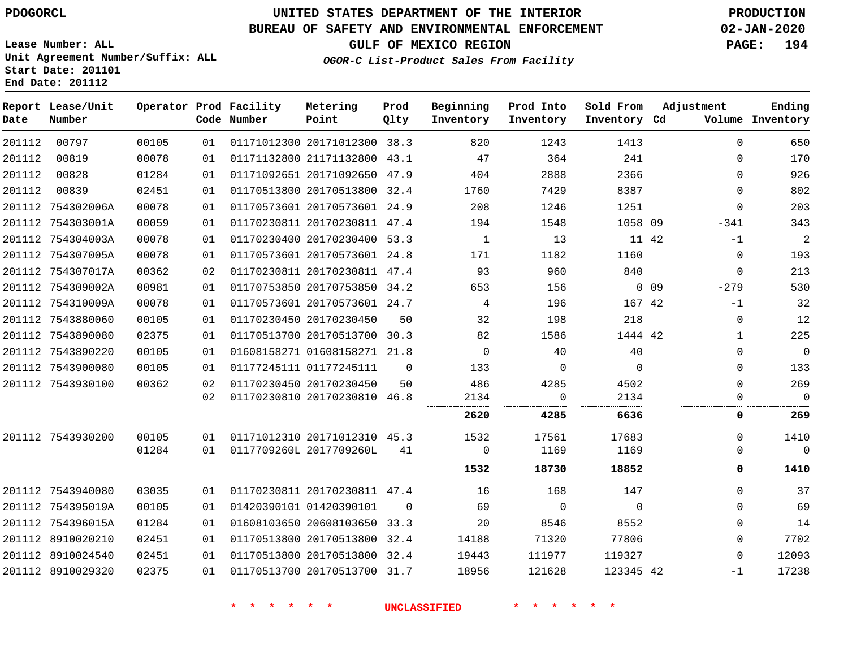**End Date: 201112**

# **UNITED STATES DEPARTMENT OF THE INTERIOR PDOGORCL PRODUCTION**

## **BUREAU OF SAFETY AND ENVIRONMENTAL ENFORCEMENT 02-JAN-2020**

**Lease Number: ALL Unit Agreement Number/Suffix: ALL Start Date: 201101**

**GULF OF MEXICO REGION PAGE: 194**

**OGOR-C List-Product Sales From Facility**

| Date   | Report Lease/Unit<br>Number |       |    | Operator Prod Facility<br>Code Number | Metering<br>Point            | Prod<br>Qlty | Beginning<br>Inventory | Prod Into<br>Inventory | Sold From<br>Inventory Cd |            | Adjustment   | Ending<br>Volume Inventory |
|--------|-----------------------------|-------|----|---------------------------------------|------------------------------|--------------|------------------------|------------------------|---------------------------|------------|--------------|----------------------------|
| 201112 | 00797                       | 00105 | 01 |                                       | 01171012300 20171012300 38.3 |              | 820                    | 1243                   | 1413                      |            | $\mathbf 0$  | 650                        |
| 201112 | 00819                       | 00078 | 01 |                                       | 01171132800 21171132800 43.1 |              | 47                     | 364                    | 241                       |            | 0            | 170                        |
| 201112 | 00828                       | 01284 | 01 |                                       | 01171092651 20171092650 47.9 |              | 404                    | 2888                   | 2366                      |            | $\Omega$     | 926                        |
| 201112 | 00839                       | 02451 | 01 |                                       | 01170513800 20170513800 32.4 |              | 1760                   | 7429                   | 8387                      |            | $\Omega$     | 802                        |
|        | 201112 754302006A           | 00078 | 01 |                                       | 01170573601 20170573601 24.9 |              | 208                    | 1246                   | 1251                      |            | $\mathbf 0$  | 203                        |
|        | 201112 754303001A           | 00059 | 01 |                                       | 01170230811 20170230811 47.4 |              | 194                    | 1548                   | 1058 09                   |            | $-341$       | 343                        |
|        | 201112 754304003A           | 00078 | 01 |                                       | 01170230400 20170230400 53.3 |              | 1                      | 13                     | 11 42                     |            | $-1$         | $\overline{c}$             |
|        | 201112 754307005A           | 00078 | 01 |                                       | 01170573601 20170573601 24.8 |              | 171                    | 1182                   | 1160                      |            | $\mathbf 0$  | 193                        |
|        | 201112 754307017A           | 00362 | 02 |                                       | 01170230811 20170230811 47.4 |              | 93                     | 960                    | 840                       |            | $\mathbf 0$  | 213                        |
|        | 201112 754309002A           | 00981 | 01 |                                       | 01170753850 20170753850 34.2 |              | 653                    | 156                    |                           | $0\quad09$ | $-279$       | 530                        |
|        | 201112 754310009A           | 00078 | 01 |                                       | 01170573601 20170573601 24.7 |              | 4                      | 196                    | 167 42                    |            | $-1$         | 32                         |
|        | 201112 7543880060           | 00105 | 01 |                                       | 01170230450 20170230450      | 50           | 32                     | 198                    | 218                       |            | 0            | 12                         |
|        | 201112 7543890080           | 02375 | 01 |                                       | 01170513700 20170513700 30.3 |              | 82                     | 1586                   | 1444 42                   |            | $\mathbf{1}$ | 225                        |
|        | 201112 7543890220           | 00105 | 01 |                                       | 01608158271 01608158271 21.8 |              | $\overline{0}$         | 40                     | 40                        |            | 0            | $\mathbf 0$                |
|        | 201112 7543900080           | 00105 | 01 |                                       | 01177245111 01177245111      | $\Omega$     | 133                    | $\overline{0}$         | $\Omega$                  |            | 0            | 133                        |
|        | 201112 7543930100           | 00362 | 02 |                                       | 01170230450 20170230450      | 50           | 486                    | 4285                   | 4502                      |            | $\Omega$     | 269                        |
|        |                             |       | 02 |                                       | 01170230810 20170230810 46.8 |              | 2134                   | 0                      | 2134                      |            | $\Omega$     | $\mathbf 0$                |
|        |                             |       |    |                                       |                              |              | <br>2620               | 4285                   | 6636                      |            | 0            | 269                        |
|        | 201112 7543930200           | 00105 | 01 |                                       | 01171012310 20171012310 45.3 |              | 1532                   | 17561                  | 17683                     |            | 0            | 1410                       |
|        |                             | 01284 | 01 |                                       | 0117709260L 2017709260L      | 41           | 0                      | 1169                   | 1169                      |            | 0            | $\mathbf 0$                |
|        |                             |       |    |                                       |                              |              | 1532                   | 18730                  | 18852                     |            | 0            | 1410                       |
|        | 201112 7543940080           | 03035 | 01 |                                       | 01170230811 20170230811 47.4 |              | 16                     | 168                    | 147                       |            | $\Omega$     | 37                         |
|        | 201112 754395019A           | 00105 | 01 |                                       | 01420390101 01420390101      | $\Omega$     | 69                     | $\overline{0}$         | $\overline{0}$            |            | $\Omega$     | 69                         |
|        | 201112 754396015A           | 01284 | 01 |                                       | 01608103650 20608103650 33.3 |              | 20                     | 8546                   | 8552                      |            | 0            | 14                         |
|        | 201112 8910020210           | 02451 | 01 |                                       | 01170513800 20170513800 32.4 |              | 14188                  | 71320                  | 77806                     |            | 0            | 7702                       |
|        | 201112 8910024540           | 02451 | 01 |                                       | 01170513800 20170513800 32.4 |              | 19443                  | 111977                 | 119327                    |            | 0            | 12093                      |
|        | 201112 8910029320           | 02375 | 01 |                                       | 01170513700 20170513700 31.7 |              | 18956                  | 121628                 | 123345 42                 |            | $-1$         | 17238                      |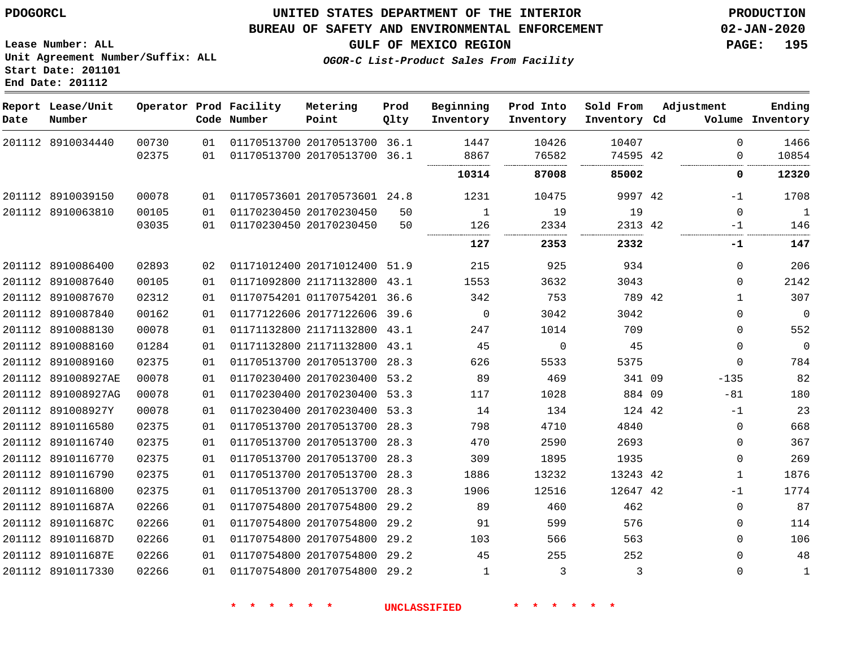**End Date: 201112**

## **UNITED STATES DEPARTMENT OF THE INTERIOR PDOGORCL PRODUCTION**

#### **BUREAU OF SAFETY AND ENVIRONMENTAL ENFORCEMENT 02-JAN-2020**

**Lease Number: ALL Unit Agreement Number/Suffix: ALL Start Date: 201101**

**GULF OF MEXICO REGION PAGE: 195**

**OGOR-C List-Product Sales From Facility**

| Date | Report Lease/Unit<br>Number |                |          | Operator Prod Facility<br>Code Number | Metering<br>Point                                            | Prod<br>Qlty | Beginning<br>Inventory | Prod Into<br>Inventory | Sold From<br>Inventory Cd | Adjustment           | Ending<br>Volume Inventory |
|------|-----------------------------|----------------|----------|---------------------------------------|--------------------------------------------------------------|--------------|------------------------|------------------------|---------------------------|----------------------|----------------------------|
|      | 201112 8910034440           | 00730<br>02375 | 01<br>01 |                                       | 01170513700 20170513700 36.1<br>01170513700 20170513700 36.1 |              | 1447<br>8867           | 10426<br>76582         | 10407<br>74595 42         | $\Omega$<br>$\Omega$ | 1466<br>10854              |
|      |                             |                |          |                                       |                                                              |              |                        |                        |                           |                      |                            |
|      |                             |                |          |                                       |                                                              |              | 10314                  | 87008                  | 85002                     | 0                    | 12320                      |
|      | 201112 8910039150           | 00078          | 01       |                                       | 01170573601 20170573601 24.8                                 |              | 1231                   | 10475                  | 9997 42                   | -1                   | 1708                       |
|      | 201112 8910063810           | 00105          | 01       |                                       | 01170230450 20170230450                                      | 50           | $\mathbf{1}$           | 19                     | 19                        | $\Omega$             | $\mathbf{1}$               |
|      |                             | 03035          | 01       |                                       | 01170230450 20170230450                                      | 50           | 126                    | 2334                   | 2313 42                   | -1                   | 146                        |
|      |                             |                |          |                                       |                                                              |              | 127                    | 2353                   | 2332                      | -1                   | 147                        |
|      | 201112 8910086400           | 02893          | 02       |                                       | 01171012400 20171012400 51.9                                 |              | 215                    | 925                    | 934                       | 0                    | 206                        |
|      | 201112 8910087640           | 00105          | 01       |                                       | 01171092800 21171132800 43.1                                 |              | 1553                   | 3632                   | 3043                      | $\Omega$             | 2142                       |
|      | 201112 8910087670           | 02312          | 01       |                                       | 01170754201 01170754201 36.6                                 |              | 342                    | 753                    | 789 42                    | $\mathbf 1$          | 307                        |
|      | 201112 8910087840           | 00162          | 01       |                                       | 01177122606 20177122606 39.6                                 |              | $\mathbf 0$            | 3042                   | 3042                      | 0                    | $\mathbf 0$                |
|      | 201112 8910088130           | 00078          | 01       |                                       | 01171132800 21171132800 43.1                                 |              | 247                    | 1014                   | 709                       | 0                    | 552                        |
|      | 201112 8910088160           | 01284          | 01       |                                       | 01171132800 21171132800 43.1                                 |              | 45                     | $\Omega$               | 45                        | $\Omega$             | $\mathbf 0$                |
|      | 201112 8910089160           | 02375          | 01       |                                       | 01170513700 20170513700 28.3                                 |              | 626                    | 5533                   | 5375                      | $\Omega$             | 784                        |
|      | 201112 891008927AE          | 00078          | 01       |                                       | 01170230400 20170230400 53.2                                 |              | 89                     | 469                    | 341 09                    | $-135$               | 82                         |
|      | 201112 891008927AG          | 00078          | 01       |                                       | 01170230400 20170230400 53.3                                 |              | 117                    | 1028                   | 884 09                    | $-81$                | 180                        |
|      | 201112 891008927Y           | 00078          | 01       |                                       | 01170230400 20170230400 53.3                                 |              | 14                     | 134                    | 124 42                    | $-1$                 | 23                         |
|      | 201112 8910116580           | 02375          | 01       |                                       | 01170513700 20170513700 28.3                                 |              | 798                    | 4710                   | 4840                      | $\mathbf 0$          | 668                        |
|      | 201112 8910116740           | 02375          | 01       |                                       | 01170513700 20170513700 28.3                                 |              | 470                    | 2590                   | 2693                      | $\mathbf 0$          | 367                        |
|      | 201112 8910116770           | 02375          | 01       |                                       | 01170513700 20170513700                                      | 28.3         | 309                    | 1895                   | 1935                      | $\mathbf 0$          | 269                        |
|      | 201112 8910116790           | 02375          | 01       |                                       | 01170513700 20170513700 28.3                                 |              | 1886                   | 13232                  | 13243 42                  | $\mathbf 1$          | 1876                       |
|      | 201112 8910116800           | 02375          | 01       |                                       | 01170513700 20170513700                                      | 28.3         | 1906                   | 12516                  | 12647 42                  | $-1$                 | 1774                       |
|      | 201112 891011687A           | 02266          | 01       |                                       | 01170754800 20170754800                                      | 29.2         | 89                     | 460                    | 462                       | 0                    | 87                         |
|      | 201112 891011687C           | 02266          | 01       |                                       | 01170754800 20170754800                                      | 29.2         | 91                     | 599                    | 576                       | 0                    | 114                        |
|      | 201112 891011687D           | 02266          | 01       |                                       | 01170754800 20170754800 29.2                                 |              | 103                    | 566                    | 563                       | 0                    | 106                        |
|      | 201112 891011687E           | 02266          | 01       |                                       | 01170754800 20170754800                                      | 29.2         | 45                     | 255                    | 252                       | 0                    | 48                         |
|      | 201112 8910117330           | 02266          | 01       |                                       | 01170754800 20170754800 29.2                                 |              | 1                      | 3                      | 3                         | 0                    | $\mathbf{1}$               |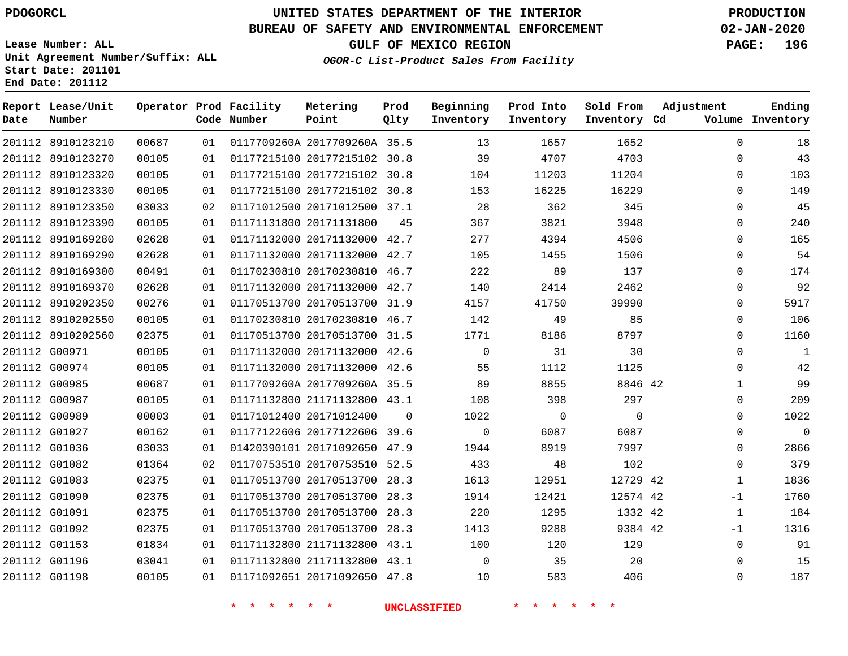## **BUREAU OF SAFETY AND ENVIRONMENTAL ENFORCEMENT 02-JAN-2020**

**Lease Number: ALL Unit Agreement Number/Suffix: ALL Start Date: 201101 End Date: 201112**

**OGOR-C List-Product Sales From Facility**

**GULF OF MEXICO REGION PAGE: 196**

| Date          | Report Lease/Unit<br>Number |       |    | Operator Prod Facility<br>Code Number | Metering<br>Point            | Prod<br>Qlty | Beginning<br>Inventory | Prod Into<br>Inventory | Sold From<br>Inventory Cd | Adjustment   | Ending<br>Volume Inventory |
|---------------|-----------------------------|-------|----|---------------------------------------|------------------------------|--------------|------------------------|------------------------|---------------------------|--------------|----------------------------|
|               | 201112 8910123210           | 00687 | 01 |                                       | 0117709260A 2017709260A 35.5 |              | 13                     | 1657                   | 1652                      | $\mathbf 0$  | 18                         |
|               | 201112 8910123270           | 00105 | 01 |                                       | 01177215100 20177215102 30.8 |              | 39                     | 4707                   | 4703                      | $\Omega$     | 43                         |
|               | 201112 8910123320           | 00105 | 01 |                                       | 01177215100 20177215102 30.8 |              | 104                    | 11203                  | 11204                     | $\mathbf 0$  | 103                        |
|               | 201112 8910123330           | 00105 | 01 |                                       | 01177215100 20177215102 30.8 |              | 153                    | 16225                  | 16229                     | $\mathbf 0$  | 149                        |
|               | 201112 8910123350           | 03033 | 02 |                                       | 01171012500 20171012500 37.1 |              | 28                     | 362                    | 345                       | $\Omega$     | 45                         |
|               | 201112 8910123390           | 00105 | 01 |                                       | 01171131800 20171131800      | 45           | 367                    | 3821                   | 3948                      | $\mathbf 0$  | 240                        |
|               | 201112 8910169280           | 02628 | 01 |                                       | 01171132000 20171132000 42.7 |              | 277                    | 4394                   | 4506                      | $\mathbf 0$  | 165                        |
|               | 201112 8910169290           | 02628 | 01 |                                       | 01171132000 20171132000 42.7 |              | 105                    | 1455                   | 1506                      | $\Omega$     | 54                         |
|               | 201112 8910169300           | 00491 | 01 |                                       | 01170230810 20170230810 46.7 |              | 222                    | 89                     | 137                       | $\Omega$     | 174                        |
|               | 201112 8910169370           | 02628 | 01 |                                       | 01171132000 20171132000 42.7 |              | 140                    | 2414                   | 2462                      | $\mathbf 0$  | 92                         |
|               | 201112 8910202350           | 00276 | 01 |                                       | 01170513700 20170513700 31.9 |              | 4157                   | 41750                  | 39990                     | $\mathbf 0$  | 5917                       |
|               | 201112 8910202550           | 00105 | 01 |                                       | 01170230810 20170230810 46.7 |              | 142                    | 49                     | 85                        | $\mathbf 0$  | 106                        |
|               | 201112 8910202560           | 02375 | 01 |                                       | 01170513700 20170513700 31.5 |              | 1771                   | 8186                   | 8797                      | $\mathbf 0$  | 1160                       |
|               | 201112 G00971               | 00105 | 01 |                                       | 01171132000 20171132000 42.6 |              | $\Omega$               | 31                     | 30                        | $\Omega$     | $\mathbf{1}$               |
|               | 201112 G00974               | 00105 | 01 |                                       | 01171132000 20171132000 42.6 |              | 55                     | 1112                   | 1125                      | $\mathbf 0$  | 42                         |
|               | 201112 G00985               | 00687 | 01 |                                       | 0117709260A 2017709260A 35.5 |              | 89                     | 8855                   | 8846 42                   | 1            | 99                         |
|               | 201112 G00987               | 00105 | 01 |                                       | 01171132800 21171132800 43.1 |              | 108                    | 398                    | 297                       | 0            | 209                        |
|               | 201112 G00989               | 00003 | 01 |                                       | 01171012400 20171012400      | $\Omega$     | 1022                   | $\mathbf 0$            | $\Omega$                  | $\mathbf 0$  | 1022                       |
|               | 201112 G01027               | 00162 | 01 |                                       | 01177122606 20177122606 39.6 |              | $\mathbf 0$            | 6087                   | 6087                      | $\mathbf 0$  | $\mathbf 0$                |
|               | 201112 G01036               | 03033 | 01 |                                       | 01420390101 20171092650 47.9 |              | 1944                   | 8919                   | 7997                      | $\mathbf 0$  | 2866                       |
|               | 201112 G01082               | 01364 | 02 |                                       | 01170753510 20170753510 52.5 |              | 433                    | 48                     | 102                       | $\Omega$     | 379                        |
|               | 201112 G01083               | 02375 | 01 |                                       | 01170513700 20170513700 28.3 |              | 1613                   | 12951                  | 12729 42                  | $\mathbf{1}$ | 1836                       |
| 201112 G01090 |                             | 02375 | 01 |                                       | 01170513700 20170513700 28.3 |              | 1914                   | 12421                  | 12574 42                  | $-1$         | 1760                       |
|               | 201112 G01091               | 02375 | 01 |                                       | 01170513700 20170513700 28.3 |              | 220                    | 1295                   | 1332 42                   | $\mathbf{1}$ | 184                        |
| 201112 G01092 |                             | 02375 | 01 |                                       | 01170513700 20170513700 28.3 |              | 1413                   | 9288                   | 9384 42                   | $-1$         | 1316                       |
|               | 201112 G01153               | 01834 | 01 |                                       | 01171132800 21171132800 43.1 |              | 100                    | 120                    | 129                       | $\mathbf 0$  | 91                         |
|               | 201112 G01196               | 03041 | 01 |                                       | 01171132800 21171132800 43.1 |              | $\Omega$               | 35                     | 20                        | $\Omega$     | 15                         |
|               | 201112 G01198               | 00105 | 01 |                                       | 01171092651 20171092650 47.8 |              | 10                     | 583                    | 406                       | $\mathbf 0$  | 187                        |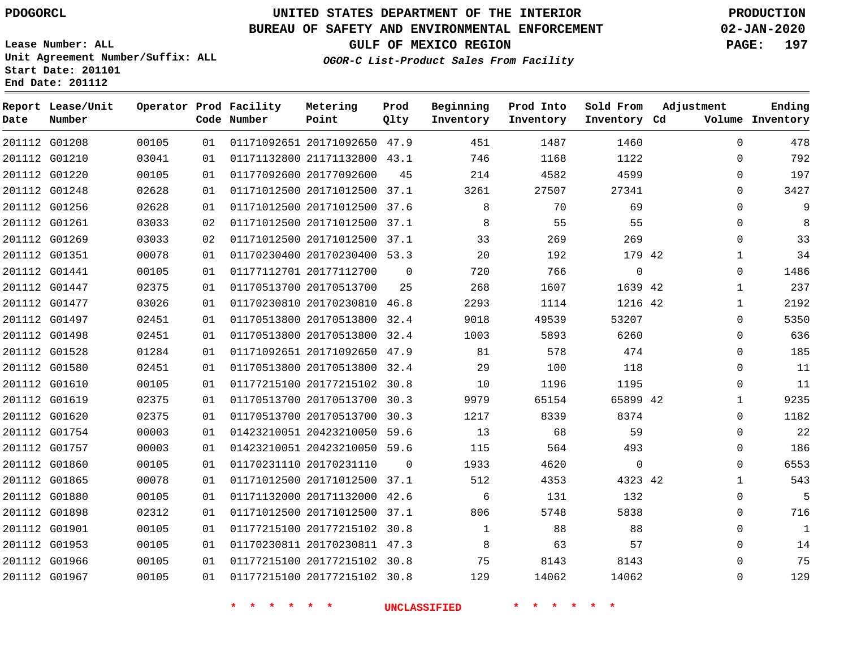G01208 G01210 G01220 G01248 G01256 G01261 G01269 G01351 G01441 G01447 G01477 G01497 G01498 G01528 G01580 G01610 G01619 G01620 G01754 G01757 G01860 G01865 G01880 G01898 G01901 G01953 G01966 G01967

**Date**

**Report Lease/Unit**

**Number**

# **UNITED STATES DEPARTMENT OF THE INTERIOR PDOGORCL PRODUCTION**

**Prod Qlty**

#### **BUREAU OF SAFETY AND ENVIRONMENTAL ENFORCEMENT 02-JAN-2020**

**Lease Number: ALL Unit Agreement Number/Suffix: ALL Start Date: 201101 End Date: 201112**

**Operator Prod Facility**

**Code Number**

**OGOR-C List-Product Sales From Facility**

**Sold From Inventory**

**Prod Into Inventory**

**Beginning Inventory**

**GULF OF MEXICO REGION PAGE: 197**

**Inventory Cd Volume**

**Adjustment**

 $\Omega$  $\Omega$  $\Omega$  $\Omega$  $\Omega$  $\Omega$  $\Omega$   $\Omega$   $\Omega$  $\Omega$   $\Omega$  $\overline{0}$   $\cap$  $\Omega$  $\Omega$   $\Omega$   $\Omega$   $\Omega$ 

**Ending**

| 00105 | 01 | 01171092651 20171092650 | 47.9        | 451  | 1487  | 1460         |  |
|-------|----|-------------------------|-------------|------|-------|--------------|--|
| 03041 | 01 | 01171132800 21171132800 | 43.1        | 746  | 1168  | 1122         |  |
| 00105 | 01 | 01177092600 20177092600 | 45          | 214  | 4582  | 4599         |  |
| 02628 | 01 | 01171012500 20171012500 | 37.1        | 3261 | 27507 | 27341        |  |
| 02628 | 01 | 01171012500 20171012500 | 37.6        | 8    | 70    | 69           |  |
| 03033 | 02 | 01171012500 20171012500 | 37.1        | 8    | 55    | 55           |  |
| 03033 | 02 | 01171012500 20171012500 | 37.1        | 33   | 269   | 269          |  |
| 00078 | 01 | 01170230400 20170230400 | 53.3        | 20   | 192   | 179 42       |  |
| 00105 | 01 | 01177112701 20177112700 | $\mathbf 0$ | 720  | 766   | 0            |  |
| 02375 | 01 | 01170513700 20170513700 | 25          | 268  | 1607  | 1639 42      |  |
| 03026 | 01 | 01170230810 20170230810 | 46.8        | 2293 | 1114  | 1216 42      |  |
| 02451 | 01 | 01170513800 20170513800 | 32.4        | 9018 | 49539 | 53207        |  |
| 02451 | 01 | 01170513800 20170513800 | 32.4        | 1003 | 5893  | 6260         |  |
| 01284 | 01 | 01171092651 20171092650 | 47.9        | 81   | 578   | 474          |  |
| 02451 | 01 | 01170513800 20170513800 | 32.4        | 29   | 100   | 118          |  |
| 00105 | 01 | 01177215100 20177215102 | 30.8        | 10   | 1196  | 1195         |  |
| 02375 | 01 | 01170513700 20170513700 | 30.3        | 9979 | 65154 | 65899 42     |  |
| 02375 | 01 | 01170513700 20170513700 | 30.3        | 1217 | 8339  | 8374         |  |
| 00003 | 01 | 01423210051 20423210050 | 59.6        | 13   | 68    | 59           |  |
| 00003 | 01 | 01423210051 20423210050 | 59.6        | 115  | 564   | 493          |  |
| 00105 | 01 | 01170231110 20170231110 | 0           | 1933 | 4620  | $\mathbf{0}$ |  |
| 00078 | 01 | 01171012500 20171012500 | 37.1        | 512  | 4353  | 4323 42      |  |

 20171132000 42.6 20171012500 37.1 20177215102 30.8 20170230811 47.3 20177215102 30.8 20177215102 30.8

**Metering Point**

**\* \* \* \* \* \* UNCLASSIFIED \* \* \* \* \* \***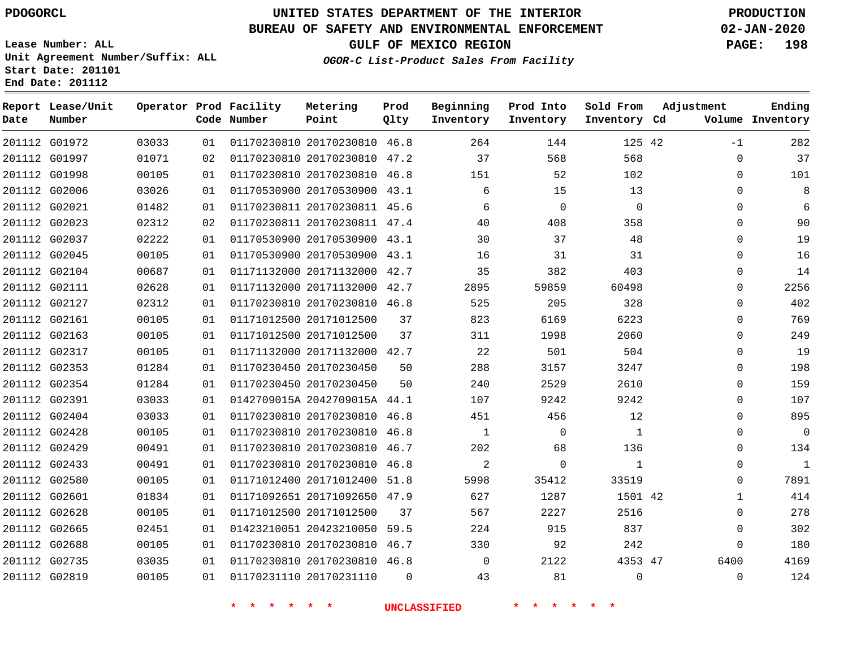## **BUREAU OF SAFETY AND ENVIRONMENTAL ENFORCEMENT 02-JAN-2020**

**Lease Number: ALL Unit Agreement Number/Suffix: ALL Start Date: 201101 End Date: 201112**

**OGOR-C List-Product Sales From Facility**

**GULF OF MEXICO REGION PAGE: 198**

|  | OGOR-C ELSC-FIOGACC SAIES FIOM FACILICY |  |  |  |
|--|-----------------------------------------|--|--|--|
|  |                                         |  |  |  |
|  |                                         |  |  |  |
|  |                                         |  |  |  |

| Date          | Report Lease/Unit<br>Number |       |    | Operator Prod Facility<br>Code Number | Metering<br>Point            | Prod<br>Qlty | Beginning<br>Inventory | Prod Into<br>Inventory | Sold From<br>Inventory Cd | Adjustment   | Ending<br>Volume Inventory |
|---------------|-----------------------------|-------|----|---------------------------------------|------------------------------|--------------|------------------------|------------------------|---------------------------|--------------|----------------------------|
|               | 201112 G01972               | 03033 | 01 |                                       | 01170230810 20170230810 46.8 |              | 264                    | 144                    | 125 42                    | $-1$         | 282                        |
|               | 201112 G01997               | 01071 | 02 |                                       | 01170230810 20170230810 47.2 |              | 37                     | 568                    | 568                       | $\mathbf{0}$ | 37                         |
|               | 201112 G01998               | 00105 | 01 |                                       | 01170230810 20170230810 46.8 |              | 151                    | 52                     | 102                       | $\Omega$     | 101                        |
|               | 201112 G02006               | 03026 | 01 |                                       | 01170530900 20170530900 43.1 |              | 6                      | 15                     | 13                        | $\mathbf 0$  | 8                          |
| 201112 G02021 |                             | 01482 | 01 |                                       | 01170230811 20170230811 45.6 |              | 6                      | $\mathbf 0$            | $\Omega$                  | $\Omega$     | 6                          |
| 201112 G02023 |                             | 02312 | 02 |                                       | 01170230811 20170230811 47.4 |              | 40                     | 408                    | 358                       | 0            | 90                         |
|               | 201112 G02037               | 02222 | 01 |                                       | 01170530900 20170530900 43.1 |              | 30                     | 37                     | 48                        | $\mathbf{0}$ | 19                         |
| 201112 G02045 |                             | 00105 | 01 |                                       | 01170530900 20170530900 43.1 |              | 16                     | 31                     | 31                        | $\Omega$     | 16                         |
| 201112 G02104 |                             | 00687 | 01 |                                       | 01171132000 20171132000 42.7 |              | 35                     | 382                    | 403                       | 0            | 14                         |
| 201112 G02111 |                             | 02628 | 01 |                                       | 01171132000 20171132000 42.7 |              | 2895                   | 59859                  | 60498                     | $\mathbf 0$  | 2256                       |
|               | 201112 G02127               | 02312 | 01 |                                       | 01170230810 20170230810 46.8 |              | 525                    | 205                    | 328                       | $\mathbf{0}$ | 402                        |
| 201112 G02161 |                             | 00105 | 01 |                                       | 01171012500 20171012500      | 37           | 823                    | 6169                   | 6223                      | 0            | 769                        |
| 201112 G02163 |                             | 00105 | 01 |                                       | 01171012500 20171012500      | 37           | 311                    | 1998                   | 2060                      | $\mathbf{0}$ | 249                        |
| 201112 G02317 |                             | 00105 | 01 |                                       | 01171132000 20171132000 42.7 |              | 22                     | 501                    | 504                       | $\Omega$     | 19                         |
|               | 201112 G02353               | 01284 | 01 |                                       | 01170230450 20170230450      | 50           | 288                    | 3157                   | 3247                      | $\Omega$     | 198                        |
| 201112 G02354 |                             | 01284 | 01 |                                       | 01170230450 20170230450      | 50           | 240                    | 2529                   | 2610                      | 0            | 159                        |
|               | 201112 G02391               | 03033 | 01 |                                       | 0142709015A 2042709015A 44.1 |              | 107                    | 9242                   | 9242                      | $\Omega$     | 107                        |
| 201112 G02404 |                             | 03033 | 01 |                                       | 01170230810 20170230810 46.8 |              | 451                    | 456                    | 12                        | $\Omega$     | 895                        |
| 201112 G02428 |                             | 00105 | 01 |                                       | 01170230810 20170230810 46.8 |              | $\mathbf{1}$           | $\mathbf 0$            | 1                         | 0            | $\mathbf 0$                |
| 201112 G02429 |                             | 00491 | 01 |                                       | 01170230810 20170230810 46.7 |              | 202                    | 68                     | 136                       | $\mathbf 0$  | 134                        |
|               | 201112 G02433               | 00491 | 01 |                                       | 01170230810 20170230810 46.8 |              | 2                      | $\mathbf 0$            | 1                         | 0            | $\mathbf{1}$               |
|               | 201112 G02580               | 00105 | 01 |                                       | 01171012400 20171012400      | 51.8         | 5998                   | 35412                  | 33519                     | 0            | 7891                       |
| 201112 G02601 |                             | 01834 | 01 |                                       | 01171092651 20171092650 47.9 |              | 627                    | 1287                   | 1501 42                   | $\mathbf{1}$ | 414                        |
| 201112 G02628 |                             | 00105 | 01 |                                       | 01171012500 20171012500      | 37           | 567                    | 2227                   | 2516                      | $\mathbf{0}$ | 278                        |
| 201112 G02665 |                             | 02451 | 01 |                                       | 01423210051 20423210050      | 59.5         | 224                    | 915                    | 837                       | $\mathbf{0}$ | 302                        |
| 201112 G02688 |                             | 00105 | 01 |                                       | 01170230810 20170230810 46.7 |              | 330                    | 92                     | 242                       | $\mathbf 0$  | 180                        |
| 201112 G02735 |                             | 03035 | 01 |                                       | 01170230810 20170230810 46.8 |              | $\Omega$               | 2122                   | 4353 47                   | 6400         | 4169                       |
| 201112 G02819 |                             | 00105 | 01 |                                       | 01170231110 20170231110      | $\Omega$     | 43                     | 81                     | 0                         | $\mathbf 0$  | 124                        |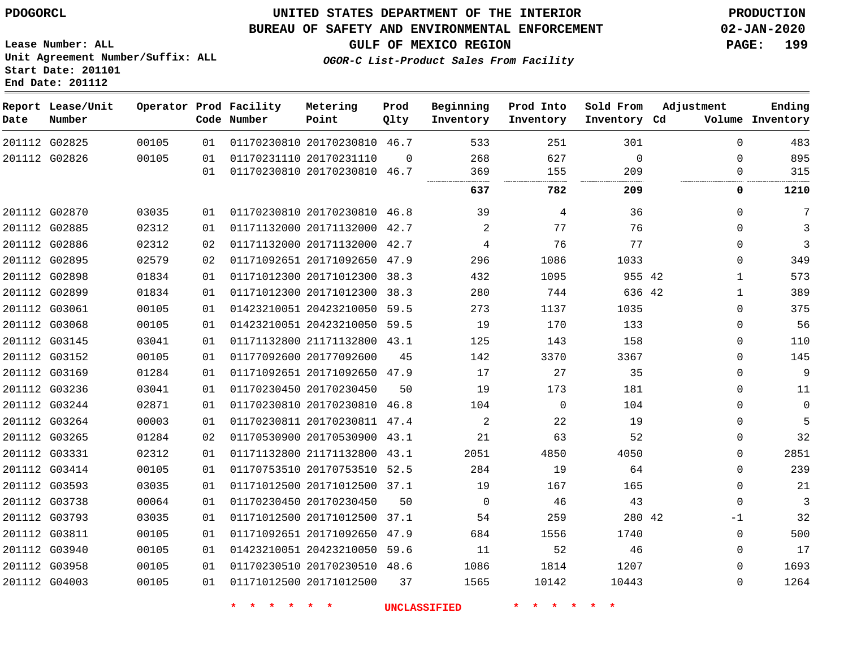#### **BUREAU OF SAFETY AND ENVIRONMENTAL ENFORCEMENT 02-JAN-2020**

**Lease Number: ALL Unit Agreement Number/Suffix: ALL Start Date: 201101 End Date: 201112**

**GULF OF MEXICO REGION PAGE: 199**

**OGOR-C List-Product Sales From Facility**

| Date          | Report Lease/Unit<br>Number |       |    | Operator Prod Facility<br>Code Number | Metering<br>Point            | Prod<br>Qlty | Beginning<br>Inventory | Prod Into<br>Inventory | Sold From<br>Inventory Cd | Adjustment   | Ending<br>Volume Inventory |
|---------------|-----------------------------|-------|----|---------------------------------------|------------------------------|--------------|------------------------|------------------------|---------------------------|--------------|----------------------------|
| 201112 G02825 |                             | 00105 | 01 |                                       | 01170230810 20170230810 46.7 |              | 533                    | 251                    | 301                       | $\Omega$     | 483                        |
| 201112 G02826 |                             | 00105 | 01 | 01170231110 20170231110               |                              | $\Omega$     | 268                    | 627                    | $\mathbf 0$               | $\Omega$     | 895                        |
|               |                             |       | 01 |                                       | 01170230810 20170230810 46.7 |              | 369                    | 155                    | 209                       | $\Omega$     | 315                        |
|               |                             |       |    |                                       |                              |              | 637                    | 782                    | 209                       | 0            | 1210                       |
| 201112 G02870 |                             | 03035 | 01 |                                       | 01170230810 20170230810 46.8 |              | 39                     | 4                      | 36                        | $\Omega$     | 7                          |
| 201112 G02885 |                             | 02312 | 01 |                                       | 01171132000 20171132000 42.7 |              | 2                      | 77                     | 76                        | $\Omega$     | 3                          |
| 201112 G02886 |                             | 02312 | 02 |                                       | 01171132000 20171132000 42.7 |              | 4                      | 76                     | 77                        | $\Omega$     | 3                          |
| 201112 G02895 |                             | 02579 | 02 |                                       | 01171092651 20171092650 47.9 |              | 296                    | 1086                   | 1033                      | $\Omega$     | 349                        |
| 201112 G02898 |                             | 01834 | 01 |                                       | 01171012300 20171012300 38.3 |              | 432                    | 1095                   | 955 42                    | $\mathbf{1}$ | 573                        |
| 201112 G02899 |                             | 01834 | 01 |                                       | 01171012300 20171012300 38.3 |              | 280                    | 744                    | 636 42                    | $\mathbf{1}$ | 389                        |
| 201112 G03061 |                             | 00105 | 01 |                                       | 01423210051 20423210050 59.5 |              | 273                    | 1137                   | 1035                      | $\Omega$     | 375                        |
| 201112 G03068 |                             | 00105 | 01 |                                       | 01423210051 20423210050 59.5 |              | 19                     | 170                    | 133                       | $\Omega$     | 56                         |
| 201112 G03145 |                             | 03041 | 01 |                                       | 01171132800 21171132800 43.1 |              | 125                    | 143                    | 158                       | $\Omega$     | 110                        |
| 201112 G03152 |                             | 00105 | 01 | 01177092600 20177092600               |                              | 45           | 142                    | 3370                   | 3367                      | $\Omega$     | 145                        |
| 201112 G03169 |                             | 01284 | 01 |                                       | 01171092651 20171092650 47.9 |              | 17                     | 27                     | 35                        | 0            | $\overline{9}$             |
| 201112 G03236 |                             | 03041 | 01 | 01170230450 20170230450               |                              | 50           | 19                     | 173                    | 181                       | $\Omega$     | 11                         |
| 201112 G03244 |                             | 02871 | 01 |                                       | 01170230810 20170230810 46.8 |              | 104                    | $\mathbf 0$            | 104                       | $\Omega$     | $\mathbf 0$                |
| 201112 G03264 |                             | 00003 | 01 |                                       | 01170230811 20170230811 47.4 |              | 2                      | 22                     | 19                        | $\Omega$     | 5                          |
| 201112 G03265 |                             | 01284 | 02 |                                       | 01170530900 20170530900 43.1 |              | 21                     | 63                     | 52                        | $\Omega$     | 32                         |
| 201112 G03331 |                             | 02312 | 01 |                                       | 01171132800 21171132800 43.1 |              | 2051                   | 4850                   | 4050                      | $\Omega$     | 2851                       |
| 201112 G03414 |                             | 00105 | 01 |                                       | 01170753510 20170753510 52.5 |              | 284                    | 19                     | 64                        | $\Omega$     | 239                        |
| 201112 G03593 |                             | 03035 | 01 |                                       | 01171012500 20171012500 37.1 |              | 19                     | 167                    | 165                       | $\Omega$     | 21                         |
| 201112 G03738 |                             | 00064 | 01 | 01170230450 20170230450               |                              | 50           | $\mathbf 0$            | 46                     | 43                        | $\Omega$     | 3                          |
| 201112 G03793 |                             | 03035 | 01 |                                       | 01171012500 20171012500 37.1 |              | 54                     | 259                    | 280 42                    | -1           | 32                         |
| 201112 G03811 |                             | 00105 | 01 |                                       | 01171092651 20171092650 47.9 |              | 684                    | 1556                   | 1740                      | $\mathbf{0}$ | 500                        |
| 201112 G03940 |                             | 00105 | 01 |                                       | 01423210051 20423210050 59.6 |              | 11                     | 52                     | 46                        | $\Omega$     | 17                         |
| 201112 G03958 |                             | 00105 | 01 |                                       | 01170230510 20170230510 48.6 |              | 1086                   | 1814                   | 1207                      | $\Omega$     | 1693                       |
| 201112 G04003 |                             | 00105 | 01 |                                       | 01171012500 20171012500      | 37           | 1565                   | 10142                  | 10443                     | $\Omega$     | 1264                       |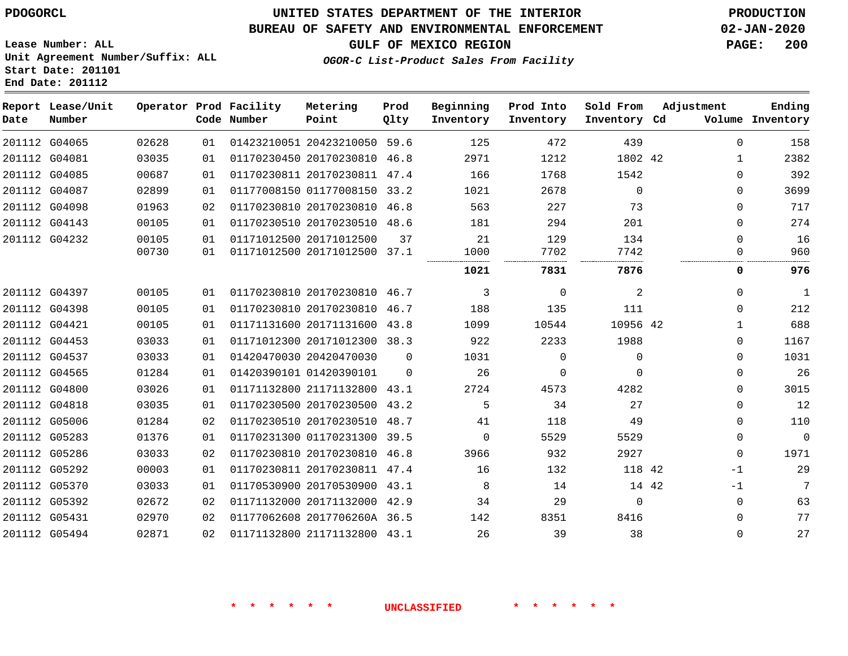**Lease Number: ALL**

**Start Date: 201101 End Date: 201112**

# **UNITED STATES DEPARTMENT OF THE INTERIOR PDOGORCL PRODUCTION**

## **BUREAU OF SAFETY AND ENVIRONMENTAL ENFORCEMENT 02-JAN-2020**

**Unit Agreement Number/Suffix: ALL**

**GULF OF MEXICO REGION PAGE: 200**

**OGOR-C List-Product Sales From Facility**

| Date   | Report Lease/Unit<br>Number |       |    | Operator Prod Facility<br>Code Number | Metering<br>Point            | Prod<br>Qlty | Beginning<br>Inventory | Prod Into<br>Inventory | Sold From<br>Inventory Cd | Adjustment | Ending<br>Volume Inventory |
|--------|-----------------------------|-------|----|---------------------------------------|------------------------------|--------------|------------------------|------------------------|---------------------------|------------|----------------------------|
|        | 201112 G04065               | 02628 | 01 |                                       | 01423210051 20423210050      | 59.6         | 125                    | 472                    | 439                       | 0          | 158                        |
|        | 201112 G04081               | 03035 | 01 |                                       | 01170230450 20170230810      | 46.8         | 2971                   | 1212                   | 1802 42                   | 1          | 2382                       |
| 201112 | G04085                      | 00687 | 01 |                                       | 01170230811 20170230811      | 47.4         | 166                    | 1768                   | 1542                      | 0          | 392                        |
|        | 201112 G04087               | 02899 | 01 |                                       | 01177008150 01177008150      | 33.2         | 1021                   | 2678                   | $\Omega$                  | $\Omega$   | 3699                       |
|        | 201112 G04098               | 01963 | 02 |                                       | 01170230810 20170230810 46.8 |              | 563                    | 227                    | 73                        | 0          | 717                        |
|        | 201112 G04143               | 00105 | 01 |                                       | 01170230510 20170230510      | 48.6         | 181                    | 294                    | 201                       | 0          | 274                        |
|        | 201112 G04232               | 00105 | 01 |                                       | 01171012500 20171012500      | 37           | 21                     | 129                    | 134                       | $\Omega$   | 16                         |
|        |                             | 00730 | 01 |                                       | 01171012500 20171012500      | 37.1         | 1000                   | 7702                   | 7742                      | $\Omega$   | 960                        |
|        |                             |       |    |                                       |                              |              | 1021                   | 7831                   | 7876                      | 0          | 976                        |
|        | 201112 G04397               | 00105 | 01 |                                       | 01170230810 20170230810 46.7 |              | 3                      | 0                      | 2                         | 0          | 1                          |
|        | 201112 G04398               | 00105 | 01 |                                       | 01170230810 20170230810      | 46.7         | 188                    | 135                    | 111                       | $\Omega$   | 212                        |
|        | 201112 G04421               | 00105 | 01 |                                       | 01171131600 20171131600      | 43.8         | 1099                   | 10544                  | 10956 42                  | 1          | 688                        |
|        | 201112 G04453               | 03033 | 01 |                                       | 01171012300 20171012300      | 38.3         | 922                    | 2233                   | 1988                      | 0          | 1167                       |
|        | 201112 G04537               | 03033 | 01 |                                       | 01420470030 20420470030      | $\Omega$     | 1031                   | $\Omega$               | $\Omega$                  | $\Omega$   | 1031                       |
|        | 201112 G04565               | 01284 | 01 |                                       | 01420390101 01420390101      | $\Omega$     | 26                     | $\Omega$               | $\Omega$                  | 0          | 26                         |
|        | 201112 G04800               | 03026 | 01 |                                       | 01171132800 21171132800      | 43.1         | 2724                   | 4573                   | 4282                      | 0          | 3015                       |
|        | 201112 G04818               | 03035 | 01 |                                       | 01170230500 20170230500      | 43.2         | 5                      | 34                     | 27                        | $\Omega$   | 12                         |
|        | 201112 G05006               | 01284 | 02 |                                       | 01170230510 20170230510      | 48.7         | 41                     | 118                    | 49                        | 0          | 110                        |
|        | 201112 G05283               | 01376 | 01 |                                       | 01170231300 01170231300      | 39.5         | $\Omega$               | 5529                   | 5529                      | 0          | $\mathbf 0$                |
| 201112 | G05286                      | 03033 | 02 |                                       | 01170230810 20170230810      | 46.8         | 3966                   | 932                    | 2927                      | 0          | 1971                       |
|        | 201112 G05292               | 00003 | 01 |                                       | 01170230811 20170230811 47.4 |              | 16                     | 132                    | 118                       | 42<br>$-1$ | 29                         |
|        | 201112 G05370               | 03033 | 01 |                                       | 01170530900 20170530900      | 43.1         | 8                      | 14                     | 14 42                     | $-1$       | 7                          |
| 201112 | G05392                      | 02672 | 02 |                                       | 01171132000 20171132000      | 42.9         | 34                     | 29                     | $\Omega$                  | $\Omega$   | 63                         |
|        | 201112 G05431               | 02970 | 02 |                                       | 01177062608 2017706260A 36.5 |              | 142                    | 8351                   | 8416                      | 0          | 77                         |
|        | 201112 G05494               | 02871 | 02 |                                       | 01171132800 21171132800 43.1 |              | 26                     | 39                     | 38                        | $\Omega$   | 27                         |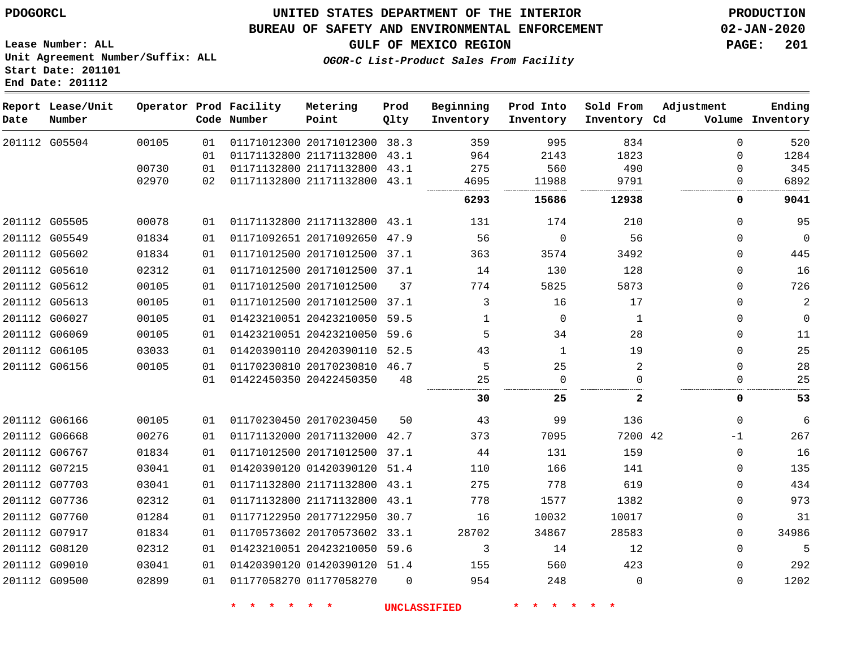#### **BUREAU OF SAFETY AND ENVIRONMENTAL ENFORCEMENT 02-JAN-2020**

**Lease Number: ALL Unit Agreement Number/Suffix: ALL Start Date: 201101 End Date: 201112**

**GULF OF MEXICO REGION PAGE: 201**

**OGOR-C List-Product Sales From Facility**

| Date          | Report Lease/Unit<br>Number |       |    | Operator Prod Facility<br>Code Number | Metering<br>Point            | Prod<br>Qlty | Beginning<br>Inventory | Prod Into<br>Inventory | Sold From<br>Inventory Cd | Adjustment | Ending<br>Volume Inventory |
|---------------|-----------------------------|-------|----|---------------------------------------|------------------------------|--------------|------------------------|------------------------|---------------------------|------------|----------------------------|
|               | 201112 G05504               | 00105 | 01 |                                       | 01171012300 20171012300 38.3 |              | 359                    | 995                    | 834                       | $\Omega$   | 520                        |
|               |                             |       | 01 |                                       | 01171132800 21171132800 43.1 |              | 964                    | 2143                   | 1823                      | $\Omega$   | 1284                       |
|               |                             | 00730 | 01 |                                       | 01171132800 21171132800 43.1 |              | 275                    | 560                    | 490                       | $\Omega$   | 345                        |
|               |                             | 02970 | 02 |                                       | 01171132800 21171132800 43.1 |              | 4695                   | 11988                  | 9791                      | $\Omega$   | 6892                       |
|               |                             |       |    |                                       |                              |              | 6293                   | 15686                  | 12938                     | 0          | 9041                       |
|               | 201112 G05505               | 00078 | 01 |                                       | 01171132800 21171132800 43.1 |              | 131                    | 174                    | 210                       | 0          | 95                         |
| 201112 G05549 |                             | 01834 | 01 |                                       | 01171092651 20171092650 47.9 |              | 56                     | $\mathbf 0$            | 56                        | 0          | $\mathbf 0$                |
| 201112 G05602 |                             | 01834 | 01 |                                       | 01171012500 20171012500 37.1 |              | 363                    | 3574                   | 3492                      | 0          | 445                        |
|               | 201112 G05610               | 02312 | 01 |                                       | 01171012500 20171012500 37.1 |              | 14                     | 130                    | 128                       | 0          | 16                         |
|               | 201112 G05612               | 00105 | 01 |                                       | 01171012500 20171012500      | 37           | 774                    | 5825                   | 5873                      | 0          | 726                        |
|               | 201112 G05613               | 00105 | 01 |                                       | 01171012500 20171012500 37.1 |              | 3                      | 16                     | 17                        | 0          | $\overline{c}$             |
|               | 201112 G06027               | 00105 | 01 |                                       | 01423210051 20423210050 59.5 |              | 1                      | $\Omega$               | 1                         | $\Omega$   | $\mathbf 0$                |
| 201112 G06069 |                             | 00105 | 01 |                                       | 01423210051 20423210050 59.6 |              | 5                      | 34                     | 28                        | 0          | 11                         |
|               | 201112 G06105               | 03033 | 01 |                                       | 01420390110 20420390110 52.5 |              | 43                     | 1                      | 19                        | 0          | 25                         |
| 201112 G06156 |                             | 00105 | 01 |                                       | 01170230810 20170230810 46.7 |              | 5                      | 25                     | 2                         | 0          | 28                         |
|               |                             |       | 01 |                                       | 01422450350 20422450350      | 48           | 25                     | $\Omega$               |                           | 0          | 25                         |
|               |                             |       |    |                                       |                              |              | 30                     | 25                     | $\mathbf{2}$              | 0          | 53                         |
| 201112 G06166 |                             | 00105 | 01 |                                       | 01170230450 20170230450      | 50           | 43                     | 99                     | 136                       | $\Omega$   | 6                          |
| 201112 G06668 |                             | 00276 | 01 |                                       | 01171132000 20171132000 42.7 |              | 373                    | 7095                   | 7200 42                   | $-1$       | 267                        |
| 201112 G06767 |                             | 01834 | 01 |                                       | 01171012500 20171012500 37.1 |              | 44                     | 131                    | 159                       | 0          | 16                         |
|               | 201112 G07215               | 03041 | 01 |                                       | 01420390120 01420390120 51.4 |              | 110                    | 166                    | 141                       | 0          | 135                        |
| 201112 G07703 |                             | 03041 | 01 |                                       | 01171132800 21171132800 43.1 |              | 275                    | 778                    | 619                       | $\Omega$   | 434                        |
|               | 201112 G07736               | 02312 | 01 |                                       | 01171132800 21171132800 43.1 |              | 778                    | 1577                   | 1382                      | $\Omega$   | 973                        |
| 201112 G07760 |                             | 01284 | 01 |                                       | 01177122950 20177122950 30.7 |              | 16                     | 10032                  | 10017                     | 0          | 31                         |
|               | 201112 G07917               | 01834 | 01 |                                       | 01170573602 20170573602 33.1 |              | 28702                  | 34867                  | 28583                     | 0          | 34986                      |
|               | 201112 G08120               | 02312 | 01 |                                       | 01423210051 20423210050 59.6 |              | 3                      | 14                     | 12                        | 0          | 5                          |
| 201112 G09010 |                             | 03041 | 01 |                                       | 01420390120 01420390120 51.4 |              | 155                    | 560                    | 423                       | $\Omega$   | 292                        |
|               | 201112 G09500               | 02899 | 01 |                                       | 01177058270 01177058270      | $\Omega$     | 954                    | 248                    | $\Omega$                  | $\Omega$   | 1202                       |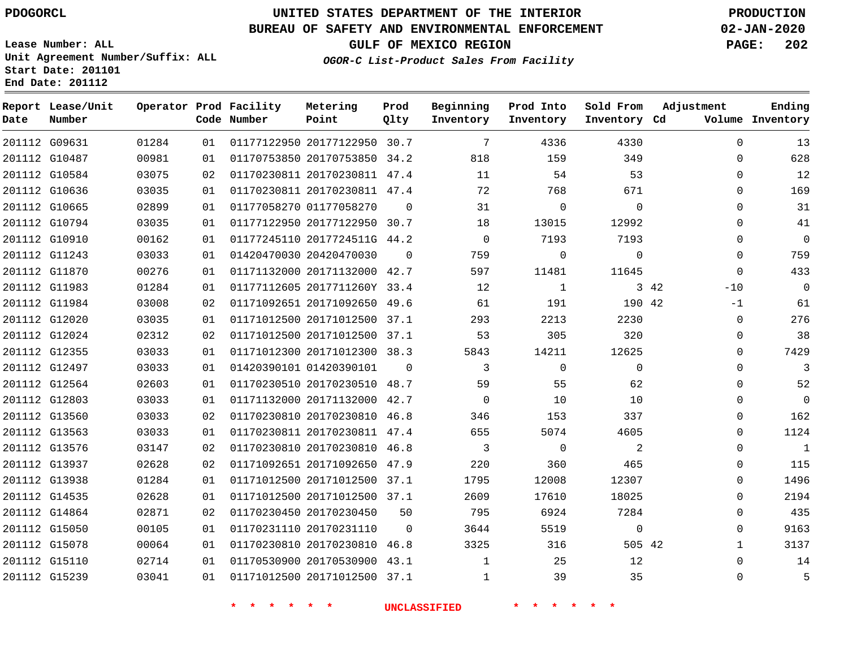G15239

# **UNITED STATES DEPARTMENT OF THE INTERIOR PDOGORCL PRODUCTION**

#### **BUREAU OF SAFETY AND ENVIRONMENTAL ENFORCEMENT 02-JAN-2020**

**Lease Number: ALL Unit Agreement Number/Suffix: ALL Start Date: 201101 End Date: 201112**

**OGOR-C List-Product Sales From Facility**

**GULF OF MEXICO REGION PAGE: 202**

| Date | Report Lease/Unit<br>Number |       |    | Operator Prod Facility<br>Code Number | Metering<br>Point            | Prod<br>Qlty | Beginning<br>Inventory | Prod Into<br>Inventory | Sold From<br>Inventory Cd | Adjustment    | Ending<br>Volume Inventory |
|------|-----------------------------|-------|----|---------------------------------------|------------------------------|--------------|------------------------|------------------------|---------------------------|---------------|----------------------------|
|      | 201112 G09631               | 01284 | 01 |                                       | 01177122950 20177122950 30.7 |              | $7\phantom{.0}$        | 4336                   | 4330                      | $\Omega$      | 13                         |
|      | 201112 G10487               | 00981 | 01 |                                       | 01170753850 20170753850 34.2 |              | 818                    | 159                    | 349                       | $\Omega$      | 628                        |
|      | 201112 G10584               | 03075 | 02 |                                       | 01170230811 20170230811 47.4 |              | 11                     | 54                     | 53                        | $\Omega$      | 12                         |
|      | 201112 G10636               | 03035 | 01 |                                       | 01170230811 20170230811 47.4 |              | 72                     | 768                    | 671                       | $\Omega$      | 169                        |
|      | 201112 G10665               | 02899 | 01 |                                       | 01177058270 01177058270      | $\Omega$     | 31                     | $\mathbf 0$            | $\mathbf 0$               | $\Omega$      | 31                         |
|      | 201112 G10794               | 03035 | 01 |                                       | 01177122950 20177122950 30.7 |              | 18                     | 13015                  | 12992                     | $\Omega$      | 41                         |
|      | 201112 G10910               | 00162 | 01 |                                       | 01177245110 2017724511G 44.2 |              | $\Omega$               | 7193                   | 7193                      | $\Omega$      | $\mathbf 0$                |
|      | 201112 G11243               | 03033 | 01 |                                       | 01420470030 20420470030      | $\Omega$     | 759                    | $\mathbf 0$            | $\mathbf 0$               | $\Omega$      | 759                        |
|      | 201112 G11870               | 00276 | 01 |                                       | 01171132000 20171132000 42.7 |              | 597                    | 11481                  | 11645                     | $\mathbf 0$   | 433                        |
|      | 201112 G11983               | 01284 | 01 |                                       | 01177112605 2017711260Y 33.4 |              | 12                     | 1                      |                           | 3 42<br>$-10$ | 0                          |
|      | 201112 G11984               | 03008 | 02 |                                       | 01171092651 20171092650 49.6 |              | 61                     | 191                    | 190 42                    | $-1$          | 61                         |
|      | 201112 G12020               | 03035 | 01 |                                       | 01171012500 20171012500 37.1 |              | 293                    | 2213                   | 2230                      | 0             | 276                        |
|      | 201112 G12024               | 02312 | 02 |                                       | 01171012500 20171012500 37.1 |              | 53                     | 305                    | 320                       | 0             | 38                         |
|      | 201112 G12355               | 03033 | 01 |                                       | 01171012300 20171012300 38.3 |              | 5843                   | 14211                  | 12625                     | $\Omega$      | 7429                       |
|      | 201112 G12497               | 03033 | 01 |                                       | 01420390101 01420390101      | $\Omega$     | 3                      | $\mathbf{0}$           | $\mathbf 0$               | 0             | 3                          |
|      | 201112 G12564               | 02603 | 01 |                                       | 01170230510 20170230510 48.7 |              | 59                     | 55                     | 62                        | $\Omega$      | 52                         |
|      | 201112 G12803               | 03033 | 01 |                                       | 01171132000 20171132000 42.7 |              | $\Omega$               | 10                     | 10                        | $\Omega$      | $\overline{0}$             |
|      | 201112 G13560               | 03033 | 02 |                                       | 01170230810 20170230810 46.8 |              | 346                    | 153                    | 337                       | $\Omega$      | 162                        |
|      | 201112 G13563               | 03033 | 01 |                                       | 01170230811 20170230811 47.4 |              | 655                    | 5074                   | 4605                      | $\Omega$      | 1124                       |
|      | 201112 G13576               | 03147 | 02 |                                       | 01170230810 20170230810 46.8 |              | 3                      | $\mathbf 0$            | 2                         | $\mathbf 0$   | $\mathbf{1}$               |
|      | 201112 G13937               | 02628 | 02 |                                       | 01171092651 20171092650 47.9 |              | 220                    | 360                    | 465                       | $\Omega$      | 115                        |
|      | 201112 G13938               | 01284 | 01 |                                       | 01171012500 20171012500 37.1 |              | 1795                   | 12008                  | 12307                     | $\Omega$      | 1496                       |
|      | 201112 G14535               | 02628 | 01 |                                       | 01171012500 20171012500 37.1 |              | 2609                   | 17610                  | 18025                     | $\Omega$      | 2194                       |
|      | 201112 G14864               | 02871 | 02 |                                       | 01170230450 20170230450      | 50           | 795                    | 6924                   | 7284                      | 0             | 435                        |
|      | 201112 G15050               | 00105 | 01 |                                       | 01170231110 20170231110      | $\Omega$     | 3644                   | 5519                   | $\mathbf 0$               | $\Omega$      | 9163                       |
|      | 201112 G15078               | 00064 | 01 |                                       | 01170230810 20170230810 46.8 |              | 3325                   | 316                    | 505 42                    | $\mathbf{1}$  | 3137                       |
|      | 201112 G15110               | 02714 | 01 |                                       | 01170530900 20170530900 43.1 |              | $\mathbf{1}$           | 25                     | 12                        | $\Omega$      | 14                         |

01171012500 20171012500 37.1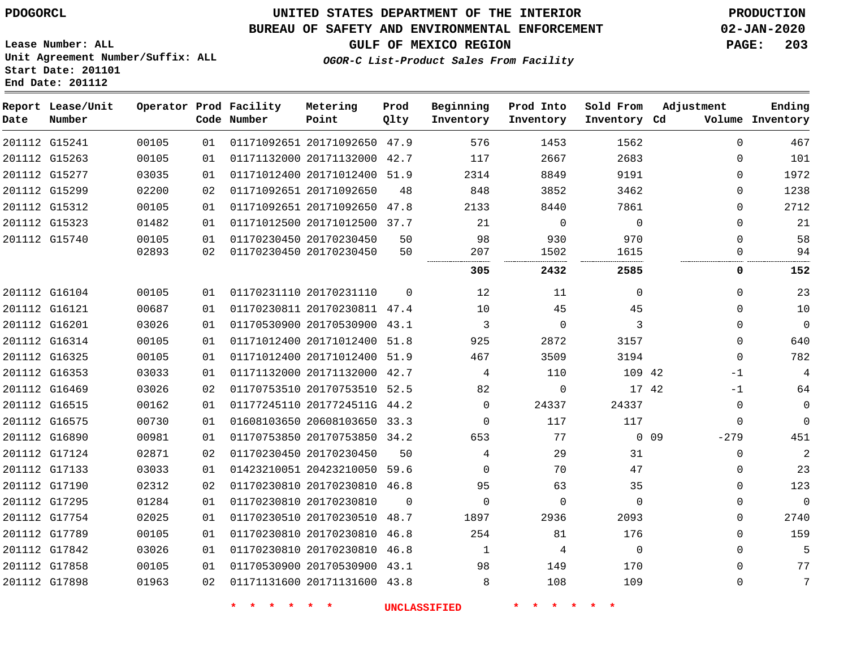#### **BUREAU OF SAFETY AND ENVIRONMENTAL ENFORCEMENT 02-JAN-2020**

**Lease Number: ALL Unit Agreement Number/Suffix: ALL Start Date: 201101 End Date: 201112**

**GULF OF MEXICO REGION PAGE: 203**

**OGOR-C List-Product Sales From Facility**

| Date          | Report Lease/Unit<br>Number |       |    | Operator Prod Facility<br>Code Number | Metering<br>Point            | Prod<br>Qlty | Beginning<br>Inventory | Prod Into<br>Inventory | Sold From<br>Inventory Cd | Adjustment                | Ending<br>Volume Inventory |
|---------------|-----------------------------|-------|----|---------------------------------------|------------------------------|--------------|------------------------|------------------------|---------------------------|---------------------------|----------------------------|
|               | 201112 G15241               | 00105 | 01 |                                       | 01171092651 20171092650 47.9 |              | 576                    | 1453                   | 1562                      | $\mathbf 0$               | 467                        |
|               | 201112 G15263               | 00105 | 01 |                                       | 01171132000 20171132000 42.7 |              | 117                    | 2667                   | 2683                      | $\mathbf 0$               | 101                        |
|               | 201112 G15277               | 03035 | 01 |                                       | 01171012400 20171012400 51.9 |              | 2314                   | 8849                   | 9191                      | $\mathbf 0$               | 1972                       |
|               | 201112 G15299               | 02200 | 02 |                                       | 01171092651 20171092650      | 48           | 848                    | 3852                   | 3462                      | 0                         | 1238                       |
|               | 201112 G15312               | 00105 | 01 |                                       | 01171092651 20171092650 47.8 |              | 2133                   | 8440                   | 7861                      | $\mathbf 0$               | 2712                       |
|               | 201112 G15323               | 01482 | 01 |                                       | 01171012500 20171012500 37.7 |              | 21                     | $\mathbf 0$            | $\mathbf 0$               | $\mathbf 0$               | 21                         |
|               | 201112 G15740               | 00105 | 01 |                                       | 01170230450 20170230450      | 50           | 98                     | 930                    | 970                       | $\mathbf 0$               | 58                         |
|               |                             | 02893 | 02 |                                       | 01170230450 20170230450      | 50           | 207                    | 1502                   | 1615                      | 0                         | 94                         |
|               |                             |       |    |                                       |                              |              | 305                    | 2432                   | 2585                      | 0                         | 152                        |
|               | 201112 G16104               | 00105 | 01 |                                       | 01170231110 20170231110      | $\Omega$     | 12                     | 11                     | $\Omega$                  | $\Omega$                  | 23                         |
|               | 201112 G16121               | 00687 | 01 |                                       | 01170230811 20170230811 47.4 |              | 10                     | 45                     | 45                        | $\Omega$                  | 10                         |
| 201112 G16201 |                             | 03026 | 01 |                                       | 01170530900 20170530900 43.1 |              | 3                      | $\Omega$               | 3                         | $\Omega$                  | $\mathbf{0}$               |
|               | 201112 G16314               | 00105 | 01 |                                       | 01171012400 20171012400 51.8 |              | 925                    | 2872                   | 3157                      | $\Omega$                  | 640                        |
|               | 201112 G16325               | 00105 | 01 |                                       | 01171012400 20171012400 51.9 |              | 467                    | 3509                   | 3194                      | $\Omega$                  | 782                        |
|               | 201112 G16353               | 03033 | 01 |                                       | 01171132000 20171132000 42.7 |              | 4                      | 110                    | 109 42                    | $-1$                      | $\overline{4}$             |
|               | 201112 G16469               | 03026 | 02 |                                       | 01170753510 20170753510 52.5 |              | 82                     | 0                      | 17 42                     | $-1$                      | 64                         |
|               | 201112 G16515               | 00162 | 01 |                                       | 01177245110 2017724511G 44.2 |              | 0                      | 24337                  | 24337                     | $\mathbf 0$               | $\mathsf 0$                |
|               | 201112 G16575               | 00730 | 01 |                                       | 01608103650 20608103650 33.3 |              | $\mathbf 0$            | 117                    | 117                       | $\mathbf 0$               | $\Omega$                   |
|               | 201112 G16890               | 00981 | 01 |                                       | 01170753850 20170753850 34.2 |              | 653                    | 77                     |                           | 0 <sub>09</sub><br>$-279$ | 451                        |
|               | 201112 G17124               | 02871 | 02 |                                       | 01170230450 20170230450      | 50           | 4                      | 29                     | 31                        | $\mathbf 0$               | $\overline{2}$             |
|               | 201112 G17133               | 03033 | 01 |                                       | 01423210051 20423210050 59.6 |              | $\Omega$               | 70                     | 47                        | $\mathbf 0$               | 23                         |
|               | 201112 G17190               | 02312 | 02 |                                       | 01170230810 20170230810 46.8 |              | 95                     | 63                     | 35                        | $\mathbf 0$               | 123                        |
|               | 201112 G17295               | 01284 | 01 |                                       | 01170230810 20170230810      | $\Omega$     | $\mathbf 0$            | $\mathbf 0$            | $\Omega$                  | $\mathbf 0$               | $\Omega$                   |
|               | 201112 G17754               | 02025 | 01 |                                       | 01170230510 20170230510 48.7 |              | 1897                   | 2936                   | 2093                      | $\mathbf 0$               | 2740                       |
|               | 201112 G17789               | 00105 | 01 |                                       | 01170230810 20170230810      | 46.8         | 254                    | 81                     | 176                       | $\mathbf 0$               | 159                        |
|               | 201112 G17842               | 03026 | 01 |                                       | 01170230810 20170230810 46.8 |              | 1                      | 4                      | $\Omega$                  | $\Omega$                  | 5                          |
|               | 201112 G17858               | 00105 | 01 |                                       | 01170530900 20170530900 43.1 |              | 98                     | 149                    | 170                       | $\Omega$                  | 77                         |
|               | 201112 G17898               | 01963 | 02 |                                       | 01171131600 20171131600 43.8 |              | 8                      | 108                    | 109                       | $\mathbf 0$               | 7                          |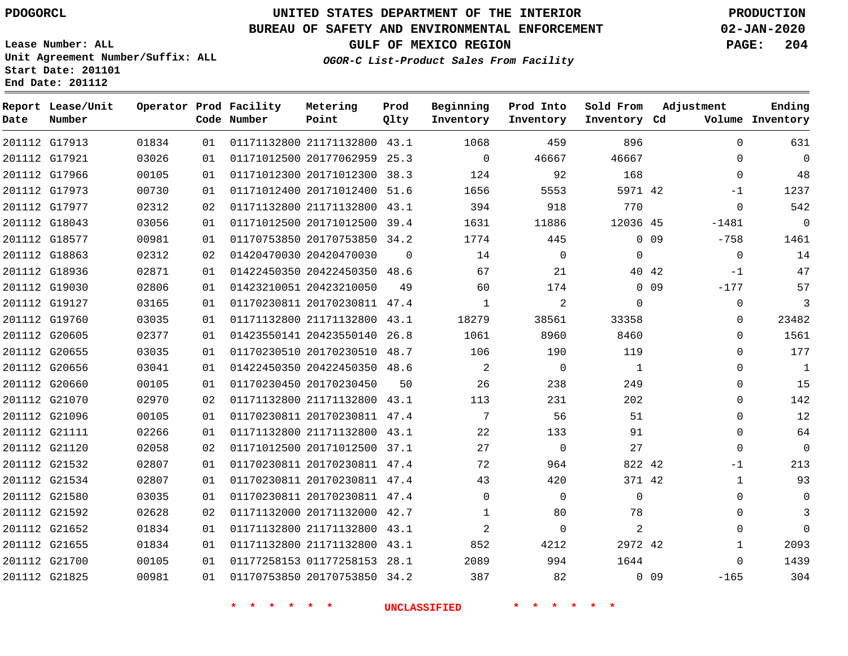**Date**

**End Date: 201112**

**Report Lease/Unit**

**Number**

# **UNITED STATES DEPARTMENT OF THE INTERIOR PDOGORCL PRODUCTION**

**Prod Qlty**

#### **BUREAU OF SAFETY AND ENVIRONMENTAL ENFORCEMENT 02-JAN-2020**

**Lease Number: ALL Unit Agreement Number/Suffix: ALL Start Date: 201101**

**Operator Prod Facility**

**Code Number**

**OGOR-C List-Product Sales From Facility**

**Beginning Inventory** **Prod Into Inventory** **Sold From Inventory**

**GULF OF MEXICO REGION PAGE: 204**

**Inventory Cd Volume**

**Adjustment**

  $\Omega$  $-1$  $\Omega$ 

**Ending**

|               | 201112 G17913 | 01834 | 01 | 01171132800 21171132800 43.1 |          | 1068                     | 459            | 896            |                 | 0              |
|---------------|---------------|-------|----|------------------------------|----------|--------------------------|----------------|----------------|-----------------|----------------|
|               | 201112 G17921 | 03026 | 01 | 01171012500 20177062959 25.3 |          | $\overline{0}$           | 46667          | 46667          |                 | 0              |
|               | 201112 G17966 | 00105 | 01 | 01171012300 20171012300 38.3 |          | 124                      | 92             | 168            |                 | $\overline{0}$ |
|               | 201112 G17973 | 00730 | 01 | 01171012400 20171012400 51.6 |          | 1656                     | 5553           | 5971 42        |                 | $-1$           |
|               | 201112 G17977 | 02312 | 02 | 01171132800 21171132800 43.1 |          | 394                      | 918            | 770            |                 | $\overline{0}$ |
|               | 201112 G18043 | 03056 | 01 | 01171012500 20171012500 39.4 |          | 1631                     | 11886          | 12036 45       |                 | $-1481$        |
|               | 201112 G18577 | 00981 | 01 | 01170753850 20170753850 34.2 |          | 1774                     | 445            |                | $0$ 09          | $-758$         |
|               | 201112 G18863 | 02312 | 02 | 01420470030 20420470030      | $\Omega$ | 14                       | $\Omega$       | $\Omega$       |                 | $\overline{0}$ |
|               | 201112 G18936 | 02871 | 01 | 01422450350 20422450350 48.6 |          | 67                       | 21             |                | 40 42           | $-1$           |
|               | 201112 G19030 | 02806 | 01 | 01423210051 20423210050      | 49       | 60                       | 174            |                | $0\quad09$      | $-177$         |
|               | 201112 G19127 | 03165 | 01 | 01170230811 20170230811 47.4 |          | $\overline{1}$           | 2              | $\Omega$       |                 | 0              |
|               | 201112 G19760 | 03035 | 01 | 01171132800 21171132800 43.1 |          | 18279                    | 38561          | 33358          |                 | $\mathbf 0$    |
|               | 201112 G20605 | 02377 | 01 | 01423550141 20423550140 26.8 |          | 1061                     | 8960           | 8460           |                 | $\mathbf 0$    |
|               | 201112 G20655 | 03035 | 01 | 01170230510 20170230510 48.7 |          | 106                      | 190            | 119            |                 | 0              |
|               | 201112 G20656 | 03041 | 01 | 01422450350 20422450350 48.6 |          | $\overline{\phantom{a}}$ | $\overline{0}$ | $\overline{1}$ |                 | 0              |
|               | 201112 G20660 | 00105 | 01 | 01170230450 20170230450      | 50       | 26                       | 238            | 249            |                 | 0              |
|               | 201112 G21070 | 02970 | 02 | 01171132800 21171132800 43.1 |          | 113                      | 231            | 202            |                 | 0              |
|               | 201112 G21096 | 00105 | 01 | 01170230811 20170230811 47.4 |          | $7\overline{ }$          | 56             | 51             |                 | 0              |
|               | 201112 G21111 | 02266 | 01 | 01171132800 21171132800 43.1 |          | 22                       | 133            | 91             |                 | $\mathbf 0$    |
| 201112 G21120 |               | 02058 | 02 | 01171012500 20171012500 37.1 |          | 27                       | $\Omega$       | 27             |                 | $\Omega$       |
|               | 201112 G21532 | 02807 | 01 | 01170230811 20170230811 47.4 |          | 72                       | 964            | 822 42         |                 | $-1$           |
|               | 201112 G21534 | 02807 | 01 | 01170230811 20170230811 47.4 |          | 43                       | 420            | 371 42         |                 | $\mathbf{1}$   |
|               | 201112 G21580 | 03035 | 01 | 01170230811 20170230811 47.4 |          | $\Omega$                 | $\Omega$       | $\Omega$       |                 | 0              |
|               | 201112 G21592 | 02628 | 02 | 01171132000 20171132000 42.7 |          | $\mathbf{1}$             | 80             | 78             |                 | 0              |
|               | 201112 G21652 | 01834 | 01 | 01171132800 21171132800 43.1 |          | 2                        | $\overline{0}$ | 2              |                 | $\mathbf 0$    |
|               | 201112 G21655 | 01834 | 01 | 01171132800 21171132800 43.1 |          | 852                      | 4212           | 2972 42        |                 | 1              |
|               | 201112 G21700 | 00105 | 01 | 01177258153 01177258153 28.1 |          | 2089                     | 994            | 1644           |                 | $\overline{0}$ |
|               | 201112 G21825 | 00981 | 01 | 01170753850 20170753850 34.2 |          | 387                      | 82             |                | 0 <sub>09</sub> | $-165$         |

**Metering Point**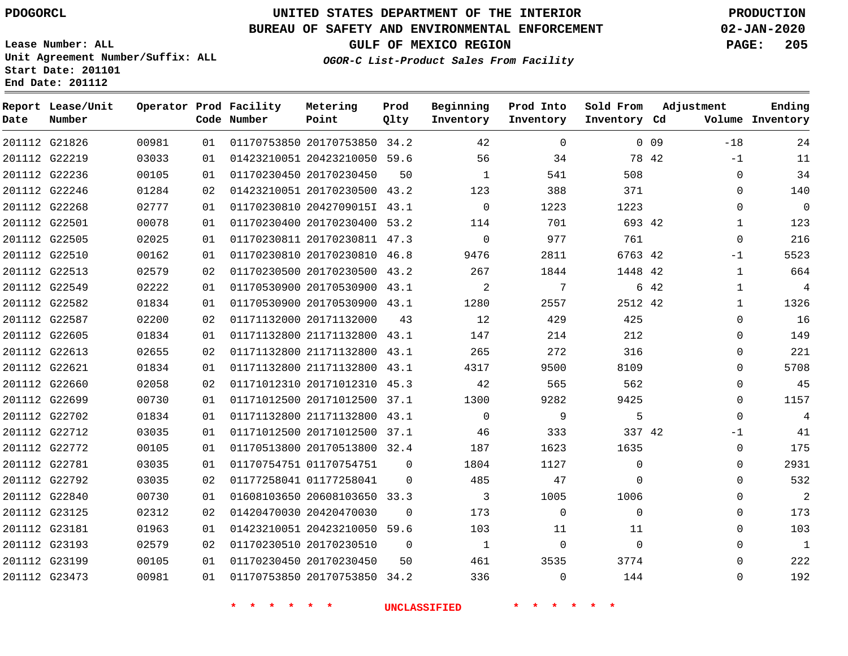## **BUREAU OF SAFETY AND ENVIRONMENTAL ENFORCEMENT 02-JAN-2020**

**Lease Number: ALL Unit Agreement Number/Suffix: ALL Start Date: 201101 End Date: 201112**

**OGOR-C List-Product Sales From Facility**

**GULF OF MEXICO REGION PAGE: 205**

| Date | Report Lease/Unit<br>Number |       |    | Operator Prod Facility<br>Code Number | Metering<br>Point            | Prod<br>Qlty | Beginning<br>Inventory | Prod Into<br>Inventory | Sold From<br>Inventory Cd | Adjustment      |              | Ending<br>Volume Inventory |
|------|-----------------------------|-------|----|---------------------------------------|------------------------------|--------------|------------------------|------------------------|---------------------------|-----------------|--------------|----------------------------|
|      | 201112 G21826               | 00981 | 01 |                                       | 01170753850 20170753850 34.2 |              | 42                     | $\Omega$               |                           | 0 <sub>09</sub> | $-18$        | 24                         |
|      | 201112 G22219               | 03033 | 01 |                                       | 01423210051 20423210050 59.6 |              | 56                     | 34                     |                           | 78 42           | $-1$         | 11                         |
|      | 201112 G22236               | 00105 | 01 |                                       | 01170230450 20170230450      | 50           | $\mathbf{1}$           | 541                    | 508                       |                 | $\mathbf 0$  | 34                         |
|      | 201112 G22246               | 01284 | 02 |                                       | 01423210051 20170230500 43.2 |              | 123                    | 388                    | 371                       |                 | $\mathbf 0$  | 140                        |
|      | 201112 G22268               | 02777 | 01 |                                       | 01170230810 2042709015I 43.1 |              | $\mathbf 0$            | 1223                   | 1223                      |                 | $\mathbf 0$  | $\overline{0}$             |
|      | 201112 G22501               | 00078 | 01 |                                       | 01170230400 20170230400 53.2 |              | 114                    | 701                    | 693 42                    |                 | $\mathbf{1}$ | 123                        |
|      | 201112 G22505               | 02025 | 01 |                                       | 01170230811 20170230811 47.3 |              | $\Omega$               | 977                    | 761                       |                 | $\mathbf 0$  | 216                        |
|      | 201112 G22510               | 00162 | 01 |                                       | 01170230810 20170230810 46.8 |              | 9476                   | 2811                   | 6763 42                   |                 | $-1$         | 5523                       |
|      | 201112 G22513               | 02579 | 02 |                                       | 01170230500 20170230500 43.2 |              | 267                    | 1844                   | 1448 42                   |                 | $\mathbf 1$  | 664                        |
|      | 201112 G22549               | 02222 | 01 |                                       | 01170530900 20170530900 43.1 |              | 2                      | 7                      |                           | 6 42            | $\mathbf 1$  | 4                          |
|      | 201112 G22582               | 01834 | 01 |                                       | 01170530900 20170530900 43.1 |              | 1280                   | 2557                   | 2512 42                   |                 | $\mathbf{1}$ | 1326                       |
|      | 201112 G22587               | 02200 | 02 |                                       | 01171132000 20171132000      | 43           | 12                     | 429                    | 425                       |                 | $\mathbf 0$  | 16                         |
|      | 201112 G22605               | 01834 | 01 |                                       | 01171132800 21171132800 43.1 |              | 147                    | 214                    | 212                       |                 | $\Omega$     | 149                        |
|      | 201112 G22613               | 02655 | 02 |                                       | 01171132800 21171132800 43.1 |              | 265                    | 272                    | 316                       |                 | $\mathbf 0$  | 221                        |
|      | 201112 G22621               | 01834 | 01 |                                       | 01171132800 21171132800 43.1 |              | 4317                   | 9500                   | 8109                      |                 | $\mathbf 0$  | 5708                       |
|      | 201112 G22660               | 02058 | 02 |                                       | 01171012310 20171012310 45.3 |              | 42                     | 565                    | 562                       |                 | $\mathbf 0$  | 45                         |
|      | 201112 G22699               | 00730 | 01 |                                       | 01171012500 20171012500 37.1 |              | 1300                   | 9282                   | 9425                      |                 | $\Omega$     | 1157                       |
|      | 201112 G22702               | 01834 | 01 |                                       | 01171132800 21171132800 43.1 |              | $\Omega$               | 9                      | 5                         |                 | $\Omega$     | $\overline{4}$             |
|      | 201112 G22712               | 03035 | 01 |                                       | 01171012500 20171012500 37.1 |              | 46                     | 333                    | 337 42                    |                 | -1           | 41                         |
|      | 201112 G22772               | 00105 | 01 |                                       | 01170513800 20170513800 32.4 |              | 187                    | 1623                   | 1635                      |                 | $\mathbf 0$  | 175                        |
|      | 201112 G22781               | 03035 | 01 |                                       | 01170754751 01170754751      | $\mathbf 0$  | 1804                   | 1127                   | $\mathbf 0$               |                 | $\Omega$     | 2931                       |
|      | 201112 G22792               | 03035 | 02 |                                       | 01177258041 01177258041      | $\Omega$     | 485                    | 47                     | $\Omega$                  |                 | $\Omega$     | 532                        |
|      | 201112 G22840               | 00730 | 01 |                                       | 01608103650 20608103650 33.3 |              | 3                      | 1005                   | 1006                      |                 | $\Omega$     | $\overline{2}$             |
|      | 201112 G23125               | 02312 | 02 |                                       | 01420470030 20420470030      | 0            | 173                    | $\mathbf 0$            | $\Omega$                  |                 | $\mathbf 0$  | 173                        |
|      | 201112 G23181               | 01963 | 01 |                                       | 01423210051 20423210050 59.6 |              | 103                    | 11                     | 11                        |                 | $\mathbf 0$  | 103                        |
|      | 201112 G23193               | 02579 | 02 |                                       | 01170230510 20170230510      | $\Omega$     | 1                      | $\mathbf 0$            | $\Omega$                  |                 | $\Omega$     | $\mathbf{1}$               |
|      | 201112 G23199               | 00105 | 01 |                                       | 01170230450 20170230450      | 50           | 461                    | 3535                   | 3774                      |                 | $\Omega$     | 222                        |
|      | 201112 G23473               | 00981 | 01 |                                       | 01170753850 20170753850 34.2 |              | 336                    | $\Omega$               | 144                       |                 | $\Omega$     | 192                        |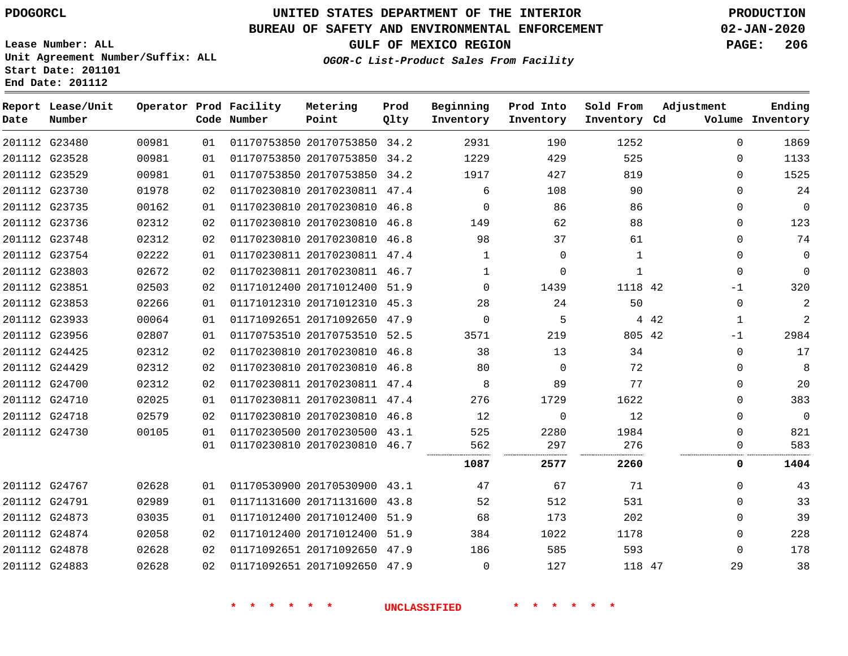## **BUREAU OF SAFETY AND ENVIRONMENTAL ENFORCEMENT 02-JAN-2020**

**Lease Number: ALL Unit Agreement Number/Suffix: ALL Start Date: 201101 End Date: 201112**

**GULF OF MEXICO REGION PAGE: 206**

| Date | Report Lease/Unit<br>Number |       |    | Operator Prod Facility<br>Code Number | Metering<br>Point            | Prod<br>Qlty | Beginning<br>Inventory | Prod Into<br>Inventory | Sold From<br>Inventory Cd | Adjustment            | Ending<br>Volume Inventory |
|------|-----------------------------|-------|----|---------------------------------------|------------------------------|--------------|------------------------|------------------------|---------------------------|-----------------------|----------------------------|
|      | 201112 G23480               | 00981 | 01 |                                       | 01170753850 20170753850 34.2 |              | 2931                   | 190                    | 1252                      | $\mathbf{0}$          | 1869                       |
|      | 201112 G23528               | 00981 | 01 |                                       | 01170753850 20170753850 34.2 |              | 1229                   | 429                    | 525                       | $\Omega$              | 1133                       |
|      | 201112 G23529               | 00981 | 01 |                                       | 01170753850 20170753850 34.2 |              | 1917                   | 427                    | 819                       | $\Omega$              | 1525                       |
|      | 201112 G23730               | 01978 | 02 |                                       | 01170230810 20170230811 47.4 |              | 6                      | 108                    | 90                        | $\Omega$              | 24                         |
|      | 201112 G23735               | 00162 | 01 |                                       | 01170230810 20170230810 46.8 |              | 0                      | 86                     | 86                        | 0                     | $\mathbf{0}$               |
|      | 201112 G23736               | 02312 | 02 |                                       | 01170230810 20170230810 46.8 |              | 149                    | 62                     | 88                        | $\Omega$              | 123                        |
|      | 201112 G23748               | 02312 | 02 |                                       | 01170230810 20170230810 46.8 |              | 98                     | 37                     | 61                        | $\mathbf 0$           | 74                         |
|      | 201112 G23754               | 02222 | 01 |                                       | 01170230811 20170230811 47.4 |              | $\mathbf{1}$           | $\mathbf 0$            | $\mathbf{1}$              | $\Omega$              | $\mathbf 0$                |
|      | 201112 G23803               | 02672 | 02 |                                       | 01170230811 20170230811 46.7 |              | $\mathbf{1}$           | $\mathbf 0$            | $\mathbf{1}$              | 0                     | $\Omega$                   |
|      | 201112 G23851               | 02503 | 02 |                                       | 01171012400 20171012400 51.9 |              | $\Omega$               | 1439                   | 1118 42                   | $-1$                  | 320                        |
|      | 201112 G23853               | 02266 | 01 |                                       | 01171012310 20171012310 45.3 |              | 28                     | 24                     | 50                        | 0                     | $\overline{2}$             |
|      | 201112 G23933               | 00064 | 01 |                                       | 01171092651 20171092650 47.9 |              | $\Omega$               | 5                      |                           | 4 4 2<br>$\mathbf{1}$ | $\overline{2}$             |
|      | 201112 G23956               | 02807 | 01 |                                       | 01170753510 20170753510 52.5 |              | 3571                   | 219                    | 805 42                    | $-1$                  | 2984                       |
|      | 201112 G24425               | 02312 | 02 |                                       | 01170230810 20170230810 46.8 |              | 38                     | 13                     | 34                        | $\Omega$              | 17                         |
|      | 201112 G24429               | 02312 | 02 |                                       | 01170230810 20170230810 46.8 |              | 80                     | $\mathbf 0$            | 72                        | 0                     | 8                          |
|      | 201112 G24700               | 02312 | 02 |                                       | 01170230811 20170230811 47.4 |              | 8                      | 89                     | 77                        | 0                     | 20                         |
|      | 201112 G24710               | 02025 | 01 |                                       | 01170230811 20170230811 47.4 |              | 276                    | 1729                   | 1622                      | $\Omega$              | 383                        |
|      | 201112 G24718               | 02579 | 02 |                                       | 01170230810 20170230810 46.8 |              | 12                     | $\mathbf 0$            | 12                        | $\Omega$              | $\Omega$                   |
|      | 201112 G24730               | 00105 | 01 |                                       | 01170230500 20170230500 43.1 |              | 525                    | 2280                   | 1984                      | 0                     | 821                        |
|      |                             |       | 01 |                                       | 01170230810 20170230810 46.7 |              | 562                    | 297<br>                | 276                       | 0                     | 583                        |
|      |                             |       |    |                                       |                              |              | 1087                   | 2577                   | 2260                      | 0                     | 1404                       |
|      | 201112 G24767               | 02628 | 01 |                                       | 01170530900 20170530900 43.1 |              | 47                     | 67                     | 71                        | $\Omega$              | 43                         |
|      | 201112 G24791               | 02989 | 01 |                                       | 01171131600 20171131600 43.8 |              | 52                     | 512                    | 531                       | $\mathbf 0$           | 33                         |
|      | 201112 G24873               | 03035 | 01 |                                       | 01171012400 20171012400 51.9 |              | 68                     | 173                    | 202                       | $\Omega$              | 39                         |
|      | 201112 G24874               | 02058 | 02 |                                       | 01171012400 20171012400      | 51.9         | 384                    | 1022                   | 1178                      | $\Omega$              | 228                        |
|      | 201112 G24878               | 02628 | 02 |                                       | 01171092651 20171092650 47.9 |              | 186                    | 585                    | 593                       | $\Omega$              | 178                        |
|      | 201112 G24883               | 02628 | 02 |                                       | 01171092651 20171092650 47.9 |              | 0                      | 127                    | 118 47                    | 29                    | 38                         |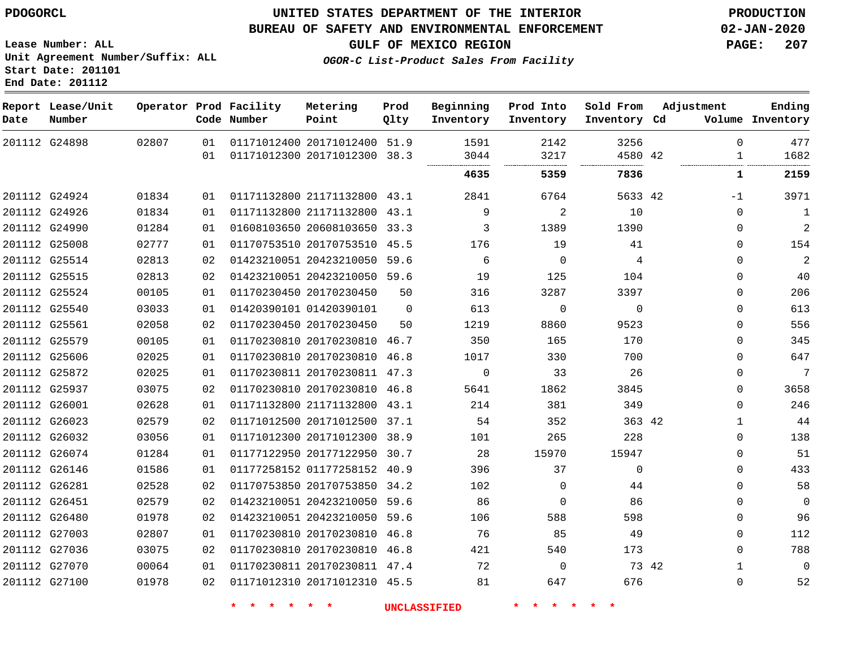**End Date: 201112**

## **UNITED STATES DEPARTMENT OF THE INTERIOR PDOGORCL PRODUCTION**

#### **BUREAU OF SAFETY AND ENVIRONMENTAL ENFORCEMENT 02-JAN-2020**

**Lease Number: ALL Unit Agreement Number/Suffix: ALL Start Date: 201101**

**GULF OF MEXICO REGION PAGE: 207**

**OGOR-C List-Product Sales From Facility**

| Date          | Report Lease/Unit<br>Number |       |                 | Operator Prod Facility<br>Code Number | Metering<br>Point            | Prod<br>Qlty | Beginning<br>Inventory | Prod Into<br>Inventory | Sold From<br>Inventory Cd | Adjustment |              | Ending<br>Volume Inventory |
|---------------|-----------------------------|-------|-----------------|---------------------------------------|------------------------------|--------------|------------------------|------------------------|---------------------------|------------|--------------|----------------------------|
|               | 201112 G24898               | 02807 | 01              |                                       | 01171012400 20171012400 51.9 |              | 1591                   | 2142                   | 3256                      |            | $\Omega$     | 477                        |
|               |                             |       | 01              |                                       | 01171012300 20171012300 38.3 |              | 3044<br>               | 3217<br>.              | 4580 42<br>               |            | $\mathbf{1}$ | 1682                       |
|               |                             |       |                 |                                       |                              |              | 4635                   | 5359                   | 7836                      |            | 1            | 2159                       |
|               | 201112 G24924               | 01834 | 01              |                                       | 01171132800 21171132800 43.1 |              | 2841                   | 6764                   | 5633 42                   |            | $-1$         | 3971                       |
|               | 201112 G24926               | 01834 | 01              |                                       | 01171132800 21171132800 43.1 |              | 9                      | $\overline{2}$         | 10                        |            | $\mathbf{0}$ | 1                          |
|               | 201112 G24990               | 01284 | 01              |                                       | 01608103650 20608103650 33.3 |              | 3                      | 1389                   | 1390                      |            | 0            | $\overline{a}$             |
|               | 201112 G25008               | 02777 | 01              |                                       | 01170753510 20170753510 45.5 |              | 176                    | 19                     | 41                        |            | $\mathbf{0}$ | 154                        |
|               | 201112 G25514               | 02813 | 02              |                                       | 01423210051 20423210050 59.6 |              | 6                      | $\Omega$               | 4                         |            | $\Omega$     | $\sqrt{2}$                 |
|               | 201112 G25515               | 02813 | 02              |                                       | 01423210051 20423210050 59.6 |              | 19                     | 125                    | 104                       |            | $\Omega$     | 40                         |
| 201112 G25524 |                             | 00105 | 01              |                                       | 01170230450 20170230450      | 50           | 316                    | 3287                   | 3397                      |            | $\Omega$     | 206                        |
| 201112 G25540 |                             | 03033 | 01              |                                       | 01420390101 01420390101      | $\Omega$     | 613                    | $\mathbf{0}$           | $\Omega$                  |            | 0            | 613                        |
|               | 201112 G25561               | 02058 | 02              |                                       | 01170230450 20170230450      | 50           | 1219                   | 8860                   | 9523                      |            | $\mathbf{0}$ | 556                        |
|               | 201112 G25579               | 00105 | 01              |                                       | 01170230810 20170230810 46.7 |              | 350                    | 165                    | 170                       |            | $\Omega$     | 345                        |
| 201112 G25606 |                             | 02025 | 01              |                                       | 01170230810 20170230810 46.8 |              | 1017                   | 330                    | 700                       |            | $\Omega$     | 647                        |
|               | 201112 G25872               | 02025 | 01              |                                       | 01170230811 20170230811 47.3 |              | $\Omega$               | 33                     | 26                        |            | 0            | 7                          |
|               | 201112 G25937               | 03075 | 02              |                                       | 01170230810 20170230810      | 46.8         | 5641                   | 1862                   | 3845                      |            | $\mathbf{0}$ | 3658                       |
|               | 201112 G26001               | 02628 | 01              |                                       | 01171132800 21171132800 43.1 |              | 214                    | 381                    | 349                       |            | $\mathbf{0}$ | 246                        |
|               | 201112 G26023               | 02579 | 02              |                                       | 01171012500 20171012500 37.1 |              | 54                     | 352                    | 363 42                    |            | $\mathbf{1}$ | 44                         |
|               | 201112 G26032               | 03056 | 01              |                                       | 01171012300 20171012300 38.9 |              | 101                    | 265                    | 228                       |            | $\Omega$     | 138                        |
|               | 201112 G26074               | 01284 | 01              |                                       | 01177122950 20177122950 30.7 |              | 28                     | 15970                  | 15947                     |            | 0            | 51                         |
|               | 201112 G26146               | 01586 | 01              |                                       | 01177258152 01177258152 40.9 |              | 396                    | 37                     | $\mathbf 0$               |            | $\Omega$     | 433                        |
|               | 201112 G26281               | 02528 | 02 <sub>2</sub> |                                       | 01170753850 20170753850 34.2 |              | 102                    | $\Omega$               | 44                        |            | $\Omega$     | 58                         |
|               | 201112 G26451               | 02579 | 02 <sub>2</sub> |                                       | 01423210051 20423210050 59.6 |              | 86                     | $\Omega$               | 86                        |            | $\Omega$     | $\mathbf 0$                |
| 201112 G26480 |                             | 01978 | 02              |                                       | 01423210051 20423210050 59.6 |              | 106                    | 588                    | 598                       |            | 0            | 96                         |
| 201112 G27003 |                             | 02807 | 01              |                                       | 01170230810 20170230810 46.8 |              | 76                     | 85                     | 49                        |            | 0            | 112                        |
|               | 201112 G27036               | 03075 | 02              |                                       | 01170230810 20170230810 46.8 |              | 421                    | 540                    | 173                       |            | $\Omega$     | 788                        |
|               | 201112 G27070               | 00064 | 01              |                                       | 01170230811 20170230811 47.4 |              | 72                     | $\mathbf 0$            |                           | 73 42      | $\mathbf{1}$ | $\Omega$                   |
|               | 201112 G27100               | 01978 | 02 <sub>2</sub> |                                       | 01171012310 20171012310 45.5 |              | 81                     | 647                    | 676                       |            | $\mathbf{0}$ | 52                         |